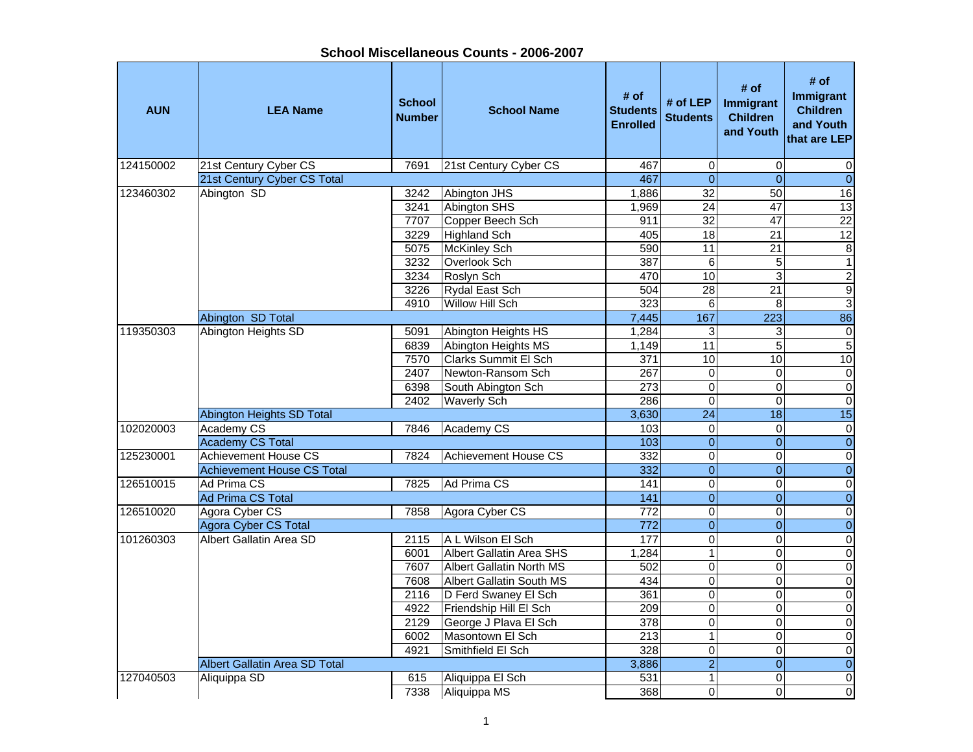**AUN LEA Name School NumberI**<br> **School Name** Students<br> **Enrolled # of LEP** # of # of # of **#** of **Immigrant**<br>d Students Children and Youth # of<br> **Immigrant**<br>
Children<br>
Children<br>
and Youth<br>
that are LEP 124150002 21st Century Cyber CS 7691 21st Century Cyber CS 467 0 0 0 0 0 21st Century Cyber CS Total 467 0 0 0 123460302 |Abington SD | 3242 |Abington JHS | 1,886| 32| 50| 16 3241 Abington SHS 1,969 24 47 13 7707 Copper Beech Sch (1911 32 47 22 3229 Highland Sch 405 18 21 12 5075 McKinley Sch 590 11 21 8 3232 Overlook Sch 387 6 5 13234 Roslyn Sch (470 10 3 2 3226 Rydal East Schree (1990) 504 28 21 21 9 4910 Willow Hill Sch (323 6 8 33 Abington SD Total **1988**<br>
Abington Heights SD 15091 Abington Heights HS 1,284 167 223 1686 119350303 Abington Heights SD 5091 Abington Heights HS 1,284 3 6839 Abington Heights MS 1,149 11 5 5 7570 Clarks Summit El Sch 371 10 10 102407 Newton-Ransom Sch 267 0 0 06398 South Abington Sch 273 0 0 0 2402 Waverly Sch  $\begin{array}{|c|c|c|c|c|c|c|c|c|} \hline \end{array}$  286 0 0 0 0 0 Abington Heights SD Total 3,630 24 18 15 102020003 |Academy CS | 7846 |Academy CS | 103| 0| 0| 0 Academy CS Total 103 0 0 0 125230001 Achievement House CS 7824 Achievement House CS 332 0 0 0 0 Achievement House CS Total 332 0 0 0126510015 |Ad Prima CS | 7825 |Ad Prima CS | 141| 0| 0| 0  $\overline{\mathsf{o}}$ Ad Prima CS Total 141 0 0 0126510020 Agora Cyber CS 7858 Agora Cyber CS 772 0 0 0 0 0 Agora Cyber CS Total 772 0 0 0 101260303 Albert Gallatin Area SD 12115 A L Wilson El Sch 177 0 0 0 0 0 6001 Albert Gallatin Area SHS 1.284 1 1.284 0 7607 Albert Gallatin North MS 502 0 0 07608 Albert Gallatin South MS 434 0 0 02116 D Ferd Swaney El Sch 361 0 0 0 4922 Friendship Hill El Sch die volley volley volley volley volley volley volley volley volley volley volley v 2129 George J Plava El Sch 378 0 0 0 6002 Masontown El Sch 213 1 0 0 0 4921 Smithfield El Sch 328 0 0 0Albert Gallatin Area SD Total 3,886 2 0 0 127040503 Aliquippa SD 1615 Aliquippa El Sch 531 1 0 0 0 7338 Aliquippa MS 368 0 0 0 0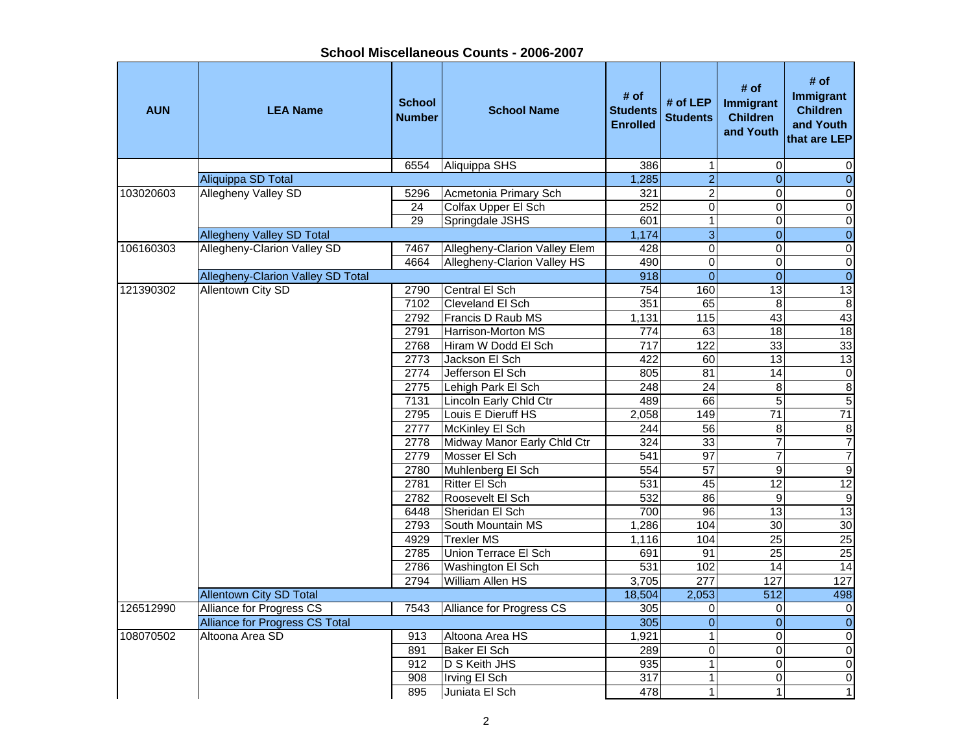| <b>AUN</b> | <b>LEA Name</b>                   | <b>School</b><br><b>Number</b> | <b>School Name</b>            | # of<br><b>Students</b><br><b>Enrolled</b> | # of $LEP$<br><b>Students</b> | # of<br>Immigrant<br><b>Children</b><br>and Youth | # of<br>Immigrant<br><b>Children</b><br>and Youth<br>that are LEP |
|------------|-----------------------------------|--------------------------------|-------------------------------|--------------------------------------------|-------------------------------|---------------------------------------------------|-------------------------------------------------------------------|
|            |                                   | 6554                           | Aliquippa SHS                 | 386                                        | $\mathbf{1}$                  | $\mathbf 0$                                       | 0                                                                 |
|            | <b>Aliquippa SD Total</b>         |                                |                               | 1,285                                      | $\overline{2}$                | $\overline{0}$                                    | $\overline{0}$                                                    |
| 103020603  | Allegheny Valley SD               | 5296                           | Acmetonia Primary Sch         | 321                                        | $\overline{2}$                | $\Omega$                                          | $\overline{0}$                                                    |
|            |                                   | $\overline{24}$                | Colfax Upper El Sch           | 252                                        | $\overline{0}$                | $\Omega$                                          | $\overline{0}$                                                    |
|            |                                   | 29                             | Springdale JSHS               | 601                                        | 1                             | $\Omega$                                          | $\overline{0}$                                                    |
|            | <b>Allegheny Valley SD Total</b>  |                                |                               | 1,174                                      | $\overline{3}$                | $\overline{0}$                                    | $\overline{0}$                                                    |
| 106160303  | Allegheny-Clarion Valley SD       | 7467                           | Allegheny-Clarion Valley Elem | 428                                        | $\overline{0}$                | $\overline{0}$                                    | $\overline{0}$                                                    |
|            |                                   | 4664                           | Allegheny-Clarion Valley HS   | 490                                        | $\overline{0}$                | $\mathbf 0$                                       | $\boldsymbol{0}$                                                  |
|            | Allegheny-Clarion Valley SD Total |                                |                               | 918                                        | $\overline{0}$                | $\overline{0}$                                    | $\overline{0}$                                                    |
| 121390302  | <b>Allentown City SD</b>          | 2790                           | Central El Sch                | 754                                        | 160                           | 13                                                | 13                                                                |
|            |                                   | 7102                           | <b>Cleveland El Sch</b>       | 351                                        | 65                            | 8                                                 | $\bf 8$                                                           |
|            |                                   | 2792                           | Francis D Raub MS             | 1,131                                      | 115                           | 43                                                | 43                                                                |
|            |                                   | 2791                           | Harrison-Morton MS            | 774                                        | 63                            | $\overline{18}$                                   | 18                                                                |
|            |                                   | 2768                           | Hiram W Dodd El Sch           | 717                                        | 122                           | 33                                                | 33                                                                |
|            |                                   | 2773                           | Jackson El Sch                | 422                                        | 60                            | 13                                                | 13                                                                |
|            |                                   | 2774                           | Jefferson El Sch              | 805                                        | 81                            | 14                                                | $\overline{0}$                                                    |
|            |                                   | 2775                           | Lehigh Park El Sch            | 248                                        | $\overline{24}$               | $\overline{8}$                                    | $\overline{8}$                                                    |
|            |                                   | 7131                           | Lincoln Early Chld Ctr        | 489                                        | 66                            | $\overline{5}$                                    | $\overline{5}$                                                    |
|            |                                   | 2795                           | Louis E Dieruff HS            | 2,058                                      | 149                           | $\overline{71}$                                   | 71                                                                |
|            |                                   | 2777                           | McKinley El Sch               | 244                                        | 56                            | 8                                                 | 8                                                                 |
|            |                                   | 2778                           | Midway Manor Early Chld Ctr   | 324                                        | 33                            | $\overline{7}$                                    | $\boldsymbol{7}$                                                  |
|            |                                   | 2779                           | Mosser El Sch                 | 541                                        | 97                            | $\overline{7}$                                    | $\overline{7}$                                                    |
|            |                                   | 2780                           | Muhlenberg El Sch             | 554                                        | 57                            | $\overline{9}$                                    | $\overline{9}$                                                    |
|            |                                   | 2781                           | <b>Ritter El Sch</b>          | 531                                        | 45                            | $\overline{12}$                                   | 12                                                                |
|            |                                   | 2782                           | Roosevelt El Sch              | 532                                        | 86                            | $\overline{9}$                                    | $\overline{9}$                                                    |
|            |                                   | 6448                           | Sheridan El Sch               | 700                                        | 96                            | 13                                                | 13                                                                |
|            |                                   | 2793                           | South Mountain MS             | 1,286                                      | 104                           | $\overline{30}$                                   | 30                                                                |
|            |                                   | 4929                           | <b>Trexler MS</b>             | 1,116                                      | 104                           | 25                                                | 25                                                                |
|            |                                   | 2785                           | Union Terrace El Sch          | 691                                        | 91                            | $\overline{25}$                                   | $\overline{25}$                                                   |
|            |                                   | 2786                           | Washington El Sch             | 531                                        | 102                           | 14                                                | $\overline{14}$                                                   |
|            |                                   | 2794                           | <b>William Allen HS</b>       | 3,705                                      | 277                           | 127                                               | 127                                                               |
|            | <b>Allentown City SD Total</b>    |                                |                               | 18,504                                     | 2,053                         | 512                                               | 498                                                               |
| 126512990  | Alliance for Progress CS          | 7543                           | Alliance for Progress CS      | 305                                        | 0                             | 0                                                 | $\mathbf 0$                                                       |
|            | Alliance for Progress CS Total    |                                |                               | 305                                        | $\mathbf 0$                   | $\overline{0}$                                    | $\overline{0}$                                                    |
| 108070502  | Altoona Area SD                   | 913                            | Altoona Area HS               | 1,921                                      | $\mathbf{1}$                  | $\overline{0}$                                    | $\boldsymbol{0}$                                                  |
|            |                                   | 891                            | Baker El Sch                  | 289                                        | $\overline{0}$                | $\overline{0}$                                    | $\overline{0}$                                                    |
|            |                                   | 912                            | D S Keith JHS                 | 935                                        | $\mathbf 1$                   | $\mathbf 0$                                       | $\pmb{0}$                                                         |
|            |                                   | 908                            | Irving El Sch                 | 317                                        | $\mathbf{1}$                  | $\Omega$                                          | $\pmb{0}$                                                         |
|            |                                   | 895                            | Juniata El Sch                | 478                                        | 1                             | $\mathbf{1}$                                      | $\mathbf{1}$                                                      |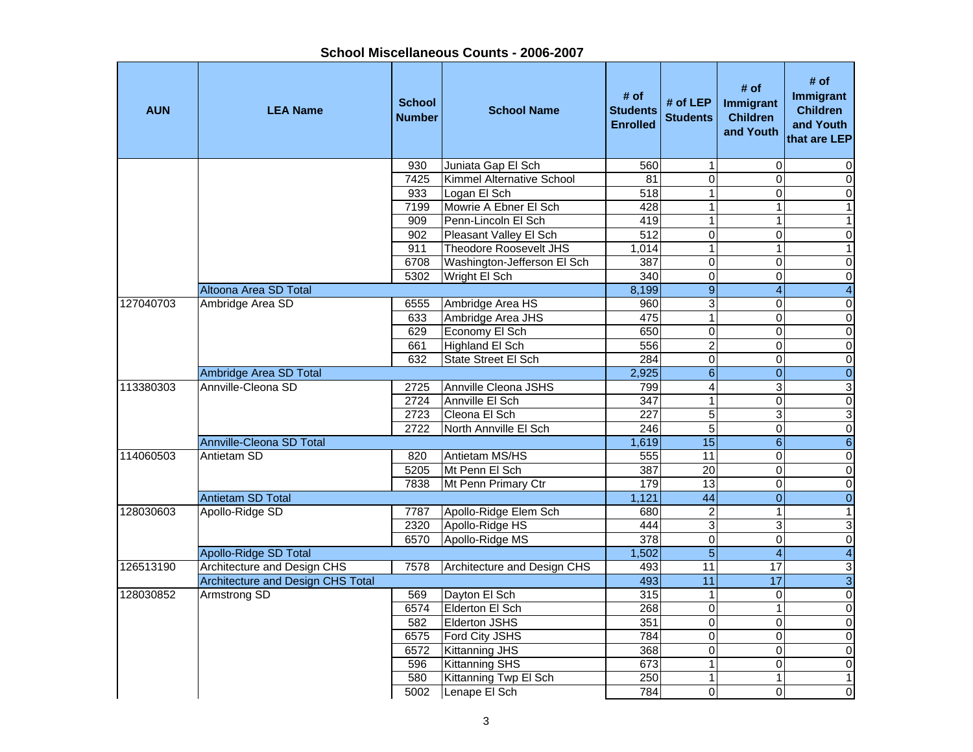| <b>AUN</b> | <b>LEA Name</b>                          | <b>School</b><br><b>Number</b> | <b>School Name</b>               | # of<br><b>Students</b><br><b>Enrolled</b> | # of LEP<br><b>Students</b> | # of<br>Immigrant<br><b>Children</b><br>and Youth | # of<br>Immigrant<br><b>Children</b><br>and Youth<br>that are LEP |
|------------|------------------------------------------|--------------------------------|----------------------------------|--------------------------------------------|-----------------------------|---------------------------------------------------|-------------------------------------------------------------------|
|            |                                          | 930                            | Juniata Gap El Sch               | 560                                        | 1                           | 0                                                 | 0                                                                 |
|            |                                          | 7425                           | <b>Kimmel Alternative School</b> | 81                                         | $\overline{0}$              | $\overline{0}$                                    | $\overline{0}$                                                    |
|            |                                          | 933                            | Logan El Sch                     | $\overline{518}$                           | $\mathbf 1$                 | 0                                                 | $\overline{0}$                                                    |
|            |                                          | 7199                           | Mowrie A Ebner El Sch            | 428                                        | $\overline{1}$              | $\mathbf{1}$                                      | $\overline{1}$                                                    |
|            |                                          | 909                            | Penn-Lincoln El Sch              | 419                                        | $\overline{1}$              | $\mathbf{1}$                                      | $\mathbf{1}$                                                      |
|            |                                          | 902                            | Pleasant Valley El Sch           | 512                                        | $\overline{\mathsf{o}}$     | 0                                                 | $\overline{0}$                                                    |
|            |                                          | 911                            | <b>Theodore Roosevelt JHS</b>    | 1,014                                      | $\overline{1}$              | $\mathbf{1}$                                      | $\overline{1}$                                                    |
|            |                                          | 6708                           | Washington-Jefferson El Sch      | 387                                        | $\mathbf 0$                 | 0                                                 | $\overline{0}$                                                    |
|            |                                          | 5302                           | Wright El Sch                    | 340                                        | $\pmb{0}$                   | 0                                                 | $\overline{0}$                                                    |
|            | Altoona Area SD Total                    |                                |                                  | 8,199                                      | $\overline{9}$              | $\overline{4}$                                    | $\overline{4}$                                                    |
| 127040703  | Ambridge Area SD                         | 6555                           | Ambridge Area HS                 | 960                                        | 3                           | 0                                                 | $\overline{0}$                                                    |
|            |                                          | 633                            | Ambridge Area JHS                | 475                                        | $\overline{1}$              | $\overline{0}$                                    | $\overline{0}$                                                    |
|            |                                          | 629                            | Economy El Sch                   | 650                                        | $\overline{0}$              | $\overline{0}$                                    | $\overline{0}$                                                    |
|            |                                          | 661                            | <b>Highland El Sch</b>           | 556                                        | $\overline{2}$              | 0                                                 | $\overline{0}$                                                    |
|            |                                          | 632                            | <b>State Street El Sch</b>       | 284                                        | $\overline{0}$              | $\overline{0}$                                    | $\overline{0}$                                                    |
|            | Ambridge Area SD Total                   |                                |                                  | 2,925                                      | $6 \overline{6}$            | $\mathbf 0$                                       | $\overline{0}$                                                    |
| 113380303  | Annville-Cleona SD                       | 2725                           | <b>Annville Cleona JSHS</b>      | 799                                        | $\overline{4}$              | 3                                                 | $\overline{3}$                                                    |
|            |                                          | 2724                           | Annville El Sch                  | 347                                        | $\overline{1}$              | $\overline{0}$                                    | $\overline{0}$                                                    |
|            |                                          | 2723                           | Cleona El Sch                    | 227                                        | $\overline{5}$              | 3                                                 | $\overline{3}$                                                    |
|            |                                          | 2722                           | North Annville El Sch            | 246                                        | $\overline{5}$              | $\overline{0}$                                    | $\overline{0}$                                                    |
|            | Annville-Cleona SD Total                 |                                |                                  | 1,619                                      | $\overline{15}$             | $6\phantom{a}$                                    | $\overline{6}$                                                    |
| 114060503  | Antietam SD                              | 820                            | Antietam MS/HS                   | 555                                        | 11                          | 0                                                 | $\mathbf 0$                                                       |
|            |                                          | 5205                           | Mt Penn El Sch                   | 387                                        | $\overline{20}$             | $\overline{0}$                                    | $\overline{0}$                                                    |
|            |                                          | 7838                           | Mt Penn Primary Ctr              | 179                                        | 13                          | 0                                                 | $\overline{0}$                                                    |
|            | <b>Antietam SD Total</b>                 |                                |                                  | 1,121                                      | 44                          | $\overline{\mathbf{0}}$                           | $\overline{0}$                                                    |
| 128030603  | Apollo-Ridge SD                          | 7787                           | Apollo-Ridge Elem Sch            | 680                                        | $\overline{2}$              | $\mathbf{1}$                                      | $\overline{1}$                                                    |
|            |                                          | 2320                           | Apollo-Ridge HS                  | 444                                        | $\overline{3}$              | 3                                                 | $\overline{3}$                                                    |
|            |                                          | 6570                           | Apollo-Ridge MS                  | 378                                        | $\overline{0}$              | $\overline{0}$                                    | $\overline{0}$                                                    |
|            | <b>Apollo-Ridge SD Total</b>             |                                |                                  | 1,502                                      | $\overline{5}$              | $\overline{4}$                                    | $\overline{4}$                                                    |
| 126513190  | Architecture and Design CHS              | 7578                           | Architecture and Design CHS      | 493                                        | 11                          | 17                                                | $\overline{3}$                                                    |
|            | <b>Architecture and Design CHS Total</b> |                                |                                  | 493                                        | 11                          | $\overline{17}$                                   | $\overline{3}$                                                    |
| 128030852  | Armstrong SD                             | 569                            | Dayton El Sch                    | 315                                        | $\mathbf 1$                 | $\mathbf 0$                                       | $\overline{0}$                                                    |
|            |                                          | 6574                           | Elderton El Sch                  | 268                                        | $\pmb{0}$                   | $\mathbf{1}$                                      | $\overline{0}$                                                    |
|            |                                          | 582                            | <b>Elderton JSHS</b>             | 351                                        | $\mathsf 0$                 | 0                                                 | $\mathbf 0$                                                       |
|            |                                          | 6575                           | Ford City JSHS                   | 784                                        | 0                           | 0                                                 | $\overline{0}$                                                    |
|            |                                          | 6572                           | <b>Kittanning JHS</b>            | 368                                        | 0                           | 0                                                 | $\overline{0}$                                                    |
|            |                                          | 596                            | <b>Kittanning SHS</b>            | 673                                        | $\overline{1}$              | $\overline{0}$                                    | $\overline{0}$                                                    |
|            |                                          | 580                            | Kittanning Twp El Sch            | 250                                        | $\mathbf{1}$                | 1                                                 | $\mathbf{1}$                                                      |
|            |                                          | 5002                           | Lenape El Sch                    | 784                                        | $\Omega$                    | $\overline{0}$                                    | $\overline{0}$                                                    |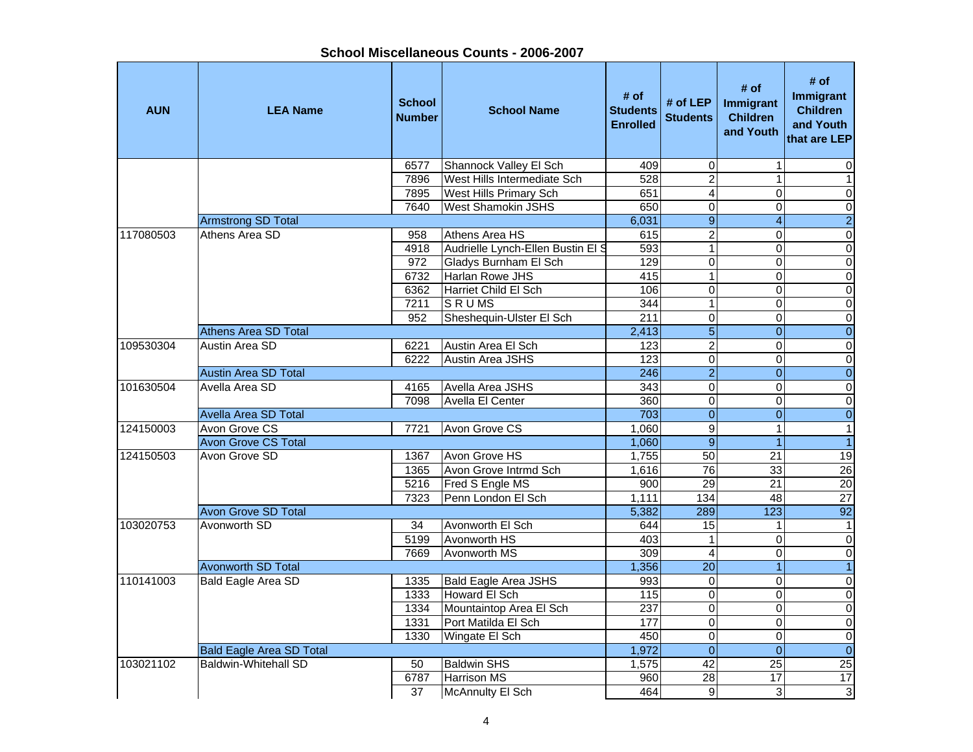| <b>AUN</b> | <b>LEA Name</b>                 | <b>School</b><br><b>Number</b> | <b>School Name</b>                | # of<br><b>Students</b><br><b>Enrolled</b> | # of $LEP$<br><b>Students</b> | # of<br>Immigrant<br><b>Children</b><br>and Youth | # of<br><b>Immigrant</b><br><b>Children</b><br>and Youth<br>that are LEP |
|------------|---------------------------------|--------------------------------|-----------------------------------|--------------------------------------------|-------------------------------|---------------------------------------------------|--------------------------------------------------------------------------|
|            |                                 | 6577                           | Shannock Valley El Sch            | 409                                        | $\boldsymbol{0}$              | 1                                                 | 0                                                                        |
|            |                                 | 7896                           | West Hills Intermediate Sch       | 528                                        | $\overline{2}$                | 1                                                 | $\mathbf{1}$                                                             |
|            |                                 | 7895                           | <b>West Hills Primary Sch</b>     | 651                                        | 4                             | $\Omega$                                          | $\pmb{0}$                                                                |
|            |                                 | 7640                           | <b>West Shamokin JSHS</b>         | 650                                        | $\overline{0}$                | $\Omega$                                          | $\pmb{0}$                                                                |
|            | <b>Armstrong SD Total</b>       |                                |                                   | 6,031                                      | $\overline{9}$                | $\overline{4}$                                    | $\overline{2}$                                                           |
| 117080503  | Athens Area SD                  | 958                            | Athens Area HS                    | 615                                        | $\overline{2}$                | $\Omega$                                          | $\overline{0}$                                                           |
|            |                                 | 4918                           | Audrielle Lynch-Ellen Bustin El S | 593                                        | $\overline{1}$                | 0                                                 | $\overline{\mathsf{o}}$                                                  |
|            |                                 | 972                            | Gladys Burnham El Sch             | 129                                        | $\mathbf 0$                   | $\mathbf 0$                                       | $\overline{0}$                                                           |
|            |                                 | 6732                           | Harlan Rowe JHS                   | 415                                        | $\overline{1}$                | $\mathbf 0$                                       | $\overline{\mathsf{o}}$                                                  |
|            |                                 | 6362                           | Harriet Child El Sch              | 106                                        | $\mathsf 0$                   | 0                                                 | $\pmb{0}$                                                                |
|            |                                 | 7211                           | <b>SRUMS</b>                      | 344                                        | $\overline{1}$                | $\Omega$                                          | $\pmb{0}$                                                                |
|            |                                 | 952                            | Sheshequin-Ulster El Sch          | $\overline{211}$                           | $\overline{0}$                | $\Omega$                                          | $\pmb{0}$                                                                |
|            | <b>Athens Area SD Total</b>     |                                |                                   | 2,413                                      | $\overline{5}$                | $\Omega$                                          | $\overline{0}$                                                           |
| 109530304  | Austin Area SD                  | 6221                           | Austin Area El Sch                | 123                                        | $\overline{2}$                | $\overline{0}$                                    | $\overline{\mathsf{o}}$                                                  |
|            |                                 | 6222                           | <b>Austin Area JSHS</b>           | 123                                        | $\overline{0}$                | $\overline{0}$                                    | $\overline{\mathsf{o}}$                                                  |
|            | <b>Austin Area SD Total</b>     |                                |                                   | 246                                        | $\overline{2}$                | $\mathbf{0}$                                      | $\overline{0}$                                                           |
| 101630504  | Avella Area SD                  | 4165                           | Avella Area JSHS                  | 343                                        | $\overline{0}$                | $\Omega$                                          | $\overline{\mathsf{o}}$                                                  |
|            |                                 | 7098                           | Avella El Center                  | 360                                        | $\overline{0}$                | 0                                                 | $\overline{\mathsf{o}}$                                                  |
|            | Avella Area SD Total            |                                |                                   | 703                                        | $\overline{0}$                | $\Omega$                                          | $\overline{0}$                                                           |
| 124150003  | Avon Grove CS                   | 7721                           | Avon Grove CS                     | 1,060                                      | $\overline{9}$                | $\mathbf{1}$                                      | $\mathbf{1}$                                                             |
|            | <b>Avon Grove CS Total</b>      |                                |                                   | 1,060                                      | $\overline{9}$                | $\overline{1}$                                    | $\overline{1}$                                                           |
| 124150503  | Avon Grove SD                   | 1367                           | Avon Grove HS                     | 1,755                                      | 50                            | $\overline{21}$                                   | 19                                                                       |
|            |                                 | 1365                           | Avon Grove Intrmd Sch             | 1,616                                      | 76                            | 33                                                | $\overline{26}$                                                          |
|            |                                 | 5216                           | Fred S Engle MS                   | 900                                        | $\overline{29}$               | $\overline{21}$                                   | $\overline{20}$                                                          |
|            |                                 | 7323                           | Penn London El Sch                | 1,111                                      | 134                           | 48                                                | $\overline{27}$                                                          |
|            | <b>Avon Grove SD Total</b>      |                                |                                   | 5,382                                      | 289                           | 123                                               | $\overline{92}$                                                          |
| 103020753  | Avonworth SD                    | 34                             | Avonworth El Sch                  | 644                                        | $\overline{15}$               | $\mathbf{1}$                                      | $\mathbf{1}$                                                             |
|            |                                 | 5199                           | Avonworth HS                      | 403                                        | $\mathbf{1}$                  | $\Omega$                                          | $\overline{\mathsf{o}}$                                                  |
|            |                                 | 7669                           | <b>Avonworth MS</b>               | 309                                        | $\overline{\mathbf{4}}$       | 0                                                 | $\overline{\mathsf{o}}$                                                  |
|            | <b>Avonworth SD Total</b>       |                                |                                   | 1,356                                      | $\overline{20}$               | $\overline{1}$                                    | $\overline{1}$                                                           |
| 110141003  | <b>Bald Eagle Area SD</b>       | 1335                           | <b>Bald Eagle Area JSHS</b>       | 993                                        | $\overline{0}$                | $\mathbf 0$                                       | $\overline{0}$                                                           |
|            |                                 | 1333                           | Howard El Sch                     | $\frac{115}{115}$                          | $\overline{0}$                | $\Omega$                                          | $\overline{\mathsf{o}}$                                                  |
|            |                                 | 1334                           | Mountaintop Area El Sch           | 237                                        | $\overline{0}$                | $\mathbf 0$                                       | $\overline{\mathsf{o}}$                                                  |
|            |                                 | 1331                           | Port Matilda El Sch               | 177                                        | $\overline{0}$                | $\mathbf 0$                                       | $\mathbf 0$                                                              |
|            |                                 | 1330                           | Wingate El Sch                    | 450                                        | $\mathbf 0$                   | 0                                                 | $\pmb{0}$                                                                |
|            | <b>Bald Eagle Area SD Total</b> |                                |                                   | 1,972                                      | $\mathbf 0$                   | $\overline{0}$                                    | $\overline{0}$                                                           |
| 103021102  | Baldwin-Whitehall SD            | 50                             | <b>Baldwin SHS</b>                | 1,575                                      | 42                            | $\overline{25}$                                   | $\overline{25}$                                                          |
|            |                                 | 6787                           | <b>Harrison MS</b>                | 960                                        | $\overline{28}$               | $\overline{17}$                                   | 17                                                                       |
|            |                                 | $\overline{37}$                | <b>McAnnulty El Sch</b>           | 464                                        | 9                             | 3                                                 | 3                                                                        |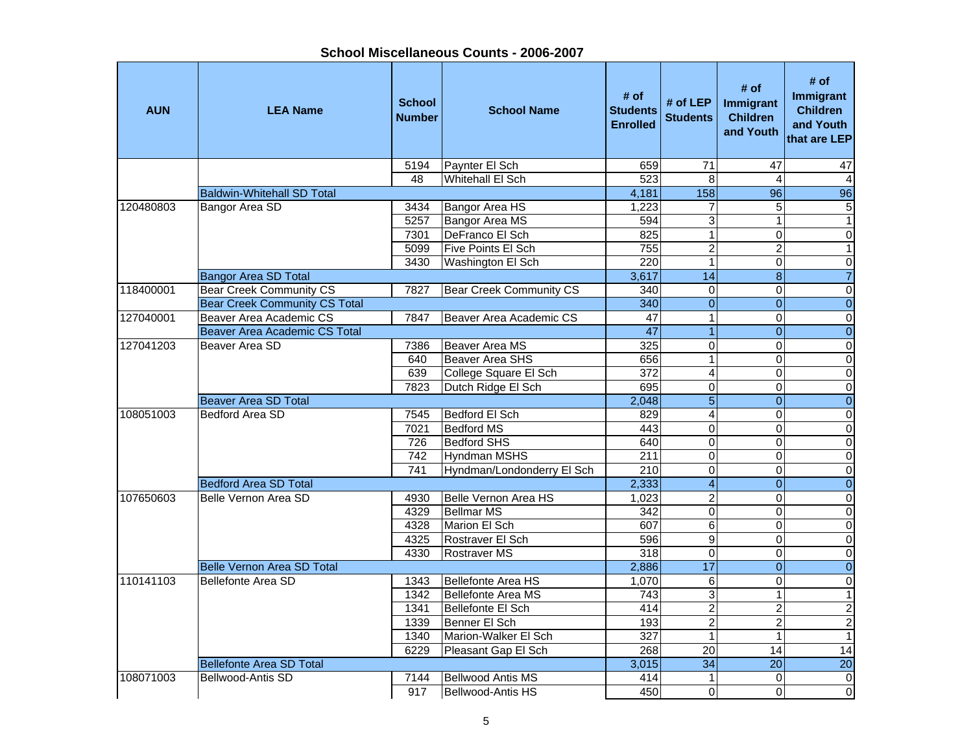| <b>AUN</b> | <b>LEA Name</b>                      | <b>School</b><br><b>Number</b> | <b>School Name</b>             | # of<br><b>Students</b><br><b>Enrolled</b> | # of $LEP$<br><b>Students</b> | # of<br>Immigrant<br><b>Children</b><br>and Youth | # of<br>Immigrant<br><b>Children</b><br>and Youth<br>that are LEP |
|------------|--------------------------------------|--------------------------------|--------------------------------|--------------------------------------------|-------------------------------|---------------------------------------------------|-------------------------------------------------------------------|
|            |                                      | 5194                           | Paynter El Sch                 | 659                                        | 71                            | $\overline{47}$                                   | 47                                                                |
|            |                                      | 48                             | <b>Whitehall El Sch</b>        | 523                                        | 8                             | $\overline{4}$                                    | $\overline{4}$                                                    |
|            | <b>Baldwin-Whitehall SD Total</b>    |                                |                                | 4,181                                      | 158                           | $\overline{96}$                                   | 96                                                                |
| 120480803  | Bangor Area SD                       | 3434                           | Bangor Area HS                 | 1,223                                      | 7                             | 5                                                 | 5                                                                 |
|            |                                      | 5257                           | <b>Bangor Area MS</b>          | 594                                        | $\overline{3}$                | $\mathbf{1}$                                      | $\overline{1}$                                                    |
|            |                                      | 7301                           | DeFranco El Sch                | 825                                        | $\overline{1}$                | $\Omega$                                          | $\overline{0}$                                                    |
|            |                                      | 5099                           | Five Points El Sch             | 755                                        | $\overline{2}$                | $\overline{2}$                                    | $\mathbf{1}$                                                      |
|            |                                      | 3430                           | Washington El Sch              | 220                                        | 1                             | $\mathbf 0$                                       | 0                                                                 |
|            | <b>Bangor Area SD Total</b>          |                                |                                | 3,617                                      | $\overline{14}$               | $\overline{8}$                                    | $\overline{7}$                                                    |
| 118400001  | <b>Bear Creek Community CS</b>       | 7827                           | <b>Bear Creek Community CS</b> | 340                                        | 0                             | $\mathsf 0$                                       | 0                                                                 |
|            | <b>Bear Creek Community CS Total</b> |                                |                                | 340                                        | $\overline{0}$                | $\Omega$                                          | $\mathbf 0$                                                       |
| 127040001  | Beaver Area Academic CS              | 7847                           | Beaver Area Academic CS        | $\overline{47}$                            | $\overline{1}$                | $\Omega$                                          | $\overline{0}$                                                    |
|            | Beaver Area Academic CS Total        |                                |                                | 47                                         | $\overline{1}$                | $\overline{0}$                                    | $\overline{0}$                                                    |
| 127041203  | Beaver Area SD                       | 7386                           | Beaver Area MS                 | 325                                        | $\overline{0}$                | $\overline{0}$                                    | $\overline{0}$                                                    |
|            |                                      | 640                            | <b>Beaver Area SHS</b>         | 656                                        | 1                             | $\Omega$                                          | $\pmb{0}$                                                         |
|            |                                      | 639                            | College Square El Sch          | 372                                        | 4                             | 0                                                 | $\overline{0}$                                                    |
|            |                                      | 7823                           | Dutch Ridge El Sch             | 695                                        | $\overline{0}$                | $\overline{0}$                                    | 0                                                                 |
|            | <b>Beaver Area SD Total</b>          |                                |                                | 2,048                                      | $\overline{5}$                | $\Omega$                                          | $\overline{0}$                                                    |
| 108051003  | <b>Bedford Area SD</b>               | 7545                           | <b>Bedford El Sch</b>          | 829                                        | 4                             | $\mathbf 0$                                       | 0                                                                 |
|            |                                      | 7021                           | <b>Bedford MS</b>              | 443                                        | $\overline{0}$                | $\Omega$                                          | $\overline{0}$                                                    |
|            |                                      | 726                            | Bedford SHS                    | 640                                        | $\overline{0}$                | $\mathbf 0$                                       | $\overline{0}$                                                    |
|            |                                      | 742                            | <b>Hyndman MSHS</b>            | 211                                        | $\pmb{0}$                     | $\mathbf 0$                                       | $\overline{0}$                                                    |
|            |                                      | 741                            | Hyndman/Londonderry El Sch     | 210                                        | $\overline{0}$                | $\mathbf 0$                                       | $\overline{0}$                                                    |
|            | <b>Bedford Area SD Total</b>         |                                |                                | 2,333                                      | $\overline{\mathcal{A}}$      | $\mathbf{0}$                                      | $\mathbf 0$                                                       |
| 107650603  | Belle Vernon Area SD                 | 4930                           | <b>Belle Vernon Area HS</b>    | 1,023                                      | $\overline{2}$                | $\Omega$                                          | $\overline{0}$                                                    |
|            |                                      | 4329                           | <b>Bellmar MS</b>              | $\overline{342}$                           | $\overline{0}$                | $\Omega$                                          | 0                                                                 |
|            |                                      | 4328                           | Marion El Sch                  | 607                                        | $\overline{6}$                | $\Omega$                                          | $\overline{0}$                                                    |
|            |                                      | 4325                           | Rostraver El Sch               | 596                                        | $\overline{9}$                | $\overline{0}$                                    | $\overline{0}$                                                    |
|            |                                      | 4330                           | <b>Rostraver MS</b>            | 318                                        | $\overline{0}$                | $\Omega$                                          | $\overline{0}$                                                    |
|            | <b>Belle Vernon Area SD Total</b>    |                                |                                | 2,886                                      | 17                            | $\mathbf{0}$                                      | $\overline{0}$                                                    |
| 110141103  | Bellefonte Area SD                   | 1343                           | <b>Bellefonte Area HS</b>      | 1,070                                      | $\,6$                         | $\Omega$                                          | $\overline{0}$                                                    |
|            |                                      | 1342                           | <b>Bellefonte Area MS</b>      | $\overline{743}$                           | 3                             | 1                                                 | $\overline{1}$                                                    |
|            |                                      | 1341                           | <b>Bellefonte El Sch</b>       | 414                                        | $\overline{2}$                | $\overline{2}$                                    | $\overline{c}$                                                    |
|            |                                      | 1339                           | Benner El Sch                  | 193                                        | $\overline{2}$                | $\overline{2}$                                    | $\overline{2}$                                                    |
|            |                                      | 1340                           | Marion-Walker El Sch           | $\overline{327}$                           | $\mathbf{1}$                  | 1                                                 | $\overline{1}$                                                    |
|            |                                      | 6229                           | Pleasant Gap El Sch            | 268                                        | $\overline{20}$               | 14                                                | 14                                                                |
|            | <b>Bellefonte Area SD Total</b>      |                                |                                | 3,015                                      | $\overline{34}$               | $\overline{20}$                                   | $\overline{20}$                                                   |
| 108071003  | Bellwood-Antis SD                    | 7144                           | <b>Bellwood Antis MS</b>       | 414                                        | 1                             | $\mathbf 0$                                       | $\overline{0}$                                                    |
|            |                                      | 917                            | Bellwood-Antis HS              | 450                                        | 0                             | $\Omega$                                          | $\overline{\mathsf{o}}$                                           |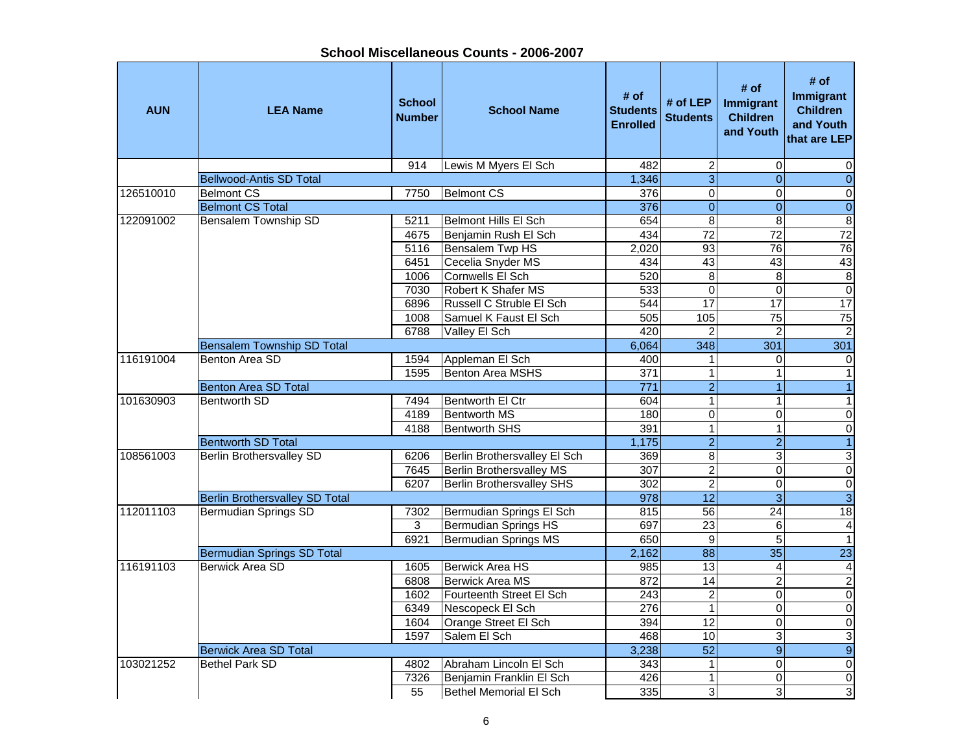| <b>AUN</b> | <b>LEA Name</b>                       | <b>School</b><br><b>Number</b> | <b>School Name</b>               | # of<br><b>Students</b><br><b>Enrolled</b> | # of $LEP$<br><b>Students</b> | # of<br>Immigrant<br><b>Children</b><br>and Youth | # of<br>Immigrant<br><b>Children</b><br>and Youth<br>that are LEP |
|------------|---------------------------------------|--------------------------------|----------------------------------|--------------------------------------------|-------------------------------|---------------------------------------------------|-------------------------------------------------------------------|
|            |                                       | 914                            | Lewis M Myers El Sch             | 482                                        | $\boldsymbol{2}$              | $\mathbf 0$                                       | 0                                                                 |
|            | <b>Bellwood-Antis SD Total</b>        |                                |                                  | 1,346                                      | $\overline{3}$                | $\overline{0}$                                    | $\overline{0}$                                                    |
| 126510010  | <b>Belmont CS</b>                     | 7750                           | <b>Belmont CS</b>                | $\overline{376}$                           | $\overline{0}$                | $\mathbf 0$                                       | $\overline{0}$                                                    |
|            | <b>Belmont CS Total</b>               |                                |                                  | 376                                        | $\overline{0}$                | $\overline{0}$                                    | $\overline{0}$                                                    |
| 122091002  | <b>Bensalem Township SD</b>           | 5211                           | <b>Belmont Hills El Sch</b>      | 654                                        | 8                             | $\bf 8$                                           | $\overline{\mathbf{8}}$                                           |
|            |                                       | 4675                           | Benjamin Rush El Sch             | 434                                        | $\overline{72}$               | $\overline{72}$                                   | 72                                                                |
|            |                                       | 5116                           | <b>Bensalem Twp HS</b>           | 2,020                                      | 93                            | $\overline{76}$                                   | 76                                                                |
|            |                                       | 6451                           | Cecelia Snyder MS                | 434                                        | 43                            | 43                                                | 43                                                                |
|            |                                       | 1006                           | Cornwells El Sch                 | 520                                        | 8                             | 8                                                 | $\overline{\mathbf{8}}$                                           |
|            |                                       | 7030                           | Robert K Shafer MS               | 533                                        | $\mathbf 0$                   | $\Omega$                                          | $\boldsymbol{0}$                                                  |
|            |                                       | 6896                           | Russell C Struble El Sch         | 544                                        | $\overline{17}$               | 17                                                | 17                                                                |
|            |                                       | 1008                           | Samuel K Faust El Sch            | 505                                        | 105                           | $\overline{75}$                                   | 75                                                                |
|            |                                       | 6788                           | Valley El Sch                    | 420                                        | $\overline{2}$                | 2                                                 | $\overline{2}$                                                    |
|            | <b>Bensalem Township SD Total</b>     |                                |                                  | 6,064                                      | 348                           | 301                                               | 301                                                               |
| 116191004  | Benton Area SD                        | 1594                           | Appleman El Sch                  | 400                                        | $\mathbf{1}$                  | $\Omega$                                          | $\mathbf 0$                                                       |
|            |                                       | 1595                           | <b>Benton Area MSHS</b>          | $\overline{371}$                           | $\mathbf{1}$                  | $\mathbf{1}$                                      | $\mathbf{1}$                                                      |
|            | <b>Benton Area SD Total</b>           |                                |                                  | $\overline{771}$                           | $\overline{2}$                | $\overline{1}$                                    | $\overline{1}$                                                    |
| 101630903  | <b>Bentworth SD</b>                   | 7494                           | Bentworth El Ctr                 | 604                                        | $\overline{1}$                | $\mathbf{1}$                                      | $\overline{1}$                                                    |
|            |                                       | 4189                           | <b>Bentworth MS</b>              | 180                                        | $\overline{0}$                | $\overline{0}$                                    | $\overline{\mathsf{o}}$                                           |
|            |                                       | 4188                           | <b>Bentworth SHS</b>             | 391                                        | $\overline{1}$                | $\mathbf{1}$                                      | $\pmb{0}$                                                         |
|            | <b>Bentworth SD Total</b>             |                                |                                  | 1,175                                      | $\overline{2}$                | $\overline{2}$                                    | $\overline{1}$                                                    |
| 108561003  | <b>Berlin Brothersvalley SD</b>       | 6206                           | Berlin Brothersvalley El Sch     | 369                                        | $\overline{8}$                | $\mathbf{3}$                                      | $\ensuremath{\mathsf{3}}$                                         |
|            |                                       | 7645                           | <b>Berlin Brothersvalley MS</b>  | 307                                        | $\overline{2}$                | 0                                                 | $\mathbf 0$                                                       |
|            |                                       | 6207                           | <b>Berlin Brothersvalley SHS</b> | 302                                        | $\overline{2}$                | $\Omega$                                          | $\overline{0}$                                                    |
|            | <b>Berlin Brothersvalley SD Total</b> |                                |                                  | 978                                        | $\overline{12}$               | $\overline{3}$                                    | $\overline{3}$                                                    |
| 112011103  | <b>Bermudian Springs SD</b>           | 7302                           | Bermudian Springs El Sch         | 815                                        | 56                            | $\overline{24}$                                   | $\overline{18}$                                                   |
|            |                                       | 3                              | <b>Bermudian Springs HS</b>      | 697                                        | 23                            | 6                                                 | $\overline{\mathbf{4}}$                                           |
|            |                                       | 6921                           | <b>Bermudian Springs MS</b>      | 650                                        | $\overline{9}$                | $\overline{5}$                                    | $\mathbf{1}$                                                      |
|            | <b>Bermudian Springs SD Total</b>     |                                |                                  | 2,162                                      | $\overline{88}$               | $\overline{35}$                                   | $\overline{23}$                                                   |
| 116191103  | <b>Berwick Area SD</b>                | 1605                           | <b>Berwick Area HS</b>           | 985                                        | $\overline{13}$               | $\overline{4}$                                    | $\overline{4}$                                                    |
|            |                                       | 6808                           | <b>Berwick Area MS</b>           | 872                                        | 14                            | $\overline{2}$                                    | $\overline{2}$                                                    |
|            |                                       | 1602                           | Fourteenth Street El Sch         | $\overline{243}$                           | $\overline{2}$                | $\mathbf 0$                                       | $\overline{0}$                                                    |
|            |                                       | 6349                           | Nescopeck El Sch                 | 276                                        | $\mathbf{1}$                  | $\mathbf 0$                                       | $\overline{\mathsf{o}}$                                           |
|            |                                       | 1604                           | Orange Street El Sch             | 394                                        | $\overline{12}$               | 0                                                 | $\overline{\mathsf{o}}$                                           |
|            |                                       | 1597                           | Salem El Sch                     | 468                                        | 10                            | 3                                                 | ω                                                                 |
|            | <b>Berwick Area SD Total</b>          |                                |                                  | 3,238                                      | $\overline{52}$               | $\overline{9}$                                    | $\overline{9}$                                                    |
| 103021252  | <b>Bethel Park SD</b>                 | 4802                           | Abraham Lincoln El Sch           | 343                                        | $\mathbf{1}$                  | $\Omega$                                          | $\pmb{0}$                                                         |
|            |                                       | 7326                           | Benjamin Franklin El Sch         | 426                                        | $\mathbf{1}$                  | $\mathbf 0$                                       | $\pmb{0}$                                                         |
|            |                                       | 55                             | Bethel Memorial El Sch           | 335                                        | $\overline{3}$                | 3                                                 | $\overline{3}$                                                    |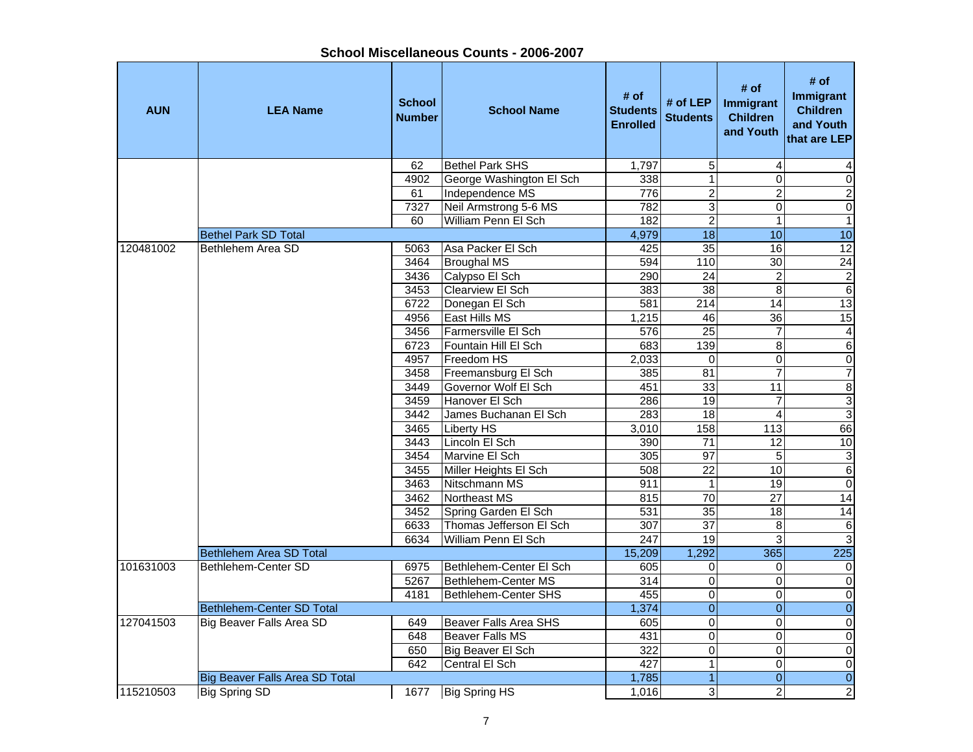| <b>AUN</b> | <b>LEA Name</b>                       | <b>School</b><br><b>Number</b> | <b>School Name</b>       | # of<br><b>Students</b><br><b>Enrolled</b> | # of LEP<br><b>Students</b> | # of<br><b>Immigrant</b><br><b>Children</b><br>and Youth | # of<br>Immigrant<br><b>Children</b><br>and Youth<br>that are LEP |
|------------|---------------------------------------|--------------------------------|--------------------------|--------------------------------------------|-----------------------------|----------------------------------------------------------|-------------------------------------------------------------------|
|            |                                       | 62                             | <b>Bethel Park SHS</b>   | 1,797                                      | 5                           | 4                                                        |                                                                   |
|            |                                       | 4902                           | George Washington El Sch | 338                                        | $\mathbf{1}$                | 0                                                        | $\pmb{0}$                                                         |
|            |                                       | 61                             | Independence MS          | 776                                        | $\overline{2}$              | $\overline{c}$                                           | $\overline{c}$                                                    |
|            |                                       | 7327                           | Neil Armstrong 5-6 MS    | 782                                        | 3                           | 0                                                        | $\overline{0}$                                                    |
|            |                                       | 60                             | William Penn El Sch      | 182                                        | $\overline{2}$              | $\mathbf{1}$                                             | $\overline{1}$                                                    |
|            | <b>Bethel Park SD Total</b>           |                                |                          | 4,979                                      | $\overline{18}$             | 10                                                       | 10                                                                |
| 120481002  | Bethlehem Area SD                     | 5063                           | Asa Packer El Sch        | 425                                        | $\overline{35}$             | 16                                                       | $\overline{12}$                                                   |
|            |                                       | 3464                           | <b>Broughal MS</b>       | 594                                        | 110                         | 30                                                       | $\overline{24}$                                                   |
|            |                                       | 3436                           | Calypso El Sch           | 290                                        | 24                          | $\overline{c}$                                           | $\frac{2}{6}$                                                     |
|            |                                       | 3453                           | <b>Clearview El Sch</b>  | 383                                        | $\overline{38}$             | 8                                                        |                                                                   |
|            |                                       | 6722                           | Donegan El Sch           | 581                                        | 214                         | 14                                                       | 13                                                                |
|            |                                       | 4956                           | East Hills MS            | 1,215                                      | 46                          | $\overline{36}$                                          | 15                                                                |
|            |                                       | 3456                           | lFarmersville El Sch     | 576                                        | $\overline{25}$             | $\overline{7}$                                           | $\overline{4}$                                                    |
|            |                                       | 6723                           | Fountain Hill El Sch     | 683                                        | 139                         | 8                                                        | $\overline{6}$                                                    |
|            |                                       | 4957                           | Freedom HS               | 2,033                                      | $\Omega$                    | $\overline{0}$                                           | $\overline{0}$                                                    |
|            |                                       | 3458                           | Freemansburg El Sch      | 385                                        | 81                          | 7                                                        | $\overline{7}$                                                    |
|            |                                       | 3449                           | lGovernor Wolf El Sch    | 451                                        | 33                          | 11                                                       | $\overline{8}$                                                    |
|            |                                       | 3459                           | Hanover El Sch           | 286                                        | 19                          | 7                                                        | $\frac{3}{3}$                                                     |
|            |                                       | 3442                           | James Buchanan El Sch    | 283                                        | 18                          | 4                                                        |                                                                   |
|            |                                       | 3465                           | <b>Liberty HS</b>        | 3,010                                      | 158                         | 113                                                      | 66                                                                |
|            |                                       | 3443                           | Lincoln El Sch           | 390                                        | 71                          | 12                                                       | 10                                                                |
|            |                                       | 3454                           | Marvine El Sch           | 305                                        | 97                          | 5                                                        |                                                                   |
|            |                                       | 3455                           | Miller Heights El Sch    | 508                                        | $\overline{22}$             | 10                                                       | $\frac{3}{6}$                                                     |
|            |                                       | 3463                           | Nitschmann MS            | 911                                        | 1                           | 19                                                       | $\overline{0}$                                                    |
|            |                                       | 3462                           | Northeast MS             | 815                                        | 70                          | 27                                                       | 14                                                                |
|            |                                       | 3452                           | Spring Garden El Sch     | 531                                        | 35                          | 18                                                       | 14                                                                |
|            |                                       | 6633                           | Thomas Jefferson El Sch  | 307                                        | $\overline{37}$             | $\overline{8}$                                           | $\overline{6}$                                                    |
|            |                                       | 6634                           | William Penn El Sch      | 247                                        | 19                          | 3                                                        | $\overline{3}$                                                    |
|            | <b>Bethlehem Area SD Total</b>        |                                |                          | 15,209                                     | 1,292                       | 365                                                      | 225                                                               |
| 101631003  | Bethlehem-Center SD                   | 6975                           | Bethlehem-Center El Sch  | 605                                        | 0                           | 0                                                        | $\pmb{0}$                                                         |
|            |                                       | 5267                           | Bethlehem-Center MS      | 314                                        | $\overline{0}$              | 0                                                        | $\overline{0}$                                                    |
|            |                                       | 4181                           | Bethlehem-Center SHS     | 455                                        | 0                           | 0                                                        | $\overline{0}$                                                    |
|            | Bethlehem-Center SD Total             |                                |                          | 1,374                                      | $\overline{0}$              | $\overline{0}$                                           | $\overline{0}$                                                    |
| 127041503  | Big Beaver Falls Area SD              | 649                            | Beaver Falls Area SHS    | 605                                        | $\mathsf 0$                 | 0                                                        | $\pmb{0}$                                                         |
|            |                                       | 648                            | Beaver Falls MS          | 431                                        | $\mathsf 0$                 | $\Omega$                                                 | $\overline{0}$                                                    |
|            |                                       | 650                            | Big Beaver El Sch        | 322                                        | 0                           | 0                                                        | $\overline{0}$                                                    |
|            |                                       | 642                            | Central El Sch           | 427                                        | $\overline{1}$              | $\overline{0}$                                           | $\overline{0}$                                                    |
|            | <b>Big Beaver Falls Area SD Total</b> |                                |                          | 1,785                                      | $\overline{1}$              | $\mathbf 0$                                              | $\overline{0}$                                                    |
| 115210503  | <b>Big Spring SD</b>                  | 1677                           | <b>Big Spring HS</b>     | 1,016                                      | 3                           | $\overline{2}$                                           | $\overline{2}$                                                    |

**School Miscellaneous Counts - 2006-2007**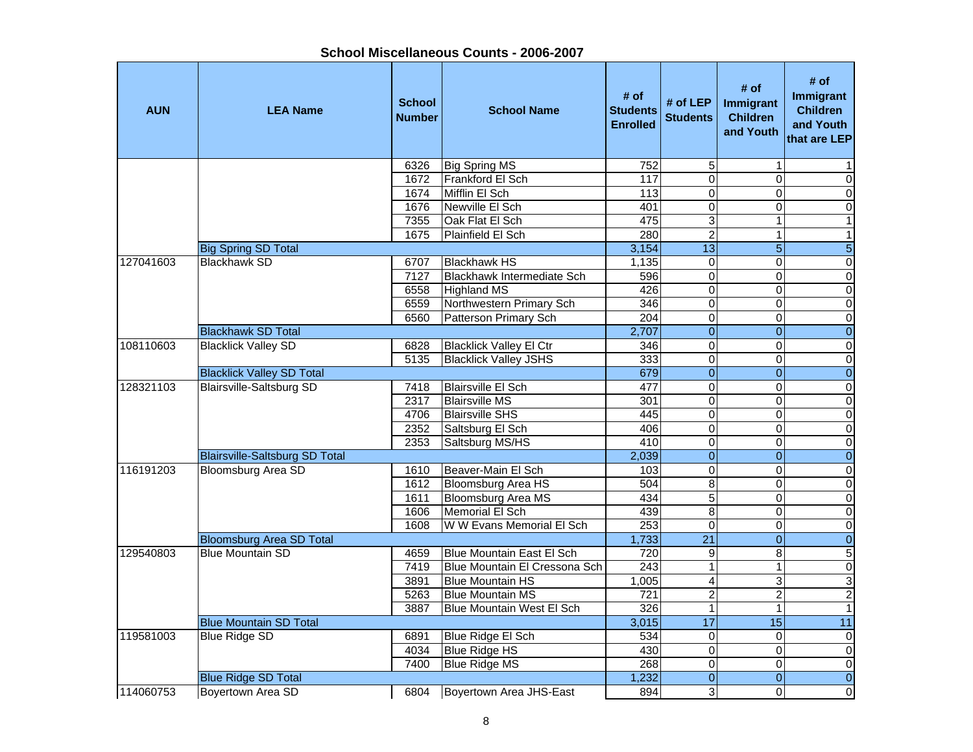| School Miscellaneous Counts - 2006-2007 |  |
|-----------------------------------------|--|
|-----------------------------------------|--|

| <b>AUN</b> | <b>LEA Name</b>                       | <b>School</b><br><b>Number</b> | <b>School Name</b>               | # of<br><b>Students</b><br><b>Enrolled</b> | # of LEP<br><b>Students</b> | # of<br>Immigrant<br><b>Children</b><br>and Youth | # of<br>Immigrant<br><b>Children</b><br>and Youth<br>that are LEP |
|------------|---------------------------------------|--------------------------------|----------------------------------|--------------------------------------------|-----------------------------|---------------------------------------------------|-------------------------------------------------------------------|
|            |                                       | 6326                           | <b>Big Spring MS</b>             | 752                                        | 5                           | 1                                                 |                                                                   |
|            |                                       | 1672                           | Frankford El Sch                 | 117                                        | $\mathbf 0$                 | $\Omega$                                          | $\mathbf 0$                                                       |
|            |                                       | 1674                           | Mifflin El Sch                   | 113                                        | $\mathbf 0$                 | $\Omega$                                          | 0                                                                 |
|            |                                       | 1676                           | Newville El Sch                  | 401                                        | $\overline{0}$              | $\Omega$                                          | $\mathsf{O}\xspace$                                               |
|            |                                       | 7355                           | Oak Flat El Sch                  | 475                                        | 3                           | 1                                                 | $\mathbf{1}$                                                      |
|            |                                       | 1675                           | Plainfield El Sch                | 280                                        | $\overline{2}$              | 1                                                 | $\mathbf{1}$                                                      |
|            | <b>Big Spring SD Total</b>            |                                |                                  | 3,154                                      | $\overline{13}$             | 5 <sup>1</sup>                                    | $\sqrt{5}$                                                        |
| 127041603  | <b>Blackhawk SD</b>                   | 6707                           | <b>Blackhawk HS</b>              | 1,135                                      | $\pmb{0}$                   | $\mathbf 0$                                       | $\pmb{0}$                                                         |
|            |                                       | 7127                           | Blackhawk Intermediate Sch       | 596                                        | $\mathbf 0$                 | 0                                                 | $\mathbf 0$                                                       |
|            |                                       | 6558                           | <b>Highland MS</b>               | 426                                        | $\mathbf 0$                 | $\Omega$                                          | $\pmb{0}$                                                         |
|            |                                       | 6559                           | Northwestern Primary Sch         | 346                                        | $\overline{0}$              | 0                                                 | $\overline{\mathsf{o}}$                                           |
|            |                                       | 6560                           | Patterson Primary Sch            | 204                                        | $\overline{0}$              | 0                                                 | $\pmb{0}$                                                         |
|            | <b>Blackhawk SD Total</b>             |                                |                                  | 2,707                                      | $\boldsymbol{0}$            | $\overline{0}$                                    | $\pmb{0}$                                                         |
| 108110603  | <b>Blacklick Valley SD</b>            | 6828                           | <b>Blacklick Valley El Ctr</b>   | 346                                        | $\overline{0}$              | $\Omega$                                          | $\overline{\mathsf{o}}$                                           |
|            |                                       | 5135                           | <b>Blacklick Valley JSHS</b>     | 333                                        | $\overline{0}$              | $\overline{0}$                                    | $\overline{\mathbf{o}}$                                           |
|            | <b>Blacklick Valley SD Total</b>      |                                |                                  | 679                                        | $\overline{0}$              | $\overline{0}$                                    | $\overline{0}$                                                    |
| 128321103  | <b>Blairsville-Saltsburg SD</b>       | 7418                           | <b>Blairsville El Sch</b>        | 477                                        | $\overline{0}$              | $\mathbf 0$                                       | $\overline{0}$                                                    |
|            |                                       | 2317                           | <b>Blairsville MS</b>            | 301                                        | $\overline{0}$              | $\Omega$                                          | $\overline{\mathsf{o}}$                                           |
|            |                                       | 4706                           | <b>Blairsville SHS</b>           | 445                                        | $\overline{0}$              | $\overline{0}$                                    | $\overline{\mathsf{o}}$                                           |
|            |                                       | 2352                           | Saltsburg El Sch                 | 406                                        | $\overline{0}$              | 0                                                 | $\mathbf 0$                                                       |
|            |                                       | 2353                           | Saltsburg MS/HS                  | 410<br>2,039                               | $\mathbf 0$                 | $\Omega$                                          | $\pmb{0}$                                                         |
|            | <b>Blairsville-Saltsburg SD Total</b> |                                |                                  |                                            | $\overline{0}$              | $\overline{0}$                                    | $\overline{0}$                                                    |
| 116191203  | <b>Bloomsburg Area SD</b>             | 1610                           | Beaver-Main El Sch               | 103                                        | $\overline{0}$              | $\mathbf 0$                                       | $\pmb{0}$                                                         |
|            |                                       | 1612                           | Bloomsburg Area HS               | 504                                        | 8                           | 0                                                 | $\mathbf 0$                                                       |
|            |                                       | 1611                           | <b>Bloomsburg Area MS</b>        | 434                                        | $\overline{5}$              | $\mathbf 0$                                       | $\overline{\mathsf{o}}$                                           |
|            |                                       | 1606                           | Memorial El Sch                  | 439                                        | $\overline{8}$              | 0                                                 | $\overline{0}$                                                    |
|            |                                       | 1608                           | W W Evans Memorial El Sch        | 253                                        | $\pmb{0}$                   | $\mathbf 0$                                       | $\overline{0}$                                                    |
|            | <b>Bloomsburg Area SD Total</b>       |                                |                                  | 1,733                                      | $\overline{21}$             | $\overline{0}$                                    | $\overline{0}$                                                    |
| 129540803  | <b>Blue Mountain SD</b>               | 4659                           | <b>Blue Mountain East El Sch</b> | 720                                        | $\overline{9}$              | $\bf 8$                                           | $\overline{5}$                                                    |
|            |                                       | 7419                           | Blue Mountain El Cressona Sch    | 243                                        | $\overline{1}$              | $\overline{1}$                                    | $\overline{\mathbf{o}}$                                           |
|            |                                       | 3891                           | <b>Blue Mountain HS</b>          | 1,005                                      | $\overline{4}$              | 3                                                 | $\overline{3}$                                                    |
|            |                                       | 5263                           | <b>Blue Mountain MS</b>          | $\overline{721}$                           | $\overline{2}$              | $\overline{c}$                                    | $\overline{2}$                                                    |
|            |                                       | 3887                           | Blue Mountain West El Sch        | 326                                        | $\overline{1}$              | $\mathbf{1}$                                      | $\overline{1}$                                                    |
|            | <b>Blue Mountain SD Total</b>         |                                |                                  | 3,015                                      | $\overline{17}$             | 15                                                | $\overline{11}$                                                   |
| 119581003  | <b>Blue Ridge SD</b>                  | 6891                           | Blue Ridge El Sch                | 534                                        | $\mathbf 0$                 | 0                                                 | $\pmb{0}$                                                         |
|            |                                       | 4034                           | Blue Ridge HS                    | 430                                        | $\overline{0}$              | $\mathbf 0$                                       | $\overline{\mathsf{o}}$                                           |
|            |                                       | 7400                           | <b>Blue Ridge MS</b>             | 268                                        | $\mathsf 0$                 | 0                                                 | $\overline{\mathsf{o}}$                                           |
|            | <b>Blue Ridge SD Total</b>            |                                |                                  | 1,232                                      | $\overline{0}$              | $\overline{0}$                                    | $\overline{0}$                                                    |
| 114060753  | Boyertown Area SD                     | 6804                           | Boyertown Area JHS-East          | 894                                        | 3                           | $\Omega$                                          | $\pmb{0}$                                                         |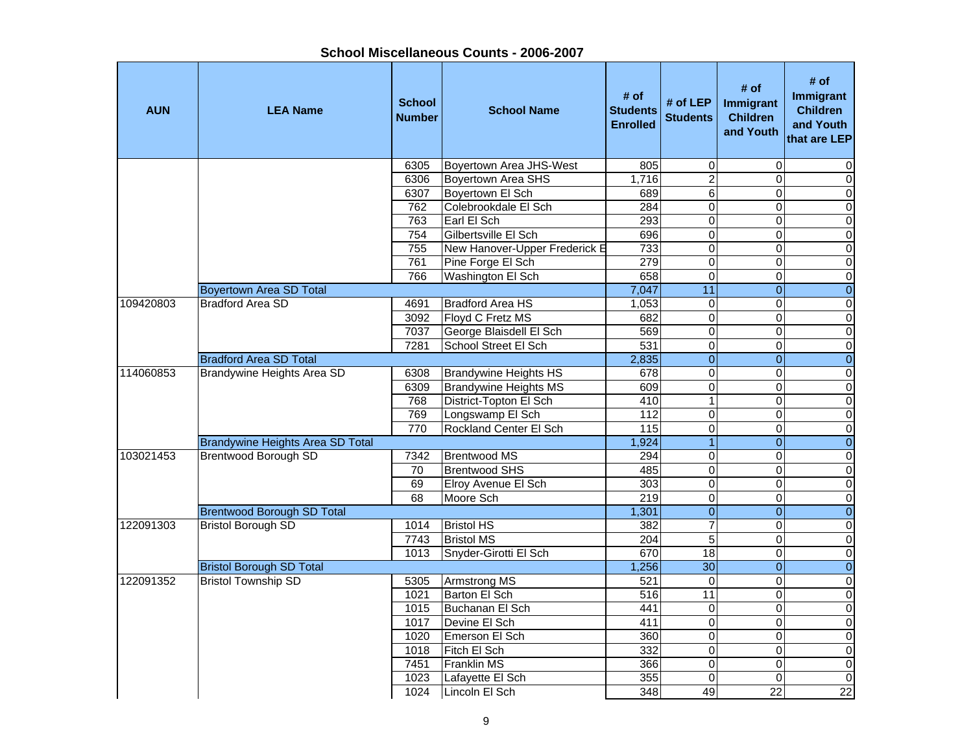| <b>AUN</b> | <b>LEA Name</b>                   | <b>School</b><br><b>Number</b> | <b>School Name</b>            | # of<br><b>Students</b><br><b>Enrolled</b> | # of LEP<br><b>Students</b> | # of<br>Immigrant<br><b>Children</b><br>and Youth | # of<br>Immigrant<br><b>Children</b><br>and Youth<br>that are LEP |
|------------|-----------------------------------|--------------------------------|-------------------------------|--------------------------------------------|-----------------------------|---------------------------------------------------|-------------------------------------------------------------------|
|            |                                   | 6305                           | Boyertown Area JHS-West       | 805                                        | 0                           | 0                                                 | $\Omega$                                                          |
|            |                                   | 6306                           | <b>Boyertown Area SHS</b>     | 1.716                                      | $\overline{2}$              | 0                                                 | $\overline{0}$                                                    |
|            |                                   | 6307                           | <b>Bovertown El Sch</b>       | 689                                        | $\overline{6}$              | 0                                                 | $\mathbf 0$                                                       |
|            |                                   | 762                            | Colebrookdale El Sch          | 284                                        | 0                           | 0                                                 | $\mathbf 0$                                                       |
|            |                                   | 763                            | Earl El Sch                   | 293                                        | $\overline{0}$              | 0                                                 | $\overline{0}$                                                    |
|            |                                   | $\overline{754}$               | Gilbertsville El Sch          | 696                                        | $\pmb{0}$                   | 0                                                 | $\overline{0}$                                                    |
|            |                                   | 755                            | New Hanover-Upper Frederick E | 733                                        | $\overline{0}$              | 0                                                 | $\overline{0}$                                                    |
|            |                                   | 761                            | Pine Forge El Sch             | 279                                        | $\mathbf 0$                 | 0                                                 | $\mathbf 0$                                                       |
|            |                                   | 766                            | Washington El Sch             | 658                                        | $\mathsf 0$                 | 0                                                 | $\overline{0}$                                                    |
|            | <b>Boyertown Area SD Total</b>    |                                |                               | 7,047                                      | $\overline{11}$             | $\overline{0}$                                    | $\overline{0}$                                                    |
| 109420803  | <b>Bradford Area SD</b>           | 4691                           | <b>Bradford Area HS</b>       | 1,053                                      | 0                           | 0                                                 | $\overline{0}$                                                    |
|            |                                   | 3092                           | Floyd C Fretz MS              | 682                                        | $\overline{0}$              | $\overline{0}$                                    | $\overline{0}$                                                    |
|            |                                   | 7037                           | George Blaisdell El Sch       | 569                                        | $\overline{0}$              | 0                                                 | $\overline{0}$                                                    |
|            |                                   | 7281                           | School Street El Sch          | 531                                        | $\overline{0}$              | 0                                                 | $\overline{0}$                                                    |
|            | <b>Bradford Area SD Total</b>     |                                |                               | 2,835                                      | $\overline{0}$              | $\overline{0}$                                    | $\overline{0}$                                                    |
| 114060853  | Brandywine Heights Area SD        | 6308                           | <b>Brandywine Heights HS</b>  | 678                                        | 0                           | 0                                                 | $\pmb{0}$                                                         |
|            |                                   | 6309                           | <b>Brandywine Heights MS</b>  | 609                                        | 0                           | 0                                                 | $\overline{0}$                                                    |
|            |                                   | 768                            | District-Topton El Sch        | 410                                        | $\mathbf{1}$                | 0                                                 | $\overline{0}$                                                    |
|            |                                   | 769                            | Longswamp El Sch              | 112                                        | $\Omega$                    | 0                                                 | $\overline{0}$                                                    |
|            |                                   | 770                            | <b>Rockland Center El Sch</b> | $\frac{115}{115}$                          | $\mathsf 0$                 | 0                                                 | $\overline{0}$                                                    |
|            | Brandywine Heights Area SD Total  |                                |                               | 1,924                                      | $\overline{1}$              | $\overline{0}$                                    | $\overline{0}$                                                    |
| 103021453  | <b>Brentwood Borough SD</b>       | 7342                           | <b>Brentwood MS</b>           | 294                                        | 0                           | 0                                                 | $\mathbf 0$                                                       |
|            |                                   | 70                             | <b>Brentwood SHS</b>          | 485                                        | $\overline{0}$              | $\overline{0}$                                    | $\overline{0}$                                                    |
|            |                                   | 69                             | Elroy Avenue El Sch           | 303                                        | $\mathsf 0$                 | 0                                                 | $\overline{0}$                                                    |
|            |                                   | 68                             | Moore Sch                     | 219                                        | $\overline{\mathsf{o}}$     | $\overline{0}$                                    | $\overline{0}$                                                    |
|            | <b>Brentwood Borough SD Total</b> |                                |                               | 1,301                                      | $\overline{0}$              | $\overline{0}$                                    | $\overline{0}$                                                    |
| 122091303  | <b>Bristol Borough SD</b>         | 1014                           | <b>Bristol HS</b>             | 382                                        | $\overline{7}$              | $\Omega$                                          | $\overline{0}$                                                    |
|            |                                   | 7743                           | <b>Bristol MS</b>             | 204                                        | $\overline{5}$              | $\overline{0}$                                    | $\overline{0}$                                                    |
|            |                                   | 1013                           | Snyder-Girotti El Sch         | 670                                        | 18                          | 0                                                 | $\overline{0}$                                                    |
|            | <b>Bristol Borough SD Total</b>   |                                |                               | 1,256                                      | $\overline{30}$             | $\overline{0}$                                    | $\overline{0}$                                                    |
| 122091352  | <b>Bristol Township SD</b>        | 5305                           | <b>Armstrong MS</b>           | 521                                        | $\overline{0}$              | 0                                                 | $\overline{0}$                                                    |
|            |                                   | 1021                           | Barton El Sch                 | 516                                        | $\overline{11}$             | 0                                                 | $\overline{0}$                                                    |
|            |                                   | 1015                           | Buchanan El Sch               | 441                                        | $\pmb{0}$                   | 0                                                 | $\overline{0}$                                                    |
|            |                                   | 1017                           | Devine El Sch                 | 411                                        | $\mathsf 0$                 | 0                                                 | $\mathbf 0$                                                       |
|            |                                   | 1020                           | Emerson El Sch                | 360                                        | 0                           | $\overline{0}$                                    | $\overline{0}$                                                    |
|            |                                   | 1018                           | Fitch El Sch                  | 332                                        | $\mathsf 0$                 | 0                                                 | $\overline{0}$                                                    |
|            |                                   | 7451                           | <b>Franklin MS</b>            | 366                                        | $\overline{0}$              | $\overline{0}$                                    | $\overline{0}$                                                    |
|            |                                   | 1023                           | Lafayette El Sch              | 355                                        | 0                           | 0                                                 | $\overline{0}$                                                    |
|            |                                   | 1024                           | Lincoln El Sch                | 348                                        | 49                          | $\overline{22}$                                   | $\overline{22}$                                                   |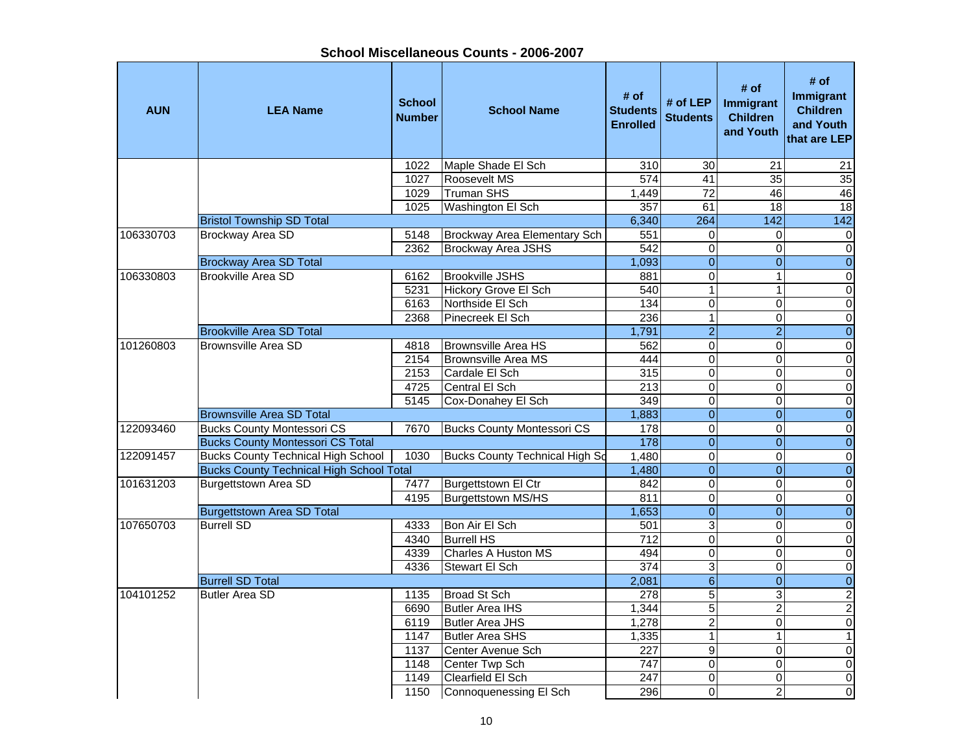**School Miscellaneous Counts - 2006-2007**

| <b>AUN</b> | <b>LEA Name</b>                                     | <b>School</b><br><b>Number</b> | <b>School Name</b>                       | # of<br><b>Students</b><br><b>Enrolled</b> | # of $LEP$<br><b>Students</b> | # of<br>Immigrant<br><b>Children</b><br>and Youth | # of<br>Immigrant<br><b>Children</b><br>and Youth<br>that are LEP |
|------------|-----------------------------------------------------|--------------------------------|------------------------------------------|--------------------------------------------|-------------------------------|---------------------------------------------------|-------------------------------------------------------------------|
|            |                                                     | 1022                           | Maple Shade El Sch                       | 310                                        | $\overline{30}$               | $\overline{21}$                                   | 21                                                                |
|            |                                                     | 1027                           | Roosevelt MS                             | 574                                        | 41                            | $\overline{35}$                                   | $\overline{35}$                                                   |
|            |                                                     | 1029                           | <b>Truman SHS</b>                        | 1,449                                      | $\overline{72}$               | 46                                                | 46                                                                |
|            |                                                     | 1025                           | Washington El Sch                        | 357                                        | 61                            | 18                                                | 18                                                                |
|            | <b>Bristol Township SD Total</b>                    |                                |                                          | 6,340                                      | 264                           | 142                                               | 142                                                               |
| 106330703  | <b>Brockway Area SD</b>                             | 5148                           | Brockway Area Elementary Sch             | 551                                        | $\mathbf 0$                   | 0                                                 | $\pmb{0}$                                                         |
|            |                                                     | 2362                           | <b>Brockway Area JSHS</b>                | $\overline{542}$                           | $\mathbf 0$                   | 0                                                 | $\overline{0}$                                                    |
|            | <b>Brockway Area SD Total</b><br>Brookville Area SD |                                |                                          | 1,093                                      | $\overline{0}$                | $\boldsymbol{0}$<br>$\mathbf{1}$                  | $\overline{0}$                                                    |
| 106330803  |                                                     | 6162<br>5231                   | <b>Brookville JSHS</b>                   | 881                                        | $\mathbf 0$<br>$\mathbf{1}$   | $\mathbf{1}$                                      | $\pmb{0}$                                                         |
|            |                                                     | 6163                           | Hickory Grove El Sch<br>Northside El Sch | 540<br>134                                 | $\overline{0}$                | $\Omega$                                          | $\pmb{0}$<br>$\overline{\mathsf{o}}$                              |
|            |                                                     | 2368                           | Pinecreek El Sch                         | 236                                        | $\mathbf{1}$                  | 0                                                 | $\pmb{0}$                                                         |
|            | <b>Brookville Area SD Total</b>                     |                                |                                          | 1,791                                      | $\overline{2}$                | $\overline{2}$                                    | $\overline{0}$                                                    |
| 101260803  | <b>Brownsville Area SD</b>                          | 4818                           | <b>Brownsville Area HS</b>               | 562                                        | $\overline{0}$                | $\overline{0}$                                    | $\overline{0}$                                                    |
|            |                                                     | 2154                           | <b>Brownsville Area MS</b>               | 444                                        | $\overline{\mathsf{o}}$       | $\Omega$                                          | $\overline{\mathsf{o}}$                                           |
|            |                                                     | 2153                           | Cardale El Sch                           | 315                                        | $\pmb{0}$                     | 0                                                 | $\overline{\mathsf{o}}$                                           |
|            |                                                     | 4725                           | Central El Sch                           | $\overline{213}$                           | $\overline{0}$                | $\Omega$                                          | $\overline{0}$                                                    |
|            |                                                     | 5145                           | Cox-Donahey El Sch                       | 349                                        | $\mathbf 0$                   | 0                                                 | $\overline{0}$                                                    |
|            | <b>Brownsville Area SD Total</b>                    |                                |                                          | 1,883                                      | $\overline{0}$                | $\overline{\mathbf{o}}$                           | $\overline{0}$                                                    |
| 122093460  | <b>Bucks County Montessori CS</b>                   | 7670                           | <b>Bucks County Montessori CS</b>        | 178                                        | $\mathbf 0$                   | 0                                                 | $\pmb{0}$                                                         |
|            | <b>Bucks County Montessori CS Total</b>             |                                |                                          | $\frac{1}{178}$                            | $\mathbf 0$                   | $\Omega$                                          | $\boldsymbol{0}$                                                  |
| 122091457  | <b>Bucks County Technical High School</b>           | 1030                           | <b>Bucks County Technical High Sd</b>    | 1,480                                      | $\pmb{0}$                     | $\Omega$                                          | $\pmb{0}$                                                         |
|            | <b>Bucks County Technical High School Total</b>     |                                |                                          | 1,480                                      | $\overline{0}$                | $\Omega$                                          | $\boldsymbol{0}$                                                  |
| 101631203  | <b>Burgettstown Area SD</b>                         | 7477                           | Burgettstown El Ctr                      | 842                                        | $\mathbf 0$                   | $\Omega$                                          | $\pmb{0}$                                                         |
|            |                                                     | 4195                           | Burgettstown MS/HS                       | 811                                        | $\mathbf 0$                   | 0                                                 | $\pmb{0}$                                                         |
|            | <b>Burgettstown Area SD Total</b>                   |                                |                                          | 1,653                                      | $\overline{0}$                | $\overline{0}$                                    | $\overline{0}$                                                    |
| 107650703  | <b>Burrell SD</b>                                   | 4333                           | Bon Air El Sch                           | 501                                        | 3                             | 0                                                 | $\overline{0}$                                                    |
|            |                                                     | 4340                           | <b>Burrell HS</b>                        | 712                                        | $\overline{0}$                | $\Omega$                                          | $\overline{0}$                                                    |
|            |                                                     | 4339                           | <b>Charles A Huston MS</b>               | 494                                        | $\overline{0}$                | 0                                                 | $\overline{0}$                                                    |
|            |                                                     | 4336                           | <b>Stewart El Sch</b>                    | 374                                        | $\overline{3}$                | $\mathbf 0$                                       | $\overline{0}$                                                    |
|            | <b>Burrell SD Total</b>                             |                                |                                          | 2,081                                      | $\overline{6}$                | $\mathbf{0}$                                      | $\overline{0}$                                                    |
| 104101252  | <b>Butler Area SD</b>                               | 1135                           | Broad St Sch                             | 278                                        | $\overline{5}$                | 3                                                 | $\overline{2}$                                                    |
|            |                                                     | 6690                           | Butler Area IHS                          | 1,344                                      | $\overline{5}$                | $\overline{c}$                                    | $\overline{2}$                                                    |
|            |                                                     | 6119                           | <b>Butler Area JHS</b>                   | 1,278                                      | $\overline{c}$                | 0                                                 | $\mathbf 0$                                                       |
|            |                                                     | 1147                           | <b>Butler Area SHS</b>                   | 1,335                                      | $\mathbf{1}$                  | $\mathbf{1}$                                      | $\mathbf{1}$                                                      |
|            |                                                     | 1137                           | Center Avenue Sch                        | 227                                        | 9                             | $\Omega$                                          | $\pmb{0}$                                                         |
|            |                                                     | 1148                           | Center Twp Sch                           | $\overline{747}$                           | $\mathbf 0$                   | $\Omega$                                          | $\pmb{0}$                                                         |
|            |                                                     | 1149                           | Clearfield El Sch                        | 247                                        | 0                             | $\mathbf 0$                                       | $\pmb{0}$                                                         |
|            |                                                     | 1150                           | Connoquenessing El Sch                   | 296                                        | $\overline{0}$                | $\overline{2}$                                    | O                                                                 |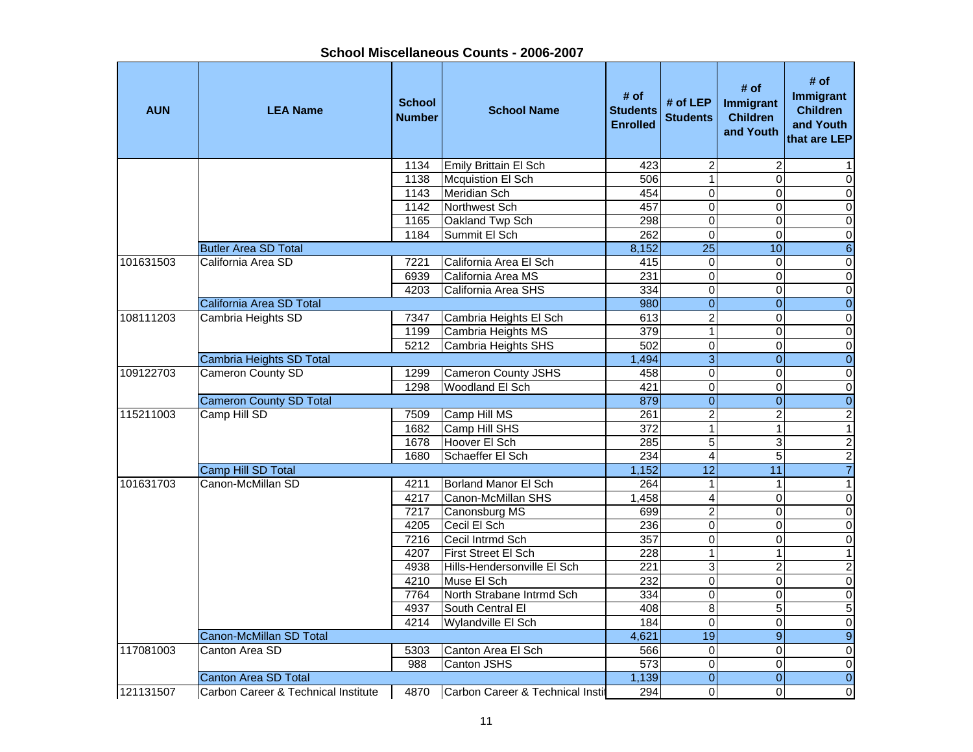| School Miscellaneous Counts - 2006-2007 |  |
|-----------------------------------------|--|
|-----------------------------------------|--|

| <b>AUN</b> | <b>LEA Name</b>                     | <b>School</b><br><b>Number</b> | <b>School Name</b>               | # of<br><b>Students</b><br><b>Enrolled</b> | # of $LEP$<br><b>Students</b> | # of<br>Immigrant<br><b>Children</b><br>and Youth | # of<br>Immigrant<br><b>Children</b><br>and Youth<br>that are LEP |
|------------|-------------------------------------|--------------------------------|----------------------------------|--------------------------------------------|-------------------------------|---------------------------------------------------|-------------------------------------------------------------------|
|            |                                     | 1134                           | Emily Brittain El Sch            | 423                                        | $\overline{\mathbf{c}}$       | $\overline{2}$                                    | 1                                                                 |
|            |                                     | 1138                           | Mcquistion El Sch                | 506                                        | $\overline{1}$                | $\Omega$                                          | $\mathbf 0$                                                       |
|            |                                     | 1143                           | Meridian Sch                     | 454                                        | $\mathbf 0$                   | 0                                                 | $\pmb{0}$                                                         |
|            |                                     | 1142                           | Northwest Sch                    | 457                                        | $\overline{\mathsf{o}}$       | $\overline{0}$                                    | $\overline{\mathbf{o}}$                                           |
|            |                                     | 1165                           | Oakland Twp Sch                  | 298                                        | $\overline{\mathsf{o}}$       | $\mathbf 0$                                       | $\overline{\mathsf{o}}$                                           |
|            |                                     | 1184                           | Summit El Sch                    | 262                                        | $\overline{0}$                | $\mathbf 0$                                       | $\overline{0}$                                                    |
|            | <b>Butler Area SD Total</b>         |                                |                                  | 8,152                                      | $\overline{25}$               | 10                                                | $\sigma$                                                          |
| 101631503  | California Area SD                  | 7221                           | California Area El Sch           | 415                                        | 0                             | $\mathbf 0$                                       | $\overline{\mathsf{o}}$                                           |
|            |                                     | 6939                           | California Area MS               | 231                                        | $\overline{0}$                | $\overline{0}$                                    | $\overline{\mathsf{o}}$                                           |
|            |                                     | 4203                           | California Area SHS              | 334                                        | $\mathsf 0$                   | 0                                                 | $\pmb{0}$                                                         |
|            | California Area SD Total            |                                |                                  | 980                                        | $\overline{0}$                | $\overline{0}$                                    | $\overline{0}$                                                    |
| 108111203  | Cambria Heights SD                  | 7347                           | Cambria Heights El Sch           | 613                                        | $\overline{2}$                | 0                                                 | $\pmb{0}$                                                         |
|            |                                     | 1199                           | Cambria Heights MS               | $\overline{379}$                           | $\overline{1}$                | $\Omega$                                          | $\overline{0}$                                                    |
|            |                                     | 5212                           | Cambria Heights SHS              | 502                                        | $\overline{0}$                | 0                                                 | $\overline{\mathsf{o}}$                                           |
|            | Cambria Heights SD Total            |                                |                                  | 1,494                                      | $\overline{3}$                | $\overline{0}$                                    | $\overline{0}$                                                    |
| 109122703  | <b>Cameron County SD</b>            | 1299                           | <b>Cameron County JSHS</b>       | 458                                        | $\pmb{0}$                     | $\mathbf 0$                                       | $\overline{\mathsf{o}}$                                           |
|            |                                     | 1298                           | Woodland El Sch                  | 421                                        | $\overline{0}$                | $\Omega$                                          | $\overline{\mathsf{o}}$                                           |
|            | <b>Cameron County SD Total</b>      |                                |                                  | 879                                        | $\mathbf 0$                   | $\overline{0}$                                    | $\overline{0}$                                                    |
| 115211003  | Camp Hill SD                        | 7509                           | Camp Hill MS                     | 261                                        | $\overline{2}$                | $\overline{c}$                                    | $\overline{2}$                                                    |
|            |                                     | 1682                           | Camp Hill SHS                    | 372                                        | $\mathbf{1}$                  | $\mathbf{1}$                                      | $\mathbf{1}$                                                      |
|            |                                     | 1678                           | Hoover El Sch                    | 285                                        | $\overline{5}$                | 3                                                 | $\overline{c}$                                                    |
|            |                                     | 1680                           | Schaeffer El Sch                 | 234                                        | $\overline{\mathbf{4}}$       | 5                                                 | $\overline{\mathbf{c}}$                                           |
|            | Camp Hill SD Total                  |                                |                                  | 1,152                                      | $\overline{12}$               | 11                                                | $\overline{7}$                                                    |
| 101631703  | Canon-McMillan SD                   | 4211                           | Borland Manor El Sch             | 264                                        | $\mathbf{1}$                  | $\mathbf{1}$                                      | $\mathbf{1}$                                                      |
|            |                                     | 4217                           | Canon-McMillan SHS               | 1,458                                      | $\overline{4}$                | $\Omega$                                          | $\overline{\mathsf{o}}$                                           |
|            |                                     | 7217                           | Canonsburg MS                    | 699                                        | $\overline{2}$                | $\Omega$                                          | $\overline{\mathsf{o}}$                                           |
|            |                                     | 4205                           | Cecil El Sch                     | 236                                        | $\pmb{0}$                     | $\Omega$                                          | $\overline{0}$                                                    |
|            |                                     | 7216                           | Cecil Intrmd Sch                 | 357                                        | $\overline{0}$                | $\Omega$                                          | $\overline{0}$                                                    |
|            |                                     | 4207                           | First Street El Sch              | 228                                        | $\mathbf 1$                   | 1                                                 | $\mathbf{1}$                                                      |
|            |                                     | 4938                           | Hills-Hendersonville El Sch      | 221                                        | $\overline{3}$                | $\overline{2}$                                    | $\overline{2}$                                                    |
|            |                                     | 4210                           | Muse El Sch                      | 232                                        | $\overline{0}$                | $\Omega$                                          | $\overline{\mathsf{o}}$                                           |
|            |                                     | 7764                           | North Strabane Intrmd Sch        | 334                                        | $\overline{0}$                | $\Omega$                                          | $\overline{0}$                                                    |
|            |                                     | 4937                           | South Central El                 | 408                                        | $\overline{8}$                | 5                                                 | 5                                                                 |
|            |                                     | 4214                           | Wylandville El Sch               | 184                                        | $\mathbf 0$                   | $\mathbf 0$                                       | ${\bf 0}$                                                         |
|            | Canon-McMillan SD Total             |                                |                                  | 4,621                                      | 19                            | $\overline{9}$                                    | $\overline{9}$                                                    |
| 117081003  | Canton Area SD                      | 5303                           | Canton Area El Sch               | 566                                        | $\mathbf 0$                   | $\Omega$                                          | $\pmb{0}$                                                         |
|            |                                     | 988                            | Canton JSHS                      | $\overline{573}$                           | $\overline{0}$                | 0                                                 | $\overline{\mathsf{o}}$                                           |
|            | <b>Canton Area SD Total</b>         |                                |                                  | 1,139                                      | $\overline{0}$                | $\overline{0}$                                    | $\overline{0}$                                                    |
| 121131507  | Carbon Career & Technical Institute | 4870                           | Carbon Career & Technical Instit | 294                                        | $\mathbf 0$                   | $\Omega$                                          | $\overline{\mathsf{o}}$                                           |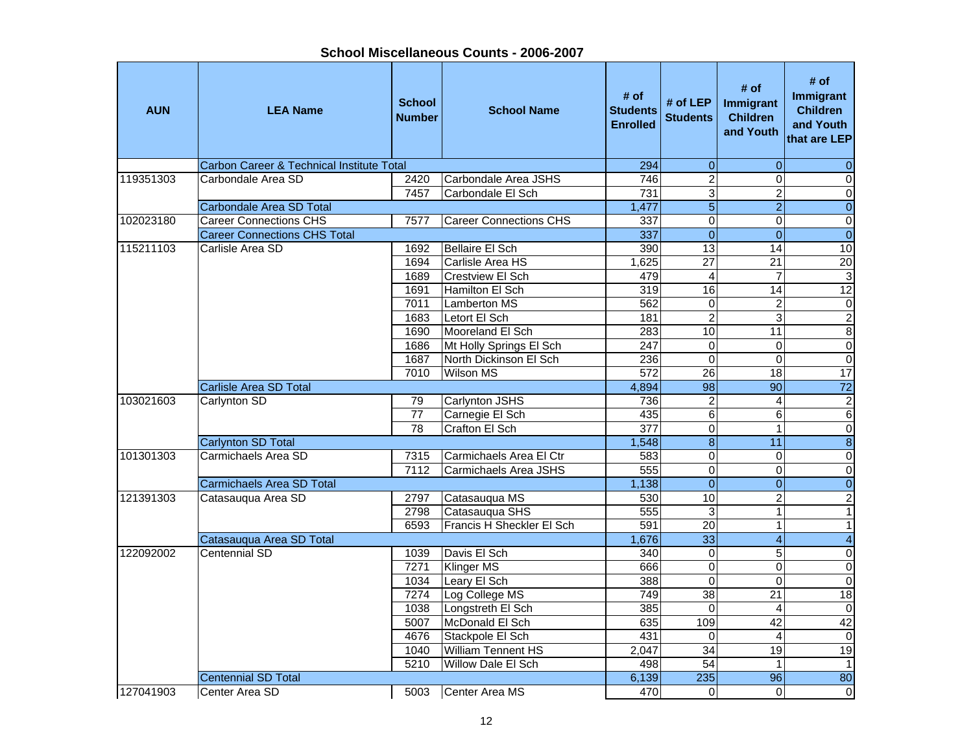| <b>AUN</b> | <b>LEA Name</b>                           | <b>School</b><br><b>Number</b> | <b>School Name</b>            | # of<br><b>Students</b><br><b>Enrolled</b> | # of LEP<br><b>Students</b> | # of<br>Immigrant<br><b>Children</b><br>and Youth | # of<br>Immigrant<br><b>Children</b><br>and Youth<br>that are LEP |
|------------|-------------------------------------------|--------------------------------|-------------------------------|--------------------------------------------|-----------------------------|---------------------------------------------------|-------------------------------------------------------------------|
|            | Carbon Career & Technical Institute Total |                                |                               | 294                                        | $\mathbf 0$                 | $\mathbf{0}$                                      | $\mathbf 0$                                                       |
| 119351303  | Carbondale Area SD                        | 2420                           | Carbondale Area JSHS          | 746                                        | $\overline{2}$              | $\mathbf 0$                                       | $\pmb{0}$                                                         |
|            |                                           | 7457                           | Carbondale El Sch             | 731                                        | $\overline{3}$              | $\overline{c}$                                    | $\overline{0}$                                                    |
|            | <b>Carbondale Area SD Total</b>           |                                |                               | 1,477                                      | $\overline{5}$              | $\overline{2}$                                    | $\overline{0}$                                                    |
| 102023180  | <b>Career Connections CHS</b>             | 7577                           | <b>Career Connections CHS</b> | 337                                        | $\overline{0}$              | 0                                                 | $\overline{0}$                                                    |
|            | <b>Career Connections CHS Total</b>       |                                |                               | 337                                        | $\overline{0}$              | $\overline{0}$                                    | $\overline{0}$                                                    |
| 115211103  | Carlisle Area SD                          | 1692                           | Bellaire El Sch               | 390                                        | 13                          | $\overline{14}$                                   | 10                                                                |
|            |                                           | 1694                           | Carlisle Area HS              | 1,625                                      | $\overline{27}$             | 21                                                | $\overline{20}$                                                   |
|            |                                           | 1689                           | <b>Crestview El Sch</b>       | 479                                        | $\overline{\mathbf{4}}$     | $\overline{7}$                                    | $\overline{3}$                                                    |
|            |                                           | 1691                           | Hamilton El Sch               | 319                                        | 16                          | 14                                                | 12                                                                |
|            |                                           | 7011                           | Lamberton MS                  | 562                                        | $\mathbf 0$                 | 2                                                 | $\overline{0}$                                                    |
|            |                                           | 1683                           | Letort El Sch                 | 181                                        | $\overline{2}$              | 3                                                 | $\frac{2}{8}$                                                     |
|            |                                           | 1690                           | Mooreland El Sch              | 283                                        | 10                          | 11                                                |                                                                   |
|            |                                           | 1686                           | Mt Holly Springs El Sch       | 247                                        | $\pmb{0}$                   | 0                                                 | $\overline{0}$                                                    |
|            |                                           | 1687                           | North Dickinson El Sch        | 236                                        | $\mathbf 0$                 | $\Omega$                                          | $\overline{0}$                                                    |
|            |                                           | 7010                           | <b>Wilson MS</b>              | 572                                        | $\overline{26}$             | $\overline{18}$                                   | 17                                                                |
|            | <b>Carlisle Area SD Total</b>             |                                |                               | 4,894                                      | 98                          | 90                                                | 72                                                                |
| 103021603  | Carlynton SD                              | 79                             | <b>Carlynton JSHS</b>         | 736                                        | $\overline{c}$              | 4                                                 | $\overline{\mathbf{c}}$                                           |
|            |                                           | $\overline{77}$                | Carnegie El Sch               | 435                                        | $\overline{6}$              | 6                                                 | $\overline{6}$                                                    |
|            |                                           | 78                             | Crafton El Sch                | $\overline{377}$                           | $\overline{0}$              | $\mathbf{1}$                                      | $\overline{0}$                                                    |
|            | <b>Carlynton SD Total</b>                 |                                |                               | 1,548                                      | $\overline{8}$              | $\overline{11}$                                   | $\overline{8}$                                                    |
| 101301303  | Carmichaels Area SD                       | 7315                           | Carmichaels Area El Ctr       | 583                                        | 0                           | $\mathbf 0$                                       | $\overline{0}$                                                    |
|            |                                           | 7112                           | Carmichaels Area JSHS         | 555                                        | $\overline{0}$              | $\mathbf 0$                                       | $\overline{0}$                                                    |
|            | Carmichaels Area SD Total                 |                                |                               | 1,138                                      | $\overline{0}$              | $\overline{0}$                                    | $\overline{0}$                                                    |
| 121391303  | Catasauqua Area SD                        | 2797                           | Catasauqua MS                 | 530                                        | 10                          | 2                                                 | $\overline{2}$                                                    |
|            |                                           | 2798                           | Catasaugua SHS                | 555                                        | $\overline{3}$              | 1                                                 | $\overline{1}$                                                    |
|            |                                           | 6593                           | Francis H Sheckler El Sch     | 591                                        | 20                          | $\mathbf{1}$                                      | $\overline{1}$                                                    |
|            | Catasauqua Area SD Total                  |                                |                               | 1,676                                      | $\overline{33}$             | $\overline{4}$                                    | $\overline{4}$                                                    |
| 122092002  | Centennial SD                             | 1039                           | Davis El Sch                  | 340                                        | $\overline{0}$              | 5                                                 | $\overline{0}$                                                    |
|            |                                           | 7271                           | <b>Klinger MS</b>             | 666                                        | $\overline{0}$              | $\mathbf 0$                                       | $\overline{0}$                                                    |
|            |                                           | 1034                           | Leary El Sch                  | 388                                        | $\overline{0}$              | 0                                                 | $\overline{0}$                                                    |
|            |                                           | 7274                           | Log College MS                | 749                                        | 38                          | 21                                                | 18                                                                |
|            |                                           | 1038                           | Longstreth El Sch             | 385                                        | 0                           | 4                                                 | $\overline{0}$                                                    |
|            |                                           | 5007                           | McDonald El Sch               | 635                                        | 109                         | 42                                                | 42                                                                |
|            |                                           | 4676                           | Stackpole El Sch              | 431                                        | 0                           | 4                                                 | $\pmb{0}$                                                         |
|            |                                           | 1040                           | William Tennent HS            | 2,047                                      | 34                          | 19                                                | 19                                                                |
|            |                                           | 5210                           | Willow Dale El Sch            | 498                                        | 54                          | 1                                                 | $\mathbf{1}$                                                      |
|            | <b>Centennial SD Total</b>                |                                |                               | 6,139                                      | 235                         | 96                                                | 80                                                                |
| 127041903  | Center Area SD                            | 5003                           | Center Area MS                | 470                                        | $\Omega$                    | $\Omega$                                          | $\overline{0}$                                                    |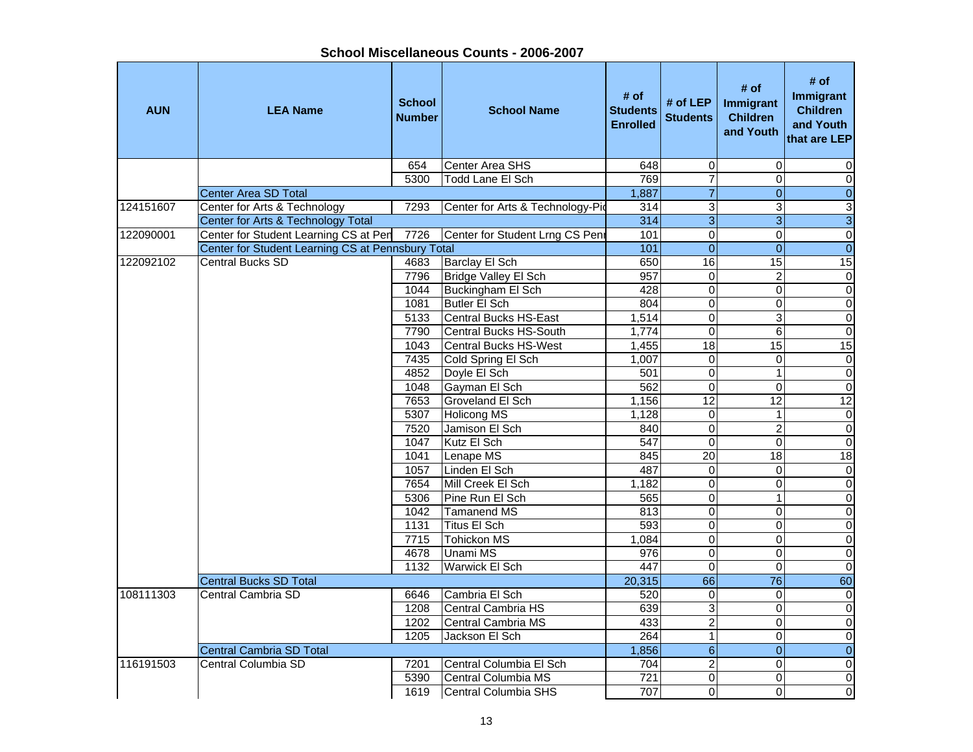| <b>AUN</b> | <b>LEA Name</b>                                   | <b>School</b><br><b>Number</b> | <b>School Name</b>               | # of<br><b>Students</b><br><b>Enrolled</b> | # of LEP<br><b>Students</b> | # of<br>Immigrant<br><b>Children</b><br>and Youth | # of<br>Immigrant<br><b>Children</b><br>and Youth<br>that are LEP |
|------------|---------------------------------------------------|--------------------------------|----------------------------------|--------------------------------------------|-----------------------------|---------------------------------------------------|-------------------------------------------------------------------|
|            |                                                   | 654                            | Center Area SHS                  | 648                                        | $\mathbf 0$                 | $\Omega$                                          | 0                                                                 |
|            |                                                   | 5300                           | <b>Todd Lane El Sch</b>          | 769                                        | 7                           | $\Omega$                                          | $\mathbf 0$                                                       |
|            | <b>Center Area SD Total</b>                       |                                |                                  | 1,887                                      | $\overline{7}$              | $\mathbf{0}$                                      | $\overline{0}$                                                    |
| 124151607  | Center for Arts & Technology                      | 7293                           | Center for Arts & Technology-Pio | 314                                        | $\overline{3}$              | 3                                                 | 3                                                                 |
|            | Center for Arts & Technology Total                |                                |                                  | 314                                        | $\overline{3}$              | $\overline{3}$                                    | $\overline{3}$                                                    |
| 122090001  | Center for Student Learning CS at Pen             | 7726                           | Center for Student Lrng CS Penr  | 101                                        | $\overline{0}$              | 0                                                 | $\overline{0}$                                                    |
|            | Center for Student Learning CS at Pennsbury Total |                                |                                  | 101                                        | $\overline{0}$              | $\Omega$                                          | $\overline{0}$                                                    |
| 122092102  | <b>Central Bucks SD</b>                           | 4683                           | <b>Barclay El Sch</b>            | 650                                        | 16                          | 15                                                | 15                                                                |
|            |                                                   | 7796                           | Bridge Valley El Sch             | 957                                        | $\boldsymbol{0}$            | $\overline{\mathbf{c}}$                           | $\pmb{0}$                                                         |
|            |                                                   | 1044                           | Buckingham El Sch                | 428                                        | $\mathbf 0$                 | $\Omega$                                          | $\mathbf 0$                                                       |
|            |                                                   | 1081                           | Butler El Sch                    | 804                                        | $\mathbf 0$                 | $\Omega$                                          | $\pmb{0}$                                                         |
|            |                                                   | 5133                           | <b>Central Bucks HS-East</b>     | 1,514                                      | $\overline{0}$              | $\overline{3}$                                    | $\overline{0}$                                                    |
|            |                                                   | 7790                           | Central Bucks HS-South           | 1,774                                      | $\overline{0}$              | $\overline{6}$                                    | $\overline{0}$                                                    |
|            |                                                   | 1043                           | <b>Central Bucks HS-West</b>     | 1,455                                      | 18                          | $\overline{15}$                                   | 15                                                                |
|            |                                                   | 7435                           | Cold Spring El Sch               | 1,007                                      | $\overline{0}$              | $\Omega$                                          | $\overline{\mathsf{o}}$                                           |
|            |                                                   | 4852                           | Doyle El Sch                     | 501                                        | $\overline{0}$              | $\mathbf{1}$                                      | $\overline{\mathbf{o}}$                                           |
|            |                                                   | 1048                           | Gayman El Sch                    | 562                                        | $\overline{0}$              | 0                                                 | $\overline{0}$                                                    |
|            |                                                   | 7653                           | Groveland El Sch                 | 1,156                                      | 12                          | $\overline{12}$                                   | 12                                                                |
|            |                                                   | 5307                           | <b>Holicong MS</b>               | 1,128                                      | $\mathbf 0$                 | 1                                                 | $\pmb{0}$                                                         |
|            |                                                   | 7520                           | Jamison El Sch                   | 840                                        | $\mathbf 0$                 | $\overline{c}$                                    | $\mathbf 0$                                                       |
|            |                                                   | 1047                           | Kutz El Sch                      | 547                                        | $\mathbf 0$                 | $\Omega$                                          | $\pmb{0}$                                                         |
|            |                                                   | 1041                           | Lenape MS                        | 845                                        | 20                          | 18                                                | 18                                                                |
|            |                                                   | 1057                           | Linden El Sch                    | 487                                        | $\mathbf 0$                 | $\Omega$                                          | $\pmb{0}$                                                         |
|            |                                                   | 7654                           | Mill Creek El Sch                | 1,182                                      | $\overline{0}$              | $\mathbf 0$                                       | $\pmb{0}$                                                         |
|            |                                                   | 5306                           | Pine Run El Sch                  | 565                                        | $\overline{0}$              | $\mathbf{1}$                                      | $\overline{\mathsf{o}}$                                           |
|            |                                                   | 1042                           | <b>Tamanend MS</b>               | 813                                        | $\overline{0}$              | $\mathbf{0}$                                      | $\overline{0}$                                                    |
|            |                                                   | 1131                           | <b>Titus El Sch</b>              | 593                                        | $\overline{0}$              | 0                                                 | $\overline{\mathsf{o}}$                                           |
|            |                                                   | 7715                           | <b>Tohickon MS</b>               | 1,084                                      | $\overline{0}$              | 0                                                 | $\pmb{0}$                                                         |
|            |                                                   | 4678                           | <b>Unami MS</b>                  | 976                                        | $\overline{0}$              | 0                                                 | $\pmb{0}$                                                         |
|            |                                                   | 1132                           | <b>Warwick El Sch</b>            | 447                                        | $\boldsymbol{0}$            | $\Omega$                                          | $\pmb{0}$                                                         |
|            | <b>Central Bucks SD Total</b>                     |                                |                                  | 20,315                                     | 66                          | $\overline{76}$                                   | $\overline{60}$                                                   |
| 108111303  | Central Cambria SD                                | 6646                           | Cambria El Sch                   | 520                                        | $\mathbf 0$                 | $\Omega$                                          | $\pmb{0}$                                                         |
|            |                                                   | 1208                           | Central Cambria HS               | 639                                        | 3                           | $\Omega$                                          | $\pmb{0}$                                                         |
|            |                                                   | 1202                           | Central Cambria MS               | 433                                        | $\overline{2}$              | $\Omega$                                          | $\overline{\mathsf{o}}$                                           |
|            |                                                   | 1205                           | Jackson El Sch                   | 264                                        | $\mathbf{1}$                | $\mathbf 0$                                       | $\pmb{0}$                                                         |
|            | Central Cambria SD Total                          |                                |                                  | 1,856                                      | $\overline{6}$              | $\mathbf{0}$                                      | $\overline{0}$                                                    |
| 116191503  | Central Columbia SD                               | 7201                           | Central Columbia El Sch          | 704                                        | $\overline{2}$              | $\Omega$                                          | $\overline{\mathsf{o}}$                                           |
|            |                                                   | 5390                           | Central Columbia MS              | $\overline{721}$                           | 0                           | $\Omega$                                          | $\pmb{0}$                                                         |
|            |                                                   | 1619                           | Central Columbia SHS             | 707                                        | $\overline{0}$              | $\overline{0}$                                    | $\overline{0}$                                                    |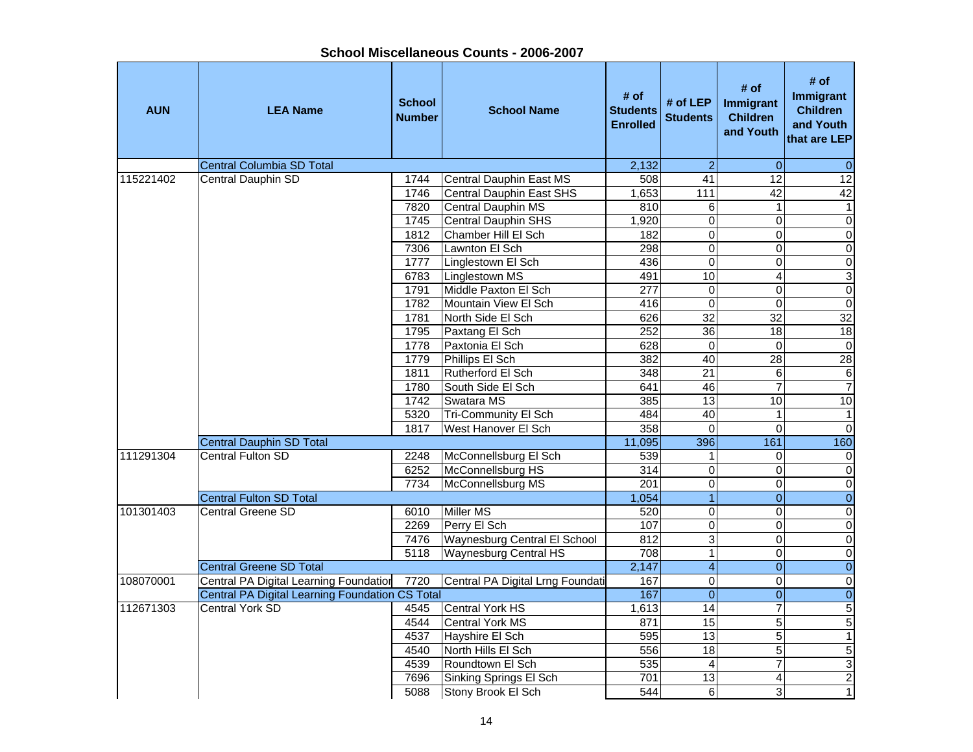| <b>AUN</b> | <b>LEA Name</b>                                        | <b>School</b><br><b>Number</b> | <b>School Name</b>                           | # of<br><b>Students</b><br><b>Enrolled</b> | # of LEP<br><b>Students</b>                | # of<br>Immigrant<br><b>Children</b><br>and Youth | # of<br>Immigrant<br><b>Children</b><br>and Youth<br>that are LEP |
|------------|--------------------------------------------------------|--------------------------------|----------------------------------------------|--------------------------------------------|--------------------------------------------|---------------------------------------------------|-------------------------------------------------------------------|
|            | <b>Central Columbia SD Total</b>                       |                                |                                              | 2,132                                      | $\overline{2}$                             | $\Omega$                                          | $\overline{0}$                                                    |
| 115221402  | <b>Central Dauphin SD</b>                              | 1744                           | Central Dauphin East MS                      | 508                                        | $\overline{41}$                            | 12                                                | $\overline{12}$                                                   |
|            |                                                        | 1746                           | <b>Central Dauphin East SHS</b>              | 1,653                                      | $\frac{111}{111}$                          | $\overline{42}$                                   | 42                                                                |
|            |                                                        | 7820                           | Central Dauphin MS                           | 810                                        | 6                                          | 1                                                 | $\mathbf{1}$                                                      |
|            |                                                        | 1745                           | <b>Central Dauphin SHS</b>                   | 1,920                                      | $\overline{0}$                             | $\overline{0}$                                    | $\overline{0}$                                                    |
|            |                                                        | 1812                           | Chamber Hill El Sch                          | 182                                        | $\overline{\mathsf{o}}$                    | 0                                                 | $\overline{0}$                                                    |
|            |                                                        | 7306                           | Lawnton El Sch                               | 298                                        | $\overline{0}$                             | $\overline{0}$                                    | $\overline{0}$                                                    |
|            |                                                        | 1777                           | Linglestown El Sch                           | 436                                        | $\mathsf 0$                                | 0                                                 | $\overline{0}$                                                    |
|            |                                                        | 6783                           | Linglestown MS                               | 491                                        | 10                                         | 4                                                 | $\overline{3}$                                                    |
|            |                                                        | 1791                           | Middle Paxton El Sch<br>Mountain View El Sch | $\overline{277}$                           | $\mathsf 0$                                | 0                                                 | $\overline{0}$                                                    |
|            |                                                        | 1782                           |                                              | 416<br>626                                 | $\mathsf 0$<br>$\overline{32}$             | 0<br>$\overline{32}$                              | $\overline{0}$<br>32                                              |
|            |                                                        | 1781<br>1795                   | North Side El Sch<br>Paxtang El Sch          | 252                                        | 36                                         | $\overline{18}$                                   | 18                                                                |
|            |                                                        | 1778                           | Paxtonia El Sch                              | 628                                        | $\pmb{0}$                                  | $\mathbf 0$                                       | $\overline{0}$                                                    |
|            |                                                        | 1779                           | Phillips El Sch                              | 382                                        | 40                                         | 28                                                | 28                                                                |
|            |                                                        | 1811                           | Rutherford El Sch                            | $\overline{348}$                           | $\overline{21}$                            | 6                                                 | $\overline{6}$                                                    |
|            |                                                        | 1780                           | South Side El Sch                            | 641                                        | 46                                         | $\overline{7}$                                    | $\overline{7}$                                                    |
|            |                                                        | 1742                           | Swatara MS                                   | 385                                        | 13                                         | 10                                                | 10                                                                |
|            |                                                        | 5320                           | <b>Tri-Community El Sch</b>                  | 484                                        | 40                                         | 1                                                 | $\mathbf{1}$                                                      |
|            |                                                        | 1817                           | West Hanover El Sch                          | 358                                        | $\mathbf 0$                                | 0                                                 | $\overline{0}$                                                    |
|            | <b>Central Dauphin SD Total</b>                        |                                |                                              | 11,095                                     | 396                                        | 161                                               | 160                                                               |
| 111291304  | <b>Central Fulton SD</b>                               | 2248                           | McConnellsburg El Sch                        | 539                                        | $\mathbf{1}$                               | 0                                                 | $\pmb{0}$                                                         |
|            |                                                        | 6252                           | McConnellsburg HS                            | 314                                        | $\overline{0}$                             | $\overline{0}$                                    | $\overline{0}$                                                    |
|            |                                                        | 7734                           | McConnellsburg MS                            | 201                                        | $\mathsf 0$                                | 0                                                 | $\overline{0}$                                                    |
|            | <b>Central Fulton SD Total</b>                         |                                |                                              | 1,054                                      | $\overline{1}$                             | $\overline{0}$                                    | $\overline{0}$                                                    |
| 101301403  | Central Greene SD                                      | 6010                           | <b>Miller MS</b>                             | 520                                        | 0                                          | 0                                                 | $\overline{0}$                                                    |
|            |                                                        | 2269                           | Perry El Sch                                 | 107                                        | $\overline{0}$                             | 0                                                 | $\overline{0}$                                                    |
|            |                                                        | 7476                           | Waynesburg Central El School                 | 812                                        | $\overline{3}$                             | $\overline{0}$                                    | $\overline{0}$                                                    |
|            |                                                        | 5118                           | <b>Waynesburg Central HS</b>                 | 708                                        | $\mathbf 1$                                | $\overline{0}$                                    | $\overline{0}$                                                    |
|            | <b>Central Greene SD Total</b>                         |                                |                                              | 2,147                                      | $\overline{4}$                             | $\overline{\mathbf{0}}$                           | $\overline{0}$                                                    |
| 108070001  | Central PA Digital Learning Foundation                 | 7720                           | Central PA Digital Lrng Foundati             | 167                                        | $\overline{\mathsf{o}}$                    | $\overline{0}$                                    | $\overline{0}$                                                    |
|            | <b>Central PA Digital Learning Foundation CS Total</b> |                                |                                              | 167                                        | $\overline{0}$                             | $\overline{0}$                                    | $\overline{\mathbf{0}}$                                           |
| 112671303  | Central York SD                                        | 4545                           | Central York HS                              | 1,613                                      | $\overline{14}$                            | $\overline{7}$                                    | $\overline{5}$                                                    |
|            |                                                        | 4544                           | <b>Central York MS</b>                       | 871                                        | 15                                         | $\overline{5}$                                    | 5                                                                 |
|            |                                                        | 4537                           | Hayshire El Sch                              | 595                                        | $\overline{13}$                            | $\overline{5}$                                    | $\overline{1}$                                                    |
|            |                                                        | 4540<br>4539                   | North Hills El Sch                           | 556<br>535                                 | 18                                         | $\overline{5}$<br>$\overline{7}$                  | 5                                                                 |
|            |                                                        | 7696                           | Roundtown El Sch                             | 701                                        | $\overline{\mathbf{4}}$<br>$\overline{13}$ |                                                   | $\overline{3}$<br>$\overline{2}$                                  |
|            |                                                        | 5088                           | Sinking Springs El Sch<br>Stony Brook El Sch | 544                                        | $\overline{6}$                             | 4<br>3                                            | $\overline{1}$                                                    |
|            |                                                        |                                |                                              |                                            |                                            |                                                   |                                                                   |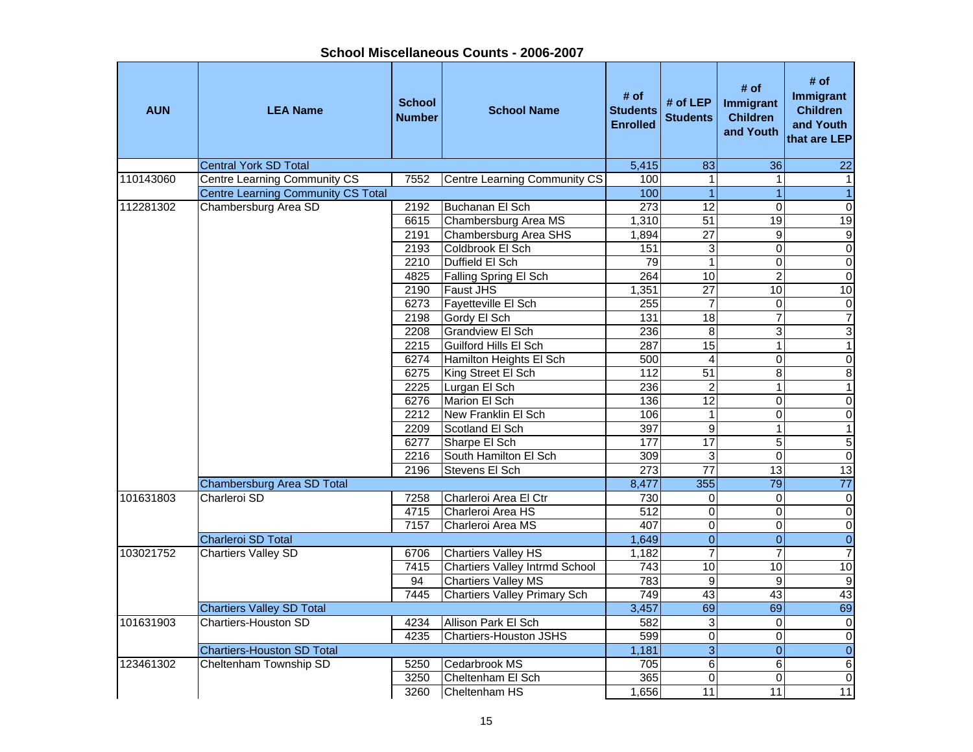**AUN LEA Name School NumberI**<br> **School Name** Students<br> **Enrolled # of LEP** # of # of # of **#** of **Immigrant**<br>d Students Children and Youth # of<br> **Immigrant**<br>
Children<br>
Children<br>
and Youth<br>
that are LEP **Central York SD Total 6 22 36 22 36 224 36 225 36 36 226 36 227 36 227 36 36 227 36 227 36 227 36 227 36 227 36 237 36 237 36 237 36 237 36 237 36 237 36 237 36 237 36 237 36 237 36 237 36 237 36 237 36 237 36 237 36 237** 110143060 Centre Learning Community CS | 7552 Centre Learning Community CS | 100 | 1 | 1 | 1 Centre Learning Community CS Total 100 1 1 1 112281302 Chambersburg Area SD 2192 Buchanan El Sch 273 12 0 0 0 6615 Chambersburg Area MS 1,310 51 19 19 2191 Chambersburg Area SHS | 1,894 27 9 9 9 2193 Coldbrook El Sch 151 3 0 0 0 2210 Duffield El Sch 79 1 0 04825 Falling Spring El Sch | 264 10 2 | 0 2190 Faust JHS 1,351 27 10 10 6273 Fayetteville El Sch 255 7 0 0 2198 Gordy El Sch 131 18 7 7 7<br>2208 Grandview El Sch 236 8 3 3 2208 Grandview El Sch 1980 236 3 2215 Guilford Hills El Sch 1 287 15 1 1 1 1 6274 Hamilton Heights El Sch 500 4 0 0 6275 King Street El Sch | 112 51 8 8 2225 Lurgan El Sch 236 2 1 1 1 6276 | Marion El Sch | 136 | 12 | 0 | 0 | 2212 New Franklin El Sch | 106 1 | 0 0 0 0 2209 Scotland El Sch (397 9 1 1 1 1 6277 Sharpe El Sch 177 17 17 5 5 2216 South Hamilton El Sch 309 3 0 02196 Stevens El Sch 273 77 13  $13$ Chambersburg Area SD Total **8,477** 355 79 77 101631803 Charleroi SD 7258 Charleroi Area El Ctr 730 0 0 04715 Charleroi Area HS 612 0 0  $\overline{0}$ 7157 Charleroi Area MS 407 0 0 0Charleroi SD Total 1,649 0 0 0 103021752 Chartiers Valley SD 6706 Chartiers Valley HS 1,182 7 7 7 7415 Chartiers Valley Intrmd School 743 10 10 10 10 94 Chartiers Valley MS 783 9 9 9 7445 Chartiers Valley Primary Sch 749 43 43 43 Chartiers Valley SD Total 3,457 69 69 69 101631903 Chartiers-Houston SD 4234 Allison Park El Sch 582 3 0 04235 Chartiers-Houston JSHS 599 0 0 0Chartiers-Houston SD Total 1,181 3 0 0 123461302 Cheltenham Township SD 5250 Cedarbrook MS 705 6 6 6 3250 Cheltenham El Sch 365 0 0 0 $\overline{11}$ 3260 Cheltenham HS 1,656 11 11 11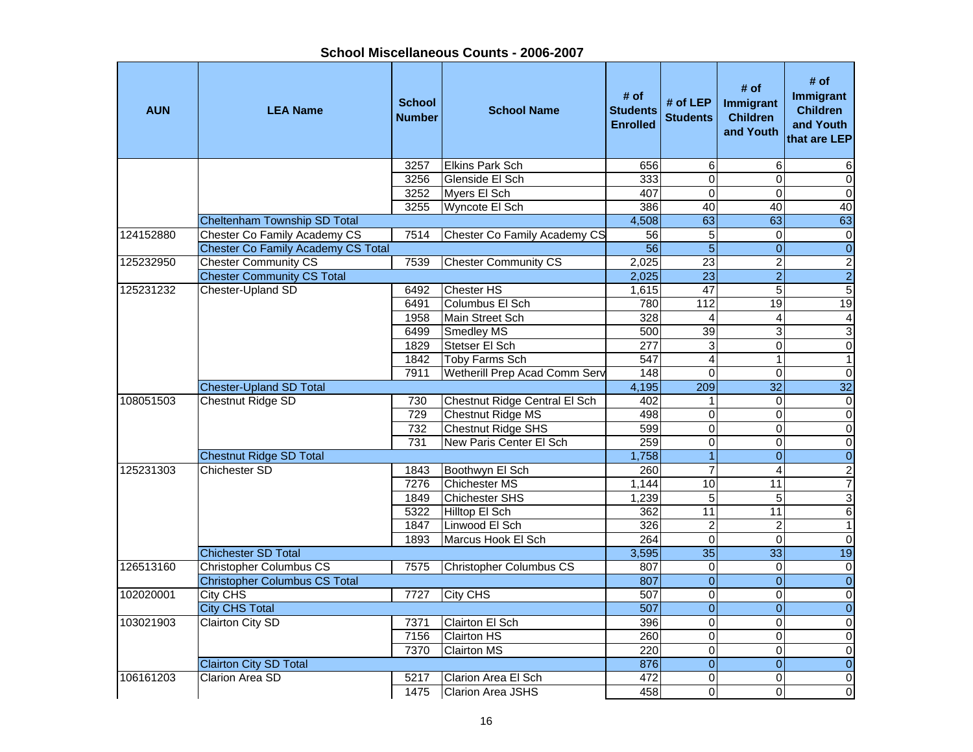| School Miscellaneous Counts - 2006-2007 |  |
|-----------------------------------------|--|
|-----------------------------------------|--|

| <b>AUN</b> | <b>LEA Name</b>                           | <b>School</b><br><b>Number</b> | <b>School Name</b>            | # of<br><b>Students</b><br><b>Enrolled</b> | # of $LEP$<br><b>Students</b> | # of<br>Immigrant<br><b>Children</b><br>and Youth | # of<br>Immigrant<br><b>Children</b><br>and Youth<br>that are LEP |
|------------|-------------------------------------------|--------------------------------|-------------------------------|--------------------------------------------|-------------------------------|---------------------------------------------------|-------------------------------------------------------------------|
|            |                                           | 3257                           | <b>Elkins Park Sch</b>        | 656                                        | $\,6$                         | 6                                                 | 6                                                                 |
|            |                                           | 3256                           | Glenside El Sch               | 333                                        | $\mathbf 0$                   | $\Omega$                                          | $\pmb{0}$                                                         |
|            |                                           | 3252                           | Myers El Sch                  | 407                                        | $\overline{0}$                | $\mathbf 0$                                       | $\overline{\mathsf{o}}$                                           |
|            |                                           | 3255                           | Wyncote El Sch                | 386                                        | 40                            | 40                                                | 40                                                                |
|            | <b>Cheltenham Township SD Total</b>       |                                |                               | 4,508                                      | 63                            | 63                                                | 63                                                                |
| 124152880  | Chester Co Family Academy CS              | 7514                           | Chester Co Family Academy CS  | 56                                         | 5                             | $\mathbf 0$                                       | $\pmb{0}$                                                         |
|            | <b>Chester Co Family Academy CS Total</b> |                                |                               | $\overline{56}$                            | $\overline{5}$                | $\overline{0}$                                    | $\overline{0}$                                                    |
| 125232950  | <b>Chester Community CS</b>               | 7539                           | <b>Chester Community CS</b>   | 2,025                                      | $\overline{23}$               | $\overline{2}$                                    | $\overline{2}$                                                    |
|            | <b>Chester Community CS Total</b>         |                                |                               | 2,025                                      | $\overline{23}$               | $\overline{2}$                                    | $\overline{2}$                                                    |
| 125231232  | Chester-Upland SD                         | 6492                           | Chester HS                    | 1,615                                      | $\overline{47}$               | 5                                                 | $\overline{5}$                                                    |
|            |                                           | 6491                           | Columbus El Sch               | 780                                        | $\frac{1}{112}$               | 19                                                | 19                                                                |
|            |                                           | 1958                           | Main Street Sch               | 328                                        | $\overline{4}$                | 4                                                 | $\overline{4}$                                                    |
|            |                                           | 6499                           | <b>Smedley MS</b>             | 500                                        | 39                            | 3                                                 | ىن                                                                |
|            |                                           | 1829                           | Stetser El Sch                | $\overline{277}$                           | 3                             | $\overline{0}$                                    | $\boldsymbol{0}$                                                  |
|            |                                           | 1842                           | Toby Farms Sch                | 547                                        | 4                             | $\mathbf{1}$                                      | $\mathbf{1}$                                                      |
|            |                                           | 7911                           | Wetherill Prep Acad Comm Serv | 148                                        | $\Omega$                      | $\Omega$                                          | $\overline{0}$                                                    |
|            | <b>Chester-Upland SD Total</b>            |                                |                               | 4,195                                      | 209                           | $\overline{32}$                                   | $\overline{32}$                                                   |
| 108051503  | Chestnut Ridge SD                         | 730                            | Chestnut Ridge Central El Sch | 402                                        | $\mathbf{1}$                  | $\mathbf 0$                                       | $\overline{\mathsf{o}}$                                           |
|            |                                           | 729                            | Chestnut Ridge MS             | 498                                        | $\pmb{0}$                     | $\mathbf 0$                                       | $\overline{0}$                                                    |
|            |                                           | 732                            | Chestnut Ridge SHS            | 599                                        | $\overline{0}$                | $\mathbf 0$                                       | $\overline{\mathsf{o}}$                                           |
|            |                                           | 731                            | New Paris Center El Sch       | 259                                        | $\mathbf 0$                   | 0                                                 | $\mathbf 0$                                                       |
|            | <b>Chestnut Ridge SD Total</b>            |                                |                               | 1,758                                      | $\overline{1}$                | $\pmb{0}$                                         | $\overline{0}$                                                    |
| 125231303  | Chichester SD                             | 1843                           | Boothwyn El Sch               | 260                                        | $\overline{7}$                | $\overline{4}$                                    | $\overline{c}$                                                    |
|            |                                           | 7276                           | Chichester MS                 | 1,144                                      | 10                            | $\overline{11}$                                   | $\overline{7}$                                                    |
|            |                                           | 1849                           | Chichester SHS                | 1,239                                      | 5                             | 5                                                 | $\overline{3}$                                                    |
|            |                                           | 5322                           | Hilltop El Sch                | 362                                        | 11                            | 11                                                | $\sigma$                                                          |
|            |                                           | 1847                           | Linwood El Sch                | 326                                        | $\overline{2}$                | $\overline{c}$                                    | $\overline{1}$                                                    |
|            |                                           | 1893                           | Marcus Hook El Sch            | 264                                        | $\overline{0}$                | $\overline{0}$                                    | $\overline{0}$                                                    |
|            | <b>Chichester SD Total</b>                |                                |                               | 3,595                                      | $\overline{35}$               | $\overline{33}$                                   | 19                                                                |
| 126513160  | <b>Christopher Columbus CS</b>            | 7575                           | Christopher Columbus CS       | 807                                        | $\mathbf 0$                   | $\Omega$                                          | $\overline{\mathsf{o}}$                                           |
|            | <b>Christopher Columbus CS Total</b>      |                                |                               | 807                                        | $\overline{0}$                | $\Omega$                                          | $\overline{0}$                                                    |
| 102020001  | <b>City CHS</b>                           | 7727                           | <b>City CHS</b>               | 507                                        | $\overline{0}$                | $\Omega$                                          | $\overline{0}$                                                    |
|            | <b>City CHS Total</b>                     |                                |                               | 507                                        | $\overline{0}$                | $\mathbf{0}$                                      | $\overline{0}$                                                    |
| 103021903  | <b>Clairton City SD</b>                   | 7371                           | <b>Clairton El Sch</b>        | 396                                        | $\overline{0}$                | $\Omega$                                          | $\overline{\mathsf{o}}$                                           |
|            |                                           | 7156                           | <b>Clairton HS</b>            | 260                                        | $\mathbf 0$                   | $\mathbf 0$                                       | $\pmb{0}$                                                         |
|            |                                           | 7370                           | <b>Clairton MS</b>            | 220                                        | $\overline{\mathsf{o}}$       | $\mathbf 0$                                       | $\overline{\mathsf{o}}$                                           |
|            | <b>Clairton City SD Total</b>             |                                |                               | 876                                        | $\overline{0}$                | $\overline{0}$                                    | $\overline{0}$                                                    |
| 106161203  | <b>Clarion Area SD</b>                    | 5217                           | Clarion Area El Sch           | 472                                        | $\pmb{0}$                     | $\mathbf 0$                                       | $\pmb{0}$                                                         |
|            |                                           | 1475                           | <b>Clarion Area JSHS</b>      | 458                                        | $\overline{\mathsf{o}}$       | $\Omega$                                          | $\overline{\mathsf{o}}$                                           |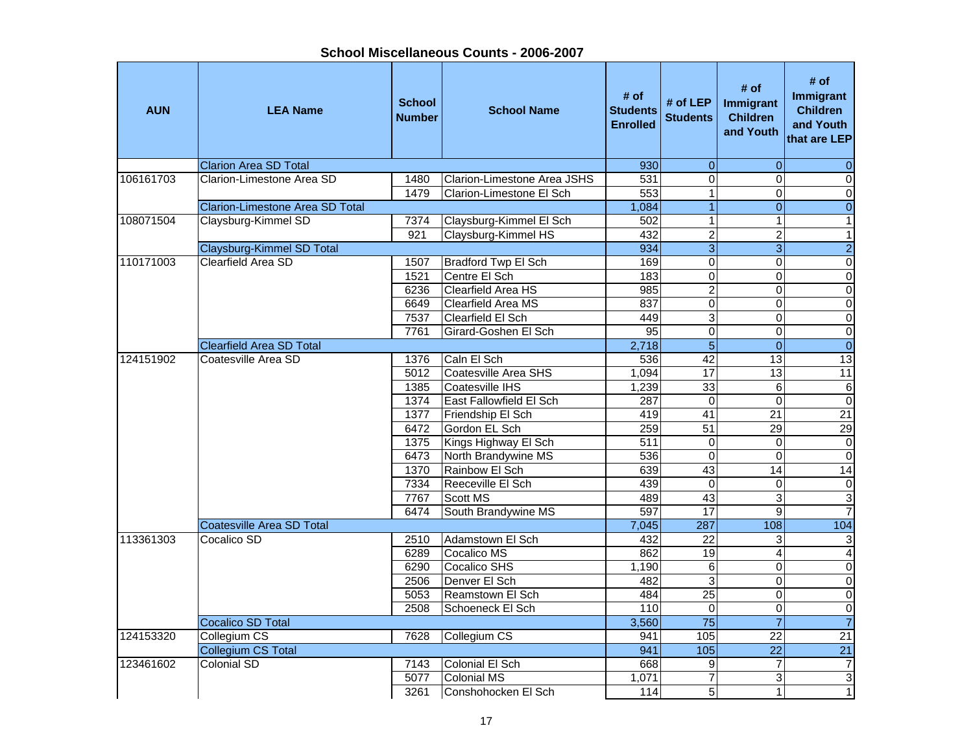**School Miscellaneous Counts - 2006-2007**

| <b>AUN</b> | <b>LEA Name</b>                        | <b>School</b><br><b>Number</b> | <b>School Name</b>          | # of<br><b>Students</b><br><b>Enrolled</b> | # of LEP<br><b>Students</b> | # of<br>Immigrant<br><b>Children</b><br>and Youth | # of<br><b>Immigrant</b><br><b>Children</b><br>and Youth<br>that are LEP |
|------------|----------------------------------------|--------------------------------|-----------------------------|--------------------------------------------|-----------------------------|---------------------------------------------------|--------------------------------------------------------------------------|
|            | <b>Clarion Area SD Total</b>           |                                |                             | 930                                        | $\mathbf 0$                 | $\mathbf{0}$                                      | $\mathbf{0}$                                                             |
| 106161703  | Clarion-Limestone Area SD              | 1480                           | Clarion-Limestone Area JSHS | 531                                        | $\mathbf 0$                 | $\Omega$                                          | $\mathbf 0$                                                              |
|            |                                        | 1479                           | Clarion-Limestone El Sch    | 553                                        | 1                           | $\Omega$                                          | $\mathbf 0$                                                              |
|            | <b>Clarion-Limestone Area SD Total</b> |                                |                             | 1,084                                      | $\overline{1}$              | $\Omega$                                          | $\overline{0}$                                                           |
| 108071504  | Claysburg-Kimmel SD                    | 7374                           | Claysburg-Kimmel El Sch     | 502                                        | $\mathbf{1}$                | $\mathbf{1}$                                      | $\mathbf{1}$                                                             |
|            |                                        | 921                            | Claysburg-Kimmel HS         | 432                                        | $\overline{2}$              | $\overline{2}$                                    | $\mathbf{1}$                                                             |
|            | Claysburg-Kimmel SD Total              |                                |                             | 934                                        | $\overline{3}$              | $\overline{3}$                                    | $\overline{2}$                                                           |
| 110171003  | <b>Clearfield Area SD</b>              | 1507                           | Bradford Twp El Sch         | 169                                        | $\mathbf 0$                 | $\mathbf 0$                                       | $\pmb{0}$                                                                |
|            |                                        | 1521                           | Centre El Sch               | 183                                        | $\overline{0}$              | $\overline{0}$                                    | $\overline{\mathbf{o}}$                                                  |
|            |                                        | 6236                           | Clearfield Area HS          | $\overline{985}$                           | $\overline{2}$              | $\overline{0}$                                    | $\mathbf 0$                                                              |
|            |                                        | 6649                           | Clearfield Area MS          | 837                                        | $\overline{0}$              | $\overline{0}$                                    | $\overline{\mathsf{o}}$                                                  |
|            |                                        | 7537                           | Clearfield El Sch           | 449                                        | 3                           | $\overline{0}$                                    | $\overline{\mathsf{o}}$                                                  |
|            |                                        | 7761                           | Girard-Goshen El Sch        | 95                                         | $\overline{0}$              | $\Omega$                                          | $\overline{0}$                                                           |
|            | <b>Clearfield Area SD Total</b>        |                                |                             | 2,718                                      | $\overline{5}$              | $\overline{0}$                                    | $\overline{0}$                                                           |
| 124151902  | Coatesville Area SD                    | 1376                           | Caln El Sch                 | 536                                        | 42                          | 13                                                | $\overline{13}$                                                          |
|            |                                        | 5012                           | Coatesville Area SHS        | 1,094                                      | 17                          | $\overline{13}$                                   | 11                                                                       |
|            |                                        | 1385                           | Coatesville IHS             | 1,239                                      | $\overline{33}$             | $\overline{6}$                                    | $\overline{6}$                                                           |
|            |                                        | 1374                           | East Fallowfield El Sch     | 287                                        | $\mathbf 0$                 | 0                                                 | $\overline{0}$                                                           |
|            |                                        | 1377                           | Friendship El Sch           | 419                                        | $\overline{41}$             | $\overline{21}$                                   | $\overline{21}$                                                          |
|            |                                        | 6472                           | Gordon EL Sch               | 259                                        | 51                          | 29                                                | 29                                                                       |
|            |                                        | 1375                           | Kings Highway El Sch        | 511                                        | $\pmb{0}$                   | $\mathbf 0$                                       | $\pmb{0}$                                                                |
|            |                                        | 6473                           | North Brandywine MS         | 536                                        | $\mathbf 0$                 | $\mathbf 0$                                       | $\overline{\mathsf{o}}$                                                  |
|            |                                        | 1370                           | Rainbow El Sch              | 639                                        | 43                          | 14                                                | $\overline{14}$                                                          |
|            |                                        | 7334                           | Reeceville El Sch           | 439                                        | $\mathbf 0$                 | $\mathbf 0$                                       | $\pmb{0}$                                                                |
|            |                                        | 7767                           | <b>Scott MS</b>             | 489                                        | 43                          | 3                                                 | $\overline{3}$                                                           |
|            |                                        | 6474                           | South Brandywine MS         | 597                                        | $\overline{17}$             | 9                                                 | $\overline{7}$                                                           |
|            | <b>Coatesville Area SD Total</b>       |                                |                             | 7,045                                      | 287                         | 108                                               | 104                                                                      |
| 113361303  | Cocalico SD                            | 2510                           | Adamstown El Sch            | 432                                        | $\overline{22}$             | 3                                                 | 3                                                                        |
|            |                                        | 6289                           | Cocalico MS                 | 862                                        | $\overline{19}$             | 4                                                 | $\overline{\mathbf{4}}$                                                  |
|            |                                        | 6290                           | Cocalico SHS                | 1,190                                      | 6                           | $\Omega$                                          | $\overline{0}$                                                           |
|            |                                        | 2506                           | Denver El Sch               | 482                                        | $\overline{3}$              | 0                                                 | $\pmb{0}$                                                                |
|            |                                        | 5053                           | Reamstown El Sch            | 484                                        | $\overline{25}$             | $\Omega$                                          | $\overline{\mathsf{o}}$                                                  |
|            |                                        | 2508                           | Schoeneck El Sch            | 110                                        | $\mathbf 0$                 | 0                                                 | $\overline{\mathsf{o}}$                                                  |
|            | <b>Cocalico SD Total</b>               |                                |                             | 3,560                                      | $\overline{75}$             | $\overline{7}$                                    | $\overline{7}$                                                           |
| 124153320  | Collegium CS                           | 7628                           | Collegium CS                | 941                                        | 105                         | 22                                                | $\overline{21}$                                                          |
|            | <b>Collegium CS Total</b>              |                                |                             | 941                                        | 105                         | $\overline{22}$                                   | $\overline{21}$                                                          |
| 123461602  | Colonial SD                            | 7143                           | Colonial El Sch             | 668                                        | $\overline{9}$              | $\overline{7}$                                    | $\overline{7}$                                                           |
|            |                                        | 5077                           | <b>Colonial MS</b>          | 1,071                                      | $\overline{7}$              | 3                                                 | $\overline{3}$                                                           |
|            |                                        | 3261                           | Conshohocken El Sch         | 114                                        | $\overline{5}$              | $\mathbf{1}$                                      | $\overline{\phantom{a}}$                                                 |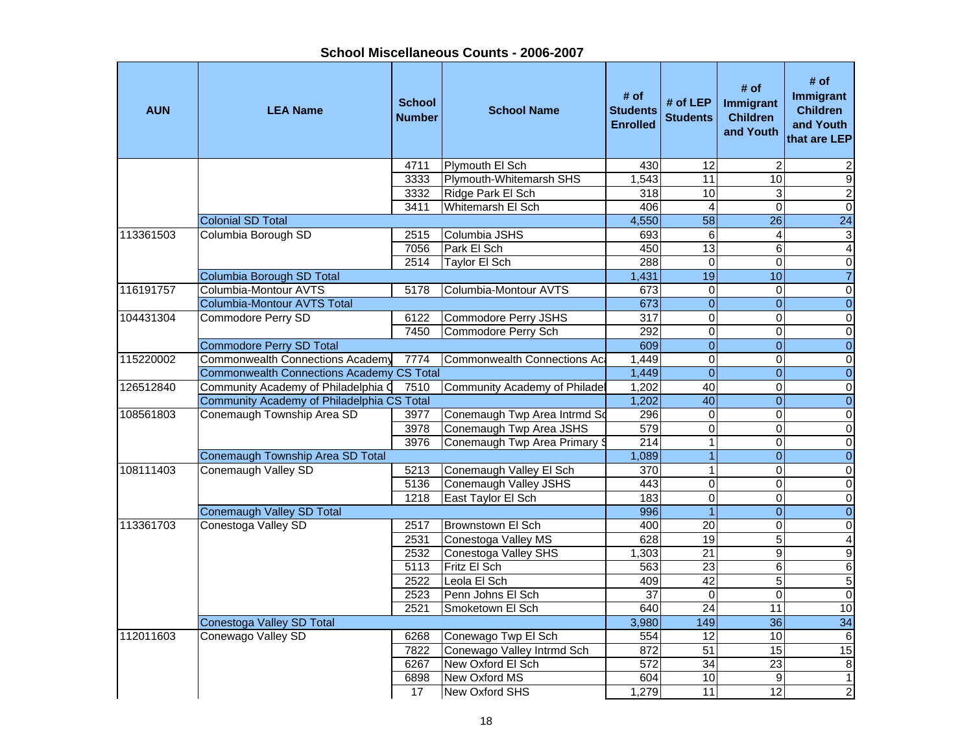**School Miscellaneous Counts - 2006-2007**

| <b>AUN</b> | <b>LEA Name</b>                                  | <b>School</b><br><b>Number</b> | <b>School Name</b>             | # of<br><b>Students</b><br><b>Enrolled</b> | # of LEP<br><b>Students</b> | # of<br>Immigrant<br><b>Children</b><br>and Youth | # of<br>Immigrant<br><b>Children</b><br>and Youth<br>that are LEP |
|------------|--------------------------------------------------|--------------------------------|--------------------------------|--------------------------------------------|-----------------------------|---------------------------------------------------|-------------------------------------------------------------------|
|            |                                                  | 4711                           | Plymouth El Sch                | 430                                        | 12                          | $\overline{2}$                                    | 2                                                                 |
|            |                                                  | 3333                           | <b>Plymouth-Whitemarsh SHS</b> | 1,543                                      | 11                          | 10                                                | Θ                                                                 |
|            |                                                  | 3332                           | Ridge Park El Sch              | $\overline{318}$                           | 10                          | ω                                                 | $\overline{2}$                                                    |
|            |                                                  | 3411                           | Whitemarsh El Sch              | 406                                        | $\overline{4}$              | $\Omega$                                          | $\overline{\mathsf{o}}$                                           |
|            | <b>Colonial SD Total</b>                         |                                |                                | 4,550                                      | $\overline{58}$             | 26                                                | $\overline{24}$                                                   |
| 113361503  | Columbia Borough SD                              | 2515                           | Columbia JSHS                  | 693                                        | 6                           | $\overline{4}$                                    | $\overline{3}$                                                    |
|            |                                                  | 7056                           | Park El Sch                    | 450                                        | $\overline{13}$             | 6                                                 | $\overline{\mathbf{A}}$                                           |
|            |                                                  | 2514                           | Taylor El Sch                  | 288                                        | $\pmb{0}$                   | $\Omega$                                          | $\overline{\mathsf{o}}$                                           |
|            | Columbia Borough SD Total                        |                                |                                | 1,431                                      | 19                          | 10                                                | $\overline{7}$                                                    |
| 116191757  | Columbia-Montour AVTS                            | 5178                           | Columbia-Montour AVTS          | 673                                        | $\mathbf 0$                 | $\Omega$                                          | $\pmb{0}$                                                         |
|            | Columbia-Montour AVTS Total                      |                                |                                | 673                                        | $\overline{0}$              | $\overline{\mathbf{O}}$                           | $\overline{0}$                                                    |
| 104431304  | Commodore Perry SD                               | 6122                           | Commodore Perry JSHS           | 317                                        | $\mathbf 0$                 | $\Omega$                                          | $\pmb{0}$                                                         |
|            |                                                  | 7450                           | Commodore Perry Sch            | 292                                        | $\overline{0}$              | $\Omega$                                          | $\overline{0}$                                                    |
|            | <b>Commodore Perry SD Total</b>                  |                                |                                | 609                                        | $\overline{0}$              | $\overline{0}$                                    | $\overline{0}$                                                    |
| 115220002  | <b>Commonwealth Connections Academy</b>          | 7774                           | Commonwealth Connections Aca   | 1,449                                      | $\overline{0}$              | $\mathbf 0$                                       | $\pmb{0}$                                                         |
|            | <b>Commonwealth Connections Academy CS Total</b> |                                |                                | 1,449                                      | $\overline{0}$              | $\mathbf{0}$                                      | $\overline{0}$                                                    |
| 126512840  | Community Academy of Philadelphia Q              | 7510                           | Community Academy of Philade   | 1,202                                      | 40                          | $\mathbf 0$                                       | $\overline{\mathsf{o}}$                                           |
|            | Community Academy of Philadelphia CS Total       |                                |                                | 1,202                                      | 40                          | $\overline{0}$                                    | $\overline{0}$                                                    |
| 108561803  | Conemaugh Township Area SD                       | 3977                           | Conemaugh Twp Area Intrmd So   | 296                                        | 0                           | $\mathbf 0$                                       | $\overline{\mathsf{o}}$                                           |
|            |                                                  | 3978                           | Conemaugh Twp Area JSHS        | 579                                        | $\overline{0}$              | $\Omega$                                          | $\overline{\mathsf{o}}$                                           |
|            |                                                  | 3976                           | Conemaugh Twp Area Primary \$  | 214                                        | $\mathbf{1}$                | $\Omega$                                          | $\pmb{0}$                                                         |
|            | Conemaugh Township Area SD Total                 |                                |                                | 1,089                                      | $\overline{1}$              | $\Omega$                                          | $\overline{0}$                                                    |
| 108111403  | Conemaugh Valley SD                              | 5213                           | Conemaugh Valley El Sch        | 370                                        | $\mathbf{1}$                | $\Omega$                                          | $\pmb{0}$                                                         |
|            |                                                  | 5136                           | Conemaugh Valley JSHS          | 443                                        | $\overline{0}$              | $\Omega$                                          | $\pmb{0}$                                                         |
|            |                                                  | 1218                           | East Taylor El Sch             | 183                                        | $\mathbf 0$                 | 0                                                 | $\pmb{0}$                                                         |
|            | <b>Conemaugh Valley SD Total</b>                 |                                |                                | 996                                        | $\overline{1}$              | $\overline{0}$                                    | $\overline{0}$                                                    |
| 113361703  | Conestoga Valley SD                              | 2517                           | Brownstown El Sch              | 400                                        | $\overline{20}$             | $\mathbf 0$                                       | $\overline{0}$                                                    |
|            |                                                  | 2531                           | Conestoga Valley MS            | 628                                        | 19                          | $\overline{5}$                                    | $\overline{4}$                                                    |
|            |                                                  | 2532                           | Conestoga Valley SHS           | 1,303                                      | $\overline{21}$             | $\overline{9}$                                    | $\overline{9}$                                                    |
|            |                                                  | 5113                           | Fritz El Sch                   | 563                                        | $\overline{23}$             | 6                                                 | $6 \overline{}$                                                   |
|            |                                                  | 2522                           | Leola El Sch                   | 409                                        | 42                          | 5                                                 | $\overline{5}$                                                    |
|            |                                                  | 2523                           | Penn Johns El Sch              | 37                                         | $\mathbf 0$                 | $\Omega$                                          | $\overline{0}$                                                    |
|            |                                                  | 2521                           | Smoketown El Sch               | 640                                        | $\overline{24}$             | 11                                                | 10                                                                |
|            | Conestoga Valley SD Total                        |                                |                                | 3,980                                      | 149                         | 36                                                | $\overline{34}$                                                   |
| 112011603  | Conewago Valley SD                               | 6268                           | Conewago Twp El Sch            | 554                                        | 12                          | 10                                                | $\,6$                                                             |
|            |                                                  | 7822                           | Conewago Valley Intrmd Sch     | 872                                        | 51                          | 15                                                | 15                                                                |
|            |                                                  | 6267                           | New Oxford El Sch              | $\overline{572}$                           | $\overline{34}$             | 23                                                | $\bf 8$                                                           |
|            |                                                  | 6898                           | New Oxford MS                  | 604                                        | 10                          | 9                                                 | $\mathbf{1}$                                                      |
|            |                                                  | 17                             | New Oxford SHS                 | 1,279                                      | 11                          | 12                                                | $\overline{2}$                                                    |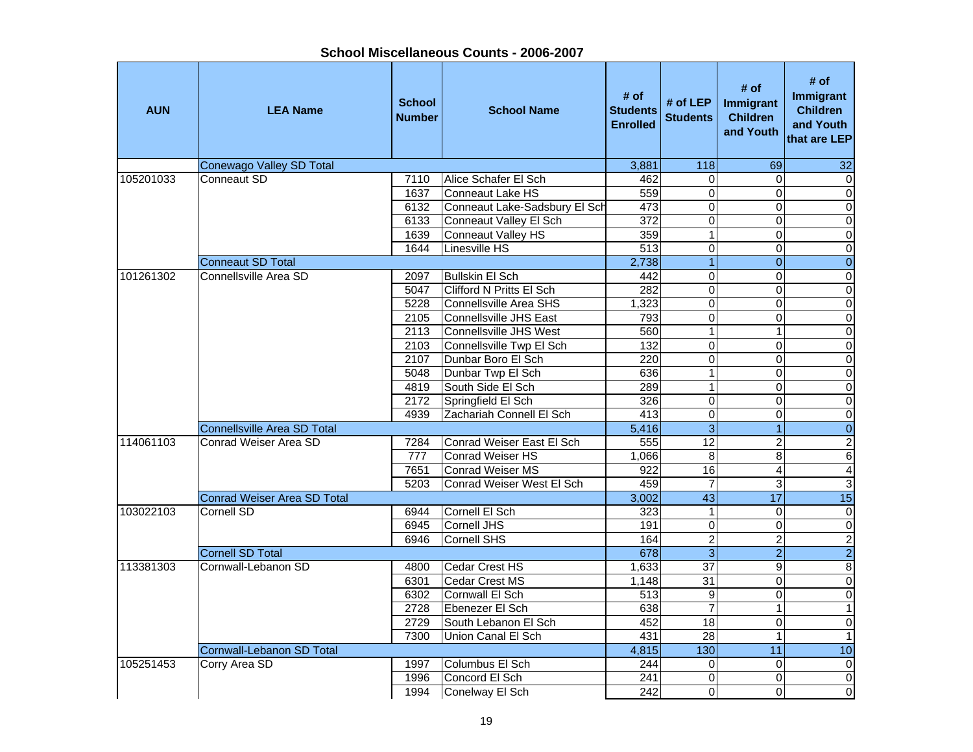| <b>AUN</b> | <b>LEA Name</b>                    | <b>School</b><br><b>Number</b> | <b>School Name</b>            | # of<br><b>Students</b><br><b>Enrolled</b> | # of LEP<br><b>Students</b> | # of<br>Immigrant<br><b>Children</b><br>and Youth | # of<br>Immigrant<br><b>Children</b><br>and Youth<br>that are LEP |
|------------|------------------------------------|--------------------------------|-------------------------------|--------------------------------------------|-----------------------------|---------------------------------------------------|-------------------------------------------------------------------|
|            | Conewago Valley SD Total           |                                |                               | 3,881                                      | 118                         | 69                                                | 32                                                                |
| 105201033  | Conneaut SD                        | 7110                           | Alice Schafer El Sch          | 462                                        | $\Omega$                    | $\Omega$                                          | $\pmb{0}$                                                         |
|            |                                    | 1637                           | Conneaut Lake HS              | 559                                        | 0                           | $\mathbf 0$                                       | $\overline{0}$                                                    |
|            |                                    | 6132                           | Conneaut Lake-Sadsbury El Sch | 473                                        | 0                           | 0                                                 | $\overline{0}$                                                    |
|            |                                    | 6133                           | Conneaut Valley El Sch        | $\overline{372}$                           | $\mathsf 0$                 | 0                                                 | $\overline{0}$                                                    |
|            |                                    | 1639                           | Conneaut Valley HS            | 359                                        | $\mathbf{1}$                | $\mathbf 0$                                       | $\overline{0}$                                                    |
|            |                                    | 1644                           | Linesville HS                 | 513                                        | $\overline{0}$              | 0                                                 | $\overline{0}$                                                    |
|            | Conneaut SD Total                  |                                |                               | 2,738                                      | $\overline{1}$              | $\mathbf{0}$                                      | $\overline{\mathbf{0}}$                                           |
| 101261302  | Connellsville Area SD              | 2097                           | <b>Bullskin El Sch</b>        | 442                                        | $\mathbf 0$                 | 0                                                 | $\overline{\mathsf{o}}$                                           |
|            |                                    | 5047                           | Clifford N Pritts El Sch      | 282                                        | $\mathbf 0$                 | $\mathbf 0$                                       | $\overline{0}$                                                    |
|            |                                    | 5228                           | Connellsville Area SHS        | 1,323                                      | $\mathbf 0$                 | 0                                                 | $\overline{\mathsf{o}}$                                           |
|            |                                    | 2105                           | Connellsville JHS East        | 793                                        | $\mathsf 0$                 | $\mathbf 0$                                       | $\overline{0}$                                                    |
|            |                                    | 2113                           | Connellsville JHS West        | 560                                        | $\mathbf{1}$                | 1                                                 | $\overline{0}$                                                    |
|            |                                    | 2103                           | Connellsville Twp El Sch      | 132                                        | 0                           | 0                                                 | $\overline{\mathsf{o}}$                                           |
|            |                                    | 2107                           | Dunbar Boro El Sch            | 220                                        | 0                           | $\mathbf 0$                                       | $\overline{0}$                                                    |
|            |                                    | 5048                           | Dunbar Twp El Sch             | 636                                        | 1                           | $\mathbf 0$                                       | $\overline{0}$                                                    |
|            |                                    | 4819                           | South Side El Sch             | 289                                        | 1                           | 0                                                 | $\overline{0}$                                                    |
|            |                                    | 2172                           | Springfield El Sch            | 326                                        | $\mathbf 0$                 | 0                                                 | $\overline{\mathsf{o}}$                                           |
|            |                                    | 4939                           | Zachariah Connell El Sch      | 413                                        | $\overline{0}$              | $\mathbf 0$                                       | $\overline{0}$                                                    |
|            | <b>Connellsville Area SD Total</b> |                                |                               | 5,416                                      | 3                           | $\overline{1}$                                    | $\overline{0}$                                                    |
| 114061103  | Conrad Weiser Area SD              |                                | Conrad Weiser East El Sch     | 555                                        | $\overline{12}$             | $\overline{c}$                                    |                                                                   |
|            |                                    | 7284<br>777                    | <b>Conrad Weiser HS</b>       |                                            |                             |                                                   | $\frac{2}{6}$                                                     |
|            |                                    |                                | <b>Conrad Weiser MS</b>       | 1,066<br>922                               | 8<br>16                     | 8                                                 | $\overline{4}$                                                    |
|            |                                    | 7651                           |                               |                                            | $\overline{7}$              | $\overline{\mathbf{4}}$                           | $\overline{3}$                                                    |
|            |                                    | 5203                           | Conrad Weiser West El Sch     | 459                                        |                             | 3                                                 | 15                                                                |
|            | <b>Conrad Weiser Area SD Total</b> |                                |                               | 3,002                                      | 43                          | 17                                                |                                                                   |
| 103022103  | Cornell SD                         | 6944                           | Cornell El Sch                | 323                                        | $\mathbf{1}$                | 0                                                 | $\overline{\mathbf{o}}$                                           |
|            |                                    | 6945                           | Cornell JHS                   | 191                                        | 0                           | $\mathbf 0$                                       | $\overline{0}$                                                    |
|            |                                    | 6946                           | <b>Cornell SHS</b>            | 164                                        | $\overline{2}$              | $\overline{c}$                                    | $\frac{2}{8}$                                                     |
|            | <b>Cornell SD Total</b>            |                                |                               | 678                                        | $\overline{3}$              | $\overline{2}$                                    |                                                                   |
| 113381303  | Cornwall-Lebanon SD                | 4800                           | Cedar Crest HS                | 1,633                                      | $\overline{37}$             | 9                                                 |                                                                   |
|            |                                    | 6301                           | <b>Cedar Crest MS</b>         | 1,148                                      | 31                          | $\mathbf 0$                                       | $\overline{0}$                                                    |
|            |                                    | 6302                           | Cornwall El Sch               | 513                                        | 9                           | 0                                                 | $\overline{0}$                                                    |
|            |                                    | 2728                           | Ebenezer El Sch               | 638                                        | $\overline{7}$              |                                                   |                                                                   |
|            |                                    | 2729                           | South Lebanon El Sch          | 452                                        | $\overline{18}$             | 0                                                 | $\overline{0}$                                                    |
|            |                                    | 7300                           | Union Canal El Sch            | 431                                        | $\overline{28}$             |                                                   | 1                                                                 |
|            | Cornwall-Lebanon SD Total          |                                |                               | 4,815                                      | 130                         | 11                                                | 10                                                                |
| 105251453  | Corry Area SD                      | 1997                           | Columbus El Sch               | 244                                        | $\mathbf 0$                 | 0                                                 | $\overline{0}$                                                    |
|            |                                    | 1996                           | Concord El Sch                | 241                                        | 0                           | 0                                                 | $\overline{0}$                                                    |
|            |                                    | 1994                           | Conelway El Sch               | 242                                        | 0                           | 0                                                 | $\overline{0}$                                                    |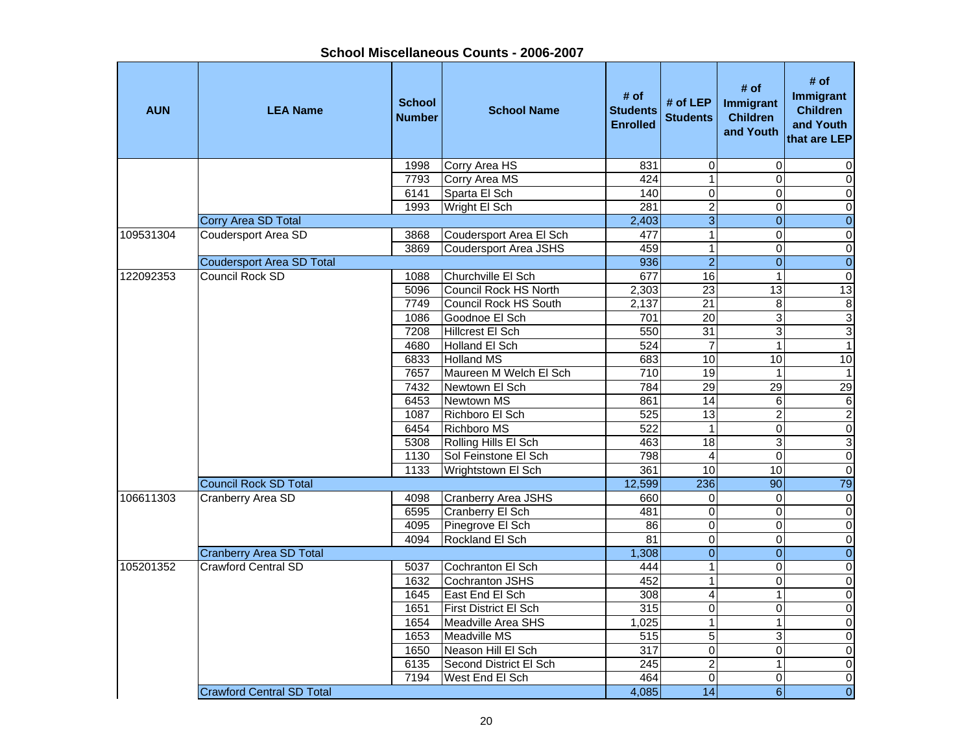| School Miscellaneous Counts - 2006-2007 |  |
|-----------------------------------------|--|
|-----------------------------------------|--|

Ŧ

| <b>AUN</b> | <b>LEA Name</b>                  | <b>School</b><br><b>Number</b> | <b>School Name</b>           | # of<br><b>Students</b><br><b>Enrolled</b> | # of $LEP$<br><b>Students</b> | # of<br>Immigrant<br><b>Children</b><br>and Youth | # of<br><b>Immigrant</b><br><b>Children</b><br>and Youth<br>that are LEP |
|------------|----------------------------------|--------------------------------|------------------------------|--------------------------------------------|-------------------------------|---------------------------------------------------|--------------------------------------------------------------------------|
|            |                                  | 1998                           | Corry Area HS                | 831                                        | $\boldsymbol{0}$              | $\mathbf 0$                                       | 0                                                                        |
|            |                                  | 7793                           | Corry Area MS                | 424                                        | $\overline{1}$                | $\Omega$                                          | $\pmb{0}$                                                                |
|            |                                  | 6141                           | Sparta El Sch                | 140                                        | $\overline{0}$                | 0                                                 | $\overline{\mathsf{o}}$                                                  |
|            |                                  | 1993                           | Wright El Sch                | 281                                        | $\overline{2}$                | 0                                                 | $\pmb{0}$                                                                |
|            | Corry Area SD Total              |                                |                              | $\overline{2,}403$                         | $\overline{3}$                | $\pmb{0}$                                         | $\boldsymbol{0}$                                                         |
| 109531304  | <b>Coudersport Area SD</b>       | 3868                           | Coudersport Area El Sch      | 477                                        | $\overline{1}$                | $\Omega$                                          | $\overline{\mathsf{o}}$                                                  |
|            |                                  | 3869                           | <b>Coudersport Area JSHS</b> | 459                                        | $\mathbf 1$                   | 0                                                 | $\pmb{0}$                                                                |
|            | <b>Coudersport Area SD Total</b> |                                |                              | 936                                        | $\overline{2}$                | $\overline{0}$                                    | $\overline{0}$                                                           |
| 122092353  | Council Rock SD                  | 1088                           | <b>IChurchville El Sch</b>   | 677                                        | 16                            | $\mathbf{1}$                                      | $\pmb{0}$                                                                |
|            |                                  | 5096                           | Council Rock HS North        | 2,303                                      | $\overline{23}$               | $\overline{13}$                                   | 13                                                                       |
|            |                                  | 7749                           | Council Rock HS South        | 2,137                                      | $\overline{21}$               | 8                                                 | $\bf 8$                                                                  |
|            |                                  | 1086                           | Goodnoe El Sch               | 701                                        | $\overline{20}$               | 3                                                 | 3                                                                        |
|            |                                  | 7208                           | Hillcrest El Sch             | 550                                        | $\overline{31}$               | 3                                                 | $\overline{3}$                                                           |
|            |                                  | 4680                           | Holland El Sch               | 524                                        | $\overline{7}$                | $\mathbf{1}$                                      | $\overline{1}$                                                           |
|            |                                  | 6833                           | <b>Holland MS</b>            | 683                                        | 10                            | 10                                                | 10                                                                       |
|            |                                  | 7657                           | Maureen M Welch El Sch       | 710                                        | $\overline{19}$               | $\mathbf 1$                                       | $\overline{1}$                                                           |
|            |                                  | 7432                           | Newtown El Sch               | 784                                        | $\overline{29}$               | 29                                                | 29                                                                       |
|            |                                  | 6453                           | Newtown MS                   | 861                                        | $\overline{14}$               | 6                                                 | $\,6$                                                                    |
|            |                                  | 1087                           | Richboro El Sch              | 525                                        | $\overline{13}$               | $\overline{\mathbf{c}}$                           | $\overline{2}$                                                           |
|            |                                  | 6454                           | <b>Richboro MS</b>           | 522                                        | $\mathbf{1}$                  | 0                                                 | $\mathbf 0$                                                              |
|            |                                  | 5308                           | Rolling Hills El Sch         | 463                                        | 18                            | 3                                                 | $\overline{3}$                                                           |
|            |                                  | 1130                           | Sol Feinstone El Sch         | 798                                        | $\overline{\mathbf{4}}$       | $\Omega$                                          | $\mathbf 0$                                                              |
|            |                                  | 1133                           | Wrightstown El Sch           | 361                                        | 10                            | 10                                                | $\pmb{0}$                                                                |
|            | <b>Council Rock SD Total</b>     |                                |                              | 12,599                                     | 236                           | 90                                                | 79                                                                       |
| 106611303  | Cranberry Area SD                | 4098                           | <b>Cranberry Area JSHS</b>   | 660                                        | $\mathbf 0$                   | $\Omega$                                          | $\overline{0}$                                                           |
|            |                                  | 6595                           | <b>Cranberry El Sch</b>      | 481                                        | $\overline{0}$                | 0                                                 | $\overline{\mathsf{o}}$                                                  |
|            |                                  | 4095                           | Pinegrove El Sch             | 86                                         | $\overline{0}$                | 0                                                 | $\overline{\mathsf{o}}$                                                  |
|            |                                  | 4094                           | Rockland El Sch              | 81                                         | $\overline{0}$                | $\mathbf 0$                                       | $\overline{0}$                                                           |
|            | <b>Cranberry Area SD Total</b>   |                                |                              | 1,308                                      | $\overline{0}$                | $\mathbf{0}$                                      | $\overline{0}$                                                           |
| 105201352  | <b>Crawford Central SD</b>       | 5037                           | Cochranton El Sch            | 444                                        | $\overline{1}$                | $\mathbf 0$                                       | $\pmb{0}$                                                                |
|            |                                  | 1632                           | Cochranton JSHS              | 452                                        | $\mathbf 1$                   | 0                                                 | $\overline{\mathbf{o}}$                                                  |
|            |                                  | 1645                           | East End El Sch              | 308                                        | 4                             | 1                                                 | $\pmb{0}$                                                                |
|            |                                  | 1651                           | First District El Sch        | 315                                        | $\mathbf 0$                   | 0                                                 | $\mathbf 0$                                                              |
|            |                                  | 1654                           | Meadville Area SHS           | 1,025                                      | $\mathbf{1}$                  | $\mathbf{1}$                                      | $\pmb{0}$                                                                |
|            |                                  | 1653                           | Meadville MS                 | 515                                        | 5                             | 3                                                 | $\pmb{0}$                                                                |
|            |                                  | 1650                           | Neason Hill El Sch           | $\overline{317}$                           | $\overline{0}$                | $\Omega$                                          | $\overline{\mathsf{o}}$                                                  |
|            |                                  | 6135                           | Second District El Sch       | 245                                        | $\overline{2}$                | 1                                                 | $\overline{0}$                                                           |
|            |                                  | 7194                           | West End El Sch              | 464                                        | 0                             | $\mathbf 0$                                       | $\overline{\mathsf{o}}$                                                  |
|            | <b>Crawford Central SD Total</b> |                                |                              | 4,085                                      | $\overline{14}$               | $\overline{6}$                                    | $\overline{0}$                                                           |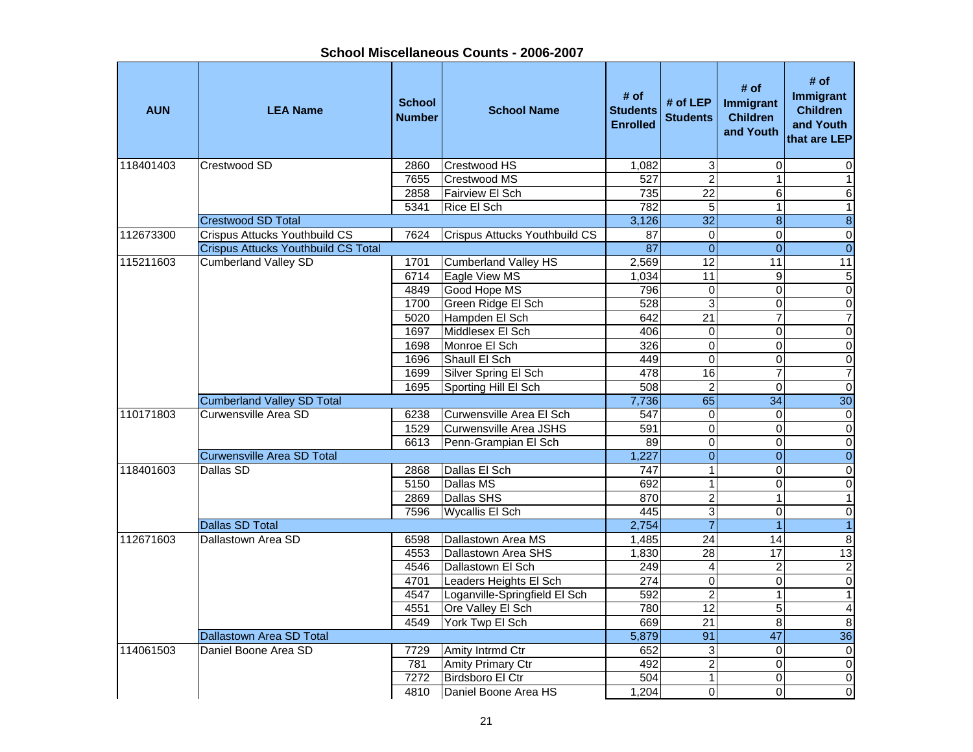**AUN LEA Name School NumberI**<br> **School Name** Students<br> **Enrolled # of LEP** # of # of # of **#** of **Immigrant**<br>d Students Children and Youth # of<br> **Immigrant**<br>
Children<br>
Children<br>
and Youth<br>
that are LEP 118401403 |Crestwood SD | 2860 |Crestwood HS | 1,082| 3| 0| 0 7655 Crestwood MS 527 2 1 12858 Fairview El Sch 735 22 6  $\,6$ 5341 Rice El Sch 782 5 1 1Crestwood SD Total 3,126 32 8 8 112673300 Crispus Attucks Youthbuild CS 7624 Crispus Attucks Youthbuild CS 7 0 0 0 0 0 0 0 0 0 0 0 0 0 0 0 0 0 Crispus Attucks Youthbuild CS Total 87 0 0 0 115211603 Cumberland Valley SD 1701 Cumberland Valley HS 12,569 12 11 11 11 6714 Eagle View MS 1,034 11 9 4849 Good Hope MS 796 0 0 0 1700 Green Ridge El Sch 1992 - 1700 Green Ridge El Sch 1992 - 1892 - 1892 - 1893 - 1894 - 1892 - 1894 - 1894 - 1<br>1992 - 1894 - 1894 - 1894 - 1894 - 1894 - 1894 - 1894 - 1894 - 1894 - 1894 - 1894 - 1894 - 1894 - 1894 - 1894 5020 Hampden El Sch (642 21 7 7 7 7 1697 Middlesex El Sch 406 0 0 01698 Monroe El Sch (and a compared a compared a compared a compared a compared a compared a compared a compare 1696 Shaull El Sch 449 0 0 01699 Silver Spring El Sch 478 16 7 7 1695 Sporting Hill El Sch | 508 | 2 | 0 | 0 Cumberland Valley SD Total **7,736** 65 34 30 110171803 Curwensville Area SD 6238 Curwensville Area El Sch 547 0 0 01529 Curwensville Area JSHS 591 0 0 06613 Penn-Grampian El Sch 89 0 0 0 Curwensville Area SD Total 1,227 0 0 0 118401603 Dallas SD 2868 Dallas El Sch 747 1 0 05150 Dallas MS 692 1 6150 0  $\overline{\mathsf{o}}$ 2869 Dallas SHS 870 2 1 17596 Wycallis El Sch 445 3 0 0 Dallas SD Total 2,754 7 1 1 112671603 Dallastown Area SD | 6598 Dallastown Area MS 1.485 24 l 14 l 8 l 4553 |Dallastown Area SHS | 1,830 | 28 | 17 | 13 4546 Dallastown El Sch 249 4 2 24701 Leaders Heights El Sch | 274 0 0 0 0 0 4547 Loganville-Springfield El Sch | 592 | 2 | 1 1 1 4551 Ore Valley El Sch (1980 12 12 5 4 4549 York Twp El Sch (669 21 8 8 8 Dallastown Area SD Total **6,879 81 and 5,879 81 and 5,879 91** 47 36 114061503 Daniel Boone Area SD 17729 Amity Intrmd Ctr 1652 3 0 0 0 781 Amity Primary Ctr 492 2 0 0 7272 Birdsboro El Ctr 504 1 0 0 0 4810 Daniel Boone Area HS 1,204 0 0 0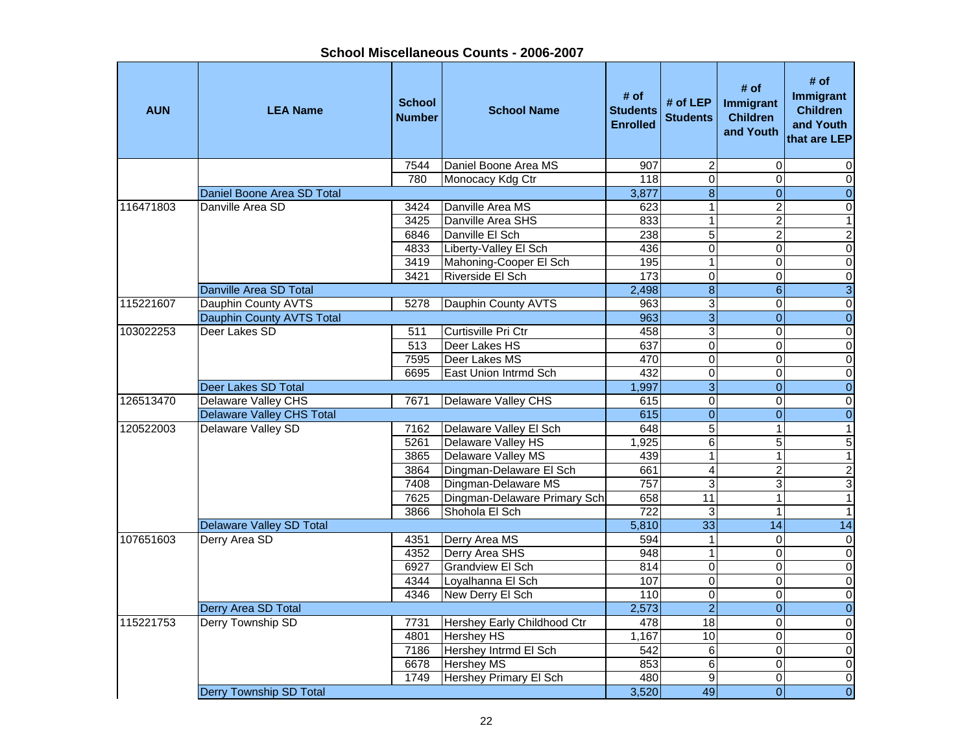| <b>AUN</b> | <b>LEA Name</b>                 | <b>School</b><br><b>Number</b> | <b>School Name</b>            | # of<br><b>Students</b><br><b>Enrolled</b> | # of LEP<br><b>Students</b> | # of<br>Immigrant<br><b>Children</b><br>and Youth | # of<br>Immigrant<br><b>Children</b><br>and Youth<br>that are LEP |
|------------|---------------------------------|--------------------------------|-------------------------------|--------------------------------------------|-----------------------------|---------------------------------------------------|-------------------------------------------------------------------|
|            |                                 | 7544                           | Daniel Boone Area MS          | 907                                        | $\boldsymbol{2}$            | $\mathbf 0$                                       | 0                                                                 |
|            |                                 | 780                            | Monocacy Kdg Ctr              | 118                                        | $\overline{0}$              | 0                                                 | $\mathbf 0$                                                       |
|            | Daniel Boone Area SD Total      |                                |                               | 3,877                                      | $\overline{8}$              | $\overline{0}$                                    | $\overline{0}$                                                    |
| 116471803  | Danville Area SD                | 3424                           | Danville Area MS              | 623                                        | $\mathbf{1}$                | $\overline{2}$                                    | $\overline{0}$                                                    |
|            |                                 | 3425                           | Danville Area SHS             | 833                                        | $\mathbf{1}$                | $\overline{2}$                                    | $\overline{1}$                                                    |
|            |                                 | 6846                           | Danville El Sch               | 238                                        | $\overline{5}$              | $\overline{2}$                                    | $\overline{2}$                                                    |
|            |                                 | 4833                           | Liberty-Valley El Sch         | 436                                        | $\overline{0}$              | $\mathbf 0$                                       | $\overline{0}$                                                    |
|            |                                 | 3419                           | Mahoning-Cooper El Sch        | 195                                        | $\mathbf{1}$                | 0                                                 | $\mathbf 0$                                                       |
|            |                                 | 3421                           | Riverside El Sch              | 173                                        | $\overline{0}$              | $\mathbf 0$                                       | $\overline{0}$                                                    |
|            | Danville Area SD Total          |                                |                               | 2,498                                      | $\overline{8}$              | $6 \overline{6}$                                  | $\overline{3}$                                                    |
| 115221607  | Dauphin County AVTS             | 5278                           | Dauphin County AVTS           | 963                                        | 3                           | $\mathsf 0$                                       | $\boldsymbol{0}$                                                  |
|            | Dauphin County AVTS Total       |                                |                               | 963                                        | $\overline{3}$              | $\overline{0}$                                    | $\overline{0}$                                                    |
| 103022253  | Deer Lakes SD                   | 511                            | Curtisville Pri Ctr           | 458                                        | 3                           | $\mathsf 0$                                       | $\mathbf 0$                                                       |
|            |                                 | $\overline{513}$               | Deer Lakes HS                 | 637                                        | $\overline{0}$              | $\overline{0}$                                    | $\overline{0}$                                                    |
|            |                                 | 7595                           | Deer Lakes MS                 | 470                                        | $\overline{0}$              | $\Omega$                                          | $\overline{0}$                                                    |
|            |                                 | 6695                           | East Union Intrmd Sch         | 432                                        | 0                           | $\Omega$                                          | $\overline{0}$                                                    |
|            | Deer Lakes SD Total             |                                |                               | 1,997                                      | $\overline{3}$              | $\mathbf{0}$                                      | $\overline{0}$                                                    |
| 126513470  | Delaware Valley CHS             | 7671                           | Delaware Valley CHS           | 615                                        | $\overline{0}$              | $\overline{0}$                                    | $\overline{0}$                                                    |
|            | Delaware Valley CHS Total       |                                |                               | 615                                        | $\overline{0}$              | $\mathbf{0}$                                      | $\overline{0}$                                                    |
| 120522003  | Delaware Valley SD              | 7162                           | Delaware Valley El Sch        | 648                                        | $\overline{5}$              | 1                                                 | $\overline{1}$                                                    |
|            |                                 | 5261                           | Delaware Valley HS            | 1,925                                      | 6                           | 5                                                 | $\overline{5}$                                                    |
|            |                                 | 3865                           | Delaware Valley MS            | 439                                        | $\mathbf{1}$                | $\mathbf{1}$                                      | $\overline{1}$                                                    |
|            |                                 | 3864                           | Dingman-Delaware El Sch       | 661                                        | 4                           | $\overline{2}$                                    | $\overline{2}$                                                    |
|            |                                 | 7408                           | Dingman-Delaware MS           | 757                                        | 3                           | 3                                                 | $\overline{3}$                                                    |
|            |                                 | 7625                           | Dingman-Delaware Primary Sch  | 658                                        | 11                          | $\overline{1}$                                    | $\overline{1}$                                                    |
|            |                                 | 3866                           | Shohola El Sch                | 722                                        | $\mathbf 3$                 | $\mathbf{1}$                                      | $\overline{1}$                                                    |
|            | <b>Delaware Valley SD Total</b> |                                |                               | 5,810                                      | 33                          | 14                                                | 14                                                                |
| 107651603  | Derry Area SD                   | 4351                           | Derry Area MS                 | 594                                        | $\mathbf{1}$                | $\mathbf 0$                                       | $\overline{0}$                                                    |
|            |                                 | 4352                           | <b>Derry Area SHS</b>         | $\overline{948}$                           | $\mathbf{1}$                | $\mathbf 0$                                       | $\overline{0}$                                                    |
|            |                                 | 6927                           | <b>Grandview El Sch</b>       | 814                                        | $\pmb{0}$                   | $\mathsf 0$                                       | $\overline{0}$                                                    |
|            |                                 | 4344                           | Loyalhanna El Sch             | 107                                        | $\overline{0}$              | $\mathbf 0$                                       | $\overline{0}$                                                    |
|            |                                 | 4346                           | New Derry El Sch              | 110                                        | $\pmb{0}$                   | $\mathsf 0$                                       | $\overline{0}$                                                    |
|            | Derry Area SD Total             |                                |                               | 2,573                                      | $\overline{2}$              | $\overline{0}$                                    | $\overline{0}$                                                    |
| 115221753  | Derry Township SD               | 7731                           | Hershey Early Childhood Ctr   | 478                                        | 18                          | $\Omega$                                          | $\mathbf 0$                                                       |
|            |                                 | 4801                           | <b>Hershey HS</b>             | 1,167                                      | 10                          | $\overline{0}$                                    | $\mathbf 0$                                                       |
|            |                                 | 7186                           | Hershey Intrmd El Sch         | 542                                        | 6                           | $\mathbf 0$                                       | $\mathbf 0$                                                       |
|            |                                 | 6678                           | <b>Hershey MS</b>             | 853                                        | 6                           | 0                                                 | $\pmb{0}$                                                         |
|            |                                 | 1749                           | <b>Hershey Primary El Sch</b> | 480                                        | 9                           | 0                                                 | $\mathbf 0$                                                       |
|            | <b>Derry Township SD Total</b>  |                                |                               | 3,520                                      | 49                          | $\overline{0}$                                    | $\overline{0}$                                                    |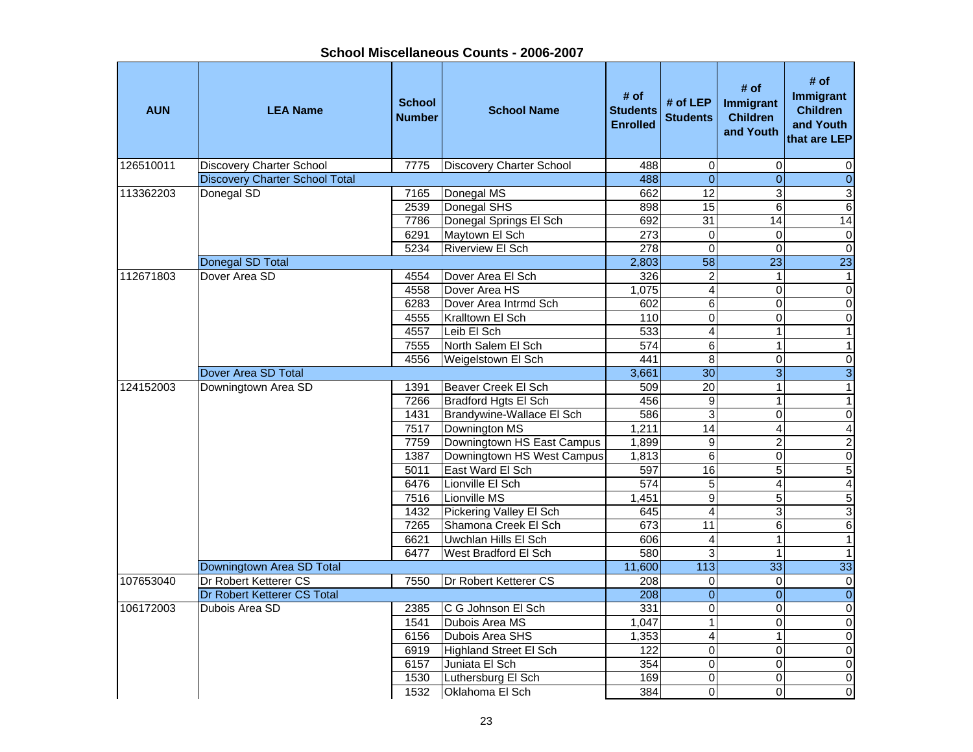**School Miscellaneous Counts - 2006-2007**

| <b>AUN</b> | <b>LEA Name</b>                                      | <b>School</b><br><b>Number</b> | <b>School Name</b>              | # of<br><b>Students</b><br><b>Enrolled</b> | # of $LEP$<br><b>Students</b> | # of<br>Immigrant<br><b>Children</b><br>and Youth | # of<br>Immigrant<br><b>Children</b><br>and Youth<br>that are LEP |
|------------|------------------------------------------------------|--------------------------------|---------------------------------|--------------------------------------------|-------------------------------|---------------------------------------------------|-------------------------------------------------------------------|
| 126510011  | <b>Discovery Charter School</b>                      | 7775                           | <b>Discovery Charter School</b> | 488                                        | $\mathbf 0$                   | $\mathbf 0$                                       | 0                                                                 |
|            | <b>Discovery Charter School Total</b>                |                                |                                 | 488                                        | $\overline{0}$                | $\mathbf{0}$                                      | $\pmb{0}$                                                         |
| 113362203  | Donegal SD                                           | 7165                           | Donegal MS                      | 662                                        | 12                            | 3                                                 | 3                                                                 |
|            |                                                      | 2539                           | Donegal SHS                     | 898                                        | $\overline{15}$               | 6                                                 | 6                                                                 |
|            |                                                      | 7786                           | Donegal Springs El Sch          | 692                                        | $\overline{31}$               | 14                                                | $\overline{14}$                                                   |
|            |                                                      | 6291                           | Maytown El Sch                  | 273                                        | $\mathbf 0$                   | $\mathbf 0$                                       | $\pmb{0}$                                                         |
|            |                                                      | 5234                           | <b>Riverview El Sch</b>         | 278                                        | $\overline{0}$                | $\Omega$                                          | $\overline{0}$                                                    |
|            | Donegal SD Total                                     |                                |                                 | 2,803                                      | $\overline{58}$               | 23                                                | $\overline{23}$                                                   |
| 112671803  | Dover Area SD                                        | 4554                           | Dover Area El Sch               | 326                                        | $\overline{2}$                | $\mathbf{1}$                                      | $\mathbf{1}$                                                      |
|            |                                                      | 4558                           | Dover Area HS                   | 1,075                                      | $\overline{\mathbf{4}}$       | $\mathbf 0$                                       | $\mathbf 0$                                                       |
|            |                                                      | 6283                           | Dover Area Intrmd Sch           | 602                                        | $\overline{6}$                | $\mathbf 0$                                       | $\pmb{0}$                                                         |
|            |                                                      | 4555                           | Kralltown El Sch                | 110                                        | $\overline{0}$                | $\Omega$                                          | $\overline{0}$                                                    |
|            |                                                      | 4557                           | Leib El Sch                     | 533                                        | 4                             | 1                                                 | $\mathbf{1}$                                                      |
|            |                                                      | 7555                           | North Salem El Sch              | 574                                        | 6                             | 1                                                 | $\mathbf{1}$                                                      |
|            |                                                      | 4556                           | Weigelstown El Sch              | 441                                        | $\overline{8}$                | $\Omega$                                          | 0                                                                 |
|            | <b>Dover Area SD Total</b>                           |                                |                                 | 3,661                                      | $\overline{30}$               | $\overline{3}$                                    | $\overline{3}$                                                    |
| 124152003  | Downingtown Area SD                                  | 1391                           | Beaver Creek El Sch             | 509                                        | 20                            | 1                                                 | $\overline{1}$                                                    |
|            |                                                      | 7266                           | <b>Bradford Hgts El Sch</b>     | 456                                        | $\overline{9}$                | $\mathbf{1}$                                      | $\mathbf{1}$                                                      |
|            |                                                      | 1431                           | Brandywine-Wallace El Sch       | 586                                        | 3                             | $\mathbf 0$                                       | $\pmb{0}$                                                         |
|            |                                                      | 7517                           | Downington MS                   | 1,211                                      | $\overline{14}$               | $\overline{\mathbf{4}}$                           | $\overline{4}$                                                    |
|            |                                                      | 7759                           | Downingtown HS East Campus      | 1,899                                      | 9                             | $\overline{c}$                                    | $\overline{2}$                                                    |
|            |                                                      | 1387                           | Downingtown HS West Campus      | 1,813                                      | 6                             | 0                                                 | $\overline{0}$                                                    |
|            |                                                      | 5011                           | East Ward El Sch                | 597                                        | 16                            | 5                                                 | $\overline{5}$                                                    |
|            |                                                      | 6476                           | Lionville El Sch                | $\overline{574}$                           | 5                             | 4                                                 | $\overline{4}$                                                    |
|            |                                                      | 7516                           | Lionville MS                    | 1,451                                      | $\overline{9}$                | 5                                                 | $\overline{5}$                                                    |
|            |                                                      | 1432                           | Pickering Valley El Sch         | 645                                        | $\overline{4}$                | 3                                                 | $\overline{3}$                                                    |
|            |                                                      | 7265                           | Shamona Creek El Sch            | 673                                        | $\overline{11}$               | 6                                                 | 6                                                                 |
|            |                                                      | 6621                           | Uwchlan Hills El Sch            | 606                                        | $\overline{\mathbf{4}}$       | 1                                                 | $\overline{1}$                                                    |
|            |                                                      | 6477                           | West Bradford El Sch            | 580                                        | 3                             | 1                                                 | $\mathbf{1}$                                                      |
|            | Downingtown Area SD Total                            |                                |                                 | 11,600                                     | $\overline{113}$              | 33                                                | 33                                                                |
| 107653040  | Dr Robert Ketterer CS<br>Dr Robert Ketterer CS Total | 7550                           | Dr Robert Ketterer CS           | $\overline{208}$<br>208                    | $\Omega$                      | $\Omega$                                          | $\pmb{0}$                                                         |
|            |                                                      |                                |                                 |                                            | $\overline{0}$                | $\mathbf{0}$                                      | $\overline{0}$                                                    |
| 106172003  | Dubois Area SD                                       | 2385                           | C G Johnson El Sch              | 331                                        | 0<br>$\overline{1}$           | $\mathbf 0$                                       | $\pmb{0}$                                                         |
|            |                                                      | 1541                           | Dubois Area MS                  | 1.047                                      |                               | $\Omega$                                          | $\overline{0}$                                                    |
|            |                                                      | 6156                           | Dubois Area SHS                 | 1,353                                      | 4                             | 1                                                 | $\mathbf 0$                                                       |
|            |                                                      | 6919                           | <b>Highland Street El Sch</b>   | 122                                        | $\overline{\mathsf{o}}$       | $\mathbf 0$<br>$\mathbf 0$                        | $\boldsymbol{0}$                                                  |
|            |                                                      | 6157                           | Juniata El Sch                  | 354                                        | $\overline{0}$                |                                                   | $\overline{0}$<br>$\overline{0}$                                  |
|            |                                                      | 1530<br>1532                   | Luthersburg El Sch              | 169<br>384                                 | 0<br>0                        | 0<br>$\Omega$                                     | O                                                                 |
|            |                                                      |                                | Oklahoma El Sch                 |                                            |                               |                                                   |                                                                   |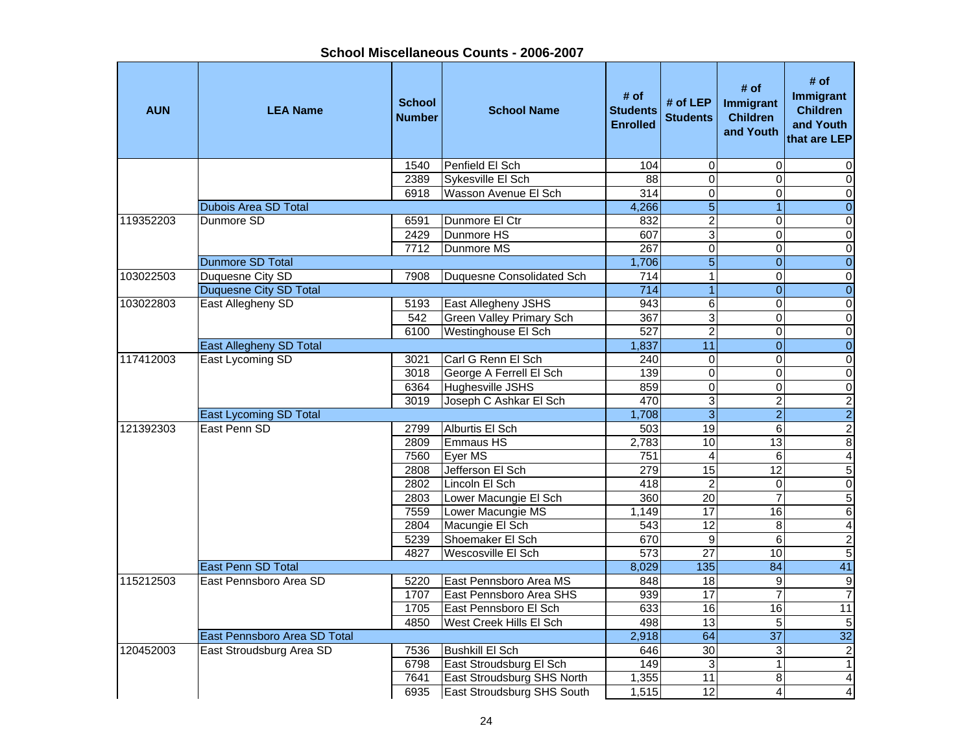**School Miscellaneous Counts - 2006-2007**

| <b>AUN</b> | <b>LEA Name</b>                | <b>School</b><br><b>Number</b> | <b>School Name</b>                | # of<br><b>Students</b><br><b>Enrolled</b> | # of $LEP$<br><b>Students</b> | # of<br>Immigrant<br><b>Children</b><br>and Youth | # of<br><b>Immigrant</b><br><b>Children</b><br>and Youth<br>that are LEP |
|------------|--------------------------------|--------------------------------|-----------------------------------|--------------------------------------------|-------------------------------|---------------------------------------------------|--------------------------------------------------------------------------|
|            |                                | 1540                           | Penfield El Sch                   | 104                                        | 0                             | $\mathbf 0$                                       | 0                                                                        |
|            |                                | 2389                           | Sykesville El Sch                 | 88                                         | $\overline{0}$                | $\Omega$                                          | $\mathbf 0$                                                              |
|            |                                | 6918                           | Wasson Avenue El Sch              | $\overline{314}$                           | $\overline{0}$                | $\Omega$                                          | $\pmb{0}$                                                                |
|            | <b>Dubois Area SD Total</b>    |                                |                                   | 4,266                                      | $\overline{5}$                |                                                   | $\boldsymbol{0}$                                                         |
| 119352203  | Dunmore SD                     | 6591                           | Dunmore El Ctr                    | 832                                        | $\overline{\mathbf{c}}$       | 0                                                 | $\pmb{0}$                                                                |
|            |                                | 2429                           | Dunmore HS                        | 607                                        | $\overline{3}$                | $\Omega$                                          | $\overline{0}$                                                           |
|            |                                | 7712                           | Dunmore MS                        | 267                                        | $\overline{0}$                | $\overline{0}$                                    | $\overline{\mathsf{o}}$                                                  |
|            | <b>Dunmore SD Total</b>        |                                |                                   | 1,706                                      | $\overline{5}$                | $\overline{0}$                                    | $\overline{0}$                                                           |
| 103022503  | Duquesne City SD               | 7908                           | Duquesne Consolidated Sch         | 714                                        | $\mathbf{1}$                  | $\Omega$                                          | $\overline{\mathsf{o}}$                                                  |
|            | <b>Duquesne City SD Total</b>  |                                |                                   | $\overline{714}$                           | $\overline{1}$                | $\overline{0}$                                    | $\overline{0}$                                                           |
| 103022803  | East Allegheny SD              | 5193                           | East Allegheny JSHS               | 943                                        | 6                             | $\overline{0}$                                    | $\pmb{0}$                                                                |
|            |                                | 542                            | <b>Green Valley Primary Sch</b>   | 367                                        | $\overline{3}$                | 0                                                 | $\overline{\mathsf{o}}$                                                  |
|            |                                | 6100                           | Westinghouse El Sch               | 527                                        | $\overline{2}$                | $\mathbf 0$                                       | $\pmb{0}$                                                                |
|            | <b>East Allegheny SD Total</b> |                                |                                   | 1,837                                      | 11                            | $\overline{0}$                                    | $\overline{0}$                                                           |
| 117412003  | East Lycoming SD               | 3021                           | Carl G Renn El Sch                | 240                                        | $\mathbf 0$                   | $\Omega$                                          | $\pmb{0}$                                                                |
|            |                                | 3018                           | George A Ferrell El Sch           | 139                                        | $\overline{0}$                | $\mathbf 0$                                       | $\pmb{0}$                                                                |
|            |                                | 6364                           | Hughesville JSHS                  | 859                                        | $\overline{0}$                | $\Omega$                                          | $\overline{0}$                                                           |
|            |                                | 3019                           | Joseph C Ashkar El Sch            | 470                                        | $\overline{3}$                | $\overline{2}$                                    | $\overline{2}$                                                           |
|            | East Lycoming SD Total         |                                |                                   | 1,708                                      | $\overline{3}$                | $\overline{2}$                                    | $\overline{2}$                                                           |
| 121392303  | East Penn SD                   | 2799                           | Alburtis El Sch                   | 503                                        | 19                            | $6\phantom{a}$                                    | $\overline{2}$                                                           |
|            |                                | 2809                           | Emmaus HS                         | 2,783                                      | 10                            | $\overline{13}$                                   | 8                                                                        |
|            |                                | 7560                           | Eyer MS                           | 751                                        | $\overline{\mathbf{4}}$       | $\,6$                                             | $\overline{4}$                                                           |
|            |                                | 2808                           | Jefferson El Sch                  | 279                                        | 15                            | $\overline{12}$                                   | $\overline{5}$                                                           |
|            |                                | 2802                           | Lincoln El Sch                    | 418                                        | $\overline{c}$                | $\mathbf 0$                                       | $\mathbf 0$                                                              |
|            |                                | 2803                           | Lower Macungie El Sch             | 360                                        | 20                            | $\overline{7}$                                    | 5                                                                        |
|            |                                | 7559                           | Lower Macungie MS                 | 1.149                                      | 17                            | 16                                                | 6                                                                        |
|            |                                | 2804                           | Macungie El Sch                   | 543                                        | 12                            | 8                                                 | 4                                                                        |
|            |                                | 5239                           | Shoemaker El Sch                  | 670                                        | $\overline{9}$                | 6                                                 | $\overline{2}$                                                           |
|            |                                | 4827                           | Wescosville El Sch                | $\overline{573}$                           | $\overline{27}$               | 10                                                | $\overline{5}$                                                           |
|            | East Penn SD Total             |                                |                                   | 8,029                                      | $\overline{135}$              | 84                                                | 41                                                                       |
| 115212503  | East Pennsboro Area SD         | 5220                           | East Pennsboro Area MS            | 848                                        | 18                            | $\overline{9}$                                    | G)                                                                       |
|            |                                | 1707                           | East Pennsboro Area SHS           | 939                                        | 17                            | $\overline{7}$                                    | $\overline{7}$                                                           |
|            |                                | 1705                           | East Pennsboro El Sch             | 633                                        | 16                            | 16                                                | 11                                                                       |
|            |                                | 4850                           | West Creek Hills El Sch           | 498                                        | $\overline{13}$               | 5                                                 | $\sqrt{5}$                                                               |
|            | East Pennsboro Area SD Total   |                                |                                   | 2,918                                      | 64                            | 37                                                | 32                                                                       |
| 120452003  | East Stroudsburg Area SD       | 7536                           | <b>Bushkill El Sch</b>            | 646                                        | 30                            | $\mathbf{3}$                                      | $\sqrt{2}$                                                               |
|            |                                | 6798                           | East Stroudsburg El Sch           | 149                                        | $\overline{3}$                | $\mathbf{1}$                                      | $\mathbf{1}$                                                             |
|            |                                | 7641                           | East Stroudsburg SHS North        | 1,355                                      | 11                            | 8                                                 | $\overline{\mathbf{r}}$                                                  |
|            |                                | 6935                           | <b>East Stroudsburg SHS South</b> | 1,515                                      | 12                            | 4                                                 | $\overline{\mathbf{A}}$                                                  |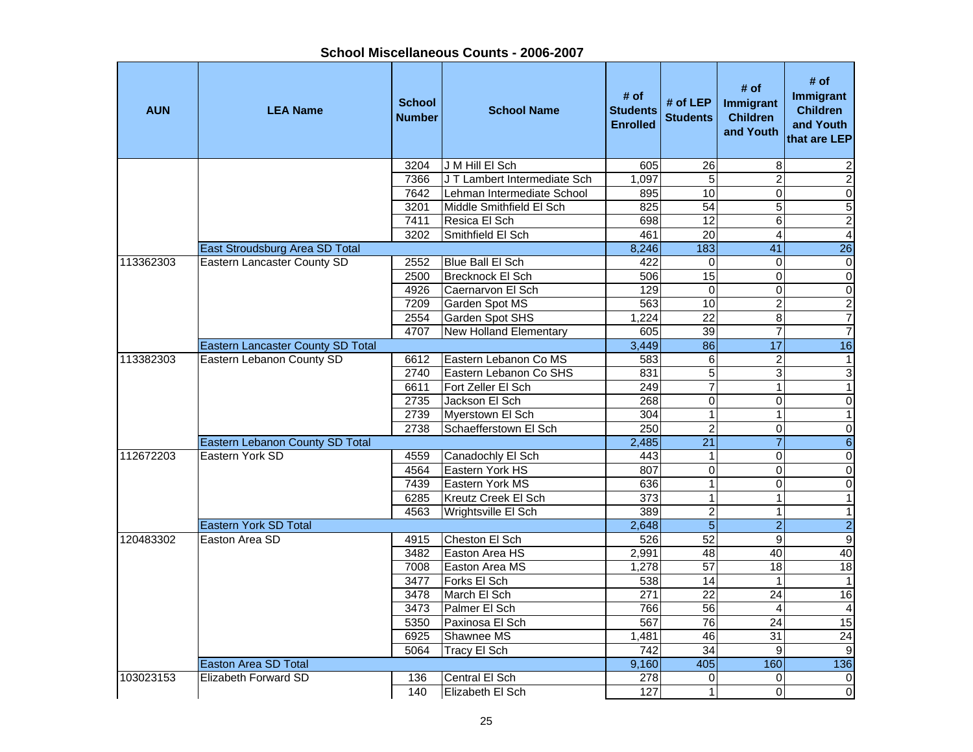| School Miscellaneous Counts - 2006-2007 |  |
|-----------------------------------------|--|
|-----------------------------------------|--|

| <b>AUN</b> | <b>LEA Name</b>                   | <b>School</b><br><b>Number</b> | <b>School Name</b>            | # of<br><b>Students</b><br><b>Enrolled</b> | # of $LEP$<br><b>Students</b> | # of<br>Immigrant<br><b>Children</b><br>and Youth | # of<br>Immigrant<br><b>Children</b><br>and Youth<br>that are LEP |
|------------|-----------------------------------|--------------------------------|-------------------------------|--------------------------------------------|-------------------------------|---------------------------------------------------|-------------------------------------------------------------------|
|            |                                   | 3204                           | J M Hill El Sch               | 605                                        | 26                            | 8                                                 | 2                                                                 |
|            |                                   | 7366                           | J T Lambert Intermediate Sch  | 1.097                                      | 5                             | $\overline{c}$                                    | $\overline{c}$                                                    |
|            |                                   | 7642                           | Lehman Intermediate School    | 895                                        | 10                            | $\overline{0}$                                    | $\overline{0}$                                                    |
|            |                                   | 3201                           | Middle Smithfield El Sch      | 825                                        | 54                            | $\overline{5}$                                    | $\overline{5}$                                                    |
|            |                                   | 7411                           | Resica El Sch                 | 698                                        | $\overline{12}$               | 6                                                 | $\overline{2}$                                                    |
|            |                                   | 3202                           | Smithfield El Sch             | 461                                        | $\overline{20}$               | $\overline{4}$                                    | $\overline{4}$                                                    |
|            | East Stroudsburg Area SD Total    |                                |                               | 8,246                                      | 183                           | $\overline{41}$                                   | $\overline{26}$                                                   |
| 113362303  | Eastern Lancaster County SD       | 2552                           | Blue Ball El Sch              | 422                                        | $\mathbf 0$                   | $\Omega$                                          | $\pmb{0}$                                                         |
|            |                                   | 2500                           | Brecknock El Sch              | 506                                        | 15                            | $\overline{0}$                                    | $\overline{\mathsf{o}}$                                           |
|            |                                   | 4926                           | Caernarvon El Sch             | 129                                        | $\mathbf 0$                   | $\mathbf 0$                                       | $\mathbf 0$                                                       |
|            |                                   | 7209<br>2554                   | Garden Spot MS                | 563                                        | 10<br>$\overline{22}$         | $\overline{c}$<br>$\overline{8}$                  | $\overline{2}$                                                    |
|            |                                   | 4707                           | <b>Garden Spot SHS</b>        | 1,224<br>605                               | 39                            | $\overline{7}$                                    | $\overline{7}$<br>$\overline{7}$                                  |
|            | Eastern Lancaster County SD Total |                                | <b>New Holland Elementary</b> | 3,449                                      | 86                            | $\overline{17}$                                   | 16                                                                |
| 113382303  | Eastern Lebanon County SD         | 6612                           | Eastern Lebanon Co MS         | 583                                        | $\,6$                         | $\overline{c}$                                    | $\mathbf{1}$                                                      |
|            |                                   | 2740                           | Eastern Lebanon Co SHS        | 831                                        | $\overline{5}$                | 3                                                 | 3                                                                 |
|            |                                   | 6611                           | Fort Zeller El Sch            | 249                                        | 7                             | 1                                                 | $\overline{1}$                                                    |
|            |                                   | 2735                           | Jackson El Sch                | 268                                        | $\overline{0}$                | 0                                                 | $\pmb{0}$                                                         |
|            |                                   | 2739                           | Myerstown El Sch              | 304                                        | $\mathbf 1$                   | $\mathbf{1}$                                      | $\mathbf{1}$                                                      |
|            |                                   | 2738                           | Schaefferstown El Sch         | $\overline{250}$                           | $\overline{2}$                | $\Omega$                                          | $\mathbf 0$                                                       |
|            | Eastern Lebanon County SD Total   |                                |                               | 2,485                                      | 21                            | $\overline{7}$                                    | $\boldsymbol{6}$                                                  |
| 112672203  | Eastern York SD                   | 4559                           | Canadochly El Sch             | 443                                        | $\mathbf 1$                   | $\mathbf 0$                                       | $\overline{0}$                                                    |
|            |                                   | 4564                           | Eastern York HS               | 807                                        | $\mathbf 0$                   | $\overline{0}$                                    | $\overline{\mathsf{o}}$                                           |
|            |                                   | 7439                           | Eastern York MS               | 636                                        | $\overline{1}$                | 0                                                 | $\pmb{0}$                                                         |
|            |                                   | 6285                           | Kreutz Creek El Sch           | 373                                        | $\overline{1}$                | $\mathbf{1}$                                      | $\overline{1}$                                                    |
|            |                                   | 4563                           | Wrightsville El Sch           | 389                                        | $\overline{2}$                | 1                                                 | $\mathbf{1}$                                                      |
|            | <b>Eastern York SD Total</b>      |                                |                               | 2,648                                      | $\overline{5}$                | $\overline{2}$                                    | $\overline{2}$                                                    |
| 120483302  | Easton Area SD                    | 4915                           | Cheston El Sch                | 526                                        | $\overline{52}$               | 9                                                 | $\boldsymbol{9}$                                                  |
|            |                                   | 3482                           | Easton Area HS                | 2,991                                      | 48                            | 40                                                | 40                                                                |
|            |                                   | 7008                           | Easton Area MS                | 1,278                                      | 57                            | $\overline{18}$                                   | 18                                                                |
|            |                                   | 3477                           | Forks El Sch                  | 538                                        | 14                            | $\mathbf{1}$                                      | $\overline{1}$                                                    |
|            |                                   | 3478                           | March El Sch                  | 271                                        | $\overline{22}$               | $\overline{24}$                                   | 16                                                                |
|            |                                   | 3473                           | Palmer El Sch                 | 766                                        | 56                            | $\overline{\mathbf{4}}$                           | $\overline{4}$                                                    |
|            |                                   | 5350                           | Paxinosa El Sch               | 567                                        | 76                            | 24                                                | 15                                                                |
|            |                                   | 6925                           | Shawnee MS                    | 1,481                                      | 46                            | 31                                                | $\overline{24}$                                                   |
|            |                                   | 5064                           | Tracy El Sch                  | $\overline{742}$                           | $\overline{34}$               | 9                                                 | $\boldsymbol{9}$                                                  |
|            | <b>Easton Area SD Total</b>       |                                |                               | 9,160                                      | 405                           | 160                                               | 136                                                               |
| 103023153  | Elizabeth Forward SD              | 136                            | Central El Sch                | 278                                        | 0                             | $\mathbf 0$                                       | $\mathbf 0$                                                       |
|            |                                   | 140                            | Elizabeth El Sch              | 127                                        | $\overline{1}$                | $\Omega$                                          | $\overline{\mathsf{o}}$                                           |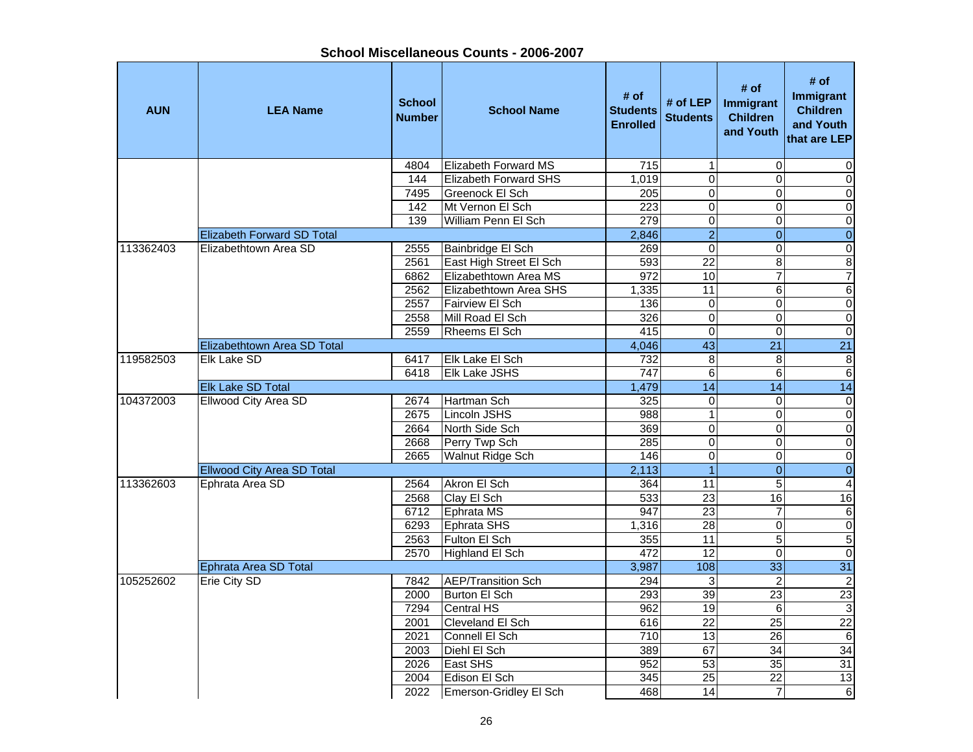| <b>AUN</b> | <b>LEA Name</b>                   | <b>School</b><br><b>Number</b> | <b>School Name</b>           | # of<br><b>Students</b><br><b>Enrolled</b> | # of LEP<br><b>Students</b> | # of<br>Immigrant<br><b>Children</b><br>and Youth | # of<br>Immigrant<br><b>Children</b><br>and Youth<br>that are LEP |
|------------|-----------------------------------|--------------------------------|------------------------------|--------------------------------------------|-----------------------------|---------------------------------------------------|-------------------------------------------------------------------|
|            |                                   | 4804                           | <b>Elizabeth Forward MS</b>  | 715                                        | $\mathbf 1$                 | $\mathbf 0$                                       | 0                                                                 |
|            |                                   | 144                            | <b>Elizabeth Forward SHS</b> | 1.019                                      | $\mathbf 0$                 | $\Omega$                                          | $\pmb{0}$                                                         |
|            |                                   | 7495                           | Greenock El Sch              | 205                                        | $\mathbf 0$                 | 0                                                 | $\pmb{0}$                                                         |
|            |                                   | 142                            | Mt Vernon El Sch             | 223                                        | $\overline{\mathsf{o}}$     | $\overline{0}$                                    | $\overline{\mathsf{o}}$                                           |
|            |                                   | 139                            | William Penn El Sch          | $\overline{279}$                           | $\overline{\mathsf{o}}$     | 0                                                 | $\overline{0}$                                                    |
|            | <b>Elizabeth Forward SD Total</b> |                                |                              | 2,846                                      | $\overline{2}$              | $\overline{0}$                                    | $\overline{0}$                                                    |
| 113362403  | Elizabethtown Area SD             | 2555                           | Bainbridge El Sch            | 269                                        | $\overline{0}$              | 0                                                 | $\overline{\mathbf{o}}$                                           |
|            |                                   | 2561                           | East High Street El Sch      | 593                                        | $\overline{22}$             | 8                                                 | $\overline{8}$                                                    |
|            |                                   | 6862                           | Elizabethtown Area MS        | 972                                        | $\overline{10}$             | $\overline{7}$                                    | $\overline{7}$                                                    |
|            |                                   | 2562                           | Elizabethtown Area SHS       | 1,335                                      | 11                          | 6                                                 | $\,6$                                                             |
|            |                                   | 2557                           | Fairview El Sch              | 136                                        | $\pmb{0}$                   | 0                                                 | $\overline{\mathsf{o}}$                                           |
|            |                                   | 2558                           | Mill Road El Sch             | 326                                        | $\overline{0}$              | 0                                                 | $\overline{\mathsf{o}}$                                           |
|            |                                   | 2559                           | <b>Rheems El Sch</b>         | 415                                        | $\overline{0}$              | 0                                                 | $\overline{0}$                                                    |
|            | Elizabethtown Area SD Total       |                                |                              | 4,046                                      | 43                          | $\overline{21}$                                   | $\overline{21}$                                                   |
| 119582503  | Elk Lake SD                       | 6417                           | Elk Lake El Sch              | 732                                        | 8                           | 8                                                 | $\overline{\mathbf{8}}$                                           |
|            |                                   | 6418                           | <b>Elk Lake JSHS</b>         | 747                                        | $\,6$                       | 6                                                 | $\sigma$                                                          |
|            | <b>Elk Lake SD Total</b>          |                                |                              | 1,479                                      | 14                          | $\overline{14}$                                   | 14                                                                |
| 104372003  | Ellwood City Area SD              | 2674                           | Hartman Sch                  | 325                                        | $\mathbf 0$                 | 0                                                 | $\overline{0}$                                                    |
|            |                                   | 2675                           | Lincoln JSHS                 | 988                                        | $\overline{1}$              | $\mathbf 0$                                       | $\overline{0}$                                                    |
|            |                                   | 2664                           | North Side Sch               | 369                                        | $\overline{0}$              | $\mathbf 0$                                       | $\overline{\mathsf{o}}$                                           |
|            |                                   | 2668                           | Perry Twp Sch                | 285                                        | $\mathbf 0$                 | 0                                                 | $\mathbf 0$                                                       |
|            |                                   | 2665                           | Walnut Ridge Sch             | 146                                        | $\mathbf 0$                 | 0                                                 | $\pmb{0}$                                                         |
|            | <b>Ellwood City Area SD Total</b> |                                |                              | 2,113                                      | $\overline{1}$              | $\mathbf{0}$                                      | $\pmb{0}$                                                         |
| 113362603  | Ephrata Area SD                   | 2564                           | Akron El Sch                 | 364                                        | $\overline{11}$             | 5                                                 | $\overline{4}$                                                    |
|            |                                   | 2568                           | Clay El Sch                  | 533                                        | $\overline{23}$             | 16                                                | 16                                                                |
|            |                                   | 6712                           | Ephrata MS                   | 947                                        | $\overline{23}$             | $\overline{7}$                                    | $\,6$                                                             |
|            |                                   | 6293                           | Ephrata SHS                  | 1,316                                      | 28                          | 0                                                 | $\overline{0}$                                                    |
|            |                                   | 2563                           | Fulton El Sch                | 355                                        | 11                          | $\overline{5}$                                    | $\overline{5}$                                                    |
|            |                                   | 2570                           | Highland El Sch              | 472                                        | 12                          | 0                                                 | $\pmb{0}$                                                         |
|            | Ephrata Area SD Total             |                                |                              | 3,987                                      | 108                         | 33                                                | 31                                                                |
| 105252602  | Erie City SD                      | 7842                           | <b>AEP/Transition Sch</b>    | 294                                        | 3                           | $\overline{2}$                                    | $\overline{2}$                                                    |
|            |                                   | 2000                           | Burton El Sch                | 293                                        | $\overline{39}$             | $\overline{23}$                                   | $\overline{23}$                                                   |
|            |                                   | 7294                           | Central HS                   | 962                                        | 19                          | 6                                                 | $\sqrt{3}$                                                        |
|            |                                   | 2001                           | Cleveland El Sch             | 616                                        | $\overline{22}$             | $\overline{25}$                                   | $\overline{22}$                                                   |
|            |                                   | 2021                           | Connell El Sch               | 710                                        | 13                          | 26                                                | $\Theta$                                                          |
|            |                                   | 2003                           | Diehl El Sch                 | 389                                        | 67                          | $\overline{34}$                                   | $\overline{34}$                                                   |
|            |                                   | 2026                           | <b>East SHS</b>              | 952                                        | 53                          | $\overline{35}$                                   | 31                                                                |
|            |                                   | 2004                           | Edison El Sch                | 345                                        | $\overline{25}$             | 22                                                | 13                                                                |
|            |                                   | 2022                           | Emerson-Gridley El Sch       | 468                                        | $\overline{14}$             | $\overline{7}$                                    | $\,6$                                                             |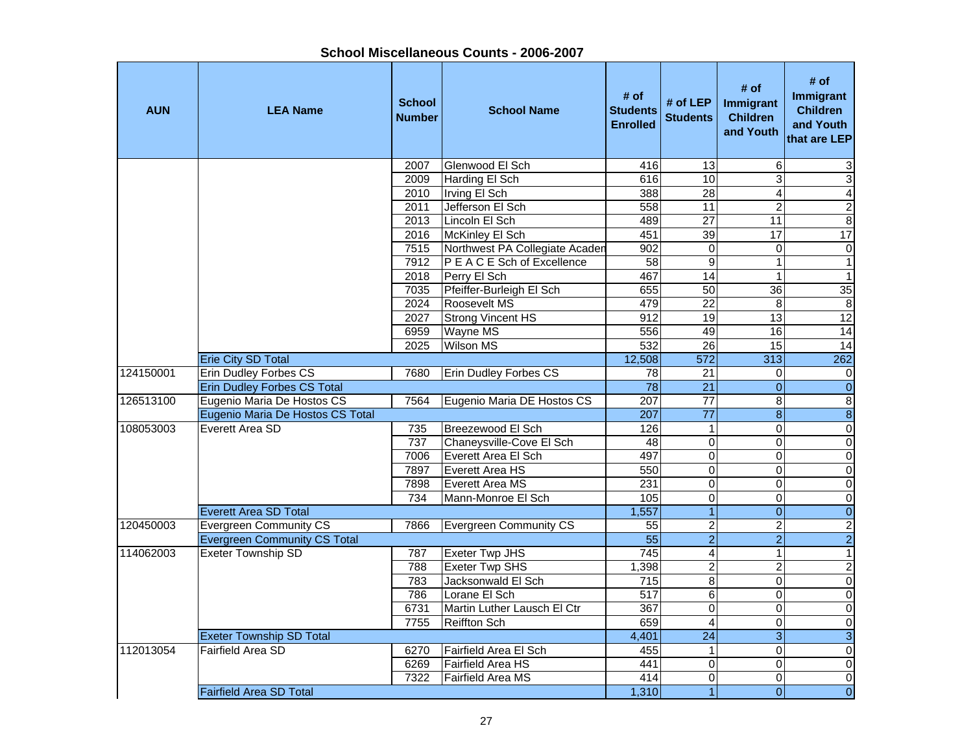|            |                                     |                                | SHOOL MISCENGHEOUS OOUNLS - ZOOO-ZOOT |                                            |                             |                                                   |                                                                   |
|------------|-------------------------------------|--------------------------------|---------------------------------------|--------------------------------------------|-----------------------------|---------------------------------------------------|-------------------------------------------------------------------|
| <b>AUN</b> | <b>LEA Name</b>                     | <b>School</b><br><b>Number</b> | <b>School Name</b>                    | # of<br><b>Students</b><br><b>Enrolled</b> | # of LEP<br><b>Students</b> | # of<br>Immigrant<br><b>Children</b><br>and Youth | # of<br>Immigrant<br><b>Children</b><br>and Youth<br>that are LEP |
|            |                                     | 2007                           | Glenwood El Sch                       | 416                                        | 13                          | 6                                                 | 3                                                                 |
|            |                                     | 2009                           | Harding El Sch                        | 616                                        | $\overline{10}$             | 3                                                 | 3                                                                 |
|            |                                     | 2010                           | Irving El Sch                         | 388                                        | $\overline{28}$             | 4                                                 | $\overline{4}$                                                    |
|            |                                     | 2011                           | Jefferson El Sch                      | 558                                        | 11                          | $\overline{2}$                                    | $\frac{2}{8}$                                                     |
|            |                                     | 2013                           | Lincoln El Sch                        | 489                                        | 27                          | $\overline{11}$                                   |                                                                   |
|            |                                     | 2016                           | McKinley El Sch                       | 451                                        | 39                          | $\overline{17}$                                   | 17                                                                |
|            |                                     | 7515                           | Northwest PA Collegiate Acaden        | 902                                        | 0                           | $\mathbf 0$                                       | $\overline{0}$                                                    |
|            |                                     | 7912                           | P E A C E Sch of Excellence           | 58                                         | $9\,$                       | 1                                                 | $\overline{1}$                                                    |
|            |                                     | 2018                           | Perry El Sch                          | 467                                        | 14                          | $\mathbf{1}$                                      | $\overline{1}$                                                    |
|            |                                     | 7035                           | Pfeiffer-Burleigh El Sch              | 655                                        | 50                          | $\overline{36}$                                   | 35                                                                |
|            |                                     | 2024                           | Roosevelt MS                          | 479                                        | 22                          | 8                                                 | 8                                                                 |
|            |                                     | 2027                           | <b>Strong Vincent HS</b>              | 912                                        | $\overline{19}$             | $\overline{13}$                                   | 12                                                                |
|            |                                     | 6959                           | Wayne MS                              | 556                                        | 49                          | 16                                                | 14                                                                |
|            |                                     | 2025                           | <b>Wilson MS</b>                      | 532                                        | 26                          | $\overline{15}$                                   | 14                                                                |
|            | <b>Erie City SD Total</b>           |                                |                                       | 12,508                                     | 572                         | 313                                               | 262                                                               |
| 124150001  | <b>Erin Dudley Forbes CS</b>        | 7680                           | Erin Dudley Forbes CS                 | 78                                         | 21                          | 0                                                 | $\mathbf 0$                                                       |
|            | <b>Erin Dudley Forbes CS Total</b>  |                                |                                       | 78                                         | $\overline{21}$             | $\boldsymbol{0}$                                  | $\overline{0}$                                                    |
| 126513100  | Eugenio Maria De Hostos CS          | 7564                           | Eugenio Maria DE Hostos CS            | $\overline{207}$                           | $\overline{77}$             | 8                                                 | $\overline{8}$                                                    |
|            | Eugenio Maria De Hostos CS Total    |                                |                                       | 207                                        | $\overline{77}$             | $\bf8$                                            | $\overline{8}$                                                    |
| 108053003  | Everett Area SD                     | 735                            | Breezewood El Sch                     | 126                                        | $\mathbf{1}$                | 0                                                 | $\overline{0}$                                                    |
|            |                                     | 737                            | Chaneysville-Cove El Sch              | 48                                         | 0                           | 0                                                 | $\overline{0}$                                                    |
|            |                                     | 7006                           | Everett Area El Sch                   | 497                                        | $\overline{0}$              | 0                                                 | $\overline{0}$                                                    |
|            |                                     | 7897                           | Everett Area HS                       | 550                                        | 0                           | 0                                                 | $\overline{0}$                                                    |
|            |                                     | 7898                           | Everett Area MS                       | 231                                        | 0                           | 0                                                 | $\overline{0}$                                                    |
|            |                                     | 734                            | Mann-Monroe El Sch                    | 105                                        | $\pmb{0}$                   | 0                                                 | $\overline{0}$                                                    |
|            | <b>Everett Area SD Total</b>        |                                |                                       | 1,557                                      | $\overline{1}$              | $\boldsymbol{0}$                                  | $\overline{0}$                                                    |
| 120450003  | <b>Evergreen Community CS</b>       | 7866                           | Evergreen Community CS                | $\overline{55}$                            | $\overline{\mathbf{c}}$     | $\overline{\mathbf{c}}$                           |                                                                   |
|            | <b>Evergreen Community CS Total</b> |                                |                                       | $\overline{55}$                            | $\overline{2}$              | $\overline{2}$                                    | $\frac{2}{2}$                                                     |
| 114062003  | <b>Exeter Township SD</b>           | 787                            | <b>Exeter Twp JHS</b>                 | $\overline{745}$                           | 4                           | $\mathbf{1}$                                      | $\overline{1}$                                                    |
|            |                                     | 788                            | <b>Exeter Twp SHS</b>                 | 1,398                                      | $\overline{\mathbf{c}}$     | $\overline{2}$                                    | $\frac{2}{0}$                                                     |
|            |                                     | 783                            | Jacksonwald El Sch                    | 715                                        | 8                           | 0                                                 |                                                                   |
|            |                                     | 786                            | Lorane El Sch                         | $\overline{517}$                           | 6                           | 0                                                 | $\overline{0}$                                                    |
|            |                                     | 6731                           | Martin Luther Lausch El Ctr           | 367                                        | <sub>0</sub>                | $\mathbf{0}$                                      | $\overline{0}$                                                    |
|            |                                     | 7755                           | <b>Reiffton Sch</b>                   | 659                                        | $\overline{\mathbf{4}}$     | $\pmb{0}$                                         | $\overline{0}$                                                    |
|            | <b>Exeter Township SD Total</b>     |                                |                                       | 4,401                                      | 24                          | $\ensuremath{\mathsf{3}}$                         | $\mathbf{3}$                                                      |
| 112013054  | Fairfield Area SD                   | 6270                           | Fairfield Area El Sch                 | 455                                        | $\mathbf{1}$                | 0                                                 | $\overline{0}$                                                    |
|            |                                     | 6269                           | Fairfield Area HS                     | 441                                        | 0                           | 0                                                 | $\overline{0}$                                                    |
|            |                                     | 7322                           | Fairfield Area MS                     | 414                                        | $\pmb{0}$                   | 0                                                 | $\overline{0}$                                                    |
|            | <b>Fairfield Area SD Total</b>      |                                |                                       | 1,310                                      | $\mathbf{1}$                | 0                                                 | $\overline{0}$                                                    |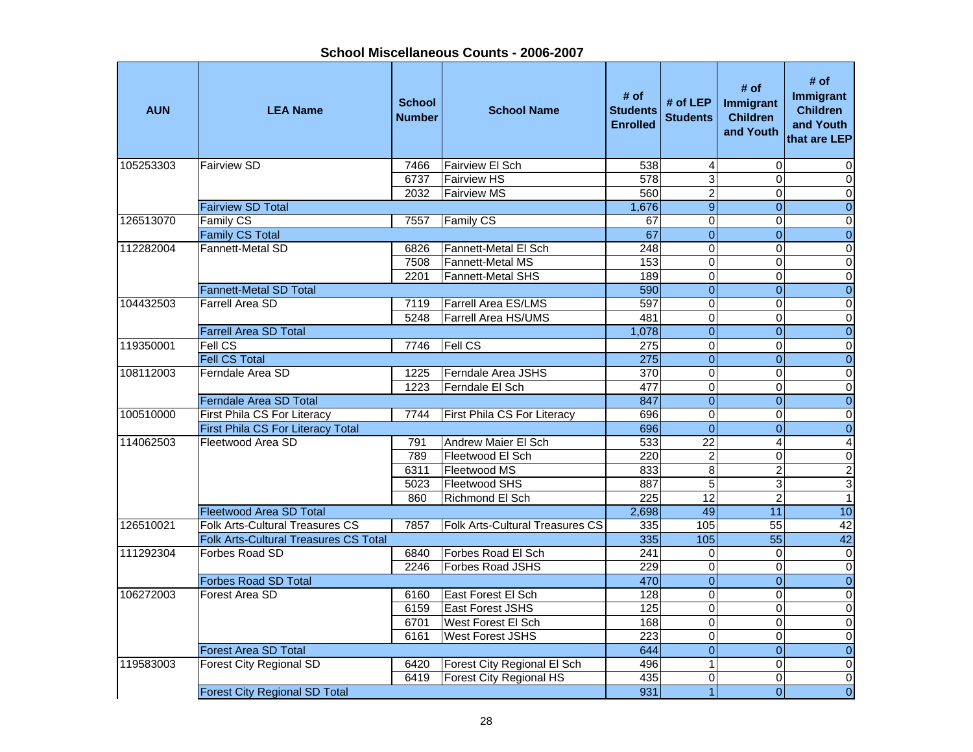| <b>AUN</b> | <b>LEA Name</b>                                        | <b>School</b><br><b>Number</b> | <b>School Name</b>              | # of<br><b>Students</b><br><b>Enrolled</b> | # of LEP $ $<br><b>Students</b> | # of<br>Immigrant<br><b>Children</b><br>and Youth | # of<br>Immigrant<br><b>Children</b><br>and Youth<br>that are LEP |
|------------|--------------------------------------------------------|--------------------------------|---------------------------------|--------------------------------------------|---------------------------------|---------------------------------------------------|-------------------------------------------------------------------|
| 105253303  | <b>Fairview SD</b>                                     | 7466                           | <b>Fairview El Sch</b>          | 538                                        | 4                               | $\Omega$                                          | 0                                                                 |
|            |                                                        | 6737                           | <b>Fairview HS</b>              | 578                                        | $\overline{3}$                  | $\Omega$                                          | $\mathbf 0$                                                       |
|            |                                                        | 2032                           | <b>Fairview MS</b>              | 560                                        | $\overline{2}$                  | 0                                                 | $\overline{0}$                                                    |
|            | <b>Fairview SD Total</b>                               |                                |                                 | 1,676                                      | $\overline{9}$                  | $\overline{0}$                                    | $\overline{0}$                                                    |
| 126513070  | Family CS                                              | 7557                           | <b>Family CS</b>                | 67                                         | $\pmb{0}$                       | $\mathbf 0$                                       | $\overline{0}$                                                    |
|            | <b>Family CS Total</b>                                 |                                |                                 | 67                                         | $\overline{0}$                  | $\overline{0}$                                    | $\overline{0}$                                                    |
| 112282004  | Fannett-Metal SD                                       | 6826                           | Fannett-Metal El Sch            | $\overline{248}$                           | $\mathbf 0$                     | $\Omega$                                          | $\overline{\mathsf{o}}$                                           |
|            |                                                        | 7508                           | <b>Fannett-Metal MS</b>         | 153                                        | $\mathbf 0$                     | $\Omega$                                          | $\overline{\mathsf{o}}$                                           |
|            |                                                        | 2201                           | Fannett-Metal SHS               | 189                                        | $\overline{0}$                  | $\Omega$                                          | $\pmb{0}$                                                         |
|            | Fannett-Metal SD Total                                 |                                |                                 | 590                                        | $\overline{0}$                  | $\Omega$                                          | $\boldsymbol{0}$                                                  |
| 104432503  | Farrell Area SD                                        | 7119                           | <b>Farrell Area ES/LMS</b>      | 597                                        | $\overline{\mathsf{o}}$         | $\Omega$                                          | $\overline{\mathsf{o}}$                                           |
|            |                                                        | 5248                           | <b>Farrell Area HS/UMS</b>      | 481                                        | 0                               | 0                                                 | $\pmb{0}$                                                         |
|            | <b>Farrell Area SD Total</b>                           |                                |                                 | 1,078                                      | $\overline{0}$                  | $\Omega$                                          | $\overline{0}$                                                    |
| 119350001  | Fell CS                                                | 7746                           | <b>Fell CS</b>                  | $\overline{275}$                           | $\overline{0}$                  | $\overline{0}$                                    | $\overline{0}$                                                    |
|            | <b>Fell CS Total</b>                                   |                                |                                 | 275                                        | $\overline{0}$                  | $\overline{0}$                                    | $\overline{0}$                                                    |
| 108112003  | Ferndale Area SD                                       | 1225                           | Ferndale Area JSHS              | 370<br>477                                 | $\pmb{0}$<br>$\overline{0}$     | $\mathbf 0$<br>$\mathbf 0$                        | $\overline{0}$                                                    |
|            |                                                        | 1223                           | Ferndale El Sch                 | 847                                        | $\overline{0}$                  |                                                   | $\overline{0}$                                                    |
| 100510000  | Ferndale Area SD Total                                 | 7744                           |                                 | 696                                        | $\pmb{0}$                       | $\overline{0}$<br>$\mathbf 0$                     | $\overline{0}$<br>$\overline{\mathsf{o}}$                         |
|            | First Phila CS For Literacy                            |                                | First Phila CS For Literacy     |                                            | $\overline{0}$                  | $\Omega$                                          |                                                                   |
| 114062503  | First Phila CS For Literacy Total<br>Fleetwood Area SD |                                | Andrew Maier El Sch             | 696                                        | $\overline{22}$                 | $\overline{4}$                                    | $\overline{0}$                                                    |
|            |                                                        | 791<br>789                     | Fleetwood El Sch                | 533<br>220                                 | $\overline{c}$                  | $\mathbf 0$                                       | $\overline{4}$<br>$\pmb{0}$                                       |
|            |                                                        | 6311                           | Fleetwood MS                    | 833                                        | $\overline{8}$                  | $\overline{2}$                                    |                                                                   |
|            |                                                        | 5023                           | Fleetwood SHS                   | 887                                        | $\overline{5}$                  | 3                                                 | $\overline{\mathbf{c}}$<br>$\overline{3}$                         |
|            |                                                        | 860                            | Richmond El Sch                 | 225                                        | $\overline{12}$                 | $\overline{2}$                                    | $\mathbf{1}$                                                      |
|            | <b>Fleetwood Area SD Total</b>                         |                                |                                 | 2,698                                      | 49                              | 11                                                | 10                                                                |
| 126510021  | Folk Arts-Cultural Treasures CS                        | 7857                           | Folk Arts-Cultural Treasures CS | 335                                        | 105                             | $\overline{55}$                                   | 42                                                                |
|            | <b>Folk Arts-Cultural Treasures CS Total</b>           |                                |                                 | 335                                        | 105                             | $\overline{55}$                                   | 42                                                                |
| 111292304  | Forbes Road SD                                         | 6840                           | Forbes Road El Sch              | $\overline{241}$                           | $\mathbf 0$                     | $\mathbf 0$                                       | $\pmb{0}$                                                         |
|            |                                                        | 2246                           | Forbes Road JSHS                | 229                                        | $\overline{0}$                  | $\mathbf 0$                                       | $\overline{0}$                                                    |
|            | <b>Forbes Road SD Total</b>                            |                                |                                 | 470                                        | $\overline{0}$                  | $\overline{0}$                                    | $\overline{0}$                                                    |
| 106272003  | Forest Area SD                                         | 6160                           | East Forest El Sch              | 128                                        | $\overline{\mathsf{o}}$         | $\mathbf 0$                                       | $\overline{\mathsf{o}}$                                           |
|            |                                                        | 6159                           | <b>East Forest JSHS</b>         | $\frac{1}{25}$                             | $\overline{\mathsf{o}}$         | $\mathbf 0$                                       | $\pmb{0}$                                                         |
|            |                                                        | 6701                           | West Forest El Sch              | 168                                        | $\overline{0}$                  | $\Omega$                                          | $\pmb{0}$                                                         |
|            |                                                        | 6161                           | <b>West Forest JSHS</b>         | 223                                        | $\mathbf 0$                     | $\Omega$                                          | $\pmb{0}$                                                         |
|            | <b>Forest Area SD Total</b>                            |                                |                                 | 644                                        | $\overline{0}$                  | $\Omega$                                          | $\boldsymbol{0}$                                                  |
| 119583003  | <b>Forest City Regional SD</b>                         | 6420                           | Forest City Regional El Sch     | 496                                        | $\overline{1}$                  | $\Omega$                                          | $\pmb{0}$                                                         |
|            |                                                        | 6419                           | <b>Forest City Regional HS</b>  | 435                                        | 0                               | $\Omega$                                          | $\mathbf 0$                                                       |
|            | <b>Forest City Regional SD Total</b>                   | 931                            | $\overline{1}$                  | $\overline{0}$                             | $\overline{0}$                  |                                                   |                                                                   |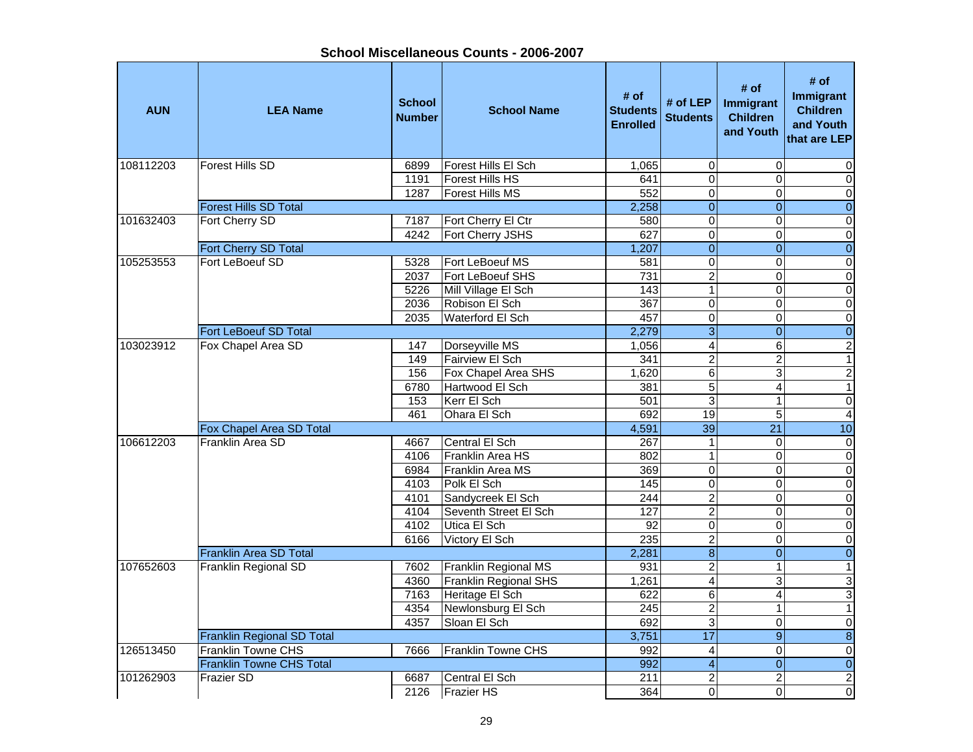**School Miscellaneous Counts - 2006-2007**

| <b>AUN</b> | <b>LEA Name</b>                   | <b>School</b><br><b>Number</b> | <b>School Name</b>           | # of<br><b>Students</b><br><b>Enrolled</b> | # of $LEP$<br><b>Students</b> | # of<br>Immigrant<br><b>Children</b><br>and Youth | # of<br>Immigrant<br><b>Children</b><br>and Youth<br>that are LEP |
|------------|-----------------------------------|--------------------------------|------------------------------|--------------------------------------------|-------------------------------|---------------------------------------------------|-------------------------------------------------------------------|
| 108112203  | <b>Forest Hills SD</b>            | 6899                           | Forest Hills El Sch          | 1,065                                      | 0                             | $\mathbf 0$                                       | 0                                                                 |
|            |                                   | 1191                           | <b>Forest Hills HS</b>       | 641                                        | $\overline{0}$                | $\Omega$                                          | $\mathbf 0$                                                       |
|            |                                   | 1287                           | <b>Forest Hills MS</b>       | 552                                        | $\overline{0}$                | $\mathbf 0$                                       | $\overline{0}$                                                    |
|            | <b>Forest Hills SD Total</b>      |                                |                              | 2,258                                      | $\overline{0}$                | $\overline{0}$                                    | $\overline{0}$                                                    |
| 101632403  | Fort Cherry SD                    | 7187                           | Fort Cherry El Ctr           | 580                                        | 0                             | $\mathbf 0$                                       | $\overline{0}$                                                    |
|            |                                   | 4242                           | Fort Cherry JSHS             | 627                                        | $\overline{0}$                | $\Omega$                                          | $\overline{\mathsf{o}}$                                           |
|            | Fort Cherry SD Total              |                                |                              | 1,207                                      | $\overline{0}$                | $\Omega$                                          | $\overline{0}$                                                    |
| 105253553  | Fort LeBoeuf SD                   | 5328                           | Fort LeBoeuf MS              | 581                                        | $\overline{0}$                | $\Omega$                                          | $\boldsymbol{0}$                                                  |
|            |                                   | 2037                           | Fort LeBoeuf SHS             | $\overline{731}$                           | $\overline{2}$                | 0                                                 | $\pmb{0}$                                                         |
|            |                                   | 5226                           | Mill Village El Sch          | 143                                        | $\mathbf{1}$                  | $\Omega$                                          | $\mathbf 0$                                                       |
|            |                                   | 2036                           | Robison El Sch               | 367                                        | $\overline{0}$                | $\Omega$                                          | $\overline{\mathsf{o}}$                                           |
|            |                                   | 2035                           | Waterford El Sch             | 457                                        | $\overline{0}$                | 0                                                 | $\pmb{0}$                                                         |
|            | <b>Fort LeBoeuf SD Total</b>      |                                |                              | 2,279                                      | $\overline{3}$                | $\overline{0}$                                    | $\overline{0}$                                                    |
| 103023912  | Fox Chapel Area SD                | 147                            | Dorseyville MS               | 1,056                                      | $\overline{4}$                | $\overline{6}$                                    | $\overline{2}$                                                    |
|            |                                   | 149                            | <b>Fairview El Sch</b>       | 341                                        | $\overline{2}$                | $\overline{2}$                                    | $\overline{1}$                                                    |
|            |                                   | 156                            | Fox Chapel Area SHS          | 1,620                                      | $\overline{6}$                | 3                                                 | $\overline{2}$                                                    |
|            |                                   | 6780                           | Hartwood El Sch              | 381                                        | $\overline{5}$                | $\overline{4}$                                    | $\overline{1}$                                                    |
|            |                                   | 153                            | Kerr El Sch                  | 501                                        | $\overline{3}$                | $\mathbf 1$                                       | $\overline{\mathsf{o}}$                                           |
|            |                                   | 461                            | Ohara El Sch                 | 692                                        | 19                            | 5                                                 | $\overline{4}$                                                    |
|            | Fox Chapel Area SD Total          |                                |                              | 4,591                                      | 39                            | 21                                                | 10                                                                |
| 106612203  | Franklin Area SD                  | 4667                           | Central El Sch               | 267                                        | $\mathbf{1}$                  | $\Omega$                                          | $\pmb{0}$                                                         |
|            |                                   | 4106                           | Franklin Area HS             | 802                                        | $\mathbf{1}$                  | $\Omega$                                          | $\pmb{0}$                                                         |
|            |                                   | 6984                           | Franklin Area MS             | 369                                        | $\overline{0}$                | 0                                                 | $\pmb{0}$                                                         |
|            |                                   | 4103                           | Polk El Sch                  | 145                                        | $\overline{0}$                | $\Omega$                                          | $\overline{\mathsf{o}}$                                           |
|            |                                   | 4101                           | Sandycreek El Sch            | 244                                        | $\overline{2}$                | $\mathbf 0$                                       | $\pmb{0}$                                                         |
|            |                                   | 4104                           | Seventh Street El Sch        | 127                                        | $\overline{2}$                | $\mathbf{0}$                                      | $\overline{\mathsf{o}}$                                           |
|            |                                   | 4102                           | Utica El Sch                 | 92                                         | $\overline{0}$                | $\mathbf 0$                                       | $\overline{\mathsf{o}}$                                           |
|            |                                   | 6166                           | Victory El Sch               | 235                                        | $\overline{2}$                | $\Omega$                                          | $\overline{\mathsf{o}}$                                           |
|            | Franklin Area SD Total            |                                |                              | 2,281                                      | $\overline{8}$                | $\overline{0}$                                    | $\overline{0}$                                                    |
| 107652603  | <b>Franklin Regional SD</b>       | 7602                           | Franklin Regional MS         | 931                                        | $\overline{2}$                | $\mathbf{1}$                                      | $\mathbf{1}$                                                      |
|            |                                   | 4360                           | <b>Franklin Regional SHS</b> | 1,261                                      | $\overline{4}$                | 3                                                 | ω                                                                 |
|            |                                   | 7163                           | Heritage El Sch              | 622                                        | $\overline{6}$                | 4                                                 | $\overline{3}$                                                    |
|            |                                   | 4354                           | Newlonsburg El Sch           | 245                                        | $\overline{2}$                | $\mathbf{1}$                                      | $\mathbf{1}$                                                      |
|            |                                   | 4357                           | Sloan El Sch                 | 692                                        | $\overline{3}$                | 0                                                 | $\pmb{0}$                                                         |
|            | <b>Franklin Regional SD Total</b> |                                |                              | 3,751                                      | $\overline{17}$               | $\boldsymbol{9}$                                  | $\infty$                                                          |
| 126513450  | Franklin Towne CHS                | 7666                           | Franklin Towne CHS           | 992                                        | $\overline{4}$                | $\mathbf 0$                                       | $\pmb{0}$                                                         |
|            | <b>Franklin Towne CHS Total</b>   |                                |                              | 992                                        | $\overline{4}$                | $\overline{0}$                                    | $\pmb{0}$                                                         |
| 101262903  | <b>Frazier SD</b>                 | 6687                           | Central El Sch               | 211                                        | $\overline{\mathbf{c}}$       | $\overline{c}$                                    | $\sqrt{2}$                                                        |
|            |                                   | 2126                           | <b>Frazier HS</b>            | 364                                        | $\overline{0}$                | 0                                                 | O                                                                 |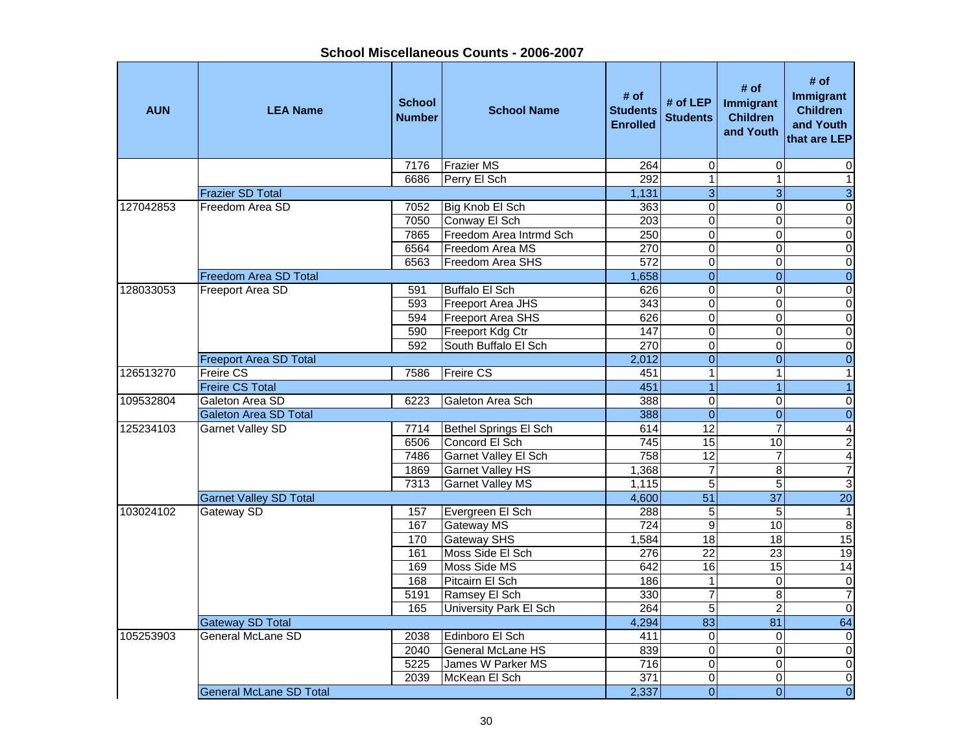| <b>AUN</b> | <b>LEA Name</b>                | <b>School</b><br><b>Number</b> | <b>School Name</b>            | # of<br><b>Students</b><br><b>Enrolled</b> | # of LEP<br><b>Students</b> | # of<br>Immigrant<br><b>Children</b><br>and Youth | # of<br><b>Immigrant</b><br><b>Children</b><br>and Youth<br>that are LEP |
|------------|--------------------------------|--------------------------------|-------------------------------|--------------------------------------------|-----------------------------|---------------------------------------------------|--------------------------------------------------------------------------|
|            |                                | 7176                           | <b>Frazier MS</b>             | 264                                        | $\pmb{0}$                   | $\Omega$                                          | 0                                                                        |
|            |                                | 6686                           | Perry El Sch                  | 292                                        | $\overline{1}$              | $\mathbf{1}$                                      | $\mathbf{1}$                                                             |
|            | <b>Frazier SD Total</b>        |                                |                               | 1,131                                      | $\overline{3}$              | 3                                                 | ω                                                                        |
| 127042853  | Freedom Area SD                | 7052                           | Big Knob El Sch               | 363                                        | $\overline{0}$              | $\Omega$                                          | $\pmb{0}$                                                                |
|            |                                | 7050                           | Conway El Sch                 | 203                                        | $\mathbf 0$                 | $\Omega$                                          | $\overline{0}$                                                           |
|            |                                | 7865                           | Freedom Area Intrmd Sch       | 250                                        | $\overline{0}$              | $\Omega$                                          | $\overline{0}$                                                           |
|            |                                | 6564                           | Freedom Area MS               | 270                                        | $\overline{0}$              | $\mathbf 0$                                       | $\overline{0}$                                                           |
|            |                                | 6563                           | Freedom Area SHS              | $\overline{572}$                           | $\overline{0}$              | $\mathbf 0$                                       | $\overline{\mathsf{o}}$                                                  |
|            | Freedom Area SD Total          |                                |                               | 1,658                                      | $\overline{0}$              | $\overline{0}$                                    | $\overline{0}$                                                           |
| 128033053  | Freeport Area SD               | 591                            | Buffalo El Sch                | 626                                        | $\mathbf 0$                 | $\mathbf 0$                                       | $\mathbf 0$                                                              |
|            |                                | 593                            | Freeport Area JHS             | 343                                        | $\overline{\mathsf{o}}$     | $\mathbf 0$                                       | $\overline{\mathsf{o}}$                                                  |
|            |                                | 594                            | <b>Freeport Area SHS</b>      | 626                                        | $\overline{0}$              | $\mathbf 0$                                       | $\overline{\mathsf{o}}$                                                  |
|            |                                | 590                            | Freeport Kdg Ctr              | 147                                        | $\overline{0}$              | $\Omega$                                          | $\overline{\mathsf{o}}$                                                  |
|            |                                | 592                            | South Buffalo El Sch          | 270                                        | $\overline{0}$              | $\overline{0}$                                    | $\overline{0}$                                                           |
|            | <b>Freeport Area SD Total</b>  |                                |                               | 2,012                                      | $\overline{0}$              | $\overline{0}$                                    | $\overline{0}$                                                           |
| 126513270  | <b>Freire CS</b>               | 7586                           | <b>Freire CS</b>              | 451                                        | $\mathbf{1}$                | $\mathbf{1}$                                      | $\overline{1}$                                                           |
|            | <b>Freire CS Total</b>         |                                |                               | 451                                        | $\overline{1}$              | $\overline{1}$                                    | $\overline{1}$                                                           |
| 109532804  | Galeton Area SD                | 6223                           | Galeton Area Sch              | 388                                        | $\overline{0}$              | 0                                                 | $\overline{\mathsf{o}}$                                                  |
|            | <b>Galeton Area SD Total</b>   |                                |                               | 388                                        | $\overline{0}$              | $\overline{0}$                                    | $\overline{0}$                                                           |
| 125234103  | <b>Garnet Valley SD</b>        | 7714                           | Bethel Springs El Sch         | 614                                        | $\overline{12}$             | $\overline{7}$                                    | $\overline{4}$                                                           |
|            |                                | 6506                           | Concord El Sch                | 745                                        | 15                          | 10                                                | $\overline{2}$                                                           |
|            |                                | 7486                           | Garnet Valley El Sch          | 758                                        | $\overline{12}$             | $\overline{7}$                                    | $\overline{4}$                                                           |
|            |                                | 1869                           | <b>Garnet Valley HS</b>       | 1,368                                      | $\overline{7}$              | 8                                                 | $\overline{7}$                                                           |
|            |                                | 7313                           | <b>Garnet Valley MS</b>       | 1,115                                      | 5                           | 5                                                 | $\overline{3}$                                                           |
|            | <b>Garnet Valley SD Total</b>  |                                |                               | 4,600                                      | $\overline{51}$             | $\overline{37}$                                   | 20                                                                       |
| 103024102  | Gateway SD                     | 157                            | Evergreen El Sch              | 288                                        | $\overline{5}$              | $\sqrt{5}$                                        | $\mathbf{1}$                                                             |
|            |                                | 167                            | <b>Gateway MS</b>             | 724                                        | $\boldsymbol{9}$            | 10                                                | $\,8\,$                                                                  |
|            |                                | 170                            | <b>Gateway SHS</b>            | 1,584                                      | $\overline{18}$             | $\overline{18}$                                   | 15                                                                       |
|            |                                | 161                            | Moss Side El Sch              | $\frac{276}{ }$                            | $\overline{22}$             | $\overline{23}$                                   | 19                                                                       |
|            |                                | 169                            | Moss Side MS                  | 642                                        | 16                          | 15                                                | 14                                                                       |
|            |                                | 168                            | Pitcairn El Sch               | 186                                        | $\mathbf{1}$                | $\Omega$                                          | $\pmb{0}$                                                                |
|            |                                | 5191                           | Ramsey El Sch                 | 330                                        | $\overline{7}$              | 8                                                 | $\overline{7}$                                                           |
|            |                                | 165                            | <b>University Park El Sch</b> | 264                                        | $\overline{5}$              | $\overline{2}$                                    | $\overline{0}$                                                           |
|            | <b>Gateway SD Total</b>        |                                |                               | 4,294                                      | $\overline{83}$             | $\overline{81}$                                   | 64                                                                       |
| 105253903  | General McLane SD              | 2038                           | Edinboro El Sch               | 411                                        | $\mathbf 0$                 | $\mathbf 0$                                       | $\pmb{0}$                                                                |
|            |                                | 2040                           | <b>General McLane HS</b>      | 839                                        | $\overline{0}$              | $\mathbf 0$                                       | $\overline{\mathsf{o}}$                                                  |
|            |                                | 5225                           | James W Parker MS             | 716                                        | $\overline{0}$              | $\mathbf 0$                                       | $\overline{\mathsf{o}}$                                                  |
|            |                                | 2039                           | McKean El Sch                 | 371                                        | $\overline{\mathsf{o}}$     | 0                                                 | $\overline{\mathsf{o}}$                                                  |
|            | <b>General McLane SD Total</b> |                                |                               | 2,337                                      | $\overline{0}$              | $\overline{0}$                                    | $\overline{0}$                                                           |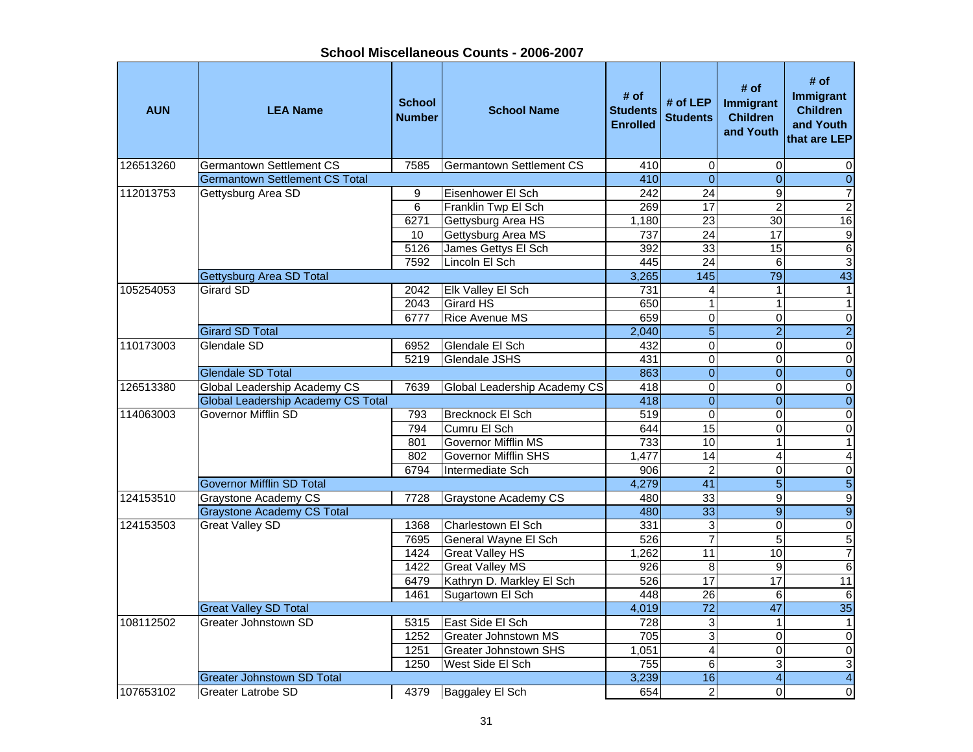**School Miscellaneous Counts - 2006-2007**

| <b>AUN</b> | <b>LEA Name</b>                                             | <b>School</b><br><b>Number</b> | <b>School Name</b>                          | # of<br><b>Students</b><br><b>Enrolled</b> | # of LEP<br><b>Students</b>        | # of<br>Immigrant<br><b>Children</b><br>and Youth | # of<br><b>Immigrant</b><br><b>Children</b><br>and Youth<br>that are LEP |
|------------|-------------------------------------------------------------|--------------------------------|---------------------------------------------|--------------------------------------------|------------------------------------|---------------------------------------------------|--------------------------------------------------------------------------|
| 126513260  | <b>Germantown Settlement CS</b>                             | 7585                           | <b>Germantown Settlement CS</b>             | 410                                        | 0                                  | $\mathbf 0$                                       | 0                                                                        |
|            | <b>Germantown Settlement CS Total</b>                       |                                |                                             | 410                                        | $\overline{0}$                     | $\mathbf{0}$                                      | $\overline{0}$                                                           |
| 112013753  | Gettysburg Area SD                                          | 9                              | Eisenhower El Sch                           | $\overline{242}$                           | $\overline{24}$                    | 9                                                 | $\overline{7}$                                                           |
|            |                                                             | $\overline{6}$                 | Franklin Twp El Sch                         | 269                                        | 17                                 | $\overline{2}$                                    | $\overline{2}$                                                           |
|            |                                                             | 6271                           | Gettysburg Area HS                          | 1,180                                      | $\overline{23}$                    | $\overline{30}$                                   | 16                                                                       |
|            |                                                             | 10                             | Gettysburg Area MS                          | 737                                        | $\overline{24}$                    | 17                                                | $\overline{9}$                                                           |
|            |                                                             | 5126                           | James Gettys El Sch                         | 392                                        | $\overline{33}$                    | $\overline{15}$                                   | $\overline{6}$                                                           |
|            |                                                             | 7592                           | Lincoln El Sch                              | 445                                        | $\overline{24}$                    | $\,6\,$                                           | $\overline{3}$                                                           |
|            | Gettysburg Area SD Total                                    |                                |                                             | 3,265                                      | 145                                | 79                                                | 43                                                                       |
| 105254053  | Girard SD                                                   | 2042                           | <b>Elk Valley El Sch</b>                    | 731                                        | 4                                  | $\mathbf{1}$                                      | $\mathbf{1}$                                                             |
|            |                                                             | 2043                           | <b>Girard HS</b>                            | 650                                        | $\mathbf{1}$                       | $\mathbf{1}$                                      | $\mathbf{1}$                                                             |
|            |                                                             | 6777                           | <b>Rice Avenue MS</b>                       | 659                                        | $\overline{0}$                     | $\mathbf 0$                                       | $\overline{\mathsf{o}}$                                                  |
|            | <b>Girard SD Total</b>                                      |                                |                                             | 2,040                                      | $\overline{5}$                     | $\overline{2}$                                    | $\overline{2}$                                                           |
| 110173003  | Glendale SD                                                 | 6952                           | Glendale El Sch                             | 432                                        | $\mathbf 0$                        | $\Omega$                                          | $\overline{\mathsf{o}}$                                                  |
|            |                                                             | 5219                           | <b>Glendale JSHS</b>                        | 431                                        | $\overline{0}$                     | $\mathbf 0$                                       | $\overline{\mathsf{o}}$                                                  |
|            | <b>Glendale SD Total</b>                                    |                                |                                             | 863                                        | $\overline{0}$                     | $\overline{0}$                                    | $\overline{0}$                                                           |
| 126513380  | Global Leadership Academy CS                                | 7639                           | <b>Global Leadership Academy CS</b>         | 418                                        | $\overline{0}$                     | 0                                                 | $\overline{0}$                                                           |
|            | <b>Global Leadership Academy CS Total</b>                   |                                |                                             | 418                                        | $\overline{0}$                     | $\Omega$                                          | $\overline{0}$                                                           |
| 114063003  | Governor Mifflin SD                                         | 793                            | Brecknock El Sch                            | 519                                        | $\overline{0}$                     | $\overline{0}$                                    | $\overline{\mathsf{o}}$                                                  |
|            |                                                             | 794                            | Cumru El Sch                                | 644                                        | 15                                 | 0                                                 | $\pmb{0}$                                                                |
|            |                                                             | 801                            | Governor Mifflin MS                         | 733                                        | 10                                 | 1                                                 | $\overline{1}$                                                           |
|            |                                                             | 802                            | Governor Mifflin SHS                        | 1,477                                      | 14                                 | 4                                                 | 4                                                                        |
|            |                                                             | 6794                           | Intermediate Sch                            | 906                                        | $\overline{2}$                     | $\Omega$                                          | $\overline{0}$                                                           |
| 124153510  | <b>Governor Mifflin SD Total</b>                            |                                |                                             | 4,279                                      | $\overline{41}$<br>$\overline{33}$ | $\overline{5}$                                    | $\overline{5}$                                                           |
|            | <b>Graystone Academy CS</b>                                 | 7728                           | <b>Graystone Academy CS</b>                 | 480                                        |                                    | 9                                                 | 9                                                                        |
|            | <b>Graystone Academy CS Total</b><br><b>Great Valley SD</b> |                                |                                             | 480                                        | $\overline{33}$                    | 9                                                 | $\overline{9}$                                                           |
| 124153503  |                                                             | 1368<br>7695                   | lCharlestown El Sch<br>General Wayne El Sch | 331<br>526                                 | 3<br>$\overline{7}$                | $\overline{0}$<br>5                               | $\overline{0}$<br>5                                                      |
|            |                                                             | 1424                           | <b>Great Valley HS</b>                      | 1,262                                      | 11                                 | 10                                                | $\overline{7}$                                                           |
|            |                                                             | 1422                           | <b>Great Valley MS</b>                      | 926                                        | 8                                  | 9                                                 | $6 \overline{}$                                                          |
|            |                                                             | 6479                           | Kathryn D. Markley El Sch                   | 526                                        | 17                                 | $\overline{17}$                                   | 11                                                                       |
|            |                                                             | 1461                           | Sugartown El Sch                            | 448                                        | $\overline{26}$                    | 6                                                 | $\,6$                                                                    |
|            | <b>Great Valley SD Total</b>                                |                                |                                             | 4,019                                      | $\overline{72}$                    | 47                                                | 35                                                                       |
| 108112502  | Greater Johnstown SD                                        | 5315                           | East Side El Sch                            | 728                                        | $\ensuremath{\mathsf{3}}$          | $\mathbf{1}$                                      | $\mathbf{1}$                                                             |
|            |                                                             | 1252                           | <b>Greater Johnstown MS</b>                 | 705                                        | 3                                  | $\pmb{0}$                                         | $\pmb{0}$                                                                |
|            |                                                             | 1251                           | <b>Greater Johnstown SHS</b>                | 1,051                                      | $\overline{\mathbf{4}}$            | $\Omega$                                          | $\pmb{0}$                                                                |
|            |                                                             | 1250                           | West Side El Sch                            | 755                                        | $\overline{6}$                     | 3                                                 | $\overline{3}$                                                           |
|            | <b>Greater Johnstown SD Total</b>                           |                                |                                             | 3,239                                      | 16                                 | $\overline{\mathbf{4}}$                           | $\overline{4}$                                                           |
| 107653102  | Greater Latrobe SD                                          | 4379                           | <b>Baggaley El Sch</b>                      | 654                                        | $\overline{2}$                     | $\Omega$                                          | $\pmb{0}$                                                                |
|            |                                                             |                                |                                             |                                            |                                    |                                                   |                                                                          |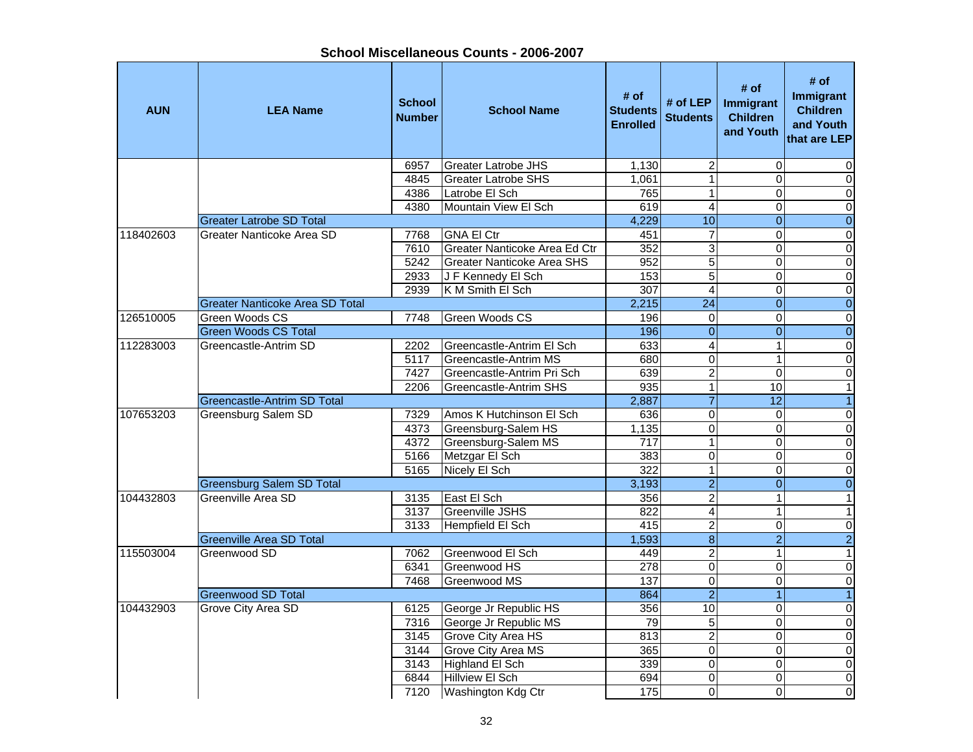| <b>AUN</b> | <b>LEA Name</b>                        | <b>School</b><br><b>Number</b> | <b>School Name</b>                | # of<br><b>Students</b><br><b>Enrolled</b> | # of $LEP$<br><b>Students</b> | # of<br>Immigrant<br><b>Children</b><br>and Youth | # of<br><b>Immigrant</b><br><b>Children</b><br>and Youth<br>that are LEP |
|------------|----------------------------------------|--------------------------------|-----------------------------------|--------------------------------------------|-------------------------------|---------------------------------------------------|--------------------------------------------------------------------------|
|            |                                        | 6957                           | <b>Greater Latrobe JHS</b>        | 1,130                                      | $\boldsymbol{2}$              | $\mathbf 0$                                       | 0                                                                        |
|            |                                        | 4845                           | <b>Greater Latrobe SHS</b>        | 1,061                                      | $\mathbf{1}$                  | $\Omega$                                          | $\Omega$                                                                 |
|            |                                        | 4386                           | Latrobe El Sch                    | 765                                        | 1                             | $\Omega$                                          | 0                                                                        |
|            |                                        | 4380                           | Mountain View El Sch              | 619                                        | $\overline{4}$                | $\Omega$                                          | 0                                                                        |
|            | <b>Greater Latrobe SD Total</b>        |                                |                                   | 4,229                                      | 10                            | $\overline{0}$                                    | $\overline{0}$                                                           |
| 118402603  | Greater Nanticoke Area SD              | 7768                           | <b>GNA El Ctr</b>                 | 451                                        | $\overline{7}$                | $\Omega$                                          | $\overline{0}$                                                           |
|            |                                        | 7610                           | Greater Nanticoke Area Ed Ctr     | 352                                        | $\overline{3}$                | 0                                                 | $\overline{0}$                                                           |
|            |                                        | 5242                           | <b>Greater Nanticoke Area SHS</b> | 952                                        | $\overline{5}$                | $\overline{0}$                                    | $\overline{0}$                                                           |
|            |                                        | 2933                           | J F Kennedy El Sch                | 153                                        | $\overline{5}$                | $\mathbf 0$                                       | $\overline{0}$                                                           |
|            |                                        | 2939                           | K M Smith El Sch                  | 307                                        | $\overline{\mathbf{4}}$       | $\overline{0}$                                    | $\mathbf 0$                                                              |
|            | <b>Greater Nanticoke Area SD Total</b> |                                |                                   | 2,215                                      | $\overline{24}$               | $\Omega$                                          | $\mathbf 0$                                                              |
| 126510005  | Green Woods CS                         | 7748                           | <b>Green Woods CS</b>             | 196                                        | 0                             | $\Omega$                                          | $\pmb{0}$                                                                |
|            | <b>Green Woods CS Total</b>            |                                |                                   | 196                                        | $\overline{0}$                | $\overline{0}$                                    | $\overline{0}$                                                           |
| 112283003  | Greencastle-Antrim SD                  | 2202                           | Greencastle-Antrim El Sch         | 633                                        | $\overline{4}$                | 1                                                 | $\overline{0}$                                                           |
|            |                                        | 5117                           | <b>Greencastle-Antrim MS</b>      | 680                                        | $\overline{0}$                | 1                                                 | $\overline{0}$                                                           |
|            |                                        | 7427                           | Greencastle-Antrim Pri Sch        | 639                                        | $\overline{2}$                | $\mathbf 0$                                       | $\pmb{0}$                                                                |
|            |                                        | 2206                           | Greencastle-Antrim SHS            | 935                                        | $\overline{1}$                | 10                                                | $\overline{1}$                                                           |
|            | Greencastle-Antrim SD Total            |                                |                                   | 2,887                                      | $\overline{7}$                | $\overline{12}$                                   | $\mathbf{1}$                                                             |
| 107653203  | <b>Greensburg Salem SD</b>             | 7329                           | Amos K Hutchinson El Sch          | 636                                        | 0                             | $\Omega$                                          | $\pmb{0}$                                                                |
|            |                                        | 4373                           | Greensburg-Salem HS               | 1,135                                      | $\overline{0}$                | $\Omega$                                          | $\mathbf 0$                                                              |
|            |                                        | 4372                           | Greensburg-Salem MS               | 717                                        | $\mathbf{1}$                  | $\Omega$                                          | $\pmb{0}$                                                                |
|            |                                        | 5166                           | Metzgar El Sch                    | 383                                        | $\overline{0}$                | $\Omega$                                          | $\overline{0}$                                                           |
|            |                                        | 5165                           | Nicely El Sch                     | $\overline{322}$                           | $\mathbf{1}$                  | $\overline{0}$                                    | 0                                                                        |
|            | <b>Greensburg Salem SD Total</b>       |                                |                                   | 3,193                                      | $\overline{2}$                | $\overline{0}$                                    | $\overline{0}$                                                           |
| 104432803  | Greenville Area SD                     | 3135                           | East El Sch                       | 356                                        | $\overline{2}$                | $\mathbf{1}$                                      | $\overline{1}$                                                           |
|            |                                        | 3137                           | <b>Greenville JSHS</b>            | 822                                        | $\overline{4}$                | $\mathbf 1$                                       | $\mathbf{1}$                                                             |
|            |                                        | 3133                           | Hempfield El Sch                  | 415                                        | $\overline{2}$                | $\mathbf 0$                                       | $\pmb{0}$                                                                |
|            | <b>Greenville Area SD Total</b>        |                                |                                   | 1,593                                      | $\overline{8}$                | $\overline{2}$                                    | $\overline{2}$                                                           |
| 115503004  | Greenwood SD                           | 7062                           | Greenwood El Sch                  | 449                                        | $\overline{2}$                | $\mathbf{1}$                                      | $\overline{1}$                                                           |
|            |                                        | 6341                           | Greenwood HS                      | 278                                        | $\overline{0}$                | $\Omega$                                          | $\pmb{0}$                                                                |
|            |                                        | 7468                           | Greenwood MS                      | 137                                        | $\overline{0}$                | $\mathbf 0$                                       | $\overline{0}$                                                           |
|            | Greenwood SD Total                     |                                |                                   | 864                                        | $\overline{2}$                |                                                   | $\overline{1}$                                                           |
| 104432903  | Grove City Area SD                     | 6125                           | George Jr Republic HS             | 356                                        | 10                            | $\overline{0}$                                    | $\mathbf 0$                                                              |
|            |                                        | 7316                           | George Jr Republic MS             | 79                                         | $\overline{5}$                | $\overline{0}$                                    | $\mathbf 0$                                                              |
|            |                                        | 3145                           | Grove City Area HS                | 813                                        | $\overline{2}$                | $\overline{0}$                                    | $\pmb{0}$                                                                |
|            |                                        | 3144                           | Grove City Area MS                | 365                                        | $\mathsf 0$                   | $\overline{0}$                                    | $\mathbf 0$                                                              |
|            |                                        | $\frac{1}{3143}$               | Highland El Sch                   | 339                                        | $\overline{0}$                | $\overline{0}$                                    | $\overline{0}$                                                           |
|            |                                        | 6844                           | <b>Hillview EI Sch</b>            | 694                                        | 0                             | $\Omega$                                          | $\mathbf 0$                                                              |
|            |                                        | 7120                           | Washington Kdg Ctr                | 175                                        | $\overline{0}$                | $\Omega$                                          | 0                                                                        |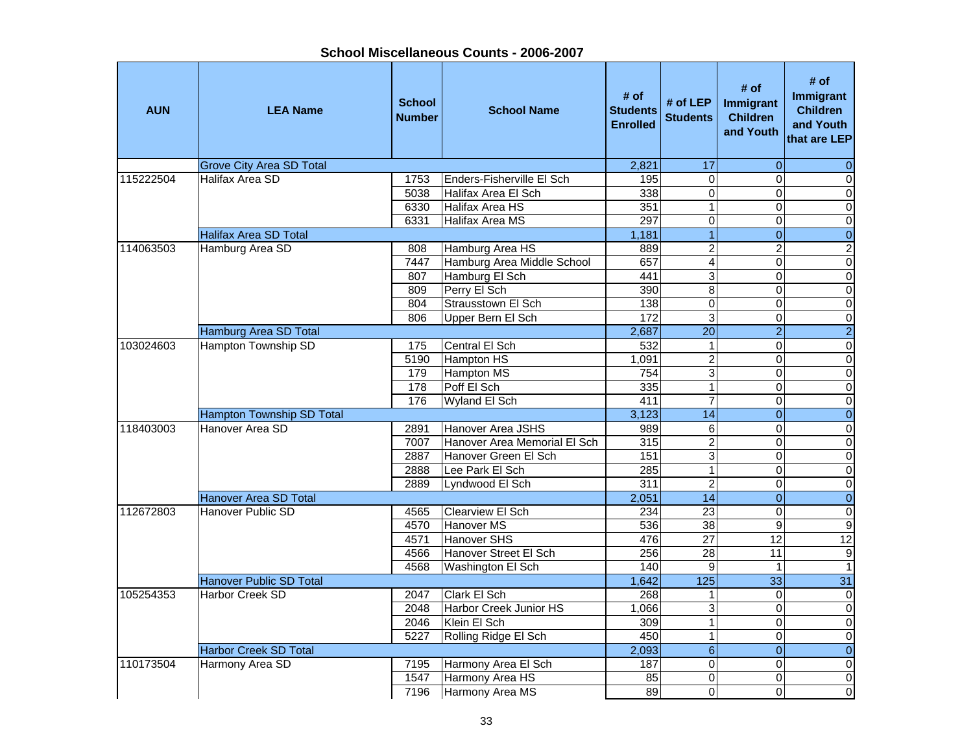**AUN LEA Name School NumberI**<br> **School Name** Students<br> **Enrolled** # of <br>**Students** # of LEP | Immigrant<br>
Enrolled | Students | Children and Youth **# of**<br> **t** Immigrant<br>
Children<br>
and Youth<br>
that are LEP Grove City Area SD Total 2,821 17 0 0 115222504 Halifax Area SD 1753 Enders-Fisherville El Sch 195 0 0 05038 Halifax Area El Sch 338 0 0 06330 Halifax Area HS 351 1 0 06331 Halifax Area MS 297 0 0 0 0 Halifax Area SD Total 1,181 1 0 0 114063503 Hamburg Area SD 808 Hamburg Area HS 889 2 2 2 7447 Hamburg Area Middle School | 657 | 4 0 0 0 0 807 Hamburg El Sch 441 3 0 0 0 809 Perry El Sch 390 8 0 0 804 Strausstown El Sch 138 0 0 0806 Upper Bern El Sch 172 3 0 0 Hamburg Area SD Total 2,687 20 2 2 103024603 | Hampton Township SD | 175 | Central El Sch | 532 | 1 | 0 0 0 5190 Hampton HS 1,091 2 0 0 0 179 Hampton MS 754 3 0 0 0 178 Poff El Sch 335 1 0 0176 Wyland El Sch 411 7 0 0 Hampton Township SD Total 3,123 14 0 0 118403003 Hanover Area SD 2891 Hanover Area JSHS 989 6 0 0 $\overline{\mathsf{o}}$ 7007 Hanover Area Memorial El Sch | 315 | 2 | 0 | 0 | 2887 Hanover Green El Sch 151 3 0 0 0 0 2888 Lee Park El Sch 285 1 0 02889 Lyndwood El Sch 311 2 0 0 Hanover Area SD Total 2,051 14 0 0 112672803 Hanover Public SD 4565 Clearview El Sch 234 23 0 0 $\overline{0}$ 4570 Hanover MS 536 38 9 94571 Hanover SHS 12 12 12 12 12 12 12 12 12 12 12 4566 Hanover Street El Sch 256 28 11 9 4568 Washington El Sch 140 9 1 1 1 1 1 1 Hanover Public SD Total 1,642 125 33 31 105254353 Harbor Creek SD 2047 Clark El Sch 268 1 0 02048 Harbor Creek Junior HS 1,066 3 0 0 0 0 2046 Klein El Sch 309 1 0 0 0 0 5227 Rolling Ridge El Sch 450 1 0 0 Harbor Creek SD Total 2,093 6 0 0 110173504 Harmony Area SD 17195 Harmony Area El Sch 187 0 0 0 0 0 1547 Harmony Area HS 85 0 0 0 7196 Harmony Area MS 89 0 0 0 0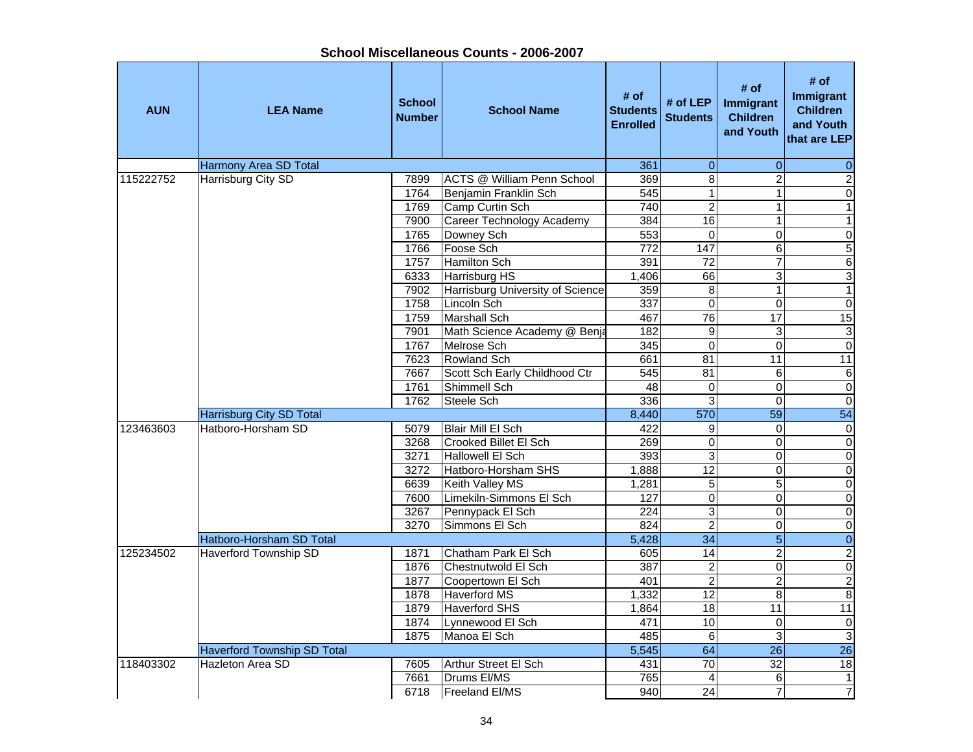| <b>AUN</b> | <b>LEA Name</b>                 | <b>School</b><br><b>Number</b> | <b>School Name</b>                | # of<br><b>Students</b><br><b>Enrolled</b> | # of LEP<br><b>Students</b> | # of<br><b>Immigrant</b><br><b>Children</b><br>and Youth | # of<br>Immigrant<br><b>Children</b><br>and Youth<br>that are LEP |
|------------|---------------------------------|--------------------------------|-----------------------------------|--------------------------------------------|-----------------------------|----------------------------------------------------------|-------------------------------------------------------------------|
|            | Harmony Area SD Total           |                                |                                   | 361                                        | $\pmb{0}$                   | 0                                                        | $\mathbf 0$                                                       |
| 115222752  | Harrisburg City SD              | 7899                           | <b>ACTS @ William Penn School</b> | 369                                        | $\overline{8}$              | $\overline{2}$                                           | $\overline{2}$                                                    |
|            |                                 | 1764                           | Benjamin Franklin Sch             | 545                                        | $\mathbf{1}$                | 1                                                        | $\overline{0}$                                                    |
|            |                                 | 1769                           | Camp Curtin Sch                   | 740                                        | $\overline{2}$              | 1                                                        | $\mathbf{1}$                                                      |
|            |                                 | 7900                           | Career Technology Academy         | 384                                        | 16                          | 1                                                        | 1                                                                 |
|            |                                 | 1765                           | Downey Sch                        | 553                                        | $\mathbf 0$                 | 0                                                        | $\overline{0}$                                                    |
|            |                                 | 1766                           | Foose Sch                         | 772                                        | 147                         | 6                                                        | $\overline{5}$                                                    |
|            |                                 | 1757                           | Hamilton Sch                      | 391                                        | $\overline{72}$             | $\overline{7}$                                           | $\overline{6}$                                                    |
|            |                                 | 6333                           | Harrisburg HS                     | 1,406                                      | 66                          | 3                                                        | $\overline{3}$                                                    |
|            |                                 | 7902                           | Harrisburg University of Science  | 359                                        | 8                           | 1                                                        | $\mathbf{1}$                                                      |
|            |                                 | 1758                           | Lincoln Sch                       | 337                                        | $\mathbf 0$                 | 0                                                        | $\boldsymbol{0}$                                                  |
|            |                                 | 1759                           | <b>Marshall Sch</b>               | 467                                        | $\overline{76}$             | $\overline{17}$                                          | 15                                                                |
|            |                                 | 7901                           | Math Science Academy @ Benja      | 182                                        | 9                           | 3                                                        | $\overline{3}$                                                    |
|            |                                 | 1767                           | Melrose Sch                       | 345                                        | $\pmb{0}$                   | $\mathbf 0$                                              | $\overline{0}$                                                    |
|            |                                 | 7623                           | Rowland Sch                       | 661                                        | 81                          | 11                                                       | $\overline{11}$                                                   |
|            |                                 | 7667                           | Scott Sch Early Childhood Ctr     | 545                                        | $\overline{81}$             | 6                                                        | 6                                                                 |
|            |                                 | 1761                           | Shimmell Sch                      | 48                                         | $\pmb{0}$                   | 0                                                        | $\overline{0}$                                                    |
|            |                                 | 1762                           | Steele Sch                        | 336                                        | 3                           | 0                                                        | $\overline{0}$                                                    |
|            | <b>Harrisburg City SD Total</b> |                                |                                   | 8,440                                      | 570                         | 59                                                       | 54                                                                |
| 123463603  | Hatboro-Horsham SD              | 5079                           | Blair Mill El Sch                 | 422                                        | 9                           | $\mathbf 0$                                              | $\pmb{0}$                                                         |
|            |                                 | 3268                           | Crooked Billet El Sch             | 269                                        | 0                           | 0                                                        | $\pmb{0}$                                                         |
|            |                                 | 3271                           | Hallowell El Sch                  | 393                                        | 3                           | 0                                                        | $\pmb{0}$                                                         |
|            |                                 | 3272                           | Hatboro-Horsham SHS               | 1,888                                      | $\overline{12}$             | 0                                                        | $\mathbf 0$                                                       |
|            |                                 | 6639                           | Keith Valley MS                   | 1,281                                      | $\sqrt{5}$                  | 5                                                        | $\mathbf 0$                                                       |
|            |                                 | 7600                           | Limekiln-Simmons El Sch           | 127                                        | $\overline{\mathsf{o}}$     | 0                                                        | $\overline{0}$                                                    |
|            |                                 | 3267                           | Pennypack El Sch                  | $\overline{224}$                           | 3                           | 0                                                        | $\overline{0}$                                                    |
|            |                                 | 3270                           | Simmons El Sch                    | 824                                        | $\overline{2}$              | 0                                                        | $\overline{0}$                                                    |
|            | Hatboro-Horsham SD Total        |                                |                                   | 5,428                                      | $\overline{34}$             | 5                                                        | $\overline{0}$                                                    |
| 125234502  | Haverford Township SD           | 1871                           | Chatham Park El Sch               | 605                                        | 14                          | $\overline{\mathbf{c}}$                                  | $\overline{2}$                                                    |
|            |                                 | 1876                           | Chestnutwold El Sch               | 387                                        | 2                           | 0                                                        | $\overline{0}$                                                    |
|            |                                 | 1877                           | Coopertown El Sch                 | 401                                        | $\overline{2}$              | $\overline{\mathbf{c}}$                                  | $\overline{c}$                                                    |
|            |                                 | 1878                           | <b>Haverford MS</b>               | 1,332                                      | 12                          | 8                                                        | $\overline{8}$                                                    |
|            |                                 | 1879                           | <b>Haverford SHS</b>              | 1,864                                      | 18                          | $\overline{11}$                                          | 11                                                                |
|            |                                 | 1874                           | Lynnewood El Sch                  | 471                                        | 10 <sup>1</sup>             | 0                                                        | $\pmb{0}$                                                         |
|            |                                 | 1875                           | Manoa El Sch                      | 485                                        | 6                           | 3                                                        | $\overline{3}$                                                    |
|            | Haverford Township SD Total     |                                |                                   | 5,545                                      | 64                          | 26                                                       | 26                                                                |
| 118403302  | Hazleton Area SD                | 7605                           | Arthur Street El Sch              | 431                                        | $\overline{70}$             | 32                                                       | 18                                                                |
|            |                                 | 7661                           | Drums EI/MS                       | 765                                        | 4                           | 6                                                        | $\mathbf 1$                                                       |
|            |                                 | 6718                           | Freeland El/MS                    | 940                                        | 24                          | 7                                                        | 7                                                                 |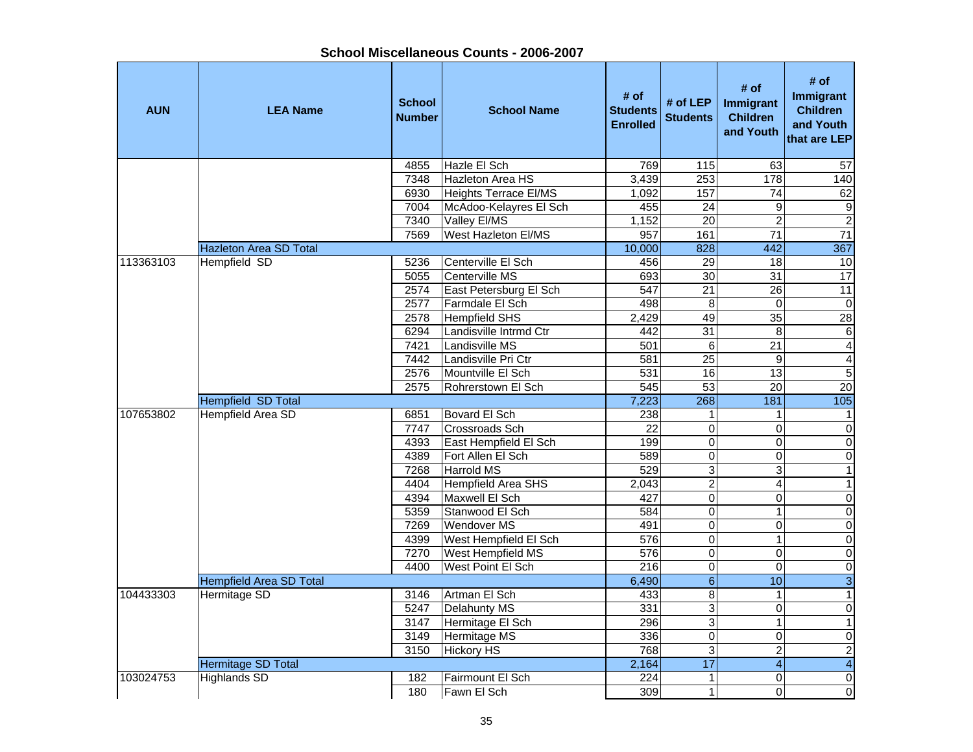| School Miscellaneous Counts - 2006-2007 |  |
|-----------------------------------------|--|
|-----------------------------------------|--|

| <b>AUN</b> | <b>LEA Name</b>                | <b>School</b><br><b>Number</b> | <b>School Name</b>         | # of<br><b>Students</b><br><b>Enrolled</b> | # of LEP<br><b>Students</b> | # of<br>Immigrant<br><b>Children</b><br>and Youth | # of<br>Immigrant<br><b>Children</b><br>and Youth<br>that are LEP |
|------------|--------------------------------|--------------------------------|----------------------------|--------------------------------------------|-----------------------------|---------------------------------------------------|-------------------------------------------------------------------|
|            |                                | 4855                           | Hazle El Sch               | 769                                        | $\frac{115}{115}$           | 63                                                | $\overline{57}$                                                   |
|            |                                | 7348                           | <b>Hazleton Area HS</b>    | 3,439                                      | 253                         | 178                                               | 140                                                               |
|            |                                | 6930                           | Heights Terrace El/MS      | 1,092                                      | 157                         | 74                                                | 62                                                                |
|            |                                | 7004                           | McAdoo-Kelayres El Sch     | 455                                        | $\overline{24}$             | 9                                                 | $\boldsymbol{9}$                                                  |
|            |                                | 7340                           | Valley El/MS               | 1,152                                      | $\overline{20}$             | $\overline{2}$                                    | $\overline{2}$                                                    |
|            |                                | 7569                           | <b>West Hazleton EI/MS</b> | 957                                        | 161                         | $\overline{71}$                                   | $\overline{71}$                                                   |
|            | <b>Hazleton Area SD Total</b>  |                                |                            | 10,000                                     | 828                         | 442                                               | 367                                                               |
| 113363103  | Hempfield SD                   | 5236                           | Centerville El Sch         | 456                                        | $\overline{29}$             | 18                                                | 10                                                                |
|            |                                | 5055                           | Centerville MS             | 693                                        | 30                          | $\overline{31}$                                   | 17                                                                |
|            |                                | 2574                           | East Petersburg El Sch     | 547                                        | $\overline{21}$             | 26                                                | $\overline{11}$                                                   |
|            |                                | 2577                           | Farmdale El Sch            | 498                                        | 8                           | $\mathbf 0$                                       | $\overline{\mathsf{o}}$                                           |
|            |                                | 2578                           | <b>Hempfield SHS</b>       | 2,429                                      | 49                          | $\overline{35}$                                   | $\overline{28}$                                                   |
|            |                                | 6294                           | Landisville Intrmd Ctr     | 442                                        | 31                          | 8                                                 | $\,6$                                                             |
|            |                                | 7421                           | Landisville MS             | 501                                        | 6                           | 21                                                | $\pmb{4}$                                                         |
|            |                                | 7442                           | Landisville Pri Ctr        | 581                                        | $\overline{25}$             | 9                                                 | $\overline{4}$                                                    |
|            |                                | 2576                           | Mountville El Sch          | 531                                        | 16                          | $\overline{13}$                                   | $\overline{5}$                                                    |
|            |                                | 2575                           | Rohrerstown El Sch         | 545                                        | 53                          | $\overline{20}$                                   | 20                                                                |
|            | Hempfield SD Total             |                                |                            | 7,223                                      | 268                         | 181                                               | 105                                                               |
| 107653802  | <b>Hempfield Area SD</b>       | 6851                           | Bovard El Sch              | 238                                        | 1                           | $\mathbf{1}$                                      | $\mathbf{1}$                                                      |
|            |                                | 7747                           | <b>Crossroads Sch</b>      | $\overline{22}$                            | $\overline{0}$              | $\mathbf 0$                                       | $\pmb{0}$                                                         |
|            |                                | 4393                           | East Hempfield El Sch      | 199                                        | $\mathbf 0$                 | 0                                                 | $\pmb{0}$                                                         |
|            |                                | 4389                           | Fort Allen El Sch          | 589                                        | $\mathbf 0$                 | 0                                                 | $\overline{\mathsf{o}}$                                           |
|            |                                | 7268                           | Harrold MS                 | 529                                        | $\overline{3}$              | $\overline{3}$                                    | $\overline{1}$                                                    |
|            |                                | 4404                           | Hempfield Area SHS         | $\overline{2,}043$                         | $\overline{2}$              | 4                                                 | $\mathbf{1}$                                                      |
|            |                                | 4394                           | Maxwell El Sch             | 427                                        | $\overline{0}$              | $\mathbf 0$                                       | $\overline{0}$                                                    |
|            |                                | 5359                           | Stanwood El Sch            | 584                                        | $\overline{0}$              | $\mathbf{1}$                                      | $\overline{\mathsf{o}}$                                           |
|            |                                | 7269                           | <b>Wendover MS</b>         | 491                                        | $\overline{0}$              | $\mathbf 0$                                       | $\overline{\mathsf{o}}$                                           |
|            |                                | 4399                           | West Hempfield El Sch      | 576                                        | $\overline{0}$              | $\overline{1}$                                    | $\overline{\mathsf{o}}$                                           |
|            |                                | 7270                           | West Hempfield MS          | 576                                        | $\overline{0}$              | 0                                                 | $\overline{0}$                                                    |
|            |                                | 4400                           | West Point El Sch          | $\overline{216}$                           | $\pmb{0}$                   | $\Omega$                                          | $\overline{\mathsf{o}}$                                           |
|            | <b>Hempfield Area SD Total</b> |                                |                            | 6,490                                      | $\overline{6}$              | 10                                                | $\overline{3}$                                                    |
| 104433303  | Hermitage SD                   | 3146                           | Artman El Sch              | 433                                        | $\overline{8}$              | $\mathbf{1}$                                      | $\mathbf{1}$                                                      |
|            |                                | 5247                           | Delahunty MS               | 331                                        | 3                           | 0                                                 | $\overline{0}$                                                    |
|            |                                | 3147                           | Hermitage El Sch           | 296                                        | $\overline{3}$              | 1                                                 | $\overline{1}$                                                    |
|            |                                | 3149                           | Hermitage MS               | 336                                        | $\mathbf 0$                 | $\mathbf 0$                                       | $\mathbf 0$                                                       |
|            |                                | 3150                           | <b>Hickory HS</b>          | 768                                        | $\overline{3}$              | $\overline{c}$                                    | $\overline{a}$                                                    |
|            | Hermitage SD Total             |                                |                            | 2,164                                      | 17                          | $\overline{4}$                                    | $\overline{\mathbf{4}}$                                           |
| 103024753  | <b>Highlands SD</b>            | 182                            | Fairmount El Sch           | 224                                        | $\mathbf 1$                 | $\mathbf 0$                                       | $\overline{\mathsf{o}}$                                           |
|            |                                | 180                            | Fawn El Sch                | 309                                        | $\overline{1}$              | $\Omega$                                          | $\overline{\mathsf{o}}$                                           |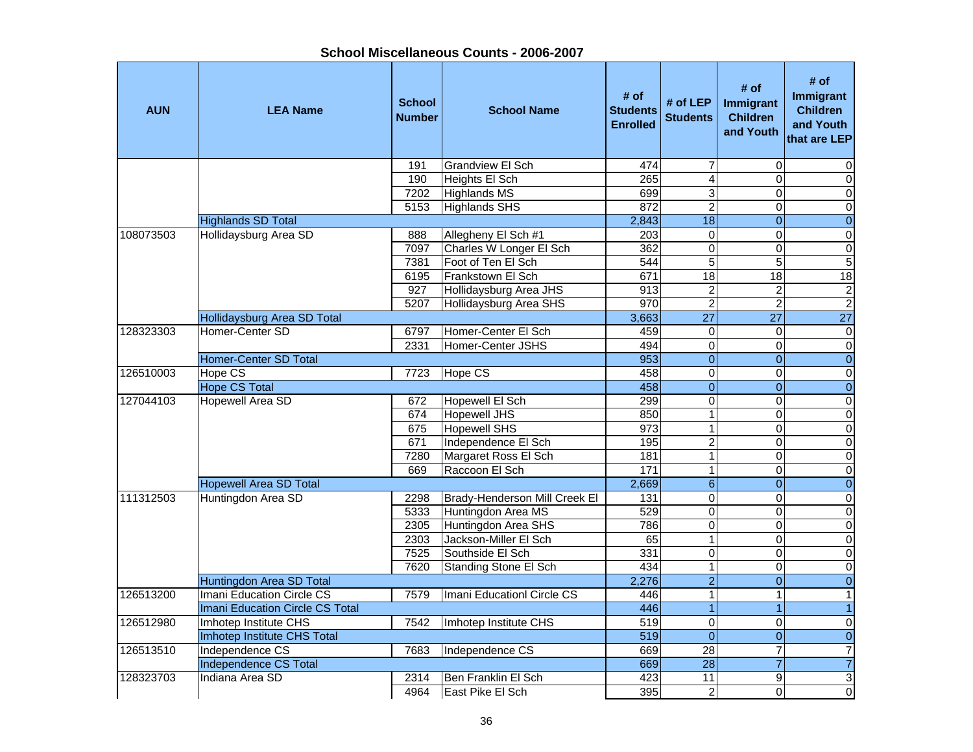| <b>AUN</b> | <b>LEA Name</b>                 | <b>School</b><br><b>Number</b> | <b>School Name</b>            | # of<br><b>Students</b><br><b>Enrolled</b> | # of $LEP$<br><b>Students</b> | # of<br>Immigrant<br><b>Children</b><br>and Youth | # of<br><b>Immigrant</b><br><b>Children</b><br>and Youth<br>that are LEP |
|------------|---------------------------------|--------------------------------|-------------------------------|--------------------------------------------|-------------------------------|---------------------------------------------------|--------------------------------------------------------------------------|
|            |                                 | 191                            | <b>Grandview El Sch</b>       | 474                                        | 7                             | $\mathbf 0$                                       | 0                                                                        |
|            |                                 | 190                            | Heights El Sch                | 265                                        | $\overline{\mathbf{4}}$       | $\Omega$                                          | $\Omega$                                                                 |
|            |                                 | 7202                           | <b>Highlands MS</b>           | 699                                        | 3                             | $\Omega$                                          | 0                                                                        |
|            |                                 | 5153                           | Highlands SHS                 | 872                                        | $\overline{2}$                | $\Omega$                                          | 0                                                                        |
|            | <b>Highlands SD Total</b>       |                                |                               | 2,843                                      | $\overline{18}$               | $\Omega$                                          | $\overline{0}$                                                           |
| 108073503  | Hollidaysburg Area SD           | 888                            | Allegheny El Sch #1           | 203                                        | $\overline{0}$                | $\Omega$                                          | $\overline{0}$                                                           |
|            |                                 | 7097                           | Charles W Longer El Sch       | 362                                        | $\overline{0}$                | 0                                                 | $\overline{0}$                                                           |
|            |                                 | 7381                           | Foot of Ten El Sch            | 544                                        | $\overline{5}$                | $\overline{5}$                                    | $\overline{5}$                                                           |
|            |                                 | 6195                           | Frankstown El Sch             | 671                                        | 18                            | $\overline{18}$                                   | $\overline{18}$                                                          |
|            |                                 | 927                            | Hollidaysburg Area JHS        | 913                                        | $\boldsymbol{2}$              | $\boldsymbol{2}$                                  | $\boldsymbol{2}$                                                         |
|            |                                 | 5207                           | Hollidaysburg Area SHS        | 970                                        | $\overline{2}$                | $\overline{c}$                                    | $\overline{2}$                                                           |
|            | Hollidaysburg Area SD Total     |                                |                               | 3,663                                      | $\overline{27}$               | $\overline{27}$                                   | $\overline{27}$                                                          |
| 128323303  | Homer-Center SD                 | 6797                           | Homer-Center El Sch           | 459                                        | 0                             | $\Omega$                                          | $\mathbf 0$                                                              |
|            |                                 | 2331                           | Homer-Center JSHS             | 494                                        | $\overline{0}$                | $\overline{0}$                                    | $\overline{0}$                                                           |
|            | <b>Homer-Center SD Total</b>    |                                |                               | 953                                        | $\overline{0}$                | $\overline{0}$                                    | $\overline{0}$                                                           |
| 126510003  | Hope CS                         | 7723                           | <b>Hope CS</b>                | 458                                        | $\overline{0}$                | $\mathbf 0$                                       | $\pmb{0}$                                                                |
|            | <b>Hope CS Total</b>            |                                |                               | 458                                        | $\overline{0}$                | $\overline{0}$                                    | $\overline{0}$                                                           |
| 127044103  | <b>Hopewell Area SD</b>         | 672                            | Hopewell El Sch               | 299                                        | $\overline{0}$                | $\overline{0}$                                    | $\overline{0}$                                                           |
|            |                                 | 674                            | <b>Hopewell JHS</b>           | 850                                        | $\mathbf{1}$                  | $\Omega$                                          | $\overline{0}$                                                           |
|            |                                 | 675                            | Hopewell SHS                  | 973                                        | $\mathbf{1}$                  | $\Omega$                                          | $\mathbf 0$                                                              |
|            |                                 | 671                            | Independence El Sch           | 195                                        | $\overline{2}$                | $\Omega$                                          | $\pmb{0}$                                                                |
|            |                                 | 7280                           | Margaret Ross El Sch          | 181                                        | $\overline{1}$                | $\Omega$                                          | $\overline{0}$                                                           |
|            |                                 | 669                            | Raccoon El Sch                | $\frac{1}{171}$                            | $\mathbf{1}$                  | $\mathbf 0$                                       | $\mathbf 0$                                                              |
|            | <b>Hopewell Area SD Total</b>   |                                |                               | 2,669                                      | $\overline{6}$                | $\overline{0}$                                    | $\overline{0}$                                                           |
| 111312503  | Huntingdon Area SD              | 2298                           | Brady-Henderson Mill Creek El | $\frac{1}{131}$                            | $\overline{0}$                | $\mathbf 0$                                       | $\overline{0}$                                                           |
|            |                                 | 5333                           | Huntingdon Area MS            | 529                                        | $\overline{0}$                | $\Omega$                                          | $\overline{0}$                                                           |
|            |                                 | 2305                           | Huntingdon Area SHS           | 786                                        | $\overline{0}$                | 0                                                 | $\overline{0}$                                                           |
|            |                                 | 2303                           | Jackson-Miller El Sch         | 65                                         | $\mathbf{1}$                  | $\Omega$                                          | $\overline{0}$                                                           |
|            |                                 | 7525                           | Southside El Sch              | 331                                        | $\overline{0}$                | $\Omega$                                          | $\overline{0}$                                                           |
|            |                                 | 7620                           | Standing Stone El Sch         | 434                                        | 1                             | $\Omega$                                          | $\overline{0}$                                                           |
|            | Huntingdon Area SD Total        |                                |                               | 2,276                                      | $\overline{2}$                | $\overline{0}$                                    | $\overline{0}$                                                           |
| 126513200  | Imani Education Circle CS       | 7579                           | Imani EducationI Circle CS    | 446                                        | $\overline{1}$                | $\mathbf{1}$                                      | $\mathbf{1}$                                                             |
|            | Imani Education Circle CS Total |                                |                               | 446                                        | $\overline{1}$                |                                                   | $\mathbf{1}$                                                             |
| 126512980  | Imhotep Institute CHS           | 7542                           | Imhotep Institute CHS         | 519                                        | 0                             | $\mathbf 0$                                       | 0                                                                        |
|            | Imhotep Institute CHS Total     |                                |                               | 519                                        | $\overline{0}$                | $\mathbf{0}$                                      | $\mathbf 0$                                                              |
| 126513510  | Independence CS                 | 7683                           | Independence CS               | 669                                        | 28                            | 7                                                 | $\overline{7}$                                                           |
|            | <b>Independence CS Total</b>    |                                |                               | 669                                        | $\overline{28}$               | $\overline{7}$                                    | $\overline{7}$                                                           |
| 128323703  | Indiana Area SD                 | 2314                           | lBen Franklin El Sch          | 423                                        | 11                            | 9                                                 | 3                                                                        |
|            |                                 | 4964                           | East Pike El Sch              | 395                                        | $\overline{2}$                | $\Omega$                                          | 0                                                                        |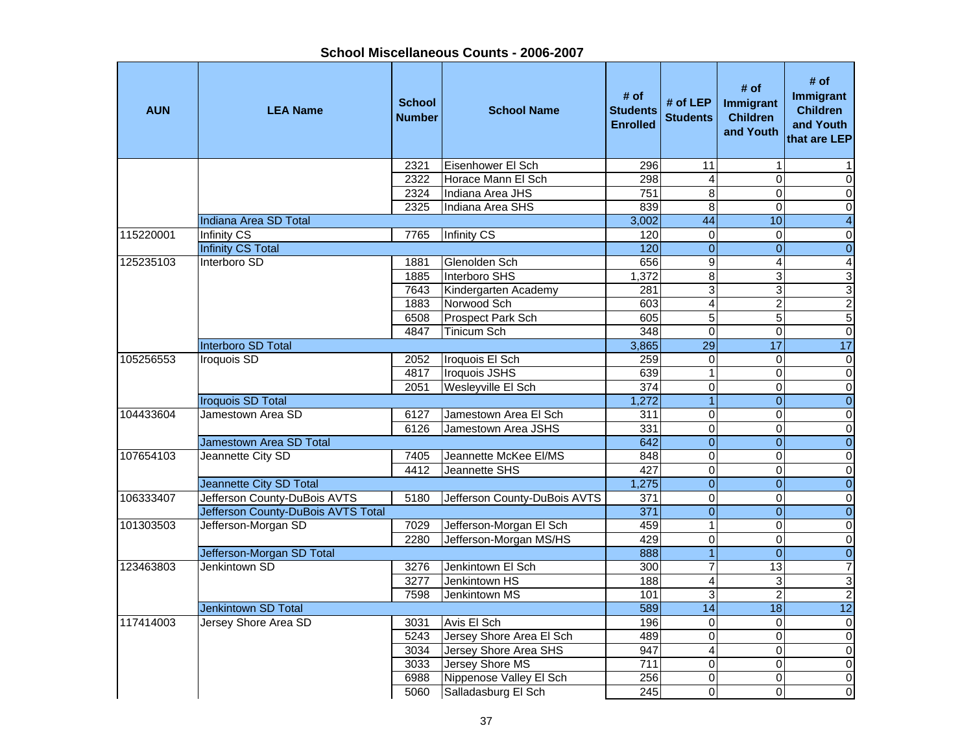**School Miscellaneous Counts - 2006-2007**

| <b>AUN</b> | <b>LEA Name</b>                    | <b>School</b><br><b>Number</b> | <b>School Name</b>           | # of<br><b>Students</b><br><b>Enrolled</b> | # of LEP<br><b>Students</b> | # of<br><b>Immigrant</b><br><b>Children</b><br>and Youth | # of<br><b>Immigrant</b><br><b>Children</b><br>and Youth<br>that are LEP |
|------------|------------------------------------|--------------------------------|------------------------------|--------------------------------------------|-----------------------------|----------------------------------------------------------|--------------------------------------------------------------------------|
|            |                                    | 2321                           | Eisenhower El Sch            | 296                                        | $\overline{11}$             | 1                                                        |                                                                          |
|            |                                    | 2322                           | Horace Mann El Sch           | 298                                        | 4                           | $\Omega$                                                 | $\mathbf 0$                                                              |
|            |                                    | 2324                           | Indiana Area JHS             | 751                                        | $\overline{8}$              | 0                                                        | $\mathsf{O}\xspace$                                                      |
|            |                                    | 2325                           | Indiana Area SHS             | 839                                        | $\overline{8}$              | $\Omega$                                                 | $\pmb{0}$                                                                |
|            | <b>Indiana Area SD Total</b>       |                                |                              | 3,002                                      | 44                          | 10                                                       | $\overline{\mathbf{4}}$                                                  |
| 115220001  | <b>Infinity CS</b>                 | 7765                           | <b>Infinity CS</b>           | 120                                        | $\mathbf 0$                 | $\Omega$                                                 | $\pmb{0}$                                                                |
|            | <b>Infinity CS Total</b>           |                                |                              | 120                                        | $\mathbf{0}$                | $\overline{0}$                                           | $\pmb{0}$                                                                |
| 125235103  | Interboro SD                       | 1881                           | Glenolden Sch                | 656                                        | $\boldsymbol{9}$            | $\overline{4}$                                           | 4                                                                        |
|            |                                    | 1885                           | Interboro SHS                | 1,372                                      | 8                           | 3                                                        | $\ensuremath{\mathsf{3}}$                                                |
|            |                                    | 7643                           | Kindergarten Academy         | 281                                        | $\overline{3}$              | 3                                                        | ω                                                                        |
|            |                                    | 1883                           | Norwood Sch                  | 603                                        | $\overline{4}$              | $\overline{2}$                                           | $\overline{2}$                                                           |
|            |                                    | 6508                           | <b>Prospect Park Sch</b>     | 605                                        | $\overline{5}$              | $\overline{5}$                                           | $\overline{5}$                                                           |
|            |                                    | 4847                           | Tinicum Sch                  | 348                                        | $\overline{0}$              | $\Omega$                                                 | $\overline{0}$                                                           |
|            | <b>Interboro SD Total</b>          |                                |                              | 3,865                                      | $\overline{29}$             | $\overline{17}$                                          | 17                                                                       |
| 105256553  | Iroquois SD                        | 2052                           | Iroquois El Sch              | 259                                        | $\overline{0}$              | 0                                                        | $\overline{\mathsf{o}}$                                                  |
|            |                                    | 4817                           | <b>Iroquois JSHS</b>         | 639                                        | $\mathbf 1$                 | 0                                                        | $\pmb{0}$                                                                |
|            |                                    | 2051                           | Wesleyville El Sch           | 374                                        | $\overline{0}$              | $\Omega$                                                 | $\overline{\mathsf{o}}$                                                  |
|            | <b>Iroquois SD Total</b>           |                                |                              | 1,272                                      | $\overline{1}$              | $\overline{0}$                                           | $\overline{0}$                                                           |
| 104433604  | Jamestown Area SD                  | 6127                           | Jamestown Area El Sch        | 311                                        | $\overline{0}$              | $\Omega$                                                 | $\overline{\mathsf{o}}$                                                  |
|            |                                    | 6126                           | Jamestown Area JSHS          | 331                                        | $\mathbf 0$                 | $\Omega$                                                 | $\mathsf{O}\xspace$                                                      |
|            | Jamestown Area SD Total            |                                |                              | 642                                        | $\overline{0}$              | $\Omega$                                                 | $\pmb{0}$                                                                |
| 107654103  | Jeannette City SD                  | 7405                           | Jeannette McKee El/MS        | 848                                        | $\mathbf 0$                 | 0                                                        | $\pmb{0}$                                                                |
|            |                                    | 4412                           | Jeannette SHS                | 427                                        | $\overline{0}$              | $\Omega$                                                 | $\pmb{0}$                                                                |
|            | Jeannette City SD Total            |                                |                              | 1,275                                      | $\mathbf{0}$                | $\Omega$                                                 | $\overline{0}$                                                           |
| 106333407  | Jefferson County-DuBois AVTS       | 5180                           | Jefferson County-DuBois AVTS | $\overline{371}$                           | $\overline{0}$              | $\Omega$                                                 | $\overline{\mathsf{o}}$                                                  |
|            | Jefferson County-DuBois AVTS Total |                                |                              | 371                                        | $\overline{0}$              | $\overline{0}$                                           | $\overline{0}$                                                           |
| 101303503  | Jefferson-Morgan SD                | 7029                           | Jefferson-Morgan El Sch      | 459                                        | $\mathbf 1$                 | $\mathbf 0$                                              | $\overline{\mathsf{o}}$                                                  |
|            |                                    | 2280                           | Jefferson-Morgan MS/HS       | 429                                        | $\overline{0}$              | $\mathbf 0$                                              | $\overline{0}$                                                           |
|            | Jefferson-Morgan SD Total          |                                |                              | 888                                        | $\overline{1}$              | $\mathbf{0}$                                             | $\overline{0}$                                                           |
| 123463803  | Jenkintown SD                      | 3276                           | Jenkintown El Sch            | 300                                        | $\overline{7}$              | $\overline{13}$                                          | $\overline{7}$                                                           |
|            |                                    | 3277                           | Jenkintown HS                | 188                                        | $\overline{4}$              | 3                                                        | 3                                                                        |
|            |                                    | 7598                           | Jenkintown MS                | 101                                        | $\overline{3}$              | $\overline{c}$                                           | $\overline{2}$                                                           |
|            | Jenkintown SD Total                |                                |                              | 589                                        | $\overline{14}$             | 18                                                       | $\overline{12}$                                                          |
| 117414003  | Jersey Shore Area SD               | 3031                           | Avis El Sch                  | 196                                        | $\pmb{0}$                   | $\Omega$                                                 | $\pmb{0}$                                                                |
|            |                                    | 5243                           | Jersey Shore Area El Sch     | 489                                        | $\mathbf 0$                 | $\Omega$                                                 | $\pmb{0}$                                                                |
|            |                                    | 3034                           | Jersey Shore Area SHS        | 947                                        | $\overline{4}$              | $\Omega$                                                 | $\overline{\mathsf{o}}$                                                  |
|            |                                    | 3033                           | Jersey Shore MS              | 711                                        | 0                           | $\Omega$                                                 | $\pmb{0}$                                                                |
|            |                                    | 6988                           | Nippenose Valley El Sch      | 256                                        | $\mathbf 0$                 | $\mathbf 0$                                              | $\overline{\mathsf{o}}$                                                  |
|            |                                    | 5060                           | Salladasburg El Sch          | 245                                        | $\overline{0}$              | 0                                                        | O                                                                        |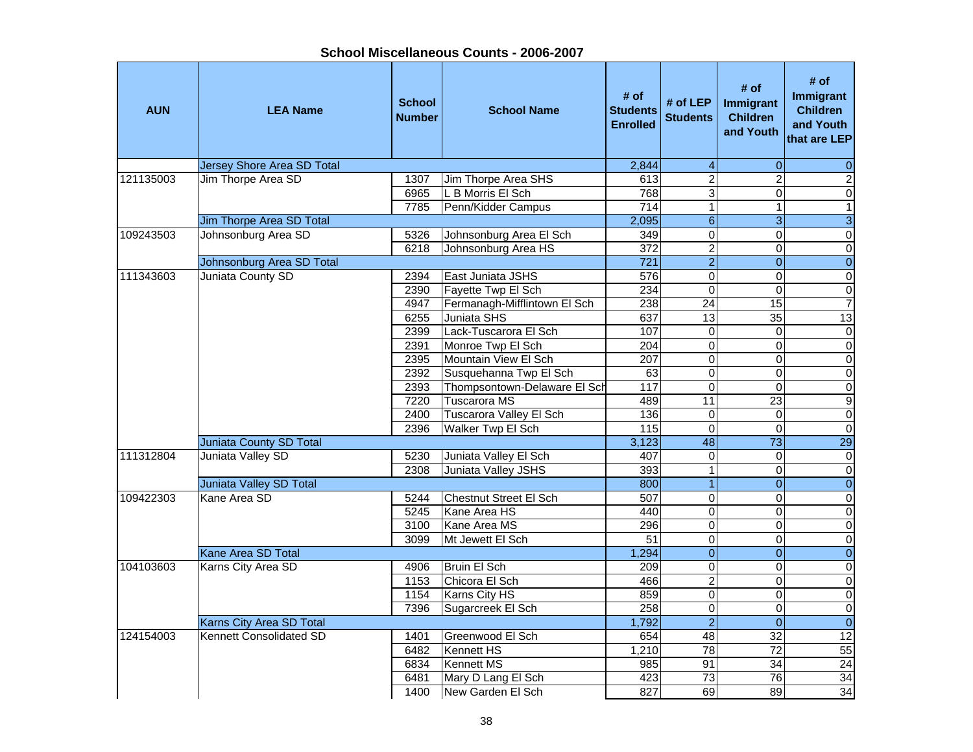| <b>AUN</b> | <b>LEA Name</b>                   | <b>School</b><br><b>Number</b> | <b>School Name</b>             | # of<br><b>Students</b><br><b>Enrolled</b> | # of LEP<br><b>Students</b> | # of<br>Immigrant<br><b>Children</b><br>and Youth | # of<br><b>Immigrant</b><br><b>Children</b><br>and Youth<br>that are LEP |
|------------|-----------------------------------|--------------------------------|--------------------------------|--------------------------------------------|-----------------------------|---------------------------------------------------|--------------------------------------------------------------------------|
|            | <b>Jersey Shore Area SD Total</b> |                                |                                | 2,844                                      | $\overline{\mathbf{4}}$     | $\mathbf 0$                                       | $\pmb{0}$                                                                |
| 121135003  | Jim Thorpe Area SD                | 1307                           | <b>Jim Thorpe Area SHS</b>     | 613                                        | $\overline{2}$              | $\overline{2}$                                    | $\overline{2}$                                                           |
|            |                                   | 6965                           | L B Morris El Sch              | 768                                        | $\overline{3}$              | $\overline{0}$                                    | $\overline{0}$                                                           |
|            |                                   | 7785                           | Penn/Kidder Campus             | 714                                        | $\overline{1}$              | $\overline{1}$                                    | $\overline{1}$                                                           |
|            | Jim Thorpe Area SD Total          |                                |                                | 2,095                                      | $\,6\,$                     | $\mathbf{3}$                                      | $\overline{3}$                                                           |
| 109243503  | Johnsonburg Area SD               | 5326                           | Johnsonburg Area El Sch        | 349                                        | $\overline{0}$              | $\overline{0}$                                    | $\overline{0}$                                                           |
|            |                                   | 6218                           | Johnsonburg Area HS            | $\overline{372}$                           | $\overline{2}$              | $\overline{0}$                                    | $\overline{0}$                                                           |
|            | Johnsonburg Area SD Total         |                                |                                | $\overline{721}$                           | $\overline{2}$              | $\overline{0}$                                    | $\overline{0}$                                                           |
| 111343603  | Juniata County SD                 | 2394                           | East Juniata JSHS              | 576                                        | $\mathsf 0$                 | $\overline{0}$                                    | $\overline{0}$                                                           |
|            |                                   | 2390                           | Fayette Twp El Sch             | 234                                        | $\mathsf 0$                 | $\mathbf 0$                                       | $\overline{0}$                                                           |
|            |                                   | 4947                           | Fermanagh-Mifflintown El Sch   | 238                                        | $\overline{24}$             | 15                                                | $\overline{7}$                                                           |
|            |                                   | 6255                           | <b>Juniata SHS</b>             | 637                                        | 13                          | 35                                                | 13                                                                       |
|            |                                   | 2399                           | Lack-Tuscarora El Sch          | 107                                        | 0                           | $\mathbf 0$                                       | $\overline{0}$                                                           |
|            |                                   | 2391                           | Monroe Twp El Sch              | $\overline{204}$                           | $\overline{0}$              | $\overline{0}$                                    | $\overline{0}$                                                           |
|            |                                   | 2395                           | Mountain View El Sch           | 207                                        | $\overline{0}$              | $\overline{0}$                                    | $\overline{0}$                                                           |
|            |                                   | 2392                           | Susquehanna Twp El Sch         | 63                                         | $\overline{0}$              | $\overline{0}$                                    | $\overline{0}$                                                           |
|            |                                   | 2393                           | Thompsontown-Delaware El Sch   | 117                                        | $\overline{0}$              | $\overline{0}$                                    | $\overline{0}$                                                           |
|            |                                   | 7220                           | <b>Tuscarora MS</b>            | 489                                        | $\overline{11}$             | $\overline{23}$                                   | $\overline{9}$                                                           |
|            |                                   | 2400                           | <b>Tuscarora Valley El Sch</b> | 136                                        | $\overline{0}$              | $\overline{0}$                                    | $\overline{0}$                                                           |
|            |                                   | 2396                           | Walker Twp El Sch              | 115                                        | $\mathbf 0$                 | $\mathbf 0$                                       | $\overline{0}$                                                           |
|            | Juniata County SD Total           |                                |                                | 3,123                                      | 48                          | $\overline{73}$                                   | $\overline{29}$                                                          |
| 111312804  | Juniata Valley SD                 | 5230                           | Juniata Valley El Sch          | 407                                        | $\mathsf 0$                 | $\mathbf 0$                                       | $\overline{0}$                                                           |
|            |                                   | 2308                           | Juniata Valley JSHS            | 393                                        | $\overline{1}$              | $\mathbf 0$                                       | $\overline{0}$                                                           |
|            | <b>Juniata Valley SD Total</b>    |                                |                                | 800                                        | $\overline{1}$              | $\overline{0}$                                    | $\overline{\mathbf{0}}$                                                  |
| 109422303  | Kane Area SD                      | 5244                           | <b>Chestnut Street El Sch</b>  | 507                                        | $\overline{0}$              | $\overline{0}$                                    | $\overline{0}$                                                           |
|            |                                   | 5245                           | Kane Area HS                   | 440                                        | $\overline{0}$              | $\mathsf 0$                                       | $\overline{0}$                                                           |
|            |                                   | 3100                           | Kane Area MS                   | 296                                        | $\overline{0}$              | $\overline{0}$                                    | $\overline{0}$                                                           |
|            |                                   | 3099                           | Mt Jewett El Sch               | 51                                         | $\overline{0}$              | $\overline{0}$                                    | $\overline{0}$                                                           |
|            | Kane Area SD Total                |                                |                                | 1,294                                      | $\overline{0}$              | $\overline{0}$                                    | $\overline{0}$                                                           |
| 104103603  | Karns City Area SD                | 4906                           | <b>Bruin El Sch</b>            | 209                                        | $\overline{0}$              | $\Omega$                                          | $\overline{0}$                                                           |
|            |                                   | 1153                           | Chicora El Sch                 | 466                                        | $\overline{2}$              | 0                                                 | $\overline{0}$                                                           |
|            |                                   | 1154                           | Karns City HS                  | 859                                        | $\overline{0}$              | $\overline{0}$                                    | $\overline{0}$                                                           |
|            |                                   | 7396                           | Sugarcreek El Sch              | 258                                        | $\overline{0}$              | $\overline{0}$                                    | $\overline{0}$                                                           |
|            | Karns City Area SD Total          |                                |                                | 1,792                                      | $\overline{2}$              | $\mathbf 0$                                       | $\overline{0}$                                                           |
| 124154003  | Kennett Consolidated SD           | 1401                           | Greenwood El Sch               | 654                                        | 48                          | $\overline{32}$                                   | $\overline{12}$                                                          |
|            |                                   | 6482                           | Kennett HS                     | 1,210                                      | $\overline{78}$             | $\overline{72}$                                   | 55                                                                       |
|            |                                   | 6834                           | Kennett MS                     | 985                                        | 91                          | 34                                                | $\overline{24}$                                                          |
|            |                                   | 6481                           | Mary D Lang El Sch             | 423                                        | $\overline{73}$             | 76                                                | 34                                                                       |
|            |                                   | 1400                           | New Garden El Sch              | 827                                        | 69                          | 89                                                | 34                                                                       |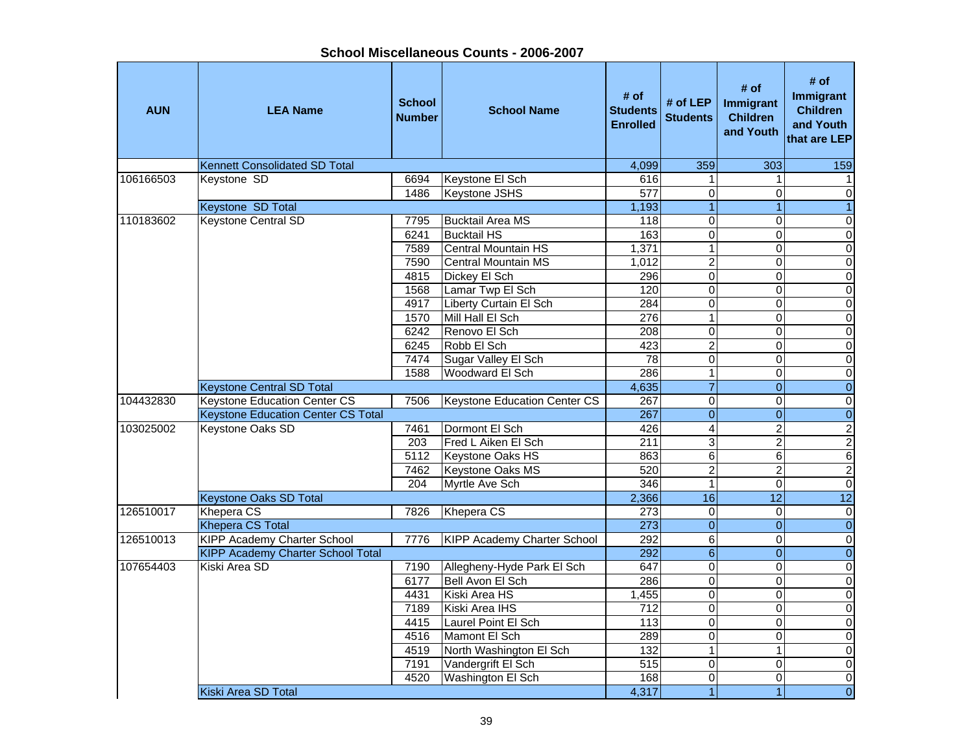| <b>AUN</b> | <b>LEA Name</b>                           | <b>School</b><br><b>Number</b> | <b>School Name</b>                 | # of<br><b>Students</b><br><b>Enrolled</b> | # of LEP<br><b>Students</b> | # of<br>Immigrant<br><b>Children</b><br>and Youth | # of<br>Immigrant<br><b>Children</b><br>and Youth<br>that are LEP |
|------------|-------------------------------------------|--------------------------------|------------------------------------|--------------------------------------------|-----------------------------|---------------------------------------------------|-------------------------------------------------------------------|
|            | <b>Kennett Consolidated SD Total</b>      |                                |                                    | 4,099                                      | 359                         | 303                                               | 159                                                               |
| 106166503  | Keystone SD                               | 6694                           | Keystone El Sch                    | 616                                        |                             | 1                                                 | 1                                                                 |
|            |                                           | 1486                           | <b>Keystone JSHS</b>               | 577                                        | $\Omega$                    | 0                                                 | 0                                                                 |
|            | <b>Keystone SD Total</b>                  |                                |                                    | 1,193                                      |                             | $\overline{1}$                                    | $\overline{1}$                                                    |
| 110183602  | <b>Keystone Central SD</b>                | 7795                           | <b>Bucktail Area MS</b>            | 118                                        | $\mathbf 0$                 | 0                                                 | 0                                                                 |
|            |                                           | 6241                           | <b>Bucktail HS</b>                 | 163                                        | $\overline{0}$              | 0                                                 | $\overline{0}$                                                    |
|            |                                           | 7589                           | Central Mountain HS                | 1,371                                      | 1                           | $\overline{0}$                                    | $\overline{0}$                                                    |
|            |                                           | 7590                           | <b>Central Mountain MS</b>         | 1,012                                      | $\overline{2}$              | $\Omega$                                          | $\overline{0}$                                                    |
|            |                                           | 4815                           | Dickey El Sch                      | 296                                        | $\mathbf 0$                 | $\overline{0}$                                    | $\overline{\mathsf{o}}$                                           |
|            |                                           | 1568                           | Lamar Twp El Sch                   | 120                                        | $\overline{0}$              | $\overline{0}$                                    | $\overline{0}$                                                    |
|            |                                           | 4917                           | Liberty Curtain El Sch             | 284                                        | $\Omega$                    | 0                                                 | $\overline{0}$                                                    |
|            |                                           | 1570                           | Mill Hall El Sch                   | 276                                        | 1                           | $\overline{0}$                                    | $\overline{\mathbf{0}}$                                           |
|            |                                           | 6242                           | Renovo El Sch                      | 208                                        | $\mathbf 0$                 | 0                                                 | $\overline{0}$                                                    |
|            |                                           | 6245                           | Robb El Sch                        | $\overline{423}$                           | $\overline{2}$              | 0                                                 | O                                                                 |
|            |                                           | 7474                           | Sugar Valley El Sch                | 78                                         | $\Omega$                    | $\overline{0}$                                    | O                                                                 |
|            |                                           | 1588                           | Woodward El Sch                    | 286                                        | 1                           | $\mathbf 0$                                       | $\overline{0}$                                                    |
|            | <b>Keystone Central SD Total</b>          |                                |                                    | 4,635                                      | $\overline{7}$              | $\mathbf 0$                                       | $\overline{0}$                                                    |
| 104432830  | <b>Keystone Education Center CS</b>       | 7506                           | Keystone Education Center CS       | 267                                        | $\overline{0}$              | 0                                                 | O                                                                 |
|            | <b>Keystone Education Center CS Total</b> |                                |                                    | 267                                        | $\overline{0}$              | $\mathbf 0$                                       | $\overline{0}$                                                    |
| 103025002  | Keystone Oaks SD                          | 7461                           | Dormont El Sch                     | 426                                        | 4                           | $\overline{2}$                                    | $\overline{2}$                                                    |
|            |                                           | 203                            | Fred L Aiken El Sch                | 211                                        | 3                           | $\overline{2}$                                    | $\overline{2}$                                                    |
|            |                                           | 5112                           | Keystone Oaks HS                   | 863                                        | 6                           | 6                                                 | $\overline{6}$                                                    |
|            |                                           | 7462                           | Keystone Oaks MS                   | 520                                        | $\overline{2}$              | $\overline{2}$                                    | $\overline{2}$                                                    |
|            |                                           | 204                            | Myrtle Ave Sch                     | 346                                        | 1                           | 0                                                 | $\overline{0}$                                                    |
|            | <b>Keystone Oaks SD Total</b>             |                                |                                    | 2,366                                      | 16                          | $\overline{12}$                                   | 12                                                                |
| 126510017  | Khepera CS                                | 7826                           | Khepera CS                         | 273                                        | $\Omega$                    | 0                                                 | $\overline{\mathsf{o}}$                                           |
|            | <b>Khepera CS Total</b>                   |                                |                                    | 273                                        | $\overline{0}$              | $\overline{0}$                                    | $\overline{0}$                                                    |
| 126510013  | <b>KIPP Academy Charter School</b>        | 7776                           | <b>KIPP Academy Charter School</b> | 292                                        | 6                           | $\mathbf 0$                                       | $\overline{0}$                                                    |
|            | <b>KIPP Academy Charter School Total</b>  |                                |                                    | 292                                        | $\sigma$                    | $\overline{0}$                                    | $\overline{0}$                                                    |
| 107654403  | Kiski Area SD                             | 7190                           | Allegheny-Hyde Park El Sch         | 647                                        | $\overline{0}$              | 0                                                 | $\overline{0}$                                                    |
|            |                                           | 6177                           | Bell Avon El Sch                   | 286                                        | $\Omega$                    | 0                                                 | $\mathsf{O}\xspace$                                               |
|            |                                           | 4431                           | Kiski Area HS                      | 1,455                                      | $\Omega$                    | $\mathbf 0$                                       | $\overline{0}$                                                    |
|            |                                           | 7189                           | Kiski Area IHS                     | 712                                        | $\Omega$                    | 0                                                 | $\overline{\mathsf{o}}$                                           |
|            |                                           | 4415                           | Laurel Point El Sch                | 113                                        | $\overline{0}$              | 0                                                 | $\mathsf{O}\xspace$                                               |
|            |                                           | 4516                           | Mamont El Sch                      | 289                                        | $\mathbf 0$                 | 0                                                 | $\mathsf{O}\xspace$                                               |
|            |                                           | 4519                           | North Washington El Sch            | 132                                        | 1                           | 1                                                 | $\overline{0}$                                                    |
|            |                                           | 7191                           | Vandergrift El Sch                 | 515                                        | $\overline{0}$              | 0                                                 | $\overline{0}$                                                    |
|            |                                           | 4520                           | Washington El Sch                  | 168                                        | $\overline{0}$              | 0                                                 | $\overline{0}$                                                    |
|            | Kiski Area SD Total                       |                                |                                    | 4,317                                      |                             |                                                   | $\overline{0}$                                                    |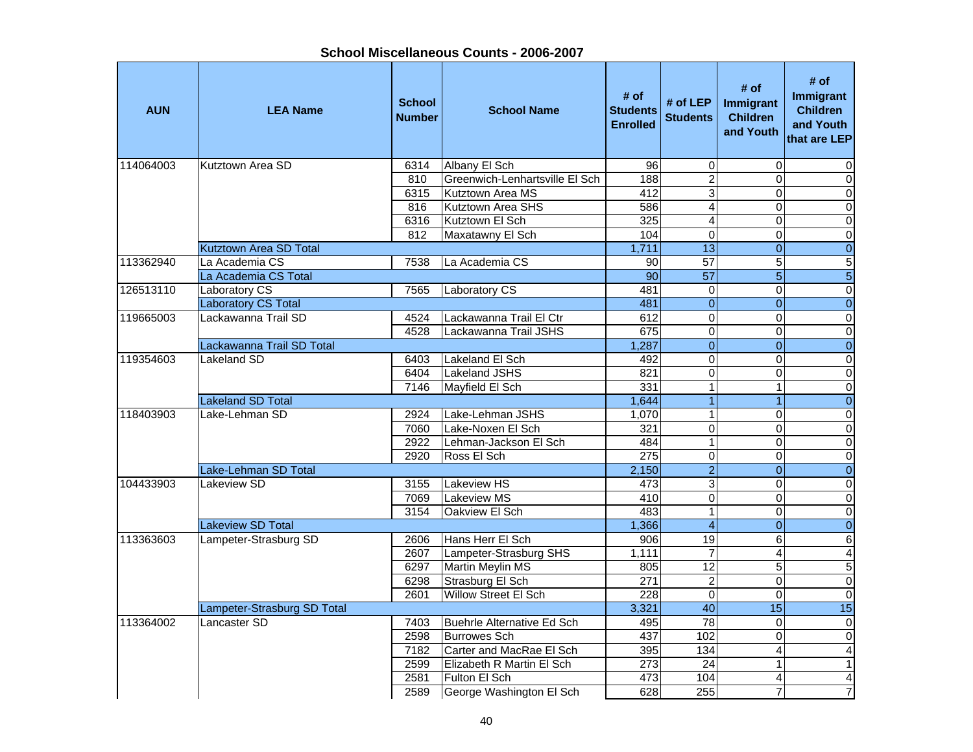**AUN LEA Name School NumberI**<br>**School Name** Budents Enrolled<br>Enrolled # of <br>**Students** # of LEP | Immigrant<br>
Enrolled | Students | Children and Youth **# of Immigrant Children and Youth that are LEP**114064003 Kutztown Area SD 6314 Albany El Sch 96 0 0 0 810 Greenwich-Lenhartsville El Sch | 188 | 2 0 0 0 0 6315 Kutztown Area MS 1982 12 12 12 3 13 13 13 13 14 12 816 Kutztown Area SHS 586 4 0 06316 Kutztown El Sch 325 4 0 0812 Maxatawny El Sch 104 0 0 0 Rutztown Area SD Total 2008 Contract to the Contract of the Contract of the Contract of the Contract of the Contract of the Contract of the Contract of the Contract of the Contract of the Contract of the Contract of the Co 113362940 La Academia CS 7538 La Academia CS 90 57 5 5La Academia CS Total 90 57 5 5126513110 |Laboratory CS | 7565 |Laboratory CS | 481| 0| 0| 0 Laboratory CS Total 2008 2009 12:00 12:00 12:00 12:00 12:00 12:00 12:00 12:00 12:00 12:00 12:00 12:00 12:00 12:0 119665003 Lackawanna Trail SD 14524 Lackawanna Trail El Ctr 1612 0 0 0 0 0 4528 Lackawanna Trail JSHS 675 0 0 0 0 Lackawanna Trail SD Total 1,287 0 0 0 119354603 Lakeland SD 6403 Lakeland El Sch 492 0 0 06404 Lakeland JSHS 821 0 0 07146 | Mayfield El Sch | 331 | 1 | 1 | 0 Lakeland SD Total 1, 1,644 1 1,644 1 1 1 1 1 1 1 1 1 1 1 1 1 0 118403903 Lake-Lehman SD 2924 Lake-Lehman JSHS 1,070 1 0 0 0 7060 Lake-Noxen El Sch 321 0 0 02922 Lehman-Jackson El Sch 484 1 0 02920 Ross El Sch 275 0 0 0 0 Lake-Lehman SD Total 2,150 2 0 0 104433903 Lakeview SD l 3155 Lakeview HS 3 0 0  $\overline{\mathsf{o}}$ 7069 Lakeview MS 410 0 0 03154 Oakview El Sch 483 1 0 0المال المسابق المسابق المسابق المسابق المسابق المسابق المسابق المسابق المسابق المسابق المسابق المسابق المسابق ا<br>المسابق المسابق المسابق المسابق المسابق المسابق المسابق المسابق المسابق المسابق المسابق المسابق المسابق المسا 113363603 Lampeter-Strasburg SD 2606 Hans Herr El Sch 906 19 6 6 2607 Lampeter-Strasburg SHS 1,111 7 4 4 6297 Martin Meylin MS 805 12 5 5 6298 Strasburg El Sch | 271 | 2 0 0 0 2601 Willow Street El Sch 228 0 0 0 0 0 0 Lampeter-Strasburg SD Total 3,321 40 15 15 15 113364002 Lancaster SD 7403 Buehrle Alternative Ed Sch 495 78 0 02598 Burrowes Sch 437 102 0 07182 Carter and MacRae El Sch 395 134 4 42599 Elizabeth R Martin El Sch 273 24 1 1 1 2581 Fulton El Sch 473 104 4 42589 George Washington El Sch 628 255 7 7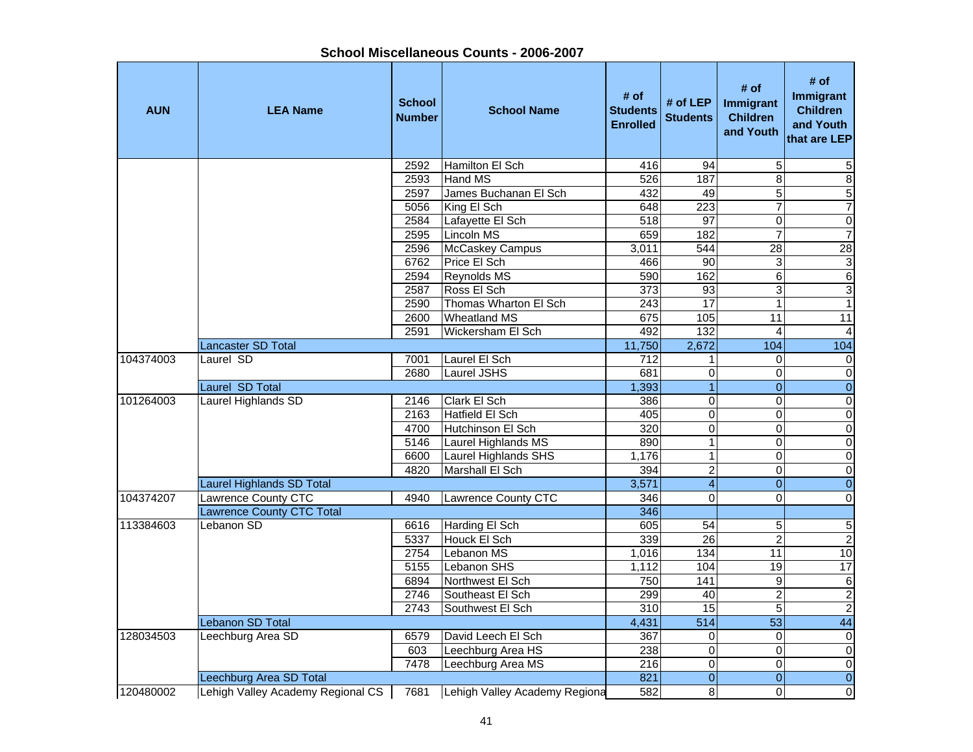|            |                                   |                                | SHOOL MISCENGHEOUS OOUNLS - ZOOO-ZOOT |                                            |                             |                                                   |                                                                   |
|------------|-----------------------------------|--------------------------------|---------------------------------------|--------------------------------------------|-----------------------------|---------------------------------------------------|-------------------------------------------------------------------|
| <b>AUN</b> | <b>LEA Name</b>                   | <b>School</b><br><b>Number</b> | <b>School Name</b>                    | # of<br><b>Students</b><br><b>Enrolled</b> | # of LEP<br><b>Students</b> | # of<br>Immigrant<br><b>Children</b><br>and Youth | # of<br>Immigrant<br><b>Children</b><br>and Youth<br>that are LEP |
|            |                                   | 2592                           | Hamilton El Sch                       | 416                                        | 94                          | 5                                                 | 5                                                                 |
|            |                                   | 2593                           | Hand MS                               | 526                                        | 187                         | $\overline{8}$                                    | $\overline{8}$                                                    |
|            |                                   | 2597                           | James Buchanan El Sch                 | 432                                        | 49                          | 5                                                 |                                                                   |
|            |                                   | 5056                           | King El Sch                           | 648                                        | 223                         | $\overline{7}$                                    | $\frac{5}{7}$                                                     |
|            |                                   | 2584                           | Lafayette El Sch                      | 518                                        | 97                          | $\pmb{0}$                                         | $\overline{0}$                                                    |
|            |                                   | 2595                           | Lincoln MS                            | 659                                        | 182                         | $\overline{7}$                                    | $\overline{7}$                                                    |
|            |                                   | 2596                           | McCaskey Campus                       | 3,011                                      | 544                         | $\overline{28}$                                   | 28                                                                |
|            |                                   | 6762                           | Price El Sch                          | 466                                        | 90                          | $\mathbf 3$                                       |                                                                   |
|            |                                   | 2594                           | Reynolds MS                           | 590                                        | 162                         | $\,6$                                             | $\frac{3}{6}$                                                     |
|            |                                   | 2587                           | Ross El Sch                           | $\overline{373}$                           | 93                          | 3                                                 | $\overline{3}$                                                    |
|            |                                   | 2590                           | Thomas Wharton El Sch                 | 243                                        | $\overline{17}$             | 1                                                 | $\overline{1}$                                                    |
|            |                                   | 2600                           | <b>Wheatland MS</b>                   | 675                                        | 105                         | 11                                                | 11                                                                |
|            |                                   | 2591                           | Wickersham El Sch                     | 492                                        | 132                         | 4                                                 | $\vert$                                                           |
|            | Lancaster SD Total                |                                |                                       | 11,750                                     | 2,672                       | 104                                               | 104                                                               |
| 104374003  | Laurel SD                         | 7001                           | Laurel El Sch                         | 712                                        | 1                           | 0                                                 | 0                                                                 |
|            |                                   | 2680                           | Laurel JSHS                           | 681                                        | 0                           | 0                                                 | $\overline{0}$                                                    |
|            | <b>Laurel SD Total</b>            |                                |                                       | 1,393                                      | $\mathbf{1}$                | $\mathbf 0$                                       | $\overline{0}$                                                    |
| 101264003  | Laurel Highlands SD               | 2146                           | Clark El Sch                          | 386                                        | 0                           | 0                                                 | $\overline{0}$                                                    |
|            |                                   | 2163                           | Hatfield El Sch                       | 405                                        | 0                           | 0                                                 | $\overline{0}$                                                    |
|            |                                   | 4700                           | Hutchinson El Sch                     | 320                                        | 0                           | 0                                                 | $\overline{0}$                                                    |
|            |                                   | 5146                           | Laurel Highlands MS                   | 890                                        | 1                           | $\mathbf 0$                                       | $\overline{0}$                                                    |
|            |                                   | 6600                           | Laurel Highlands SHS                  | 1,176                                      | $\mathbf{1}$                | 0                                                 | $\overline{0}$                                                    |
|            |                                   | 4820                           | Marshall El Sch                       | 394                                        | 2                           | 0                                                 | $\overline{0}$                                                    |
|            | Laurel Highlands SD Total         |                                |                                       | 3,571                                      | $\overline{\mathbf{4}}$     | $\mathbf 0$                                       | $\overline{0}$                                                    |
| 104374207  | Lawrence County CTC               | 4940                           | Lawrence County CTC                   | 346                                        | $\mathbf 0$                 | 0                                                 | $\overline{0}$                                                    |
|            | <b>Lawrence County CTC Total</b>  |                                |                                       | 346                                        |                             |                                                   |                                                                   |
| 113384603  | Lebanon SD                        | 6616                           | Harding El Sch                        | 605                                        | 54                          | 5                                                 | $\overline{\mathbf{5}}$                                           |
|            |                                   | 5337                           | Houck El Sch                          | 339                                        | $\overline{26}$             | $\overline{2}$                                    | $\overline{2}$                                                    |
|            |                                   | 2754                           | Lebanon MS                            | 1,016                                      | 134                         | 11                                                | 10                                                                |
|            |                                   | 5155                           | Lebanon SHS                           | 1,112                                      | 104                         | 19                                                | 17                                                                |
|            |                                   | 6894                           | Northwest El Sch                      | 750                                        | 141                         | $\boldsymbol{9}$                                  | ا صاد                                                             |
|            |                                   | 2746                           | Southeast El Sch                      | 299                                        | 40                          | $\overline{2}$                                    |                                                                   |
|            |                                   | 2743                           | Southwest El Sch                      | 310                                        | 15                          | 5                                                 | $\leq$                                                            |
|            | Lebanon SD Total                  |                                |                                       | 4,431                                      | 514                         | 53                                                | 44                                                                |
| 128034503  | Leechburg Area SD                 | 6579                           | David Leech El Sch                    | 367                                        | 0                           | 0                                                 | $\overline{0}$                                                    |
|            |                                   | 603                            | Leechburg Area HS                     | 238                                        | 0                           | 0                                                 | $\overline{0}$                                                    |
|            |                                   | 7478                           | Leechburg Area MS                     | 216                                        | 0                           | 0                                                 | $\overline{0}$                                                    |
|            | Leechburg Area SD Total           |                                |                                       | 821                                        | $\overline{0}$              | $\mathbf 0$                                       | $\overline{0}$                                                    |
| 120480002  | Lehigh Valley Academy Regional CS | 7681                           | Lehigh Valley Academy Regiona         | 582                                        | 8 <sup>1</sup>              | 0                                                 | $\overline{0}$                                                    |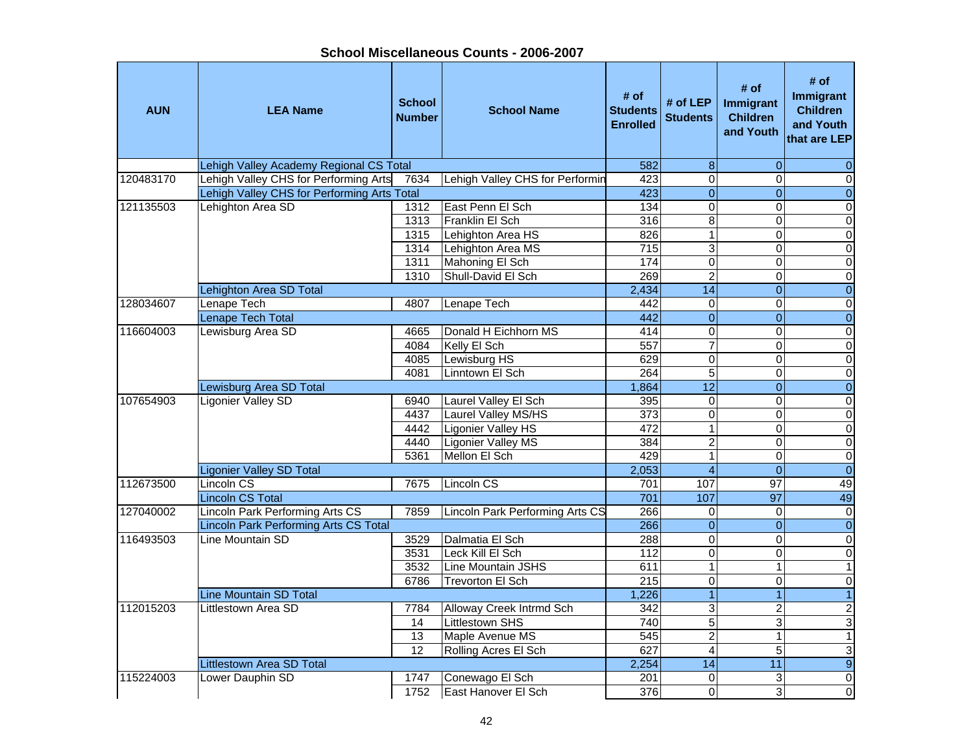**AUN LEA Name School NumberI**<br>**School Name** Budents Enrolled<br>Enrolled # of <br>**Students** # of LEP | Immigrant<br>
Enrolled | Students | Children and Youth **# of**<br> **t** Immigrant<br>
Children<br>
and Youth<br>
that are LEP Lehigh Valley Academy Regional CS Total 582 8 0 0 120483170 Lehigh Valley CHS for Performing Arts 7634 Lehigh Valley CHS for Performin the 423 or the comment of Lehigh Valley CHS for Performing Arts Total 423 0 0 0 121135503 Lehighton Area SD 1312 East Penn El Sch 134 0 0 0 0 0 1313 Franklin El Sch 316 8 0 01315 Lehighton Area HS 826 1 0 0 1314 Lehighton Area MS 715 3 0 0 1311 Mahoning El Sch 174 0 0 0 1310 Shull-David El Sch 269 2 0 0Lehighton Area SD Total 2,434 14 0 0 128034607 Lenape Tech 4807 Lenape Tech 442 0 0 0 Lenape Tech Total and the contract of the contract of the contract of the contract of the contract of the contract of the contract of the contract of the contract of the contract of the contract of the contract of the cont 116604003 Lewisburg Area SD 14665 Donald H Eichhorn MS 414 0 0 0 0 0 4084 Kelly El Sch 557 7 0 0 4085 Lewisburg HS 629 0 0 0 4081 Linntown El Sch 264 5 0 0Lewisburg Area SD Total 1,864 12 0 0 107654903 Ligonier Valley SD 6940 Laurel Valley El Sch 395 0 0 0 4437 Laurel Valley MS/HS 373 0 0 0 4442 Ligonier Valley HS 472 1 0 0 4440 Ligonier Valley MS 384 2 0 0 0 5361 Mellon El Sch 429 1 0 0Ligonier Valley SD Total 2,053 4 0 0 112673500 ILincoln CS I 7675 ILincoln CS 701 l 107 l 97 l 49 49 Lincoln CS Total 701 107 97 4949 127040002 Lincoln Park Performing Arts CS 7859 Lincoln Park Performing Arts CS 266 0 0 0 0 0 0 Lincoln Park Performing Arts CS Total 266 0 0 0 |116493503 |Line Mountain SD | 3529 |Dalmatia El Sch | 288 | 0| 0 | 0 | 3531 Leck Kill El Sch 112 0 0 03532 Line Mountain JSHS 611 1 1 16786 Trevorton El Sch 215 0 0 0Line Mountain SD Total 1,226 1 1 1 112015203 Littlestown Area SD 17784 Alloway Creek Intrmd Sch 342 3 2 2 14 Littlestown SHS 740 5 3 313 | Maple Avenue MS | 545 | 2 | 1 | 1 12 Rolling Acres El Sch 627 4 5 3<br>2.254 14 11 9 Littlestown Area SD Total 2,254 14 11 9 115224003 Lower Dauphin SD 1747 Conewago El Sch 201 0 3 0<br>1752 East Hanover El Sch 376 0 3 0 1752 East Hanover El Sch 376 0 3 3 0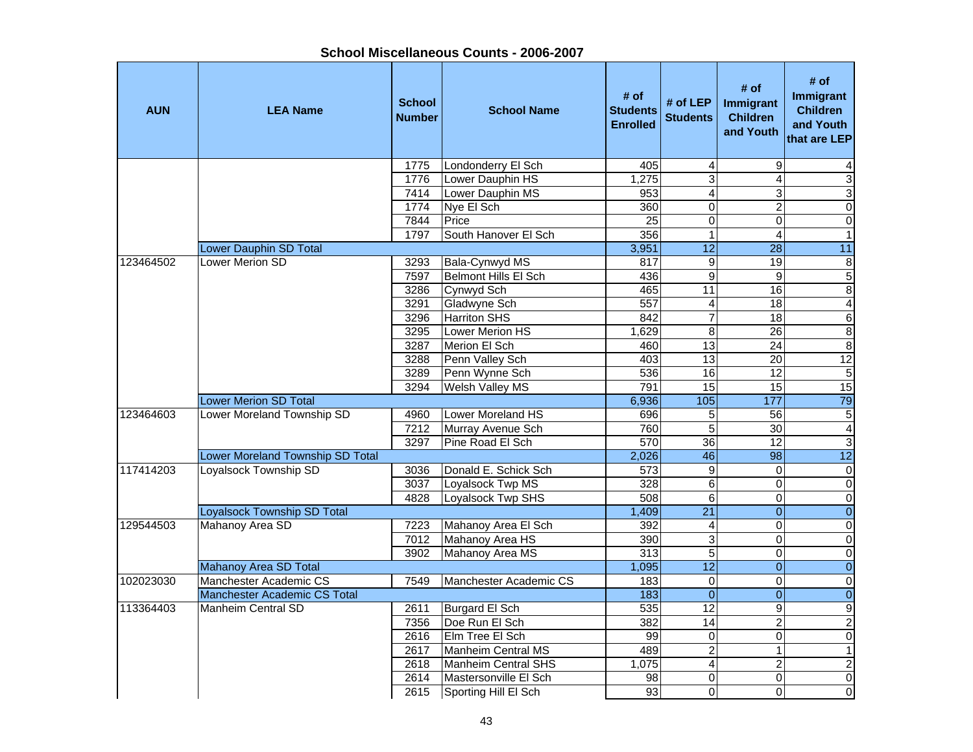| <b>AUN</b> | <b>LEA Name</b>                    | <b>School</b><br><b>Number</b> | <b>School Name</b>         | # of<br><b>Students</b><br><b>Enrolled</b> | # of LEP<br><b>Students</b> | # of<br>Immigrant<br><b>Children</b><br>and Youth | # of<br>Immigrant<br><b>Children</b><br>and Youth<br>that are LEP |
|------------|------------------------------------|--------------------------------|----------------------------|--------------------------------------------|-----------------------------|---------------------------------------------------|-------------------------------------------------------------------|
|            |                                    | 1775                           | Londonderry El Sch         | 405                                        | 4                           | 9                                                 |                                                                   |
|            |                                    | 1776                           | Lower Dauphin HS           | 1,275                                      | 3                           | $\overline{4}$                                    | $\overline{3}$                                                    |
|            |                                    | 7414                           | Lower Dauphin MS           | 953                                        | $\overline{\mathbf{4}}$     | 3                                                 | $\overline{3}$                                                    |
|            |                                    | 1774                           | Nye El Sch                 | 360                                        | $\overline{0}$              | $\overline{2}$                                    | $\overline{0}$                                                    |
|            |                                    | 7844                           | Price                      | $\overline{25}$                            | $\mathbf 0$                 | $\mathbf 0$                                       | $\overline{0}$                                                    |
|            |                                    | 1797                           | South Hanover El Sch       | 356                                        | $\mathbf{1}$                | $\overline{4}$                                    | $\overline{1}$                                                    |
|            | <b>Lower Dauphin SD Total</b>      |                                |                            | 3,951                                      | $\overline{12}$             | $\overline{28}$                                   | 11                                                                |
| 123464502  | <b>Lower Merion SD</b>             | 3293                           | Bala-Cynwyd MS             | 817                                        | $\boldsymbol{9}$            | 19                                                | 8                                                                 |
|            |                                    | 7597                           | Belmont Hills El Sch       | 436                                        | $\boldsymbol{9}$            | $\boldsymbol{9}$                                  | $\overline{5}$                                                    |
|            |                                    | 3286                           | Cynwyd Sch                 | 465                                        | 11                          | 16                                                | 8                                                                 |
|            |                                    | 3291                           | Gladwyne Sch               | 557                                        | 4                           | 18                                                | $\overline{4}$                                                    |
|            |                                    | 3296                           | <b>Harriton SHS</b>        | 842                                        | $\overline{7}$              | 18                                                | $\overline{6}$                                                    |
|            |                                    | 3295                           | Lower Merion HS            | 1,629                                      | $\overline{8}$              | $\overline{26}$                                   | $\overline{8}$                                                    |
|            |                                    | 3287                           | Merion El Sch              | 460                                        | $\overline{13}$             | 24                                                | $\overline{8}$                                                    |
|            |                                    | 3288                           | Penn Valley Sch            | 403                                        | 13                          | $\overline{20}$                                   | 12                                                                |
|            |                                    | 3289                           | Penn Wynne Sch             | 536                                        | 16                          | $\overline{12}$                                   | $\overline{5}$                                                    |
|            |                                    | 3294                           | Welsh Valley MS            | 791                                        | 15                          | 15                                                | 15                                                                |
|            | <b>Lower Merion SD Total</b>       |                                |                            | 6,936                                      | 105                         | 177                                               | 79                                                                |
| 123464603  | Lower Moreland Township SD         | 4960                           | Lower Moreland HS          | 696                                        | 5                           | 56                                                | $\mathbf 5$                                                       |
|            |                                    | 7212                           | Murray Avenue Sch          | 760                                        | 5                           | 30                                                | $\overline{4}$                                                    |
|            |                                    | 3297                           | Pine Road El Sch           | 570                                        | 36                          | 12                                                | $\overline{3}$                                                    |
|            | Lower Moreland Township SD Total   |                                |                            | 2,026                                      | 46                          | $\overline{98}$                                   | $\overline{12}$                                                   |
| 117414203  | <b>Loyalsock Township SD</b>       | 3036                           | Donald E. Schick Sch       | $\overline{573}$                           | $\overline{9}$              | $\Omega$                                          | $\overline{0}$                                                    |
|            |                                    | 3037                           | Loyalsock Twp MS           | 328                                        | 6                           | $\mathbf 0$                                       | $\mathbf 0$                                                       |
|            |                                    | 4828                           | Loyalsock Twp SHS          | 508                                        | 6                           | $\mathsf 0$                                       | $\overline{0}$                                                    |
|            | <b>Loyalsock Township SD Total</b> |                                |                            | 1,409                                      | $\overline{21}$             | $\overline{0}$                                    | $\overline{0}$                                                    |
| 129544503  | Mahanoy Area SD                    | 7223                           | Mahanoy Area El Sch        | 392                                        | 4                           | $\mathsf 0$                                       | $\overline{0}$                                                    |
|            |                                    | 7012                           | Mahanoy Area HS            | 390                                        | 3                           | $\mathbf 0$                                       | $\overline{0}$                                                    |
|            |                                    | 3902                           | Mahanoy Area MS            | $\overline{313}$                           | $\overline{5}$              | $\overline{0}$                                    | $\overline{0}$                                                    |
|            | Mahanoy Area SD Total              |                                |                            | 1,095                                      | $\overline{12}$             | $\overline{0}$                                    | $\overline{0}$                                                    |
| 102023030  | Manchester Academic CS             | 7549                           | Manchester Academic CS     | 183                                        | $\Omega$                    | 0                                                 | $\mathbf 0$                                                       |
|            | Manchester Academic CS Total       |                                |                            | 183                                        | $\overline{0}$              | $\overline{0}$                                    | $\overline{0}$                                                    |
| 113364403  | <b>Manheim Central SD</b>          | 2611                           | Burgard El Sch             | 535                                        | 12                          | 9                                                 | $\overline{9}$                                                    |
|            |                                    | 7356                           | Doe Run El Sch             | 382                                        | $\overline{14}$             | $\overline{2}$                                    | $\overline{2}$                                                    |
|            |                                    | 2616                           | Elm Tree El Sch            | 99                                         | $\pmb{0}$                   | $\mathbf 0$                                       | $\boldsymbol{0}$                                                  |
|            |                                    | 2617                           | Manheim Central MS         | 489                                        | $\overline{\mathbf{c}}$     | $\mathbf{1}$                                      | $\overline{1}$                                                    |
|            |                                    | 2618                           | <b>Manheim Central SHS</b> | 1,075                                      | $\overline{4}$              | $\overline{2}$                                    | $\overline{2}$                                                    |
|            |                                    | 2614                           | Mastersonville El Sch      | 98                                         | 0                           | 0                                                 | $\overline{0}$                                                    |
|            |                                    | 2615                           | Sporting Hill El Sch       | 93                                         | $\overline{0}$              | $\Omega$                                          | $\mathbf 0$                                                       |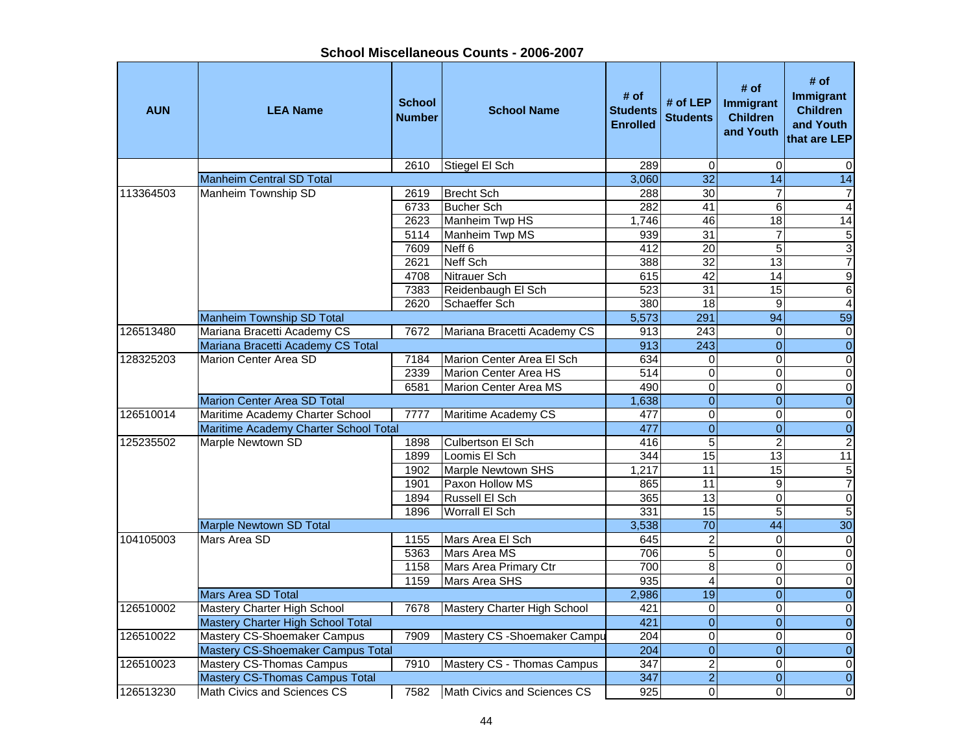**AUN LEA Name School NumberI**<br>**School Name** Budents Enrolled<br>Enrolled **# of LEP** # of # of # of **#** of **Immigrant**<br>d Students Children and Youth # of<br> **Immigrant**<br>
Children<br>
Children<br>
and Youth<br>
that are LEP 2610 Stiegel El Sch 289 0 0 0 Manheim Central SD Total 3,060 32 14 14 14 14 14 14 14 15 16 16 17 17 18 18 19 19 19 19 19 19 19 19 19 19 19 1 113364503 Manheim Township SD 2619 Brecht Sch 288 30 7 7 6733 Bucher Sch 282 41 6 42623 Manheim Twp HS 1,746 46 18 18 14 5114 | Manheim Twp MS | 939 | 91 | 937 | 5 7609 Neff 6 | 412 | 20 | 5 | 3 2621 Neff Sch 388 32 13 7 4708 Nitrauer Sch 615 42 14 91283 Reidenbaugh El Sch 15 523 31 15 6<br>12620 Schaeffer Sch 1380 18 9 4 2620 Schaeffer Sch Manheim Township SD Total 2002 12:00 12:00 12:00 12:00 12:00 12:00 12:00 12:00 12:00 12:00 13:00 13:00 13:00 1 126513480 Mariana Bracetti Academy CS 7672 Mariana Bracetti Academy CS 913 243 0 0 Mariana Bracetti Academy CS Total 913 243 0 0 128325203 | Marion Center Area SD | 7184 | Marion Center Area El Sch | 634 | 0 0 0 0 0 0 2339 Marion Center Area HS 514 0 0 06581 Marion Center Area MS 490 0 0 0Marion Center Area SD Total 1,638 0 0 0 126510014 | Maritime Academy Charter School | 7777 | Maritime Academy CS | 477 | 0 0 0 0 0 0 Maritime Academy Charter School Total 477 0 0 0 125235502 Marple Newtown SD 1898 Culbertson El Sch 416 5 2 2 2 1899 Loomis El Sch 13 144 15 13  $\overline{11}$ 1902 Marple Newtown SHS 1,217 11 15 5 1901 Paxon Hollow MS 1865 11 9 7 1894 Russell El Sch 365 13 0 01896 | Worrall El Sch | 331 | 331 | 35 | 5  $\overline{5}$ Marple Newtown SD Total 30 and 30 and 30 and 30 and 30 and 30 and 30 and 30 and 30 and 30 and 30 and 30 and 30 104105003 Mars Area SD 1155 Mars Area El Sch 645 2 0 05363 Mars Area MS 706 5 0 01158 | Mars Area Primary Ctr | 700 8 | 0 0 0 0 1159 Mars Area SHS 935 4 0 0Mars Area SD Total 2012 12:00 12:00 12:00 12:00 12:00 12:00 12:00 12:00 12:00 12:00 12:00 12:00 12:00 12:00 12:0 126510002 Mastery Charter High School | 7678 Mastery Charter High School | 421 0 0 0 0 0 Mastery Charter High School Total 421 0 0 0 126510022 Mastery CS-Shoemaker Campus 7909 Mastery CS-Shoemaker Campu 204 0 0 0 0 0 Mastery CS-Shoemaker Campus Total 204 0 0 0 126510023 Mastery CS-Thomas Campus 7910 Mastery CS - Thomas Campus 347 2 0 0 Mastery CS-Thomas Campus Total 347 2 0 126513230 Math Civics and Sciences CS 1 7582 Math Civics and Sciences CS 1 925 0 0 0 0 0 0 0 0 0 0 0 0 0 0 0 0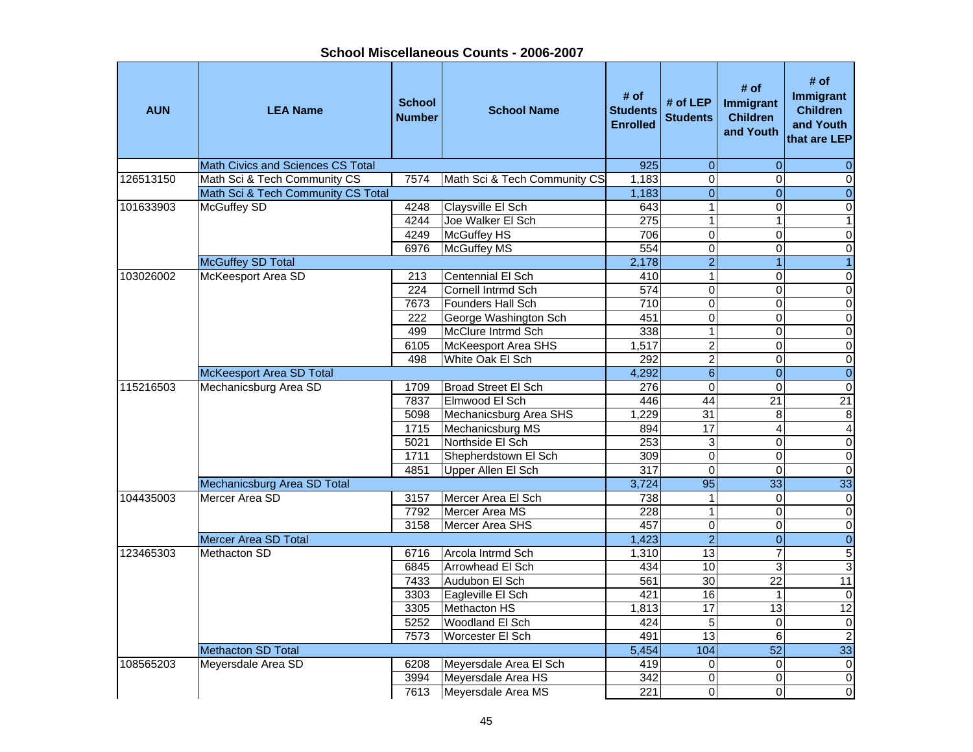**School Miscellaneous Counts - 2006-2007**

| $\mathbf{0}$<br>126513150<br>$\overline{0}$<br>$\mathbf 0$<br>Math Sci & Tech Community CS<br>7574<br>Math Sci & Tech Community CS<br>1,183<br>$\mathbf 0$<br>$\overline{0}$<br>$\overline{0}$<br>$\overline{0}$<br>Math Sci & Tech Community CS Total<br>1,183<br>101633903<br><b>McGuffey SD</b><br>4248<br>Claysville El Sch<br>643<br>$\mathbf 1$<br>$\Omega$<br>0<br>Joe Walker El Sch<br>$\overline{1}$<br>4244<br>275<br>$\mathbf{1}$<br>$\mathbf{1}$<br>$\overline{0}$<br>4249<br><b>McGuffey HS</b><br>706<br>0<br>0<br>$\overline{0}$<br>6976<br><b>McGuffey MS</b><br>554<br>0<br>0<br>$\overline{2}$<br>McGuffey SD Total<br>$\mathbf{1}$<br>2,178<br>$\overline{1}$<br>$\overline{1}$<br>McKeesport Area SD<br>Centennial El Sch<br>103026002<br>213<br>410<br>0<br>$\pmb{0}$<br>0<br>Cornell Intrmd Sch<br>$\Omega$<br>0<br>224<br>574 | <b>AUN</b> | <b>LEA Name</b>                          | <b>School</b><br><b>Number</b> | <b>School Name</b> | # of<br><b>Students</b><br><b>Enrolled</b> | # of LEP<br><b>Students</b> | # of<br>Immigrant<br><b>Children</b><br>and Youth | # of<br>Immigrant<br><b>Children</b><br>and Youth<br>that are LEP |
|------------------------------------------------------------------------------------------------------------------------------------------------------------------------------------------------------------------------------------------------------------------------------------------------------------------------------------------------------------------------------------------------------------------------------------------------------------------------------------------------------------------------------------------------------------------------------------------------------------------------------------------------------------------------------------------------------------------------------------------------------------------------------------------------------------------------------------------------------|------------|------------------------------------------|--------------------------------|--------------------|--------------------------------------------|-----------------------------|---------------------------------------------------|-------------------------------------------------------------------|
|                                                                                                                                                                                                                                                                                                                                                                                                                                                                                                                                                                                                                                                                                                                                                                                                                                                      |            | <b>Math Civics and Sciences CS Total</b> |                                |                    | 925                                        | $\mathbf{0}$                | $\Omega$                                          |                                                                   |
|                                                                                                                                                                                                                                                                                                                                                                                                                                                                                                                                                                                                                                                                                                                                                                                                                                                      |            |                                          |                                |                    |                                            |                             |                                                   |                                                                   |
|                                                                                                                                                                                                                                                                                                                                                                                                                                                                                                                                                                                                                                                                                                                                                                                                                                                      |            |                                          |                                |                    |                                            |                             |                                                   |                                                                   |
|                                                                                                                                                                                                                                                                                                                                                                                                                                                                                                                                                                                                                                                                                                                                                                                                                                                      |            |                                          |                                |                    |                                            |                             |                                                   |                                                                   |
|                                                                                                                                                                                                                                                                                                                                                                                                                                                                                                                                                                                                                                                                                                                                                                                                                                                      |            |                                          |                                |                    |                                            |                             |                                                   |                                                                   |
|                                                                                                                                                                                                                                                                                                                                                                                                                                                                                                                                                                                                                                                                                                                                                                                                                                                      |            |                                          |                                |                    |                                            |                             |                                                   |                                                                   |
|                                                                                                                                                                                                                                                                                                                                                                                                                                                                                                                                                                                                                                                                                                                                                                                                                                                      |            |                                          |                                |                    |                                            |                             |                                                   |                                                                   |
|                                                                                                                                                                                                                                                                                                                                                                                                                                                                                                                                                                                                                                                                                                                                                                                                                                                      |            |                                          |                                |                    |                                            |                             |                                                   |                                                                   |
|                                                                                                                                                                                                                                                                                                                                                                                                                                                                                                                                                                                                                                                                                                                                                                                                                                                      |            |                                          |                                |                    |                                            |                             |                                                   |                                                                   |
|                                                                                                                                                                                                                                                                                                                                                                                                                                                                                                                                                                                                                                                                                                                                                                                                                                                      |            |                                          |                                |                    |                                            |                             |                                                   |                                                                   |
| 7673<br>710                                                                                                                                                                                                                                                                                                                                                                                                                                                                                                                                                                                                                                                                                                                                                                                                                                          |            |                                          |                                | Founders Hall Sch  |                                            | $\pmb{0}$                   | $\Omega$                                          | $\boldsymbol{0}$                                                  |
| $\overline{0}$<br>$\overline{0}$<br>451<br>$\Omega$<br>222<br>George Washington Sch                                                                                                                                                                                                                                                                                                                                                                                                                                                                                                                                                                                                                                                                                                                                                                  |            |                                          |                                |                    |                                            |                             |                                                   |                                                                   |
| $\overline{0}$<br>499<br>McClure Intrmd Sch<br>338<br>$\mathbf{1}$<br>$\Omega$                                                                                                                                                                                                                                                                                                                                                                                                                                                                                                                                                                                                                                                                                                                                                                       |            |                                          |                                |                    |                                            |                             |                                                   |                                                                   |
| $\overline{\mathbf{2}}$<br>$\overline{0}$<br><b>McKeesport Area SHS</b><br>$\Omega$<br>6105<br>1,517                                                                                                                                                                                                                                                                                                                                                                                                                                                                                                                                                                                                                                                                                                                                                 |            |                                          |                                |                    |                                            |                             |                                                   |                                                                   |
| $\overline{2}$<br>White Oak El Sch<br>292<br>$\mathbf 0$<br>$\overline{0}$<br>498                                                                                                                                                                                                                                                                                                                                                                                                                                                                                                                                                                                                                                                                                                                                                                    |            |                                          |                                |                    |                                            |                             |                                                   |                                                                   |
| $\overline{6}$<br>$\overline{0}$<br>$\overline{0}$<br><b>McKeesport Area SD Total</b><br>4,292                                                                                                                                                                                                                                                                                                                                                                                                                                                                                                                                                                                                                                                                                                                                                       |            |                                          |                                |                    |                                            |                             |                                                   |                                                                   |
| <b>Broad Street El Sch</b><br>$\overline{0}$<br>$\overline{0}$<br>115216503<br>Mechanicsburg Area SD<br>$\overline{276}$<br>$\Omega$<br>1709                                                                                                                                                                                                                                                                                                                                                                                                                                                                                                                                                                                                                                                                                                         |            |                                          |                                |                    |                                            |                             |                                                   |                                                                   |
| 44<br>$\overline{21}$<br>7837<br>Elmwood El Sch<br>446<br>21                                                                                                                                                                                                                                                                                                                                                                                                                                                                                                                                                                                                                                                                                                                                                                                         |            |                                          |                                |                    |                                            |                             |                                                   |                                                                   |
| 5098<br>Mechanicsburg Area SHS<br>1,229<br>$\overline{31}$<br>$\,8\,$<br>8                                                                                                                                                                                                                                                                                                                                                                                                                                                                                                                                                                                                                                                                                                                                                                           |            |                                          |                                |                    |                                            |                             |                                                   |                                                                   |
| 17<br>1715<br>Mechanicsburg MS<br>894<br>4<br>$\overline{\mathbf{4}}$                                                                                                                                                                                                                                                                                                                                                                                                                                                                                                                                                                                                                                                                                                                                                                                |            |                                          |                                |                    |                                            |                             |                                                   |                                                                   |
| $\mathbf 0$<br>5021<br>Northside El Sch<br>253<br>3<br>0                                                                                                                                                                                                                                                                                                                                                                                                                                                                                                                                                                                                                                                                                                                                                                                             |            |                                          |                                |                    |                                            |                             |                                                   |                                                                   |
| $\mathsf{O}\xspace$<br>$\boldsymbol{0}$<br>1711<br>Shepherdstown El Sch<br>$\pmb{0}$<br>309                                                                                                                                                                                                                                                                                                                                                                                                                                                                                                                                                                                                                                                                                                                                                          |            |                                          |                                |                    |                                            |                             |                                                   |                                                                   |
| 0<br>Upper Allen El Sch<br>317<br>$\Omega$<br>$\pmb{0}$<br>4851                                                                                                                                                                                                                                                                                                                                                                                                                                                                                                                                                                                                                                                                                                                                                                                      |            |                                          |                                |                    |                                            |                             |                                                   |                                                                   |
| 95<br>$\overline{33}$<br>3,724<br>33<br>Mechanicsburg Area SD Total                                                                                                                                                                                                                                                                                                                                                                                                                                                                                                                                                                                                                                                                                                                                                                                  |            |                                          |                                |                    |                                            |                             |                                                   |                                                                   |
| Mercer Area SD<br>Mercer Area El Sch<br>738<br>$\Omega$<br>$\pmb{0}$<br>104435003<br>3157<br>1                                                                                                                                                                                                                                                                                                                                                                                                                                                                                                                                                                                                                                                                                                                                                       |            |                                          |                                |                    |                                            |                             |                                                   |                                                                   |
| 228<br>$\overline{0}$<br>7792<br>Mercer Area MS<br>1<br>$\Omega$                                                                                                                                                                                                                                                                                                                                                                                                                                                                                                                                                                                                                                                                                                                                                                                     |            |                                          |                                |                    |                                            |                             |                                                   |                                                                   |
| $\overline{0}$<br>3158<br><b>Mercer Area SHS</b><br>457<br>$\overline{0}$<br>$\Omega$                                                                                                                                                                                                                                                                                                                                                                                                                                                                                                                                                                                                                                                                                                                                                                |            |                                          |                                |                    |                                            |                             |                                                   |                                                                   |
| $\overline{2}$<br>$\overline{0}$<br><b>Mercer Area SD Total</b><br>1,423<br>$\overline{0}$                                                                                                                                                                                                                                                                                                                                                                                                                                                                                                                                                                                                                                                                                                                                                           |            |                                          |                                |                    |                                            |                             |                                                   |                                                                   |
| $\overline{13}$<br>7<br>$\overline{5}$<br>1,310<br>123465303<br>Methacton SD<br>Arcola Intrmd Sch<br>6716                                                                                                                                                                                                                                                                                                                                                                                                                                                                                                                                                                                                                                                                                                                                            |            |                                          |                                |                    |                                            |                             |                                                   |                                                                   |
| $\overline{3}$<br>6845<br>Arrowhead El Sch<br>434<br>10<br>3                                                                                                                                                                                                                                                                                                                                                                                                                                                                                                                                                                                                                                                                                                                                                                                         |            |                                          |                                |                    |                                            |                             |                                                   |                                                                   |
| 30<br>561<br>$\overline{22}$<br>11<br>7433<br>Audubon El Sch                                                                                                                                                                                                                                                                                                                                                                                                                                                                                                                                                                                                                                                                                                                                                                                         |            |                                          |                                |                    |                                            |                             |                                                   |                                                                   |
| 3303<br>Eagleville El Sch<br>421<br>16<br>$\overline{0}$<br>$\mathbf 1$                                                                                                                                                                                                                                                                                                                                                                                                                                                                                                                                                                                                                                                                                                                                                                              |            |                                          |                                |                    |                                            |                             |                                                   |                                                                   |
| Methacton HS<br>$\overline{17}$<br>$\overline{12}$<br>3305<br>13<br>1,813                                                                                                                                                                                                                                                                                                                                                                                                                                                                                                                                                                                                                                                                                                                                                                            |            |                                          |                                |                    |                                            |                             |                                                   |                                                                   |
| 5<br>Woodland El Sch<br>0<br>$\pmb{0}$<br>5252<br>424                                                                                                                                                                                                                                                                                                                                                                                                                                                                                                                                                                                                                                                                                                                                                                                                |            |                                          |                                |                    |                                            |                             |                                                   |                                                                   |
| $\overline{2}$<br>13<br>Worcester El Sch<br>6<br>7573<br>491                                                                                                                                                                                                                                                                                                                                                                                                                                                                                                                                                                                                                                                                                                                                                                                         |            |                                          |                                |                    |                                            |                             |                                                   |                                                                   |
| 33<br>Methacton SD Total<br>5,454<br>104<br>52                                                                                                                                                                                                                                                                                                                                                                                                                                                                                                                                                                                                                                                                                                                                                                                                       |            |                                          |                                |                    |                                            |                             |                                                   |                                                                   |
| $\overline{0}$<br>419<br>$\Omega$<br>$\overline{\mathsf{o}}$<br>108565203<br>Meyersdale Area SD<br>6208<br>Meyersdale Area El Sch                                                                                                                                                                                                                                                                                                                                                                                                                                                                                                                                                                                                                                                                                                                    |            |                                          |                                |                    |                                            |                             |                                                   |                                                                   |
| $\overline{0}$<br>0<br>3994<br>Meyersdale Area HS<br>342<br>$\Omega$                                                                                                                                                                                                                                                                                                                                                                                                                                                                                                                                                                                                                                                                                                                                                                                 |            |                                          |                                |                    |                                            |                             |                                                   |                                                                   |
| 221<br>$\overline{0}$<br>7613<br>$\mathbf 0$<br>Meyersdale Area MS<br>$\Omega$                                                                                                                                                                                                                                                                                                                                                                                                                                                                                                                                                                                                                                                                                                                                                                       |            |                                          |                                |                    |                                            |                             |                                                   |                                                                   |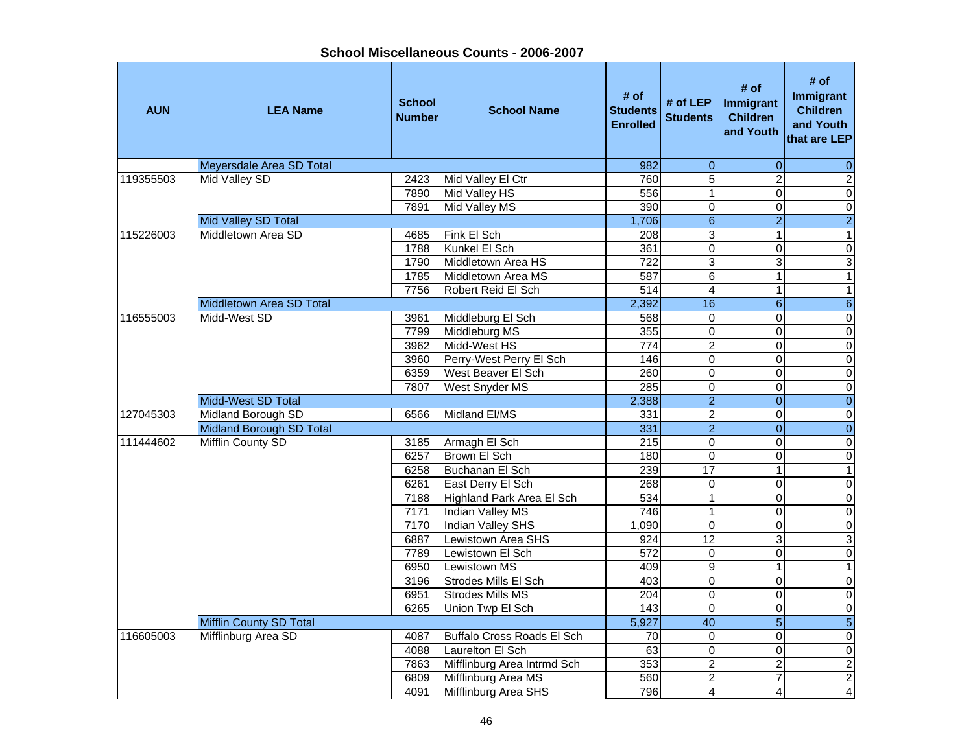| # of<br># of<br># of<br>Immigrant<br># of LEP<br><b>School</b><br>Immigrant<br><b>Children</b><br><b>AUN</b><br><b>LEA Name</b><br><b>School Name</b><br><b>Students</b><br><b>Children</b><br><b>Number</b><br><b>Students</b><br>and Youth<br><b>Enrolled</b><br>and Youth<br>Meyersdale Area SD Total<br>982<br>$\boldsymbol{0}$<br>0<br>$\overline{5}$<br>$\overline{2}$<br>Mid Valley SD<br>119355503<br>2423<br>Mid Valley El Ctr<br>760<br>$\overline{0}$<br>Mid Valley HS<br>556<br>$\mathbf 1$<br>7890<br>390<br>$\mathsf 0$<br>7891<br>Mid Valley MS<br>0<br>$6 \,$<br>$\overline{a}$<br>Mid Valley SD Total<br>1,706<br>3<br>Fink El Sch<br>115226003<br>Middletown Area SD<br>4685<br>208<br>1<br>$\overline{0}$<br>361<br>0<br>Kunkel El Sch<br>1788<br>$\overline{3}$<br>3<br>722<br>Middletown Area HS<br>1790<br>587<br>6<br>Middletown Area MS<br>1<br>1785<br>514<br>$\overline{\mathbf{4}}$<br>7756<br>Robert Reid El Sch<br>1<br>$\overline{6}$<br>2,392<br>16<br>6<br>Middletown Area SD Total<br>$\overline{0}$<br>0<br>116555003<br>Midd-West SD<br>Middleburg El Sch<br>0<br>3961<br>568<br>$\overline{0}$<br>Middleburg MS<br>355<br>$\mathsf 0$<br>7799<br>0<br>$\overline{c}$<br>$\pmb{0}$<br>Midd-West HS<br>774<br>3962<br>0<br>$\overline{0}$<br>$\overline{0}$<br>3960<br>Perry-West Perry El Sch<br>146<br>0<br>$\overline{0}$<br>260<br>0<br>0<br>West Beaver El Sch<br>6359<br>$\overline{0}$<br>$\overline{0}$<br>285<br>0<br>7807<br><b>West Snyder MS</b><br>$\overline{0}$<br>$\overline{2}$<br>Midd-West SD Total<br>2,388<br>$\overline{0}$<br>$\overline{2}$<br>$\overline{0}$<br>Midland EI/MS<br>0<br>127045303<br>Midland Borough SD<br>331<br>6566<br>$\overline{2}$<br>$\overline{0}$<br>$\overline{0}$<br>Midland Borough SD Total<br>331<br>Mifflin County SD<br>215<br>$\mathsf 0$<br>$\pmb{0}$<br>111444602<br>Armagh El Sch<br>0<br>3185<br>Brown El Sch<br>$\mathsf 0$<br>$\pmb{0}$<br>6257<br>180<br>0<br>17<br>6258<br>239<br>Buchanan El Sch<br>$\mathbf 0$<br>268<br>0<br>0<br>6261<br>East Derry El Sch<br>$\overline{0}$<br>534<br>$\mathbf 1$<br>0<br>7188<br>Highland Park Area El Sch<br>$\overline{0}$<br><b>Indian Valley MS</b><br>746<br>$\mathbf 1$<br>0<br>7171<br>$\overline{0}$<br>7170<br><b>Indian Valley SHS</b><br>$\mathbf 0$<br>0<br>1,090<br>12<br>3<br>Lewistown Area SHS<br>6887<br>924<br>572<br>0<br>7789<br>Lewistown El Sch<br>0<br>$\overline{9}$<br>6950<br><b>Lewistown MS</b><br>409<br>1<br>$\pmb{0}$<br>3196<br><b>Strodes Mills El Sch</b><br>403<br>0<br>$\overline{\mathsf{o}}$<br>204<br>0<br>6951<br>Strodes Mills MS<br>$\overline{143}$<br>6265<br>Union Twp El Sch<br>$\mathbf 0$<br>$\overline{0}$<br>40<br>$\overline{5}$<br>Mifflin County SD Total<br>5,927<br>Mifflinburg Area SD<br>0<br>0<br>116605003<br>Buffalo Cross Roads El Sch<br>70<br>4087<br>0<br>63<br>$\pmb{0}$<br>4088<br>Laurelton El Sch<br>353<br>$\boldsymbol{2}$<br>$\overline{\mathbf{c}}$<br>Mifflinburg Area Intrmd Sch<br>7863<br>$\overline{\mathbf{c}}$<br>Mifflinburg Area MS<br>560<br>6809<br>7<br>Mifflinburg Area SHS<br>796<br>4091<br>$\vert$<br>$\frac{4}{ }$ |  |  |  |                 |
|-----------------------------------------------------------------------------------------------------------------------------------------------------------------------------------------------------------------------------------------------------------------------------------------------------------------------------------------------------------------------------------------------------------------------------------------------------------------------------------------------------------------------------------------------------------------------------------------------------------------------------------------------------------------------------------------------------------------------------------------------------------------------------------------------------------------------------------------------------------------------------------------------------------------------------------------------------------------------------------------------------------------------------------------------------------------------------------------------------------------------------------------------------------------------------------------------------------------------------------------------------------------------------------------------------------------------------------------------------------------------------------------------------------------------------------------------------------------------------------------------------------------------------------------------------------------------------------------------------------------------------------------------------------------------------------------------------------------------------------------------------------------------------------------------------------------------------------------------------------------------------------------------------------------------------------------------------------------------------------------------------------------------------------------------------------------------------------------------------------------------------------------------------------------------------------------------------------------------------------------------------------------------------------------------------------------------------------------------------------------------------------------------------------------------------------------------------------------------------------------------------------------------------------------------------------------------------------------------------------------------------------------------------------------------------------------------------------------------------------------------------------------------------------------------------------------------------------------------------------------------------------------------------------------------------------------------------------------------------------------------------------------------------------------------------------------------------------------------------------------------------------------------------|--|--|--|-----------------|
|                                                                                                                                                                                                                                                                                                                                                                                                                                                                                                                                                                                                                                                                                                                                                                                                                                                                                                                                                                                                                                                                                                                                                                                                                                                                                                                                                                                                                                                                                                                                                                                                                                                                                                                                                                                                                                                                                                                                                                                                                                                                                                                                                                                                                                                                                                                                                                                                                                                                                                                                                                                                                                                                                                                                                                                                                                                                                                                                                                                                                                                                                                                                                     |  |  |  | that are LEP    |
|                                                                                                                                                                                                                                                                                                                                                                                                                                                                                                                                                                                                                                                                                                                                                                                                                                                                                                                                                                                                                                                                                                                                                                                                                                                                                                                                                                                                                                                                                                                                                                                                                                                                                                                                                                                                                                                                                                                                                                                                                                                                                                                                                                                                                                                                                                                                                                                                                                                                                                                                                                                                                                                                                                                                                                                                                                                                                                                                                                                                                                                                                                                                                     |  |  |  | $\mathbf 0$     |
|                                                                                                                                                                                                                                                                                                                                                                                                                                                                                                                                                                                                                                                                                                                                                                                                                                                                                                                                                                                                                                                                                                                                                                                                                                                                                                                                                                                                                                                                                                                                                                                                                                                                                                                                                                                                                                                                                                                                                                                                                                                                                                                                                                                                                                                                                                                                                                                                                                                                                                                                                                                                                                                                                                                                                                                                                                                                                                                                                                                                                                                                                                                                                     |  |  |  | $\overline{2}$  |
|                                                                                                                                                                                                                                                                                                                                                                                                                                                                                                                                                                                                                                                                                                                                                                                                                                                                                                                                                                                                                                                                                                                                                                                                                                                                                                                                                                                                                                                                                                                                                                                                                                                                                                                                                                                                                                                                                                                                                                                                                                                                                                                                                                                                                                                                                                                                                                                                                                                                                                                                                                                                                                                                                                                                                                                                                                                                                                                                                                                                                                                                                                                                                     |  |  |  | $\overline{0}$  |
|                                                                                                                                                                                                                                                                                                                                                                                                                                                                                                                                                                                                                                                                                                                                                                                                                                                                                                                                                                                                                                                                                                                                                                                                                                                                                                                                                                                                                                                                                                                                                                                                                                                                                                                                                                                                                                                                                                                                                                                                                                                                                                                                                                                                                                                                                                                                                                                                                                                                                                                                                                                                                                                                                                                                                                                                                                                                                                                                                                                                                                                                                                                                                     |  |  |  | $\overline{0}$  |
|                                                                                                                                                                                                                                                                                                                                                                                                                                                                                                                                                                                                                                                                                                                                                                                                                                                                                                                                                                                                                                                                                                                                                                                                                                                                                                                                                                                                                                                                                                                                                                                                                                                                                                                                                                                                                                                                                                                                                                                                                                                                                                                                                                                                                                                                                                                                                                                                                                                                                                                                                                                                                                                                                                                                                                                                                                                                                                                                                                                                                                                                                                                                                     |  |  |  | $\overline{2}$  |
|                                                                                                                                                                                                                                                                                                                                                                                                                                                                                                                                                                                                                                                                                                                                                                                                                                                                                                                                                                                                                                                                                                                                                                                                                                                                                                                                                                                                                                                                                                                                                                                                                                                                                                                                                                                                                                                                                                                                                                                                                                                                                                                                                                                                                                                                                                                                                                                                                                                                                                                                                                                                                                                                                                                                                                                                                                                                                                                                                                                                                                                                                                                                                     |  |  |  | $\mathbf{1}$    |
|                                                                                                                                                                                                                                                                                                                                                                                                                                                                                                                                                                                                                                                                                                                                                                                                                                                                                                                                                                                                                                                                                                                                                                                                                                                                                                                                                                                                                                                                                                                                                                                                                                                                                                                                                                                                                                                                                                                                                                                                                                                                                                                                                                                                                                                                                                                                                                                                                                                                                                                                                                                                                                                                                                                                                                                                                                                                                                                                                                                                                                                                                                                                                     |  |  |  | $\overline{0}$  |
|                                                                                                                                                                                                                                                                                                                                                                                                                                                                                                                                                                                                                                                                                                                                                                                                                                                                                                                                                                                                                                                                                                                                                                                                                                                                                                                                                                                                                                                                                                                                                                                                                                                                                                                                                                                                                                                                                                                                                                                                                                                                                                                                                                                                                                                                                                                                                                                                                                                                                                                                                                                                                                                                                                                                                                                                                                                                                                                                                                                                                                                                                                                                                     |  |  |  | $\overline{3}$  |
|                                                                                                                                                                                                                                                                                                                                                                                                                                                                                                                                                                                                                                                                                                                                                                                                                                                                                                                                                                                                                                                                                                                                                                                                                                                                                                                                                                                                                                                                                                                                                                                                                                                                                                                                                                                                                                                                                                                                                                                                                                                                                                                                                                                                                                                                                                                                                                                                                                                                                                                                                                                                                                                                                                                                                                                                                                                                                                                                                                                                                                                                                                                                                     |  |  |  | $\mathbf{1}$    |
|                                                                                                                                                                                                                                                                                                                                                                                                                                                                                                                                                                                                                                                                                                                                                                                                                                                                                                                                                                                                                                                                                                                                                                                                                                                                                                                                                                                                                                                                                                                                                                                                                                                                                                                                                                                                                                                                                                                                                                                                                                                                                                                                                                                                                                                                                                                                                                                                                                                                                                                                                                                                                                                                                                                                                                                                                                                                                                                                                                                                                                                                                                                                                     |  |  |  | $\mathbf{1}$    |
|                                                                                                                                                                                                                                                                                                                                                                                                                                                                                                                                                                                                                                                                                                                                                                                                                                                                                                                                                                                                                                                                                                                                                                                                                                                                                                                                                                                                                                                                                                                                                                                                                                                                                                                                                                                                                                                                                                                                                                                                                                                                                                                                                                                                                                                                                                                                                                                                                                                                                                                                                                                                                                                                                                                                                                                                                                                                                                                                                                                                                                                                                                                                                     |  |  |  |                 |
|                                                                                                                                                                                                                                                                                                                                                                                                                                                                                                                                                                                                                                                                                                                                                                                                                                                                                                                                                                                                                                                                                                                                                                                                                                                                                                                                                                                                                                                                                                                                                                                                                                                                                                                                                                                                                                                                                                                                                                                                                                                                                                                                                                                                                                                                                                                                                                                                                                                                                                                                                                                                                                                                                                                                                                                                                                                                                                                                                                                                                                                                                                                                                     |  |  |  |                 |
|                                                                                                                                                                                                                                                                                                                                                                                                                                                                                                                                                                                                                                                                                                                                                                                                                                                                                                                                                                                                                                                                                                                                                                                                                                                                                                                                                                                                                                                                                                                                                                                                                                                                                                                                                                                                                                                                                                                                                                                                                                                                                                                                                                                                                                                                                                                                                                                                                                                                                                                                                                                                                                                                                                                                                                                                                                                                                                                                                                                                                                                                                                                                                     |  |  |  |                 |
|                                                                                                                                                                                                                                                                                                                                                                                                                                                                                                                                                                                                                                                                                                                                                                                                                                                                                                                                                                                                                                                                                                                                                                                                                                                                                                                                                                                                                                                                                                                                                                                                                                                                                                                                                                                                                                                                                                                                                                                                                                                                                                                                                                                                                                                                                                                                                                                                                                                                                                                                                                                                                                                                                                                                                                                                                                                                                                                                                                                                                                                                                                                                                     |  |  |  |                 |
|                                                                                                                                                                                                                                                                                                                                                                                                                                                                                                                                                                                                                                                                                                                                                                                                                                                                                                                                                                                                                                                                                                                                                                                                                                                                                                                                                                                                                                                                                                                                                                                                                                                                                                                                                                                                                                                                                                                                                                                                                                                                                                                                                                                                                                                                                                                                                                                                                                                                                                                                                                                                                                                                                                                                                                                                                                                                                                                                                                                                                                                                                                                                                     |  |  |  |                 |
|                                                                                                                                                                                                                                                                                                                                                                                                                                                                                                                                                                                                                                                                                                                                                                                                                                                                                                                                                                                                                                                                                                                                                                                                                                                                                                                                                                                                                                                                                                                                                                                                                                                                                                                                                                                                                                                                                                                                                                                                                                                                                                                                                                                                                                                                                                                                                                                                                                                                                                                                                                                                                                                                                                                                                                                                                                                                                                                                                                                                                                                                                                                                                     |  |  |  |                 |
|                                                                                                                                                                                                                                                                                                                                                                                                                                                                                                                                                                                                                                                                                                                                                                                                                                                                                                                                                                                                                                                                                                                                                                                                                                                                                                                                                                                                                                                                                                                                                                                                                                                                                                                                                                                                                                                                                                                                                                                                                                                                                                                                                                                                                                                                                                                                                                                                                                                                                                                                                                                                                                                                                                                                                                                                                                                                                                                                                                                                                                                                                                                                                     |  |  |  |                 |
|                                                                                                                                                                                                                                                                                                                                                                                                                                                                                                                                                                                                                                                                                                                                                                                                                                                                                                                                                                                                                                                                                                                                                                                                                                                                                                                                                                                                                                                                                                                                                                                                                                                                                                                                                                                                                                                                                                                                                                                                                                                                                                                                                                                                                                                                                                                                                                                                                                                                                                                                                                                                                                                                                                                                                                                                                                                                                                                                                                                                                                                                                                                                                     |  |  |  |                 |
|                                                                                                                                                                                                                                                                                                                                                                                                                                                                                                                                                                                                                                                                                                                                                                                                                                                                                                                                                                                                                                                                                                                                                                                                                                                                                                                                                                                                                                                                                                                                                                                                                                                                                                                                                                                                                                                                                                                                                                                                                                                                                                                                                                                                                                                                                                                                                                                                                                                                                                                                                                                                                                                                                                                                                                                                                                                                                                                                                                                                                                                                                                                                                     |  |  |  |                 |
|                                                                                                                                                                                                                                                                                                                                                                                                                                                                                                                                                                                                                                                                                                                                                                                                                                                                                                                                                                                                                                                                                                                                                                                                                                                                                                                                                                                                                                                                                                                                                                                                                                                                                                                                                                                                                                                                                                                                                                                                                                                                                                                                                                                                                                                                                                                                                                                                                                                                                                                                                                                                                                                                                                                                                                                                                                                                                                                                                                                                                                                                                                                                                     |  |  |  |                 |
|                                                                                                                                                                                                                                                                                                                                                                                                                                                                                                                                                                                                                                                                                                                                                                                                                                                                                                                                                                                                                                                                                                                                                                                                                                                                                                                                                                                                                                                                                                                                                                                                                                                                                                                                                                                                                                                                                                                                                                                                                                                                                                                                                                                                                                                                                                                                                                                                                                                                                                                                                                                                                                                                                                                                                                                                                                                                                                                                                                                                                                                                                                                                                     |  |  |  |                 |
|                                                                                                                                                                                                                                                                                                                                                                                                                                                                                                                                                                                                                                                                                                                                                                                                                                                                                                                                                                                                                                                                                                                                                                                                                                                                                                                                                                                                                                                                                                                                                                                                                                                                                                                                                                                                                                                                                                                                                                                                                                                                                                                                                                                                                                                                                                                                                                                                                                                                                                                                                                                                                                                                                                                                                                                                                                                                                                                                                                                                                                                                                                                                                     |  |  |  |                 |
|                                                                                                                                                                                                                                                                                                                                                                                                                                                                                                                                                                                                                                                                                                                                                                                                                                                                                                                                                                                                                                                                                                                                                                                                                                                                                                                                                                                                                                                                                                                                                                                                                                                                                                                                                                                                                                                                                                                                                                                                                                                                                                                                                                                                                                                                                                                                                                                                                                                                                                                                                                                                                                                                                                                                                                                                                                                                                                                                                                                                                                                                                                                                                     |  |  |  |                 |
|                                                                                                                                                                                                                                                                                                                                                                                                                                                                                                                                                                                                                                                                                                                                                                                                                                                                                                                                                                                                                                                                                                                                                                                                                                                                                                                                                                                                                                                                                                                                                                                                                                                                                                                                                                                                                                                                                                                                                                                                                                                                                                                                                                                                                                                                                                                                                                                                                                                                                                                                                                                                                                                                                                                                                                                                                                                                                                                                                                                                                                                                                                                                                     |  |  |  | $\mathbf{1}$    |
|                                                                                                                                                                                                                                                                                                                                                                                                                                                                                                                                                                                                                                                                                                                                                                                                                                                                                                                                                                                                                                                                                                                                                                                                                                                                                                                                                                                                                                                                                                                                                                                                                                                                                                                                                                                                                                                                                                                                                                                                                                                                                                                                                                                                                                                                                                                                                                                                                                                                                                                                                                                                                                                                                                                                                                                                                                                                                                                                                                                                                                                                                                                                                     |  |  |  |                 |
|                                                                                                                                                                                                                                                                                                                                                                                                                                                                                                                                                                                                                                                                                                                                                                                                                                                                                                                                                                                                                                                                                                                                                                                                                                                                                                                                                                                                                                                                                                                                                                                                                                                                                                                                                                                                                                                                                                                                                                                                                                                                                                                                                                                                                                                                                                                                                                                                                                                                                                                                                                                                                                                                                                                                                                                                                                                                                                                                                                                                                                                                                                                                                     |  |  |  |                 |
|                                                                                                                                                                                                                                                                                                                                                                                                                                                                                                                                                                                                                                                                                                                                                                                                                                                                                                                                                                                                                                                                                                                                                                                                                                                                                                                                                                                                                                                                                                                                                                                                                                                                                                                                                                                                                                                                                                                                                                                                                                                                                                                                                                                                                                                                                                                                                                                                                                                                                                                                                                                                                                                                                                                                                                                                                                                                                                                                                                                                                                                                                                                                                     |  |  |  |                 |
|                                                                                                                                                                                                                                                                                                                                                                                                                                                                                                                                                                                                                                                                                                                                                                                                                                                                                                                                                                                                                                                                                                                                                                                                                                                                                                                                                                                                                                                                                                                                                                                                                                                                                                                                                                                                                                                                                                                                                                                                                                                                                                                                                                                                                                                                                                                                                                                                                                                                                                                                                                                                                                                                                                                                                                                                                                                                                                                                                                                                                                                                                                                                                     |  |  |  |                 |
|                                                                                                                                                                                                                                                                                                                                                                                                                                                                                                                                                                                                                                                                                                                                                                                                                                                                                                                                                                                                                                                                                                                                                                                                                                                                                                                                                                                                                                                                                                                                                                                                                                                                                                                                                                                                                                                                                                                                                                                                                                                                                                                                                                                                                                                                                                                                                                                                                                                                                                                                                                                                                                                                                                                                                                                                                                                                                                                                                                                                                                                                                                                                                     |  |  |  | $\overline{3}$  |
|                                                                                                                                                                                                                                                                                                                                                                                                                                                                                                                                                                                                                                                                                                                                                                                                                                                                                                                                                                                                                                                                                                                                                                                                                                                                                                                                                                                                                                                                                                                                                                                                                                                                                                                                                                                                                                                                                                                                                                                                                                                                                                                                                                                                                                                                                                                                                                                                                                                                                                                                                                                                                                                                                                                                                                                                                                                                                                                                                                                                                                                                                                                                                     |  |  |  | $\overline{0}$  |
|                                                                                                                                                                                                                                                                                                                                                                                                                                                                                                                                                                                                                                                                                                                                                                                                                                                                                                                                                                                                                                                                                                                                                                                                                                                                                                                                                                                                                                                                                                                                                                                                                                                                                                                                                                                                                                                                                                                                                                                                                                                                                                                                                                                                                                                                                                                                                                                                                                                                                                                                                                                                                                                                                                                                                                                                                                                                                                                                                                                                                                                                                                                                                     |  |  |  | $\mathbf{1}$    |
|                                                                                                                                                                                                                                                                                                                                                                                                                                                                                                                                                                                                                                                                                                                                                                                                                                                                                                                                                                                                                                                                                                                                                                                                                                                                                                                                                                                                                                                                                                                                                                                                                                                                                                                                                                                                                                                                                                                                                                                                                                                                                                                                                                                                                                                                                                                                                                                                                                                                                                                                                                                                                                                                                                                                                                                                                                                                                                                                                                                                                                                                                                                                                     |  |  |  | $\overline{0}$  |
|                                                                                                                                                                                                                                                                                                                                                                                                                                                                                                                                                                                                                                                                                                                                                                                                                                                                                                                                                                                                                                                                                                                                                                                                                                                                                                                                                                                                                                                                                                                                                                                                                                                                                                                                                                                                                                                                                                                                                                                                                                                                                                                                                                                                                                                                                                                                                                                                                                                                                                                                                                                                                                                                                                                                                                                                                                                                                                                                                                                                                                                                                                                                                     |  |  |  | $\overline{0}$  |
|                                                                                                                                                                                                                                                                                                                                                                                                                                                                                                                                                                                                                                                                                                                                                                                                                                                                                                                                                                                                                                                                                                                                                                                                                                                                                                                                                                                                                                                                                                                                                                                                                                                                                                                                                                                                                                                                                                                                                                                                                                                                                                                                                                                                                                                                                                                                                                                                                                                                                                                                                                                                                                                                                                                                                                                                                                                                                                                                                                                                                                                                                                                                                     |  |  |  | $\overline{0}$  |
|                                                                                                                                                                                                                                                                                                                                                                                                                                                                                                                                                                                                                                                                                                                                                                                                                                                                                                                                                                                                                                                                                                                                                                                                                                                                                                                                                                                                                                                                                                                                                                                                                                                                                                                                                                                                                                                                                                                                                                                                                                                                                                                                                                                                                                                                                                                                                                                                                                                                                                                                                                                                                                                                                                                                                                                                                                                                                                                                                                                                                                                                                                                                                     |  |  |  | $\overline{5}$  |
|                                                                                                                                                                                                                                                                                                                                                                                                                                                                                                                                                                                                                                                                                                                                                                                                                                                                                                                                                                                                                                                                                                                                                                                                                                                                                                                                                                                                                                                                                                                                                                                                                                                                                                                                                                                                                                                                                                                                                                                                                                                                                                                                                                                                                                                                                                                                                                                                                                                                                                                                                                                                                                                                                                                                                                                                                                                                                                                                                                                                                                                                                                                                                     |  |  |  | $\pmb{0}$       |
|                                                                                                                                                                                                                                                                                                                                                                                                                                                                                                                                                                                                                                                                                                                                                                                                                                                                                                                                                                                                                                                                                                                                                                                                                                                                                                                                                                                                                                                                                                                                                                                                                                                                                                                                                                                                                                                                                                                                                                                                                                                                                                                                                                                                                                                                                                                                                                                                                                                                                                                                                                                                                                                                                                                                                                                                                                                                                                                                                                                                                                                                                                                                                     |  |  |  | $\pmb{0}$       |
|                                                                                                                                                                                                                                                                                                                                                                                                                                                                                                                                                                                                                                                                                                                                                                                                                                                                                                                                                                                                                                                                                                                                                                                                                                                                                                                                                                                                                                                                                                                                                                                                                                                                                                                                                                                                                                                                                                                                                                                                                                                                                                                                                                                                                                                                                                                                                                                                                                                                                                                                                                                                                                                                                                                                                                                                                                                                                                                                                                                                                                                                                                                                                     |  |  |  | $\overline{2}$  |
|                                                                                                                                                                                                                                                                                                                                                                                                                                                                                                                                                                                                                                                                                                                                                                                                                                                                                                                                                                                                                                                                                                                                                                                                                                                                                                                                                                                                                                                                                                                                                                                                                                                                                                                                                                                                                                                                                                                                                                                                                                                                                                                                                                                                                                                                                                                                                                                                                                                                                                                                                                                                                                                                                                                                                                                                                                                                                                                                                                                                                                                                                                                                                     |  |  |  | $\overline{2}$  |
|                                                                                                                                                                                                                                                                                                                                                                                                                                                                                                                                                                                                                                                                                                                                                                                                                                                                                                                                                                                                                                                                                                                                                                                                                                                                                                                                                                                                                                                                                                                                                                                                                                                                                                                                                                                                                                                                                                                                                                                                                                                                                                                                                                                                                                                                                                                                                                                                                                                                                                                                                                                                                                                                                                                                                                                                                                                                                                                                                                                                                                                                                                                                                     |  |  |  | $\vert 4 \vert$ |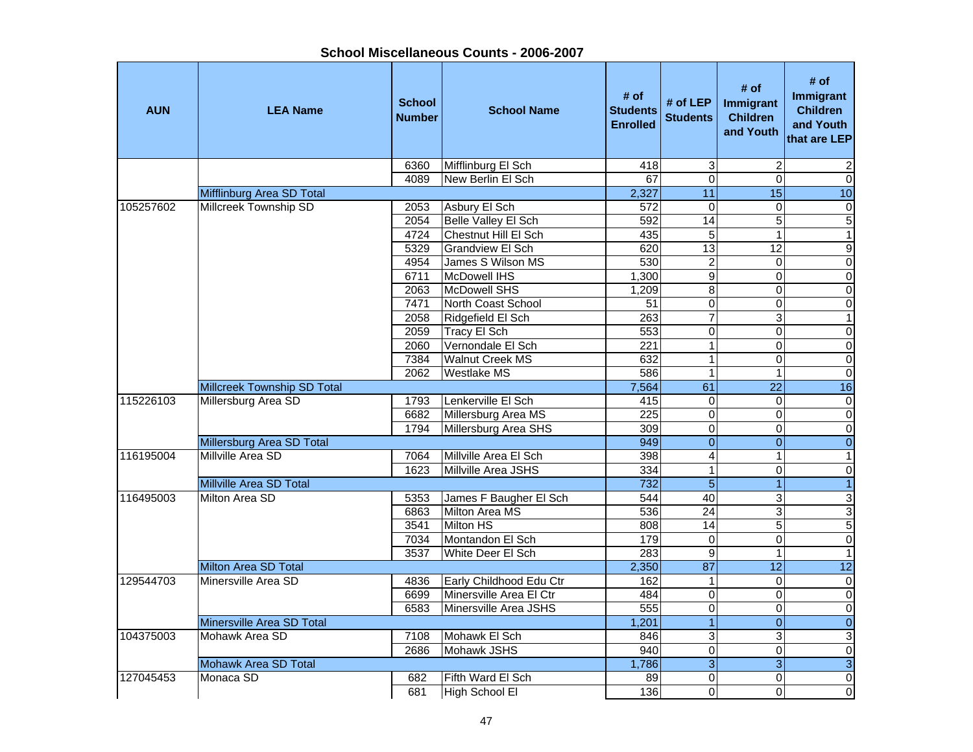| <b>AUN</b> | <b>LEA Name</b>                    | <b>School</b><br><b>Number</b> | <b>School Name</b>      | # of<br><b>Students</b><br><b>Enrolled</b> | # of LEP<br><b>Students</b> | # of<br>Immigrant<br><b>Children</b><br>and Youth | # of<br>Immigrant<br><b>Children</b><br>and Youth<br>that are LEP |
|------------|------------------------------------|--------------------------------|-------------------------|--------------------------------------------|-----------------------------|---------------------------------------------------|-------------------------------------------------------------------|
|            |                                    | 6360                           | Mifflinburg El Sch      | 418                                        | 3                           | 2                                                 | 2                                                                 |
|            |                                    | 4089                           | New Berlin El Sch       | 67                                         | $\overline{0}$              | $\mathbf 0$                                       | $\overline{0}$                                                    |
|            | Mifflinburg Area SD Total          |                                |                         | 2,327                                      | $\overline{11}$             | 15                                                | 10                                                                |
| 105257602  | Millcreek Township SD              | 2053                           | Asbury El Sch           | 572                                        | $\mathbf 0$                 | 0                                                 | $\pmb{0}$                                                         |
|            |                                    | 2054                           | Belle Valley El Sch     | 592                                        | 14                          | $\overline{5}$                                    | 5                                                                 |
|            |                                    | 4724                           | Chestnut Hill El Sch    | 435                                        | $\overline{5}$              | $\mathbf{1}$                                      | $\mathbf{1}$                                                      |
|            |                                    | 5329                           | <b>Grandview El Sch</b> | 620                                        | 13                          | 12                                                | G)                                                                |
|            |                                    | 4954                           | James S Wilson MS       | 530                                        | $\boldsymbol{2}$            | 0                                                 | $\pmb{0}$                                                         |
|            |                                    | 6711                           | McDowell IHS            | 1,300                                      | $\overline{9}$              | 0                                                 | $\mathbf 0$                                                       |
|            |                                    | 2063                           | McDowell SHS            | 1,209                                      | 8                           | $\Omega$                                          | $\mathbf 0$                                                       |
|            |                                    | 7471                           | North Coast School      | 51                                         | $\mathbf 0$                 | $\pmb{0}$                                         | $\overline{0}$                                                    |
|            |                                    | 2058                           | Ridgefield El Sch       | 263                                        | $\overline{7}$              | 3                                                 | $\overline{1}$                                                    |
|            |                                    | 2059                           | Tracy El Sch            | 553                                        | $\mathbf 0$                 | $\Omega$                                          | $\overline{0}$                                                    |
|            |                                    | 2060                           | Vernondale El Sch       | 221                                        | $\overline{1}$              | 0                                                 | $\overline{0}$                                                    |
|            |                                    | 7384                           | <b>Walnut Creek MS</b>  | 632                                        | $\overline{1}$              | $\mathbf 0$                                       | $\overline{0}$                                                    |
|            |                                    | 2062                           | <b>Westlake MS</b>      | 586                                        | $\overline{1}$              | $\mathbf{1}$                                      | $\overline{0}$                                                    |
|            | <b>Millcreek Township SD Total</b> |                                |                         | 7,564                                      | 61                          | $\overline{22}$                                   | 16                                                                |
| 115226103  | Millersburg Area SD                | 1793                           | Lenkerville El Sch      | 415                                        | $\overline{0}$              | $\mathbf 0$                                       | $\overline{\mathsf{o}}$                                           |
|            |                                    | 6682                           | Millersburg Area MS     | $\overline{225}$                           | $\overline{0}$              | 0                                                 | $\overline{0}$                                                    |
|            |                                    | 1794                           | Millersburg Area SHS    | 309                                        | $\overline{0}$              | $\mathbf 0$                                       | $\overline{\mathsf{o}}$                                           |
|            | Millersburg Area SD Total          |                                |                         | 949                                        | $\mathbf 0$                 | $\overline{0}$                                    | $\pmb{0}$                                                         |
| 116195004  | Millville Area SD                  | 7064                           | Millville Area El Sch   | 398                                        | $\overline{4}$              | $\mathbf{1}$                                      | $\mathbf{1}$                                                      |
|            |                                    | 1623                           | Millville Area JSHS     | 334                                        | $\mathbf{1}$                | $\Omega$                                          | $\mathbf 0$                                                       |
|            | Millville Area SD Total            |                                |                         | 732                                        | $\overline{5}$              | 1                                                 | $\mathbf{1}$                                                      |
| 116495003  | Milton Area SD                     | 5353                           | James F Baugher El Sch  | 544                                        | $\overline{40}$             | 3                                                 | ىن                                                                |
|            |                                    | 6863                           | Milton Area MS          | 536                                        | $\overline{24}$             | $\overline{3}$                                    | 3                                                                 |
|            |                                    | 3541                           | <b>Milton HS</b>        | 808                                        | 14                          | $\overline{5}$                                    | $\overline{5}$                                                    |
|            |                                    | 7034                           | Montandon El Sch        | 179                                        | $\overline{0}$              | $\mathbf 0$                                       | $\overline{\mathsf{o}}$                                           |
|            |                                    | 3537                           | White Deer El Sch       | 283                                        | $\overline{9}$              | 1                                                 | $\overline{1}$                                                    |
|            | <b>Milton Area SD Total</b>        |                                |                         | 2,350                                      | 87                          | $\overline{12}$                                   | 12                                                                |
| 129544703  | Minersville Area SD                | 4836                           | Early Childhood Edu Ctr | 162                                        | $\overline{1}$              | $\Omega$                                          | $\overline{\mathsf{o}}$                                           |
|            |                                    | 6699                           | Minersville Area El Ctr | 484                                        | $\mathbf 0$                 | 0                                                 | $\overline{\mathbf{o}}$                                           |
|            |                                    | 6583                           | Minersville Area JSHS   | 555                                        | $\mathbf 0$                 | $\pmb{0}$                                         | $\overline{\mathbf{0}}$                                           |
|            | Minersville Area SD Total          |                                |                         | 1,201                                      | $\overline{1}$              | $\mathbf{0}$                                      | $\pmb{0}$                                                         |
| 104375003  | Mohawk Area SD                     | 7108                           | Mohawk El Sch           | 846                                        | $\overline{3}$              | 3                                                 | $\ensuremath{\mathsf{3}}$                                         |
|            |                                    | 2686                           | Mohawk JSHS             | 940                                        | $\mathbf 0$                 | 0                                                 | $\mathbf 0$                                                       |
|            | Mohawk Area SD Total               |                                |                         | 1,786                                      | $\overline{3}$              | $\overline{3}$                                    | $\overline{3}$                                                    |
| 127045453  | Monaca SD                          | 682                            | Fifth Ward El Sch       | 89                                         | $\mathbf 0$                 | $\Omega$                                          | $\overline{\mathsf{o}}$                                           |
|            |                                    | 681                            | High School El          | 136                                        | $\overline{0}$              | $\Omega$                                          | $\mathbf 0$                                                       |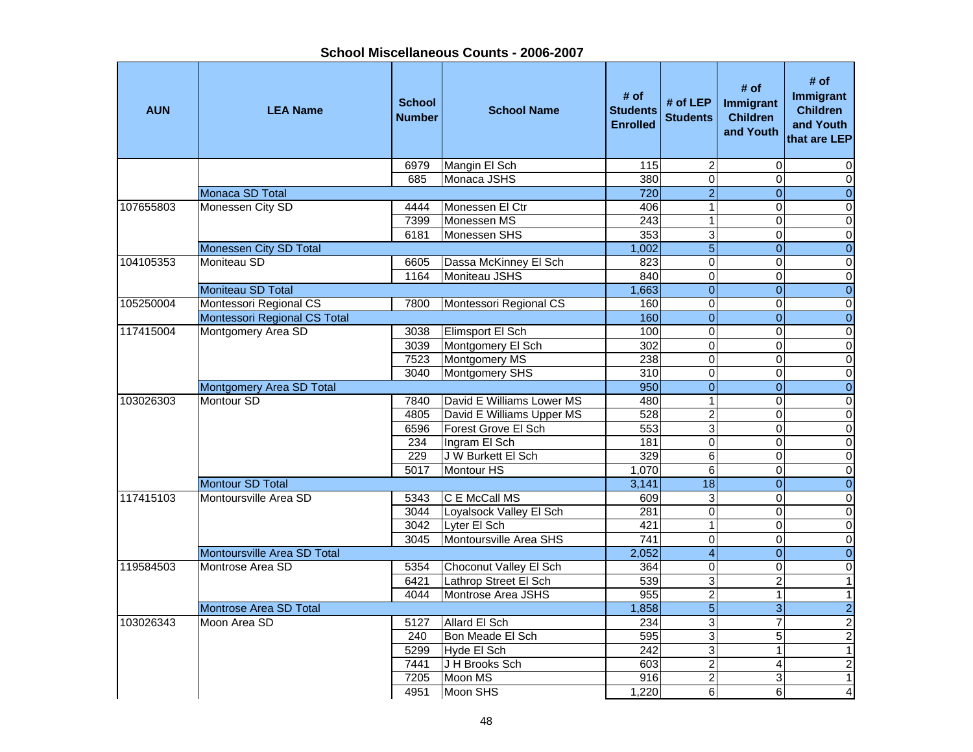**School Miscellaneous Counts - 2006-2007**

| <b>AUN</b> | <b>LEA Name</b>              | <b>School</b><br><b>Number</b> | <b>School Name</b>        | # of<br><b>Students</b><br><b>Enrolled</b> | # of $LEP$<br><b>Students</b> | # of<br><b>Immigrant</b><br><b>Children</b><br>and Youth | # of<br><b>Immigrant</b><br><b>Children</b><br>and Youth<br>that are LEP |
|------------|------------------------------|--------------------------------|---------------------------|--------------------------------------------|-------------------------------|----------------------------------------------------------|--------------------------------------------------------------------------|
|            |                              | 6979                           | Mangin El Sch             | 115                                        | $\overline{2}$                | $\Omega$                                                 | 0                                                                        |
|            |                              | 685                            | Monaca JSHS               | 380                                        | $\overline{0}$                | $\Omega$                                                 | $\overline{\mathsf{o}}$                                                  |
|            | Monaca SD Total              |                                |                           | 720                                        | $\overline{2}$                | $\overline{0}$                                           | $\overline{0}$                                                           |
| 107655803  | Monessen City SD             | 4444                           | Monessen El Ctr           | 406                                        | $\overline{1}$                | $\overline{0}$                                           | $\pmb{0}$                                                                |
|            |                              | 7399                           | Monessen MS               | 243                                        | $\overline{1}$                | 0                                                        | $\pmb{0}$                                                                |
|            |                              | 6181                           | Monessen SHS              | 353                                        | $\overline{3}$                | 0                                                        | $\overline{\mathsf{o}}$                                                  |
|            | Monessen City SD Total       |                                |                           | 1,002                                      | $\overline{5}$                | $\overline{0}$                                           | $\overline{0}$                                                           |
| 104105353  | Moniteau SD                  | 6605                           | Dassa McKinney El Sch     | 823                                        | $\mathbf 0$                   | $\mathbf 0$                                              | $\pmb{0}$                                                                |
|            |                              | 1164                           | Moniteau JSHS             | 840                                        | $\mathbf 0$                   | $\Omega$                                                 | $\mathsf{O}\xspace$                                                      |
|            | Moniteau SD Total            |                                |                           | 1,663                                      | $\overline{0}$                | $\mathbf{0}$                                             | $\pmb{0}$                                                                |
| 105250004  | Montessori Regional CS       | 7800                           | Montessori Regional CS    | 160                                        | $\mathbf 0$                   | $\Omega$                                                 | $\pmb{0}$                                                                |
|            | Montessori Regional CS Total |                                |                           | 160                                        | $\overline{0}$                | $\Omega$                                                 | $\overline{0}$                                                           |
| 117415004  | Montgomery Area SD           | 3038                           | Elimsport El Sch          | 100                                        | $\mathbf 0$                   | $\Omega$                                                 | $\overline{\mathsf{o}}$                                                  |
|            |                              | 3039                           | Montgomery El Sch         | 302                                        | $\overline{0}$                | $\Omega$                                                 | $\overline{0}$                                                           |
|            |                              | 7523                           | Montgomery MS             | 238                                        | $\overline{0}$                | 0                                                        | $\overline{0}$                                                           |
|            |                              | 3040                           | Montgomery SHS            | 310                                        | $\overline{0}$                | $\Omega$                                                 | $\overline{0}$                                                           |
|            | Montgomery Area SD Total     |                                |                           | 950                                        | $\overline{0}$                | $\overline{0}$                                           | $\overline{0}$                                                           |
| 103026303  | Montour SD                   | 7840                           | David E Williams Lower MS | 480                                        | $\overline{1}$                | $\Omega$                                                 | $\overline{\mathsf{o}}$                                                  |
|            |                              | 4805                           | David E Williams Upper MS | 528                                        | $\overline{2}$                | $\overline{\mathsf{o}}$                                  | $\overline{\mathsf{o}}$                                                  |
|            |                              | 6596                           | Forest Grove El Sch       | 553                                        | $\overline{3}$                | $\mathbf 0$                                              | $\pmb{0}$                                                                |
|            |                              | 234                            | Ingram El Sch             | 181                                        | $\overline{0}$                | $\Omega$                                                 | $\pmb{0}$                                                                |
|            |                              | 229                            | J W Burkett El Sch        | 329                                        | $\overline{6}$                | 0                                                        | $\mathbf 0$                                                              |
|            |                              | 5017                           | Montour HS                | 1,070                                      | 6                             | 0                                                        | $\pmb{0}$                                                                |
|            | Montour SD Total             |                                |                           | 3,141                                      | $\overline{18}$               | $\mathbf{0}$                                             | $\pmb{0}$                                                                |
| 117415103  | Montoursville Area SD        | 5343                           | C E McCall MS             | 609                                        | $\overline{3}$                | $\Omega$                                                 | $\overline{\mathsf{o}}$                                                  |
|            |                              | 3044                           | Loyalsock Valley El Sch   | 281                                        | $\overline{0}$                | $\Omega$                                                 | $\overline{0}$                                                           |
|            |                              | 3042                           | Lyter El Sch              | 421                                        | $\mathbf{1}$                  | $\Omega$                                                 | $\overline{0}$                                                           |
|            |                              | 3045                           | Montoursville Area SHS    | $\overline{741}$                           | $\overline{0}$                | $\Omega$                                                 | $\overline{\mathsf{o}}$                                                  |
|            | Montoursville Area SD Total  |                                |                           | 2,052                                      | $\overline{4}$                | $\Omega$                                                 | $\overline{0}$                                                           |
| 119584503  | Montrose Area SD             | 5354                           | Choconut Valley El Sch    | 364                                        | $\overline{0}$                | $\Omega$                                                 | $\overline{\mathsf{o}}$                                                  |
|            |                              | 6421                           | Lathrop Street El Sch     | 539                                        | $\overline{3}$                | $\overline{2}$                                           | $\mathbf{1}$                                                             |
|            |                              | 4044                           | Montrose Area JSHS        | 955                                        | $\overline{2}$                | 1                                                        | $\mathbf{1}$                                                             |
|            | Montrose Area SD Total       |                                |                           | 1,858                                      | $\overline{5}$                | $\overline{3}$                                           | $\overline{2}$                                                           |
| 103026343  | Moon Area SD                 | 5127                           | Allard El Sch             | 234                                        | $\overline{3}$                | $\overline{7}$                                           | $\overline{2}$                                                           |
|            |                              | 240                            | Bon Meade El Sch          | 595                                        | $\overline{3}$                | 5                                                        | $\overline{2}$                                                           |
|            |                              | 5299                           | Hyde El Sch               | $\overline{242}$                           | $\overline{3}$                | $\mathbf{1}$                                             | $\overline{1}$                                                           |
|            |                              | 7441                           | J H Brooks Sch            | 603                                        | $\overline{2}$                | 4                                                        | $\overline{2}$                                                           |
|            |                              | 7205                           | Moon MS                   | 916                                        | $\overline{2}$                | 3                                                        | $\mathbf{1}$                                                             |
|            |                              | 4951                           | Moon SHS                  | 1,220                                      | $\overline{6}$                | $\overline{6}$                                           | $\blacktriangle$                                                         |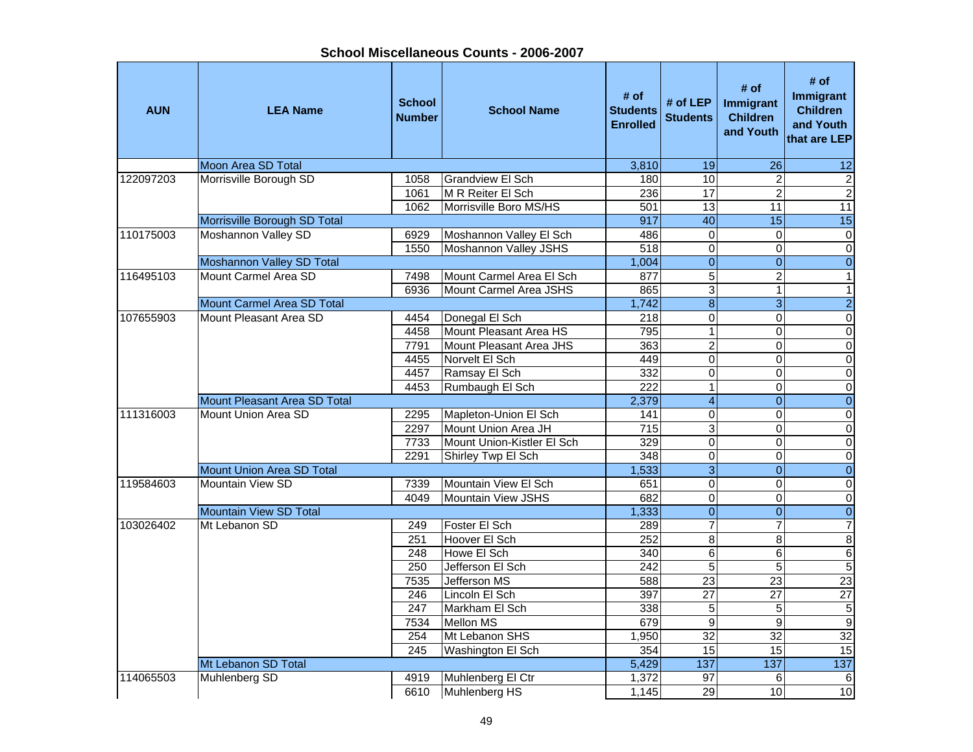**AUN LEA Name School NumberI**<br>**School Name** Budents Enrolled<br>Enrolled # of <br>**Students** # of LEP | **Immigrant**<br>
Enrolled | Students | Children and Youth **# of Immigrant Children and Youth that are LEP**Moon Area SD Total 3,810 19 26 12 122097203 Morrisville Borough SD 1058 Grandview El Sch 180 10 2 2 2 1061 M R Reiter El Sch 1236 17 2  $\overline{2}$ 1062 Morrisville Boro MS/HS 1501 13 13 11 11 11 Morrisville Borough SD Total 917 40 15 15 110175003 Moshannon Valley SD 6929 Moshannon Valley El Sch 486 0 0 0 1550 Moshannon Valley JSHS | 518 0 0 0 0 0 0 0 Moshannon Valley SD Total 1,004 0 0 0 116495103 Mount Carmel Area SD 7498 Mount Carmel Area El Sch 877 5 2 1 1 6936 Mount Carmel Area JSHS | 865 3 1 1 1 1 Mount Carmel Area SD Total 1,742 8 3 2 107655903 Mount Pleasant Area SD 4454 Donegal El Sch 218 0 0 0 4458 Mount Pleasant Area HS 795 795 7791 | Mount Pleasant Area JHS | 363 | 2 | 0 | 0 | 4455 Norvelt El Sch (1990) (1990) (1990) (1990) (1990) (1990) (1991) (1990) (1991) (1991) (1991) (1991) (1991) (1991) (1991) (1991) (1991) (1991) (1991) (1991) (1991) (1991) (1991) (1991) (1991) (1991) (1991) (1991) (1991) 4457 Ramsay El Sch 332 0 0 0 4453 Rumbaugh El Sch 222 1 0 0 Mount Pleasant Area SD Total 2,379 4 0 0 111316003 Mount Union Area SD 2295 Mapleton-Union El Sch 141 0 0 0 0 0 2297 Mount Union Area JH 715 3 0 0 0 7733 Mount Union-Kistler El Sch 329 0 0 02291 Shirley Twp El Sch 348 0 0 0 0 0 Mount Union Area SD Total 1,533 3 0 0 119584603 Mountain View SD 7339 Mountain View El Sch 651 0 0 0 $\overline{\mathsf{o}}$ 4049 Mountain View JSHS 682 0 0 0Mountain View SD Total 1,333 0 0 0 103026402 | Mt Lebanon SD 249 | Foster El Sch 289 7 7 7 7 251 Hoover El Sch 252 8 8 8 8 248 Howe El Sch 340 6 6 6 $\overline{5}$ 250 Jefferson El Sch 242 5 5 23 7535 Jefferson MS 1 588 23 23  $\overline{27}$ 246 Lincoln El Sch 397 27 27 247 Markham El Sch 338 5 5 57534 Mellon MS 679 9 9 9 $32$ 254 Mt Lebanon SHS 1,950 32 32 32<br>245 Washington El Sch 354 15 15 15 245 Washington El Sch 354 15 15 15 Mt Lebanon SD Total 5,429 137 114065503 Muhlenberg SD 4919 Muhlenberg El Ctr 1,372 97 6 6 6610 Muhlenberg HS 1,145 29 10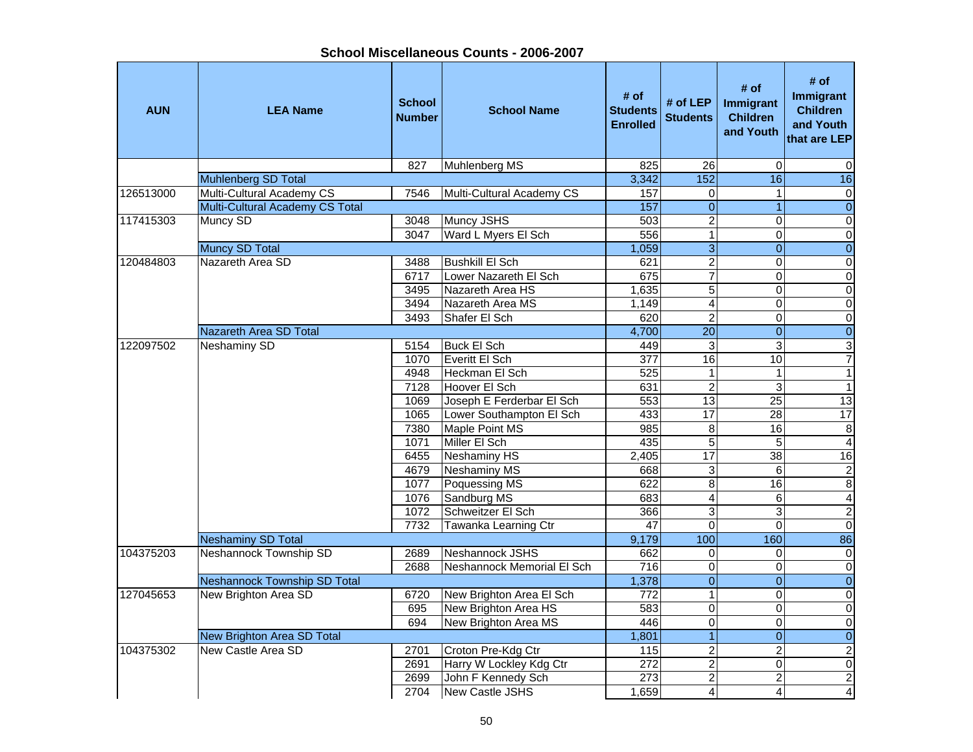**School Miscellaneous Counts - 2006-2007**

| <b>AUN</b> | <b>LEA Name</b>                     | <b>School</b><br><b>Number</b> | <b>School Name</b>         | # of<br><b>Students</b><br><b>Enrolled</b> | # of LEP<br><b>Students</b> | # of<br>Immigrant<br><b>Children</b><br>and Youth | # of<br>Immigrant<br><b>Children</b><br>and Youth<br>that are LEP |
|------------|-------------------------------------|--------------------------------|----------------------------|--------------------------------------------|-----------------------------|---------------------------------------------------|-------------------------------------------------------------------|
|            |                                     | 827                            | Muhlenberg MS              | 825                                        | 26                          | $\Omega$                                          | 0                                                                 |
|            | <b>Muhlenberg SD Total</b>          |                                |                            | 3,342                                      | 152                         | 16                                                | 16                                                                |
| 126513000  | Multi-Cultural Academy CS           | 7546                           | Multi-Cultural Academy CS  | 157                                        | $\boldsymbol{0}$            | $\mathbf{1}$                                      | $\pmb{0}$                                                         |
|            | Multi-Cultural Academy CS Total     |                                |                            | 157                                        | $\overline{0}$              | $\overline{1}$                                    | $\overline{0}$                                                    |
| 117415303  | Muncy SD                            | 3048                           | Muncy JSHS                 | 503                                        | $\overline{c}$              | $\mathbf 0$                                       | $\pmb{0}$                                                         |
|            |                                     | 3047                           | Ward L Myers El Sch        | 556                                        | $\overline{1}$              | 0                                                 | $\overline{0}$                                                    |
|            | Muncy SD Total                      |                                |                            | 1,059                                      | $\overline{3}$              | $\boldsymbol{0}$                                  | $\overline{0}$                                                    |
| 120484803  | Nazareth Area SD                    | 3488                           | Bushkill El Sch            | 621                                        | $\overline{c}$              | $\Omega$                                          | $\pmb{0}$                                                         |
|            |                                     | 6717                           | Lower Nazareth El Sch      | 675                                        | $\overline{7}$              | $\Omega$                                          | $\pmb{0}$                                                         |
|            |                                     | 3495                           | Nazareth Area HS           | 1,635                                      | $\overline{5}$              | $\Omega$                                          | $\pmb{0}$                                                         |
|            |                                     | 3494                           | Nazareth Area MS           | 1,149                                      | $\overline{4}$              | $\Omega$                                          | $\overline{0}$                                                    |
|            |                                     | 3493                           | Shafer El Sch              | 620                                        | $\overline{2}$              | 0                                                 | $\pmb{0}$                                                         |
|            | <b>Nazareth Area SD Total</b>       |                                |                            | 4,700                                      | $\overline{20}$             | $\overline{0}$                                    | $\overline{0}$                                                    |
| 122097502  | <b>Neshaminy SD</b>                 | 5154                           | <b>Buck El Sch</b>         | 449                                        | 3                           | 3                                                 | $\overline{\omega}$                                               |
|            |                                     | 1070                           | Everitt El Sch             | 377                                        | 16                          | 10                                                | $\overline{7}$                                                    |
|            |                                     | 4948                           | Heckman El Sch             | 525                                        | $\mathbf{1}$                | $\mathbf{1}$                                      | $\overline{1}$                                                    |
|            |                                     | 7128                           | Hoover El Sch              | 631                                        | $\overline{2}$              | 3                                                 | $\overline{1}$                                                    |
|            |                                     | 1069                           | Joseph E Ferderbar El Sch  | 553                                        | $\overline{13}$             | $\overline{25}$                                   | 13                                                                |
|            |                                     | 1065                           | Lower Southampton El Sch   | 433                                        | $\overline{17}$             | $\overline{28}$                                   | 17                                                                |
|            |                                     | 7380                           | Maple Point MS             | 985                                        | 8                           | 16                                                | $\bf 8$                                                           |
|            |                                     | 1071                           | Miller El Sch              | 435                                        | 5                           | 5                                                 | $\overline{4}$                                                    |
|            |                                     | 6455                           | Neshaminy HS               | 2,405                                      | 17                          | 38                                                | $\overline{16}$                                                   |
|            |                                     | 4679                           | <b>Neshaminy MS</b>        | 668                                        | 3                           | 6                                                 | $\boldsymbol{2}$                                                  |
|            |                                     | 1077                           | Poquessing MS              | 622                                        | $\overline{8}$              | 16                                                | 8                                                                 |
|            |                                     | 1076                           | Sandburg MS                | 683                                        | $\overline{\mathbf{4}}$     | 6                                                 | $\overline{\mathbf{4}}$                                           |
|            |                                     | 1072                           | Schweitzer El Sch          | 366                                        | $\overline{3}$              | 3                                                 | $\overline{2}$                                                    |
|            |                                     | 7732                           | Tawanka Learning Ctr       | 47                                         | $\overline{\mathsf{o}}$     | $\Omega$                                          | $\overline{0}$                                                    |
|            | <b>Neshaminy SD Total</b>           |                                |                            | 9,179                                      | 100                         | 160                                               | 86                                                                |
| 104375203  | Neshannock Township SD              | 2689                           | Neshannock JSHS            | 662                                        | $\pmb{0}$                   | $\mathbf 0$                                       | $\overline{\mathsf{o}}$                                           |
|            |                                     | 2688                           | Neshannock Memorial El Sch | 716                                        | $\pmb{0}$                   | 0                                                 | $\overline{0}$                                                    |
|            | <b>Neshannock Township SD Total</b> |                                |                            | 1,378                                      | $\overline{0}$              | $\overline{0}$                                    | $\overline{0}$                                                    |
| 127045653  | New Brighton Area SD                | 6720                           | New Brighton Area El Sch   | $\overline{772}$                           | $\overline{\phantom{0}}$    | $\mathbf 0$                                       | $\overline{\mathsf{o}}$                                           |
|            |                                     | 695                            | New Brighton Area HS       | 583                                        | $\pmb{0}$                   | $\mathbf 0$                                       | $\pmb{0}$                                                         |
|            |                                     | 694                            | New Brighton Area MS       | 446                                        | $\overline{0}$              | 0                                                 | $\pmb{0}$                                                         |
|            | New Brighton Area SD Total          |                                |                            | 1,801                                      | $\overline{1}$              | $\Omega$                                          | $\pmb{0}$                                                         |
| 104375302  | New Castle Area SD                  | 2701                           | Croton Pre-Kdg Ctr         | 115                                        | $\overline{c}$              | $\overline{c}$                                    | $\boldsymbol{2}$                                                  |
|            |                                     | 2691                           | Harry W Lockley Kdg Ctr    | 272                                        | $\overline{2}$              | $\Omega$                                          | $\pmb{0}$                                                         |
|            |                                     | 2699                           | John F Kennedy Sch         | 273                                        | $\boldsymbol{2}$            | $\overline{c}$                                    | $\mathbf{2}$                                                      |
|            |                                     | 2704                           | New Castle JSHS            | 1,659                                      | $\overline{4}$              | 4                                                 | $\overline{\mathbf{A}}$                                           |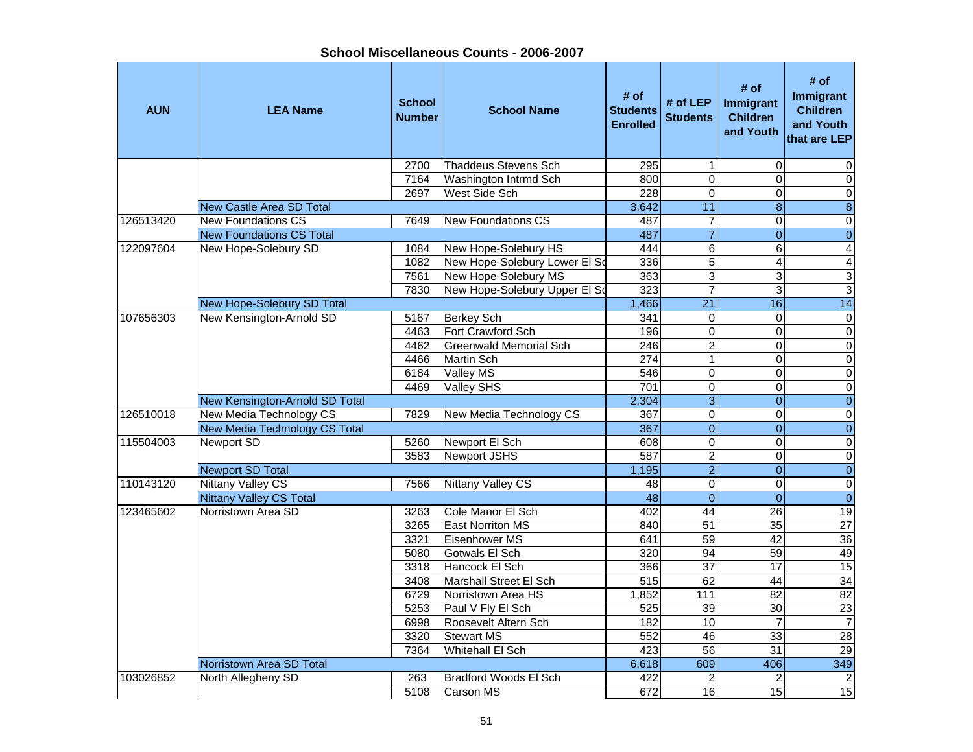**School Miscellaneous Counts - 2006-2007**

| <b>AUN</b> | <b>LEA Name</b>                                           | <b>School</b><br><b>Number</b> | <b>School Name</b>                     | # of<br><b>Students</b><br><b>Enrolled</b> | # of LEP<br><b>Students</b> | # of<br>Immigrant<br><b>Children</b><br>and Youth | # of<br>Immigrant<br><b>Children</b><br>and Youth<br>that are LEP |
|------------|-----------------------------------------------------------|--------------------------------|----------------------------------------|--------------------------------------------|-----------------------------|---------------------------------------------------|-------------------------------------------------------------------|
|            |                                                           | 2700                           | Thaddeus Stevens Sch                   | 295                                        | $\mathbf{1}$                | $\mathbf 0$                                       | 0                                                                 |
|            |                                                           | 7164                           | Washington Intrmd Sch                  | 800                                        | $\overline{0}$              | $\Omega$                                          | $\mathbf 0$                                                       |
|            |                                                           | 2697                           | West Side Sch                          | 228                                        | $\overline{0}$              | 0                                                 | $\overline{0}$                                                    |
|            | <b>New Castle Area SD Total</b>                           |                                |                                        | 3,642                                      | 11                          | $\overline{8}$                                    | $\overline{8}$                                                    |
| 126513420  | <b>New Foundations CS</b>                                 | 7649                           | <b>New Foundations CS</b>              | 487                                        | 7                           | $\mathbf 0$                                       | $\pmb{0}$                                                         |
|            | <b>New Foundations CS Total</b>                           |                                |                                        | 487                                        | $\overline{7}$              | $\overline{0}$                                    | $\overline{0}$                                                    |
| 122097604  | New Hope-Solebury SD                                      | 1084                           | New Hope-Solebury HS                   | 444                                        | $\overline{6}$              | 6                                                 | $\overline{\mathbf{A}}$                                           |
|            |                                                           | 1082                           | New Hope-Solebury Lower EI So          | 336                                        | 5                           | $\overline{\mathbf{4}}$                           | $\overline{\mathbf{4}}$                                           |
|            |                                                           | 7561                           | New Hope-Solebury MS                   | 363                                        | $\overline{3}$              | 3                                                 | ω                                                                 |
|            |                                                           | 7830                           | New Hope-Solebury Upper El So          | 323                                        | $\overline{7}$              | 3                                                 | $\ensuremath{\mathsf{3}}$                                         |
|            | New Hope-Solebury SD Total                                |                                |                                        | 1,466                                      | $\overline{21}$             | 16                                                | 14                                                                |
| 107656303  | New Kensington-Arnold SD                                  | 5167                           | <b>Berkey Sch</b><br>Fort Crawford Sch | 341                                        | 0                           | $\Omega$                                          | $\pmb{0}$                                                         |
|            |                                                           | 4463                           |                                        | 196                                        | $\overline{0}$              | $\Omega$                                          | $\overline{0}$                                                    |
|            |                                                           | 4462                           | <b>Greenwald Memorial Sch</b>          | 246<br>274                                 | $\overline{2}$              | $\overline{0}$                                    | $\overline{0}$                                                    |
|            |                                                           | 4466                           | <b>Martin Sch</b>                      |                                            | $\overline{1}$              | $\overline{\mathsf{o}}$                           | $\overline{\mathsf{o}}$                                           |
|            |                                                           | 6184<br>4469                   | <b>Valley MS</b>                       | 546<br>701                                 | $\pmb{0}$<br>$\overline{0}$ | 0<br>$\Omega$                                     | $\overline{\mathsf{o}}$<br>$\overline{0}$                         |
|            |                                                           |                                | <b>Valley SHS</b>                      | 2,304                                      | $\overline{3}$              | $\boldsymbol{0}$                                  |                                                                   |
| 126510018  | New Kensington-Arnold SD Total<br>New Media Technology CS | 7829                           | New Media Technology CS                | 367                                        | $\pmb{0}$                   | $\mathbf 0$                                       | $\overline{0}$<br>$\overline{\mathsf{o}}$                         |
|            |                                                           |                                |                                        | 367                                        | $\overline{0}$              | $\overline{0}$                                    | $\overline{0}$                                                    |
| 115504003  | New Media Technology CS Total                             |                                | Newport El Sch                         |                                            | $\mathbf 0$                 | $\Omega$                                          | $\pmb{0}$                                                         |
|            | Newport SD                                                | 5260<br>3583                   | Newport JSHS                           | 608<br>587                                 | $\overline{2}$              | $\Omega$                                          | $\mathbf 0$                                                       |
|            | <b>Newport SD Total</b>                                   |                                |                                        | 1,195                                      | $\overline{2}$              | $\Omega$                                          | $\pmb{0}$                                                         |
| 110143120  | <b>Nittany Valley CS</b>                                  | 7566                           | <b>Nittany Valley CS</b>               | 48                                         | $\overline{0}$              | $\Omega$                                          | $\overline{0}$                                                    |
|            | <b>Nittany Valley CS Total</b>                            |                                |                                        | 48                                         | $\overline{0}$              | $\mathbf{0}$                                      | $\overline{0}$                                                    |
| 123465602  | Norristown Area SD                                        | 3263                           | Cole Manor El Sch                      | 402                                        | 44                          | $\overline{26}$                                   | $\overline{19}$                                                   |
|            |                                                           | 3265                           | <b>East Norriton MS</b>                | 840                                        | 51                          | $\overline{35}$                                   | $\overline{27}$                                                   |
|            |                                                           | 3321                           | Eisenhower MS                          | 641                                        | 59                          | 42                                                | 36                                                                |
|            |                                                           | 5080                           | Gotwals El Sch                         | $\overline{320}$                           | $\overline{94}$             | 59                                                | 49                                                                |
|            |                                                           | 3318                           | Hancock El Sch                         | 366                                        | $\overline{37}$             | $\overline{17}$                                   | 15                                                                |
|            |                                                           | 3408                           | Marshall Street El Sch                 | 515                                        | 62                          | $\overline{44}$                                   | 34                                                                |
|            |                                                           | 6729                           | Norristown Area HS                     | 1,852                                      | $\frac{111}{11}$            | $\overline{82}$                                   | 82                                                                |
|            |                                                           | 5253                           | Paul V Fly El Sch                      | 525                                        | 39                          | 30                                                | $\overline{23}$                                                   |
|            |                                                           | 6998                           | Roosevelt Altern Sch                   | 182                                        | 10                          | $\overline{7}$                                    | $\overline{7}$                                                    |
|            |                                                           | 3320                           | <b>Stewart MS</b>                      | 552                                        | 46                          | 33                                                | 28                                                                |
|            |                                                           | 7364                           | Whitehall El Sch                       | 423                                        | 56                          | 31                                                | 29                                                                |
|            | Norristown Area SD Total                                  |                                |                                        | 6,618                                      | 609                         | 406                                               | 349                                                               |
| 103026852  | North Allegheny SD                                        | 263                            | Bradford Woods El Sch                  | 422                                        | $\overline{2}$              | 2                                                 | $\overline{c}$                                                    |
|            |                                                           | 5108                           | <b>Carson MS</b>                       | 672                                        | 16                          | 15                                                | 15                                                                |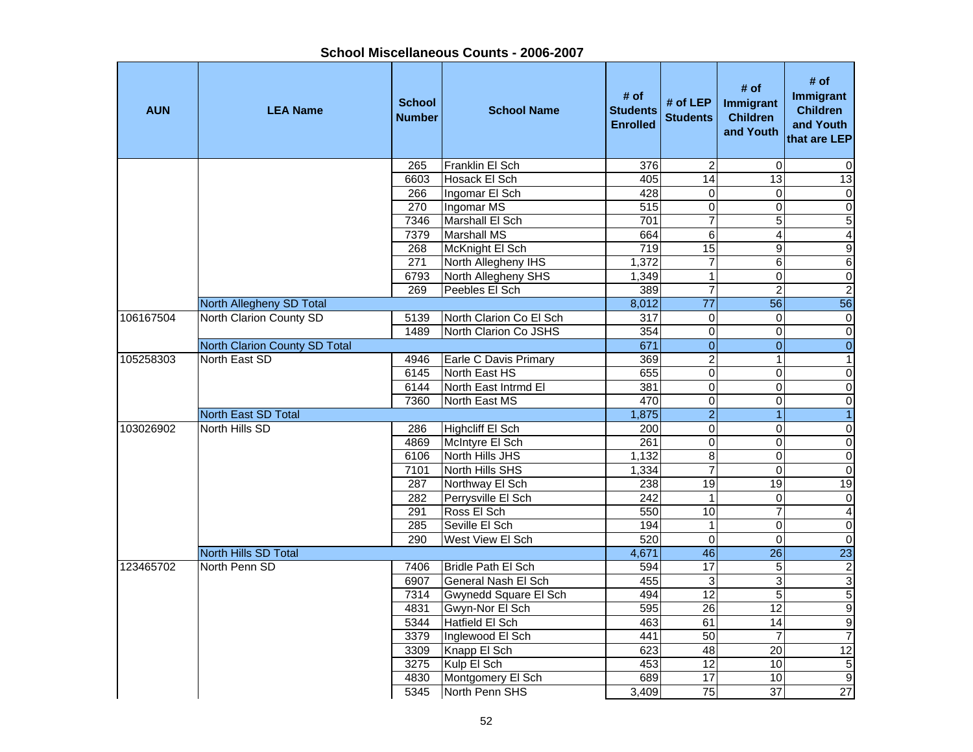| <b>AUN</b> | <b>LEA Name</b>               | <b>School</b><br><b>Number</b> | <b>School Name</b>         | # of<br><b>Students</b><br><b>Enrolled</b> | # of LEP<br><b>Students</b> | # of<br>Immigrant<br><b>Children</b><br>and Youth | # of<br>Immigrant<br><b>Children</b><br>and Youth<br>that are LEP |
|------------|-------------------------------|--------------------------------|----------------------------|--------------------------------------------|-----------------------------|---------------------------------------------------|-------------------------------------------------------------------|
|            |                               | 265                            | Franklin El Sch            | 376                                        | $\overline{c}$              | 0                                                 | $\mathbf 0$                                                       |
|            |                               | 6603                           | Hosack El Sch              | 405                                        | 14                          | 13                                                | 13                                                                |
|            |                               | 266                            | Ingomar El Sch             | 428                                        | $\mathsf 0$                 | 0                                                 | $\overline{0}$                                                    |
|            |                               | 270                            | Ingomar MS                 | $\overline{515}$                           | $\overline{0}$              | $\overline{0}$                                    | $\overline{0}$                                                    |
|            |                               | 7346                           | Marshall El Sch            | 701                                        | $\overline{7}$              | 5                                                 | $\frac{5}{4}$                                                     |
|            |                               | 7379                           | <b>Marshall MS</b>         | 664                                        | $\overline{6}$              | $\overline{\mathbf{4}}$                           |                                                                   |
|            |                               | 268                            | McKnight El Sch            | 719                                        | 15                          | $\overline{9}$                                    | $\overline{9}$                                                    |
|            |                               | 271                            | North Allegheny IHS        | 1,372                                      | $\overline{7}$              | 6                                                 | $\overline{6}$                                                    |
|            |                               | 6793                           | North Allegheny SHS        | 1,349                                      | $\mathbf 1$                 | $\mathbf 0$                                       | $\overline{0}$                                                    |
|            |                               | 269                            | Peebles El Sch             | 389                                        | $\overline{7}$              | $\overline{2}$                                    | $\overline{2}$                                                    |
|            | North Allegheny SD Total      |                                |                            | 8,012                                      | $\overline{77}$             | 56                                                | 56                                                                |
| 106167504  | North Clarion County SD       | 5139                           | North Clarion Co El Sch    | $\overline{317}$                           | $\overline{0}$              | $\pmb{0}$                                         | $\overline{0}$                                                    |
|            |                               | 1489                           | North Clarion Co JSHS      | 354                                        | $\overline{0}$              | $\overline{0}$                                    | $\overline{0}$                                                    |
|            | North Clarion County SD Total |                                |                            | 671                                        | $\overline{0}$              | $\mathbf 0$                                       | $\overline{0}$                                                    |
| 105258303  | North East SD                 | 4946                           | Earle C Davis Primary      | 369                                        | $\overline{2}$              | 1                                                 | $\overline{1}$                                                    |
|            |                               | 6145                           | North East HS              | 655                                        | $\overline{0}$              | $\overline{0}$                                    | $\overline{0}$                                                    |
|            |                               | 6144                           | North East Intrmd El       | 381                                        | $\overline{\mathsf{o}}$     | $\overline{0}$                                    | $\overline{0}$                                                    |
|            |                               | 7360                           | North East MS              | 470                                        | $\overline{0}$              | $\overline{0}$                                    | $\overline{0}$                                                    |
|            | <b>North East SD Total</b>    |                                |                            | 1,875                                      | $\overline{2}$              | $\mathbf{1}$                                      | $\overline{1}$                                                    |
| 103026902  | North Hills SD                | 286                            | Highcliff El Sch           | 200                                        | $\overline{0}$              | 0                                                 | $\overline{0}$                                                    |
|            |                               | 4869                           | McIntyre El Sch            | 261                                        | $\mathsf 0$                 | 0                                                 | $\overline{0}$                                                    |
|            |                               | 6106                           | North Hills JHS            | 1,132                                      | 8                           | 0                                                 | $\overline{0}$                                                    |
|            |                               | 7101                           | North Hills SHS            | 1,334                                      | $\overline{7}$              | 0                                                 | $\overline{0}$                                                    |
|            |                               | 287                            | Northway El Sch            | 238                                        | 19                          | 19                                                | 19                                                                |
|            |                               | 282                            | Perrysville El Sch         | 242                                        | $\mathbf{1}$                | $\pmb{0}$                                         | $\overline{0}$                                                    |
|            |                               | 291                            | Ross El Sch                | 550                                        | 10                          | $\overline{7}$                                    | $\overline{4}$                                                    |
|            |                               | 285                            | Seville El Sch             | 194                                        | $\mathbf{1}$                | $\mathbf 0$                                       | $\overline{0}$                                                    |
|            |                               | 290                            | West View El Sch           | 520                                        | $\overline{0}$              | $\overline{0}$                                    | $\overline{0}$                                                    |
|            | <b>North Hills SD Total</b>   |                                |                            | 4,671                                      | 46                          | $\overline{26}$                                   | 23                                                                |
| 123465702  | North Penn SD                 | 7406                           | <b>Bridle Path El Sch</b>  | 594                                        | 17                          | $\overline{5}$                                    | $\frac{2}{3}$                                                     |
|            |                               | 6907                           | <b>General Nash El Sch</b> | 455                                        | $\overline{3}$              | 3                                                 |                                                                   |
|            |                               | 7314                           | Gwynedd Square El Sch      | 494                                        | 12                          | $\sqrt{5}$                                        |                                                                   |
|            |                               | 4831                           | Gwyn-Nor El Sch            | 595                                        | 26                          | 12                                                | $\frac{9}{9}$                                                     |
|            |                               | 5344                           | Hatfield El Sch            | 463                                        | 61                          | 14                                                |                                                                   |
|            |                               | 3379                           | Inglewood El Sch           | 441                                        | 50                          | 7                                                 | $\overline{7}$                                                    |
|            |                               | 3309                           | Knapp El Sch               | 623                                        | 48                          | 20                                                | 12                                                                |
|            |                               | 3275                           | Kulp El Sch                | 453                                        | 12                          | 10                                                | $\frac{5}{9}$                                                     |
|            |                               | 4830                           | Montgomery El Sch          | 689                                        | $\overline{17}$             | 10                                                |                                                                   |
|            |                               | 5345                           | North Penn SHS             | 3,409                                      | 75                          | $\overline{37}$                                   | $\overline{27}$                                                   |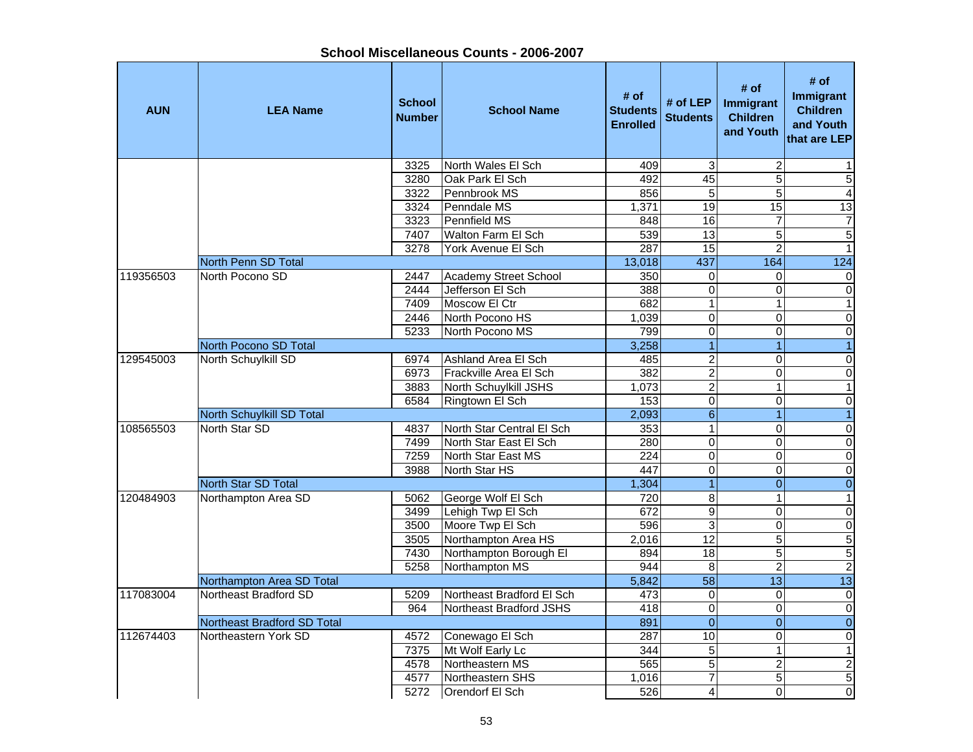| <b>AUN</b> | <b>LEA Name</b>             | <b>School</b><br><b>Number</b> | <b>School Name</b>        | # of<br><b>Students</b><br><b>Enrolled</b> | # of LEP<br><b>Students</b> | # of<br>Immigrant<br><b>Children</b><br>and Youth | # of<br>Immigrant<br><b>Children</b><br>and Youth<br>that are LEP |
|------------|-----------------------------|--------------------------------|---------------------------|--------------------------------------------|-----------------------------|---------------------------------------------------|-------------------------------------------------------------------|
|            |                             | 3325                           | North Wales El Sch        | 409                                        | 3                           | $\overline{c}$                                    | 1                                                                 |
|            |                             | 3280                           | Oak Park El Sch           | 492                                        | 45                          | 5                                                 | $\sqrt{5}$                                                        |
|            |                             | 3322                           | Pennbrook MS              | 856                                        | 5                           | 5                                                 | $\overline{4}$                                                    |
|            |                             | 3324                           | Penndale MS               | 1,371                                      | 19                          | 15                                                | 13                                                                |
|            |                             | 3323                           | Pennfield MS              | 848                                        | 16                          | $\overline{7}$                                    | $\boldsymbol{7}$                                                  |
|            |                             | 7407                           | <b>Walton Farm El Sch</b> | 539                                        | 13                          | $\overline{5}$                                    | 5                                                                 |
|            |                             | 3278                           | York Avenue El Sch        | 287                                        | 15                          | $\overline{2}$                                    | $\mathbf{1}$                                                      |
|            | North Penn SD Total         |                                |                           | 13,018                                     | 437                         | 164                                               | 124                                                               |
| 119356503  | North Pocono SD             | 2447                           | Academy Street School     | 350                                        | $\mathbf 0$                 | $\mathbf 0$                                       | $\mathbf 0$                                                       |
|            |                             | 2444                           | Jefferson El Sch          | 388                                        | $\mathbf 0$                 | 0                                                 | $\pmb{0}$                                                         |
|            |                             | 7409                           | Moscow El Ctr             | 682                                        | $\mathbf{1}$                | $\mathbf{1}$                                      | $\mathbf{1}$                                                      |
|            |                             | 2446                           | North Pocono HS           | 1,039                                      | $\mathbf 0$                 | $\Omega$                                          | $\overline{\mathsf{o}}$                                           |
|            |                             | 5233                           | North Pocono MS           | 799                                        | $\mathbf 0$                 | 0                                                 | $\pmb{0}$                                                         |
|            | North Pocono SD Total       |                                |                           | 3,258                                      | $\overline{1}$              | $\overline{1}$                                    | $\overline{1}$                                                    |
| 129545003  | North Schuylkill SD         | 6974                           | Ashland Area El Sch       | 485                                        | $\overline{c}$              | $\Omega$                                          | $\pmb{0}$                                                         |
|            |                             | 6973                           | Frackville Area El Sch    | 382                                        | $\overline{2}$              | $\Omega$                                          | $\overline{\mathsf{o}}$                                           |
|            |                             | 3883                           | North Schuylkill JSHS     | 1,073                                      | $\overline{2}$              | 1                                                 | $\overline{1}$                                                    |
|            |                             | 6584                           | Ringtown El Sch           | 153                                        | $\overline{0}$              | $\Omega$                                          | $\pmb{0}$                                                         |
|            | North Schuylkill SD Total   |                                |                           | 2,093                                      | $\overline{6}$              | 1                                                 | $\overline{1}$                                                    |
| 108565503  | North Star SD               | 4837                           | North Star Central El Sch | 353                                        | $\overline{1}$              | 0                                                 | $\pmb{0}$                                                         |
|            |                             | 7499                           | North Star East El Sch    | 280                                        | $\overline{0}$              | $\mathbf 0$                                       | $\pmb{0}$                                                         |
|            |                             | 7259                           | North Star East MS        | 224                                        | $\pmb{0}$                   | $\mathbf 0$                                       | $\overline{0}$                                                    |
|            |                             | 3988                           | North Star HS             | 447                                        | $\overline{0}$              | $\Omega$                                          | $\overline{\mathsf{o}}$                                           |
|            | North Star SD Total         |                                |                           | 1,304                                      | $\overline{1}$              | $\overline{0}$                                    | $\pmb{0}$                                                         |
| 120484903  | Northampton Area SD         | 5062                           | George Wolf El Sch        | 720                                        | $\overline{8}$              | $\mathbf{1}$                                      | $\mathbf{1}$                                                      |
|            |                             | 3499                           | Lehigh Twp El Sch         | 672                                        | $\overline{9}$              | 0                                                 | $\pmb{0}$                                                         |
|            |                             | 3500                           | Moore Twp El Sch          | 596                                        | $\overline{3}$              | $\Omega$                                          | $\pmb{0}$                                                         |
|            |                             | 3505                           | Northampton Area HS       | 2,016                                      | 12                          | 5                                                 | $\overline{5}$                                                    |
|            |                             | 7430                           | Northampton Borough El    | 894                                        | 18                          | $\overline{5}$                                    | $\overline{5}$                                                    |
|            |                             | 5258                           | Northampton MS            | 944                                        | 8                           | $\overline{2}$                                    | $\overline{2}$                                                    |
|            | Northampton Area SD Total   |                                |                           | 5,842                                      | $\overline{58}$             | $\overline{13}$                                   | 13                                                                |
| 117083004  | Northeast Bradford SD       | 5209                           | Northeast Bradford El Sch | 473                                        | $\pmb{0}$                   | $\mathbf 0$                                       | $\pmb{0}$                                                         |
|            |                             | 964                            | Northeast Bradford JSHS   | 418                                        | $\pmb{0}$                   | $\overline{\mathbf{o}}$                           | $\overline{0}$                                                    |
|            | Northeast Bradford SD Total |                                |                           | 891                                        | $\overline{0}$              | $\overline{0}$                                    | $\overline{0}$                                                    |
| 112674403  | Northeastern York SD        | 4572                           | Conewago El Sch           | 287                                        | 10                          | 0                                                 | $\pmb{0}$                                                         |
|            |                             | 7375                           | Mt Wolf Early Lc          | 344                                        | 5                           | $\mathbf{1}$                                      | $\mathbf{1}$                                                      |
|            |                             | 4578                           | Northeastern MS           | 565                                        | $\overline{5}$              | $\overline{c}$                                    | $\overline{2}$                                                    |
|            |                             | 4577                           | Northeastern SHS          | 1,016                                      | $\overline{7}$              | 5                                                 | 5                                                                 |
|            |                             | 5272                           | Orendorf El Sch           | 526                                        | 4                           | $\Omega$                                          | $\mathbf 0$                                                       |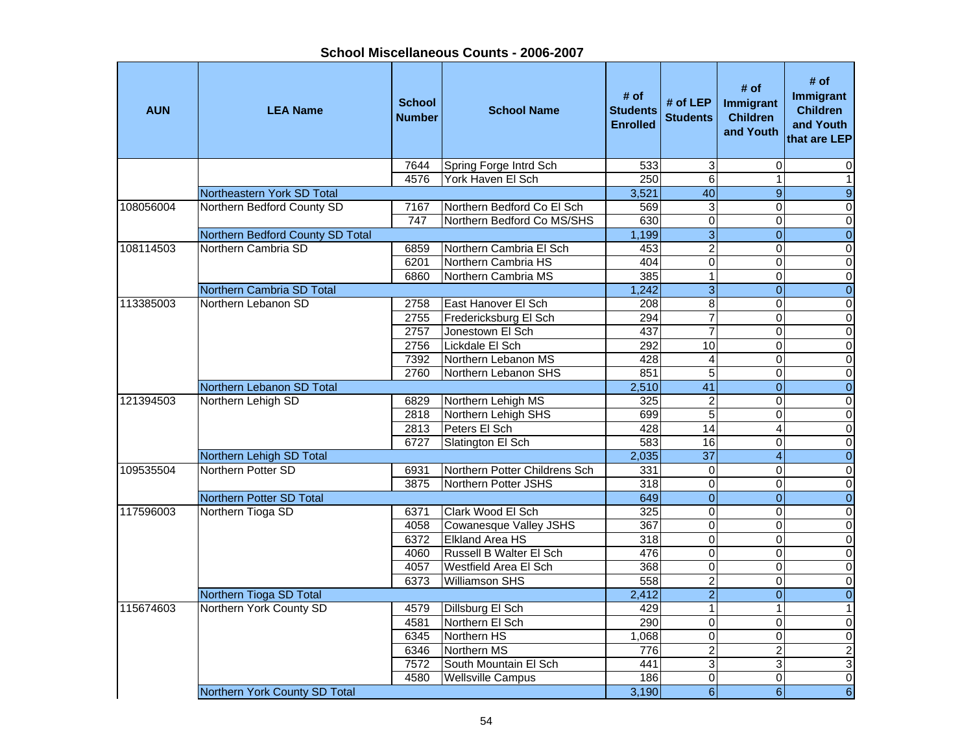**School Miscellaneous Counts - 2006-2007**

| <b>AUN</b> | <b>LEA Name</b>                                         | <b>School</b><br><b>Number</b> | <b>School Name</b>                        | # of<br><b>Students</b><br><b>Enrolled</b> | # of $LEP$<br><b>Students</b>    | # of<br>Immigrant<br><b>Children</b><br>and Youth | # of<br>Immigrant<br><b>Children</b><br>and Youth<br>that are LEP |
|------------|---------------------------------------------------------|--------------------------------|-------------------------------------------|--------------------------------------------|----------------------------------|---------------------------------------------------|-------------------------------------------------------------------|
|            |                                                         | 7644                           | Spring Forge Intrd Sch                    | 533                                        | 3                                | $\mathbf 0$                                       | 0                                                                 |
|            |                                                         | 4576                           | York Haven El Sch                         | 250                                        | 6                                | $\mathbf{1}$                                      | $\mathbf{1}$                                                      |
|            | Northeastern York SD Total                              |                                |                                           | 3,521                                      | 40                               | 9                                                 | $\boldsymbol{9}$                                                  |
| 108056004  | Northern Bedford County SD                              | 7167                           | Northern Bedford Co El Sch                | 569                                        | 3                                | $\Omega$                                          | $\mathbf 0$                                                       |
|            |                                                         | 747                            | Northern Bedford Co MS/SHS                | 630                                        | $\overline{\mathbf{0}}$          | $\Omega$<br>$\overline{0}$                        | $\overline{\mathsf{o}}$                                           |
|            | Northern Bedford County SD Total<br>Northern Cambria SD |                                |                                           | 1,199                                      | $\overline{3}$                   |                                                   | $\overline{0}$                                                    |
| 108114503  |                                                         | 6859                           | Northern Cambria El Sch                   | 453                                        | $\overline{2}$                   | $\overline{0}$                                    | $\overline{0}$                                                    |
|            |                                                         | 6201                           | Northern Cambria HS                       | 404<br>385                                 | $\mathbf 0$<br>$\overline{1}$    | $\mathbf 0$                                       | $\overline{\mathsf{o}}$                                           |
|            |                                                         | 6860                           | Northern Cambria MS                       |                                            |                                  | $\mathbf 0$                                       | $\overline{\mathsf{o}}$                                           |
|            | Northern Cambria SD Total                               |                                |                                           | 1,242                                      | $\overline{3}$                   | $\mathbf{0}$                                      | $\overline{0}$                                                    |
| 113385003  | Northern Lebanon SD                                     | 2758                           | East Hanover El Sch                       | 208<br>294                                 | $\overline{8}$<br>$\overline{7}$ | $\mathbf 0$<br>0                                  | $\pmb{0}$                                                         |
|            |                                                         | 2755                           | Fredericksburg El Sch<br>Jonestown El Sch |                                            | $\overline{7}$                   | $\Omega$                                          | $\overline{\mathsf{o}}$<br>$\overline{\mathsf{o}}$                |
|            |                                                         | 2757<br>2756                   | Lickdale El Sch                           | 437<br>292                                 | 10                               | $\Omega$                                          | $\overline{\mathsf{o}}$                                           |
|            |                                                         | 7392                           | Northern Lebanon MS                       | 428                                        | $\overline{4}$                   | $\Omega$                                          | $\pmb{0}$                                                         |
|            |                                                         | 2760                           | Northern Lebanon SHS                      | 851                                        | $\overline{5}$                   | $\mathbf 0$                                       | $\pmb{0}$                                                         |
|            | Northern Lebanon SD Total                               |                                |                                           | 2,510                                      | 41                               | $\Omega$                                          | $\overline{0}$                                                    |
| 121394503  | Northern Lehigh SD                                      | 6829                           | Northern Lehigh MS                        | 325                                        | $\overline{2}$                   | 0                                                 | $\pmb{0}$                                                         |
|            |                                                         | 2818                           | Northern Lehigh SHS                       | 699                                        | $\overline{5}$                   | $\mathbf 0$                                       | $\pmb{0}$                                                         |
|            |                                                         | 2813                           | Peters El Sch                             | 428                                        | $\overline{14}$                  | $\overline{\mathbf{4}}$                           | $\mathbf 0$                                                       |
|            |                                                         | 6727                           | Slatington El Sch                         | 583                                        | 16                               | 0                                                 | $\pmb{0}$                                                         |
|            | Northern Lehigh SD Total                                |                                |                                           | 2,035                                      | $\overline{37}$                  | $\overline{4}$                                    | $\pmb{0}$                                                         |
| 109535504  | Northern Potter SD                                      | 6931                           | Northern Potter Childrens Sch             | 331                                        | $\mathbf 0$                      | $\Omega$                                          | $\pmb{0}$                                                         |
|            |                                                         | 3875                           | Northern Potter JSHS                      | 318                                        | $\pmb{0}$                        | $\Omega$                                          | $\mathbf 0$                                                       |
|            | <b>Northern Potter SD Total</b>                         |                                |                                           | 649                                        | $\overline{0}$                   | $\Omega$                                          | $\overline{0}$                                                    |
| 117596003  | Northern Tioga SD                                       | 6371                           | Clark Wood El Sch                         | 325                                        | $\overline{0}$                   | $\Omega$                                          | $\overline{\mathsf{o}}$                                           |
|            |                                                         | 4058                           | Cowanesque Valley JSHS                    | 367                                        | $\overline{0}$                   | $\Omega$                                          | $\overline{0}$                                                    |
|            |                                                         | 6372                           | <b>Elkland Area HS</b>                    | 318                                        | $\overline{0}$                   | $\Omega$                                          | $\overline{0}$                                                    |
|            |                                                         | 4060                           | <b>Russell B Walter El Sch</b>            | 476                                        | 0                                | $\Omega$                                          | $\pmb{0}$                                                         |
|            |                                                         | 4057                           | <b>Westfield Area El Sch</b>              | 368                                        | $\overline{0}$                   | $\mathbf 0$                                       | $\overline{0}$                                                    |
|            |                                                         | 6373                           | <b>Williamson SHS</b>                     | 558                                        | $\overline{2}$                   | 0                                                 | $\overline{\mathsf{o}}$                                           |
|            | Northern Tioga SD Total                                 |                                |                                           | 2,412                                      | $\overline{2}$                   | $\Omega$                                          | $\overline{0}$                                                    |
| 115674603  | Northern York County SD                                 | 4579                           | Dillsburg El Sch                          | 429                                        | $\mathbf{1}$                     | 1                                                 | $\mathbf{1}$                                                      |
|            |                                                         | 4581                           | Northern El Sch                           | 290                                        | $\overline{0}$                   | $\Omega$                                          | $\pmb{0}$                                                         |
|            |                                                         | 6345                           | Northern HS                               | 1,068                                      | $\mathbf 0$                      | 0                                                 | $\mathbf 0$                                                       |
|            |                                                         | 6346                           | Northern MS                               | 776                                        | $\overline{2}$                   | $\overline{2}$                                    | $\overline{2}$                                                    |
|            |                                                         | 7572                           | South Mountain El Sch                     | 441                                        | 3                                | 3                                                 | $\overline{3}$                                                    |
|            |                                                         | 4580                           | <b>Wellsville Campus</b>                  | 186                                        | $\pmb{0}$                        | $\mathbf 0$                                       | $\overline{0}$                                                    |
|            | Northern York County SD Total                           |                                |                                           | 3,190                                      | $\overline{6}$                   | $\overline{6}$                                    | $\sigma$                                                          |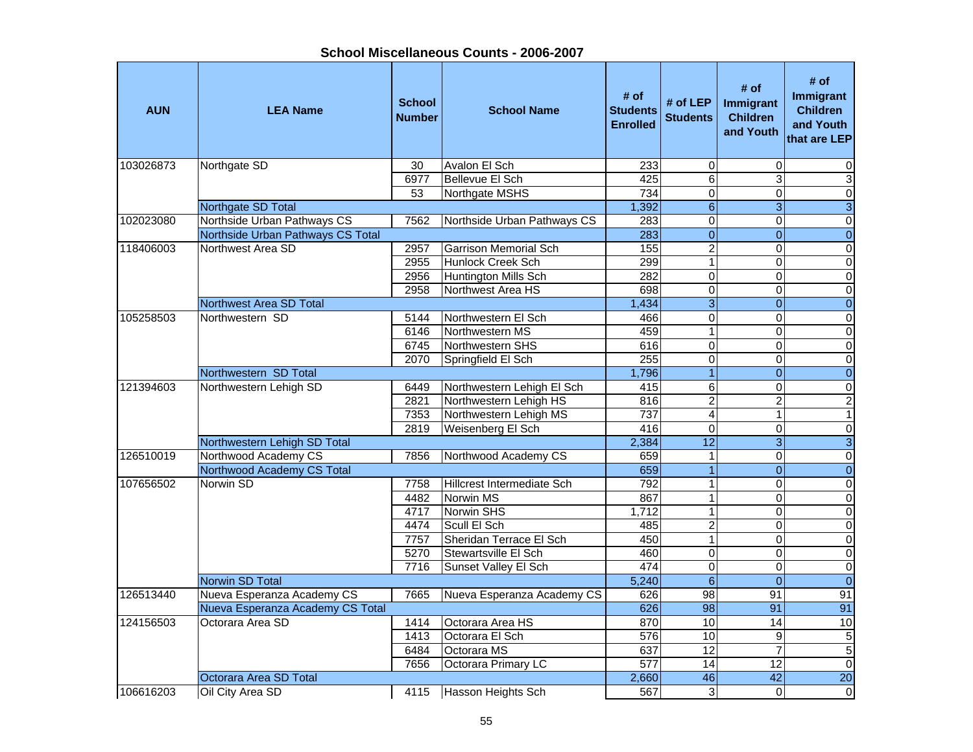**School Miscellaneous Counts - 2006-2007**

| <b>AUN</b> | <b>LEA Name</b>                   | <b>School</b><br><b>Number</b> | <b>School Name</b>           | # of<br><b>Students</b><br><b>Enrolled</b> | # of LEP<br><b>Students</b> | # of<br>Immigrant<br><b>Children</b><br>and Youth | # of<br>Immigrant<br><b>Children</b><br>and Youth<br>that are LEP |
|------------|-----------------------------------|--------------------------------|------------------------------|--------------------------------------------|-----------------------------|---------------------------------------------------|-------------------------------------------------------------------|
| 103026873  | Northgate SD                      | 30                             | Avalon El Sch                | 233                                        | $\pmb{0}$                   | $\mathbf 0$                                       | 0                                                                 |
|            |                                   | 6977                           | <b>Bellevue El Sch</b>       | 425                                        | $\overline{6}$              | 3                                                 | $\overline{3}$                                                    |
|            |                                   | $\overline{53}$                | Northgate MSHS               | 734                                        | $\overline{0}$              | $\pmb{0}$                                         | $\overline{0}$                                                    |
|            | Northgate SD Total                |                                |                              | 1,392                                      | $\overline{6}$              | $\overline{3}$                                    | $\overline{3}$                                                    |
| 102023080  | Northside Urban Pathways CS       | 7562                           | Northside Urban Pathways CS  | 283                                        | 0                           | $\Omega$                                          | $\overline{0}$                                                    |
|            | Northside Urban Pathways CS Total |                                |                              | 283                                        | $\overline{0}$              | $\Omega$                                          | $\overline{0}$                                                    |
| 118406003  | Northwest Area SD                 | 2957                           | <b>Garrison Memorial Sch</b> | 155                                        | $\overline{2}$              | $\Omega$                                          | $\overline{0}$                                                    |
|            |                                   | 2955                           | Hunlock Creek Sch            | 299                                        | $\mathbf{1}$                | $\Omega$                                          | $\pmb{0}$                                                         |
|            |                                   | 2956                           | Huntington Mills Sch         | 282                                        | 0                           | $\Omega$                                          | $\mathbf 0$                                                       |
|            |                                   | 2958                           | Northwest Area HS            | 698                                        | 0                           | $\Omega$                                          | 0                                                                 |
|            | Northwest Area SD Total           |                                |                              | 1,434                                      | $\overline{3}$              | $\mathbf{0}$                                      | $\mathbf 0$                                                       |
| 105258503  | Northwestern SD                   | 5144                           | Northwestern El Sch          | 466                                        | 0                           | $\Omega$                                          | $\pmb{0}$                                                         |
|            |                                   | 6146                           | Northwestern MS              | 459                                        | 1                           | $\Omega$                                          | $\mathbf 0$                                                       |
|            |                                   | 6745                           | Northwestern SHS             | 616                                        | 0                           | $\Omega$                                          | 0                                                                 |
|            |                                   | 2070                           | Springfield El Sch           | 255                                        | 0                           | $\Omega$                                          | 0                                                                 |
|            | Northwestern SD Total             |                                |                              | 1,796                                      | $\mathbf{1}$                | $\mathbf{0}$                                      | $\mathbf 0$                                                       |
| 121394603  | Northwestern Lehigh SD            | 6449                           | Northwestern Lehigh El Sch   | 415                                        | $\overline{6}$              | $\Omega$                                          | $\pmb{0}$                                                         |
|            |                                   | 2821                           | Northwestern Lehigh HS       | 816                                        | $\overline{\mathbf{c}}$     | $\overline{c}$                                    | $\overline{\mathbf{c}}$                                           |
|            |                                   | 7353                           | Northwestern Lehigh MS       | 737                                        | $\overline{4}$              | 1                                                 | $\overline{1}$                                                    |
|            |                                   | 2819                           | Weisenberg El Sch            | 416                                        | $\overline{0}$              | $\Omega$                                          | $\pmb{0}$                                                         |
|            | Northwestern Lehigh SD Total      |                                |                              | 2,384                                      | $\overline{12}$             | $\overline{3}$                                    | $\overline{3}$                                                    |
| 126510019  | Northwood Academy CS              | 7856                           | Northwood Academy CS         | 659                                        | 1                           | $\mathbf 0$                                       | $\overline{0}$                                                    |
|            | Northwood Academy CS Total        |                                |                              | 659                                        | $\overline{1}$              | $\overline{0}$                                    | $\overline{0}$                                                    |
| 107656502  | Norwin SD                         | 7758                           | Hillcrest Intermediate Sch   | 792                                        | $\mathbf{1}$                | $\Omega$                                          | $\pmb{0}$                                                         |
|            |                                   | 4482                           | <b>Norwin MS</b>             | 867                                        | $\overline{1}$              | $\mathbf 0$                                       | $\overline{0}$                                                    |
|            |                                   | 4717                           | <b>Norwin SHS</b>            | 1,712                                      | $\overline{1}$              | $\mathbf 0$                                       | $\overline{0}$                                                    |
|            |                                   | 4474                           | Scull El Sch                 | 485                                        | $\overline{2}$              | $\Omega$                                          | $\overline{0}$                                                    |
|            |                                   | 7757                           | Sheridan Terrace El Sch      | 450                                        | $\overline{1}$              | $\mathbf 0$                                       | $\overline{0}$                                                    |
|            |                                   | 5270                           | Stewartsville El Sch         | 460                                        | $\overline{0}$              | $\Omega$                                          | $\overline{0}$                                                    |
|            |                                   | 7716                           | Sunset Valley El Sch         | 474                                        | $\overline{0}$              | $\mathbf 0$                                       | $\overline{0}$                                                    |
|            | Norwin SD Total                   |                                |                              | 5,240                                      | $\overline{6}$              | $\overline{0}$                                    | $\overline{0}$                                                    |
| 126513440  | Nueva Esperanza Academy CS        | 7665                           | Nueva Esperanza Academy CS   | 626                                        | 98                          | 91                                                | 91                                                                |
|            | Nueva Esperanza Academy CS Total  |                                |                              | 626                                        | $\overline{98}$             | $\overline{91}$                                   | 91                                                                |
| 124156503  | Octorara Area SD                  | 1414                           | Octorara Area HS             | 870                                        | 10                          | 14                                                | 10                                                                |
|            |                                   | 1413                           | Octorara El Sch              | 576                                        | 10                          | 9                                                 | $\overline{5}$                                                    |
|            |                                   | 6484                           | Octorara MS                  | 637                                        | 12                          | $\overline{7}$                                    | $\overline{5}$                                                    |
|            |                                   | 7656                           | Octorara Primary LC          | $\overline{577}$                           | $\overline{14}$             | 12                                                | $\overline{0}$                                                    |
|            | Octorara Area SD Total            |                                |                              | 2,660                                      | 46                          | $\overline{42}$                                   | $\overline{20}$                                                   |
| 106616203  | Oil City Area SD                  | 4115                           | Hasson Heights Sch           | 567                                        | 3                           | $\Omega$                                          | $\mathsf{O}\xspace$                                               |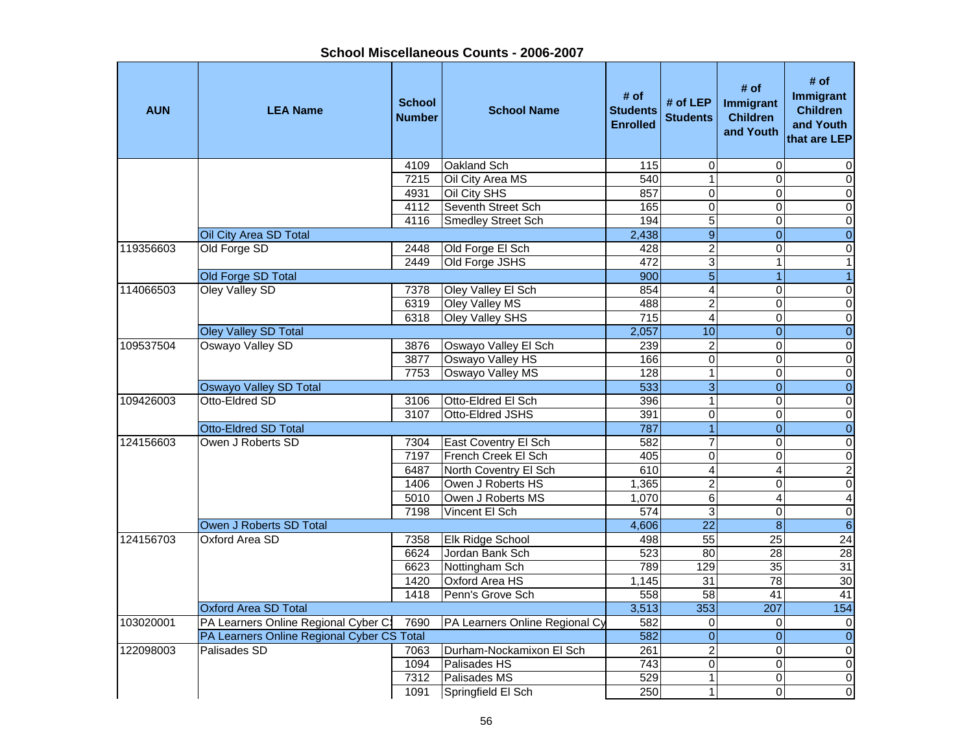| <b>AUN</b> | <b>LEA Name</b>                            | <b>School</b><br><b>Number</b> | <b>School Name</b>             | # of<br><b>Students</b><br><b>Enrolled</b> | # of $LEP$<br><b>Students</b> | # of<br>Immigrant<br><b>Children</b><br>and Youth | # of<br><b>Immigrant</b><br><b>Children</b><br>and Youth<br>that are LEP |
|------------|--------------------------------------------|--------------------------------|--------------------------------|--------------------------------------------|-------------------------------|---------------------------------------------------|--------------------------------------------------------------------------|
|            |                                            | 4109                           | <b>Oakland Sch</b>             | 115                                        | $\mathbf 0$                   | $\mathbf 0$                                       | 0                                                                        |
|            |                                            | 7215                           | Oil City Area MS               | 540                                        | $\overline{1}$                | $\Omega$                                          | $\mathbf 0$                                                              |
|            |                                            | 4931                           | Oil City SHS                   | 857                                        | $\mathbf{0}$                  | $\Omega$                                          | $\pmb{0}$                                                                |
|            |                                            | 4112                           | Seventh Street Sch             | 165                                        | $\overline{0}$                | $\Omega$                                          | $\pmb{0}$                                                                |
|            |                                            | 4116                           | <b>Smedley Street Sch</b>      | 194                                        | 5                             | $\Omega$                                          | $\pmb{0}$                                                                |
|            | Oil City Area SD Total                     |                                |                                | 2,438                                      | $\overline{9}$                | $\overline{0}$                                    | $\overline{0}$                                                           |
| 119356603  | Old Forge SD                               | 2448                           | Old Forge El Sch               | 428                                        | $\overline{2}$                | $\mathbf 0$                                       | $\overline{\mathsf{o}}$                                                  |
|            |                                            | 2449                           | Old Forge JSHS                 | 472                                        | $\overline{3}$                | $\mathbf{1}$                                      | $\mathbf{1}$                                                             |
|            | Old Forge SD Total                         |                                |                                | 900                                        | $\overline{5}$                | $\overline{1}$                                    | $\overline{1}$                                                           |
| 114066503  | Oley Valley SD                             | 7378                           | Oley Valley El Sch             | 854                                        | $\overline{\mathbf{4}}$       | 0                                                 | $\pmb{0}$                                                                |
|            |                                            | 6319                           | Oley Valley MS                 | 488                                        | $\overline{2}$                | $\mathbf 0$                                       | $\pmb{0}$                                                                |
|            |                                            | 6318                           | <b>Oley Valley SHS</b>         | 715                                        | 4                             | 0                                                 | $\pmb{0}$                                                                |
|            | <b>Oley Valley SD Total</b>                |                                |                                | 2,057                                      | 10                            | $\mathbf{0}$                                      | $\overline{0}$                                                           |
| 109537504  | Oswayo Valley SD                           | 3876                           | Oswayo Valley El Sch           | 239                                        | $\overline{c}$                | $\Omega$                                          | $\pmb{0}$                                                                |
|            |                                            | 3877                           | Oswayo Valley HS               | 166                                        | $\overline{0}$                | $\Omega$                                          | $\pmb{0}$                                                                |
|            |                                            | 7753                           | <b>Oswayo Valley MS</b>        | 128                                        | $\mathbf{1}$                  | $\Omega$                                          | $\pmb{0}$                                                                |
|            | Oswayo Valley SD Total                     |                                |                                | 533                                        | $\overline{3}$                | $\overline{0}$                                    | $\overline{0}$                                                           |
| 109426003  | Otto-Eldred SD                             | 3106                           | Otto-Eldred El Sch             | 396                                        | $\overline{1}$                | $\overline{0}$                                    | $\overline{\mathsf{o}}$                                                  |
|            |                                            | 3107                           | <b>Otto-Eldred JSHS</b>        | 391                                        | $\pmb{0}$                     | $\mathbf 0$                                       | $\overline{0}$                                                           |
|            | Otto-Eldred SD Total                       |                                |                                | 787                                        | $\overline{1}$                | $\overline{0}$                                    | $\overline{0}$                                                           |
| 124156603  | Owen J Roberts SD                          | 7304                           | <b>East Coventry El Sch</b>    | 582                                        | $\overline{7}$                | 0                                                 | $\pmb{0}$                                                                |
|            |                                            | 7197                           | French Creek El Sch            | 405                                        | $\overline{0}$                | $\mathbf 0$                                       | $\overline{\mathsf{o}}$                                                  |
|            |                                            | 6487                           | North Coventry El Sch          | 610                                        | $\overline{4}$                | $\overline{4}$                                    | $\overline{2}$                                                           |
|            |                                            | 1406                           | Owen J Roberts HS              | 1,365                                      | $\overline{c}$                | $\Omega$                                          | $\pmb{0}$                                                                |
|            |                                            | 5010                           | Owen J Roberts MS              | 1,070                                      | $\overline{6}$                | $\overline{4}$                                    | $\overline{4}$                                                           |
|            |                                            | 7198                           | Vincent El Sch                 | $\overline{574}$                           | 3                             | $\Omega$                                          | $\pmb{0}$                                                                |
|            | Owen J Roberts SD Total                    |                                |                                | 4,606                                      | $\overline{22}$               | 8                                                 | $\overline{6}$                                                           |
| 124156703  | <b>Oxford Area SD</b>                      | 7358                           | <b>Elk Ridge School</b>        | 498                                        | $\overline{55}$               | $\overline{25}$                                   | $\overline{24}$                                                          |
|            |                                            | 6624                           | Jordan Bank Sch                | 523                                        | $\overline{80}$               | $\overline{28}$                                   | 28                                                                       |
|            |                                            | 6623                           | Nottingham Sch                 | 789                                        | 129                           | 35                                                | 31                                                                       |
|            |                                            | 1420                           | <b>Oxford Area HS</b>          | 1,145                                      | 31                            | 78                                                | 30                                                                       |
|            |                                            | 1418                           | Penn's Grove Sch               | 558                                        | $\overline{58}$               | 41                                                | 41                                                                       |
|            | <b>Oxford Area SD Total</b>                |                                |                                | 3,513                                      | $\frac{1}{353}$               | 207                                               | 154                                                                      |
| 103020001  | PA Learners Online Regional Cyber C:       | 7690                           | PA Learners Online Regional Cy | 582                                        | $\pmb{0}$                     | $\mathbf 0$                                       | $\mathbf 0$                                                              |
|            | PA Learners Online Regional Cyber CS Total |                                |                                | 582                                        | $\mathbf 0$                   | $\Omega$                                          | $\overline{0}$                                                           |
| 122098003  | Palisades SD                               | 7063                           | Durham-Nockamixon El Sch       | 261                                        | $\overline{c}$                | $\Omega$                                          | $\pmb{0}$                                                                |
|            |                                            | 1094                           | Palisades HS                   | 743                                        | $\mathbf 0$                   | $\Omega$                                          | $\pmb{0}$                                                                |
|            |                                            | 7312                           | Palisades MS                   | 529                                        | $\mathbf{1}$                  | $\Omega$                                          | $\pmb{0}$                                                                |
|            |                                            | 1091                           | Springfield El Sch             | 250                                        | $\overline{1}$                | $\Omega$                                          | O                                                                        |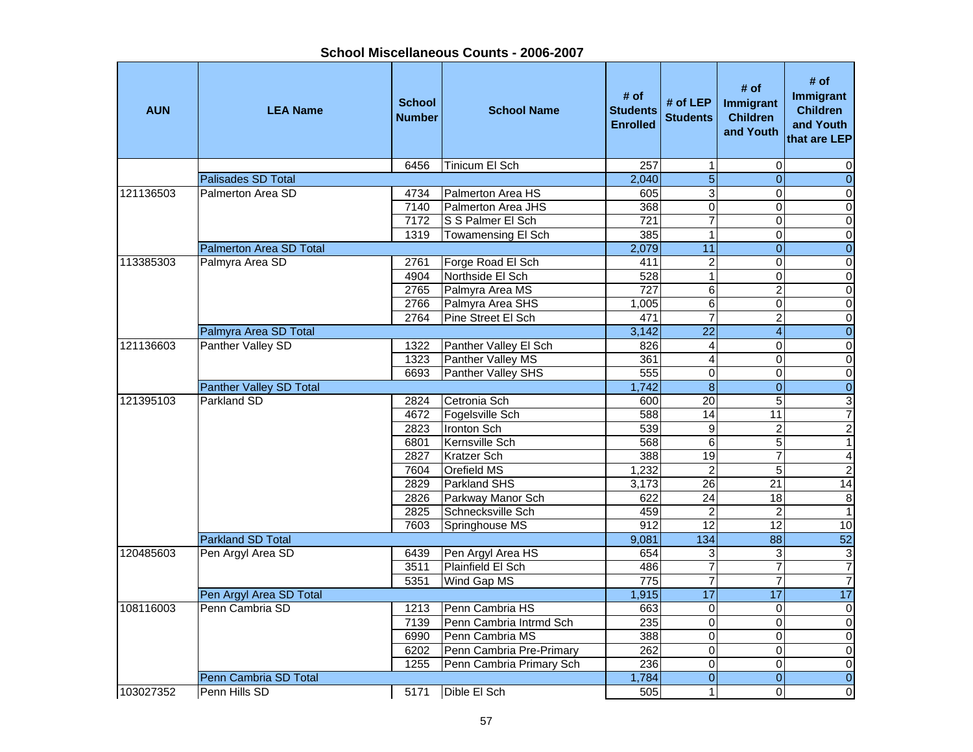Ŧ

| <b>AUN</b> | <b>LEA Name</b>           | <b>School</b><br><b>Number</b> | <b>School Name</b>       | # of<br><b>Students</b><br><b>Enrolled</b> | # of LEP<br><b>Students</b> | # of<br>Immigrant<br><b>Children</b><br>and Youth | # of<br><b>Immigrant</b><br><b>Children</b><br>and Youth<br>that are LEP |
|------------|---------------------------|--------------------------------|--------------------------|--------------------------------------------|-----------------------------|---------------------------------------------------|--------------------------------------------------------------------------|
|            |                           | 6456                           | Tinicum El Sch           | 257                                        | 1                           | $\mathbf 0$                                       | 0                                                                        |
|            | <b>Palisades SD Total</b> |                                |                          | 2,040                                      | $\overline{5}$              | $\Omega$                                          | $\overline{0}$                                                           |
| 121136503  | Palmerton Area SD         | 4734                           | Palmerton Area HS        | 605                                        | $\overline{3}$              | $\Omega$                                          | $\pmb{0}$                                                                |
|            |                           | 7140                           | Palmerton Area JHS       | 368                                        | $\overline{0}$              | 0                                                 | $\pmb{0}$                                                                |
|            |                           | 7172                           | S S Palmer El Sch        | 721                                        | $\overline{7}$              | $\mathbf 0$                                       | $\pmb{0}$                                                                |
|            |                           | 1319                           | Towamensing El Sch       | 385                                        | $\overline{1}$              | $\overline{0}$                                    | O                                                                        |
|            | Palmerton Area SD Total   |                                |                          | 2,079                                      | $\overline{11}$             | $\overline{0}$                                    | $\overline{0}$                                                           |
| 113385303  | Palmyra Area SD           | 2761                           | Forge Road El Sch        | 411                                        | $\overline{\mathbf{c}}$     | 0                                                 | $\pmb{0}$                                                                |
|            |                           | 4904                           | Northside El Sch         | 528                                        | $\mathbf{1}$                | 0                                                 | $\mathsf{O}\xspace$                                                      |
|            |                           | 2765                           | Palmyra Area MS          | 727                                        | 6                           | $\overline{c}$                                    | $\pmb{0}$                                                                |
|            |                           | 2766                           | Palmyra Area SHS         | 1,005                                      | 6                           | 0                                                 | $\mathbf 0$                                                              |
|            |                           | 2764                           | Pine Street El Sch       | 471                                        | 7                           | $\overline{2}$                                    | $\pmb{0}$                                                                |
|            | Palmyra Area SD Total     |                                |                          | 3,142                                      | $\overline{22}$             | $\overline{4}$                                    | $\overline{0}$                                                           |
| 121136603  | Panther Valley SD         | 1322                           | Panther Valley El Sch    | 826                                        | 4                           | $\Omega$                                          | $\pmb{0}$                                                                |
|            |                           | 1323                           | Panther Valley MS        | 361                                        | $\overline{4}$              | 0                                                 | $\overline{0}$                                                           |
|            |                           | 6693                           | Panther Valley SHS       | 555                                        | $\overline{0}$              | $\mathbf 0$                                       | $\overline{\mathsf{o}}$                                                  |
|            | Panther Valley SD Total   |                                |                          | 1,742                                      | $\overline{8}$              | $\overline{0}$                                    | $\overline{0}$                                                           |
| 121395103  | <b>Parkland SD</b>        | 2824                           | Cetronia Sch             | 600                                        | $\overline{20}$             | 5                                                 | دن                                                                       |
|            |                           | 4672                           | Fogelsville Sch          | 588                                        | 14                          | 11                                                | $\overline{7}$                                                           |
|            |                           | 2823                           | Ironton Sch              | 539                                        | $\overline{9}$              | $\overline{2}$                                    | $\overline{c}$                                                           |
|            |                           | 6801                           | Kernsville Sch           | 568                                        | $\overline{6}$              | 5                                                 | $\mathbf{1}$                                                             |
|            |                           | 2827                           | Kratzer Sch              | 388                                        | 19                          | $\overline{7}$                                    | $\overline{\mathbf{4}}$                                                  |
|            |                           | 7604                           | Orefield MS              | 1,232                                      | $\overline{c}$              | 5                                                 | $\overline{2}$                                                           |
|            |                           | 2829                           | Parkland SHS             | 3,173                                      | 26                          | 21                                                | 14                                                                       |
|            |                           | 2826                           | Parkway Manor Sch        | 622                                        | $\overline{24}$             | $\overline{18}$                                   | $\overline{8}$                                                           |
|            |                           | 2825                           | Schnecksville Sch        | 459                                        | $\overline{2}$              | $\overline{2}$                                    | $\overline{1}$                                                           |
|            |                           | 7603                           | Springhouse MS           | 912                                        | 12                          | $\overline{12}$                                   | 10                                                                       |
|            | Parkland SD Total         |                                |                          | 9,081                                      | 134                         | $\overline{88}$                                   | 52                                                                       |
| 120485603  | Pen Argyl Area SD         | 6439                           | Pen Argyl Area HS        | 654                                        | 3                           | 3                                                 | $\ensuremath{\mathsf{3}}$                                                |
|            |                           | 3511                           | Plainfield El Sch        | 486                                        | $\overline{7}$              | $\overline{7}$                                    | $\overline{7}$                                                           |
|            |                           | 5351                           | Wind Gap MS              | 775                                        | 7                           | $\overline{7}$                                    | $\overline{7}$                                                           |
|            | Pen Argyl Area SD Total   |                                |                          | 1,915                                      | $\overline{17}$             | $\overline{17}$                                   | 17                                                                       |
| 108116003  | Penn Cambria SD           | 1213                           | Penn Cambria HS          | 663                                        | $\mathbf 0$                 | $\Omega$                                          | $\pmb{0}$                                                                |
|            |                           | 7139                           | Penn Cambria Intrmd Sch  | 235                                        | $\overline{0}$              | $\Omega$                                          | $\overline{\mathbf{o}}$                                                  |
|            |                           | 6990                           | Penn Cambria MS          | 388                                        | $\mathbf 0$                 | 0                                                 | $\mathbf 0$                                                              |
|            |                           | 6202                           | Penn Cambria Pre-Primary | $\overline{262}$                           | $\overline{0}$              | $\mathbf 0$                                       | $\pmb{0}$                                                                |
|            |                           | 1255                           | Penn Cambria Primary Sch | 236                                        | $\overline{0}$              | $\overline{0}$                                    | $\overline{0}$                                                           |
|            | Penn Cambria SD Total     |                                |                          | 1,784                                      | $\overline{\mathbf{O}}$     | $\overline{0}$                                    | $\overline{0}$                                                           |
| 103027352  | Penn Hills SD             | 5171                           | Dible El Sch             | 505                                        | $\mathbf{1}$                | 0                                                 | O                                                                        |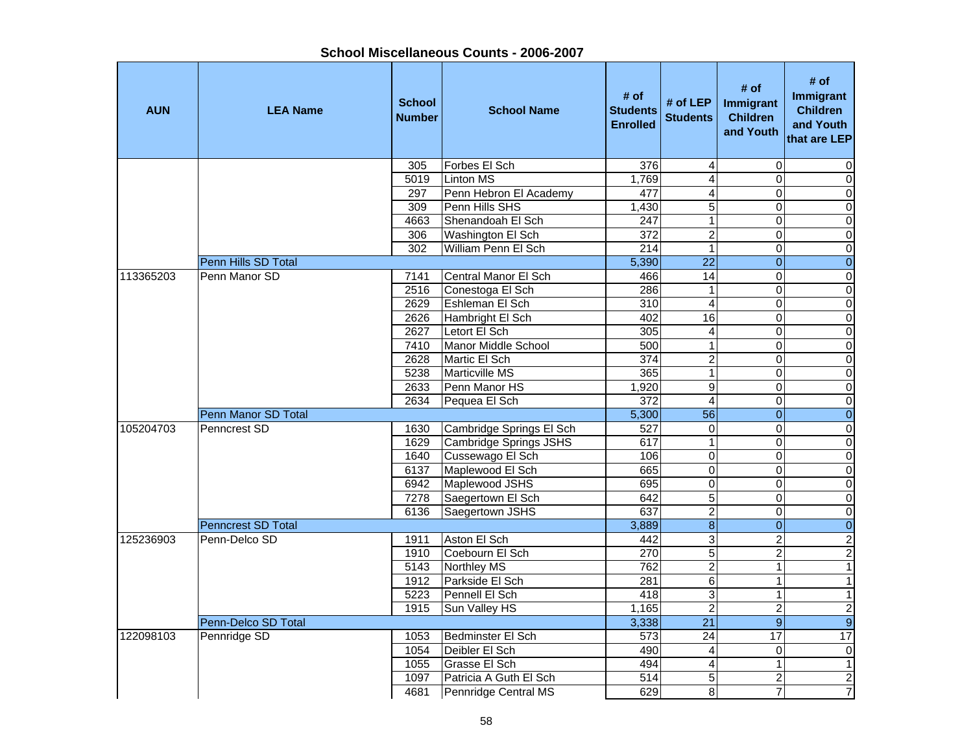| <b>AUN</b> | <b>LEA Name</b>           | <b>School</b><br><b>Number</b> | <b>School Name</b>            | # of<br><b>Students</b><br><b>Enrolled</b> | # of LEP<br><b>Students</b> | # of<br><b>Immigrant</b><br><b>Children</b><br>and Youth | # of<br>Immigrant<br><b>Children</b><br>and Youth<br>that are LEP |
|------------|---------------------------|--------------------------------|-------------------------------|--------------------------------------------|-----------------------------|----------------------------------------------------------|-------------------------------------------------------------------|
|            |                           | 305                            | Forbes El Sch                 | 376                                        | 4                           | $\Omega$                                                 | $\Omega$                                                          |
|            |                           | 5019                           | <b>Linton MS</b>              | 1,769                                      | $\overline{4}$              | $\overline{0}$                                           | $\overline{0}$                                                    |
|            |                           | 297                            | Penn Hebron El Academy        | 477                                        | $\overline{4}$              | 0                                                        | $\overline{0}$                                                    |
|            |                           | 309                            | Penn Hills SHS                | 1,430                                      | 5                           | 0                                                        | $\overline{0}$                                                    |
|            |                           | 4663                           | Shenandoah El Sch             | 247                                        | $\overline{1}$              | $\overline{0}$                                           | $\overline{0}$                                                    |
|            |                           | 306                            | Washington El Sch             | 372                                        | $\overline{2}$              | 0                                                        | $\overline{0}$                                                    |
|            |                           | 302                            | William Penn El Sch           | 214                                        | $\overline{1}$              | $\overline{0}$                                           | $\overline{0}$                                                    |
|            | Penn Hills SD Total       |                                |                               | 5,390                                      | $\overline{22}$             | $\overline{0}$                                           | $\overline{0}$                                                    |
| 113365203  | Penn Manor SD             | 7141                           | Central Manor El Sch          | 466                                        | 14                          | 0                                                        | $\mathbf 0$                                                       |
|            |                           | 2516                           | Conestoga El Sch              | 286                                        | $\mathbf{1}$                | 0                                                        | $\overline{0}$                                                    |
|            |                           | 2629                           | Eshleman El Sch               | 310                                        | 4                           | 0                                                        | $\overline{0}$                                                    |
|            |                           | 2626                           | Hambright El Sch              | 402                                        | 16                          | 0                                                        | $\overline{0}$                                                    |
|            |                           | 2627                           | Letort El Sch                 | 305                                        | $\overline{\mathbf{4}}$     | $\overline{0}$                                           | $\overline{0}$                                                    |
|            |                           | 7410                           | <b>Manor Middle School</b>    | 500                                        | $\mathbf{1}$                | 0                                                        | $\overline{0}$                                                    |
|            |                           | 2628                           | Martic El Sch                 | 374                                        | $\overline{2}$              | $\overline{0}$                                           | $\overline{0}$                                                    |
|            |                           | 5238                           | <b>Marticville MS</b>         | 365                                        | $\overline{1}$              | 0                                                        | $\overline{0}$                                                    |
|            |                           | 2633                           | Penn Manor HS                 | 1,920                                      | $\overline{9}$              | $\overline{0}$                                           | $\overline{0}$                                                    |
|            |                           | 2634                           | Pequea El Sch                 | 372                                        | $\overline{4}$              | $\overline{0}$                                           | $\overline{0}$                                                    |
|            | Penn Manor SD Total       |                                |                               | 5,300                                      | $\overline{56}$             | $\mathbf 0$                                              | $\overline{0}$                                                    |
| 105204703  | Penncrest SD              | 1630                           | Cambridge Springs El Sch      | 527                                        | $\pmb{0}$                   | 0                                                        | $\overline{0}$                                                    |
|            |                           | 1629                           | <b>Cambridge Springs JSHS</b> | 617                                        | $\overline{1}$              | $\overline{0}$                                           | $\overline{0}$                                                    |
|            |                           | 1640                           | Cussewago El Sch              | 106                                        | $\pmb{0}$                   | $\mathsf 0$                                              | $\overline{0}$                                                    |
|            |                           | 6137                           | Maplewood El Sch              | 665                                        | $\overline{0}$              | $\overline{0}$                                           | $\overline{0}$                                                    |
|            |                           | 6942                           | Maplewood JSHS                | 695                                        | 0                           | 0                                                        | $\overline{0}$                                                    |
|            |                           | 7278                           | Saegertown El Sch             | 642                                        | $\overline{5}$              | $\overline{0}$                                           | $\overline{0}$                                                    |
|            |                           | 6136                           | Saegertown JSHS               | 637                                        | $\overline{2}$              | $\overline{0}$                                           | $\overline{0}$                                                    |
|            | <b>Penncrest SD Total</b> |                                |                               | 3,889                                      | $\overline{8}$              | $\mathbf 0$                                              | $\overline{0}$                                                    |
| 125236903  | Penn-Delco SD             | 1911                           | Aston El Sch                  | 442                                        | $\overline{\overline{3}}$   | $\overline{2}$                                           | $\overline{2}$                                                    |
|            |                           | 1910                           | Coebourn El Sch               | 270                                        | 5                           | $\overline{2}$                                           | $\overline{2}$                                                    |
|            |                           | 5143                           | Northley MS                   | 762                                        | $\overline{2}$              | $\mathbf{1}$                                             | $\overline{1}$                                                    |
|            |                           | 1912                           | Parkside El Sch               | 281                                        | $\overline{6}$              | $\mathbf{1}$                                             | $\overline{1}$                                                    |
|            |                           | 5223                           | Pennell El Sch                | 418                                        | $\overline{3}$              | 1                                                        | $\overline{1}$                                                    |
|            |                           | 1915                           | Sun Valley HS                 | 1,165                                      | $\overline{2}$              | $\overline{2}$                                           | $\overline{2}$                                                    |
|            | Penn-Delco SD Total       |                                |                               | 3,338                                      | $\overline{21}$             | $\overline{9}$                                           | $\overline{9}$                                                    |
| 122098103  | Pennridge SD              | 1053                           | Bedminster El Sch             | 573                                        | $\overline{24}$             | $\overline{17}$                                          | 17                                                                |
|            |                           | 1054                           | Deibler El Sch                | 490                                        | 4                           | 0                                                        | $\pmb{0}$                                                         |
|            |                           | 1055                           | Grasse El Sch                 | 494                                        | $\overline{\mathbf{4}}$     | $\mathbf{1}$                                             | $\overline{1}$                                                    |
|            |                           | 1097                           | Patricia A Guth El Sch        | 514                                        | 5                           | $\overline{\mathbf{c}}$                                  | $\overline{2}$                                                    |
|            |                           | 4681                           | Pennridge Central MS          | 629                                        | 8                           | $\overline{7}$                                           | $\overline{7}$                                                    |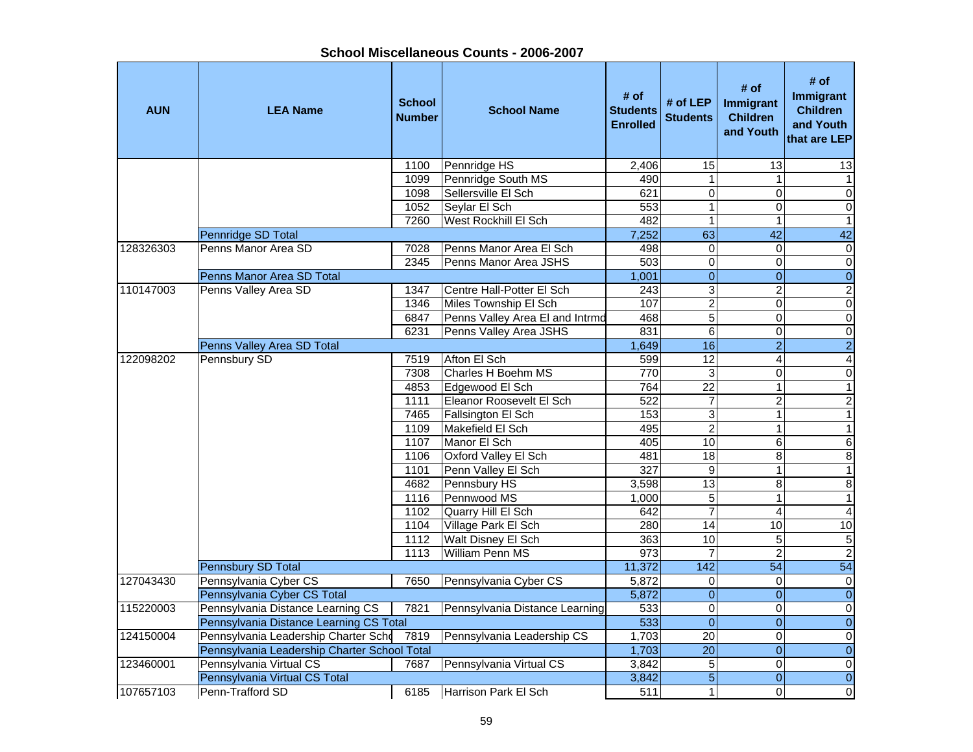| School Miscellaneous Counts - 2006-2007 |  |
|-----------------------------------------|--|
|-----------------------------------------|--|

| <b>AUN</b> | <b>LEA Name</b>                              | <b>School</b><br><b>Number</b> | <b>School Name</b>              | # of<br><b>Students</b><br><b>Enrolled</b> | # of LEP<br><b>Students</b> | # of<br>Immigrant<br><b>Children</b><br>and Youth | # of<br>Immigrant<br><b>Children</b><br>and Youth<br>that are LEP |
|------------|----------------------------------------------|--------------------------------|---------------------------------|--------------------------------------------|-----------------------------|---------------------------------------------------|-------------------------------------------------------------------|
|            |                                              | 1100                           | Pennridge HS                    | 2,406                                      | 15                          | $\overline{13}$                                   | 13                                                                |
|            |                                              | 1099                           | Pennridge South MS              | 490                                        | $\mathbf{1}$                | 1                                                 | $\mathbf{1}$                                                      |
|            |                                              | 1098                           | Sellersville El Sch             | 621                                        | $\overline{0}$              | 0                                                 | $\overline{\mathsf{o}}$                                           |
|            |                                              | 1052                           | Seylar El Sch                   | 553                                        | $\overline{1}$              | 0                                                 | $\pmb{0}$                                                         |
|            |                                              | 7260                           | West Rockhill El Sch            | 482                                        | $\overline{1}$              | 1                                                 | $\mathbf{1}$                                                      |
|            | Pennridge SD Total                           |                                |                                 | 7,252                                      | 63                          | $\overline{42}$                                   | 42                                                                |
| 128326303  | Penns Manor Area SD                          | 7028                           | Penns Manor Area El Sch         | 498                                        | $\overline{0}$              | $\Omega$                                          | $\boldsymbol{0}$                                                  |
|            |                                              | 2345                           | Penns Manor Area JSHS           | 503                                        | $\mathbf 0$                 | $\Omega$                                          | $\pmb{0}$                                                         |
|            | Penns Manor Area SD Total                    |                                |                                 | 1,001                                      | $\overline{0}$              | $\mathbf{0}$                                      | $\boldsymbol{0}$                                                  |
| 110147003  | Penns Valley Area SD                         | 1347                           | Centre Hall-Potter El Sch       | 243                                        | $\overline{3}$              | $\overline{c}$                                    | $\sqrt{2}$                                                        |
|            |                                              | 1346                           | Miles Township El Sch           | 107                                        | $\overline{2}$              | $\mathbf 0$                                       | $\overline{0}$                                                    |
|            |                                              | 6847                           | Penns Valley Area El and Intrmd | 468                                        | $\overline{5}$              | $\mathbf 0$                                       | $\overline{0}$                                                    |
|            |                                              | 6231                           | Penns Valley Area JSHS          | 831                                        | $\overline{6}$              | 0                                                 | $\overline{\mathsf{o}}$                                           |
|            | Penns Valley Area SD Total                   |                                |                                 | 1,649                                      | 16                          | $\overline{2}$                                    | $\overline{2}$                                                    |
| 122098202  | Pennsbury SD                                 | 7519                           | Afton El Sch                    | 599                                        | $\overline{12}$             | 4                                                 | 4                                                                 |
|            |                                              | 7308                           | Charles H Boehm MS              | 770                                        | 3                           | $\mathbf 0$                                       | $\pmb{0}$                                                         |
|            |                                              | 4853                           | Edgewood El Sch                 | 764                                        | $\overline{22}$             | $\mathbf{1}$                                      | $\mathbf{1}$                                                      |
|            |                                              | 1111                           | Eleanor Roosevelt El Sch        | 522                                        | $\overline{7}$              | $\overline{\mathbf{c}}$                           | $\overline{a}$                                                    |
|            |                                              | 7465                           | Fallsington El Sch              | 153                                        | 3                           | 1                                                 | $\mathbf{1}$                                                      |
|            |                                              | 1109                           | Makefield El Sch                | 495                                        | $\overline{2}$              | $\mathbf{1}$                                      | $\overline{1}$                                                    |
|            |                                              | 1107                           | Manor El Sch                    | 405                                        | 10                          | 6                                                 | $\,6$                                                             |
|            |                                              | 1106                           | Oxford Valley El Sch            | 481                                        | $\overline{18}$             | 8                                                 | $\bf 8$                                                           |
|            |                                              | 1101                           | Penn Valley El Sch              | 327                                        | $\boldsymbol{9}$            | $\mathbf{1}$                                      | $\mathbf{1}$                                                      |
|            |                                              | 4682                           | Pennsbury HS                    | 3,598                                      | 13                          | 8                                                 | $\infty$                                                          |
|            |                                              | 1116                           | Pennwood MS                     | 1,000                                      | 5                           | $\mathbf{1}$                                      | $\mathbf{1}$                                                      |
|            |                                              | 1102                           | Quarry Hill El Sch              | 642                                        | $\overline{7}$              | 4                                                 | $\overline{4}$                                                    |
|            |                                              | 1104                           | Village Park El Sch             | 280                                        | $\overline{14}$             | 10                                                | $\overline{10}$                                                   |
|            |                                              | 1112                           | Walt Disney El Sch              | 363                                        | 10                          | 5                                                 | 5                                                                 |
|            |                                              | 1113                           | <b>William Penn MS</b>          | 973                                        | $\overline{7}$              | $\overline{2}$                                    | $\overline{2}$                                                    |
|            | Pennsbury SD Total                           |                                |                                 | 11,372                                     | 142                         | 54                                                | 54                                                                |
| 127043430  | Pennsylvania Cyber CS                        | 7650                           | Pennsylvania Cyber CS           | 5,872                                      | $\mathbf 0$                 | $\mathbf 0$                                       | $\overline{0}$                                                    |
|            | Pennsylvania Cyber CS Total                  |                                |                                 | 5,872                                      | $\mathbf 0$                 | $\mathbf{0}$                                      | $\overline{0}$                                                    |
| 115220003  | Pennsylvania Distance Learning CS            | 7821                           | Pennsylvania Distance Learning  | 533                                        | $\pmb{0}$                   | $\mathbf 0$                                       | $\overline{\mathsf{o}}$                                           |
|            | Pennsylvania Distance Learning CS Total      |                                |                                 | 533                                        | $\overline{0}$              | $\overline{0}$                                    | $\overline{0}$                                                    |
| 124150004  | Pennsylvania Leadership Charter Scho         | 7819                           | Pennsylvania Leadership CS      | 1,703                                      | 20                          | $\mathbf 0$                                       | $\pmb{0}$                                                         |
|            | Pennsylvania Leadership Charter School Total |                                |                                 | 1,703                                      | $\overline{20}$             | $\overline{0}$                                    | $\overline{0}$                                                    |
| 123460001  | Pennsylvania Virtual CS                      | 7687                           | Pennsylvania Virtual CS         | 3,842                                      | $\overline{5}$              | 0                                                 | $\pmb{0}$                                                         |
|            | Pennsylvania Virtual CS Total                |                                |                                 | 3,842                                      | $\overline{5}$              | $\Omega$                                          | $\overline{0}$                                                    |
| 107657103  | Penn-Trafford SD                             | 6185                           | Harrison Park El Sch            | 511                                        | $\mathbf{1}$                | $\Omega$                                          | $\pmb{0}$                                                         |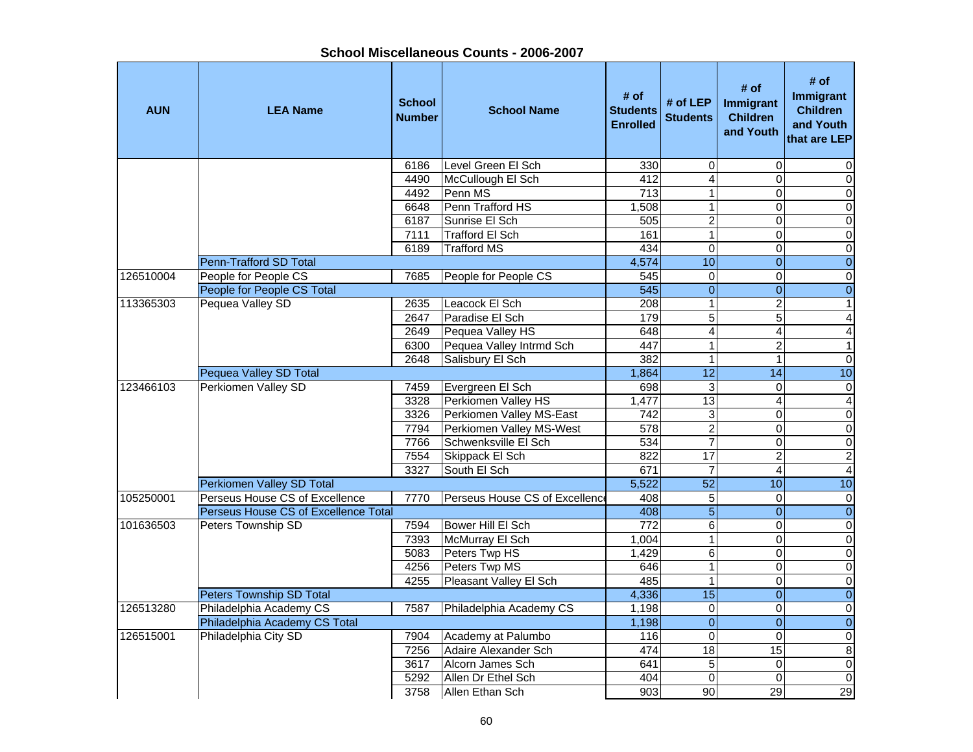| <b>AUN</b> | <b>LEA Name</b>                      | <b>School</b><br><b>Number</b> | <b>School Name</b>             | # of<br><b>Students</b><br><b>Enrolled</b> | # of LEP<br><b>Students</b> | # of<br>Immigrant<br><b>Children</b><br>and Youth | # of<br>Immigrant<br><b>Children</b><br>and Youth<br>that are LEP |
|------------|--------------------------------------|--------------------------------|--------------------------------|--------------------------------------------|-----------------------------|---------------------------------------------------|-------------------------------------------------------------------|
|            |                                      | 6186                           | Level Green El Sch             | 330                                        | $\mathbf 0$                 | $\mathbf 0$                                       | 0                                                                 |
|            |                                      | 4490                           | McCullough El Sch              | 412                                        | 4                           | $\overline{0}$                                    | $\overline{0}$                                                    |
|            |                                      | 4492                           | Penn MS                        | 713                                        | $\mathbf{1}$                | $\overline{0}$                                    | $\overline{0}$                                                    |
|            |                                      | 6648                           | Penn Trafford HS               | 1,508                                      | $\mathbf{1}$                | $\mathbf{0}$                                      | $\overline{0}$                                                    |
|            |                                      | 6187                           | Sunrise El Sch                 | 505                                        | $\overline{2}$              | $\mathbf 0$                                       | $\overline{0}$                                                    |
|            |                                      | 7111                           | <b>Trafford El Sch</b>         | 161                                        | $\mathbf{1}$                | $\mathbf 0$                                       | $\overline{0}$                                                    |
|            |                                      | 6189                           | <b>Trafford MS</b>             | 434                                        | $\overline{0}$              | 0                                                 | $\overline{0}$                                                    |
|            | Penn-Trafford SD Total               |                                |                                | 4,574                                      | 10                          | $\mathbf 0$                                       | $\mathbf 0$                                                       |
| 126510004  | People for People CS                 | 7685                           | People for People CS           | 545                                        | $\mathbf 0$                 | $\mathsf 0$                                       | $\boldsymbol{0}$                                                  |
|            | People for People CS Total           |                                |                                | 545                                        | $\overline{0}$              | $\overline{0}$                                    | $\mathbf 0$                                                       |
| 113365303  | Pequea Valley SD                     | 2635                           | Leacock El Sch                 | 208                                        | $\mathbf{1}$                | $\mathbf 2$                                       | $\mathbf{1}$                                                      |
|            |                                      | 2647                           | Paradise El Sch                | 179                                        | 5                           | $\overline{5}$                                    | $\overline{4}$                                                    |
|            |                                      | 2649                           | Pequea Valley HS               | 648                                        | 4                           | $\overline{4}$                                    | $\overline{\mathbf{4}}$                                           |
|            |                                      | 6300                           | Pequea Valley Intrmd Sch       | 447                                        | $\mathbf{1}$                | $\overline{2}$                                    | $\overline{1}$                                                    |
|            |                                      | 2648                           | Salisbury El Sch               | 382                                        | $\mathbf{1}$                | $\mathbf{1}$                                      | $\overline{0}$                                                    |
|            | Pequea Valley SD Total               |                                |                                | 1,864                                      | $\overline{12}$             | $\overline{14}$                                   | 10                                                                |
| 123466103  | Perkiomen Valley SD                  | 7459                           | Evergreen El Sch               | 698                                        | 3                           | $\mathbf 0$                                       | $\overline{0}$                                                    |
|            |                                      | 3328                           | Perkiomen Valley HS            | 1,477                                      | 13                          | $\overline{4}$                                    | $\overline{4}$                                                    |
|            |                                      | 3326                           | Perkiomen Valley MS-East       | $\overline{742}$                           | 3                           | $\mathbf 0$                                       | $\mathbf 0$                                                       |
|            |                                      | 7794                           | Perkiomen Valley MS-West       | 578                                        | $\overline{2}$              | $\mathbf 0$                                       | $\mathbf 0$                                                       |
|            |                                      | 7766                           | Schwenksville El Sch           | 534                                        | $\overline{7}$              | $\mathsf 0$                                       | $\mathbf 0$                                                       |
|            |                                      | 7554                           | Skippack El Sch                | 822                                        | 17                          | $\overline{c}$                                    | $\overline{2}$                                                    |
|            |                                      | 3327                           | South El Sch                   | 671                                        | $\overline{7}$              | $\overline{4}$                                    | $\overline{\mathbf{4}}$                                           |
|            | Perkiomen Valley SD Total            |                                |                                | 5,522                                      | 52                          | 10                                                | 10                                                                |
| 105250001  | Perseus House CS of Excellence       | 7770                           | Perseus House CS of Excellence | 408                                        | $\sqrt{5}$                  | $\mathbf 0$                                       | $\pmb{0}$                                                         |
|            | Perseus House CS of Excellence Total |                                |                                | 408                                        | $\overline{5}$              | $\Omega$                                          | $\overline{0}$                                                    |
| 101636503  | Peters Township SD                   | 7594                           | Bower Hill El Sch              | 772                                        | $\overline{6}$              | $\mathbf 0$                                       | $\overline{0}$                                                    |
|            |                                      | 7393                           | McMurray El Sch                | 1,004                                      | $\overline{1}$              | $\overline{0}$                                    | $\overline{0}$                                                    |
|            |                                      | 5083                           | Peters Twp HS                  | 1,429                                      | $\overline{6}$              | $\overline{0}$                                    | $\overline{0}$                                                    |
|            |                                      | 4256                           | Peters Twp MS                  | 646                                        | $\mathbf{1}$                | $\mathsf 0$                                       | $\overline{0}$                                                    |
|            |                                      | 4255                           | Pleasant Valley El Sch         | 485                                        | $\mathbf{1}$                | $\mathbf 0$                                       | $\overline{0}$                                                    |
|            | <b>Peters Township SD Total</b>      |                                |                                | 4,336                                      | $\overline{15}$             | $\mathbf{0}$                                      | $\overline{0}$                                                    |
| 126513280  | Philadelphia Academy CS              | 7587                           | Philadelphia Academy CS        | 1,198                                      | $\pmb{0}$                   | $\pmb{0}$                                         | $\pmb{0}$                                                         |
|            | Philadelphia Academy CS Total        |                                |                                | 1,198                                      | $\overline{0}$              | $\overline{0}$                                    | $\mathbf 0$                                                       |
| 126515001  | Philadelphia City SD                 | 7904                           | Academy at Palumbo             | 116                                        | $\mathbf 0$                 | $\pmb{0}$                                         | $\mathbf 0$                                                       |
|            |                                      | 7256                           | Adaire Alexander Sch           | 474                                        | 18                          | 15                                                | 8                                                                 |
|            |                                      | 3617                           | Alcorn James Sch               | 641                                        | $\overline{5}$              | $\pmb{0}$                                         | $\overline{0}$                                                    |
|            |                                      | 5292                           | Allen Dr Ethel Sch             | 404                                        | $\mathbf 0$                 | $\Omega$                                          | $\mathbf 0$                                                       |
|            |                                      | 3758                           | Allen Ethan Sch                | 903                                        | 90                          | $\overline{29}$                                   | 29                                                                |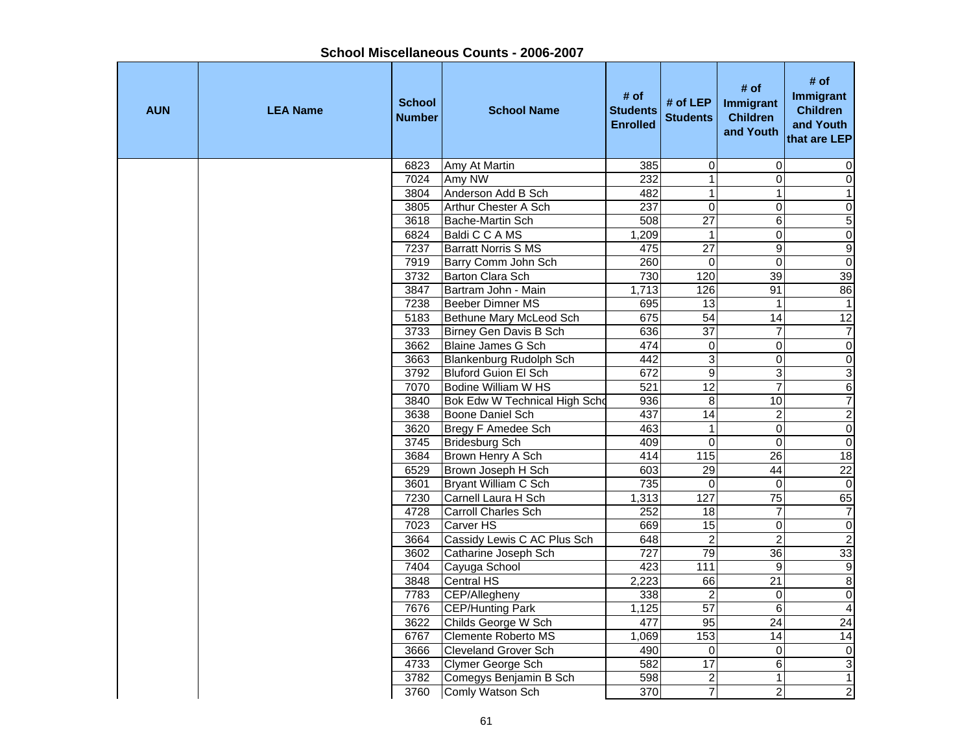| <b>AUN</b> | <b>LEA Name</b> | <b>School</b><br><b>Number</b> | <b>School Name</b>            | # of<br><b>Students</b><br><b>Enrolled</b> | # of LEP<br><b>Students</b> | # of<br><b>Immigrant</b><br><b>Children</b><br>and Youth | # of<br><b>Immigrant</b><br><b>Children</b><br>and Youth<br>that are LEP |
|------------|-----------------|--------------------------------|-------------------------------|--------------------------------------------|-----------------------------|----------------------------------------------------------|--------------------------------------------------------------------------|
|            |                 | 6823                           | Amy At Martin                 | 385                                        | 0                           | $\Omega$                                                 | 0                                                                        |
|            |                 | 7024                           | Amy NW                        | $\overline{232}$                           | $\overline{1}$              | $\Omega$                                                 | $\mathsf{O}\xspace$                                                      |
|            |                 | 3804                           | Anderson Add B Sch            | 482                                        | $\mathbf{1}$                | $\mathbf{1}$                                             | $\mathbf{1}$                                                             |
|            |                 | 3805                           | <b>Arthur Chester A Sch</b>   | 237                                        | $\mathbf 0$                 | $\Omega$                                                 | $\overline{0}$                                                           |
|            |                 | 3618                           | Bache-Martin Sch              | 508                                        | $\overline{27}$             | 6                                                        | $\overline{5}$                                                           |
|            |                 | 6824                           | Baldi C C A MS                | 1,209                                      | $\mathbf{1}$                | $\pmb{0}$                                                | $\overline{0}$                                                           |
|            |                 | 7237                           | <b>Barratt Norris S MS</b>    | 475                                        | $\overline{27}$             | 9                                                        | $\overline{9}$                                                           |
|            |                 | 7919                           | Barry Comm John Sch           | 260                                        | $\mathbf 0$                 | $\mathbf 0$                                              | $\overline{0}$                                                           |
|            |                 | 3732                           | Barton Clara Sch              | 730                                        | 120                         | 39                                                       | 39                                                                       |
|            |                 | 3847                           | Bartram John - Main           | 1,713                                      | 126                         | 91                                                       | 86                                                                       |
|            |                 | 7238                           | Beeber Dimner MS              | 695                                        | 13                          | $\mathbf{1}$                                             | $\mathbf{1}$                                                             |
|            |                 | 5183                           | Bethune Mary McLeod Sch       | 675                                        | 54                          | $\overline{14}$                                          | 12                                                                       |
|            |                 | 3733                           | <b>Birney Gen Davis B Sch</b> | 636                                        | $\overline{37}$             | $\overline{7}$                                           | $\overline{7}$                                                           |
|            |                 | 3662                           | Blaine James G Sch            | 474                                        | $\pmb{0}$                   | $\overline{\mathbf{o}}$                                  | $\overline{0}$                                                           |
|            |                 | 3663                           | Blankenburg Rudolph Sch       | 442                                        | $\overline{3}$              | $\overline{0}$                                           | $\overline{\mathsf{o}}$                                                  |
|            |                 | 3792                           | <b>Bluford Guion El Sch</b>   | 672                                        | $\overline{9}$              | ω                                                        | $\overline{3}$                                                           |
|            |                 | 7070                           | <b>Bodine William W HS</b>    | 521                                        | 12                          | $\overline{7}$                                           | $\overline{6}$                                                           |
|            |                 | 3840                           | Bok Edw W Technical High Scho | 936                                        | 8                           | $\overline{10}$                                          | 7                                                                        |
|            |                 | 3638                           | Boone Daniel Sch              | 437                                        | $\overline{14}$             | $\overline{c}$                                           | $\overline{2}$                                                           |
|            |                 | 3620                           | Bregy F Amedee Sch            | 463                                        | $\mathbf{1}$                | $\pmb{0}$                                                | $\overline{0}$                                                           |
|            |                 | 3745                           | <b>Bridesburg Sch</b>         | 409                                        | $\mathbf 0$                 | $\mathbf 0$                                              | $\overline{0}$                                                           |
|            |                 | 3684                           | Brown Henry A Sch             | 414                                        | 115                         | 26                                                       | 18                                                                       |
|            |                 | 6529                           | Brown Joseph H Sch            | 603                                        | $\overline{29}$             | 44                                                       | $\overline{22}$                                                          |
|            |                 | 3601                           | Bryant William C Sch          | 735                                        | $\mathbf 0$                 | $\mathbf 0$                                              | $\mathbf 0$                                                              |
|            |                 | 7230                           | Carnell Laura H Sch           | 1,313                                      | 127                         | 75                                                       | 65                                                                       |
|            |                 | 4728                           | <b>Carroll Charles Sch</b>    | 252                                        | $\overline{18}$             | $\overline{7}$                                           | $\overline{7}$                                                           |
|            |                 | 7023                           | Carver HS                     | 669                                        | 15                          | $\mathbf 0$                                              | $\overline{0}$                                                           |
|            |                 | 3664                           | Cassidy Lewis C AC Plus Sch   | 648                                        | $\overline{2}$              | $\overline{2}$                                           | $\overline{2}$                                                           |
|            |                 | 3602                           | Catharine Joseph Sch          | $\overline{727}$                           | 79                          | $\overline{36}$                                          | 33                                                                       |
|            |                 | 7404                           | Cayuga School                 | 423                                        | $\frac{111}{11}$            | $\boldsymbol{9}$                                         | $\overline{9}$                                                           |
|            |                 | 3848                           | <b>Central HS</b>             | 2,223                                      | 66                          | $\overline{21}$                                          | $\overline{8}$                                                           |
|            |                 | 7783                           | CEP/Allegheny                 | 338                                        | $\overline{2}$              | $\overline{\mathbf{o}}$                                  | $\overline{0}$                                                           |
|            |                 | 7676                           | <b>CEP/Hunting Park</b>       | 1,125                                      | 57                          | $\sigma$                                                 | $\overline{4}$                                                           |
|            |                 | 3622                           | Childs George W Sch           | 477                                        | 95                          | 24                                                       | $\overline{24}$                                                          |
|            |                 | 6767                           | <b>Clemente Roberto MS</b>    | 1,069                                      | $\overline{153}$            | 14                                                       | $\overline{14}$                                                          |
|            |                 | 3666                           | <b>Cleveland Grover Sch</b>   | 490                                        | $\mathbf 0$                 | $\mathbf 0$                                              | $\pmb{0}$                                                                |
|            |                 | 4733                           | Clymer George Sch             | 582                                        | 17                          | 6                                                        | $\overline{3}$                                                           |
|            |                 | 3782                           | Comegys Benjamin B Sch        | 598                                        | 2                           | $\mathbf{1}$                                             | $\overline{1}$                                                           |
|            |                 | 3760                           | Comly Watson Sch              | 370                                        | $\overline{7}$              | $\overline{2}$                                           | $\overline{2}$                                                           |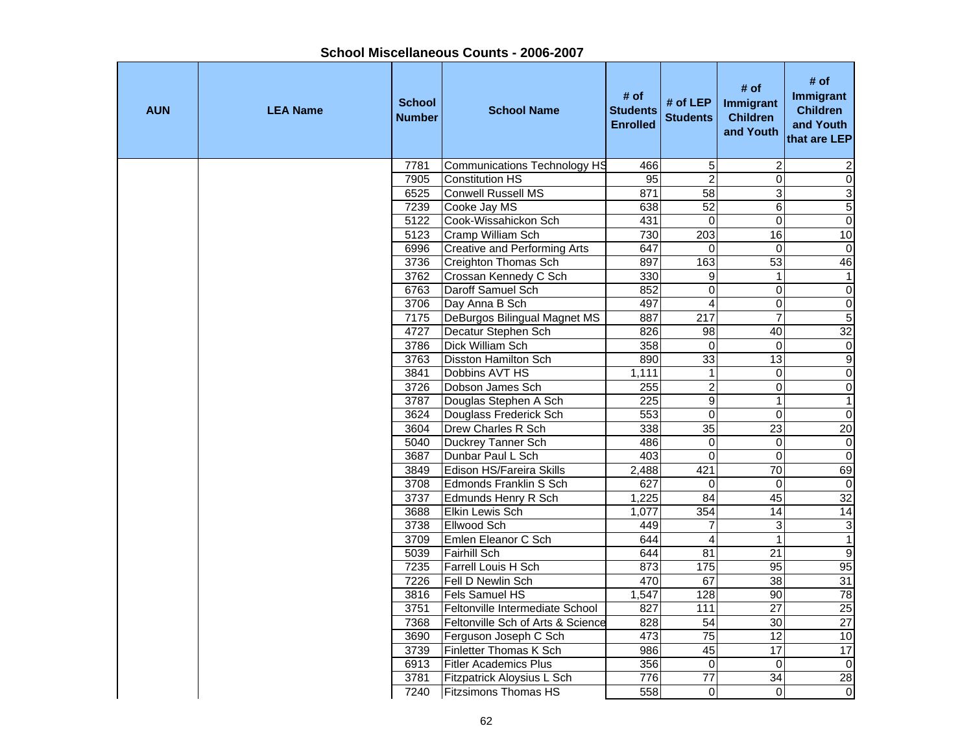| <b>AUN</b> | <b>LEA Name</b> | <b>School</b><br><b>Number</b> | <b>School Name</b>                  | # of<br><b>Students</b><br><b>Enrolled</b> | # of LEP<br><b>Students</b> | # of<br><b>Immigrant</b><br><b>Children</b><br>and Youth | # of<br><b>Immigrant</b><br><b>Children</b><br>and Youth<br>that are LEP |
|------------|-----------------|--------------------------------|-------------------------------------|--------------------------------------------|-----------------------------|----------------------------------------------------------|--------------------------------------------------------------------------|
|            |                 | 7781                           | <b>Communications Technology HS</b> | 466                                        | 5                           | $\overline{c}$                                           | 2                                                                        |
|            |                 | 7905                           | <b>Constitution HS</b>              | 95                                         | $\overline{2}$              | $\overline{0}$                                           | $\overline{0}$                                                           |
|            |                 | 6525                           | <b>Conwell Russell MS</b>           | 871                                        | $\overline{58}$             | 3                                                        | $\overline{3}$                                                           |
|            |                 | 7239                           | Cooke Jay MS                        | 638                                        | 52                          | $\overline{6}$                                           | 5                                                                        |
|            |                 | 5122                           | Cook-Wissahickon Sch                | 431                                        | $\Omega$                    | $\Omega$                                                 | $\overline{0}$                                                           |
|            |                 | 5123                           | Cramp William Sch                   | 730                                        | $\overline{203}$            | 16                                                       | 10                                                                       |
|            |                 | 6996                           | <b>Creative and Performing Arts</b> | 647                                        | $\mathbf 0$                 | $\Omega$                                                 | $\mathbf 0$                                                              |
|            |                 | 3736                           | Creighton Thomas Sch                | 897                                        | 163                         | 53                                                       | 46                                                                       |
|            |                 | 3762                           | Crossan Kennedy C Sch               | 330                                        | 9                           | $\mathbf 1$                                              | $\mathbf{1}$                                                             |
|            |                 | 6763                           | Daroff Samuel Sch                   | 852                                        | $\mathbf 0$                 | $\mathbf 0$                                              | $\mathbf 0$                                                              |
|            |                 | 3706                           | Day Anna B Sch                      | 497                                        | $\overline{4}$              | $\mathbf 0$                                              | $\boldsymbol{0}$                                                         |
|            |                 | 7175                           | DeBurgos Bilingual Magnet MS        | 887                                        | 217                         | $\overline{7}$                                           | $\overline{5}$                                                           |
|            |                 | 4727                           | Decatur Stephen Sch                 | 826                                        | $\overline{98}$             | 40                                                       | 32                                                                       |
|            |                 | 3786                           | <b>Dick William Sch</b>             | 358                                        | $\mathbf 0$                 | $\Omega$                                                 | $\overline{0}$                                                           |
|            |                 | 3763                           | <b>Disston Hamilton Sch</b>         | 890                                        | 33                          | 13                                                       | $\overline{9}$                                                           |
|            |                 | 3841                           | Dobbins AVT HS                      | 1,111                                      | $\mathbf 1$                 | $\mathbf 0$                                              | $\overline{0}$                                                           |
|            |                 | 3726                           | Dobson James Sch                    | 255                                        | $\overline{2}$              | $\overline{0}$                                           | $\overline{0}$                                                           |
|            |                 | 3787                           | Douglas Stephen A Sch               | 225                                        | $\overline{9}$              | $\mathbf{1}$                                             | $\overline{1}$                                                           |
|            |                 | 3624                           | Douglass Frederick Sch              | 553                                        | $\overline{0}$              | $\mathbf 0$                                              | $\overline{0}$                                                           |
|            |                 | 3604                           | Drew Charles R Sch                  | 338                                        | $\overline{35}$             | $\overline{23}$                                          | $\overline{20}$                                                          |
|            |                 | 5040                           | Duckrey Tanner Sch                  | 486                                        | $\mathbf 0$                 | $\overline{0}$                                           | $\overline{\mathsf{o}}$                                                  |
|            |                 | 3687                           | Dunbar Paul L Sch                   | 403                                        | $\mathbf 0$                 | $\overline{\mathsf{o}}$                                  | $\overline{\mathsf{O}}$                                                  |
|            |                 | 3849                           | Edison HS/Fareira Skills            | 2,488                                      | 421                         | $\overline{70}$                                          | 69                                                                       |
|            |                 | 3708                           | Edmonds Franklin S Sch              | 627                                        | $\Omega$                    | $\Omega$                                                 | $\mathbf 0$                                                              |
|            |                 | 3737                           | Edmunds Henry R Sch                 | 1,225                                      | 84                          | 45                                                       | 32                                                                       |
|            |                 | 3688                           | <b>Elkin Lewis Sch</b>              | 1,077                                      | 354                         | $\overline{14}$                                          | 14                                                                       |
|            |                 | 3738                           | Ellwood Sch                         | 449                                        | $\overline{7}$              | 3                                                        | $\overline{\omega}$                                                      |
|            |                 | 3709                           | Emlen Eleanor C Sch                 | 644                                        | $\overline{4}$              | $\mathbf{1}$                                             | $\overline{1}$                                                           |
|            |                 | 5039                           | <b>Fairhill Sch</b>                 | 644                                        | 81                          | 21                                                       | $\overline{9}$                                                           |
|            |                 | 7235                           | Farrell Louis H Sch                 | 873                                        | $\frac{175}{175}$           | 95                                                       | 95                                                                       |
|            |                 | 7226                           | Fell D Newlin Sch                   | 470                                        | 67                          | 38                                                       | 31                                                                       |
|            |                 | 3816                           | Fels Samuel HS                      | 1,547                                      | 128                         | $\overline{90}$                                          | 78                                                                       |
|            |                 | 3751                           | Feltonville Intermediate School     | 827                                        | $\frac{111}{11}$            | $\overline{27}$                                          | $\overline{25}$                                                          |
|            |                 | 7368                           | Feltonville Sch of Arts & Science   | 828                                        | $\overline{54}$             | 30                                                       | $\overline{27}$                                                          |
|            |                 | 3690                           | Ferguson Joseph C Sch               | 473                                        | $\overline{75}$             | 12                                                       | 10                                                                       |
|            |                 | 3739                           | Finletter Thomas K Sch              | 986                                        | 45                          | $\overline{17}$                                          | 17                                                                       |
|            |                 | 6913                           | <b>Fitler Academics Plus</b>        | 356                                        | $\Omega$                    | $\Omega$                                                 | $\mathbf 0$                                                              |
|            |                 | 3781                           | Fitzpatrick Aloysius L Sch          | 776                                        | $\overline{77}$             | $\overline{34}$                                          | $\overline{28}$                                                          |
|            |                 | 7240                           | <b>Fitzsimons Thomas HS</b>         | 558                                        | $\Omega$                    | $\Omega$                                                 | $\overline{0}$                                                           |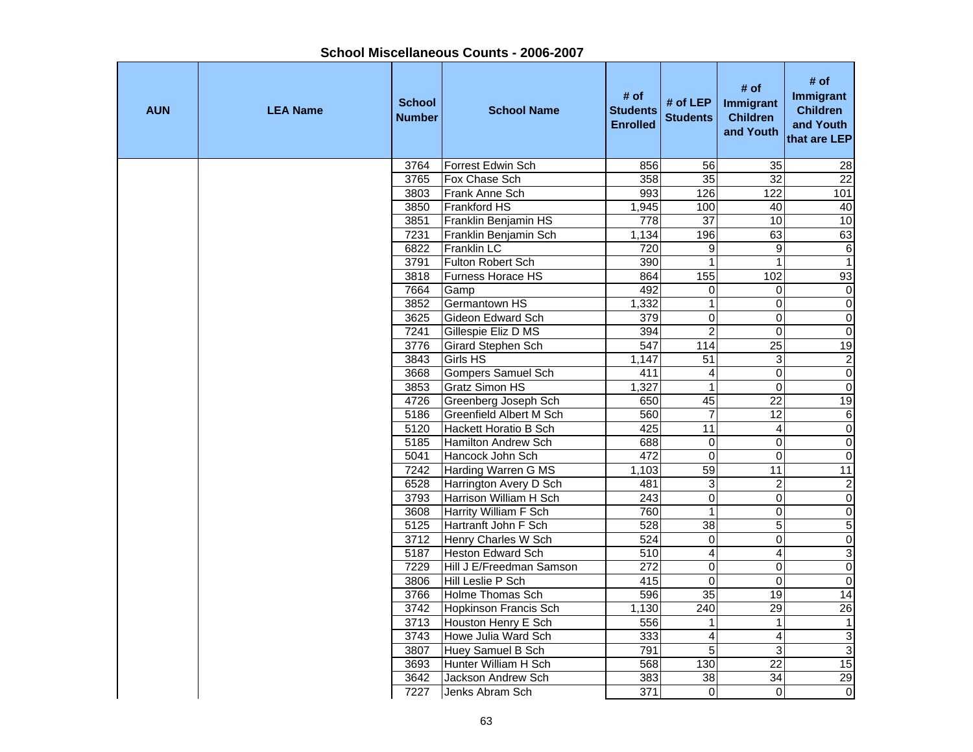| <b>AUN</b> | <b>LEA Name</b> | <b>School</b><br><b>Number</b> | <b>School Name</b>                           | # of<br><b>Students</b><br><b>Enrolled</b> | # of LEP<br><b>Students</b>      | # of<br>Immigrant<br><b>Children</b><br>and Youth | # of<br><b>Immigrant</b><br><b>Children</b><br>and Youth<br>that are LEP |
|------------|-----------------|--------------------------------|----------------------------------------------|--------------------------------------------|----------------------------------|---------------------------------------------------|--------------------------------------------------------------------------|
|            |                 | 3764                           | Forrest Edwin Sch                            | 856                                        | 56                               | 35                                                | $\overline{28}$                                                          |
|            |                 | 3765                           | Fox Chase Sch                                | 358                                        | 35                               | 32                                                | $\overline{22}$                                                          |
|            |                 | 3803                           | Frank Anne Sch                               | 993                                        | 126                              | 122                                               | 101                                                                      |
|            |                 | 3850                           | <b>Frankford HS</b>                          | 1,945                                      | 100                              | 40                                                | 40                                                                       |
|            |                 | 3851                           | Franklin Benjamin HS                         | $\overline{778}$                           | $\overline{37}$                  | 10                                                | 10                                                                       |
|            |                 | 7231                           | Franklin Benjamin Sch                        | 1,134                                      | 196                              | 63                                                | 63                                                                       |
|            |                 | 6822                           | <b>Franklin LC</b>                           | 720                                        | $\overline{9}$                   | 9                                                 | $\,6\,$                                                                  |
|            |                 | 3791                           | Fulton Robert Sch                            | 390                                        | $\mathbf{1}$                     | $\mathbf{1}$                                      | $\overline{1}$                                                           |
|            |                 | 3818                           | Furness Horace HS                            | 864                                        | $\frac{155}{155}$                | 102                                               | 93                                                                       |
|            |                 | 7664                           | Gamp                                         | 492                                        | $\mathbf 0$                      | $\Omega$                                          | $\mathbf 0$                                                              |
|            |                 | 3852                           | Germantown HS                                | 1,332                                      | $\mathbf{1}$                     | $\mathbf 0$                                       | $\boldsymbol{0}$                                                         |
|            |                 | 3625                           | Gideon Edward Sch                            | 379                                        | $\overline{0}$                   | $\mathbf 0$                                       | $\overline{0}$                                                           |
|            |                 | 7241                           | Gillespie Eliz D MS                          | 394                                        | $\overline{2}$                   | $\overline{0}$                                    | $\overline{0}$                                                           |
|            |                 | 3776                           | Girard Stephen Sch                           | 547                                        | 114                              | 25                                                | 19                                                                       |
|            |                 | 3843                           | Girls HS                                     | 1,147                                      | 51                               | 3                                                 | $\overline{2}$                                                           |
|            |                 | 3668                           | <b>Gompers Samuel Sch</b>                    | 411                                        | 4                                | $\mathbf 0$                                       | $\overline{0}$                                                           |
|            |                 | 3853                           | <b>Gratz Simon HS</b>                        | 1,327                                      | $\overline{1}$                   | $\overline{0}$                                    | $\overline{0}$                                                           |
|            |                 | 4726                           | Greenberg Joseph Sch                         | 650                                        | 45                               | 22                                                | 19                                                                       |
|            |                 | 5186                           | <b>Greenfield Albert M Sch</b>               | 560                                        | $\overline{7}$                   | $\overline{12}$                                   | $\,6\,$                                                                  |
|            |                 | 5120                           | Hackett Horatio B Sch                        | 425                                        | $\overline{11}$                  | $\overline{\mathbf{4}}$                           | $\overline{0}$                                                           |
|            |                 | 5185                           | <b>Hamilton Andrew Sch</b>                   | 688                                        | $\mathbf 0$                      | $\mathbf 0$                                       | $\overline{0}$                                                           |
|            |                 | 5041                           | Hancock John Sch                             | 472                                        | $\pmb{0}$                        | $\overline{\mathsf{o}}$                           | $\overline{0}$                                                           |
|            |                 | 7242                           | Harding Warren G MS                          | 1,103                                      | $\overline{59}$                  | 11                                                | $\overline{11}$                                                          |
|            |                 | 6528                           | Harrington Avery D Sch                       | 481                                        | 3                                | $\overline{c}$                                    | $\sqrt{2}$                                                               |
|            |                 | 3793                           | Harrison William H Sch                       | 243                                        | $\overline{0}$                   | $\overline{\mathsf{o}}$                           | $\overline{0}$                                                           |
|            |                 | 3608                           | <b>Harrity William F Sch</b>                 | 760                                        | $\overline{1}$                   | $\overline{0}$                                    | $\overline{\mathsf{o}}$                                                  |
|            |                 | 5125                           | Hartranft John F Sch                         | 528                                        | 38                               | $\overline{5}$                                    | 5                                                                        |
|            |                 | 3712                           | Henry Charles W Sch                          | 524                                        | $\overline{0}$                   | $\Omega$                                          | $\overline{0}$                                                           |
|            |                 | 5187<br>7229                   | <b>Heston Edward Sch</b>                     | 510<br>272                                 | $\overline{4}$                   | $\overline{4}$                                    | $\overline{3}$<br>$\overline{0}$                                         |
|            |                 |                                | Hill J E/Freedman Samson                     |                                            | $\overline{0}$<br>$\overline{0}$ | $\mathbf 0$<br>$\mathbf 0$                        |                                                                          |
|            |                 | 3806<br>3766                   | Hill Leslie P Sch<br><b>Holme Thomas Sch</b> | 415<br>596                                 | 35                               | $\overline{19}$                                   | $\overline{0}$<br>14                                                     |
|            |                 |                                |                                              |                                            | $\overline{240}$                 |                                                   |                                                                          |
|            |                 | 3742<br>3713                   | <b>Hopkinson Francis Sch</b>                 | 1,130<br>556                               | $\mathbf{1}$                     | $\overline{29}$<br>$\mathbf{1}$                   | $\overline{26}$<br>$\mathbf{1}$                                          |
|            |                 | 3743                           | Houston Henry E Sch<br>Howe Julia Ward Sch   | 333                                        | $\overline{\mathbf{4}}$          |                                                   | $\overline{\omega}$                                                      |
|            |                 | 3807                           | Huey Samuel B Sch                            | 791                                        | 5                                | 4<br>3                                            | $\overline{3}$                                                           |
|            |                 | 3693                           | Hunter William H Sch                         | 568                                        | 130                              | 22                                                | 15                                                                       |
|            |                 | 3642                           | Jackson Andrew Sch                           | $\overline{383}$                           | $\overline{38}$                  | 34                                                | 29                                                                       |
|            |                 | 7227                           | Jenks Abram Sch                              | $\overline{371}$                           | $\Omega$                         | $\Omega$                                          | $\overline{0}$                                                           |
|            |                 |                                |                                              |                                            |                                  |                                                   |                                                                          |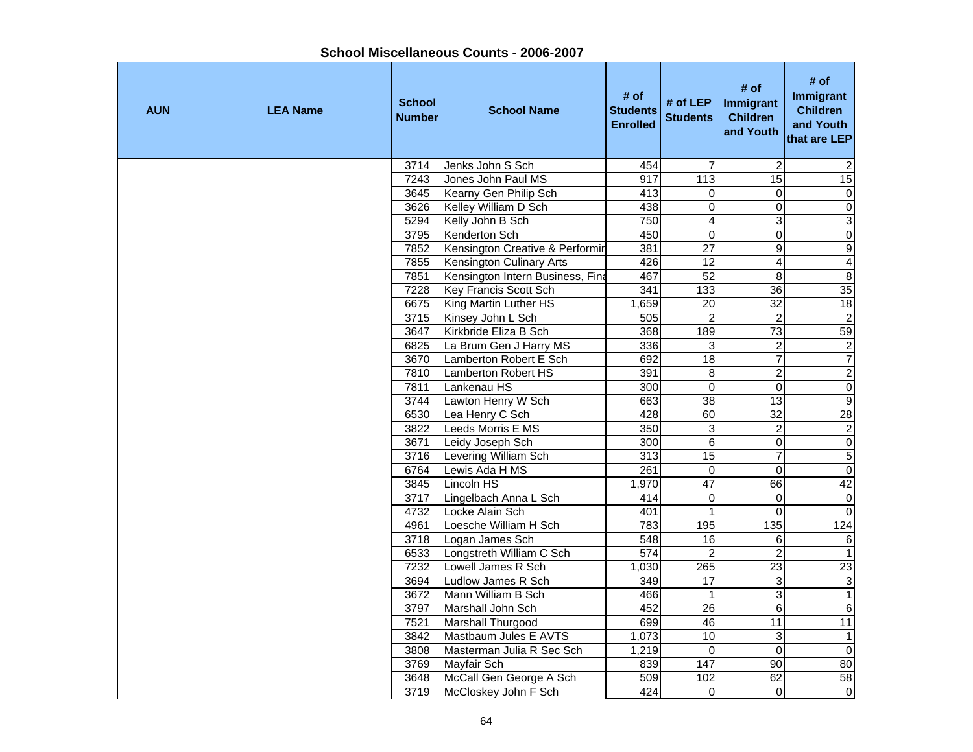| <b>AUN</b> | <b>LEA Name</b> | <b>School</b><br><b>Number</b> | <b>School Name</b>               | # of<br><b>Students</b><br><b>Enrolled</b> | # of LEP<br><b>Students</b> | # of<br><b>Immigrant</b><br><b>Children</b><br>and Youth | # of<br><b>Immigrant</b><br><b>Children</b><br>and Youth<br>that are LEP |
|------------|-----------------|--------------------------------|----------------------------------|--------------------------------------------|-----------------------------|----------------------------------------------------------|--------------------------------------------------------------------------|
|            |                 | 3714                           | Jenks John S Sch                 | 454                                        | $\overline{7}$              | $\overline{c}$                                           | 2                                                                        |
|            |                 | 7243                           | Jones John Paul MS               | 917                                        | 113                         | $\overline{15}$                                          | 15                                                                       |
|            |                 | 3645                           | Kearny Gen Philip Sch            | 413                                        | 0                           | 0                                                        | $\mathbf 0$                                                              |
|            |                 | 3626                           | Kelley William D Sch             | 438                                        | $\overline{0}$              | $\overline{0}$                                           | $\overline{0}$                                                           |
|            |                 | 5294                           | Kelly John B Sch                 | 750                                        | $\overline{\mathbf{4}}$     | 3                                                        | $\overline{3}$                                                           |
|            |                 | 3795                           | Kenderton Sch                    | 450                                        | $\pmb{0}$                   | $\overline{0}$                                           | $\overline{0}$                                                           |
|            |                 | 7852                           | Kensington Creative & Performir  | 381                                        | $\overline{27}$             | 9                                                        | $\overline{9}$                                                           |
|            |                 | 7855                           | Kensington Culinary Arts         | 426                                        | 12                          | $\overline{\mathbf{4}}$                                  | $\overline{4}$                                                           |
|            |                 | 7851                           | Kensington Intern Business, Fina | 467                                        | 52                          | $\boldsymbol{8}$                                         | $\bf 8$                                                                  |
|            |                 | 7228                           | Key Francis Scott Sch            | 341                                        | 133                         | 36                                                       | 35                                                                       |
|            |                 | 6675                           | King Martin Luther HS            | 1,659                                      | 20                          | 32                                                       | 18                                                                       |
|            |                 | 3715                           | Kinsey John L Sch                | 505                                        | $\overline{2}$              | $\overline{2}$                                           | $\overline{2}$                                                           |
|            |                 | 3647                           | Kirkbride Eliza B Sch            | 368                                        | 189                         | $\overline{73}$                                          | 59                                                                       |
|            |                 | 6825                           | La Brum Gen J Harry MS           | 336                                        | 3                           | $\overline{\mathbf{c}}$                                  | $\overline{2}$                                                           |
|            |                 | 3670                           | Lamberton Robert E Sch           | 692                                        | $\overline{18}$             | $\overline{7}$                                           | $\overline{7}$                                                           |
|            |                 | 7810                           | Lamberton Robert HS              | 391                                        | 8                           | $\overline{2}$                                           | $\overline{2}$                                                           |
|            |                 | 7811                           | Lankenau HS                      | 300                                        | $\overline{0}$              | $\overline{0}$                                           | $\overline{0}$                                                           |
|            |                 | 3744                           | Lawton Henry W Sch               | 663                                        | 38                          | 13                                                       | $\overline{9}$                                                           |
|            |                 | 6530                           | Lea Henry C Sch                  | 428                                        | 60                          | 32                                                       | 28                                                                       |
|            |                 | 3822                           | Leeds Morris E MS                | 350                                        | $\overline{3}$              | $\overline{2}$                                           | $\overline{2}$                                                           |
|            |                 | 3671                           | Leidy Joseph Sch                 | 300                                        | $6\phantom{1}6$             | $\mathbf 0$                                              | $\overline{\mathsf{o}}$                                                  |
|            |                 | 3716                           | Levering William Sch             | 313                                        | $\overline{15}$             | $\overline{7}$                                           | $\overline{5}$                                                           |
|            |                 | 6764                           | Lewis Ada H MS                   | 261                                        | $\Omega$                    | $\mathbf 0$                                              | $\pmb{0}$                                                                |
|            |                 | 3845                           | Lincoln HS                       | 1,970                                      | $\overline{47}$             | 66                                                       | 42                                                                       |
|            |                 | 3717                           | Lingelbach Anna L Sch            | 414                                        | 0                           | $\overline{0}$                                           | $\overline{\mathsf{o}}$                                                  |
|            |                 | 4732                           | Locke Alain Sch                  | 401                                        | $\overline{1}$              | $\overline{0}$                                           | $\overline{0}$                                                           |
|            |                 | 4961                           | Loesche William H Sch            | 783                                        | 195                         | 135                                                      | 124                                                                      |
|            |                 | 3718                           | Logan James Sch                  | 548                                        | 16                          | 6                                                        | $\overline{6}$                                                           |
|            |                 | 6533                           | Longstreth William C Sch         | 574                                        | $\overline{2}$              | $\overline{2}$                                           | $\mathbf{1}$                                                             |
|            |                 | 7232                           | Lowell James R Sch               | 1,030                                      | 265                         | 23                                                       | $\overline{23}$                                                          |
|            |                 | 3694                           | Ludlow James R Sch               | 349                                        | 17                          | $\overline{3}$                                           | $\overline{3}$                                                           |
|            |                 | 3672                           | Mann William B Sch               | 466                                        | $\mathbf{1}$                | 3                                                        | $\overline{1}$                                                           |
|            |                 | 3797                           | Marshall John Sch                | 452                                        | 26                          | 6                                                        | $\overline{6}$                                                           |
|            |                 | 7521                           | Marshall Thurgood                | 699                                        | 46                          | 11                                                       | $\overline{11}$                                                          |
|            |                 | 3842                           | Mastbaum Jules E AVTS            | 1,073                                      | 10                          | 3                                                        | $\mathbf{1}$                                                             |
|            |                 | 3808                           | Masterman Julia R Sec Sch        | 1,219                                      | $\pmb{0}$                   | $\Omega$                                                 | $\overline{\mathsf{O}}$                                                  |
|            |                 | 3769                           | Mayfair Sch                      | 839                                        | 147                         | $\overline{90}$                                          | 80                                                                       |
|            |                 | 3648                           | McCall Gen George A Sch          | 509                                        | 102                         | 62                                                       | 58                                                                       |
|            |                 | 3719                           | McCloskey John F Sch             | 424                                        | 0                           | $\Omega$                                                 | $\overline{0}$                                                           |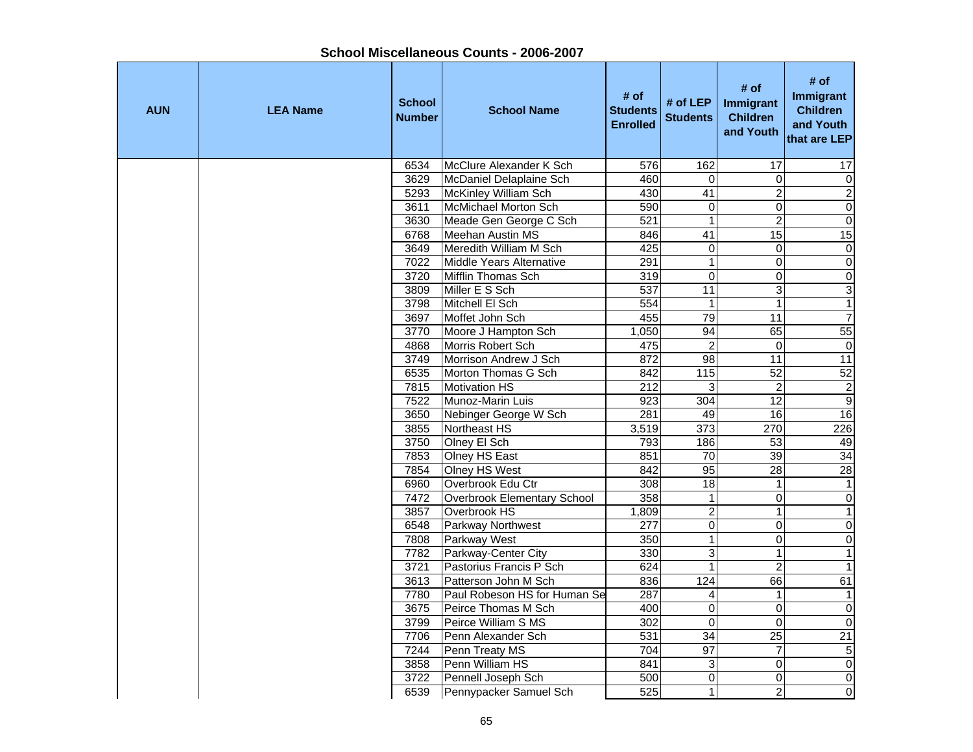| <b>AUN</b> | <b>LEA Name</b> | <b>School</b><br><b>Number</b> | <b>School Name</b>           | # of<br><b>Students</b><br><b>Enrolled</b> | # of LEP<br><b>Students</b> | # of<br>Immigrant<br><b>Children</b><br>and Youth | # of<br><b>Immigrant</b><br><b>Children</b><br>and Youth<br>that are LEP |
|------------|-----------------|--------------------------------|------------------------------|--------------------------------------------|-----------------------------|---------------------------------------------------|--------------------------------------------------------------------------|
|            |                 | 6534                           | McClure Alexander K Sch      | 576                                        | 162                         | 17                                                | 17                                                                       |
|            |                 | 3629                           | McDaniel Delaplaine Sch      | 460                                        | $\Omega$                    | $\mathbf 0$                                       | $\overline{\mathsf{o}}$                                                  |
|            |                 | 5293                           | McKinley William Sch         | 430                                        | $\overline{41}$             | $\overline{2}$                                    | $\overline{2}$                                                           |
|            |                 | 3611                           | McMichael Morton Sch         | 590                                        | $\mathbf 0$                 | $\overline{0}$                                    | $\overline{\mathsf{o}}$                                                  |
|            |                 | 3630                           | Meade Gen George C Sch       | 521                                        | $\mathbf{1}$                | $\overline{2}$                                    | $\overline{0}$                                                           |
|            |                 | 6768                           | <b>Meehan Austin MS</b>      | 846                                        | $\overline{41}$             | 15                                                | 15                                                                       |
|            |                 | 3649                           | Meredith William M Sch       | 425                                        | $\pmb{0}$                   | $\mathbf 0$                                       | $\overline{\mathsf{o}}$                                                  |
|            |                 | 7022                           | Middle Years Alternative     | 291                                        | $\mathbf{1}$                | $\mathbf 0$                                       | $\overline{\mathsf{o}}$                                                  |
|            |                 | 3720                           | Mifflin Thomas Sch           | 319                                        | $\mathsf 0$                 | $\mathbf 0$                                       | $\pmb{0}$                                                                |
|            |                 | 3809                           | Miller E S Sch               | 537                                        | 11                          | 3                                                 | $\ensuremath{\mathsf{3}}$                                                |
|            |                 | 3798                           | Mitchell El Sch              | 554                                        | $\mathbf{1}$                | $\mathbf{1}$                                      | $\mathbf{1}$                                                             |
|            |                 | 3697                           | Moffet John Sch              | 455                                        | 79                          | 11                                                | $\overline{7}$                                                           |
|            |                 | 3770                           | Moore J Hampton Sch          | 1,050                                      | 94                          | 65                                                | 55                                                                       |
|            |                 | 4868                           | Morris Robert Sch            | 475                                        | $\overline{2}$              | $\mathbf 0$                                       | $\mathbf 0$                                                              |
|            |                 | 3749                           | Morrison Andrew J Sch        | 872                                        | $\overline{98}$             | $\overline{11}$                                   | $\overline{11}$                                                          |
|            |                 | 6535                           | Morton Thomas G Sch          | 842                                        | $\frac{115}{115}$           | $\overline{52}$                                   | 52                                                                       |
|            |                 | 7815                           | <b>Motivation HS</b>         | $\overline{212}$                           | $\ensuremath{\mathsf{3}}$   | $\boldsymbol{2}$                                  | $\overline{c}$                                                           |
|            |                 | 7522                           | Munoz-Marin Luis             | 923                                        | 304                         | $\overline{12}$                                   | Θ                                                                        |
|            |                 | 3650                           | Nebinger George W Sch        | 281                                        | 49                          | 16                                                | 16                                                                       |
|            |                 | 3855                           | Northeast HS                 | 3,519                                      | 373                         | 270                                               | 226                                                                      |
|            |                 | 3750                           | Olney El Sch                 | 793                                        | 186                         | 53                                                | 49                                                                       |
|            |                 | 7853                           | Olney HS East                | 851                                        | 70                          | 39                                                | 34                                                                       |
|            |                 | 7854                           | Olney HS West                | 842                                        | 95                          | 28                                                | 28                                                                       |
|            |                 | 6960                           | Overbrook Edu Ctr            | 308                                        | 18                          | $\mathbf{1}$                                      | $\mathbf{1}$                                                             |
|            |                 | 7472                           | Overbrook Elementary School  | 358                                        | $\mathbf{1}$                | $\mathbf 0$                                       | $\overline{0}$                                                           |
|            |                 | 3857                           | Overbrook HS                 | 1,809                                      | $\overline{2}$              | $\mathbf{1}$                                      | $\mathbf{1}$                                                             |
|            |                 | 6548                           | Parkway Northwest            | 277                                        | 0                           | $\mathbf 0$                                       | $\overline{0}$                                                           |
|            |                 | 7808                           | Parkway West                 | 350                                        | $\mathbf{1}$                | $\Omega$                                          | $\pmb{0}$                                                                |
|            |                 | 7782                           | Parkway-Center City          | 330                                        | 3                           | $\mathbf{1}$                                      | $\mathbf{1}$                                                             |
|            |                 | 3721                           | Pastorius Francis P Sch      | 624                                        | $\mathbf{1}$                | $\overline{c}$                                    | $\mathbf{1}$                                                             |
|            |                 | 3613                           | Patterson John M Sch         | 836                                        | 124                         | 66                                                | 61                                                                       |
|            |                 | 7780                           | Paul Robeson HS for Human Se | 287                                        | 4                           | $\mathbf{1}$                                      | $\mathbf{1}$                                                             |
|            |                 | 3675                           | Peirce Thomas M Sch          | 400                                        | $\mathbf 0$                 | $\mathbf 0$                                       | $\overline{\mathsf{o}}$                                                  |
|            |                 | 3799                           | Peirce William S MS          | 302                                        | $\mathbf 0$                 | $\Omega$                                          | $\overline{\mathsf{o}}$                                                  |
|            |                 | 7706                           | Penn Alexander Sch           | 531                                        | 34                          | $\overline{25}$                                   | $\overline{21}$                                                          |
|            |                 | 7244                           | Penn Treaty MS               | 704                                        | $\overline{97}$             | $\overline{7}$                                    | ເກ                                                                       |
|            |                 | 3858                           | Penn William HS              | 841                                        | 3                           | $\Omega$                                          | $\overline{\mathsf{o}}$                                                  |
|            |                 | 3722                           | Pennell Joseph Sch           | 500                                        | 0                           | $\overline{0}$                                    | $\overline{\mathsf{o}}$                                                  |
|            |                 | 6539                           | Pennypacker Samuel Sch       | 525                                        | $\overline{1}$              | $\overline{2}$                                    | $\overline{\mathsf{o}}$                                                  |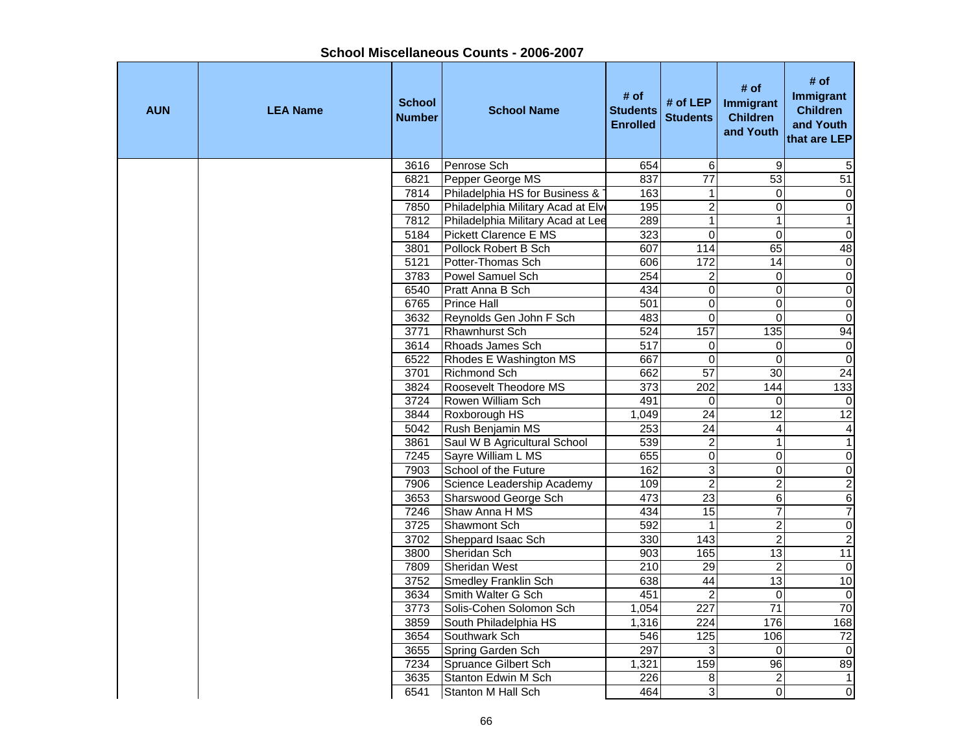| <b>AUN</b> | <b>LEA Name</b> | <b>School</b><br><b>Number</b> | <b>School Name</b>                     | # of<br><b>Students</b><br><b>Enrolled</b> | # of LEP<br><b>Students</b>        | # of<br>Immigrant<br><b>Children</b><br>and Youth | # of<br><b>Immigrant</b><br><b>Children</b><br>and Youth<br>that are LEP |
|------------|-----------------|--------------------------------|----------------------------------------|--------------------------------------------|------------------------------------|---------------------------------------------------|--------------------------------------------------------------------------|
|            |                 | 3616                           | Penrose Sch                            | 654                                        | 6                                  | 9                                                 | 5                                                                        |
|            |                 | 6821                           | Pepper George MS                       | 837                                        | $\overline{77}$                    | $\overline{53}$                                   | 51                                                                       |
|            |                 | 7814                           | Philadelphia HS for Business &         | 163                                        | 1                                  | $\overline{0}$                                    | $\mathbf 0$                                                              |
|            |                 | 7850                           | Philadelphia Military Acad at Elve     | 195                                        | $\overline{2}$                     | $\overline{0}$                                    | $\overline{0}$                                                           |
|            |                 | 7812                           | Philadelphia Military Acad at Lee      | 289                                        | $\overline{1}$                     | $\mathbf{1}$                                      | $\overline{1}$                                                           |
|            |                 | 5184                           | Pickett Clarence E MS                  | 323                                        | $\overline{0}$                     | $\overline{0}$                                    | $\overline{0}$                                                           |
|            |                 | 3801                           | Pollock Robert B Sch                   | 607                                        | 114                                | 65                                                | 48                                                                       |
|            |                 | 5121                           | Potter-Thomas Sch                      | 606                                        | 172                                | 14                                                | $\pmb{0}$                                                                |
|            |                 | 3783                           | Powel Samuel Sch                       | 254                                        | $\overline{c}$                     | 0                                                 | $\boldsymbol{0}$                                                         |
|            |                 | 6540                           | Pratt Anna B Sch                       | 434                                        | $\mathbf 0$                        | $\mathbf 0$                                       | $\mathsf{O}\xspace$                                                      |
|            |                 | 6765                           | <b>Prince Hall</b>                     | 501                                        | $\mathsf 0$                        | $\mathbf 0$                                       | $\overline{0}$                                                           |
|            |                 | 3632                           | Reynolds Gen John F Sch                | 483                                        | $\Omega$                           | $\Omega$                                          | $\overline{0}$                                                           |
|            |                 | 3771                           | Rhawnhurst Sch                         | 524                                        | 157                                | $\overline{135}$                                  | 94                                                                       |
|            |                 | 3614                           | Rhoads James Sch                       | $\overline{517}$                           | $\mathbf 0$                        | $\overline{0}$                                    | $\overline{0}$                                                           |
|            |                 | 6522                           | Rhodes E Washington MS                 | 667                                        | $\mathbf 0$                        | 0                                                 | $\overline{0}$                                                           |
|            |                 | 3701                           | Richmond Sch                           | 662                                        | 57                                 | 30                                                | 24                                                                       |
|            |                 | 3824                           | Roosevelt Theodore MS                  | $\overline{373}$                           | 202                                | 144                                               | 133                                                                      |
|            |                 | 3724                           | Rowen William Sch                      | 491                                        | $\Omega$                           | $\Omega$                                          | $\Omega$                                                                 |
|            |                 | 3844                           | Roxborough HS                          | 1,049                                      | 24                                 | $\overline{12}$                                   | $\overline{12}$                                                          |
|            |                 | 5042                           | Rush Benjamin MS                       | 253                                        | $\overline{24}$                    | $\overline{4}$                                    | 4                                                                        |
|            |                 | 3861                           | Saul W B Agricultural School           | 539                                        | $\boldsymbol{2}$                   | $\mathbf{1}$                                      | $\mathbf{1}$                                                             |
|            |                 | 7245                           | Sayre William L MS                     | 655                                        | $\pmb{0}$                          | $\mathbf 0$                                       | $\pmb{0}$                                                                |
|            |                 | 7903                           | School of the Future                   | 162                                        | 3                                  | $\Omega$                                          | $\overline{0}$                                                           |
|            |                 | 7906                           | Science Leadership Academy             | 109                                        | $\overline{2}$                     | $\overline{c}$                                    | $\overline{c}$                                                           |
|            |                 | 3653                           | Sharswood George Sch                   | 473                                        | 23                                 | 6                                                 | $\overline{6}$                                                           |
|            |                 | 7246                           | Shaw Anna H MS                         | 434                                        | $\overline{15}$                    | 7                                                 | $\overline{7}$                                                           |
|            |                 | 3725                           | Shawmont Sch                           | 592                                        | $\mathbf{1}$<br>143                | $\overline{2}$<br>$\overline{2}$                  | $\overline{0}$                                                           |
|            |                 | 3702<br>3800                   | Sheppard Isaac Sch                     | 330                                        |                                    |                                                   | $\overline{2}$<br>11                                                     |
|            |                 |                                | Sheridan Sch                           | 903<br>210                                 | 165<br>29                          | 13                                                |                                                                          |
|            |                 | 7809                           | Sheridan West                          |                                            | 44                                 | $\overline{2}$<br>13                              | $\mathbf 0$<br>10                                                        |
|            |                 | 3752                           | <b>Smedley Franklin Sch</b>            | 638<br>451                                 |                                    |                                                   | $\overline{0}$                                                           |
|            |                 | 3634                           | Smith Walter G Sch                     |                                            | $\overline{2}$<br>$\overline{227}$ | $\Omega$<br>71                                    | 70                                                                       |
|            |                 | 3773                           | Solis-Cohen Solomon Sch                | 1,054<br>1,316                             | $\overline{224}$                   | 176                                               | 168                                                                      |
|            |                 | 3859<br>3654                   | South Philadelphia HS<br>Southwark Sch | 546                                        | 125                                | 106                                               | $\overline{72}$                                                          |
|            |                 | 3655                           | Spring Garden Sch                      | 297                                        | 3                                  | $\Omega$                                          | $\mathbf 0$                                                              |
|            |                 | 7234                           | <b>Spruance Gilbert Sch</b>            | 1,321                                      | 159                                | $\overline{96}$                                   | 89                                                                       |
|            |                 | 3635                           | Stanton Edwin M Sch                    | 226                                        | 8                                  | $\overline{c}$                                    | $\mathbf{1}$                                                             |
|            |                 | 6541                           | Stanton M Hall Sch                     | 464                                        | $\overline{3}$                     | $\overline{0}$                                    | 0                                                                        |
|            |                 |                                |                                        |                                            |                                    |                                                   |                                                                          |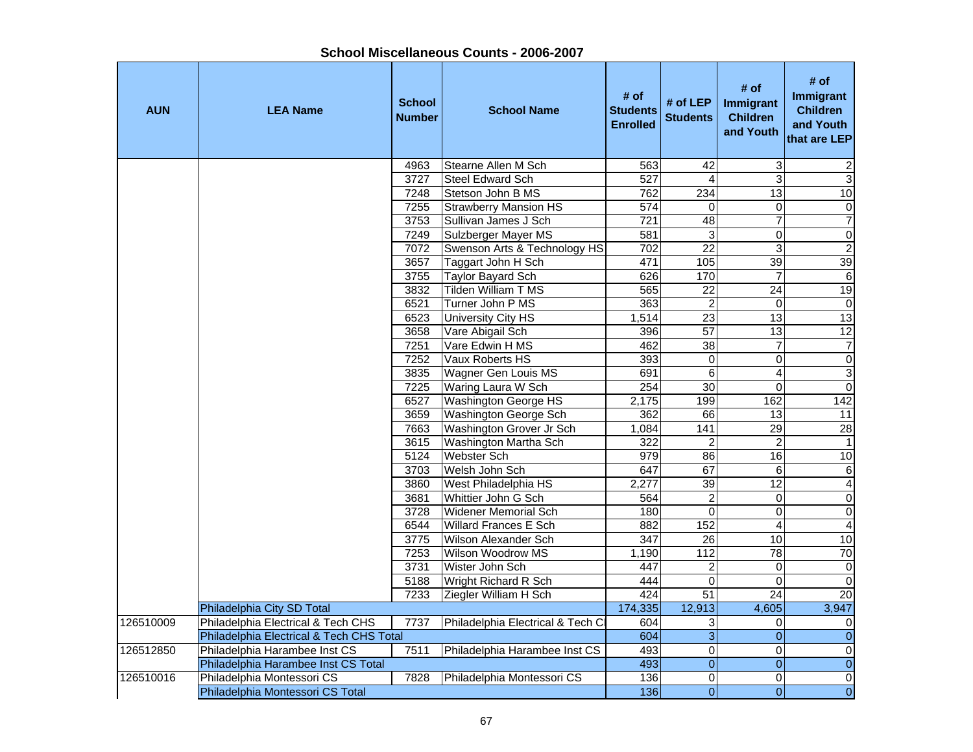|            |                                          |                                | SHOOL MISCCHAHGOUS OOUHLS - ZUUU-ZUU I |                                            |                             |                                                   |                                                                   |
|------------|------------------------------------------|--------------------------------|----------------------------------------|--------------------------------------------|-----------------------------|---------------------------------------------------|-------------------------------------------------------------------|
| <b>AUN</b> | <b>LEA Name</b>                          | <b>School</b><br><b>Number</b> | <b>School Name</b>                     | # of<br><b>Students</b><br><b>Enrolled</b> | # of LEP<br><b>Students</b> | # of<br>Immigrant<br><b>Children</b><br>and Youth | # of<br>Immigrant<br><b>Children</b><br>and Youth<br>that are LEP |
|            |                                          | 4963                           | Stearne Allen M Sch                    | 563                                        | 42                          | 3                                                 |                                                                   |
|            |                                          | 3727                           | <b>Steel Edward Sch</b>                | 527                                        | 4                           | 3                                                 | $\frac{2}{3}$                                                     |
|            |                                          | 7248                           | Stetson John B MS                      | 762                                        | 234                         | $\overline{13}$                                   | 10                                                                |
|            |                                          | 7255                           | <b>Strawberry Mansion HS</b>           | 574                                        | $\Omega$                    | 0                                                 |                                                                   |
|            |                                          | 3753                           | Sullivan James J Sch                   | $\overline{721}$                           | 48                          | $\overline{7}$                                    | $\frac{0}{7}$                                                     |
|            |                                          | 7249                           | Sulzberger Mayer MS                    | 581                                        | 3                           | $\mathbf 0$                                       | $\overline{0}$                                                    |
|            |                                          | 7072                           | Swenson Arts & Technology HS           | 702                                        | $\overline{22}$             | 3                                                 |                                                                   |
|            |                                          | 3657                           | Taggart John H Sch                     | 471                                        | 105                         | 39                                                | $\frac{2}{39}$                                                    |
|            |                                          | 3755                           | Taylor Bayard Sch                      | 626                                        | 170                         | $\overline{7}$                                    | $\overline{6}$                                                    |
|            |                                          | 3832                           | Tilden William T MS                    | 565                                        | $\overline{22}$             | 24                                                | 19                                                                |
|            |                                          | 6521                           | Turner John P MS                       | 363                                        | $\overline{c}$              | $\mathbf 0$                                       | $\overline{\mathbf{0}}$                                           |
|            |                                          | 6523                           | University City HS                     | 1,514                                      | $\overline{23}$             | $\overline{13}$                                   | 13                                                                |
|            |                                          | 3658                           | Vare Abigail Sch                       | 396                                        | 57                          | 13                                                | 12                                                                |
|            |                                          | 7251                           | Vare Edwin H MS                        | 462                                        | 38                          | $\overline{7}$                                    | $\overline{7}$                                                    |
|            |                                          | 7252                           | Vaux Roberts HS                        | 393                                        | 0                           | $\pmb{0}$                                         |                                                                   |
|            |                                          | 3835                           | Wagner Gen Louis MS                    | 691                                        | 6                           | 4                                                 | $\circ$ $\circ$                                                   |
|            |                                          | 7225                           | Waring Laura W Sch                     | 254                                        | $\overline{30}$             | $\mathbf 0$                                       |                                                                   |
|            |                                          | 6527                           | <b>Washington George HS</b>            | 2,175                                      | 199                         | 162                                               | 142                                                               |
|            |                                          | 3659                           | Washington George Sch                  | 362                                        | 66                          | 13                                                | $\overline{11}$                                                   |
|            |                                          | 7663                           | Washington Grover Jr Sch               | 1,084                                      | 141                         | 29                                                | 28                                                                |
|            |                                          | 3615                           | Washington Martha Sch                  | 322                                        | $\overline{2}$              | $\overline{c}$                                    | $\mathbf{1}$                                                      |
|            |                                          | 5124                           | <b>Webster Sch</b>                     | 979                                        | 86                          | 16                                                | 10                                                                |
|            |                                          | 3703                           | Welsh John Sch                         | 647                                        | 67                          | 6                                                 | $\overline{6}$                                                    |
|            |                                          | 3860                           | West Philadelphia HS                   | 2,277                                      | 39                          | 12                                                | $\overline{4}$                                                    |
|            |                                          | 3681                           | Whittier John G Sch                    | 564                                        | $\boldsymbol{2}$            | $\boldsymbol{0}$                                  | $\overline{0}$                                                    |
|            |                                          | 3728                           | <b>Widener Memorial Sch</b>            | 180                                        | $\overline{\mathbf{0}}$     | $\boldsymbol{0}$                                  | $\overline{0}$                                                    |
|            |                                          | 6544                           | <b>Willard Frances E Sch</b>           | 882                                        | 152                         | 4                                                 | $\overline{4}$                                                    |
|            |                                          | 3775                           | <b>Wilson Alexander Sch</b>            | $\overline{347}$                           | $\overline{26}$             | 10                                                | 10                                                                |
|            |                                          | 7253                           | Wilson Woodrow MS                      | 1,190                                      | $\frac{1}{12}$              | $\overline{78}$                                   | 70                                                                |
|            |                                          | 3731                           | Wister John Sch                        | 447                                        | 2                           | 0                                                 | $\overline{\mathbf{0}}$                                           |
|            |                                          | 5188                           | Wright Richard R Sch                   | 444                                        | 0                           | $\mathbf 0$                                       | $\overline{0}$                                                    |
|            |                                          | 7233                           | Ziegler William H Sch                  | 424                                        | $\overline{51}$             | $\overline{24}$                                   | 20                                                                |
|            | Philadelphia City SD Total               |                                |                                        | 174,335                                    | 12,913                      | 4,605                                             | 3,947                                                             |
| 126510009  | Philadelphia Electrical & Tech CHS       | 7737                           | Philadelphia Electrical & Tech Cl      | 604                                        | 3                           | 0                                                 | 0                                                                 |
|            | Philadelphia Electrical & Tech CHS Total |                                |                                        | 604                                        | 3                           | 0                                                 | $\pmb{0}$                                                         |
| 126512850  | Philadelphia Harambee Inst CS            | 7511                           | Philadelphia Harambee Inst CS          | 493                                        | 0                           | 0                                                 | $\overline{0}$                                                    |
|            | Philadelphia Harambee Inst CS Total      |                                |                                        | 493                                        | $\overline{0}$              | $\overline{0}$                                    | $\overline{0}$                                                    |
| 126510016  | Philadelphia Montessori CS               | 7828                           | Philadelphia Montessori CS             | 136                                        | $\mathbf 0$                 | 0                                                 | $\overline{0}$                                                    |
|            | Philadelphia Montessori CS Total         |                                |                                        | 136                                        | 0                           | 0                                                 | $\overline{0}$                                                    |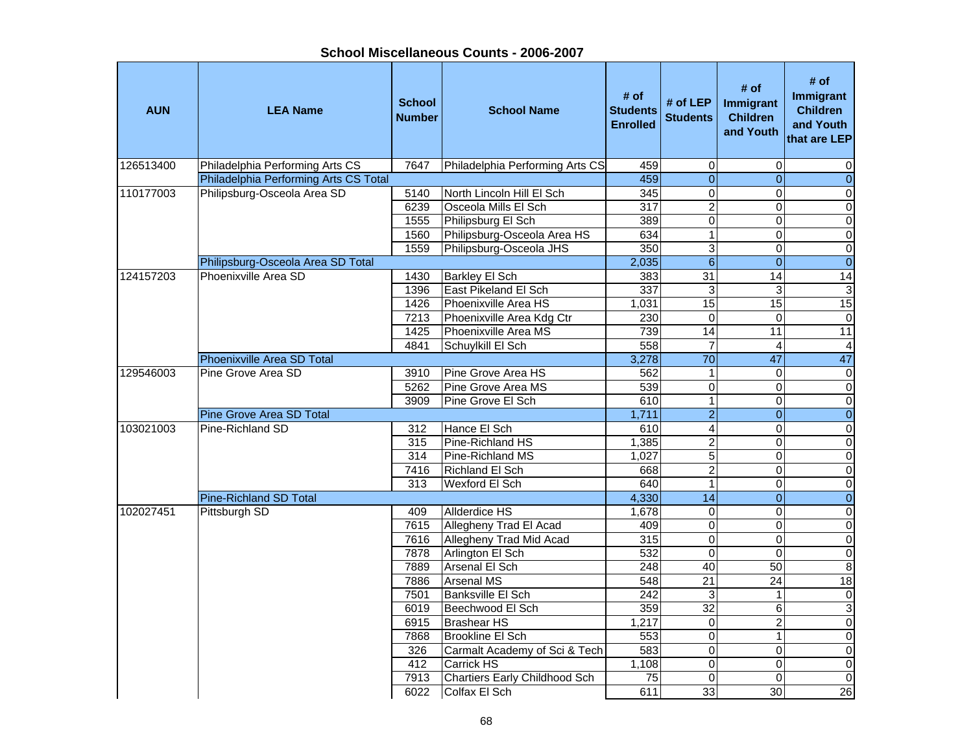**School Miscellaneous Counts - 2006-2007**

| <b>AUN</b> | <b>LEA Name</b>                       | <b>School</b><br><b>Number</b> | <b>School Name</b>                   | # of<br><b>Students</b><br><b>Enrolled</b> | # of LEP<br><b>Students</b> | # of<br>Immigrant<br><b>Children</b><br>and Youth | # of<br>Immigrant<br><b>Children</b><br>and Youth<br>that are LEP |
|------------|---------------------------------------|--------------------------------|--------------------------------------|--------------------------------------------|-----------------------------|---------------------------------------------------|-------------------------------------------------------------------|
| 126513400  | Philadelphia Performing Arts CS       | 7647                           | Philadelphia Performing Arts CS      | 459                                        | 0                           | $\mathbf 0$                                       | 0                                                                 |
|            | Philadelphia Performing Arts CS Total |                                |                                      | 459                                        | $\mathbf 0$                 | $\Omega$                                          | $\overline{0}$                                                    |
| 110177003  | Philipsburg-Osceola Area SD           | 5140                           | North Lincoln Hill El Sch            | 345                                        | $\overline{\mathsf{o}}$     | $\Omega$                                          | $\pmb{0}$                                                         |
|            |                                       | 6239                           | Osceola Mills El Sch                 | $\overline{317}$                           | $\overline{2}$              | 0                                                 | $\pmb{0}$                                                         |
|            |                                       | 1555                           | Philipsburg El Sch                   | 389                                        | $\overline{0}$              | $\Omega$                                          | $\pmb{0}$                                                         |
|            |                                       | 1560                           | Philipsburg-Osceola Area HS          | 634                                        | $\mathbf{1}$                | $\mathbf 0$                                       | $\overline{\mathbf{o}}$                                           |
|            |                                       | 1559                           | Philipsburg-Osceola JHS              | 350                                        | $\overline{3}$              | $\Omega$                                          | $\pmb{0}$                                                         |
|            | Philipsburg-Osceola Area SD Total     |                                |                                      | 2,035                                      | $\,$ 6 $\,$                 | $\Omega$                                          | $\overline{0}$                                                    |
| 124157203  | Phoenixville Area SD                  | 1430                           | <b>Barkley El Sch</b>                | 383                                        | 31                          | $\overline{14}$                                   | $\overline{14}$                                                   |
|            |                                       | 1396                           | East Pikeland El Sch                 | $\overline{337}$                           | 3                           | 3                                                 | $\sqrt{3}$                                                        |
|            |                                       | 1426                           | Phoenixville Area HS                 | 1,031                                      | 15                          | $\overline{15}$                                   | 15                                                                |
|            |                                       | 7213                           | Phoenixville Area Kdg Ctr            | 230                                        | $\overline{0}$              | $\mathbf 0$                                       | $\overline{0}$                                                    |
|            |                                       | 1425                           | Phoenixville Area MS                 | 739                                        | 14                          | 11                                                | 11                                                                |
|            |                                       | 4841                           | Schuylkill El Sch                    | 558                                        | $\overline{7}$              | $\overline{4}$                                    | $\overline{4}$                                                    |
|            | Phoenixville Area SD Total            |                                |                                      | 3,278                                      | $\overline{70}$             | 47                                                | 47                                                                |
| 129546003  | Pine Grove Area SD                    | 3910                           | Pine Grove Area HS                   | 562                                        | $\mathbf{1}$                | $\Omega$                                          | $\overline{0}$                                                    |
|            |                                       | 5262                           | Pine Grove Area MS                   | 539                                        | $\overline{0}$              | $\mathbf 0$                                       | $\overline{\mathsf{o}}$                                           |
|            |                                       | 3909                           | Pine Grove El Sch                    | 610                                        | $\overline{1}$              | 0                                                 | $\overline{\mathsf{o}}$                                           |
|            | <b>Pine Grove Area SD Total</b>       |                                |                                      | 1,711                                      | $\overline{2}$              | $\mathbf{0}$                                      | $\overline{0}$                                                    |
| 103021003  | Pine-Richland SD                      | 312                            | Hance El Sch                         | 610                                        | $\overline{4}$              | $\Omega$                                          | $\pmb{0}$                                                         |
|            |                                       | 315                            | Pine-Richland HS                     | 1,385                                      | $\overline{2}$              | $\mathbf 0$                                       | $\mathbf 0$                                                       |
|            |                                       | 314                            | Pine-Richland MS                     | 1,027                                      | 5                           | $\mathbf 0$                                       | $\pmb{0}$                                                         |
|            |                                       | 7416                           | Richland El Sch                      | 668                                        | $\overline{2}$              | $\Omega$                                          | $\mathbf 0$                                                       |
|            |                                       | 313                            | Wexford El Sch                       | 640                                        | $\mathbf{1}$                | $\mathbf 0$                                       | $\pmb{0}$                                                         |
|            | Pine-Richland SD Total                |                                |                                      | 4,330                                      | $\overline{14}$             | $\overline{0}$                                    | $\overline{0}$                                                    |
| 102027451  | Pittsburgh SD                         | 409                            | <b>Allderdice HS</b>                 | 1,678                                      | $\pmb{0}$                   | $\overline{0}$                                    | $\overline{\mathbf{o}}$                                           |
|            |                                       | 7615                           | Allegheny Trad El Acad               | 409                                        | $\overline{\mathsf{o}}$     | $\mathbf 0$                                       | $\overline{\mathsf{o}}$                                           |
|            |                                       | 7616                           | Allegheny Trad Mid Acad              | 315                                        | $\overline{0}$              | $\Omega$                                          | $\overline{0}$                                                    |
|            |                                       | 7878                           | Arlington El Sch                     | 532                                        | $\mathbf 0$                 | $\Omega$                                          | $\overline{\mathbf{o}}$                                           |
|            |                                       | 7889                           | Arsenal El Sch                       | 248                                        | 40                          | 50                                                | $\overline{\mathbf{8}}$                                           |
|            |                                       | 7886                           | <b>Arsenal MS</b>                    | 548                                        | $\overline{21}$             | $\overline{24}$                                   | 18                                                                |
|            |                                       | 7501                           | Banksville El Sch                    | 242                                        | 3                           | 1                                                 | $\overline{0}$                                                    |
|            |                                       | 6019                           | Beechwood El Sch                     | 359                                        | $\overline{32}$             | 6                                                 | $\overline{3}$                                                    |
|            |                                       | 6915                           | <b>Brashear HS</b>                   | 1,217                                      | $\mathbf 0$                 | $\overline{2}$                                    | $\pmb{0}$                                                         |
|            |                                       | 7868                           | <b>Brookline El Sch</b>              | $\overline{553}$                           | $\overline{0}$              | $\mathbf{1}$                                      | $\overline{\mathsf{o}}$                                           |
|            |                                       | 326                            | Carmalt Academy of Sci & Tech        | 583                                        | $\overline{0}$              | $\mathbf 0$                                       | $\overline{\mathbf{o}}$                                           |
|            |                                       | 412                            | <b>Carrick HS</b>                    | 1,108                                      | $\mathbf 0$                 | $\Omega$                                          | $\pmb{0}$                                                         |
|            |                                       | 7913                           | <b>Chartiers Early Childhood Sch</b> | $\overline{75}$                            | $\mathbf 0$                 | $\Omega$                                          | $\overline{0}$                                                    |
|            |                                       | 6022                           | Colfax El Sch                        | 611                                        | 33                          | 30                                                | 26                                                                |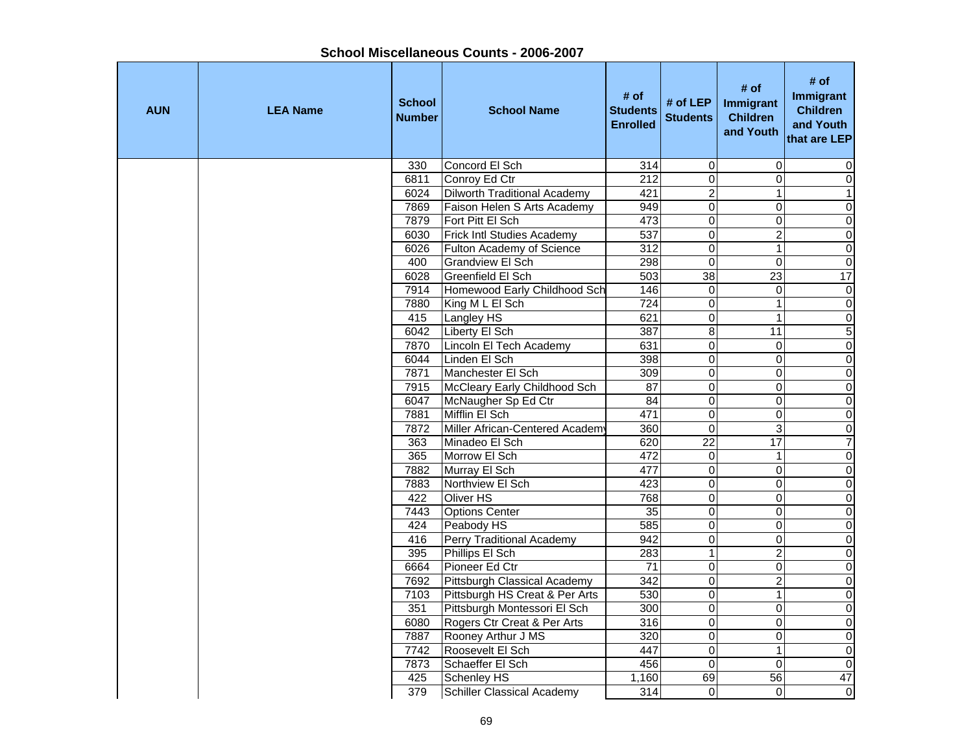| <b>AUN</b> | <b>LEA Name</b> | <b>School</b><br><b>Number</b> | <b>School Name</b>                  | # of<br><b>Students</b><br><b>Enrolled</b> | # of LEP<br><b>Students</b> | # of<br>Immigrant<br><b>Children</b><br>and Youth | # of<br><b>Immigrant</b><br><b>Children</b><br>and Youth<br>that are LEP |
|------------|-----------------|--------------------------------|-------------------------------------|--------------------------------------------|-----------------------------|---------------------------------------------------|--------------------------------------------------------------------------|
|            |                 | 330                            | Concord El Sch                      | 314                                        | $\mathbf 0$                 | $\mathbf 0$                                       | 0                                                                        |
|            |                 | 6811                           | Conroy Ed Ctr                       | 212                                        | $\overline{0}$              | $\mathbf 0$                                       | $\mathsf{O}\xspace$                                                      |
|            |                 | 6024                           | <b>Dilworth Traditional Academy</b> | 421                                        | $\overline{c}$              | $\mathbf{1}$                                      | $\mathbf{1}$                                                             |
|            |                 | 7869                           | Faison Helen S Arts Academy         | 949                                        | $\overline{0}$              | $\Omega$                                          | $\pmb{0}$                                                                |
|            |                 | 7879                           | Fort Pitt El Sch                    | 473                                        | $\mathsf 0$                 | 0                                                 | 0                                                                        |
|            |                 | 6030                           | Frick Intl Studies Academy          | 537                                        | $\mathsf 0$                 | $\overline{2}$                                    | $\overline{\mathsf{o}}$                                                  |
|            |                 | 6026                           | Fulton Academy of Science           | 312                                        | $\overline{0}$              | $\mathbf{1}$                                      | $\pmb{0}$                                                                |
|            |                 | 400                            | Grandview El Sch                    | 298                                        | $\mathbf 0$                 | $\mathbf 0$                                       | $\pmb{0}$                                                                |
|            |                 | 6028                           | Greenfield El Sch                   | 503                                        | 38                          | 23                                                | 17                                                                       |
|            |                 | 7914                           | Homewood Early Childhood Sch        | 146                                        | $\pmb{0}$                   | $\pmb{0}$                                         | $\boldsymbol{0}$                                                         |
|            |                 | 7880                           | King M L El Sch                     | 724                                        | $\mathsf 0$                 | $\mathbf{1}$                                      | $\pmb{0}$                                                                |
|            |                 | 415                            | Langley HS                          | 621                                        | $\overline{0}$              | $\mathbf{1}$                                      | $\overline{0}$                                                           |
|            |                 | 6042                           | Liberty El Sch                      | 387                                        | 8                           | 11                                                | $\overline{5}$                                                           |
|            |                 | 7870                           | Lincoln El Tech Academy             | 631                                        | $\pmb{0}$                   | $\mathbf 0$                                       | $\overline{0}$                                                           |
|            |                 | 6044                           | Linden El Sch                       | 398                                        | $\overline{0}$              | $\Omega$                                          | $\overline{0}$                                                           |
|            |                 | 7871                           | Manchester El Sch                   | 309                                        | $\overline{0}$              | $\Omega$                                          | $\pmb{0}$                                                                |
|            |                 | 7915                           | McCleary Early Childhood Sch        | 87                                         | $\overline{0}$              | $\mathbf 0$                                       | $\overline{0}$                                                           |
|            |                 | 6047                           | McNaugher Sp Ed Ctr                 | 84                                         | $\overline{0}$              | $\mathbf 0$                                       | $\overline{\mathsf{o}}$                                                  |
|            |                 | 7881                           | Mifflin El Sch                      | 471                                        | $\overline{0}$              | $\mathbf 0$                                       | $\overline{0}$                                                           |
|            |                 | 7872                           | Miller African-Centered Academy     | 360                                        | $\overline{0}$              | 3                                                 | $\mathbf 0$                                                              |
|            |                 | 363                            | Minadeo El Sch                      | 620                                        | $\overline{22}$             | $\overline{17}$                                   | $\overline{7}$                                                           |
|            |                 | 365                            | Morrow El Sch                       | 472                                        | 0                           | $\mathbf{1}$                                      | $\pmb{0}$                                                                |
|            |                 | 7882                           | Murray El Sch                       | 477                                        | $\overline{0}$              | $\mathbf 0$                                       | $\mathbf 0$                                                              |
|            |                 | 7883                           | Northview El Sch                    | 423                                        | $\mathsf 0$                 | $\mathbf 0$                                       | $\mathbf 0$                                                              |
|            |                 | 422                            | <b>Oliver HS</b>                    | 768                                        | $\pmb{0}$                   | $\overline{0}$                                    | $\overline{\mathsf{o}}$                                                  |
|            |                 | 7443                           | <b>Options Center</b>               | 35                                         | $\overline{0}$              | $\overline{0}$                                    | $\overline{0}$                                                           |
|            |                 | 424                            | Peabody HS                          | 585                                        | $\overline{0}$              | $\overline{0}$                                    | $\overline{0}$                                                           |
|            |                 | 416                            | <b>Perry Traditional Academy</b>    | 942                                        | $\overline{0}$              | $\pmb{0}$                                         | $\overline{0}$                                                           |
|            |                 | 395                            | Phillips El Sch                     | 283                                        | $\overline{1}$              | $\overline{2}$                                    | $\overline{0}$                                                           |
|            |                 | 6664                           | Pioneer Ed Ctr                      | $\overline{71}$                            | $\overline{0}$              | $\pmb{0}$                                         | $\overline{0}$                                                           |
|            |                 | 7692                           | Pittsburgh Classical Academy        | 342                                        | $\overline{0}$              | $\overline{2}$                                    | $\overline{0}$                                                           |
|            |                 | 7103                           | Pittsburgh HS Creat & Per Arts      | 530                                        | $\overline{0}$              | $\mathbf{1}$                                      | $\overline{\mathsf{o}}$                                                  |
|            |                 | 351                            | Pittsburgh Montessori El Sch        | 300                                        | $\mathsf 0$                 | $\mathbf 0$                                       | $\overline{0}$                                                           |
|            |                 | 6080                           | Rogers Ctr Creat & Per Arts         | 316                                        | $\overline{0}$              | $\mathbf 0$                                       | $\boldsymbol{0}$                                                         |
|            |                 | 7887                           | Rooney Arthur J MS                  | 320                                        | $\mathsf 0$                 | 0                                                 | $\pmb{0}$                                                                |
|            |                 | 7742                           | Roosevelt El Sch                    | 447                                        | $\mathsf 0$                 | $\mathbf{1}$                                      | $\overline{\mathsf{o}}$                                                  |
|            |                 | 7873                           | Schaeffer El Sch                    | 456                                        | $\Omega$                    | $\Omega$                                          | $\mathbf 0$                                                              |
|            |                 | 425                            | Schenley HS                         | 1,160                                      | 69                          | 56                                                | $\overline{47}$                                                          |
|            |                 | 379                            | <b>Schiller Classical Academy</b>   | 314                                        | 0                           | $\Omega$                                          | $\mathsf{O}\xspace$                                                      |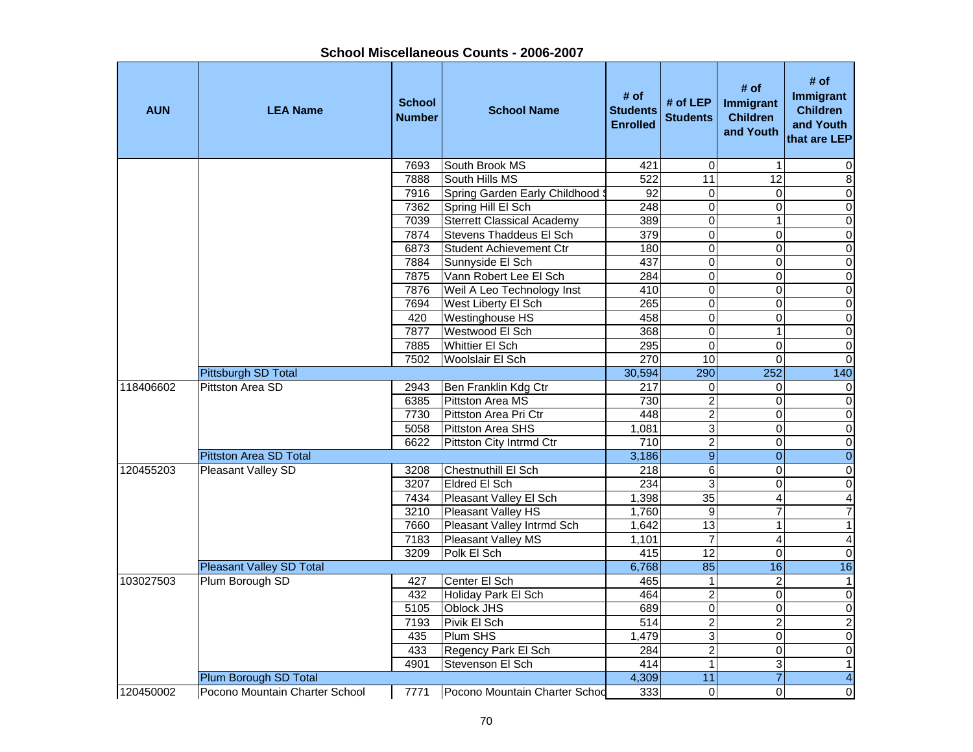| <b>AUN</b> | <b>LEA Name</b>                 | <b>School</b><br><b>Number</b> | <b>School Name</b>                | # of<br><b>Students</b><br><b>Enrolled</b> | # of LEP<br><b>Students</b> | # of<br>Immigrant<br><b>Children</b><br>and Youth | # of<br>Immigrant<br><b>Children</b><br>and Youth<br>that are LEP |
|------------|---------------------------------|--------------------------------|-----------------------------------|--------------------------------------------|-----------------------------|---------------------------------------------------|-------------------------------------------------------------------|
|            |                                 | 7693                           | South Brook MS                    | 421                                        | $\mathbf 0$                 | 1                                                 | 0                                                                 |
|            |                                 | 7888                           | South Hills MS                    | 522                                        | $\overline{11}$             | $\overline{12}$                                   | $\bf 8$                                                           |
|            |                                 | 7916                           | Spring Garden Early Childhood S   | 92                                         | 0                           | 0                                                 | $\overline{0}$                                                    |
|            |                                 | 7362                           | Spring Hill El Sch                | 248                                        | $\overline{0}$              | 0                                                 | $\overline{0}$                                                    |
|            |                                 | 7039                           | <b>Sterrett Classical Academy</b> | 389                                        | $\overline{0}$              | 1                                                 | $\overline{0}$                                                    |
|            |                                 | 7874                           | Stevens Thaddeus El Sch           | 379                                        | $\overline{0}$              | $\mathbf 0$                                       | $\overline{0}$                                                    |
|            |                                 | 6873                           | <b>Student Achievement Ctr</b>    | 180                                        | $\overline{0}$              | $\overline{0}$                                    | $\overline{0}$                                                    |
|            |                                 | 7884                           | Sunnyside El Sch                  | 437                                        | $\pmb{0}$                   | 0                                                 | $\overline{0}$                                                    |
|            |                                 | 7875                           | Vann Robert Lee El Sch            | 284                                        | $\mathsf 0$                 | $\Omega$                                          | $\mathbf 0$                                                       |
|            |                                 | 7876                           | Weil A Leo Technology Inst        | 410                                        | $\overline{0}$              | 0                                                 | $\overline{0}$                                                    |
|            |                                 | 7694                           | West Liberty El Sch               | 265                                        | $\mathbf 0$                 | 0                                                 | $\overline{0}$                                                    |
|            |                                 | 420                            | Westinghouse HS                   | 458                                        | $\overline{0}$              | 0                                                 | $\overline{0}$                                                    |
|            |                                 | 7877                           | Westwood El Sch                   | 368                                        | $\overline{0}$              | 1                                                 | $\overline{0}$                                                    |
|            |                                 | 7885                           | <b>Whittier El Sch</b>            | 295                                        | $\mathsf 0$                 | 0                                                 | $\overline{0}$                                                    |
|            |                                 | 7502                           | Woolslair El Sch                  | 270                                        | 10                          | $\Omega$                                          | $\overline{0}$                                                    |
|            | Pittsburgh SD Total             |                                |                                   | 30,594                                     | 290                         | 252                                               | 140                                                               |
| 118406602  | Pittston Area SD                | 2943                           | Ben Franklin Kdg Ctr              | 217                                        | $\pmb{0}$                   | 0                                                 | $\pmb{0}$                                                         |
|            |                                 | 6385                           | Pittston Area MS                  | 730                                        | $\overline{2}$              | 0                                                 | $\pmb{0}$                                                         |
|            |                                 | 7730                           | Pittston Area Pri Ctr             | 448                                        | $\overline{2}$              | 0                                                 | $\overline{0}$                                                    |
|            |                                 | 5058                           | Pittston Area SHS                 | 1,081                                      | 3                           | 0                                                 | $\mathbf 0$                                                       |
|            |                                 | 6622                           | Pittston City Intrmd Ctr          | 710                                        | $\boldsymbol{2}$            | $\pmb{0}$                                         | $\mathbf 0$                                                       |
|            | <b>Pittston Area SD Total</b>   |                                |                                   | 3,186                                      | $\boldsymbol{9}$            | $\mathbf 0$                                       | $\mathbf 0$                                                       |
| 120455203  | Pleasant Valley SD              | 3208                           | Chestnuthill El Sch               | 218                                        | 6                           | 0                                                 | $\mathbf 0$                                                       |
|            |                                 | 3207                           | Eldred El Sch                     | 234                                        | 3                           | 0                                                 | $\mathbf 0$                                                       |
|            |                                 | 7434                           | Pleasant Valley El Sch            | 1,398                                      | 35                          | 4                                                 | $\overline{4}$                                                    |
|            |                                 | 3210                           | Pleasant Valley HS                | 1,760                                      | $\overline{9}$              | 7                                                 | $\overline{7}$                                                    |
|            |                                 | 7660                           | Pleasant Valley Intrmd Sch        | 1,642                                      | $\overline{13}$             | 1                                                 | $\overline{1}$                                                    |
|            |                                 | 7183                           | Pleasant Valley MS                | 1,101                                      | $\overline{7}$              | 4                                                 | $\overline{\mathbf{4}}$                                           |
|            |                                 | 3209                           | Polk El Sch                       | 415                                        | $\overline{12}$             | 0                                                 | $\overline{0}$                                                    |
|            | <b>Pleasant Valley SD Total</b> |                                |                                   | 6,768                                      | 85                          | 16                                                | 16                                                                |
| 103027503  | Plum Borough SD                 | 427                            | Center El Sch                     | 465                                        | $\mathbf{1}$                | $\overline{\mathbf{c}}$                           | $\mathbf{1}$                                                      |
|            |                                 | 432                            | Holiday Park El Sch               | 464                                        | $\overline{2}$              | 0                                                 | $\overline{0}$                                                    |
|            |                                 | 5105                           | <b>Oblock JHS</b>                 | 689                                        | $\mathbf 0$                 | 0                                                 | $\overline{0}$                                                    |
|            |                                 | 7193                           | Pivik El Sch                      | 514                                        | $\overline{2}$              | $\overline{c}$                                    | $\frac{2}{0}$                                                     |
|            |                                 | 435                            | Plum SHS                          | 1,479                                      | 3                           | 0                                                 |                                                                   |
|            |                                 | 433                            | Regency Park El Sch               | 284                                        | $\overline{2}$              | $\mathbf 0$                                       | $\mathbf 0$                                                       |
|            |                                 | 4901                           | Stevenson El Sch                  | 414                                        | 1                           | 3                                                 | $\mathbf{1}$                                                      |
|            | Plum Borough SD Total           |                                |                                   | 4,309                                      | $\overline{11}$             | $\overline{7}$                                    | $\overline{4}$                                                    |
| 120450002  | Pocono Mountain Charter School  | 7771                           | Pocono Mountain Charter Schod     | 333                                        | 0                           | 0                                                 | 0                                                                 |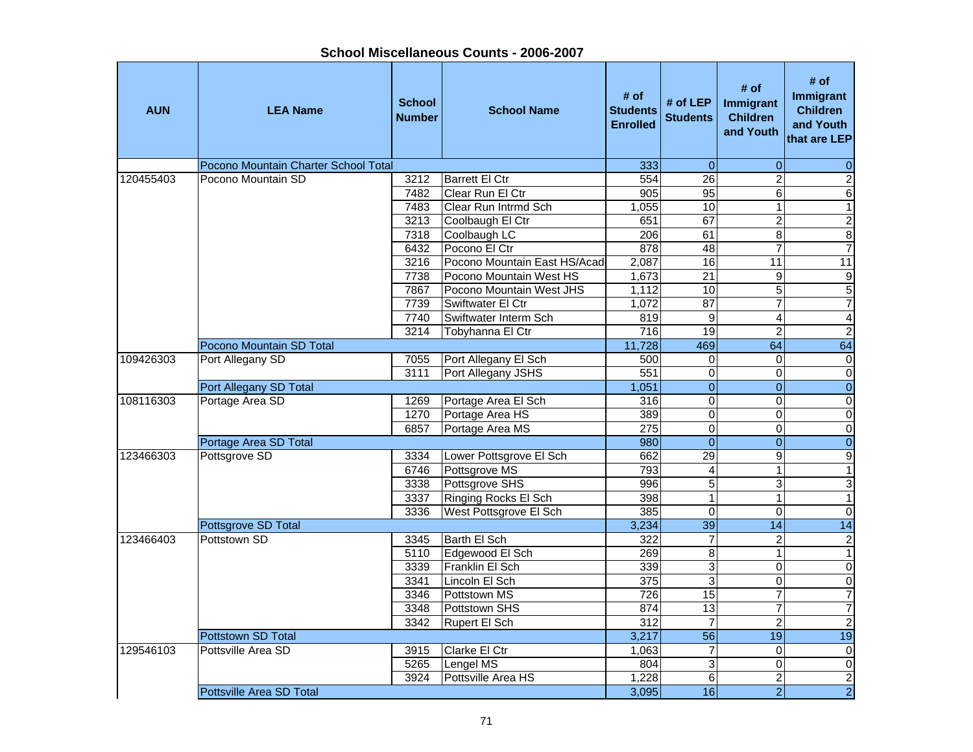| <b>AUN</b> | <b>LEA Name</b>                      | <b>School</b><br><b>Number</b> | <b>School Name</b>           | # of<br><b>Students</b><br><b>Enrolled</b> | # of LEP<br><b>Students</b> | # of<br>Immigrant<br><b>Children</b><br>and Youth | # of<br>Immigrant<br><b>Children</b><br>and Youth<br>that are LEP |
|------------|--------------------------------------|--------------------------------|------------------------------|--------------------------------------------|-----------------------------|---------------------------------------------------|-------------------------------------------------------------------|
|            | Pocono Mountain Charter School Total |                                |                              | 333                                        | $\overline{0}$              | $\pmb{0}$                                         | $\pmb{0}$                                                         |
| 120455403  | Pocono Mountain SD                   | 3212                           | <b>Barrett El Ctr</b>        | 554                                        | 26                          | $\overline{2}$                                    | $\overline{2}$                                                    |
|            |                                      | 7482                           | Clear Run El Ctr             | 905                                        | 95                          | 6                                                 | $\overline{6}$                                                    |
|            |                                      | 7483                           | Clear Run Intrmd Sch         | 1,055                                      | 10                          | $\mathbf{1}$                                      | $\overline{1}$                                                    |
|            |                                      | 3213                           | Coolbaugh El Ctr             | 651                                        | 67                          | $\overline{2}$                                    | $\overline{2}$                                                    |
|            |                                      | 7318                           | Coolbaugh LC                 | 206                                        | 61                          | $\overline{8}$                                    | $\bf 8$                                                           |
|            |                                      | 6432                           | Pocono El Ctr                | 878                                        | 48                          | $\overline{7}$                                    | $\overline{7}$                                                    |
|            |                                      | 3216                           | Pocono Mountain East HS/Acad | 2,087                                      | 16                          | $\overline{11}$                                   | 11                                                                |
|            |                                      | 7738                           | Pocono Mountain West HS      | 1,673                                      | $\overline{21}$             | 9                                                 | $\boldsymbol{9}$                                                  |
|            |                                      | 7867                           | Pocono Mountain West JHS     | 1,112                                      | $\overline{10}$             | 5                                                 | $\overline{5}$                                                    |
|            |                                      | 7739                           | Swiftwater El Ctr            | 1,072                                      | $\overline{87}$             | $\overline{7}$                                    | $\overline{7}$                                                    |
|            |                                      | 7740                           | Swiftwater Interm Sch        | 819                                        | 9                           | 4                                                 | $\overline{4}$                                                    |
|            |                                      | 3214                           | Tobyhanna El Ctr             | $\overline{716}$                           | 19                          | $\overline{2}$                                    | $\overline{2}$                                                    |
|            | Pocono Mountain SD Total             |                                |                              | 11,728                                     | 469                         | 64                                                | 64                                                                |
| 109426303  | Port Allegany SD                     | 7055                           | Port Allegany El Sch         | 500                                        | 0                           | 0                                                 | $\overline{0}$                                                    |
|            |                                      | 3111                           | Port Allegany JSHS           | 551                                        | 0                           | 0                                                 | $\overline{0}$                                                    |
|            | Port Allegany SD Total               |                                |                              | 1,051                                      | $\overline{0}$              | $\overline{0}$                                    | $\overline{0}$                                                    |
| 108116303  | Portage Area SD                      | 1269                           | Portage Area El Sch          | 316                                        | $\overline{\mathsf{o}}$     | $\mathbf 0$                                       | $\overline{0}$                                                    |
|            |                                      | 1270                           | Portage Area HS              | 389                                        | $\overline{0}$              | $\overline{0}$                                    | $\overline{0}$                                                    |
|            |                                      | 6857                           | Portage Area MS              | 275                                        | $\mathbf 0$                 | 0                                                 | $\overline{0}$                                                    |
|            | Portage Area SD Total                |                                |                              | 980                                        | $\overline{0}$              | $\overline{0}$                                    | $\overline{0}$                                                    |
| 123466303  | Pottsgrove SD                        | 3334                           | Lower Pottsgrove El Sch      | 662                                        | 29                          | $\overline{9}$                                    | $\overline{9}$                                                    |
|            |                                      | 6746                           | Pottsgrove MS                | 793                                        | $\overline{\mathbf{4}}$     | $\mathbf{1}$                                      | $\mathbf{1}$                                                      |
|            |                                      | 3338                           | Pottsgrove SHS               | 996                                        | $\overline{5}$              | $\overline{3}$                                    | $\overline{3}$                                                    |
|            |                                      | 3337                           | Ringing Rocks El Sch         | 398                                        | $\mathbf{1}$                | 1                                                 | $\overline{1}$                                                    |
|            |                                      | 3336                           | West Pottsgrove El Sch       | 385                                        | $\overline{0}$              | $\overline{0}$                                    | $\overline{0}$                                                    |
|            | Pottsgrove SD Total                  |                                |                              | 3,234                                      | 39                          | 14                                                | 14                                                                |
| 123466403  | Pottstown SD                         | 3345                           | Barth El Sch                 | 322                                        | $\overline{7}$              | $\overline{c}$                                    | $\overline{2}$                                                    |
|            |                                      | 5110                           | Edgewood El Sch              | 269                                        | $\overline{8}$              | $\mathbf{1}$                                      | $\overline{1}$                                                    |
|            |                                      | 3339                           | Franklin El Sch              | 339                                        | 3                           | 0                                                 | $\overline{0}$                                                    |
|            |                                      | 3341                           | Lincoln El Sch               | 375                                        | $\overline{3}$              | 0                                                 | $\overline{0}$                                                    |
|            |                                      | 3346                           | Pottstown MS                 | 726                                        | 15                          | $\overline{7}$                                    | $\overline{7}$                                                    |
|            |                                      | 3348                           | Pottstown SHS                | 874                                        | 13                          | $\overline{7}$                                    | $\overline{7}$                                                    |
|            |                                      | 3342                           | Rupert El Sch                | 312                                        | $\overline{7}$              | $\overline{2}$                                    | $\overline{2}$                                                    |
|            | Pottstown SD Total                   |                                |                              | 3,217                                      | $\overline{56}$             | $\overline{19}$                                   | 19                                                                |
| 129546103  | Pottsville Area SD                   | 3915                           | Clarke El Ctr                | 1,063                                      | $\overline{\mathcal{I}}$    | 0                                                 | $\pmb{0}$                                                         |
|            |                                      | 5265                           | Lengel MS                    | 804                                        | 3                           | $\overline{0}$                                    | $\overline{0}$                                                    |
|            |                                      | 3924                           | Pottsville Area HS           | 1,228                                      | $\overline{6}$              | $\overline{2}$                                    | $\overline{c}$                                                    |
|            | Pottsville Area SD Total             |                                |                              | 3,095                                      | 16                          | $\overline{2}$                                    | $\overline{2}$                                                    |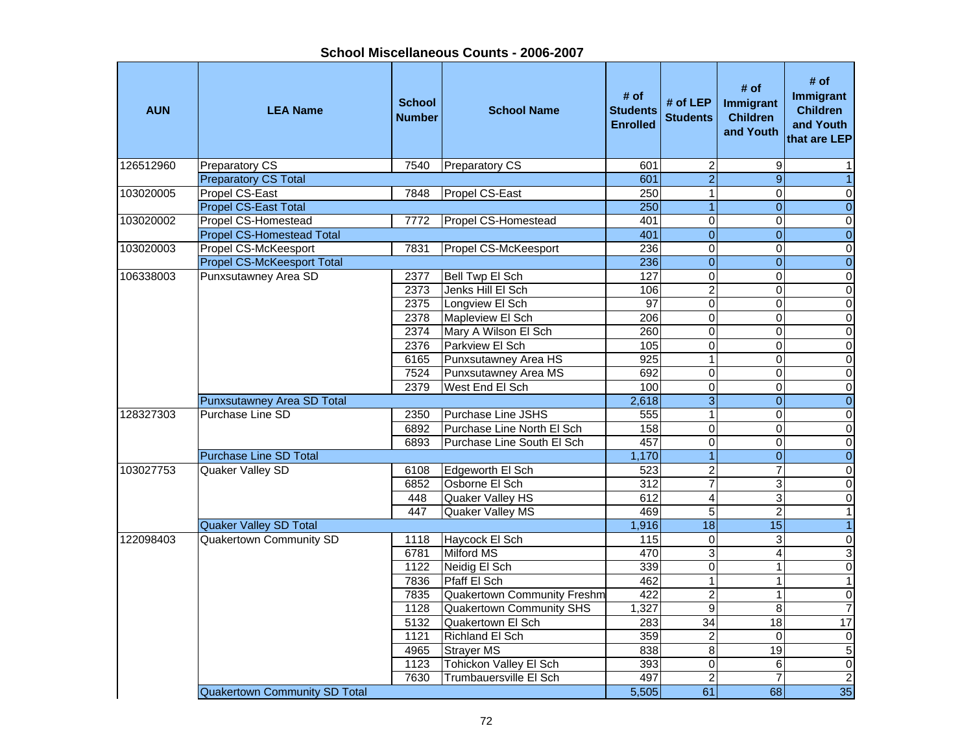**School Miscellaneous Counts - 2006-2007**

| <b>AUN</b> | <b>LEA Name</b>                                          | <b>School</b><br><b>Number</b> | <b>School Name</b>                          | # of<br><b>Students</b><br><b>Enrolled</b> | # of $LEP$<br><b>Students</b> | # of<br>Immigrant<br><b>Children</b><br>and Youth | # of<br>Immigrant<br><b>Children</b><br>and Youth<br>that are LEP |
|------------|----------------------------------------------------------|--------------------------------|---------------------------------------------|--------------------------------------------|-------------------------------|---------------------------------------------------|-------------------------------------------------------------------|
| 126512960  | <b>Preparatory CS</b>                                    | 7540                           | <b>Preparatory CS</b>                       | 601                                        | $\boldsymbol{2}$              | 9                                                 | 1                                                                 |
|            | <b>Preparatory CS Total</b>                              |                                |                                             | 601                                        | $\overline{2}$                | $\overline{9}$                                    | $\overline{1}$                                                    |
| 103020005  | Propel CS-East                                           | 7848                           | Propel CS-East                              | 250                                        | $\overline{1}$                | $\mathbf 0$                                       | $\pmb{0}$                                                         |
|            | <b>Propel CS-East Total</b>                              |                                |                                             | 250                                        | $\overline{1}$                | $\overline{0}$                                    | $\overline{0}$                                                    |
| 103020002  | Propel CS-Homestead                                      | 7772                           | Propel CS-Homestead                         | 401                                        | $\pmb{0}$<br>$\overline{0}$   | $\mathbf 0$<br>$\overline{0}$                     | $\pmb{0}$                                                         |
|            | <b>Propel CS-Homestead Total</b><br>Propel CS-McKeesport |                                |                                             | 401                                        | $\overline{0}$                | $\Omega$                                          | $\overline{0}$<br>$\overline{\mathsf{o}}$                         |
| 103020003  | <b>Propel CS-McKeesport Total</b>                        | 7831                           | Propel CS-McKeesport                        | 236<br>236                                 | $\overline{0}$                | $\pmb{0}$                                         | $\overline{0}$                                                    |
| 106338003  | Punxsutawney Area SD                                     | 2377                           | Bell Twp El Sch                             | $\overline{127}$                           | $\overline{0}$                | $\Omega$                                          | $\pmb{0}$                                                         |
|            |                                                          | 2373                           | Jenks Hill El Sch                           | 106                                        | $\overline{2}$                | $\Omega$                                          | $\pmb{0}$                                                         |
|            |                                                          | 2375                           | Longview El Sch                             | 97                                         | $\overline{0}$                | $\Omega$                                          | $\overline{0}$                                                    |
|            |                                                          | 2378                           | Mapleview El Sch                            | 206                                        | $\mathbf 0$                   | 0                                                 | $\pmb{0}$                                                         |
|            |                                                          | 2374                           | Mary A Wilson El Sch                        | 260                                        | $\overline{0}$                | $\Omega$                                          | $\overline{\mathsf{o}}$                                           |
|            |                                                          | 2376                           | Parkview El Sch                             | 105                                        | $\overline{0}$                | $\overline{0}$                                    | $\overline{\mathsf{o}}$                                           |
|            |                                                          | 6165                           | Punxsutawney Area HS                        | 925                                        | $\overline{1}$                | $\mathbf{0}$                                      | $\overline{\mathsf{o}}$                                           |
|            |                                                          | 7524                           | Punxsutawney Area MS                        | 692                                        | $\pmb{0}$                     | $\mathbf 0$                                       | $\overline{\mathsf{o}}$                                           |
|            |                                                          | 2379                           | West End El Sch                             | 100                                        | $\overline{0}$                | $\mathbf 0$                                       | $\overline{0}$                                                    |
|            | Punxsutawney Area SD Total                               |                                |                                             | 2,618                                      | $\overline{3}$                | $\overline{0}$                                    | $\overline{0}$                                                    |
| 128327303  | Purchase Line SD                                         | 2350                           | Purchase Line JSHS                          | 555                                        | $\overline{1}$                | $\overline{0}$                                    | $\overline{0}$                                                    |
|            |                                                          | 6892                           | Purchase Line North El Sch                  | 158                                        | $\overline{0}$                | $\Omega$                                          | $\overline{\mathsf{o}}$                                           |
|            |                                                          | 6893                           | Purchase Line South El Sch                  | 457                                        | $\mathsf 0$                   | $\Omega$                                          | $\pmb{0}$                                                         |
|            | <b>Purchase Line SD Total</b>                            |                                |                                             | 1,170                                      | $\overline{1}$                | $\overline{0}$                                    | $\overline{0}$                                                    |
| 103027753  | Quaker Valley SD                                         | 6108                           | Edgeworth El Sch                            | 523                                        | $\overline{c}$                | $\overline{7}$                                    | $\mathbf 0$                                                       |
|            |                                                          | 6852                           | Osborne El Sch                              | $\overline{312}$                           | $\overline{7}$                | 3                                                 | $\overline{\mathsf{o}}$                                           |
|            |                                                          | 448                            | Quaker Valley HS                            | 612                                        | 4                             | $\overline{3}$                                    | $\pmb{0}$                                                         |
|            |                                                          | 447                            | Quaker Valley MS                            | 469                                        | $\overline{5}$                | $\overline{2}$                                    | $\overline{1}$                                                    |
|            | <b>Quaker Valley SD Total</b>                            |                                |                                             | 1,916                                      | $\overline{18}$               | $\overline{15}$                                   | $\overline{1}$                                                    |
| 122098403  | <b>Quakertown Community SD</b>                           | 1118                           | Haycock El Sch                              | 115                                        | $\overline{0}$                | $\overline{3}$                                    | $\overline{\mathsf{o}}$                                           |
|            |                                                          | 6781                           | <b>Milford MS</b>                           | 470                                        | 3                             | 4                                                 | دن                                                                |
|            |                                                          | 1122                           | Neidig El Sch                               | 339                                        | $\overline{\mathsf{o}}$       | $\mathbf{1}$                                      | $\overline{0}$                                                    |
|            |                                                          | 7836                           | Pfaff El Sch                                | 462                                        | $\overline{1}$                | 1                                                 | $\overline{1}$                                                    |
|            |                                                          | 7835                           | <b>Quakertown Community Freshm</b>          | 422                                        | $\overline{2}$                | 1                                                 | $\overline{\mathsf{o}}$                                           |
|            |                                                          | 1128                           | Quakertown Community SHS                    | 1,327                                      | $\overline{9}$                | $\infty$                                          | $\overline{7}$                                                    |
|            |                                                          | 5132                           | Quakertown El Sch                           | 283                                        | $\overline{34}$               | 18                                                | 17                                                                |
|            |                                                          | 1121<br>4965                   | Richland El Sch                             | 359<br>838                                 | $\mathbf 2$<br>8              | $\Omega$<br>19                                    | $\pmb{0}$<br>$\sqrt{5}$                                           |
|            |                                                          | 1123                           | <b>Strayer MS</b><br>Tohickon Valley El Sch | 393                                        | $\mathbf 0$                   | 6                                                 | $\pmb{0}$                                                         |
|            |                                                          | 7630                           | <b>Trumbauersville El Sch</b>               | 497                                        | $\overline{c}$                | $\overline{7}$                                    | $\sqrt{2}$                                                        |
|            | <b>Quakertown Community SD Total</b>                     |                                |                                             | 5,505                                      | 61                            | 68                                                | 35                                                                |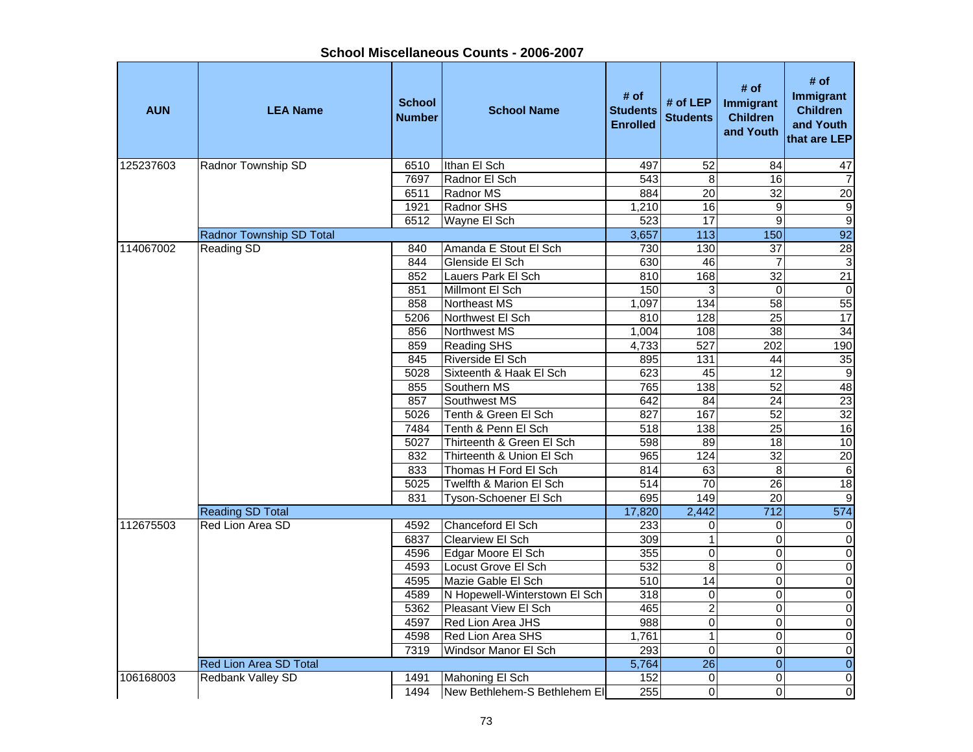| <b>AUN</b> | <b>LEA Name</b>               | <b>School</b><br><b>Number</b> | <b>School Name</b>            | # of<br><b>Students</b><br><b>Enrolled</b> | # of LEP<br><b>Students</b> | # of<br><b>Immigrant</b><br><b>Children</b><br>and Youth | # of<br>Immigrant<br><b>Children</b><br>and Youth<br>that are LEP |  |
|------------|-------------------------------|--------------------------------|-------------------------------|--------------------------------------------|-----------------------------|----------------------------------------------------------|-------------------------------------------------------------------|--|
| 125237603  | Radnor Township SD            | 6510                           | Ithan El Sch                  | 497                                        | 52                          | 84                                                       | 47                                                                |  |
|            |                               | 7697                           | Radnor El Sch                 | $\overline{543}$                           | $\overline{8}$              | $\overline{16}$                                          | $\overline{7}$                                                    |  |
|            |                               | 6511                           | Radnor MS                     | 884                                        | $\overline{20}$             | $\overline{32}$                                          | $\overline{20}$                                                   |  |
|            |                               | 1921                           | Radnor SHS                    | 1,210                                      | 16                          | 9                                                        | $\overline{9}$                                                    |  |
|            |                               | 6512                           | Wayne El Sch                  | 523                                        | $\overline{17}$             | $\overline{9}$                                           | $\overline{9}$                                                    |  |
|            | Radnor Township SD Total      |                                |                               | 3,657                                      | $\overline{113}$            | 150                                                      | 92                                                                |  |
| 114067002  | Reading SD                    | 840                            | Amanda E Stout El Sch         | 730                                        | 130                         | $\overline{37}$                                          | $\overline{28}$                                                   |  |
|            |                               | 844                            | Glenside El Sch               | 630                                        | 46                          | $\overline{7}$                                           | $\overline{3}$                                                    |  |
|            |                               | 852                            | Lauers Park El Sch            | 810                                        | 168                         | 32                                                       | $\overline{21}$                                                   |  |
|            |                               | 851                            | Millmont El Sch               | 150                                        | 3                           | $\mathbf 0$                                              | $\boldsymbol{0}$                                                  |  |
|            |                               | 858                            | Northeast MS                  | 1,097                                      | 134                         | 58                                                       | 55                                                                |  |
|            |                               | 5206                           | Northwest El Sch              | 810                                        | 128                         | 25                                                       | 17                                                                |  |
|            |                               | 856                            | Northwest MS                  | 1,004                                      | 108                         | $\overline{38}$                                          | 34                                                                |  |
|            |                               | 859                            | <b>Reading SHS</b>            | 4,733                                      | 527                         | 202                                                      | 190                                                               |  |
|            |                               | 845                            | Riverside El Sch              | 895                                        | $\overline{131}$            | 44                                                       |                                                                   |  |
|            |                               | 5028                           | Sixteenth & Haak El Sch       | 623                                        | 45                          | $\overline{12}$                                          | $\frac{35}{9}$                                                    |  |
|            |                               | 855                            | Southern MS                   | 765                                        | 138                         | 52                                                       | 48                                                                |  |
|            |                               | 857                            | Southwest MS                  | 642                                        | 84                          | $\overline{24}$                                          | 23                                                                |  |
|            |                               | 5026                           | Tenth & Green El Sch          | 827                                        | 167                         | $\overline{52}$                                          | 32                                                                |  |
|            |                               | 7484                           | Tenth & Penn El Sch           | 518                                        | 138                         | 25                                                       | 16                                                                |  |
|            |                               | 5027                           | Thirteenth & Green El Sch     | 598                                        | 89                          | 18                                                       | 10                                                                |  |
|            |                               | 832                            | Thirteenth & Union El Sch     | 965                                        | 124                         | 32                                                       | $\overline{20}$                                                   |  |
|            |                               | 833                            | Thomas H Ford El Sch          | 814                                        | 63                          | 8                                                        | $\overline{6}$                                                    |  |
|            |                               | 5025                           | Twelfth & Marion El Sch       | $\overline{5}14$                           | $\overline{70}$             | 26                                                       | 18                                                                |  |
|            |                               | 831                            | Tyson-Schoener El Sch         | 695                                        | 149                         | $\overline{20}$                                          | $\overline{9}$                                                    |  |
|            | <b>Reading SD Total</b>       |                                |                               | 17,820                                     | 2,442                       | $\overline{712}$                                         | 574                                                               |  |
| 112675503  | Red Lion Area SD              | 4592                           | Chanceford El Sch             | 233                                        | 0                           | 0                                                        | 0                                                                 |  |
|            |                               | 6837                           | <b>Clearview El Sch</b>       | 309                                        | $\mathbf{1}$                | 0                                                        | $\overline{0}$                                                    |  |
|            |                               | 4596                           | Edgar Moore El Sch            | 355                                        | $\mathsf 0$                 | 0                                                        | $\overline{0}$                                                    |  |
|            |                               | 4593                           | Locust Grove El Sch           | 532                                        | 8                           | 0                                                        | $\pmb{0}$                                                         |  |
|            |                               | 4595                           | Mazie Gable El Sch            | 510                                        | $\overline{14}$             | 0                                                        | $\overline{0}$                                                    |  |
|            |                               | 4589                           | N Hopewell-Winterstown El Sch | 318                                        | $\pmb{0}$                   | $\mathsf 0$                                              | $\overline{0}$                                                    |  |
|            |                               | 5362                           | Pleasant View El Sch          | 465                                        | $\overline{2}$              | $\mathbf{0}$                                             | $\overline{\mathbf{0}}$                                           |  |
|            |                               | 4597                           | Red Lion Area JHS             | 988                                        | $\mathsf 0$                 | $\mathbf 0$                                              | $\mathbf 0$                                                       |  |
|            |                               | 4598                           | Red Lion Area SHS             | 1,761                                      | $\mathbf{1}$                | $\mathsf 0$                                              | $\mathbf 0$                                                       |  |
|            |                               | 7319                           | Windsor Manor El Sch          | 293                                        | 0                           | $\mathsf 0$                                              | $\mathbf 0$                                                       |  |
|            | <b>Red Lion Area SD Total</b> |                                |                               | 5,764                                      | $\overline{26}$             | $\mathbf 0$                                              | $\overline{0}$                                                    |  |
| 106168003  | Redbank Valley SD             | 1491                           | Mahoning El Sch               | 152                                        | 0                           | 0                                                        | $\pmb{0}$                                                         |  |
|            |                               | 1494                           | New Bethlehem-S Bethlehem El  | 255                                        | 0                           | 0                                                        | $\overline{0}$                                                    |  |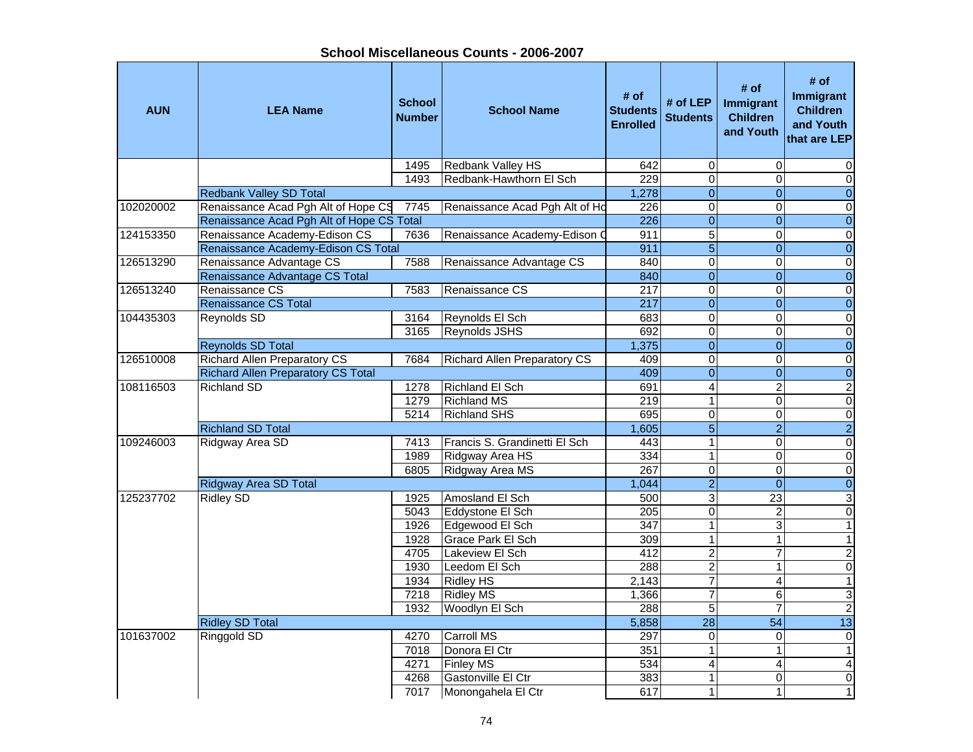**School Miscellaneous Counts - 2006-2007**

| <b>AUN</b> | <b>LEA Name</b>                           | <b>School</b><br><b>Number</b> | <b>School Name</b>                  | # of<br><b>Students</b><br><b>Enrolled</b> | # of LEP<br><b>Students</b>    | # of<br>Immigrant<br><b>Children</b><br>and Youth | # of<br><b>Immigrant</b><br><b>Children</b><br>and Youth<br>that are LEP |
|------------|-------------------------------------------|--------------------------------|-------------------------------------|--------------------------------------------|--------------------------------|---------------------------------------------------|--------------------------------------------------------------------------|
|            |                                           | 1495                           | Redbank Valley HS                   | 642                                        | $\mathbf 0$                    | $\Omega$                                          | 0                                                                        |
|            |                                           | 1493                           | Redbank-Hawthorn El Sch             | 229                                        | 0                              | $\Omega$                                          | $\Omega$                                                                 |
|            | <b>Redbank Valley SD Total</b>            |                                |                                     | 1,278                                      | $\overline{0}$                 | $\overline{0}$                                    | $\overline{0}$                                                           |
| 102020002  | Renaissance Acad Pgh Alt of Hope CS       | 7745                           | Renaissance Acad Pgh Alt of Ho      | 226                                        | $\overline{0}$                 | $\overline{0}$                                    | $\mathbf 0$                                                              |
|            | Renaissance Acad Pgh Alt of Hope CS Total |                                |                                     | 226                                        | $\overline{0}$                 | $\Omega$                                          | $\overline{0}$                                                           |
| 124153350  | Renaissance Academy-Edison CS             | 7636                           | Renaissance Academy-Edison C        | 911                                        | $\overline{5}$                 | $\Omega$                                          | $\overline{\mathsf{o}}$                                                  |
|            | Renaissance Academy-Edison CS Total       |                                |                                     | 911                                        | $\overline{5}$                 | $\Omega$                                          | $\overline{0}$                                                           |
| 126513290  | Renaissance Advantage CS                  | 7588                           | Renaissance Advantage CS            | 840                                        | $\mathbf 0$                    | $\mathbf 0$                                       | $\pmb{0}$                                                                |
|            | Renaissance Advantage CS Total            |                                |                                     | 840                                        | $\overline{0}$                 | $\overline{0}$                                    | $\overline{0}$                                                           |
| 126513240  | Renaissance CS                            | 7583                           | Renaissance CS                      | 217                                        | $\mathbf 0$                    | 0                                                 | $\pmb{0}$                                                                |
|            | <b>Renaissance CS Total</b>               |                                |                                     | 217                                        | $\overline{0}$                 | $\overline{0}$                                    | $\boldsymbol{0}$                                                         |
| 104435303  | Reynolds SD                               | 3164                           | Reynolds El Sch                     | 683                                        | $\overline{\mathsf{o}}$        | 0                                                 | $\overline{\mathsf{o}}$                                                  |
|            |                                           | 3165                           | <b>Reynolds JSHS</b>                | 692                                        | $\pmb{0}$                      | $\mathbf 0$                                       | $\overline{\mathsf{o}}$                                                  |
|            | <b>Reynolds SD Total</b>                  |                                |                                     | 1,375                                      | $\overline{0}$                 | $\overline{0}$                                    | $\overline{0}$                                                           |
| 126510008  | <b>Richard Allen Preparatory CS</b>       | 7684                           | <b>Richard Allen Preparatory CS</b> | 409                                        | $\overline{\mathsf{o}}$        | $\Omega$                                          | $\overline{\mathsf{o}}$                                                  |
|            | <b>Richard Allen Preparatory CS Total</b> |                                |                                     | 409                                        | $\mathbf{0}$                   | $\overline{0}$                                    | $\overline{0}$                                                           |
| 108116503  | <b>Richland SD</b>                        | 1278                           | <b>Richland El Sch</b>              | 691                                        | $\overline{\mathbf{4}}$        | $\overline{2}$                                    | $\overline{2}$                                                           |
|            |                                           | 1279                           | <b>Richland MS</b>                  | 219                                        | $\mathbf{1}$                   | $\Omega$                                          | $\overline{0}$                                                           |
|            |                                           | 5214                           | <b>Richland SHS</b>                 | 695                                        | $\pmb{0}$                      | $\mathbf 0$                                       | $\overline{0}$                                                           |
|            | <b>Richland SD Total</b>                  |                                |                                     | 1,605                                      | $\overline{5}$                 | $\overline{2}$                                    | $\overline{2}$                                                           |
| 109246003  | Ridgway Area SD                           | 7413                           | Francis S. Grandinetti El Sch       | 443                                        | $\mathbf{1}$                   | $\Omega$                                          | $\pmb{0}$                                                                |
|            |                                           | 1989                           | Ridgway Area HS                     | 334                                        | $\overline{1}$                 | $\overline{0}$                                    | $\overline{0}$                                                           |
|            |                                           | 6805                           | Ridgway Area MS                     | $\overline{267}$                           | $\overline{0}$                 | $\overline{0}$                                    | $\pmb{0}$                                                                |
|            | <b>Ridgway Area SD Total</b>              |                                |                                     | 1,044                                      | $\overline{2}$                 | $\mathbf{0}$                                      | $\overline{0}$                                                           |
| 125237702  | <b>Ridley SD</b>                          | 1925                           | Amosland El Sch                     | 500                                        | 3                              | $\overline{23}$                                   | $\overline{3}$                                                           |
|            |                                           | 5043                           | Eddystone El Sch                    | $\overline{205}$                           | $\overline{\mathsf{o}}$        | $\overline{c}$                                    | $\pmb{0}$                                                                |
|            |                                           | 1926                           | Edgewood El Sch                     | $\overline{347}$                           | $\mathbf{1}$                   | 3                                                 | $\overline{1}$                                                           |
|            |                                           | 1928                           | <b>Grace Park El Sch</b>            | 309                                        | $\overline{1}$                 | $\mathbf{1}$                                      | $\overline{1}$                                                           |
|            |                                           | 4705                           | Lakeview El Sch                     | 412                                        | $\overline{2}$                 | $\overline{7}$                                    | $\overline{2}$                                                           |
|            |                                           | 1930                           | Leedom El Sch                       | 288                                        | $\overline{2}$                 | $\mathbf{1}$                                      | $\overline{\mathsf{o}}$                                                  |
|            |                                           | 1934                           | <b>Ridley HS</b>                    | 2,143                                      | $\overline{7}$                 | $\overline{4}$                                    | $\overline{1}$                                                           |
|            |                                           | 7218                           | <b>Ridley MS</b>                    | 1,366                                      | $\overline{7}$                 | 6                                                 | دن                                                                       |
|            |                                           | 1932                           | Woodlyn El Sch                      | 288                                        | $\overline{5}$                 | $\overline{7}$                                    | $\sqrt{2}$                                                               |
|            | <b>Ridley SD Total</b>                    |                                |                                     | 5,858                                      | $\overline{28}$                | 54                                                | $\overline{13}$                                                          |
| 101637002  | Ringgold SD                               | 4270                           | <b>Carroll MS</b>                   | 297                                        | $\mathbf 0$                    | $\mathbf{0}$                                      | $\boldsymbol{0}$                                                         |
|            |                                           | 7018<br>4271                   | Donora El Ctr<br><b>Finley MS</b>   | 351                                        | $\mathbf{1}$<br>$\overline{4}$ | $\mathbf{1}$                                      | $\mathbf{1}$                                                             |
|            |                                           |                                |                                     | 534                                        |                                | 4                                                 | $\overline{a}$                                                           |
|            |                                           | 4268                           | Gastonville El Ctr                  | 383                                        | $\mathbf{1}$<br>$\overline{1}$ | 0<br>1                                            | $\mathbf 0$<br>$\overline{1}$                                            |
|            |                                           | 7017                           | Monongahela El Ctr                  | 617                                        |                                |                                                   |                                                                          |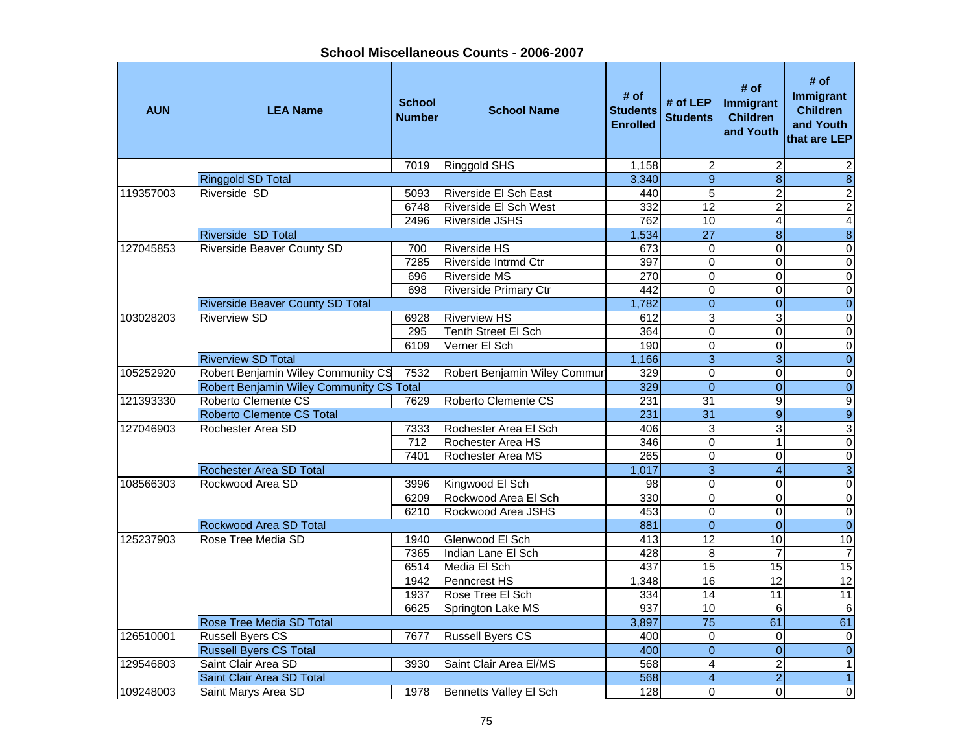Ť.

| <b>AUN</b> | <b>LEA Name</b>                          | <b>School</b><br><b>Number</b> | <b>School Name</b>           | # of<br><b>Students</b><br><b>Enrolled</b> | # of $LEP$<br><b>Students</b> | # of<br>Immigrant<br><b>Children</b><br>and Youth | # of<br><b>Immigrant</b><br><b>Children</b><br>and Youth<br>that are LEP |
|------------|------------------------------------------|--------------------------------|------------------------------|--------------------------------------------|-------------------------------|---------------------------------------------------|--------------------------------------------------------------------------|
|            |                                          | 7019                           | Ringgold SHS                 | 1,158                                      | $\overline{c}$                | $\overline{c}$                                    | $\overline{2}$                                                           |
|            | <b>Ringgold SD Total</b>                 |                                |                              | 3,340                                      | $\overline{9}$                | $\overline{8}$                                    | $\infty$                                                                 |
| 119357003  | Riverside SD                             | 5093                           | Riverside El Sch East        | 440                                        | $\overline{5}$                | $\overline{2}$                                    | $\overline{2}$                                                           |
|            |                                          | 6748                           | <b>Riverside El Sch West</b> | 332                                        | 12                            | $\overline{2}$                                    | $\overline{2}$                                                           |
|            |                                          | 2496                           | <b>Riverside JSHS</b>        | 762                                        | 10                            | 4                                                 | 4                                                                        |
|            | Riverside SD Total                       |                                |                              | 1,534                                      | $\overline{27}$               | $\overline{8}$                                    | $\overline{8}$                                                           |
| 127045853  | <b>Riverside Beaver County SD</b>        | 700                            | <b>Riverside HS</b>          | 673                                        | $\boldsymbol{0}$              | 0                                                 | $\pmb{0}$                                                                |
|            |                                          | 7285                           | Riverside Intrmd Ctr         | 397                                        | $\mathbf 0$                   | $\mathbf 0$                                       | $\pmb{0}$                                                                |
|            |                                          | 696                            | <b>Riverside MS</b>          | 270                                        | $\mathsf 0$                   | $\Omega$                                          | $\mathsf{O}\xspace$                                                      |
|            |                                          | 698                            | <b>Riverside Primary Ctr</b> | 442                                        | $\pmb{0}$                     | $\mathbf 0$                                       | $\pmb{0}$                                                                |
|            | <b>Riverside Beaver County SD Total</b>  |                                |                              | 1,782                                      | $\mathbf 0$                   | $\overline{0}$                                    | $\pmb{0}$                                                                |
| 103028203  | <b>Riverview SD</b>                      | 6928                           | <b>Riverview HS</b>          | 612                                        | $\overline{3}$                | 3                                                 | $\pmb{0}$                                                                |
|            |                                          | 295                            | Tenth Street El Sch          | 364                                        | $\overline{0}$                | $\Omega$                                          | $\overline{\mathsf{o}}$                                                  |
|            |                                          | 6109                           | Verner El Sch                | 190                                        | $\overline{0}$                | $\Omega$                                          | $\overline{0}$                                                           |
|            | <b>Riverview SD Total</b>                |                                |                              | 1,166                                      | $\overline{3}$                | 3 <sup>1</sup>                                    | $\pmb{0}$                                                                |
| 105252920  | Robert Benjamin Wiley Community CS       | 7532                           | Robert Benjamin Wiley Commur | 329                                        | $\overline{\mathsf{o}}$       | $\mathbf 0$                                       | $\overline{0}$                                                           |
|            | Robert Benjamin Wiley Community CS Total |                                |                              | 329                                        | $\overline{0}$                | $\overline{0}$                                    | $\overline{0}$                                                           |
| 121393330  | Roberto Clemente CS                      | 7629                           | Roberto Clemente CS          | 231                                        | 31                            | 9                                                 | $\overline{9}$                                                           |
|            | <b>Roberto Clemente CS Total</b>         |                                |                              | 231                                        | $\overline{31}$               | $\overline{9}$                                    | $\overline{9}$                                                           |
| 127046903  | Rochester Area SD                        | 7333                           | Rochester Area El Sch        | 406                                        | 3                             | 3                                                 | $\overline{3}$                                                           |
|            |                                          | 712                            | Rochester Area HS            | 346                                        | $\mathbf 0$                   | $\mathbf{1}$                                      | $\pmb{0}$                                                                |
|            |                                          | 7401                           | Rochester Area MS            | 265                                        | $\mathsf 0$                   | 0                                                 | $\mathbf 0$                                                              |
|            | Rochester Area SD Total                  |                                |                              | 1,017                                      | $\overline{3}$                | $\overline{4}$                                    | $\omega$                                                                 |
| 108566303  | Rockwood Area SD                         | 3996                           | Kingwood El Sch              | 98                                         | $\pmb{0}$                     | $\mathbf 0$                                       | $\pmb{0}$                                                                |
|            |                                          | 6209                           | Rockwood Area El Sch         | 330                                        | $\overline{0}$                | $\Omega$                                          | $\overline{0}$                                                           |
|            |                                          | 6210                           | Rockwood Area JSHS           | 453                                        | $\overline{0}$                | 0                                                 | $\overline{\mathbf{o}}$                                                  |
|            | Rockwood Area SD Total                   |                                |                              | 881                                        | $\overline{0}$                | $\Omega$                                          | $\overline{0}$                                                           |
| 125237903  | Rose Tree Media SD                       | 1940                           | Glenwood El Sch              | 413                                        | 12                            | 10                                                | 10                                                                       |
|            |                                          | 7365                           | Indian Lane El Sch           | 428                                        | 8                             | $\overline{7}$                                    | $\boldsymbol{7}$                                                         |
|            |                                          | 6514                           | Media El Sch                 | 437                                        | 15                            | $\overline{15}$                                   | 15                                                                       |
|            |                                          | 1942                           | Penncrest HS                 | 1,348                                      | 16                            | 12                                                | 12                                                                       |
|            |                                          | 1937                           | Rose Tree El Sch             | 334                                        | 14                            | 11                                                | 11                                                                       |
|            |                                          | 6625                           | Springton Lake MS            | $\overline{937}$                           | 10                            | 6                                                 | $\,6$                                                                    |
|            | Rose Tree Media SD Total                 |                                |                              | 3,897                                      | $\overline{75}$               | 61                                                | 61                                                                       |
| 126510001  | <b>Russell Byers CS</b>                  | 7677                           | <b>Russell Byers CS</b>      | 400                                        | $\mathbf 0$                   | $\mathbf{0}$                                      | 0                                                                        |
|            | <b>Russell Byers CS Total</b>            |                                |                              | 400                                        | $\overline{0}$                | $\overline{0}$                                    | $\overline{0}$                                                           |
| 129546803  | Saint Clair Area SD                      | 3930                           | Saint Clair Area El/MS       | 568                                        | $\overline{4}$                | $\overline{2}$                                    | $\overline{1}$                                                           |
|            | Saint Clair Area SD Total                |                                |                              | 568                                        | $\overline{\mathbf{A}}$       | $\overline{2}$                                    | $\overline{1}$                                                           |
| 109248003  | Saint Marys Area SD                      | 1978                           | Bennetts Valley El Sch       | 128                                        | $\mathbf 0$                   | $\Omega$                                          | $\pmb{0}$                                                                |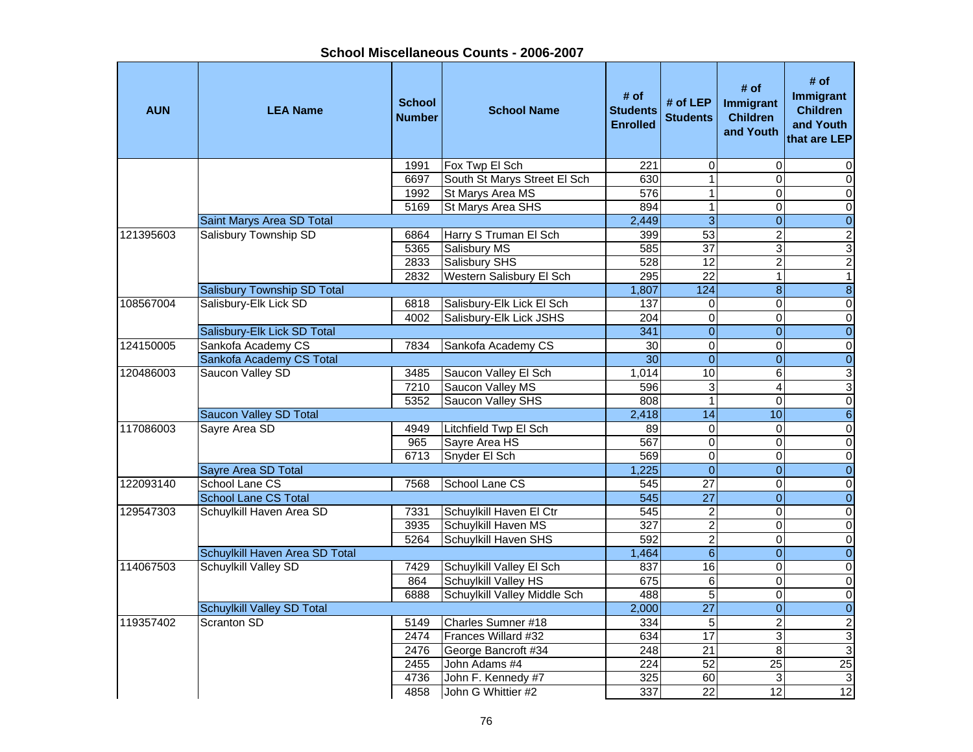**School Miscellaneous Counts - 2006-2007**

| <b>AUN</b> | <b>LEA Name</b>                | <b>School</b><br><b>Number</b> | <b>School Name</b>           | # of<br><b>Students</b><br><b>Enrolled</b> | # of LEP<br><b>Students</b> | # of<br><b>Immigrant</b><br><b>Children</b><br>and Youth | # of<br><b>Immigrant</b><br><b>Children</b><br>and Youth<br>that are LEP |
|------------|--------------------------------|--------------------------------|------------------------------|--------------------------------------------|-----------------------------|----------------------------------------------------------|--------------------------------------------------------------------------|
|            |                                | 1991                           | Fox Twp El Sch               | 221                                        | $\mathbf 0$                 | 0                                                        | 0                                                                        |
|            |                                | 6697                           | South St Marys Street El Sch | 630                                        | $\overline{1}$              | $\Omega$                                                 | $\mathbf 0$                                                              |
|            |                                | 1992                           | St Marys Area MS             | 576                                        | $\overline{1}$              | $\Omega$                                                 | $\mathsf{O}\xspace$                                                      |
|            |                                | 5169                           | St Marys Area SHS            | 894                                        | $\overline{1}$              | 0                                                        | $\pmb{0}$                                                                |
|            | Saint Marys Area SD Total      |                                |                              | 2,449                                      | $\overline{3}$              | $\boldsymbol{0}$                                         | $\boldsymbol{0}$                                                         |
| 121395603  | <b>Salisbury Township SD</b>   | 6864                           | Harry S Truman El Sch        | 399                                        | $\overline{53}$             | $\overline{2}$                                           | $\overline{2}$                                                           |
|            |                                | 5365                           | Salisbury MS                 | 585                                        | $\overline{37}$             | 3                                                        | $\overline{3}$                                                           |
|            |                                | 2833                           | Salisbury SHS                | 528                                        | 12                          | $\overline{c}$                                           | $\overline{c}$                                                           |
|            |                                | 2832                           | Western Salisbury El Sch     | 295                                        | $\overline{22}$             | $\mathbf{1}$                                             | $\mathbf{1}$                                                             |
|            | Salisbury Township SD Total    |                                |                              | 1,807                                      | 124                         | $\bf{8}$                                                 | $\bf 8$                                                                  |
| 108567004  | Salisbury-Elk Lick SD          | 6818                           | Salisbury-Elk Lick El Sch    | 137                                        | $\mathbf 0$                 | $\Omega$                                                 | $\pmb{0}$                                                                |
|            |                                | 4002                           | Salisbury-Elk Lick JSHS      | $\overline{204}$                           | $\overline{0}$              | $\Omega$                                                 | $\pmb{0}$                                                                |
|            | Salisbury-Elk Lick SD Total    |                                |                              | 341                                        | $\mathbf{0}$                | $\Omega$                                                 | $\overline{0}$                                                           |
| 124150005  | Sankofa Academy CS             | 7834                           | Sankofa Academy CS           | 30                                         | $\mathbf 0$                 | $\Omega$                                                 | $\pmb{0}$                                                                |
|            | Sankofa Academy CS Total       |                                |                              | $\overline{30}$                            | $\overline{0}$              | $\overline{0}$                                           | $\pmb{0}$                                                                |
| 120486003  | Saucon Valley SD               | 3485                           | Saucon Valley El Sch         | 1,014                                      | 10                          | 6                                                        | 3                                                                        |
|            |                                | 7210                           | Saucon Valley MS             | 596                                        | $\overline{3}$              | $\overline{4}$                                           | 3                                                                        |
|            |                                | 5352                           | Saucon Valley SHS            | 808                                        | $\overline{1}$              | $\Omega$                                                 | $\overline{\mathsf{o}}$                                                  |
|            | <b>Saucon Valley SD Total</b>  |                                |                              | 2,418                                      | 14                          | 10                                                       | $\sigma$                                                                 |
| 117086003  | Sayre Area SD                  | 4949                           | Litchfield Twp El Sch        | 89                                         | $\mathbf 0$                 | 0                                                        | $\pmb{0}$                                                                |
|            |                                | 965                            | Sayre Area HS                | 567                                        | $\mathbf 0$                 | $\Omega$                                                 | $\pmb{0}$                                                                |
|            |                                | 6713                           | Snyder El Sch                | 569                                        | $\mathbf 0$                 | 0                                                        | $\pmb{0}$                                                                |
|            | Sayre Area SD Total            |                                |                              | 1,225                                      | $\mathbf{0}$                | $\Omega$                                                 | $\boldsymbol{0}$                                                         |
| 122093140  | School Lane CS                 | 7568                           | School Lane CS               | 545                                        | 27                          | $\mathbf 0$                                              | $\pmb{0}$                                                                |
|            | <b>School Lane CS Total</b>    |                                |                              | 545                                        | $\overline{27}$             | $\overline{0}$                                           | $\overline{0}$                                                           |
| 129547303  | Schuylkill Haven Area SD       | 7331                           | Schuylkill Haven El Ctr      | 545                                        | $\overline{2}$              | 0                                                        | $\overline{0}$                                                           |
|            |                                | 3935                           | Schuylkill Haven MS          | $\overline{327}$                           | $\overline{2}$              | $\Omega$                                                 | $\overline{0}$                                                           |
|            |                                | 5264                           | Schuylkill Haven SHS         | 592                                        | $\overline{2}$              | $\Omega$                                                 | $\overline{\mathsf{o}}$                                                  |
|            | Schuylkill Haven Area SD Total |                                |                              | 1,464                                      | $\overline{6}$              | $\Omega$                                                 | $\overline{0}$                                                           |
| 114067503  | <b>Schuylkill Valley SD</b>    | 7429                           | Schuylkill Valley El Sch     | 837                                        | $\overline{16}$             | $\Omega$                                                 | $\overline{\mathsf{o}}$                                                  |
|            |                                | 864                            | Schuylkill Valley HS         | 675                                        | $\overline{6}$              | 0                                                        | $\pmb{0}$                                                                |
|            |                                | 6888                           | Schuylkill Valley Middle Sch | 488                                        | $\overline{5}$              | $\Omega$                                                 | $\overline{0}$                                                           |
|            | Schuylkill Valley SD Total     |                                |                              | 2,000                                      | $\overline{27}$             | $\mathbf{0}$                                             | $\overline{0}$                                                           |
| 119357402  | Scranton SD                    | 5149                           | Charles Sumner #18           | 334                                        | $\overline{5}$              | $\overline{2}$                                           | $\overline{2}$                                                           |
|            |                                | 2474                           | Frances Willard #32          | 634                                        | $\overline{17}$             | 3                                                        | $\overline{\omega}$                                                      |
|            |                                | 2476                           | George Bancroft #34          | 248                                        | $\overline{21}$             | 8                                                        | 3                                                                        |
|            |                                | 2455                           | John Adams #4                | $\overline{224}$                           | 52                          | $\overline{25}$                                          | $\overline{25}$                                                          |
|            |                                | 4736                           | John F. Kennedy #7           | 325                                        | 60                          | 3                                                        | $\overline{3}$                                                           |
|            |                                | 4858                           | John G Whittier #2           | 337                                        | $\overline{22}$             | 12                                                       | 12                                                                       |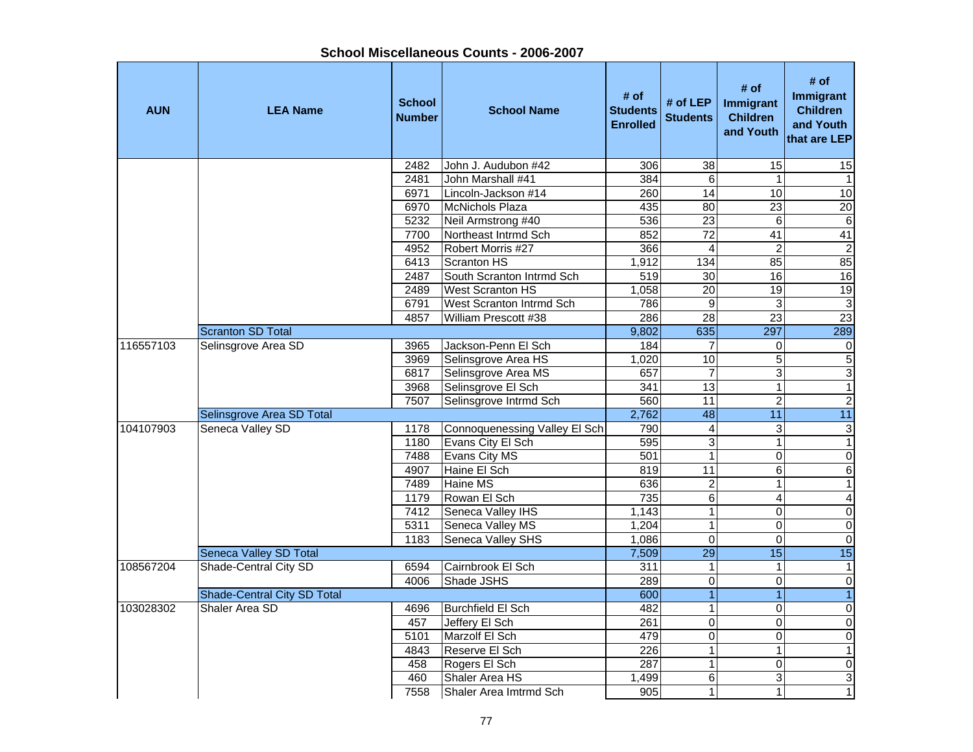| <b>AUN</b> | <b>LEA Name</b>                    | <b>School</b><br>Number | <b>School Name</b>            | # of<br><b>Students</b><br><b>Enrolled</b> | # of LEP<br><b>Students</b> | # of<br><b>Immigrant</b><br><b>Children</b><br>and Youth | # of<br>Immigrant<br><b>Children</b><br>and Youth<br>that are LEP |
|------------|------------------------------------|-------------------------|-------------------------------|--------------------------------------------|-----------------------------|----------------------------------------------------------|-------------------------------------------------------------------|
|            |                                    | 2482                    | John J. Audubon #42           | 306                                        | 38                          | 15                                                       | 15                                                                |
|            |                                    | 2481                    | John Marshall #41             | 384                                        | $\overline{6}$              | 1                                                        | $\mathbf{1}$                                                      |
|            |                                    | 6971                    | Lincoln-Jackson #14           | 260                                        | $\overline{14}$             | 10                                                       | 10                                                                |
|            |                                    | 6970                    | <b>McNichols Plaza</b>        | 435                                        | $\overline{80}$             | 23                                                       | 20                                                                |
|            |                                    | 5232                    | Neil Armstrong #40            | 536                                        | 23                          | 6                                                        | $\overline{6}$                                                    |
|            |                                    | 7700                    | Northeast Intrmd Sch          | 852                                        | 72                          | $\overline{41}$                                          | 41                                                                |
|            |                                    | 4952                    | Robert Morris #27             | 366                                        | 4                           | $\overline{\mathbf{c}}$                                  | $\overline{2}$                                                    |
|            |                                    | 6413                    | Scranton HS                   | 1,912                                      | 134                         | 85                                                       | 85                                                                |
|            |                                    | 2487                    | South Scranton Intrmd Sch     | 519                                        | $\overline{30}$             | 16                                                       | 16                                                                |
|            |                                    | 2489                    | West Scranton HS              | 1,058                                      | $\overline{20}$             | 19                                                       | 19                                                                |
|            |                                    | 6791                    | West Scranton Intrmd Sch      | 786                                        | 9                           | 3                                                        | $\overline{3}$                                                    |
|            |                                    | 4857                    | William Prescott #38          | 286                                        | $\overline{28}$             | $\overline{23}$                                          | 23                                                                |
|            | <b>Scranton SD Total</b>           |                         |                               | 9,802                                      | 635                         | 297                                                      | 289                                                               |
| 116557103  | Selinsgrove Area SD                | 3965                    | Jackson-Penn El Sch           | 184                                        | 7                           | 0                                                        | 0                                                                 |
|            |                                    | 3969                    | Selinsgrove Area HS           | 1,020                                      | $\overline{10}$             | 5                                                        | $\frac{5}{3}$                                                     |
|            |                                    | 6817                    | Selinsgrove Area MS           | 657                                        | 7                           | 3                                                        |                                                                   |
|            |                                    | 3968                    | Selinsgrove El Sch            | $\overline{341}$                           | $\overline{13}$             | 1                                                        | $\overline{1}$                                                    |
|            |                                    | 7507                    | Selinsgrove Intrmd Sch        | 560                                        | $\overline{11}$             | $\overline{c}$                                           | $\overline{2}$                                                    |
|            | Selinsgrove Area SD Total          |                         |                               | 2,762                                      | 48                          | $\overline{11}$                                          | 11                                                                |
| 104107903  | Seneca Valley SD                   | 1178                    | Connoquenessing Valley El Sch | 790                                        | 4                           | 3                                                        | $\ensuremath{\mathsf{3}}$                                         |
|            |                                    | 1180                    | Evans City El Sch             | 595                                        | 3                           | 1                                                        | 1                                                                 |
|            |                                    | 7488                    | Evans City MS                 | 501                                        | $\mathbf{1}$                | 0                                                        | $\boldsymbol{0}$                                                  |
|            |                                    | 4907                    | Haine El Sch                  | 819                                        | 11                          | 6                                                        | 6                                                                 |
|            |                                    | 7489                    | Haine MS                      | 636                                        | $\overline{c}$              | 1                                                        | $\mathbf{1}$                                                      |
|            |                                    | 1179                    | Rowan El Sch                  | 735                                        | $\overline{6}$              | 4                                                        | $\overline{\mathbf{4}}$                                           |
|            |                                    | 7412                    | Seneca Valley IHS             | 1,143                                      | $\mathbf{1}$                | 0                                                        | $\overline{0}$                                                    |
|            |                                    | 5311                    | Seneca Valley MS              | 1,204                                      | $\mathbf{1}$                | 0                                                        | $\overline{0}$                                                    |
|            |                                    | 1183                    | Seneca Valley SHS             | 1,086                                      | 0                           | 0                                                        | $\overline{0}$                                                    |
|            | Seneca Valley SD Total             |                         |                               | 7,509                                      | $\overline{29}$             | $\overline{15}$                                          | 15                                                                |
| 108567204  | Shade-Central City SD              | 6594                    | Cairnbrook El Sch             | 311                                        | 1                           | 1                                                        | 1                                                                 |
|            |                                    | 4006                    | Shade JSHS                    | 289                                        | $\mathbf 0$                 | 0                                                        | $\overline{0}$                                                    |
|            | <b>Shade-Central City SD Total</b> |                         |                               | 600                                        | $\overline{1}$              |                                                          | $\overline{1}$                                                    |
| 103028302  | Shaler Area SD                     | 4696                    | <b>Burchfield El Sch</b>      | 482                                        | $\mathbf 1$                 | $\overline{0}$                                           | $\overline{0}$                                                    |
|            |                                    | 457                     | Jeffery El Sch                | 261                                        | 0                           | 0                                                        | $\mathbf 0$                                                       |
|            |                                    | 5101                    | Marzolf El Sch                | 479                                        | 0                           | 0                                                        | $\pmb{0}$                                                         |
|            |                                    | 4843                    | Reserve El Sch                | 226                                        | $\mathbf{1}$                | 1                                                        | $\mathbf{1}$                                                      |
|            |                                    | 458                     | Rogers El Sch                 | 287                                        | $\mathbf{1}$                | 0                                                        | $\pmb{0}$                                                         |
|            |                                    | 460                     | Shaler Area HS                | 1,499                                      | 6                           | 3                                                        | $\ensuremath{\mathsf{3}}$                                         |
|            |                                    | 7558                    | Shaler Area Imtrmd Sch        | 905                                        | 1                           | 1                                                        | $\mathbf{1}$                                                      |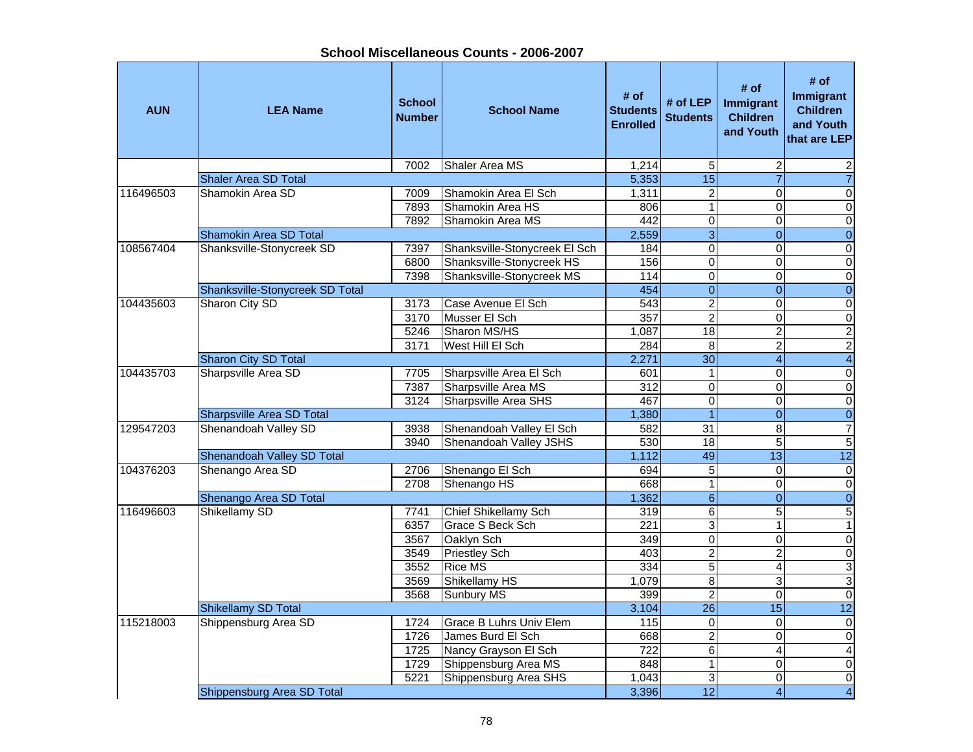| <b>AUN</b> | <b>LEA Name</b>                  | <b>School</b><br><b>Number</b> | <b>School Name</b>            | # of<br><b>Students</b><br><b>Enrolled</b> | # of $LEP$<br><b>Students</b> | # of<br>Immigrant<br><b>Children</b><br>and Youth | # of<br>Immigrant<br><b>Children</b><br>and Youth<br>that are LEP |
|------------|----------------------------------|--------------------------------|-------------------------------|--------------------------------------------|-------------------------------|---------------------------------------------------|-------------------------------------------------------------------|
|            |                                  | 7002                           | Shaler Area MS                | 1,214                                      | 5                             | $\overline{2}$                                    | 2                                                                 |
|            | <b>Shaler Area SD Total</b>      |                                |                               | 5,353                                      | $\overline{15}$               | $\overline{7}$                                    | $\overline{7}$                                                    |
| 116496503  | Shamokin Area SD                 | 7009                           | Shamokin Area El Sch          | 1,311                                      | $\overline{c}$                | $\Omega$                                          | 0                                                                 |
|            |                                  | 7893                           | Shamokin Area HS              | 806                                        | $\overline{1}$                | $\Omega$                                          | 0                                                                 |
|            |                                  | 7892                           | Shamokin Area MS              | 442                                        | 0                             | $\Omega$                                          | $\mathbf 0$                                                       |
|            | <b>Shamokin Area SD Total</b>    |                                |                               | 2,559                                      | $\overline{3}$                | $\overline{0}$                                    | $\overline{0}$                                                    |
| 108567404  | Shanksville-Stonycreek SD        | 7397                           | Shanksville-Stonycreek El Sch | 184                                        | $\overline{0}$                | $\overline{0}$                                    | 0                                                                 |
|            |                                  | 6800                           | Shanksville-Stonycreek HS     | 156                                        | $\overline{0}$                | $\mathbf 0$                                       | $\pmb{0}$                                                         |
|            |                                  | 7398                           | Shanksville-Stonycreek MS     | 114                                        | $\overline{0}$                | $\overline{0}$                                    | $\overline{0}$                                                    |
|            | Shanksville-Stonycreek SD Total  |                                |                               | 454                                        | $\overline{0}$                | $\overline{0}$                                    | $\overline{0}$                                                    |
| 104435603  | Sharon City SD                   | 3173                           | Case Avenue El Sch            | 543                                        | $\overline{2}$                | $\overline{0}$                                    | $\overline{0}$                                                    |
|            |                                  | 3170                           | Musser El Sch                 | 357                                        | $\overline{2}$                | $\Omega$                                          | $\overline{0}$                                                    |
|            |                                  | 5246                           | Sharon MS/HS                  | 1,087                                      | 18                            | $\overline{c}$                                    | $\overline{2}$                                                    |
|            |                                  | 3171                           | West Hill El Sch              | 284                                        | 8                             | $\overline{2}$                                    | $\overline{2}$                                                    |
|            | Sharon City SD Total             |                                |                               | 2,271                                      | $\overline{30}$               | $\overline{4}$                                    | $\overline{4}$                                                    |
| 104435703  | Sharpsville Area SD              | 7705                           | Sharpsville Area El Sch       | 601                                        | 1                             | 0                                                 | 0                                                                 |
|            |                                  | 7387                           | Sharpsville Area MS           | 312                                        | $\overline{0}$                | $\Omega$                                          | $\overline{0}$                                                    |
|            |                                  | 3124                           | Sharpsville Area SHS          | 467                                        | $\overline{0}$                | $\overline{0}$                                    | $\overline{0}$                                                    |
|            | <b>Sharpsville Area SD Total</b> |                                |                               | 1,380                                      | $\overline{1}$                | $\overline{0}$                                    | $\overline{0}$                                                    |
| 129547203  | Shenandoah Valley SD             | 3938                           | Shenandoah Valley El Sch      | 582                                        | $\overline{31}$               | 8                                                 | $\overline{7}$                                                    |
|            |                                  | 3940                           | Shenandoah Valley JSHS        | 530                                        | $\overline{18}$               | $\overline{5}$                                    | $\overline{5}$                                                    |
|            | Shenandoah Valley SD Total       |                                |                               | 1,112                                      | 49                            | 13                                                | $\overline{12}$                                                   |
| 104376203  | Shenango Area SD                 | 2706                           | Shenango El Sch               | 694                                        | $\overline{5}$                | $\overline{0}$                                    | $\pmb{0}$                                                         |
|            |                                  | 2708                           | Shenango HS                   | 668                                        | $\mathbf{1}$                  | $\mathbf 0$                                       | $\mathbf 0$                                                       |
|            | Shenango Area SD Total           |                                |                               | 1,362                                      | $\overline{6}$                | $\boldsymbol{0}$                                  | $\overline{0}$                                                    |
| 116496603  | Shikellamy SD                    | 7741                           | Chief Shikellamy Sch          | 319                                        | 6                             | 5                                                 | $\overline{5}$                                                    |
|            |                                  | 6357                           | <b>Grace S Beck Sch</b>       | 221                                        | $\overline{3}$                | $\mathbf{1}$                                      | $\mathbf{1}$                                                      |
|            |                                  | 3567                           | Oaklyn Sch                    | 349                                        | $\overline{0}$                | $\Omega$                                          | $\pmb{0}$                                                         |
|            |                                  | 3549                           | <b>Priestley Sch</b>          | 403                                        | $\overline{2}$                | $\overline{2}$                                    | $\overline{0}$                                                    |
|            |                                  | 3552                           | <b>Rice MS</b>                | $\frac{1}{334}$                            | $\overline{5}$                | 4                                                 | $\overline{3}$                                                    |
|            |                                  | 3569                           | Shikellamy HS                 | 1,079                                      | $\overline{8}$                | 3                                                 | $\overline{3}$                                                    |
|            |                                  | 3568                           | <b>Sunbury MS</b>             | 399                                        | $\overline{2}$                | $\Omega$                                          | $\overline{0}$                                                    |
|            | Shikellamy SD Total              |                                |                               | 3,104                                      | $\overline{26}$               | 15                                                | $\overline{12}$                                                   |
| 115218003  | Shippensburg Area SD             | 1724                           | Grace B Luhrs Univ Elem       | 115                                        | $\mathsf 0$                   | $\mathbf 0$                                       | $\pmb{0}$                                                         |
|            |                                  | 1726                           | James Burd El Sch             | 668                                        | $\overline{2}$                | $\Omega$                                          | $\pmb{0}$                                                         |
|            |                                  | 1725                           | Nancy Grayson El Sch          | 722                                        | 6                             | $\overline{4}$                                    | $\overline{\mathbf{4}}$                                           |
|            |                                  | 1729                           | Shippensburg Area MS          | 848                                        | $\overline{1}$                | $\Omega$                                          | $\pmb{0}$                                                         |
|            |                                  | 5221                           | Shippensburg Area SHS         | 1,043                                      | 3                             | $\Omega$                                          | $\mathbf 0$                                                       |
|            | Shippensburg Area SD Total       |                                |                               | 3,396                                      | $\overline{12}$               | $\overline{4}$                                    | $\overline{4}$                                                    |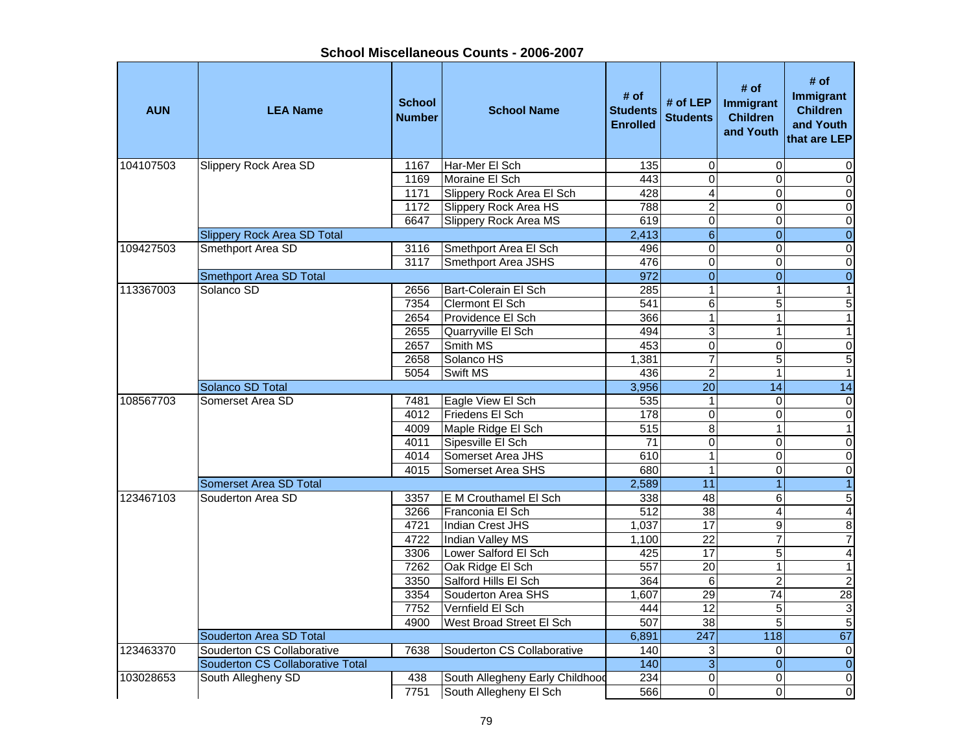| <b>AUN</b> | <b>LEA Name</b>                         | <b>School</b><br><b>Number</b> | <b>School Name</b>              | # of<br><b>Students</b><br><b>Enrolled</b> | # of LEP<br><b>Students</b> | # of<br>Immigrant<br><b>Children</b><br>and Youth | # of<br><b>Immigrant</b><br><b>Children</b><br>and Youth<br>that are LEP |
|------------|-----------------------------------------|--------------------------------|---------------------------------|--------------------------------------------|-----------------------------|---------------------------------------------------|--------------------------------------------------------------------------|
| 104107503  | <b>Slippery Rock Area SD</b>            | 1167                           | Har-Mer El Sch                  | 135                                        | 0                           | 0                                                 | 0                                                                        |
|            |                                         | 1169                           | Moraine El Sch                  | 443                                        | $\Omega$                    | $\Omega$                                          | $\pmb{0}$                                                                |
|            |                                         | 1171                           | Slippery Rock Area El Sch       | 428                                        | $\overline{4}$              | $\mathbf 0$                                       | $\pmb{0}$                                                                |
|            |                                         | 1172                           | <b>Slippery Rock Area HS</b>    | 788                                        | $\overline{2}$              | $\mathbf{0}$                                      | $\mathbf 0$                                                              |
|            |                                         | 6647                           | <b>Slippery Rock Area MS</b>    | 619                                        | $\overline{0}$              | $\mathbf 0$                                       | $\overline{\mathsf{o}}$                                                  |
|            | <b>Slippery Rock Area SD Total</b>      |                                |                                 | 2,413                                      | $\overline{6}$              | $\overline{0}$                                    | $\overline{0}$                                                           |
| 109427503  | Smethport Area SD                       | 3116                           | Smethport Area El Sch           | 496                                        | $\overline{0}$              | $\mathbf 0$                                       | $\overline{\mathsf{o}}$                                                  |
|            |                                         | 3117                           | Smethport Area JSHS             | 476                                        | $\overline{0}$              | $\mathbf 0$                                       | $\overline{\mathsf{o}}$                                                  |
|            | <b>Smethport Area SD Total</b>          |                                |                                 | 972                                        | $\overline{0}$              | $\overline{0}$                                    | $\boldsymbol{0}$                                                         |
| 113367003  | Solanco SD                              | 2656                           | Bart-Colerain El Sch            | 285                                        | $\mathbf{1}$                | $\mathbf{1}$                                      | $\mathbf{1}$                                                             |
|            |                                         | 7354                           | Clermont El Sch                 | 541                                        | $\overline{6}$              | $\overline{5}$                                    | $\overline{5}$                                                           |
|            |                                         | 2654                           | Providence El Sch               | 366                                        | $\overline{1}$              | $\mathbf{1}$                                      | $\overline{1}$                                                           |
|            |                                         | 2655                           | Quarryville El Sch              | 494                                        | $\overline{3}$              | 1                                                 | $\mathbf{1}$                                                             |
|            |                                         | 2657                           | Smith MS                        | 453                                        | $\overline{0}$              | $\mathbf 0$                                       | $\overline{\mathsf{o}}$                                                  |
|            |                                         | 2658                           | Solanco HS                      | 1,381                                      | 7                           | 5                                                 | 5                                                                        |
|            |                                         | 5054                           | <b>Swift MS</b>                 | 436                                        | $\overline{2}$              | 1                                                 | $\mathbf{1}$                                                             |
|            | Solanco SD Total                        |                                |                                 | 3,956                                      | $\overline{20}$             | $\overline{14}$                                   | $\overline{14}$                                                          |
| 108567703  | Somerset Area SD                        | 7481                           | Eagle View El Sch               | 535                                        | $\mathbf{1}$                | $\Omega$                                          | $\overline{0}$                                                           |
|            |                                         | 4012                           | Friedens El Sch                 | 178                                        | $\overline{0}$              | $\mathbf 0$                                       | $\overline{\mathsf{o}}$                                                  |
|            |                                         | 4009                           | Maple Ridge El Sch              | 515                                        | $\overline{8}$              | $\overline{1}$                                    | $\overline{1}$                                                           |
|            |                                         | 4011                           | Sipesville El Sch               | 71                                         | 0                           | $\mathbf 0$                                       | $\pmb{0}$                                                                |
|            |                                         | 4014                           | Somerset Area JHS               | 610                                        | $\overline{1}$              | $\overline{0}$                                    | $\pmb{0}$                                                                |
|            |                                         | 4015                           | Somerset Area SHS               | 680                                        | $\mathbf{1}$                | 0                                                 | $\mathsf{O}\xspace$                                                      |
|            | Somerset Area SD Total                  |                                |                                 | 2,589                                      | $\overline{11}$             | $\overline{1}$                                    | $\overline{1}$                                                           |
| 123467103  | Souderton Area SD                       | 3357                           | E M Crouthamel El Sch           | 338                                        | $\overline{48}$             | 6                                                 | 5                                                                        |
|            |                                         | 3266                           | Franconia El Sch                | 512                                        | 38                          | 4                                                 | $\overline{\mathbf{r}}$                                                  |
|            |                                         | 4721                           | <b>Indian Crest JHS</b>         | 1,037                                      | 17                          | $\overline{9}$                                    | 8                                                                        |
|            |                                         | 4722                           | <b>Indian Valley MS</b>         | 1,100                                      | $\overline{22}$             | 7                                                 | $\overline{7}$                                                           |
|            |                                         | 3306                           | Lower Salford El Sch            | 425                                        | 17                          | $\overline{5}$                                    | $\overline{\mathbf{A}}$                                                  |
|            |                                         | 7262                           | Oak Ridge El Sch                | 557                                        | $\overline{20}$             | 1                                                 | $\mathbf{1}$                                                             |
|            |                                         | 3350                           | Salford Hills El Sch            | 364                                        | 6                           | $\overline{2}$                                    | $\overline{2}$                                                           |
|            |                                         | 3354                           | Souderton Area SHS              | 1,607                                      | $\overline{29}$             | $\overline{74}$                                   | $\overline{28}$                                                          |
|            |                                         | 7752                           | Vernfield El Sch                | 444                                        | 12                          | 5                                                 | $\ensuremath{\mathsf{3}}$                                                |
|            |                                         | 4900                           | West Broad Street El Sch        | 507                                        | $\overline{38}$             | 5                                                 | $\overline{5}$                                                           |
|            | Souderton Area SD Total                 |                                |                                 | 6,891                                      | 247                         | 118                                               | 67                                                                       |
| 123463370  | Souderton CS Collaborative              | 7638                           | Souderton CS Collaborative      | 140                                        | 3                           | 0                                                 | $\mathsf{O}\xspace$                                                      |
|            | <b>Souderton CS Collaborative Total</b> |                                |                                 | 140                                        | $\overline{3}$              | $\overline{0}$                                    | $\overline{0}$                                                           |
| 103028653  | South Allegheny SD                      | 438                            | South Allegheny Early Childhood | 234                                        | $\Omega$                    | $\Omega$                                          | $\pmb{0}$                                                                |
|            |                                         | 7751                           | South Allegheny El Sch          | 566                                        | 0                           | $\Omega$                                          | $\mathbf 0$                                                              |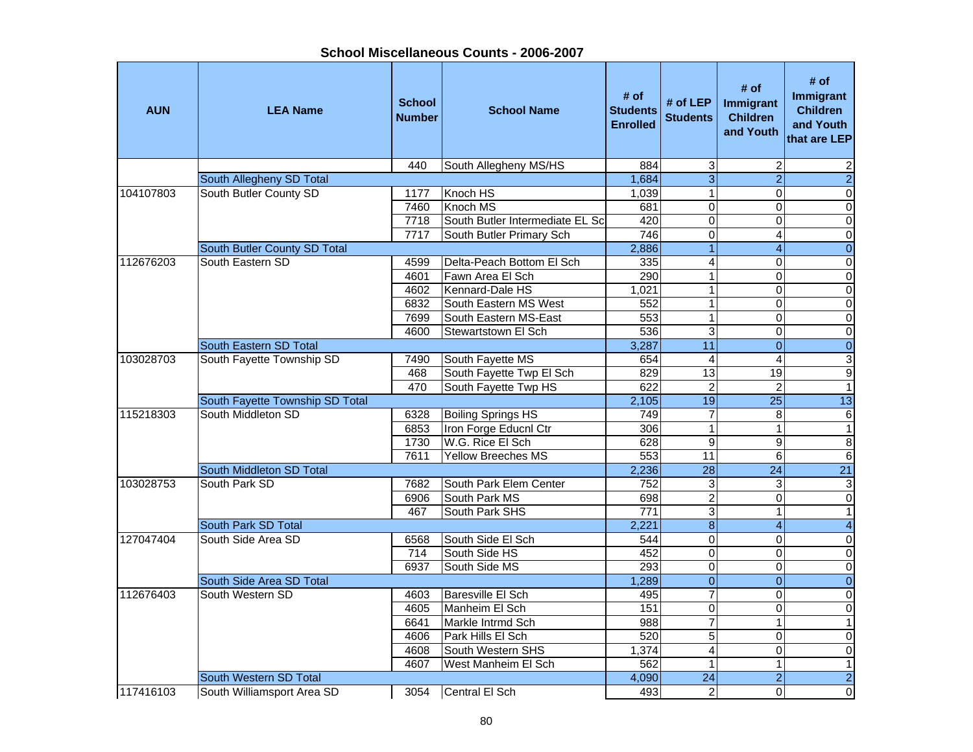| School Miscellaneous Counts - 2006-2007 |  |
|-----------------------------------------|--|
|-----------------------------------------|--|

| 440<br>884<br>3<br>$\overline{c}$<br>2<br>$\overline{3}$<br>$\overline{2}$<br>$\overline{2}$<br>South Allegheny SD Total<br>1,684<br>South Butler County SD<br>$\overline{1}$<br>$\overline{0}$<br>104107803<br>1177<br>Knoch HS<br>1,039<br>$\Omega$<br>Knoch MS<br>$\overline{0}$<br>7460<br>681<br>0<br>$\mathsf{O}\xspace$<br>South Butler Intermediate EL Scl<br>$\overline{0}$<br>7718<br>420<br>$\pmb{0}$<br>$\mathbf 0$<br>746<br>$\overline{0}$<br>O<br>7717<br>South Butler Primary Sch<br>4<br>$\overline{1}$<br>$\overline{0}$<br>2,886<br>$\overline{\mathbf{4}}$<br>South Butler County SD Total<br>$\overline{4}$<br>South Eastern SD<br>112676203<br>Delta-Peach Bottom El Sch<br>$\mathbf 0$<br>$\pmb{0}$<br>4599<br>335<br>$\mathbf{1}$<br>$\mathsf 0$<br>Fawn Area El Sch<br>290<br>0<br>4601<br>Kennard-Dale HS<br>$\mathbf 1$<br>$\pmb{0}$<br>4602<br>1,021<br>0<br>$\mathbf{1}$<br>$\mathbf 0$<br>South Eastern MS West<br>$\Omega$<br>6832<br>552<br>$\overline{1}$<br>7699<br>553<br>0<br>$\pmb{0}$<br>South Eastern MS-East<br>$\overline{0}$<br>536<br>3<br>4600<br>Stewartstown El Sch<br>$\Omega$<br>11<br>$\overline{0}$<br>South Eastern SD Total<br>3,287<br>$\mathbf{0}$<br>$\overline{3}$<br>4<br>$\overline{4}$<br>103028703<br>South Fayette Township SD<br>7490<br>South Fayette MS<br>654<br>13<br>$\overline{9}$<br>468<br>South Fayette Twp El Sch<br>19<br>829<br>$\overline{2}$<br>$\overline{2}$<br>$\overline{1}$<br>470<br>South Fayette Twp HS<br>622<br>19<br>$\overline{25}$<br>13<br>South Fayette Township SD Total<br>2,105<br>South Middleton SD<br>749<br>$\overline{7}$<br>$\overline{6}$<br>115218303<br>6328<br><b>Boiling Springs HS</b><br>8<br>Iron Forge Educnl Ctr<br>306<br>$\mathbf{1}$<br>$\mathbf{1}$<br>6853<br>$\mathbf{1}$<br>W.G. Rice El Sch<br>$\overline{9}$<br>$\overline{8}$<br>9<br>1730<br>628<br>$\overline{11}$<br>6<br>$\,6\,$<br>7611<br>Yellow Breeches MS<br>553<br>$\overline{28}$<br>$\overline{21}$<br>South Middleton SD Total<br>2,236<br>24<br>South Park SD<br>3<br>103028753<br>7682<br>South Park Elem Center<br>752<br>3<br>$\ensuremath{\mathsf{3}}$<br>$\overline{2}$<br>$\overline{\mathsf{o}}$<br>South Park MS<br>698<br>$\Omega$<br>6906<br>3<br>$\overline{1}$<br>467<br>South Park SHS<br>$\overline{771}$<br>1<br>$\overline{8}$<br>$\overline{4}$<br>South Park SD Total<br>2,221<br>$\overline{4}$<br>127047404<br>$\overline{0}$<br>$\overline{\mathsf{o}}$<br>South Side Area SD<br>South Side El Sch<br>$\Omega$<br>6568<br>544<br>South Side HS<br>$\mathbf 0$<br>$\Omega$<br>$\pmb{0}$<br>714<br>452<br>$\overline{0}$<br>$\overline{\mathbf{o}}$<br>South Side MS<br>293<br>0<br>6937<br>$\overline{0}$<br>$\overline{0}$<br>South Side Area SD Total<br>1,289<br>$\Omega$<br>South Western SD<br>7<br>112676403<br>Baresville El Sch<br>$\pmb{0}$<br>495<br>$\Omega$<br>4603<br>$\overline{0}$<br>$\overline{0}$<br>151<br>$\Omega$<br>4605<br>Manheim El Sch<br>$\overline{7}$<br>6641<br>Markle Intrmd Sch<br>$\mathbf{1}$<br>988<br>$\mathbf{1}$<br>$\overline{5}$<br>$\mathbf 0$<br>4606<br>Park Hills El Sch<br>520<br>0<br>$\overline{4}$<br>South Western SHS<br>$\mathbf 0$<br>$\mathsf{O}\xspace$<br>4608<br>1,374<br>4607<br>$\overline{1}$<br>$\overline{1}$<br>West Manheim El Sch<br>562<br>1<br>$\overline{2}$<br>$\overline{24}$<br>$\overline{2}$<br>South Western SD Total<br>4,090 | <b>AUN</b> | <b>LEA Name</b>            | <b>School</b><br><b>Number</b> | <b>School Name</b>    | # of<br><b>Students</b><br><b>Enrolled</b> | # of $LEP$<br><b>Students</b> | # of<br>Immigrant<br><b>Children</b><br>and Youth | # of<br><b>Immigrant</b><br><b>Children</b><br>and Youth<br>that are LEP |
|-------------------------------------------------------------------------------------------------------------------------------------------------------------------------------------------------------------------------------------------------------------------------------------------------------------------------------------------------------------------------------------------------------------------------------------------------------------------------------------------------------------------------------------------------------------------------------------------------------------------------------------------------------------------------------------------------------------------------------------------------------------------------------------------------------------------------------------------------------------------------------------------------------------------------------------------------------------------------------------------------------------------------------------------------------------------------------------------------------------------------------------------------------------------------------------------------------------------------------------------------------------------------------------------------------------------------------------------------------------------------------------------------------------------------------------------------------------------------------------------------------------------------------------------------------------------------------------------------------------------------------------------------------------------------------------------------------------------------------------------------------------------------------------------------------------------------------------------------------------------------------------------------------------------------------------------------------------------------------------------------------------------------------------------------------------------------------------------------------------------------------------------------------------------------------------------------------------------------------------------------------------------------------------------------------------------------------------------------------------------------------------------------------------------------------------------------------------------------------------------------------------------------------------------------------------------------------------------------------------------------------------------------------------------------------------------------------------------------------------------------------------------------------------------------------------------------------------------------------------------------------------------------------------------------------------------------------------------------------------------------------------------------------------------------------------------------------------------------------------------------------------------------------------------------------------------------------------------------------------------------------------------------------------------------------------------------------------------------------------------------------------------------------------------|------------|----------------------------|--------------------------------|-----------------------|--------------------------------------------|-------------------------------|---------------------------------------------------|--------------------------------------------------------------------------|
|                                                                                                                                                                                                                                                                                                                                                                                                                                                                                                                                                                                                                                                                                                                                                                                                                                                                                                                                                                                                                                                                                                                                                                                                                                                                                                                                                                                                                                                                                                                                                                                                                                                                                                                                                                                                                                                                                                                                                                                                                                                                                                                                                                                                                                                                                                                                                                                                                                                                                                                                                                                                                                                                                                                                                                                                                                                                                                                                                                                                                                                                                                                                                                                                                                                                                                                                                                                                                   |            |                            |                                | South Allegheny MS/HS |                                            |                               |                                                   |                                                                          |
|                                                                                                                                                                                                                                                                                                                                                                                                                                                                                                                                                                                                                                                                                                                                                                                                                                                                                                                                                                                                                                                                                                                                                                                                                                                                                                                                                                                                                                                                                                                                                                                                                                                                                                                                                                                                                                                                                                                                                                                                                                                                                                                                                                                                                                                                                                                                                                                                                                                                                                                                                                                                                                                                                                                                                                                                                                                                                                                                                                                                                                                                                                                                                                                                                                                                                                                                                                                                                   |            |                            |                                |                       |                                            |                               |                                                   |                                                                          |
|                                                                                                                                                                                                                                                                                                                                                                                                                                                                                                                                                                                                                                                                                                                                                                                                                                                                                                                                                                                                                                                                                                                                                                                                                                                                                                                                                                                                                                                                                                                                                                                                                                                                                                                                                                                                                                                                                                                                                                                                                                                                                                                                                                                                                                                                                                                                                                                                                                                                                                                                                                                                                                                                                                                                                                                                                                                                                                                                                                                                                                                                                                                                                                                                                                                                                                                                                                                                                   |            |                            |                                |                       |                                            |                               |                                                   |                                                                          |
|                                                                                                                                                                                                                                                                                                                                                                                                                                                                                                                                                                                                                                                                                                                                                                                                                                                                                                                                                                                                                                                                                                                                                                                                                                                                                                                                                                                                                                                                                                                                                                                                                                                                                                                                                                                                                                                                                                                                                                                                                                                                                                                                                                                                                                                                                                                                                                                                                                                                                                                                                                                                                                                                                                                                                                                                                                                                                                                                                                                                                                                                                                                                                                                                                                                                                                                                                                                                                   |            |                            |                                |                       |                                            |                               |                                                   |                                                                          |
|                                                                                                                                                                                                                                                                                                                                                                                                                                                                                                                                                                                                                                                                                                                                                                                                                                                                                                                                                                                                                                                                                                                                                                                                                                                                                                                                                                                                                                                                                                                                                                                                                                                                                                                                                                                                                                                                                                                                                                                                                                                                                                                                                                                                                                                                                                                                                                                                                                                                                                                                                                                                                                                                                                                                                                                                                                                                                                                                                                                                                                                                                                                                                                                                                                                                                                                                                                                                                   |            |                            |                                |                       |                                            |                               |                                                   |                                                                          |
|                                                                                                                                                                                                                                                                                                                                                                                                                                                                                                                                                                                                                                                                                                                                                                                                                                                                                                                                                                                                                                                                                                                                                                                                                                                                                                                                                                                                                                                                                                                                                                                                                                                                                                                                                                                                                                                                                                                                                                                                                                                                                                                                                                                                                                                                                                                                                                                                                                                                                                                                                                                                                                                                                                                                                                                                                                                                                                                                                                                                                                                                                                                                                                                                                                                                                                                                                                                                                   |            |                            |                                |                       |                                            |                               |                                                   |                                                                          |
|                                                                                                                                                                                                                                                                                                                                                                                                                                                                                                                                                                                                                                                                                                                                                                                                                                                                                                                                                                                                                                                                                                                                                                                                                                                                                                                                                                                                                                                                                                                                                                                                                                                                                                                                                                                                                                                                                                                                                                                                                                                                                                                                                                                                                                                                                                                                                                                                                                                                                                                                                                                                                                                                                                                                                                                                                                                                                                                                                                                                                                                                                                                                                                                                                                                                                                                                                                                                                   |            |                            |                                |                       |                                            |                               |                                                   |                                                                          |
|                                                                                                                                                                                                                                                                                                                                                                                                                                                                                                                                                                                                                                                                                                                                                                                                                                                                                                                                                                                                                                                                                                                                                                                                                                                                                                                                                                                                                                                                                                                                                                                                                                                                                                                                                                                                                                                                                                                                                                                                                                                                                                                                                                                                                                                                                                                                                                                                                                                                                                                                                                                                                                                                                                                                                                                                                                                                                                                                                                                                                                                                                                                                                                                                                                                                                                                                                                                                                   |            |                            |                                |                       |                                            |                               |                                                   |                                                                          |
|                                                                                                                                                                                                                                                                                                                                                                                                                                                                                                                                                                                                                                                                                                                                                                                                                                                                                                                                                                                                                                                                                                                                                                                                                                                                                                                                                                                                                                                                                                                                                                                                                                                                                                                                                                                                                                                                                                                                                                                                                                                                                                                                                                                                                                                                                                                                                                                                                                                                                                                                                                                                                                                                                                                                                                                                                                                                                                                                                                                                                                                                                                                                                                                                                                                                                                                                                                                                                   |            |                            |                                |                       |                                            |                               |                                                   |                                                                          |
|                                                                                                                                                                                                                                                                                                                                                                                                                                                                                                                                                                                                                                                                                                                                                                                                                                                                                                                                                                                                                                                                                                                                                                                                                                                                                                                                                                                                                                                                                                                                                                                                                                                                                                                                                                                                                                                                                                                                                                                                                                                                                                                                                                                                                                                                                                                                                                                                                                                                                                                                                                                                                                                                                                                                                                                                                                                                                                                                                                                                                                                                                                                                                                                                                                                                                                                                                                                                                   |            |                            |                                |                       |                                            |                               |                                                   |                                                                          |
|                                                                                                                                                                                                                                                                                                                                                                                                                                                                                                                                                                                                                                                                                                                                                                                                                                                                                                                                                                                                                                                                                                                                                                                                                                                                                                                                                                                                                                                                                                                                                                                                                                                                                                                                                                                                                                                                                                                                                                                                                                                                                                                                                                                                                                                                                                                                                                                                                                                                                                                                                                                                                                                                                                                                                                                                                                                                                                                                                                                                                                                                                                                                                                                                                                                                                                                                                                                                                   |            |                            |                                |                       |                                            |                               |                                                   |                                                                          |
|                                                                                                                                                                                                                                                                                                                                                                                                                                                                                                                                                                                                                                                                                                                                                                                                                                                                                                                                                                                                                                                                                                                                                                                                                                                                                                                                                                                                                                                                                                                                                                                                                                                                                                                                                                                                                                                                                                                                                                                                                                                                                                                                                                                                                                                                                                                                                                                                                                                                                                                                                                                                                                                                                                                                                                                                                                                                                                                                                                                                                                                                                                                                                                                                                                                                                                                                                                                                                   |            |                            |                                |                       |                                            |                               |                                                   |                                                                          |
|                                                                                                                                                                                                                                                                                                                                                                                                                                                                                                                                                                                                                                                                                                                                                                                                                                                                                                                                                                                                                                                                                                                                                                                                                                                                                                                                                                                                                                                                                                                                                                                                                                                                                                                                                                                                                                                                                                                                                                                                                                                                                                                                                                                                                                                                                                                                                                                                                                                                                                                                                                                                                                                                                                                                                                                                                                                                                                                                                                                                                                                                                                                                                                                                                                                                                                                                                                                                                   |            |                            |                                |                       |                                            |                               |                                                   |                                                                          |
|                                                                                                                                                                                                                                                                                                                                                                                                                                                                                                                                                                                                                                                                                                                                                                                                                                                                                                                                                                                                                                                                                                                                                                                                                                                                                                                                                                                                                                                                                                                                                                                                                                                                                                                                                                                                                                                                                                                                                                                                                                                                                                                                                                                                                                                                                                                                                                                                                                                                                                                                                                                                                                                                                                                                                                                                                                                                                                                                                                                                                                                                                                                                                                                                                                                                                                                                                                                                                   |            |                            |                                |                       |                                            |                               |                                                   |                                                                          |
|                                                                                                                                                                                                                                                                                                                                                                                                                                                                                                                                                                                                                                                                                                                                                                                                                                                                                                                                                                                                                                                                                                                                                                                                                                                                                                                                                                                                                                                                                                                                                                                                                                                                                                                                                                                                                                                                                                                                                                                                                                                                                                                                                                                                                                                                                                                                                                                                                                                                                                                                                                                                                                                                                                                                                                                                                                                                                                                                                                                                                                                                                                                                                                                                                                                                                                                                                                                                                   |            |                            |                                |                       |                                            |                               |                                                   |                                                                          |
|                                                                                                                                                                                                                                                                                                                                                                                                                                                                                                                                                                                                                                                                                                                                                                                                                                                                                                                                                                                                                                                                                                                                                                                                                                                                                                                                                                                                                                                                                                                                                                                                                                                                                                                                                                                                                                                                                                                                                                                                                                                                                                                                                                                                                                                                                                                                                                                                                                                                                                                                                                                                                                                                                                                                                                                                                                                                                                                                                                                                                                                                                                                                                                                                                                                                                                                                                                                                                   |            |                            |                                |                       |                                            |                               |                                                   |                                                                          |
|                                                                                                                                                                                                                                                                                                                                                                                                                                                                                                                                                                                                                                                                                                                                                                                                                                                                                                                                                                                                                                                                                                                                                                                                                                                                                                                                                                                                                                                                                                                                                                                                                                                                                                                                                                                                                                                                                                                                                                                                                                                                                                                                                                                                                                                                                                                                                                                                                                                                                                                                                                                                                                                                                                                                                                                                                                                                                                                                                                                                                                                                                                                                                                                                                                                                                                                                                                                                                   |            |                            |                                |                       |                                            |                               |                                                   |                                                                          |
|                                                                                                                                                                                                                                                                                                                                                                                                                                                                                                                                                                                                                                                                                                                                                                                                                                                                                                                                                                                                                                                                                                                                                                                                                                                                                                                                                                                                                                                                                                                                                                                                                                                                                                                                                                                                                                                                                                                                                                                                                                                                                                                                                                                                                                                                                                                                                                                                                                                                                                                                                                                                                                                                                                                                                                                                                                                                                                                                                                                                                                                                                                                                                                                                                                                                                                                                                                                                                   |            |                            |                                |                       |                                            |                               |                                                   |                                                                          |
|                                                                                                                                                                                                                                                                                                                                                                                                                                                                                                                                                                                                                                                                                                                                                                                                                                                                                                                                                                                                                                                                                                                                                                                                                                                                                                                                                                                                                                                                                                                                                                                                                                                                                                                                                                                                                                                                                                                                                                                                                                                                                                                                                                                                                                                                                                                                                                                                                                                                                                                                                                                                                                                                                                                                                                                                                                                                                                                                                                                                                                                                                                                                                                                                                                                                                                                                                                                                                   |            |                            |                                |                       |                                            |                               |                                                   |                                                                          |
|                                                                                                                                                                                                                                                                                                                                                                                                                                                                                                                                                                                                                                                                                                                                                                                                                                                                                                                                                                                                                                                                                                                                                                                                                                                                                                                                                                                                                                                                                                                                                                                                                                                                                                                                                                                                                                                                                                                                                                                                                                                                                                                                                                                                                                                                                                                                                                                                                                                                                                                                                                                                                                                                                                                                                                                                                                                                                                                                                                                                                                                                                                                                                                                                                                                                                                                                                                                                                   |            |                            |                                |                       |                                            |                               |                                                   |                                                                          |
|                                                                                                                                                                                                                                                                                                                                                                                                                                                                                                                                                                                                                                                                                                                                                                                                                                                                                                                                                                                                                                                                                                                                                                                                                                                                                                                                                                                                                                                                                                                                                                                                                                                                                                                                                                                                                                                                                                                                                                                                                                                                                                                                                                                                                                                                                                                                                                                                                                                                                                                                                                                                                                                                                                                                                                                                                                                                                                                                                                                                                                                                                                                                                                                                                                                                                                                                                                                                                   |            |                            |                                |                       |                                            |                               |                                                   |                                                                          |
|                                                                                                                                                                                                                                                                                                                                                                                                                                                                                                                                                                                                                                                                                                                                                                                                                                                                                                                                                                                                                                                                                                                                                                                                                                                                                                                                                                                                                                                                                                                                                                                                                                                                                                                                                                                                                                                                                                                                                                                                                                                                                                                                                                                                                                                                                                                                                                                                                                                                                                                                                                                                                                                                                                                                                                                                                                                                                                                                                                                                                                                                                                                                                                                                                                                                                                                                                                                                                   |            |                            |                                |                       |                                            |                               |                                                   |                                                                          |
|                                                                                                                                                                                                                                                                                                                                                                                                                                                                                                                                                                                                                                                                                                                                                                                                                                                                                                                                                                                                                                                                                                                                                                                                                                                                                                                                                                                                                                                                                                                                                                                                                                                                                                                                                                                                                                                                                                                                                                                                                                                                                                                                                                                                                                                                                                                                                                                                                                                                                                                                                                                                                                                                                                                                                                                                                                                                                                                                                                                                                                                                                                                                                                                                                                                                                                                                                                                                                   |            |                            |                                |                       |                                            |                               |                                                   |                                                                          |
|                                                                                                                                                                                                                                                                                                                                                                                                                                                                                                                                                                                                                                                                                                                                                                                                                                                                                                                                                                                                                                                                                                                                                                                                                                                                                                                                                                                                                                                                                                                                                                                                                                                                                                                                                                                                                                                                                                                                                                                                                                                                                                                                                                                                                                                                                                                                                                                                                                                                                                                                                                                                                                                                                                                                                                                                                                                                                                                                                                                                                                                                                                                                                                                                                                                                                                                                                                                                                   |            |                            |                                |                       |                                            |                               |                                                   |                                                                          |
|                                                                                                                                                                                                                                                                                                                                                                                                                                                                                                                                                                                                                                                                                                                                                                                                                                                                                                                                                                                                                                                                                                                                                                                                                                                                                                                                                                                                                                                                                                                                                                                                                                                                                                                                                                                                                                                                                                                                                                                                                                                                                                                                                                                                                                                                                                                                                                                                                                                                                                                                                                                                                                                                                                                                                                                                                                                                                                                                                                                                                                                                                                                                                                                                                                                                                                                                                                                                                   |            |                            |                                |                       |                                            |                               |                                                   |                                                                          |
|                                                                                                                                                                                                                                                                                                                                                                                                                                                                                                                                                                                                                                                                                                                                                                                                                                                                                                                                                                                                                                                                                                                                                                                                                                                                                                                                                                                                                                                                                                                                                                                                                                                                                                                                                                                                                                                                                                                                                                                                                                                                                                                                                                                                                                                                                                                                                                                                                                                                                                                                                                                                                                                                                                                                                                                                                                                                                                                                                                                                                                                                                                                                                                                                                                                                                                                                                                                                                   |            |                            |                                |                       |                                            |                               |                                                   |                                                                          |
|                                                                                                                                                                                                                                                                                                                                                                                                                                                                                                                                                                                                                                                                                                                                                                                                                                                                                                                                                                                                                                                                                                                                                                                                                                                                                                                                                                                                                                                                                                                                                                                                                                                                                                                                                                                                                                                                                                                                                                                                                                                                                                                                                                                                                                                                                                                                                                                                                                                                                                                                                                                                                                                                                                                                                                                                                                                                                                                                                                                                                                                                                                                                                                                                                                                                                                                                                                                                                   |            |                            |                                |                       |                                            |                               |                                                   |                                                                          |
|                                                                                                                                                                                                                                                                                                                                                                                                                                                                                                                                                                                                                                                                                                                                                                                                                                                                                                                                                                                                                                                                                                                                                                                                                                                                                                                                                                                                                                                                                                                                                                                                                                                                                                                                                                                                                                                                                                                                                                                                                                                                                                                                                                                                                                                                                                                                                                                                                                                                                                                                                                                                                                                                                                                                                                                                                                                                                                                                                                                                                                                                                                                                                                                                                                                                                                                                                                                                                   |            |                            |                                |                       |                                            |                               |                                                   |                                                                          |
|                                                                                                                                                                                                                                                                                                                                                                                                                                                                                                                                                                                                                                                                                                                                                                                                                                                                                                                                                                                                                                                                                                                                                                                                                                                                                                                                                                                                                                                                                                                                                                                                                                                                                                                                                                                                                                                                                                                                                                                                                                                                                                                                                                                                                                                                                                                                                                                                                                                                                                                                                                                                                                                                                                                                                                                                                                                                                                                                                                                                                                                                                                                                                                                                                                                                                                                                                                                                                   |            |                            |                                |                       |                                            |                               |                                                   |                                                                          |
|                                                                                                                                                                                                                                                                                                                                                                                                                                                                                                                                                                                                                                                                                                                                                                                                                                                                                                                                                                                                                                                                                                                                                                                                                                                                                                                                                                                                                                                                                                                                                                                                                                                                                                                                                                                                                                                                                                                                                                                                                                                                                                                                                                                                                                                                                                                                                                                                                                                                                                                                                                                                                                                                                                                                                                                                                                                                                                                                                                                                                                                                                                                                                                                                                                                                                                                                                                                                                   |            |                            |                                |                       |                                            |                               |                                                   |                                                                          |
|                                                                                                                                                                                                                                                                                                                                                                                                                                                                                                                                                                                                                                                                                                                                                                                                                                                                                                                                                                                                                                                                                                                                                                                                                                                                                                                                                                                                                                                                                                                                                                                                                                                                                                                                                                                                                                                                                                                                                                                                                                                                                                                                                                                                                                                                                                                                                                                                                                                                                                                                                                                                                                                                                                                                                                                                                                                                                                                                                                                                                                                                                                                                                                                                                                                                                                                                                                                                                   |            |                            |                                |                       |                                            |                               |                                                   |                                                                          |
|                                                                                                                                                                                                                                                                                                                                                                                                                                                                                                                                                                                                                                                                                                                                                                                                                                                                                                                                                                                                                                                                                                                                                                                                                                                                                                                                                                                                                                                                                                                                                                                                                                                                                                                                                                                                                                                                                                                                                                                                                                                                                                                                                                                                                                                                                                                                                                                                                                                                                                                                                                                                                                                                                                                                                                                                                                                                                                                                                                                                                                                                                                                                                                                                                                                                                                                                                                                                                   |            |                            |                                |                       |                                            |                               |                                                   |                                                                          |
|                                                                                                                                                                                                                                                                                                                                                                                                                                                                                                                                                                                                                                                                                                                                                                                                                                                                                                                                                                                                                                                                                                                                                                                                                                                                                                                                                                                                                                                                                                                                                                                                                                                                                                                                                                                                                                                                                                                                                                                                                                                                                                                                                                                                                                                                                                                                                                                                                                                                                                                                                                                                                                                                                                                                                                                                                                                                                                                                                                                                                                                                                                                                                                                                                                                                                                                                                                                                                   |            |                            |                                |                       |                                            |                               |                                                   |                                                                          |
|                                                                                                                                                                                                                                                                                                                                                                                                                                                                                                                                                                                                                                                                                                                                                                                                                                                                                                                                                                                                                                                                                                                                                                                                                                                                                                                                                                                                                                                                                                                                                                                                                                                                                                                                                                                                                                                                                                                                                                                                                                                                                                                                                                                                                                                                                                                                                                                                                                                                                                                                                                                                                                                                                                                                                                                                                                                                                                                                                                                                                                                                                                                                                                                                                                                                                                                                                                                                                   |            |                            |                                |                       |                                            |                               |                                                   |                                                                          |
|                                                                                                                                                                                                                                                                                                                                                                                                                                                                                                                                                                                                                                                                                                                                                                                                                                                                                                                                                                                                                                                                                                                                                                                                                                                                                                                                                                                                                                                                                                                                                                                                                                                                                                                                                                                                                                                                                                                                                                                                                                                                                                                                                                                                                                                                                                                                                                                                                                                                                                                                                                                                                                                                                                                                                                                                                                                                                                                                                                                                                                                                                                                                                                                                                                                                                                                                                                                                                   |            |                            |                                |                       |                                            |                               |                                                   |                                                                          |
|                                                                                                                                                                                                                                                                                                                                                                                                                                                                                                                                                                                                                                                                                                                                                                                                                                                                                                                                                                                                                                                                                                                                                                                                                                                                                                                                                                                                                                                                                                                                                                                                                                                                                                                                                                                                                                                                                                                                                                                                                                                                                                                                                                                                                                                                                                                                                                                                                                                                                                                                                                                                                                                                                                                                                                                                                                                                                                                                                                                                                                                                                                                                                                                                                                                                                                                                                                                                                   |            |                            |                                |                       |                                            |                               |                                                   |                                                                          |
|                                                                                                                                                                                                                                                                                                                                                                                                                                                                                                                                                                                                                                                                                                                                                                                                                                                                                                                                                                                                                                                                                                                                                                                                                                                                                                                                                                                                                                                                                                                                                                                                                                                                                                                                                                                                                                                                                                                                                                                                                                                                                                                                                                                                                                                                                                                                                                                                                                                                                                                                                                                                                                                                                                                                                                                                                                                                                                                                                                                                                                                                                                                                                                                                                                                                                                                                                                                                                   |            |                            |                                |                       |                                            |                               |                                                   |                                                                          |
|                                                                                                                                                                                                                                                                                                                                                                                                                                                                                                                                                                                                                                                                                                                                                                                                                                                                                                                                                                                                                                                                                                                                                                                                                                                                                                                                                                                                                                                                                                                                                                                                                                                                                                                                                                                                                                                                                                                                                                                                                                                                                                                                                                                                                                                                                                                                                                                                                                                                                                                                                                                                                                                                                                                                                                                                                                                                                                                                                                                                                                                                                                                                                                                                                                                                                                                                                                                                                   | 117416103  | South Williamsport Area SD | 3054                           | Central El Sch        | 493                                        | $\overline{2}$                | $\Omega$                                          | $\overline{\mathsf{o}}$                                                  |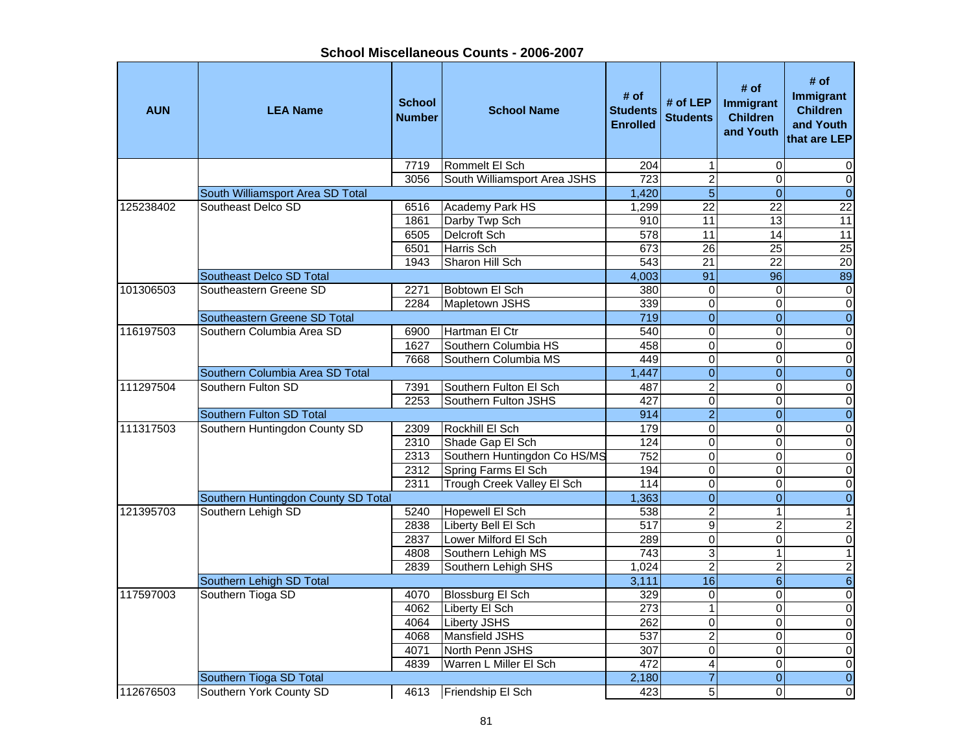| <b>AUN</b> | <b>LEA Name</b>                     | <b>School</b><br><b>Number</b> | <b>School Name</b>           | # of<br><b>Students</b><br><b>Enrolled</b> | # of $LEP$<br><b>Students</b> | # of<br>Immigrant<br><b>Children</b><br>and Youth | # of<br><b>Immigrant</b><br><b>Children</b><br>and Youth<br>that are LEP |
|------------|-------------------------------------|--------------------------------|------------------------------|--------------------------------------------|-------------------------------|---------------------------------------------------|--------------------------------------------------------------------------|
|            |                                     | 7719                           | Rommelt El Sch               | 204                                        | $\mathbf{1}$                  | $\mathbf 0$                                       | 0                                                                        |
|            |                                     | 3056                           | South Williamsport Area JSHS | 723                                        | $\overline{2}$                | $\Omega$                                          | $\pmb{0}$                                                                |
|            | South Williamsport Area SD Total    |                                |                              | 1,420                                      | $\overline{5}$                | $\overline{0}$                                    | $\overline{0}$                                                           |
| 125238402  | Southeast Delco SD                  | 6516                           | <b>Academy Park HS</b>       | 1,299                                      | $\overline{22}$               | 22                                                | $\overline{22}$                                                          |
|            |                                     | 1861                           | Darby Twp Sch                | 910                                        | 11                            | 13                                                | 11                                                                       |
|            |                                     | 6505                           | Delcroft Sch                 | $\overline{578}$                           | 11                            | 14                                                | 11                                                                       |
|            |                                     | 6501                           | Harris Sch                   | 673                                        | $\overline{26}$               | $\overline{25}$                                   | 25                                                                       |
|            |                                     | 1943                           | Sharon Hill Sch              | 543                                        | 21                            | 22                                                | $\overline{20}$                                                          |
|            | Southeast Delco SD Total            |                                |                              | 4,003                                      | 91                            | 96                                                | 89                                                                       |
| 101306503  | Southeastern Greene SD              | 2271                           | Bobtown El Sch               | 380                                        | $\mathbf 0$                   | $\Omega$                                          | $\pmb{0}$                                                                |
|            |                                     | 2284                           | Mapletown JSHS               | 339                                        | $\mathbf 0$                   | $\mathbf 0$                                       | $\overline{0}$                                                           |
|            | Southeastern Greene SD Total        |                                |                              | 719                                        | $\overline{0}$                | $\overline{0}$                                    | $\overline{0}$                                                           |
| 116197503  | Southern Columbia Area SD           | 6900                           | Hartman El Ctr               | 540                                        | $\overline{0}$                | $\Omega$                                          | $\overline{0}$                                                           |
|            |                                     | 1627                           | Southern Columbia HS         | 458                                        | $\overline{0}$                | $\Omega$                                          | $\overline{\mathsf{o}}$                                                  |
|            |                                     | 7668                           | Southern Columbia MS         | 449                                        | $\overline{0}$                | 0                                                 | $\pmb{0}$                                                                |
|            | Southern Columbia Area SD Total     |                                |                              | 1,447                                      | $\overline{0}$                | $\overline{0}$                                    | $\overline{0}$                                                           |
| 111297504  | Southern Fulton SD                  | 7391                           | Southern Fulton El Sch       | 487                                        | $\overline{2}$                | $\Omega$                                          | $\overline{\mathsf{o}}$                                                  |
|            |                                     | 2253                           | Southern Fulton JSHS         | 427                                        | $\mathbf 0$                   | 0                                                 | $\pmb{0}$                                                                |
|            | Southern Fulton SD Total            |                                |                              | 914                                        | $\overline{2}$                | $\overline{0}$                                    | $\pmb{0}$                                                                |
| 111317503  | Southern Huntingdon County SD       | 2309                           | Rockhill El Sch              | 179                                        | $\mathbf 0$                   | $\Omega$                                          | $\pmb{0}$                                                                |
|            |                                     | 2310                           | Shade Gap El Sch             | 124                                        | $\mathbf 0$                   | $\Omega$                                          | $\pmb{0}$                                                                |
|            |                                     | 2313                           | Southern Huntingdon Co HS/MS | 752                                        | $\mathbf 0$                   | 0                                                 | $\mathbf 0$                                                              |
|            |                                     | 2312                           | Spring Farms El Sch          | 194                                        | $\overline{0}$                | $\Omega$                                          | $\pmb{0}$                                                                |
|            |                                     | 2311                           | Trough Creek Valley El Sch   | 114                                        | $\mathbf 0$                   | $\Omega$                                          | $\pmb{0}$                                                                |
|            | Southern Huntingdon County SD Total |                                |                              | 1,363                                      | $\overline{0}$                | $\overline{0}$                                    | $\overline{0}$                                                           |
| 121395703  | Southern Lehigh SD                  | 5240                           | Hopewell El Sch              | 538                                        | $\overline{2}$                | $\mathbf{1}$                                      | $\overline{1}$                                                           |
|            |                                     | 2838                           | Liberty Bell El Sch          | 517                                        | $\overline{9}$                | $\overline{c}$                                    | $\overline{2}$                                                           |
|            |                                     | 2837                           | Lower Milford El Sch         | 289                                        | $\overline{0}$                | $\mathbf 0$                                       | $\overline{\mathsf{o}}$                                                  |
|            |                                     | 4808                           | Southern Lehigh MS           | 743                                        | 3                             | 1                                                 | $\mathbf{1}$                                                             |
|            |                                     | 2839                           | Southern Lehigh SHS          | 1,024                                      | $\overline{2}$                | $\overline{2}$                                    | $\overline{2}$                                                           |
|            | Southern Lehigh SD Total            |                                |                              | 3,111                                      | 16                            | $6\phantom{a}$                                    | $\,$ 6 $\,$                                                              |
| 117597003  | Southern Tioga SD                   | 4070                           | <b>Blossburg El Sch</b>      | 329                                        | $\mathbf 0$                   | $\Omega$                                          | $\pmb{0}$                                                                |
|            |                                     | 4062                           | Liberty El Sch               | 273                                        | $\mathbf{1}$                  | 0                                                 | $\mathbf 0$                                                              |
|            |                                     | 4064                           | Liberty JSHS                 | 262                                        | $\mathbf 0$                   | $\Omega$                                          | $\pmb{0}$                                                                |
|            |                                     | 4068                           | Mansfield JSHS               | 537                                        | $\overline{c}$                | $\Omega$                                          | $\pmb{0}$                                                                |
|            |                                     | 4071                           | North Penn JSHS              | $\overline{307}$                           | $\overline{0}$                | $\Omega$                                          | $\pmb{0}$                                                                |
|            |                                     | 4839                           | Warren L Miller El Sch       | 472                                        | $\overline{4}$                | $\Omega$                                          | $\pmb{0}$                                                                |
|            | Southern Tioga SD Total             |                                |                              | 2,180                                      | $\overline{7}$                | $\overline{0}$                                    | $\overline{0}$                                                           |
| 112676503  | Southern York County SD             | 4613                           | Friendship El Sch            | 423                                        | $\overline{5}$                | $\Omega$                                          | $\overline{\mathsf{o}}$                                                  |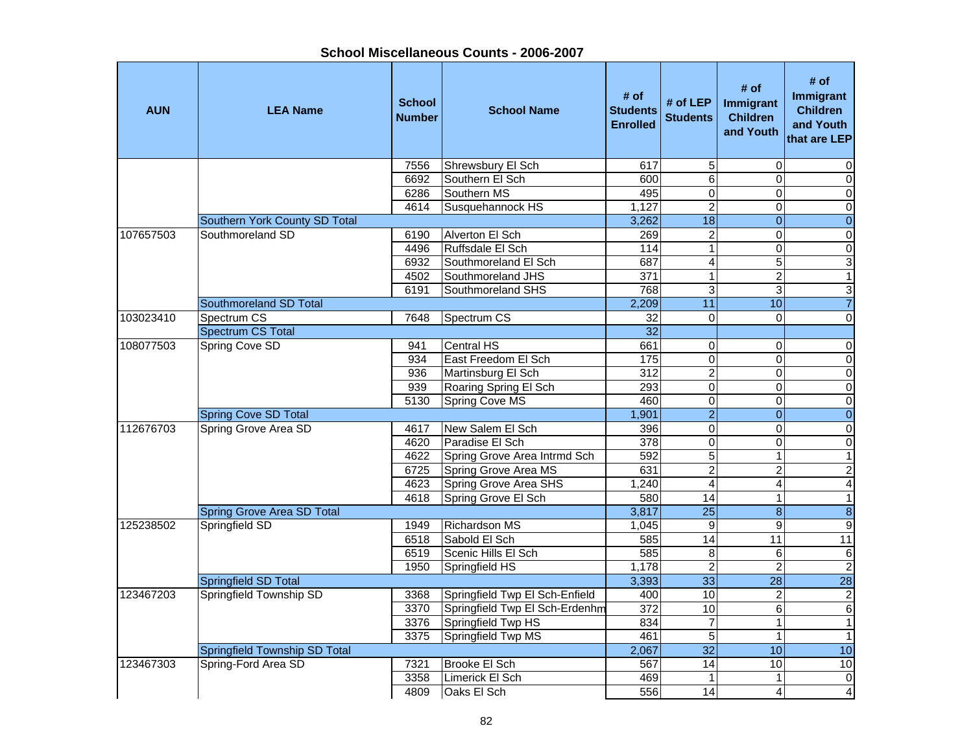| <b>AUN</b> | <b>LEA Name</b>               | <b>School</b><br><b>Number</b> | <b>School Name</b>             | # of<br><b>Students</b><br><b>Enrolled</b> | # of LEP<br><b>Students</b> | # of<br>Immigrant<br><b>Children</b><br>and Youth | # of<br><b>Immigrant</b><br><b>Children</b><br>and Youth<br>that are LEP |
|------------|-------------------------------|--------------------------------|--------------------------------|--------------------------------------------|-----------------------------|---------------------------------------------------|--------------------------------------------------------------------------|
|            |                               | 7556                           | Shrewsbury El Sch              | 617                                        | 5                           | $\Omega$                                          | 0                                                                        |
|            |                               | 6692                           | Southern El Sch                | 600                                        | 6                           | $\Omega$                                          | $\mathbf 0$                                                              |
|            |                               | 6286                           | Southern MS                    | 495                                        | $\mathbf 0$                 | $\Omega$                                          | $\pmb{0}$                                                                |
|            |                               | 4614                           | Susquehannock HS               | 1,127                                      | $\overline{2}$              | $\overline{0}$                                    | $\mathbf 0$                                                              |
|            | Southern York County SD Total |                                |                                | 3,262                                      | $\overline{18}$             | $\mathbf{0}$                                      | $\overline{0}$                                                           |
| 107657503  | Southmoreland SD              | 6190                           | Alverton El Sch                | 269                                        | $\overline{2}$              | $\Omega$                                          | $\overline{\mathsf{o}}$                                                  |
|            |                               | 4496                           | Ruffsdale El Sch               | 114                                        | $\overline{1}$              | 0                                                 | $\overline{0}$                                                           |
|            |                               | 6932                           | Southmoreland El Sch           | 687                                        | $\overline{\mathbf{4}}$     | 5                                                 | $\ensuremath{\mathsf{3}}$                                                |
|            |                               | 4502                           | Southmoreland JHS              | 371                                        | $\overline{1}$              | $\overline{c}$                                    | $\mathbf{1}$                                                             |
|            |                               | 6191                           | Southmoreland SHS              | 768                                        | 3                           | 3                                                 | $\ensuremath{\mathsf{3}}$                                                |
|            | Southmoreland SD Total        |                                |                                | 2,209                                      | 11                          | 10                                                | $\overline{7}$                                                           |
| 103023410  | Spectrum CS                   | 7648                           | Spectrum CS                    | 32                                         | $\mathbf 0$                 | $\Omega$                                          | $\overline{0}$                                                           |
|            | <b>Spectrum CS Total</b>      |                                |                                | $\overline{32}$                            |                             |                                                   |                                                                          |
| 108077503  | <b>Spring Cove SD</b>         | 941                            | Central HS                     | 661                                        | $\boldsymbol{0}$            | $\mathbf 0$                                       | $\pmb{0}$                                                                |
|            |                               | 934                            | East Freedom El Sch            | 175                                        | $\overline{0}$              | $\Omega$                                          | $\pmb{0}$                                                                |
|            |                               | 936                            | Martinsburg El Sch             | 312                                        | $\overline{2}$              | $\Omega$                                          | $\overline{0}$                                                           |
|            |                               | 939                            | Roaring Spring El Sch          | 293                                        | $\mathbf 0$                 | $\Omega$                                          | $\overline{\mathsf{o}}$                                                  |
|            |                               | 5130                           | Spring Cove MS                 | 460                                        | $\overline{0}$              | 0                                                 | $\overline{0}$                                                           |
|            | <b>Spring Cove SD Total</b>   |                                |                                | 1,901                                      | $\overline{2}$              | $\overline{0}$                                    | $\overline{0}$                                                           |
| 112676703  | Spring Grove Area SD          | 4617                           | New Salem El Sch               | 396                                        | $\overline{0}$              | $\mathbf 0$                                       | $\pmb{0}$                                                                |
|            |                               | 4620                           | Paradise El Sch                | 378                                        | $\mathbf 0$                 | 0                                                 | $\mathbf 0$                                                              |
|            |                               | 4622                           | Spring Grove Area Intrmd Sch   | 592                                        | 5                           | $\mathbf{1}$                                      | $\mathbf{1}$                                                             |
|            |                               | 6725                           | Spring Grove Area MS           | 631                                        | $\overline{2}$              | $\overline{c}$                                    | $\overline{c}$                                                           |
|            |                               | 4623                           | Spring Grove Area SHS          | 1,240                                      | $\overline{4}$              | 4                                                 | $\overline{4}$                                                           |
|            |                               | 4618                           | Spring Grove El Sch            | 580                                        | 14                          | $\mathbf{1}$                                      | $\overline{1}$                                                           |
|            | Spring Grove Area SD Total    |                                |                                | 3,817                                      | $\overline{25}$             | 8                                                 | $\overline{\mathbf{8}}$                                                  |
| 125238502  | Springfield SD                | 1949                           | <b>Richardson MS</b>           | 1,045                                      | $\overline{9}$              | $\overline{9}$                                    | $\overline{9}$                                                           |
|            |                               | 6518                           | Sabold El Sch                  | 585                                        | 14                          | 11                                                | 11                                                                       |
|            |                               | 6519                           | Scenic Hills El Sch            | 585                                        | 8                           | 6                                                 | $\,6$                                                                    |
|            |                               | 1950                           | Springfield HS                 | 1,178                                      | $\overline{c}$              | $\overline{c}$                                    | $\overline{2}$                                                           |
|            | Springfield SD Total          |                                |                                | 3,393                                      | 33                          | $\overline{28}$                                   | $\overline{28}$                                                          |
| 123467203  | Springfield Township SD       | 3368                           | Springfield Twp El Sch-Enfield | 400                                        | 10                          | $\overline{c}$                                    | $\sqrt{2}$                                                               |
|            |                               | 3370                           | Springfield Twp El Sch-Erdenhm | 372                                        | 10                          | 6                                                 | $\,6$                                                                    |
|            |                               | 3376                           | Springfield Twp HS             | 834                                        | $\overline{7}$              | $\mathbf{1}$                                      | $\mathbf{1}$                                                             |
|            |                               | 3375                           | Springfield Twp MS             | 461                                        | $\overline{5}$              | $\mathbf{1}$                                      | $\mathbf{1}$                                                             |
|            | Springfield Township SD Total |                                |                                | 2,067                                      | $\overline{32}$             | 10                                                | $\overline{10}$                                                          |
| 123467303  | Spring-Ford Area SD           | 7321                           | <b>Brooke El Sch</b>           | 567                                        | $\overline{14}$             | 10                                                | 10                                                                       |
|            |                               | 3358                           | Limerick El Sch                | 469                                        | $\mathbf{1}$                | $\mathbf{1}$                                      | $\boldsymbol{0}$                                                         |
|            |                               | 4809                           | Oaks El Sch                    | 556                                        | $\overline{14}$             | $\overline{4}$                                    | $\overline{4}$                                                           |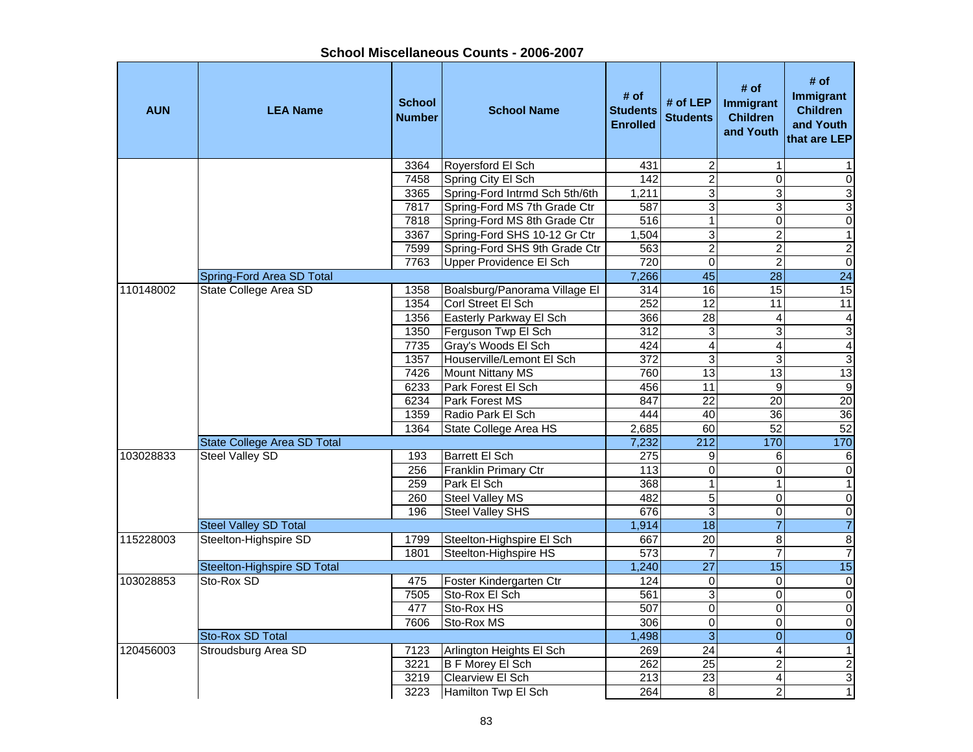| <b>AUN</b> | <b>LEA Name</b>              | <b>School</b><br><b>Number</b> | <b>School Name</b>             | # of<br><b>Students</b><br><b>Enrolled</b> | # of LEP<br><b>Students</b> | # of<br>Immigrant<br><b>Children</b><br>and Youth | # of<br>Immigrant<br><b>Children</b><br>and Youth<br>that are LEP |
|------------|------------------------------|--------------------------------|--------------------------------|--------------------------------------------|-----------------------------|---------------------------------------------------|-------------------------------------------------------------------|
|            |                              | 3364                           | Royersford El Sch              | 431                                        | $\overline{\mathbf{c}}$     |                                                   |                                                                   |
|            |                              | 7458                           | Spring City El Sch             | $\overline{142}$                           | $\overline{2}$              | 0                                                 | $\pmb{0}$                                                         |
|            |                              | 3365                           | Spring-Ford Intrmd Sch 5th/6th | 1,211                                      | $\overline{3}$              | 3                                                 | $\overline{3}$                                                    |
|            |                              | 7817                           | Spring-Ford MS 7th Grade Ctr   | 587                                        | 3                           | 3                                                 | 3                                                                 |
|            |                              | 7818                           | Spring-Ford MS 8th Grade Ctr   | 516                                        | $\mathbf 1$                 | 0                                                 | $\overline{0}$                                                    |
|            |                              | 3367                           | Spring-Ford SHS 10-12 Gr Ctr   | 1,504                                      | $\overline{3}$              | $\overline{\mathbf{c}}$                           | $\overline{1}$                                                    |
|            |                              | 7599                           | Spring-Ford SHS 9th Grade Ctr  | 563                                        | $\overline{2}$              | $\overline{2}$                                    | $\overline{2}$                                                    |
|            |                              | 7763                           | Upper Providence El Sch        | 720                                        | $\mathsf 0$                 | $\overline{c}$                                    | $\overline{0}$                                                    |
|            | Spring-Ford Area SD Total    |                                |                                | 7,266                                      | 45                          | 28                                                | $\overline{24}$                                                   |
| 110148002  | State College Area SD        | 1358                           | Boalsburg/Panorama Village El  | 314                                        | 16                          | 15                                                | 15                                                                |
|            |                              | 1354                           | Corl Street El Sch             | 252                                        | $\overline{12}$             | 11                                                | 11                                                                |
|            |                              | 1356                           | Easterly Parkway El Sch        | 366                                        | $\overline{28}$             | 4                                                 | 4                                                                 |
|            |                              | 1350                           | Ferguson Twp El Sch            | 312                                        | 3                           | 3                                                 | $\overline{3}$                                                    |
|            |                              | 7735                           | Gray's Woods El Sch            | 424                                        | 4                           | 4                                                 | $\overline{4}$                                                    |
|            |                              | 1357                           | Houserville/Lemont El Sch      | 372                                        | $\overline{3}$              | 3                                                 | $\overline{3}$                                                    |
|            |                              | 7426                           | <b>Mount Nittany MS</b>        | 760                                        | 13                          | $\overline{13}$                                   | 13                                                                |
|            |                              | 6233                           | Park Forest El Sch             | 456                                        | 11                          | $\overline{9}$                                    | $\overline{9}$                                                    |
|            |                              | 6234                           | Park Forest MS                 | 847                                        | $\overline{22}$             | $\overline{20}$                                   | $\overline{20}$                                                   |
|            |                              | 1359                           | Radio Park El Sch              | 444                                        | 40                          | 36                                                | 36                                                                |
|            |                              | 1364                           | State College Area HS          | 2,685                                      | 60                          | 52                                                | 52                                                                |
|            | State College Area SD Total  |                                |                                | 7,232                                      | 212                         | 170                                               | 170                                                               |
| 103028833  | Steel Valley SD              | 193                            | <b>Barrett El Sch</b>          | 275                                        | 9                           | 6                                                 | 6                                                                 |
|            |                              | 256                            | Franklin Primary Ctr           | 113                                        | $\mathsf 0$                 | 0                                                 | $\pmb{0}$                                                         |
|            |                              | 259                            | Park El Sch                    | 368                                        | $\mathbf 1$                 |                                                   | $\mathbf{1}$                                                      |
|            |                              | 260                            | Steel Valley MS                | 482                                        | $\overline{5}$              | 0                                                 | $\overline{0}$                                                    |
|            |                              | 196                            | <b>Steel Valley SHS</b>        | 676                                        | 3                           | 0                                                 | $\overline{0}$                                                    |
|            | <b>Steel Valley SD Total</b> |                                |                                | 1,914                                      | $\overline{18}$             | $\overline{7}$                                    | $\overline{7}$                                                    |
| 115228003  | Steelton-Highspire SD        | 1799                           | Steelton-Highspire El Sch      | 667                                        | 20                          | 8                                                 | $\overline{8}$                                                    |
|            |                              | 1801                           | Steelton-Highspire HS          | 573                                        | $\overline{7}$              | $\overline{7}$                                    | $\overline{7}$                                                    |
|            | Steelton-Highspire SD Total  |                                |                                | 1,240                                      | $\overline{27}$             | 15                                                | 15                                                                |
| 103028853  | Sto-Rox SD                   | 475                            | Foster Kindergarten Ctr        | 124                                        | 0                           | 0                                                 | $\overline{0}$                                                    |
|            |                              | 7505                           | Sto-Rox El Sch                 | 561                                        | ω                           | 0                                                 | $\overline{0}$                                                    |
|            |                              | 477                            | Sto-Rox HS                     | 507                                        | $\overline{0}$              | $\overline{0}$                                    | $\overline{0}$                                                    |
|            |                              | 7606                           | Sto-Rox MS                     | 306                                        | $\mathsf 0$                 | 0                                                 | $\mathbf 0$                                                       |
|            | Sto-Rox SD Total             |                                |                                | 1,498                                      | $\overline{\omega}$         | $\overline{0}$                                    | $\overline{0}$                                                    |
| 120456003  | Stroudsburg Area SD          | 7123                           | Arlington Heights El Sch       | 269                                        | 24                          | 4                                                 | $\mathbf{1}$                                                      |
|            |                              | 3221                           | <b>B F Morey El Sch</b>        | 262                                        | $\overline{25}$             | $\overline{\mathbf{c}}$                           | $\overline{2}$                                                    |
|            |                              | 3219                           | Clearview El Sch               | 213                                        | $\overline{23}$             | 4                                                 | $\overline{3}$                                                    |
|            |                              | 3223                           | Hamilton Twp El Sch            | 264                                        | 8                           | $\overline{a}$                                    | $\mathbf{1}$                                                      |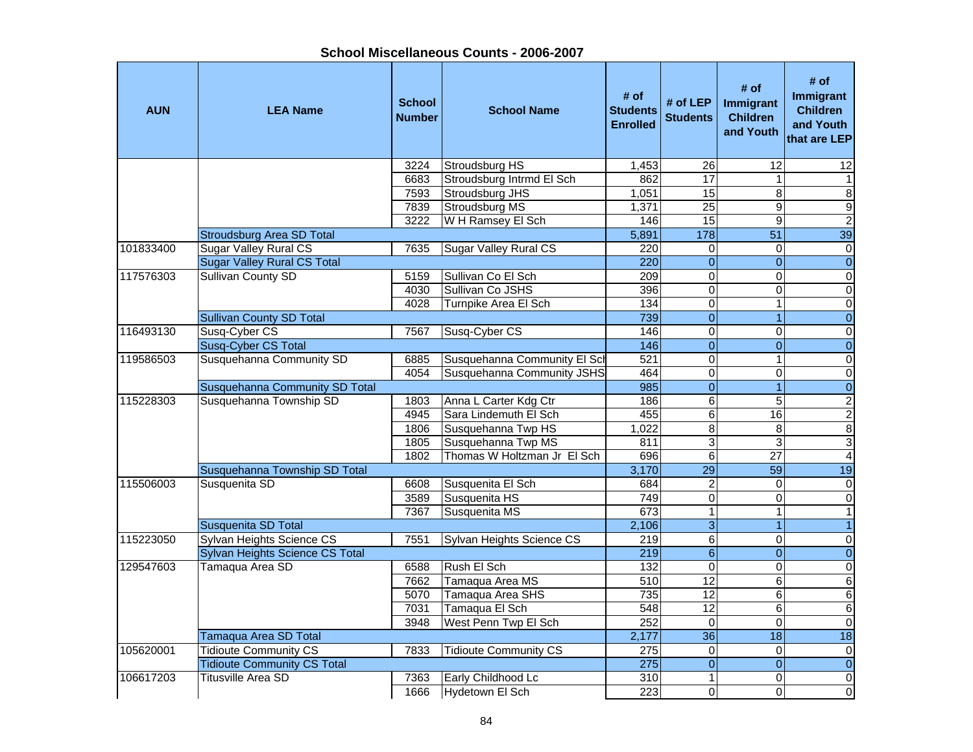| School Miscellaneous Counts - 2006-2007 |  |
|-----------------------------------------|--|
|-----------------------------------------|--|

| <b>AUN</b> | <b>LEA Name</b>                       | <b>School</b><br><b>Number</b> | <b>School Name</b>           | # of<br><b>Students</b><br><b>Enrolled</b> | # of LEP<br><b>Students</b> | # of<br>Immigrant<br><b>Children</b><br>and Youth | # of<br>Immigrant<br><b>Children</b><br>and Youth<br>that are LEP |
|------------|---------------------------------------|--------------------------------|------------------------------|--------------------------------------------|-----------------------------|---------------------------------------------------|-------------------------------------------------------------------|
|            |                                       | 3224                           | Stroudsburg HS               | 1,453                                      | 26                          | 12                                                | 12                                                                |
|            |                                       | 6683                           | Stroudsburg Intrmd El Sch    | 862                                        | $\overline{17}$             | $\mathbf{1}$                                      | $\mathbf{1}$                                                      |
|            |                                       | 7593                           | Stroudsburg JHS              | 1,051                                      | $\overline{15}$             | $\overline{8}$                                    | $\bf 8$                                                           |
|            |                                       | 7839                           | <b>Stroudsburg MS</b>        | 1,371                                      | $\overline{25}$             | 9                                                 | 9                                                                 |
|            |                                       | 3222                           | W H Ramsey El Sch            | 146                                        | 15                          | 9                                                 | $\overline{2}$                                                    |
|            | <b>Stroudsburg Area SD Total</b>      |                                |                              | 5,891                                      | 178                         | $\overline{51}$                                   | 39                                                                |
| 101833400  | <b>Sugar Valley Rural CS</b>          | 7635                           | <b>Sugar Valley Rural CS</b> | 220                                        | $\overline{0}$              | $\Omega$                                          | $\overline{\mathsf{o}}$                                           |
|            | <b>Sugar Valley Rural CS Total</b>    |                                |                              | 220                                        | $\mathbf{0}$                | $\mathbf{0}$                                      | $\overline{0}$                                                    |
| 117576303  | <b>Sullivan County SD</b>             | 5159                           | Sullivan Co El Sch           | $\overline{209}$                           | $\mathbf 0$                 | $\Omega$                                          | $\pmb{0}$                                                         |
|            |                                       | 4030                           | Sullivan Co JSHS             | 396                                        | $\mathbf 0$                 | 0                                                 | $\pmb{0}$                                                         |
|            |                                       | 4028                           | Turnpike Area El Sch         | 134                                        | $\pmb{0}$                   | $\mathbf{1}$                                      | $\overline{\mathsf{o}}$                                           |
|            | <b>Sullivan County SD Total</b>       |                                |                              | 739                                        | $\overline{0}$              | 1                                                 | $\overline{0}$                                                    |
| 116493130  | Susq-Cyber CS                         | 7567                           | Susq-Cyber CS                | 146                                        | $\mathsf 0$                 | $\Omega$                                          | $\pmb{0}$                                                         |
|            | Susq-Cyber CS Total                   |                                |                              | 146                                        | $\overline{0}$              | $\overline{\mathbf{0}}$                           | $\overline{0}$                                                    |
| 119586503  | Susquehanna Community SD              | 6885                           | Susquehanna Community El Sch | 521                                        | 0                           | $\mathbf{1}$                                      | $\pmb{0}$                                                         |
|            |                                       | 4054                           | Susquehanna Community JSHS   | 464                                        | $\overline{0}$              | $\Omega$                                          | $\overline{\mathsf{o}}$                                           |
|            | <b>Susquehanna Community SD Total</b> |                                |                              | 985                                        | $\overline{0}$              | 1                                                 | $\overline{0}$                                                    |
| 115228303  | Susquehanna Township SD               | 1803                           | Anna L Carter Kdg Ctr        | 186                                        | $\overline{6}$              | $\overline{5}$                                    | $\overline{2}$                                                    |
|            |                                       | 4945                           | Sara Lindemuth El Sch        | 455                                        | $\overline{6}$              | 16                                                | $\overline{2}$                                                    |
|            |                                       | 1806                           | Susquehanna Twp HS           | 1,022                                      | $\overline{8}$              | 8                                                 | 8                                                                 |
|            |                                       | 1805                           | Susquehanna Twp MS           | 811                                        | $\overline{3}$              | 3                                                 | ω                                                                 |
|            |                                       | 1802                           | Thomas W Holtzman Jr El Sch  | 696                                        | $\,6$                       | 27                                                | $\overline{\mathbf{4}}$                                           |
|            | Susquehanna Township SD Total         |                                |                              | 3,170                                      | $\overline{29}$             | 59                                                | 19                                                                |
| 115506003  | Susquenita SD                         | 6608                           | Susquenita El Sch            | 684                                        | $\boldsymbol{2}$            | $\Omega$                                          | $\mathbf 0$                                                       |
|            |                                       | 3589                           | Susquenita HS                | 749                                        | $\mathbf 0$                 | $\overline{0}$                                    | $\pmb{0}$                                                         |
|            |                                       | 7367                           | Susquenita MS                | 673                                        | $\overline{1}$              | $\mathbf{1}$                                      | $\overline{1}$                                                    |
|            | Susquenita SD Total                   |                                |                              | 2,106                                      | $\overline{3}$              | 1                                                 | $\mathbf{1}$                                                      |
| 115223050  | Sylvan Heights Science CS             | 7551                           | Sylvan Heights Science CS    | $\overline{219}$                           | $\overline{6}$              | $\pmb{0}$                                         | $\overline{0}$                                                    |
|            | Sylvan Heights Science CS Total       |                                |                              | 219                                        | $\overline{6}$              | $\overline{0}$                                    | $\overline{0}$                                                    |
| 129547603  | Tamaqua Area SD                       | 6588                           | Rush El Sch                  | 132                                        | $\pmb{0}$                   | $\Omega$                                          | $\overline{0}$                                                    |
|            |                                       | 7662                           | Tamaqua Area MS              | 510                                        | 12                          | 6                                                 | $\overline{6}$                                                    |
|            |                                       | 5070                           | Tamaqua Area SHS             | 735                                        | $\overline{12}$             | 6                                                 | $6 \overline{}$                                                   |
|            |                                       | 7031                           | Tamaqua El Sch               | 548                                        | 12                          | 6                                                 | $\overline{6}$                                                    |
|            |                                       | 3948                           | West Penn Twp El Sch         | 252                                        | $\overline{0}$              | $\Omega$                                          | $\pmb{0}$                                                         |
|            | Tamaqua Area SD Total                 |                                |                              | 2,177                                      | $\overline{36}$             | $\overline{18}$                                   | $\overline{18}$                                                   |
| 105620001  | <b>Tidioute Community CS</b>          | 7833                           | <b>Tidioute Community CS</b> | 275                                        | $\pmb{0}$                   | $\mathbf 0$                                       | $\pmb{0}$                                                         |
|            | <b>Tidioute Community CS Total</b>    |                                |                              | 275                                        | $\overline{0}$              | $\overline{0}$                                    | $\overline{0}$                                                    |
| 106617203  | <b>Titusville Area SD</b>             | 7363                           | Early Childhood Lc           | 310                                        | $\mathbf{1}$                | $\mathbf 0$                                       | $\pmb{0}$                                                         |
|            |                                       | 1666                           | Hydetown El Sch              | $\overline{223}$                           | $\overline{\mathsf{o}}$     | $\Omega$                                          | $\overline{\mathsf{o}}$                                           |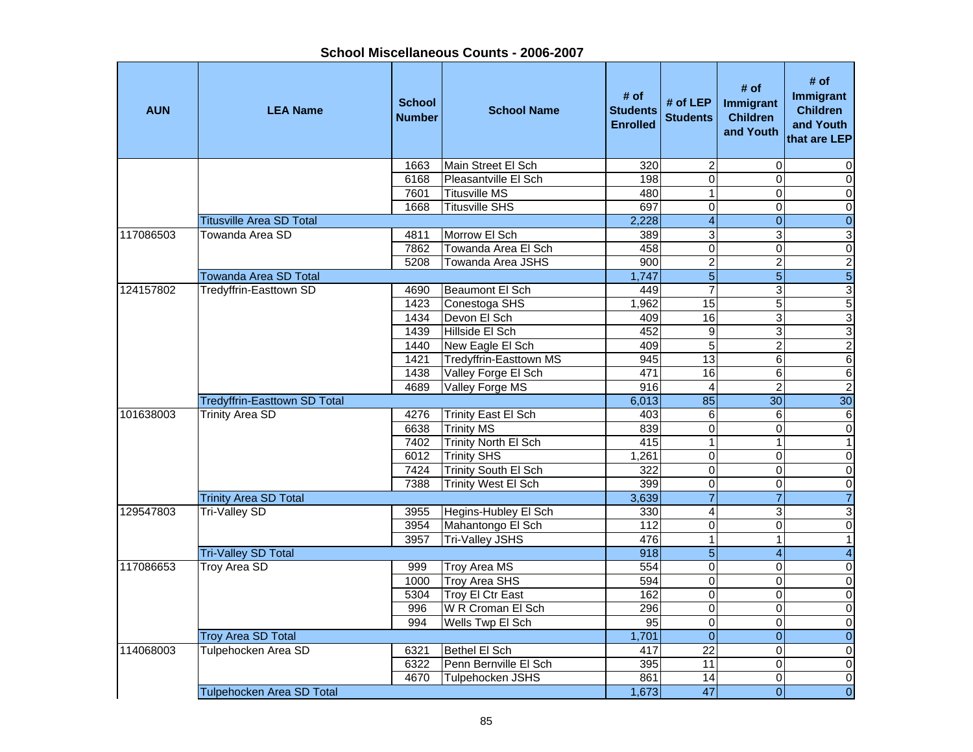| School Miscellaneous Counts - 2006-2007 |  |
|-----------------------------------------|--|
|-----------------------------------------|--|

| <b>AUN</b> | <b>LEA Name</b>                     | <b>School</b><br><b>Number</b> | <b>School Name</b>          | # of<br><b>Students</b><br><b>Enrolled</b> | # of LEP<br><b>Students</b> | # of<br>Immigrant<br><b>Children</b><br>and Youth | # of<br><b>Immigrant</b><br><b>Children</b><br>and Youth<br>that are LEP |
|------------|-------------------------------------|--------------------------------|-----------------------------|--------------------------------------------|-----------------------------|---------------------------------------------------|--------------------------------------------------------------------------|
|            |                                     | 1663                           | Main Street El Sch          | 320                                        | $\overline{2}$              | $\Omega$                                          | $\mathbf 0$                                                              |
|            |                                     | 6168                           | Pleasantville El Sch        | 198                                        | $\overline{0}$              | $\Omega$                                          | $\overline{\mathsf{o}}$                                                  |
|            |                                     | 7601                           | <b>Titusville MS</b>        | 480                                        | $\overline{1}$              | $\overline{\mathsf{o}}$                           | $\overline{\mathsf{o}}$                                                  |
|            |                                     | 1668                           | <b>Titusville SHS</b>       | 697                                        | $\overline{0}$              | 0                                                 | $\overline{\mathsf{o}}$                                                  |
|            | <b>Titusville Area SD Total</b>     |                                |                             | 2,228                                      | $\overline{4}$              | $\mathbf{0}$                                      | $\overline{0}$                                                           |
| 117086503  | Towanda Area SD                     | 4811                           | Morrow El Sch               | 389                                        | 3                           | 3                                                 | $\overline{3}$                                                           |
|            |                                     | 7862                           | Towanda Area El Sch         | 458                                        | $\overline{0}$              | 0                                                 | $\pmb{0}$                                                                |
|            |                                     | 5208                           | Towanda Area JSHS           | 900                                        | $\overline{c}$              | $\overline{c}$                                    | $\overline{\mathbf{c}}$                                                  |
|            | <b>Towanda Area SD Total</b>        |                                |                             | 1,747                                      | $\overline{5}$              | $\overline{5}$                                    | $\overline{5}$                                                           |
| 124157802  | Tredyffrin-Easttown SD              | 4690                           | Beaumont El Sch             | 449                                        | $\overline{7}$              | 3                                                 | 3                                                                        |
|            |                                     | 1423                           | Conestoga SHS               | 1,962                                      | 15                          | 5                                                 | $\overline{5}$                                                           |
|            |                                     | 1434                           | Devon El Sch                | 409                                        | 16                          | 3                                                 | 3                                                                        |
|            |                                     | 1439                           | Hillside El Sch             | 452                                        | $\boldsymbol{9}$            | 3                                                 | $\overline{3}$                                                           |
|            |                                     | 1440                           | New Eagle El Sch            | 409                                        | $\overline{5}$              | $\overline{2}$                                    | $\overline{2}$                                                           |
|            |                                     | 1421                           | Tredyffrin-Easttown MS      | 945                                        | 13                          | $\overline{6}$                                    | $6 \overline{}$                                                          |
|            |                                     | 1438                           | Valley Forge El Sch         | 471                                        | 16                          | 6                                                 | $\overline{6}$                                                           |
|            |                                     | 4689                           | Valley Forge MS             | 916                                        | $\overline{4}$              | $\overline{2}$                                    | $\overline{2}$                                                           |
|            | <b>Tredyffrin-Easttown SD Total</b> |                                |                             | 6,013                                      | 85                          | 30                                                | $\overline{30}$                                                          |
| 101638003  | <b>Trinity Area SD</b>              | 4276                           | <b>Trinity East El Sch</b>  | 403                                        | 6                           | 6                                                 | $\,6$                                                                    |
|            |                                     | 6638                           | <b>Trinity MS</b>           | 839                                        | $\overline{0}$              | 0                                                 | $\pmb{0}$                                                                |
|            |                                     | 7402                           | <b>Trinity North El Sch</b> | 415                                        | $\mathbf{1}$                | $\mathbf{1}$                                      | $\mathbf{1}$                                                             |
|            |                                     | 6012                           | <b>Trinity SHS</b>          | 1,261                                      | $\mathbf 0$                 | $\pmb{0}$                                         | $\pmb{0}$                                                                |
|            |                                     | 7424                           | Trinity South El Sch        | 322                                        | $\mathbf 0$                 | $\Omega$                                          | $\mathbf 0$                                                              |
|            |                                     | 7388                           | Trinity West El Sch         | 399                                        | $\mathbf 0$                 | $\Omega$                                          | $\pmb{0}$                                                                |
|            | <b>Trinity Area SD Total</b>        |                                |                             | 3,639                                      | $\overline{7}$              | $\overline{7}$                                    | $\overline{7}$                                                           |
| 129547803  | <b>Tri-Valley SD</b>                | 3955                           | Hegins-Hubley El Sch        | 330                                        | $\overline{4}$              | 3                                                 | $\overline{3}$                                                           |
|            |                                     | 3954                           | Mahantongo El Sch           | 112                                        | $\overline{0}$              | $\Omega$                                          | $\overline{0}$                                                           |
|            |                                     | 3957                           | <b>Tri-Valley JSHS</b>      | 476                                        | $\overline{1}$              | 1                                                 | $\overline{1}$                                                           |
|            | <b>Tri-Valley SD Total</b>          |                                |                             | 918                                        | $\overline{5}$              | $\overline{4}$                                    | $\overline{4}$                                                           |
| 117086653  | <b>Troy Area SD</b>                 | 999                            | <b>Troy Area MS</b>         | 554                                        | $\overline{0}$              | $\mathbf 0$                                       | $\overline{\mathsf{o}}$                                                  |
|            |                                     | 1000                           | <b>Troy Area SHS</b>        | 594                                        | $\overline{0}$              | $\mathbf 0$                                       | $\overline{\mathsf{o}}$                                                  |
|            |                                     | 5304                           | Troy El Ctr East            | 162                                        | $\overline{0}$              | 0                                                 | $\overline{\mathsf{o}}$                                                  |
|            |                                     | 996                            | W R Croman El Sch           | 296                                        | $\mathbf 0$                 | $\mathbf 0$                                       | $\overline{\mathsf{o}}$                                                  |
|            |                                     | 994                            | Wells Twp El Sch            | $\overline{95}$                            | $\mathbf 0$                 | 0                                                 | $\mathbf 0$                                                              |
|            | <b>Troy Area SD Total</b>           |                                |                             | 1,701                                      | $\overline{0}$              | $\mathbf{0}$                                      | $\boldsymbol{0}$                                                         |
| 114068003  | Tulpehocken Area SD                 | 6321                           | Bethel El Sch               | 417                                        | $\overline{22}$             | $\Omega$                                          | $\pmb{0}$                                                                |
|            |                                     | 6322                           | Penn Bernville El Sch       | 395                                        | 11                          | $\Omega$                                          | $\overline{\mathsf{o}}$                                                  |
|            |                                     | 4670                           | Tulpehocken JSHS            | 861                                        | 14                          | $\Omega$                                          | $\mathbf 0$                                                              |
|            | Tulpehocken Area SD Total           |                                |                             | 1,673                                      | $\overline{47}$             | $\Omega$                                          | $\overline{0}$                                                           |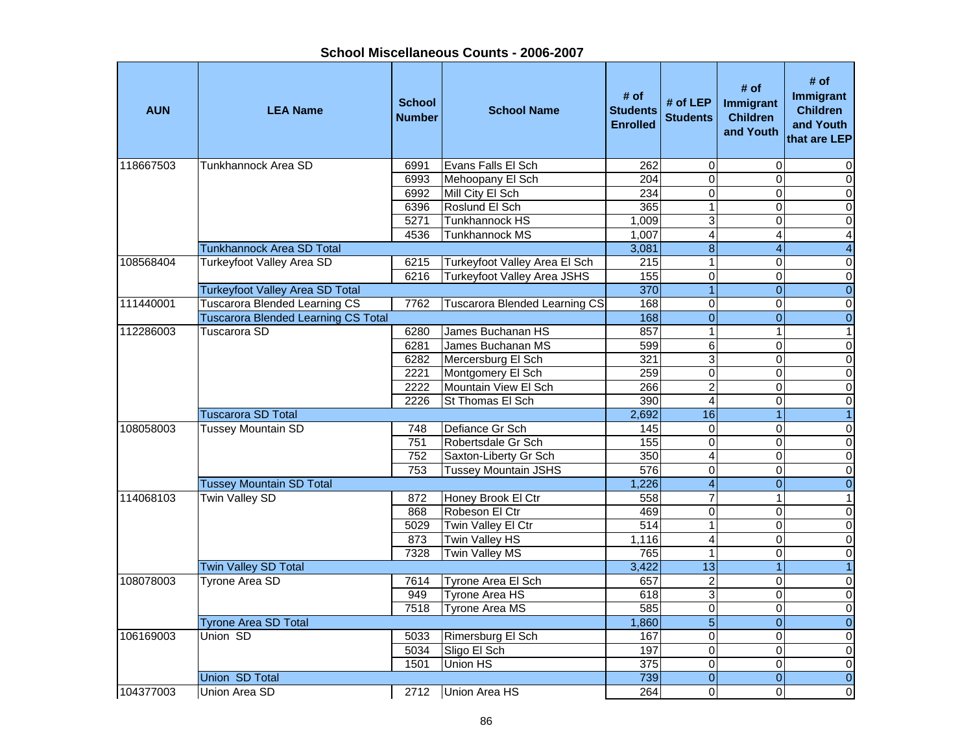**AUN LEA Name School NumberI**<br> **School Name** Students<br> **Enrolled # of LEP** # of # of # of **#** of **Immigrant**<br>d Students Children and Youth # of<br> **Immigrant**<br>
Children<br>
Children<br>
and Youth<br>
that are LEP 118667503 Tunkhannock Area SD 6991 Evans Falls El Sch 262 0 0 06993 Mehoopany El Sch 204 0 0 0 6992 Mill City El Sch 234 0 0 0 6396 Roslund El Sch 365 1 0 05271 Tunkhannock HS 1,009 3 0 0 0 4536 Tunkhannock MS 1.007 4 4 4 4 Tunkhannock Area SD Total 3,081 8 4 4 108568404 Turkeyfoot Valley Area SD 6215 Turkeyfoot Valley Area El Sch 215 1 0 0 6216 Turkeyfoot Valley Area JSHS 155 0 0 0 0 0 Turkeyfoot Valley Area SD Total 370 1 0 0 111440001 Tuscarora Blended Learning CS 7762 Tuscarora Blended Learning CS 168 0 0 0 Tuscarora Blended Learning CS Total 168 0 0 0 112286003 Tuscarora SD 6280 James Buchanan HS 857 1 1 16281 James Buchanan MS 599 6 0 0 0 6282 Mercersburg El Sch 321 3 0 0 2221 Montgomery El Sch 259 0 0 0 2222 Mountain View El Sch 266 2 0 0 0 0 2226 St Thomas El Sch 390 4 0 0 0 Tuscarora SD Total 2,692 16 1 1 108058003 Tussey Mountain SD 748 Defiance Gr Sch 145 0 0 0 0 0 751 Robertsdale Gr Sch 155 0 0 0 0 0 752 Saxton-Liberty Gr Sch 1 350 4 0 0 0 753 Tussey Mountain JSHS 576 0 0 0 Tussey Mountain SD Total 1,226 4 0 0 114068103 Twin Valley SD 872 Honey Brook El Ctr 558 7 1 1 1 868 Robeson El Ctr 469 0 0 0 $\overline{0}$ 5029 Twin Valley El Ctr  $\begin{array}{ccc} | & 514 & 1 & 0 \\ \end{array}$ 873 Twin Valley HS 1,116 4 0 0 0 7328 Twin Valley MS 765 1 0 0 Twin Valley SD Total 3,422 13 1 1 108078003 Tyrone Area SD 7614 Tyrone Area El Sch 657 2 0 0 949 Tyrone Area HS 618 3 0 0 0 7518 Tyrone Area MS 585 0 0 0 Tyrone Area SD Total 2008 Contract the Contract of Contract of Contract of Contract of Contract of Contract of Contract of Contract of Contract of Contract of Contract of Contract of Contract of Contract of Contract of Con 106169003 Union SD 5033 Rimersburg El Sch 167 0 0 0 5034 Sligo El Sch 197 0 0 0 1501 Union HS 375 0 Union SD Total 739 0 0 0104377003 Union Area SD 2712 Union Area HS 264 0 0 0 0 0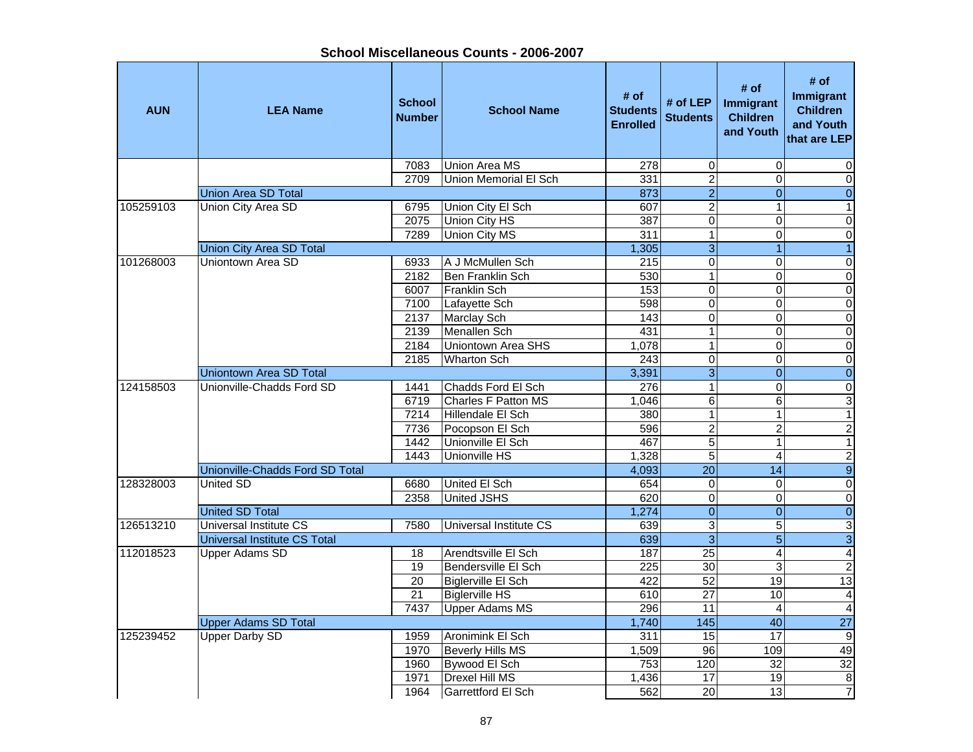| <b>AUN</b> | <b>LEA Name</b>                     | <b>School</b><br><b>Number</b> | <b>School Name</b>           | # of<br><b>Students</b><br><b>Enrolled</b> | # of $LEP$<br><b>Students</b> | # of<br>Immigrant<br><b>Children</b><br>and Youth | # of<br><b>Immigrant</b><br><b>Children</b><br>and Youth<br>that are LEP |
|------------|-------------------------------------|--------------------------------|------------------------------|--------------------------------------------|-------------------------------|---------------------------------------------------|--------------------------------------------------------------------------|
|            |                                     | 7083                           | Union Area MS                | $\overline{278}$                           | $\boldsymbol{0}$              | $\mathbf 0$                                       | 0                                                                        |
|            |                                     | 2709                           | <b>Union Memorial El Sch</b> | 331                                        | $\overline{2}$                | $\Omega$                                          | $\pmb{0}$                                                                |
|            | <b>Union Area SD Total</b>          |                                |                              | 873                                        | $\overline{2}$                | $\overline{0}$                                    | $\boldsymbol{0}$                                                         |
| 105259103  | Union City Area SD                  | 6795                           | Union City El Sch            | 607                                        | $\overline{2}$                | $\mathbf{1}$                                      | $\mathbf{1}$                                                             |
|            |                                     | 2075                           | Union City HS                | 387                                        | $\mathbf 0$                   | $\Omega$                                          | $\pmb{0}$                                                                |
|            |                                     | 7289                           | Union City MS                | 311                                        | $\overline{1}$                | $\Omega$                                          | $\overline{0}$                                                           |
|            | <b>Union City Area SD Total</b>     |                                |                              | 1,305                                      | $\overline{3}$                | 1                                                 | $\overline{1}$                                                           |
| 101268003  | Uniontown Area SD                   | 6933                           | A J McMullen Sch             | 215                                        | $\mathbf 0$                   | $\Omega$                                          | $\overline{\mathsf{o}}$                                                  |
|            |                                     | 2182                           | Ben Franklin Sch             | 530                                        | $\overline{1}$                | $\overline{0}$                                    | $\overline{\mathsf{o}}$                                                  |
|            |                                     | 6007                           | Franklin Sch                 | 153                                        | $\pmb{0}$                     | 0                                                 | $\pmb{0}$                                                                |
|            |                                     | 7100                           | Lafayette Sch                | 598                                        | $\overline{\mathsf{o}}$       | $\mathbf 0$                                       | $\overline{\mathsf{o}}$                                                  |
|            |                                     | 2137                           | <b>Marclay Sch</b>           | 143                                        | $\overline{0}$                | $\Omega$                                          | $\overline{\mathsf{o}}$                                                  |
|            |                                     | 2139                           | Menallen Sch                 | 431                                        | $\overline{1}$                | $\Omega$                                          | $\overline{\mathsf{o}}$                                                  |
|            |                                     | 2184                           | Uniontown Area SHS           | 1,078                                      | $\mathbf 1$                   | $\Omega$                                          | $\overline{\mathsf{o}}$                                                  |
|            |                                     | 2185                           | <b>Wharton Sch</b>           | 243                                        | $\overline{0}$                | $\Omega$                                          | $\pmb{0}$                                                                |
|            | <b>Uniontown Area SD Total</b>      |                                |                              | 3,391                                      | $\overline{3}$                | $\overline{0}$                                    | $\pmb{0}$                                                                |
| 124158503  | Unionville-Chadds Ford SD           | 1441                           | Chadds Ford El Sch           | 276                                        | $\overline{1}$                | $\Omega$                                          | $\overline{0}$                                                           |
|            |                                     | 6719                           | Charles F Patton MS          | 1,046                                      | $\overline{6}$                | $\overline{6}$                                    | 3                                                                        |
|            |                                     | 7214                           | Hillendale El Sch            | 380                                        | $\overline{1}$                | $\mathbf{1}$                                      | $\overline{1}$                                                           |
|            |                                     | 7736                           | Pocopson El Sch              | 596                                        | $\overline{2}$                | $\overline{2}$                                    | $\overline{2}$                                                           |
|            |                                     | 1442                           | Unionville El Sch            | 467                                        | $\overline{5}$                | $\mathbf{1}$                                      | $\overline{1}$                                                           |
|            |                                     | 1443                           | Unionville HS                | 1,328                                      | $\overline{5}$                | $\overline{4}$                                    | $\overline{2}$                                                           |
|            | Unionville-Chadds Ford SD Total     |                                |                              | 4,093                                      | $\overline{20}$               | 14                                                | $\overline{9}$                                                           |
| 128328003  | <b>United SD</b>                    | 6680                           | United El Sch                | 654                                        | $\mathbf 0$                   | $\Omega$                                          | $\pmb{0}$                                                                |
|            |                                     | 2358                           | United JSHS                  | 620                                        | $\overline{0}$                | $\Omega$                                          | $\overline{\mathsf{o}}$                                                  |
|            | <b>United SD Total</b>              |                                |                              | 1,274                                      | $\overline{0}$                | $\Omega$                                          | $\overline{0}$                                                           |
| 126513210  | <b>Universal Institute CS</b>       | 7580                           | Universal Institute CS       | 639                                        | 3                             | 5                                                 | $\ensuremath{\mathsf{3}}$                                                |
|            | <b>Universal Institute CS Total</b> |                                |                              | 639                                        | $\overline{3}$                | $\overline{5}$                                    | $\overline{3}$                                                           |
| 112018523  | <b>Upper Adams SD</b>               | 18                             | Arendtsville El Sch          | 187                                        | $\overline{25}$               | 4                                                 | $\overline{\mathbf{A}}$                                                  |
|            |                                     | 19                             | Bendersville El Sch          | 225                                        | 30                            | ω                                                 | $\overline{2}$                                                           |
|            |                                     | 20                             | Biglerville El Sch           | 422                                        | 52                            | 19                                                | 13                                                                       |
|            |                                     | 21                             | <b>Biglerville HS</b>        | 610                                        | $\overline{27}$               | 10                                                | $\overline{4}$                                                           |
|            |                                     | 7437                           | <b>Upper Adams MS</b>        | 296                                        | $\overline{11}$               | $\overline{4}$                                    | $\overline{4}$                                                           |
|            | <b>Upper Adams SD Total</b>         |                                |                              | 1,740                                      | $\frac{145}{145}$             | 40                                                | 27                                                                       |
| 125239452  | <b>Upper Darby SD</b>               | 1959                           | Aronimink El Sch             | 311                                        | 15                            | 17                                                | $\boldsymbol{9}$                                                         |
|            |                                     | 1970                           | Beverly Hills MS             | 1,509                                      | 96                            | 109                                               | 49                                                                       |
|            |                                     | 1960                           | Bywood El Sch                | 753                                        | 120                           | $\overline{32}$                                   | $\overline{32}$                                                          |
|            |                                     | 1971                           | <b>Drexel Hill MS</b>        | 1,436                                      | 17                            | 19                                                | $\bf 8$                                                                  |
|            |                                     | 1964                           | Garrettford El Sch           | 562                                        | $\overline{20}$               | 13                                                | 7                                                                        |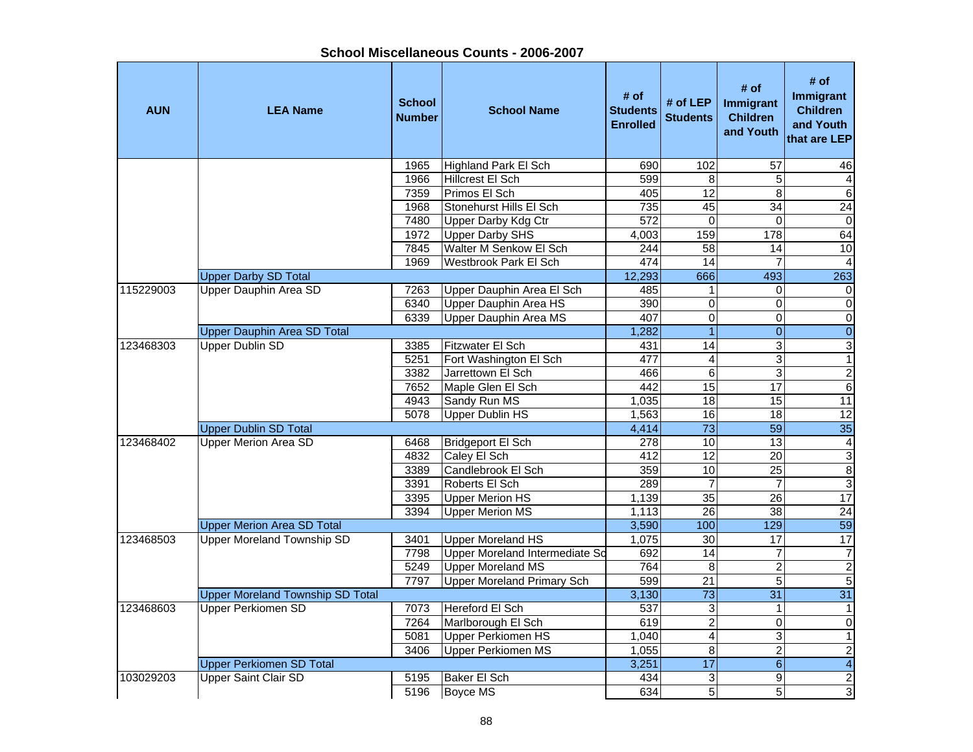| <b>AUN</b> | <b>LEA Name</b>                         | <b>School</b><br><b>Number</b> | <b>School Name</b>                | # of<br><b>Students</b><br><b>Enrolled</b> | # of $LEP$<br><b>Students</b> | # of<br>Immigrant<br><b>Children</b><br>and Youth | # of<br><b>Immigrant</b><br><b>Children</b><br>and Youth<br>that are LEP |
|------------|-----------------------------------------|--------------------------------|-----------------------------------|--------------------------------------------|-------------------------------|---------------------------------------------------|--------------------------------------------------------------------------|
|            |                                         | 1965                           | <b>Highland Park El Sch</b>       | 690                                        | 102                           | 57                                                | 46                                                                       |
|            |                                         | 1966                           | Hillcrest El Sch                  | 599                                        | 8                             | $\sqrt{5}$                                        | 4                                                                        |
|            |                                         | 7359                           | Primos El Sch                     | 405                                        | 12                            | $\infty$                                          | $6 \overline{}$                                                          |
|            |                                         | 1968                           | Stonehurst Hills El Sch           | 735                                        | 45                            | $\overline{34}$                                   | $\overline{24}$                                                          |
|            |                                         | 7480                           | <b>Upper Darby Kdg Ctr</b>        | 572                                        | $\mathbf 0$                   | $\Omega$                                          | $\mathbf 0$                                                              |
|            |                                         | 1972                           | <b>Upper Darby SHS</b>            | 4,003                                      | 159                           | 178                                               | 64                                                                       |
|            |                                         | 7845                           | <b>Walter M Senkow El Sch</b>     | 244                                        | $\overline{58}$               | 14                                                | 10                                                                       |
|            |                                         | 1969                           | <b>Westbrook Park El Sch</b>      | 474                                        | 14                            | 7                                                 | $\overline{4}$                                                           |
|            | <b>Upper Darby SD Total</b>             |                                |                                   | 12,293                                     | 666                           | 493                                               | 263                                                                      |
| 115229003  | Upper Dauphin Area SD                   | 7263                           | Upper Dauphin Area El Sch         | 485                                        | $\mathbf{1}$                  | $\Omega$                                          | $\mathbf 0$                                                              |
|            |                                         | 6340                           | Upper Dauphin Area HS             | 390                                        | $\mathbf 0$                   | $\pmb{0}$                                         | $\overline{\mathsf{o}}$                                                  |
|            |                                         | 6339                           | <b>Upper Dauphin Area MS</b>      | 407                                        | $\overline{0}$                | $\mathbf 0$                                       | $\overline{0}$                                                           |
|            | <b>Upper Dauphin Area SD Total</b>      |                                |                                   | 1,282                                      | $\overline{1}$                | $\mathbf{0}$                                      | $\overline{0}$                                                           |
| 123468303  | <b>Upper Dublin SD</b>                  | 3385                           | <b>Fitzwater El Sch</b>           | 431                                        | 14                            | ω                                                 | ω                                                                        |
|            |                                         | 5251                           | Fort Washington El Sch            | 477                                        | $\overline{4}$                | 3                                                 | $\mathbf{1}$                                                             |
|            |                                         | 3382                           | Jarrettown El Sch                 | 466                                        | $\,6$                         | 3                                                 | $\overline{2}$                                                           |
|            |                                         | 7652                           | Maple Glen El Sch                 | 442                                        | 15                            | $\overline{17}$                                   | $\Theta$                                                                 |
|            |                                         | 4943                           | Sandy Run MS                      | 1.035                                      | $\overline{18}$               | $\overline{15}$                                   | $\overline{11}$                                                          |
|            |                                         | 5078                           | <b>Upper Dublin HS</b>            | 1,563                                      | 16                            | 18                                                | 12                                                                       |
|            | <b>Upper Dublin SD Total</b>            |                                |                                   | 4,414                                      | $\overline{73}$               | 59                                                | 35                                                                       |
| 123468402  | <b>Upper Merion Area SD</b>             | 6468                           | Bridgeport El Sch                 | 278                                        | 10                            | 13                                                | $\overline{\mathbf{4}}$                                                  |
|            |                                         | 4832                           | Caley El Sch                      | 412                                        | $\overline{12}$               | 20                                                | ω                                                                        |
|            |                                         | 3389                           | Candlebrook El Sch                | 359                                        | 10                            | $\overline{25}$                                   | $\infty$                                                                 |
|            |                                         | 3391                           | Roberts El Sch                    | 289                                        | $\overline{7}$                | $\overline{7}$                                    | $\overline{3}$                                                           |
|            |                                         | 3395                           | <b>Upper Merion HS</b>            | 1,139                                      | 35                            | 26                                                | 17                                                                       |
|            |                                         | 3394                           | <b>Upper Merion MS</b>            | 1,113                                      | 26                            | $\overline{38}$                                   | $\overline{24}$                                                          |
|            | <b>Upper Merion Area SD Total</b>       |                                |                                   | 3,590                                      | 100                           | 129                                               | 59                                                                       |
| 123468503  | <b>Upper Moreland Township SD</b>       | 3401                           | <b>Upper Moreland HS</b>          | 1,075                                      | $\overline{30}$               | 17                                                | 17                                                                       |
|            |                                         | 7798                           | Upper Moreland Intermediate So    | 692                                        | $\overline{14}$               | $\overline{7}$                                    | $\boldsymbol{7}$                                                         |
|            |                                         | 5249                           | <b>Upper Moreland MS</b>          | 764                                        | 8                             | $\overline{c}$                                    | $\sqrt{2}$                                                               |
|            |                                         | 7797                           | <b>Upper Moreland Primary Sch</b> | 599                                        | $\overline{21}$               | $\overline{5}$                                    | $\overline{5}$                                                           |
|            | <b>Upper Moreland Township SD Total</b> |                                |                                   | 3,130                                      | $\overline{73}$               | 31                                                | $\overline{31}$                                                          |
| 123468603  | <b>Upper Perkiomen SD</b>               | 7073                           | Hereford El Sch                   | 537                                        | 3                             | $\mathbf{1}$                                      | $\mathbf{1}$                                                             |
|            |                                         | 7264                           | Marlborough El Sch                | 619                                        | $\overline{2}$                | $\mathbf 0$                                       | $\overline{\mathsf{o}}$                                                  |
|            |                                         | 5081                           | <b>Upper Perkiomen HS</b>         | 1,040                                      | $\overline{\mathbf{4}}$       | 3                                                 | $\mathbf{1}$                                                             |
|            |                                         | 3406                           | Upper Perkiomen MS                | 1,055                                      | 8                             | $\overline{c}$                                    | $\overline{2}$                                                           |
|            | <b>Upper Perkiomen SD Total</b>         |                                |                                   | 3,251                                      | 17                            | $6\phantom{a}$                                    | $\overline{4}$                                                           |
| 103029203  | <b>Upper Saint Clair SD</b>             | 5195                           | <b>Baker El Sch</b>               | 434                                        | 3                             | 9                                                 | $\overline{c}$                                                           |
|            |                                         | 5196                           | Boyce MS                          | 634                                        | 5                             | 5                                                 | 3                                                                        |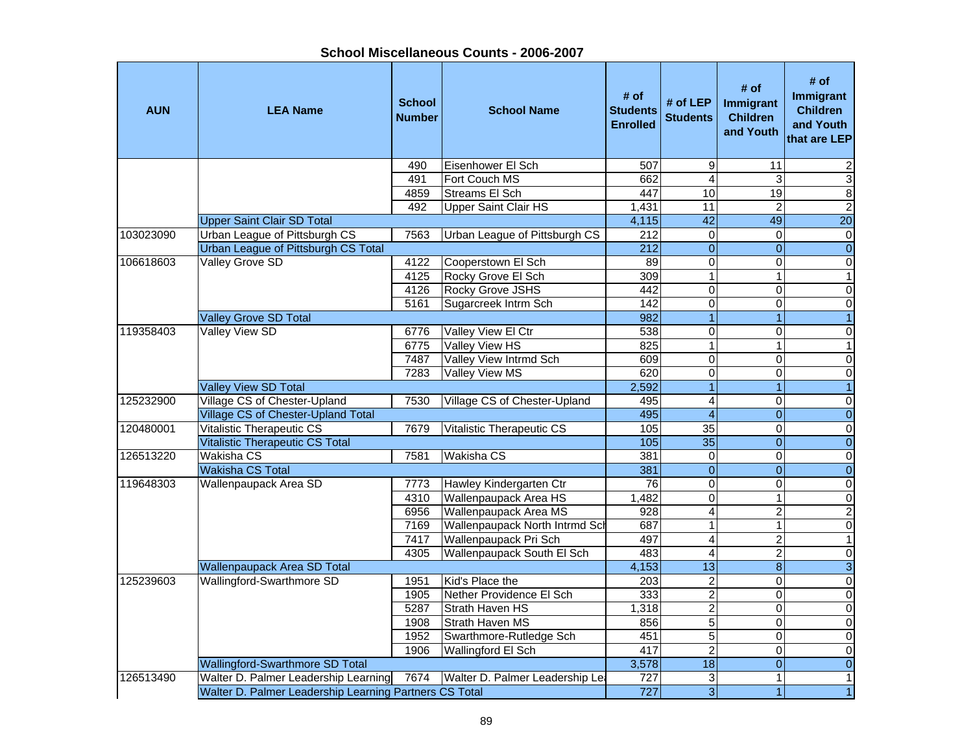| School Miscellaneous Counts - 2006-2007 |  |
|-----------------------------------------|--|
|-----------------------------------------|--|

| <b>AUN</b> | <b>LEA Name</b>                                        | <b>School</b><br><b>Number</b> | <b>School Name</b>              | # of<br><b>Students</b><br><b>Enrolled</b> | # of LEP<br><b>Students</b> | # of<br>Immigrant<br><b>Children</b><br>and Youth | # of<br>Immigrant<br><b>Children</b><br>and Youth<br>that are LEP |
|------------|--------------------------------------------------------|--------------------------------|---------------------------------|--------------------------------------------|-----------------------------|---------------------------------------------------|-------------------------------------------------------------------|
|            |                                                        | 490                            | Eisenhower El Sch               | 507                                        | 9                           | $\overline{11}$                                   | 2                                                                 |
|            |                                                        | 491                            | Fort Couch MS                   | 662                                        | $\overline{4}$              | 3                                                 | دن                                                                |
|            |                                                        | 4859                           | <b>Streams El Sch</b>           | 447                                        | 10                          | 19                                                | $\infty$                                                          |
|            |                                                        | 492                            | <b>Upper Saint Clair HS</b>     | 1,431                                      | 11                          | $\overline{2}$                                    | $\overline{2}$                                                    |
|            | <b>Upper Saint Clair SD Total</b>                      |                                |                                 | 4,115                                      | $\overline{42}$             | 49                                                | 20                                                                |
| 103023090  | Urban League of Pittsburgh CS                          | 7563                           | Urban League of Pittsburgh CS   | $\overline{212}$                           | $\mathbf 0$                 | 0                                                 | $\pmb{0}$                                                         |
|            | <b>Urban League of Pittsburgh CS Total</b>             |                                |                                 | $\overline{212}$                           | $\overline{0}$              | $\overline{0}$                                    | $\overline{0}$                                                    |
| 106618603  | <b>Valley Grove SD</b>                                 | 4122                           | Cooperstown El Sch              | 89                                         | $\pmb{0}$                   | $\mathbf 0$                                       | 0                                                                 |
|            |                                                        | 4125                           | Rocky Grove El Sch              | 309                                        | $\overline{1}$              | 1                                                 | $\mathbf{1}$                                                      |
|            |                                                        | 4126                           | Rocky Grove JSHS                | 442                                        | $\mathbf 0$                 | $\Omega$                                          | $\pmb{0}$                                                         |
|            |                                                        | 5161                           | Sugarcreek Intrm Sch            | 142                                        | $\mathbf 0$                 | $\Omega$                                          | $\pmb{0}$                                                         |
|            | <b>Valley Grove SD Total</b>                           |                                |                                 | 982                                        | $\overline{1}$              | 1                                                 | $\overline{1}$                                                    |
| 119358403  | <b>Valley View SD</b>                                  | 6776                           | Valley View El Ctr              | 538                                        | $\mathbf 0$                 | $\Omega$                                          | $\mathbf 0$                                                       |
|            |                                                        | 6775                           | Valley View HS                  | 825                                        | $\overline{1}$              | $\mathbf{1}$                                      | $\mathbf{1}$                                                      |
|            |                                                        | 7487                           | Valley View Intrmd Sch          | 609                                        | $\overline{0}$              | $\overline{0}$                                    | $\overline{\mathsf{o}}$                                           |
|            |                                                        | 7283                           | <b>Valley View MS</b>           | 620                                        | $\overline{0}$              | $\Omega$                                          | $\mathbf 0$                                                       |
|            | <b>Valley View SD Total</b>                            |                                |                                 | 2,592                                      | $\overline{1}$              | 1                                                 | $\overline{1}$                                                    |
| 125232900  | Village CS of Chester-Upland                           | 7530                           | Village CS of Chester-Upland    | 495                                        | $\overline{4}$              | $\mathbf 0$                                       | $\overline{\mathsf{o}}$                                           |
|            | Village CS of Chester-Upland Total                     |                                |                                 | 495                                        | $\overline{4}$              | $\mathbf{0}$                                      | $\overline{0}$                                                    |
| 120480001  | Vitalistic Therapeutic CS                              | 7679                           | Vitalistic Therapeutic CS       | 105                                        | 35                          | 0                                                 | $\pmb{0}$                                                         |
|            | Vitalistic Therapeutic CS Total                        |                                |                                 | 105                                        | 35                          | $\overline{0}$                                    | $\pmb{0}$                                                         |
| 126513220  | Wakisha CS                                             | 7581                           | Wakisha CS                      | 381                                        | 0                           | $\mathbf 0$                                       | $\pmb{0}$                                                         |
|            | <b>Wakisha CS Total</b>                                |                                |                                 | 381                                        | $\mathbf 0$                 | $\Omega$                                          | $\pmb{0}$                                                         |
| 119648303  | Wallenpaupack Area SD                                  | 7773                           | Hawley Kindergarten Ctr         | 76                                         | $\mathbf 0$                 | $\Omega$                                          | $\pmb{0}$                                                         |
|            |                                                        | 4310                           | <b>Wallenpaupack Area HS</b>    | 1,482                                      | $\overline{0}$              | $\mathbf{1}$                                      | $\pmb{0}$                                                         |
|            |                                                        | 6956                           | <b>Wallenpaupack Area MS</b>    | 928                                        | $\overline{4}$              | $\overline{2}$                                    | $\overline{2}$                                                    |
|            |                                                        | 7169                           | Wallenpaupack North Intrmd Sch  | 687                                        | $\overline{1}$              | $\mathbf{1}$                                      | $\overline{\mathsf{o}}$                                           |
|            |                                                        | 7417                           | Wallenpaupack Pri Sch           | 497                                        | $\overline{4}$              | $\overline{2}$                                    | $\overline{1}$                                                    |
|            |                                                        | 4305                           | Wallenpaupack South El Sch      | 483                                        | $\overline{4}$              | $\overline{2}$                                    | $\overline{\mathsf{o}}$                                           |
|            | <b>Wallenpaupack Area SD Total</b>                     |                                |                                 | 4,153                                      | $\overline{13}$             | $\bf 8$                                           | $\overline{3}$                                                    |
| 125239603  | Wallingford-Swarthmore SD                              | 1951                           | Kid's Place the                 | $\overline{203}$                           | $\overline{2}$              | $\Omega$                                          | $\pmb{0}$                                                         |
|            |                                                        | 1905                           | Nether Providence El Sch        | 333                                        | $\overline{2}$              | 0                                                 | $\pmb{0}$                                                         |
|            |                                                        | 5287                           | Strath Haven HS                 | 1,318                                      | $\overline{2}$              | $\mathbf 0$                                       | $\pmb{0}$                                                         |
|            |                                                        | 1908                           | Strath Haven MS                 | 856                                        | 5                           | 0                                                 | $\pmb{0}$                                                         |
|            |                                                        | 1952                           | Swarthmore-Rutledge Sch         | 451                                        | 5                           | $\Omega$                                          | $\pmb{0}$                                                         |
|            |                                                        | 1906                           | Wallingford El Sch              | 417                                        | $\overline{c}$              | $\Omega$                                          | $\pmb{0}$                                                         |
|            | Wallingford-Swarthmore SD Total                        |                                |                                 | 3,578                                      | 18                          | $\Omega$<br>$\mathbf{1}$                          | $\overline{0}$                                                    |
| 126513490  | Walter D. Palmer Leadership Learning                   | 7674                           | Walter D. Palmer Leadership Lea | 727                                        | 3<br>$\overline{3}$         |                                                   | 1                                                                 |
|            | Walter D. Palmer Leadership Learning Partners CS Total |                                |                                 | 727                                        |                             | 1                                                 | $\mathbf{1}$                                                      |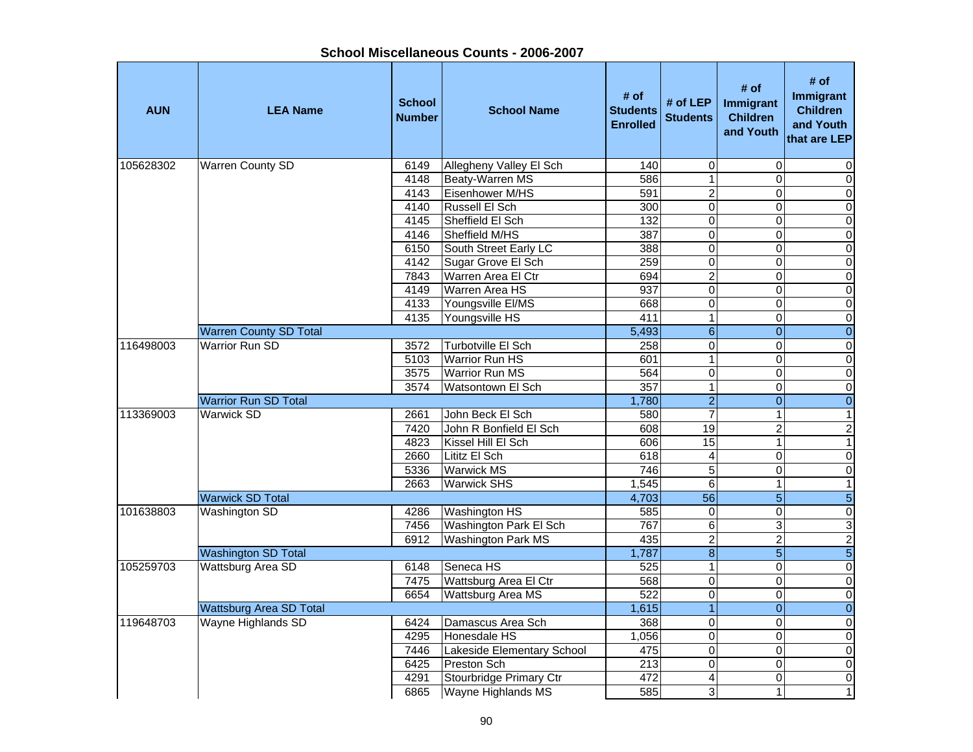| <b>AUN</b> | <b>LEA Name</b>                | <b>School</b><br><b>Number</b> | <b>School Name</b>         | # of<br><b>Students</b><br><b>Enrolled</b> | # of LEP<br><b>Students</b> | # of<br><b>Immigrant</b><br><b>Children</b><br>and Youth | # of<br>Immigrant<br><b>Children</b><br>and Youth<br>that are LEP |
|------------|--------------------------------|--------------------------------|----------------------------|--------------------------------------------|-----------------------------|----------------------------------------------------------|-------------------------------------------------------------------|
| 105628302  | <b>Warren County SD</b>        | 6149                           | Allegheny Valley El Sch    | 140                                        | $\pmb{0}$                   | 0                                                        | 0                                                                 |
|            |                                | 4148                           | Beaty-Warren MS            | 586                                        | $\mathbf{1}$                | $\overline{0}$                                           | $\overline{0}$                                                    |
|            |                                | 4143                           | Eisenhower M/HS            | 591                                        | $\overline{2}$              | 0                                                        | $\overline{0}$                                                    |
|            |                                | 4140                           | Russell El Sch             | 300                                        | $\overline{0}$              | 0                                                        | $\overline{0}$                                                    |
|            |                                | 4145                           | Sheffield El Sch           | 132                                        | $\overline{0}$              | $\overline{0}$                                           | $\overline{0}$                                                    |
|            |                                | 4146                           | Sheffield M/HS             | 387                                        | O                           | 0                                                        | $\overline{0}$                                                    |
|            |                                | 6150                           | South Street Early LC      | 388                                        | $\overline{0}$              | $\overline{0}$                                           | $\overline{0}$                                                    |
|            |                                | 4142                           | Sugar Grove El Sch         | 259                                        | 0                           | 0                                                        | $\overline{0}$                                                    |
|            |                                | 7843                           | Warren Area El Ctr         | 694                                        | $\overline{2}$              | 0                                                        | $\overline{0}$                                                    |
|            |                                | 4149                           | Warren Area HS             | 937                                        | $\mathbf 0$                 | 0                                                        | $\overline{0}$                                                    |
|            |                                | 4133                           | Youngsville El/MS          | 668                                        | 0                           | 0                                                        | $\overline{0}$                                                    |
|            |                                | 4135                           | Youngsville HS             | 411                                        | $\overline{1}$              | $\overline{0}$                                           | $\overline{0}$                                                    |
|            | <b>Warren County SD Total</b>  |                                |                            | 5,493                                      | $\overline{6}$              | $\overline{0}$                                           | $\overline{0}$                                                    |
| 116498003  | <b>Warrior Run SD</b>          | 3572                           | Turbotville El Sch         | 258                                        | 0                           | $\mathbf 0$                                              | $\overline{0}$                                                    |
|            |                                | 5103                           | <b>Warrior Run HS</b>      | 601                                        | $\overline{1}$              | $\overline{0}$                                           | $\overline{0}$                                                    |
|            |                                | 3575                           | <b>Warrior Run MS</b>      | 564                                        | $\mathbf 0$                 | 0                                                        | $\overline{0}$                                                    |
|            |                                | 3574                           | Watsontown El Sch          | 357                                        | $\overline{1}$              | $\overline{0}$                                           | $\overline{0}$                                                    |
|            | <b>Warrior Run SD Total</b>    |                                |                            | 1,780                                      | $\overline{2}$              | $\overline{0}$                                           | $\overline{0}$                                                    |
| 113369003  | <b>Warwick SD</b>              | 2661                           | John Beck El Sch           | 580                                        | $\overline{7}$              | 1                                                        | $\mathbf{1}$                                                      |
|            |                                | 7420                           | John R Bonfield El Sch     | 608                                        | 19                          | $\overline{2}$                                           | $\overline{2}$                                                    |
|            |                                | 4823                           | Kissel Hill El Sch         | 606                                        | 15                          | $\mathbf{1}$                                             | $\mathbf{1}$                                                      |
|            |                                | 2660                           | Lititz El Sch              | 618                                        | 4                           | 0                                                        | $\overline{0}$                                                    |
|            |                                | 5336                           | <b>Warwick MS</b>          | 746                                        | $\overline{5}$              | 0                                                        | $\overline{0}$                                                    |
|            |                                | 2663                           | <b>Warwick SHS</b>         | 1,545                                      | 6                           | 1                                                        | $\overline{1}$                                                    |
|            | <b>Warwick SD Total</b>        |                                |                            | 4,703                                      | 56                          | $\overline{5}$                                           | $\overline{5}$                                                    |
| 101638803  | Washington SD                  | 4286                           | Washington HS              | 585                                        | $\overline{0}$              | $\overline{0}$                                           | $\overline{0}$                                                    |
|            |                                | 7456                           | Washington Park El Sch     | 767                                        | 6                           | 3                                                        | $\overline{3}$                                                    |
|            |                                | 6912                           | <b>Washington Park MS</b>  | 435                                        | $\overline{2}$              | $\overline{2}$                                           | $\frac{2}{5}$                                                     |
|            | <b>Washington SD Total</b>     |                                |                            | 1,787                                      | $\infty$                    | $\overline{5}$                                           |                                                                   |
| 105259703  | <b>Wattsburg Area SD</b>       | 6148                           | Seneca HS                  | 525                                        | $\overline{1}$              | $\overline{0}$                                           | $\overline{0}$                                                    |
|            |                                | 7475                           | Wattsburg Area El Ctr      | 568                                        | $\overline{0}$              | $\overline{0}$                                           | $\overline{0}$                                                    |
|            |                                | 6654                           | <b>Wattsburg Area MS</b>   | 522                                        | $\overline{0}$              | $\overline{0}$                                           | $\overline{0}$                                                    |
|            | <b>Wattsburg Area SD Total</b> |                                |                            | 1,615                                      | $\overline{1}$              | $\overline{0}$                                           | $\overline{0}$                                                    |
| 119648703  | Wayne Highlands SD             | 6424                           | Damascus Area Sch          | 368                                        | $\overline{0}$              | 0                                                        | $\overline{0}$                                                    |
|            |                                | 4295                           | Honesdale HS               | 1,056                                      | $\mathbf 0$                 | $\mathsf 0$                                              | $\overline{0}$                                                    |
|            |                                | 7446                           | Lakeside Elementary School | 475                                        | $\overline{0}$              | $\overline{0}$                                           | $\overline{0}$                                                    |
|            |                                | 6425                           | <b>Preston Sch</b>         | 213                                        | $\overline{0}$              | 0                                                        | $\overline{0}$                                                    |
|            |                                | 4291                           | Stourbridge Primary Ctr    | 472                                        | $\overline{4}$              | $\overline{0}$                                           | $\overline{0}$                                                    |
|            |                                | 6865                           | <b>Wayne Highlands MS</b>  | 585                                        | $\overline{3}$              | $\mathbf{1}$                                             | $\mathbf{1}$                                                      |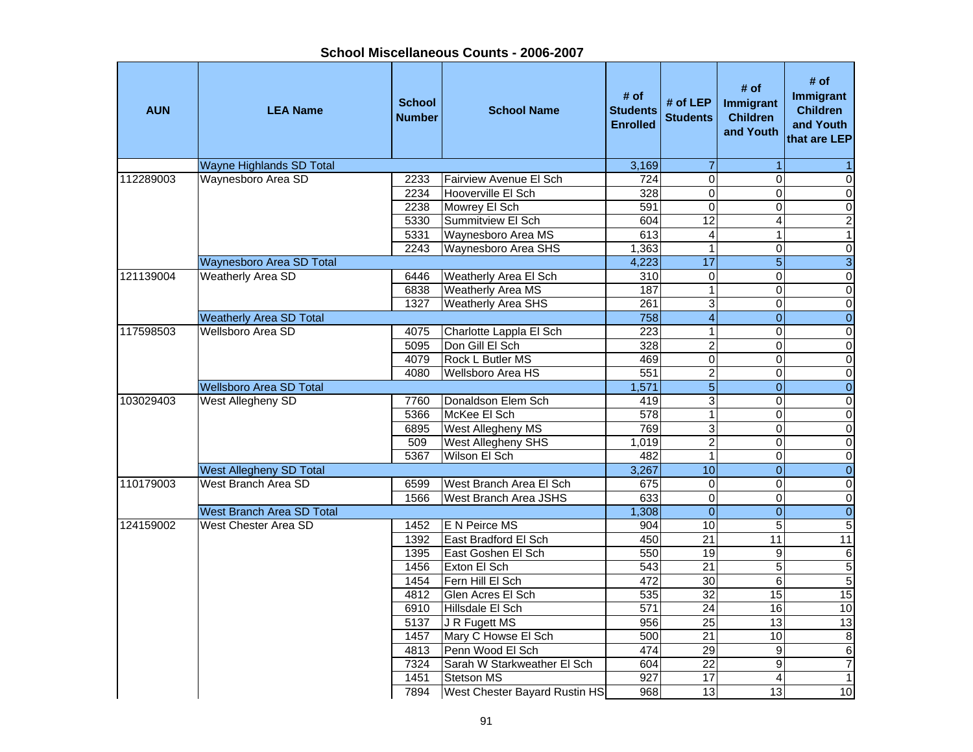| <b>AUN</b> | <b>LEA Name</b>                  | <b>School</b><br><b>Number</b> | <b>School Name</b>            | # of<br><b>Students</b><br><b>Enrolled</b> | # of LEP<br><b>Students</b> | # of<br>Immigrant<br><b>Children</b><br>and Youth | # of<br>Immigrant<br><b>Children</b><br>and Youth<br>that are LEP |
|------------|----------------------------------|--------------------------------|-------------------------------|--------------------------------------------|-----------------------------|---------------------------------------------------|-------------------------------------------------------------------|
|            | <b>Wayne Highlands SD Total</b>  |                                |                               | 3,169                                      | $\overline{7}$              |                                                   |                                                                   |
| 112289003  | Waynesboro Area SD               | 2233                           | Fairview Avenue El Sch        | 724                                        | $\overline{0}$              | 0                                                 | 0                                                                 |
|            |                                  | 2234                           | Hooverville El Sch            | 328                                        | 0                           | 0                                                 | $\overline{0}$                                                    |
|            |                                  | 2238                           | Mowrey El Sch                 | 591                                        | 0                           | 0                                                 | $\overline{0}$                                                    |
|            |                                  | 5330                           | Summitview El Sch             | 604                                        | $\overline{12}$             | 4                                                 | $\overline{2}$                                                    |
|            |                                  | 5331                           | Waynesboro Area MS            | $\overline{613}$                           | 4                           | 1                                                 | $\mathbf{1}$                                                      |
|            |                                  | 2243                           | Waynesboro Area SHS           | 1,363                                      | $\mathbf{1}$                | 0                                                 | $\overline{0}$                                                    |
|            | Waynesboro Area SD Total         |                                |                               | 4,223                                      | $\overline{17}$             | $\overline{5}$                                    | $\overline{3}$                                                    |
| 121139004  | Weatherly Area SD                | 6446                           | Weatherly Area El Sch         | 310                                        | 0                           | 0                                                 | $\overline{0}$                                                    |
|            |                                  | 6838                           | Weatherly Area MS             | 187                                        | $\mathbf{1}$                | 0                                                 | $\overline{0}$                                                    |
|            |                                  | 1327                           | Weatherly Area SHS            | 261                                        | 3                           | 0                                                 | $\overline{0}$                                                    |
|            | <b>Weatherly Area SD Total</b>   |                                |                               | 758                                        | $\overline{\mathbf{4}}$     | $\overline{0}$                                    | $\overline{0}$                                                    |
| 117598503  | <b>Wellsboro Area SD</b>         | 4075                           | Charlotte Lappla El Sch       | $\overline{223}$                           | $\mathbf{1}$                | 0                                                 | $\overline{0}$                                                    |
|            |                                  | 5095                           | Don Gill El Sch               | 328                                        | $\overline{c}$              | 0                                                 | $\pmb{0}$                                                         |
|            |                                  | 4079                           | Rock L Butler MS              | 469                                        | $\overline{0}$              | 0                                                 | $\overline{0}$                                                    |
|            |                                  | 4080                           | Wellsboro Area HS             | 551                                        | $\overline{2}$              | 0                                                 | $\overline{0}$                                                    |
|            | <b>Wellsboro Area SD Total</b>   |                                |                               | 1,571                                      | $\overline{5}$              | $\overline{0}$                                    | $\overline{0}$                                                    |
| 103029403  | West Allegheny SD                |                                | Donaldson Elem Sch            | 419                                        |                             | 0                                                 |                                                                   |
|            |                                  | 7760                           |                               |                                            | 3<br>$\mathbf{1}$           |                                                   | $\pmb{0}$                                                         |
|            |                                  | 5366                           | McKee El Sch                  | 578                                        |                             | 0                                                 | $\overline{0}$                                                    |
|            |                                  | 6895                           | West Allegheny MS             | 769                                        | 3                           | 0                                                 | $\pmb{0}$                                                         |
|            |                                  | 509                            | West Allegheny SHS            | 1,019                                      | $\overline{2}$              | $\Omega$                                          | $\mathbf 0$                                                       |
|            |                                  | 5367                           | Wilson El Sch                 | 482                                        | $\mathbf 1$                 | 0                                                 | $\pmb{0}$                                                         |
|            | <b>West Allegheny SD Total</b>   |                                |                               | 3,267                                      | 10                          | $\overline{0}$                                    | $\overline{0}$                                                    |
| 110179003  | West Branch Area SD              | 6599                           | West Branch Area El Sch       | 675                                        | $\pmb{0}$                   | 0                                                 | $\mathbf 0$                                                       |
|            |                                  | 1566                           | West Branch Area JSHS         | 633                                        | $\pmb{0}$                   | 0                                                 | $\overline{0}$                                                    |
|            | <b>West Branch Area SD Total</b> |                                |                               | 1,308                                      | $\mathbf{0}$                | $\overline{0}$                                    | $\overline{0}$                                                    |
| 124159002  | West Chester Area SD             | 1452                           | E N Peirce MS                 | 904                                        | 10                          | 5                                                 | $\overline{5}$                                                    |
|            |                                  | 1392                           | East Bradford El Sch          | 450                                        | $\overline{21}$             | 11                                                | 11                                                                |
|            |                                  | 1395                           | East Goshen El Sch            | 550                                        | $\overline{19}$             | 9                                                 | $\overline{6}$                                                    |
|            |                                  | 1456                           | Exton El Sch                  | 543                                        | $\overline{21}$             | 5                                                 | 5                                                                 |
|            |                                  | 1454                           | Fern Hill El Sch              | 472                                        | 30                          | 6                                                 | $\overline{5}$                                                    |
|            |                                  | 4812                           | Glen Acres El Sch             | 535                                        | $\overline{32}$             | 15                                                | 15                                                                |
|            |                                  | 6910                           | Hillsdale El Sch              | 571                                        | $\overline{24}$             | 16                                                | 10                                                                |
|            |                                  | 5137                           | J R Fugett MS                 | 956                                        | $\overline{25}$             | 13                                                | 13                                                                |
|            |                                  | 1457                           | Mary C Howse El Sch           | 500                                        | $\overline{21}$             | 10                                                | $\overline{8}$                                                    |
|            |                                  | 4813                           | Penn Wood El Sch              | 474                                        | 29                          | $\boldsymbol{9}$                                  | 6                                                                 |
|            |                                  | 7324                           | Sarah W Starkweather El Sch   | 604                                        | $\overline{22}$             | 9                                                 | $\overline{7}$                                                    |
|            |                                  | 1451                           | Stetson MS                    | 927                                        | 17                          | 4                                                 | $\mathbf{1}$                                                      |
|            |                                  | 7894                           | West Chester Bayard Rustin HS | 968                                        | 13                          | 13                                                | 10                                                                |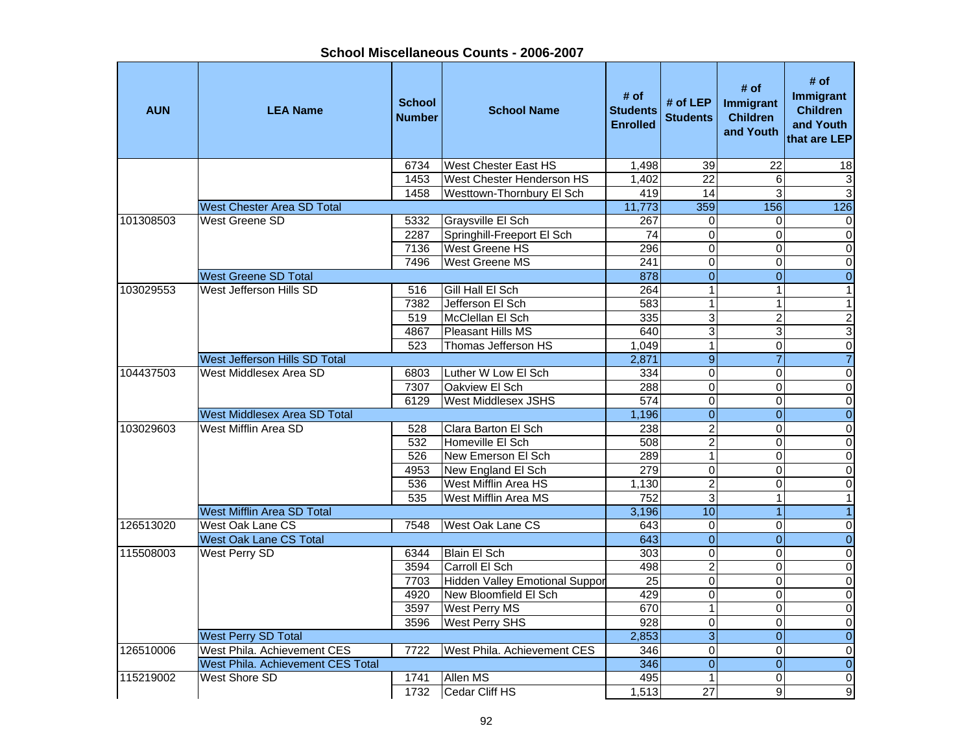**School Miscellaneous Counts - 2006-2007**

| <b>West Chester East HS</b><br>6734<br>1,498<br>$\overline{39}$<br>$\overline{22}$<br>18<br><b>West Chester Henderson HS</b><br>1453<br>1,402<br>22<br>6<br>$\ensuremath{\mathsf{3}}$<br>14<br>ω<br>3<br>1458<br>Westtown-Thornbury El Sch<br>419<br>11,773<br>126<br>359<br>156<br><b>West Chester Area SD Total</b><br><b>West Greene SD</b><br>101308503<br><b>Graysville El Sch</b><br>267<br>5332<br>0<br>$\pmb{0}$<br>0<br>$\overline{0}$<br>$\overline{0}$<br>Springhill-Freeport El Sch<br>74<br>$\Omega$<br>2287<br><b>West Greene HS</b><br>$\mathbf 0$<br>$\overline{\mathsf{o}}$<br>7136<br>296<br>0<br>$\overline{0}$<br>7496<br>$\pmb{0}$<br><b>West Greene MS</b><br>241<br>$\Omega$<br>$\overline{0}$<br>$\overline{0}$<br>$\boldsymbol{0}$<br><b>West Greene SD Total</b><br>878<br>$\mathbf{1}$<br>103029553<br>West Jefferson Hills SD<br>Gill Hall El Sch<br>$\mathbf{1}$<br>$\mathbf{1}$<br>516<br>264<br>$\overline{1}$<br>7382<br>Jefferson El Sch<br>583<br>$\mathbf{1}$<br>$\mathbf{1}$<br>$\overline{3}$<br>$\overline{c}$<br>McClellan El Sch<br>335<br>$\overline{2}$<br>519<br>$\overline{3}$<br>$\overline{3}$<br>Pleasant Hills MS<br>3<br>4867<br>640<br>Thomas Jefferson HS<br>$\overline{1}$<br>$\overline{0}$<br>$\overline{0}$<br>523<br>1,049<br>$\overline{9}$<br>$\overline{7}$<br>$\overline{7}$<br>West Jefferson Hills SD Total<br>2,871<br>West Middlesex Area SD<br>Luther W Low El Sch<br>$\overline{0}$<br>104437503<br>$\pmb{0}$<br>$\mathbf 0$<br>6803<br>334 |
|---------------------------------------------------------------------------------------------------------------------------------------------------------------------------------------------------------------------------------------------------------------------------------------------------------------------------------------------------------------------------------------------------------------------------------------------------------------------------------------------------------------------------------------------------------------------------------------------------------------------------------------------------------------------------------------------------------------------------------------------------------------------------------------------------------------------------------------------------------------------------------------------------------------------------------------------------------------------------------------------------------------------------------------------------------------------------------------------------------------------------------------------------------------------------------------------------------------------------------------------------------------------------------------------------------------------------------------------------------------------------------------------------------------------------------------------------------------------------------------------------------------|
|                                                                                                                                                                                                                                                                                                                                                                                                                                                                                                                                                                                                                                                                                                                                                                                                                                                                                                                                                                                                                                                                                                                                                                                                                                                                                                                                                                                                                                                                                                               |
|                                                                                                                                                                                                                                                                                                                                                                                                                                                                                                                                                                                                                                                                                                                                                                                                                                                                                                                                                                                                                                                                                                                                                                                                                                                                                                                                                                                                                                                                                                               |
|                                                                                                                                                                                                                                                                                                                                                                                                                                                                                                                                                                                                                                                                                                                                                                                                                                                                                                                                                                                                                                                                                                                                                                                                                                                                                                                                                                                                                                                                                                               |
|                                                                                                                                                                                                                                                                                                                                                                                                                                                                                                                                                                                                                                                                                                                                                                                                                                                                                                                                                                                                                                                                                                                                                                                                                                                                                                                                                                                                                                                                                                               |
|                                                                                                                                                                                                                                                                                                                                                                                                                                                                                                                                                                                                                                                                                                                                                                                                                                                                                                                                                                                                                                                                                                                                                                                                                                                                                                                                                                                                                                                                                                               |
|                                                                                                                                                                                                                                                                                                                                                                                                                                                                                                                                                                                                                                                                                                                                                                                                                                                                                                                                                                                                                                                                                                                                                                                                                                                                                                                                                                                                                                                                                                               |
|                                                                                                                                                                                                                                                                                                                                                                                                                                                                                                                                                                                                                                                                                                                                                                                                                                                                                                                                                                                                                                                                                                                                                                                                                                                                                                                                                                                                                                                                                                               |
|                                                                                                                                                                                                                                                                                                                                                                                                                                                                                                                                                                                                                                                                                                                                                                                                                                                                                                                                                                                                                                                                                                                                                                                                                                                                                                                                                                                                                                                                                                               |
|                                                                                                                                                                                                                                                                                                                                                                                                                                                                                                                                                                                                                                                                                                                                                                                                                                                                                                                                                                                                                                                                                                                                                                                                                                                                                                                                                                                                                                                                                                               |
|                                                                                                                                                                                                                                                                                                                                                                                                                                                                                                                                                                                                                                                                                                                                                                                                                                                                                                                                                                                                                                                                                                                                                                                                                                                                                                                                                                                                                                                                                                               |
|                                                                                                                                                                                                                                                                                                                                                                                                                                                                                                                                                                                                                                                                                                                                                                                                                                                                                                                                                                                                                                                                                                                                                                                                                                                                                                                                                                                                                                                                                                               |
|                                                                                                                                                                                                                                                                                                                                                                                                                                                                                                                                                                                                                                                                                                                                                                                                                                                                                                                                                                                                                                                                                                                                                                                                                                                                                                                                                                                                                                                                                                               |
|                                                                                                                                                                                                                                                                                                                                                                                                                                                                                                                                                                                                                                                                                                                                                                                                                                                                                                                                                                                                                                                                                                                                                                                                                                                                                                                                                                                                                                                                                                               |
|                                                                                                                                                                                                                                                                                                                                                                                                                                                                                                                                                                                                                                                                                                                                                                                                                                                                                                                                                                                                                                                                                                                                                                                                                                                                                                                                                                                                                                                                                                               |
|                                                                                                                                                                                                                                                                                                                                                                                                                                                                                                                                                                                                                                                                                                                                                                                                                                                                                                                                                                                                                                                                                                                                                                                                                                                                                                                                                                                                                                                                                                               |
|                                                                                                                                                                                                                                                                                                                                                                                                                                                                                                                                                                                                                                                                                                                                                                                                                                                                                                                                                                                                                                                                                                                                                                                                                                                                                                                                                                                                                                                                                                               |
| $\overline{0}$<br>$\overline{0}$<br>Oakview El Sch<br>288<br>$\mathbf 0$<br>7307                                                                                                                                                                                                                                                                                                                                                                                                                                                                                                                                                                                                                                                                                                                                                                                                                                                                                                                                                                                                                                                                                                                                                                                                                                                                                                                                                                                                                              |
| $\overline{0}$<br>$\overline{0}$<br>6129<br><b>West Middlesex JSHS</b><br>$\overline{574}$<br>0<br>$\overline{0}$<br>$\overline{0}$<br><b>West Middlesex Area SD Total</b>                                                                                                                                                                                                                                                                                                                                                                                                                                                                                                                                                                                                                                                                                                                                                                                                                                                                                                                                                                                                                                                                                                                                                                                                                                                                                                                                    |
| 1,196<br>$\overline{0}$<br>West Mifflin Area SD<br>$\overline{2}$<br>$\Omega$                                                                                                                                                                                                                                                                                                                                                                                                                                                                                                                                                                                                                                                                                                                                                                                                                                                                                                                                                                                                                                                                                                                                                                                                                                                                                                                                                                                                                                 |
| 103029603<br>$\pmb{0}$<br>Clara Barton El Sch<br>238<br>528<br>$\overline{2}$<br>532<br>Homeville El Sch<br>508<br>$\Omega$                                                                                                                                                                                                                                                                                                                                                                                                                                                                                                                                                                                                                                                                                                                                                                                                                                                                                                                                                                                                                                                                                                                                                                                                                                                                                                                                                                                   |
| $\mathbf 0$<br>$\overline{1}$<br>526<br>289<br>New Emerson El Sch<br>$\Omega$                                                                                                                                                                                                                                                                                                                                                                                                                                                                                                                                                                                                                                                                                                                                                                                                                                                                                                                                                                                                                                                                                                                                                                                                                                                                                                                                                                                                                                 |
| $\pmb{0}$<br>$\overline{0}$<br>$\pmb{0}$<br>New England El Sch<br>279<br>$\Omega$<br>4953                                                                                                                                                                                                                                                                                                                                                                                                                                                                                                                                                                                                                                                                                                                                                                                                                                                                                                                                                                                                                                                                                                                                                                                                                                                                                                                                                                                                                     |
| $\overline{2}$<br>$\overline{\mathsf{o}}$<br>536<br>West Mifflin Area HS<br>1.130<br>$\Omega$                                                                                                                                                                                                                                                                                                                                                                                                                                                                                                                                                                                                                                                                                                                                                                                                                                                                                                                                                                                                                                                                                                                                                                                                                                                                                                                                                                                                                 |
| 752<br>$\overline{3}$<br>535<br>West Mifflin Area MS<br>$\mathbf{1}$<br>$\mathbf{1}$                                                                                                                                                                                                                                                                                                                                                                                                                                                                                                                                                                                                                                                                                                                                                                                                                                                                                                                                                                                                                                                                                                                                                                                                                                                                                                                                                                                                                          |
| 10<br><b>West Mifflin Area SD Total</b><br>3,196<br>$\overline{1}$<br>$\overline{1}$                                                                                                                                                                                                                                                                                                                                                                                                                                                                                                                                                                                                                                                                                                                                                                                                                                                                                                                                                                                                                                                                                                                                                                                                                                                                                                                                                                                                                          |
| 126513020<br>West Oak Lane CS<br>West Oak Lane CS<br>643<br>$\mathbf 0$<br>$\mathbf 0$<br>$\pmb{0}$<br>7548                                                                                                                                                                                                                                                                                                                                                                                                                                                                                                                                                                                                                                                                                                                                                                                                                                                                                                                                                                                                                                                                                                                                                                                                                                                                                                                                                                                                   |
| $\overline{0}$<br>$\overline{0}$<br>$\overline{0}$<br>643<br><b>West Oak Lane CS Total</b>                                                                                                                                                                                                                                                                                                                                                                                                                                                                                                                                                                                                                                                                                                                                                                                                                                                                                                                                                                                                                                                                                                                                                                                                                                                                                                                                                                                                                    |
| 115508003<br>$\overline{0}$<br>$\overline{0}$<br>$\overline{\mathsf{o}}$<br>West Perry SD<br><b>Blain El Sch</b><br>303<br>6344                                                                                                                                                                                                                                                                                                                                                                                                                                                                                                                                                                                                                                                                                                                                                                                                                                                                                                                                                                                                                                                                                                                                                                                                                                                                                                                                                                               |
| $\overline{2}$<br>Carroll El Sch<br>$\overline{0}$<br>3594<br>498<br>$\mathbf 0$                                                                                                                                                                                                                                                                                                                                                                                                                                                                                                                                                                                                                                                                                                                                                                                                                                                                                                                                                                                                                                                                                                                                                                                                                                                                                                                                                                                                                              |
| $\overline{0}$<br>$\overline{0}$<br>Hidden Valley Emotional Suppor<br>$\overline{25}$<br>0<br>7703                                                                                                                                                                                                                                                                                                                                                                                                                                                                                                                                                                                                                                                                                                                                                                                                                                                                                                                                                                                                                                                                                                                                                                                                                                                                                                                                                                                                            |
| $\overline{0}$<br>$\overline{0}$<br>4920<br>New Bloomfield El Sch<br>429<br>0                                                                                                                                                                                                                                                                                                                                                                                                                                                                                                                                                                                                                                                                                                                                                                                                                                                                                                                                                                                                                                                                                                                                                                                                                                                                                                                                                                                                                                 |
| $\overline{1}$<br>$\overline{\mathsf{o}}$<br>$\mathbf 0$<br>3597<br><b>West Perry MS</b><br>670                                                                                                                                                                                                                                                                                                                                                                                                                                                                                                                                                                                                                                                                                                                                                                                                                                                                                                                                                                                                                                                                                                                                                                                                                                                                                                                                                                                                               |
| $\overline{0}$<br>$\Omega$<br>$\pmb{0}$<br>3596<br><b>West Perry SHS</b><br>928                                                                                                                                                                                                                                                                                                                                                                                                                                                                                                                                                                                                                                                                                                                                                                                                                                                                                                                                                                                                                                                                                                                                                                                                                                                                                                                                                                                                                               |
| $\overline{3}$<br>$\boldsymbol{0}$<br>West Perry SD Total<br>2,853<br>$\Omega$                                                                                                                                                                                                                                                                                                                                                                                                                                                                                                                                                                                                                                                                                                                                                                                                                                                                                                                                                                                                                                                                                                                                                                                                                                                                                                                                                                                                                                |
| $\mathbf 0$<br>126510006<br>West Phila. Achievement CES<br>West Phila. Achievement CES<br>346<br>$\Omega$<br>$\pmb{0}$<br>7722                                                                                                                                                                                                                                                                                                                                                                                                                                                                                                                                                                                                                                                                                                                                                                                                                                                                                                                                                                                                                                                                                                                                                                                                                                                                                                                                                                                |
| $\overline{0}$<br>West Phila. Achievement CES Total<br>346<br>$\Omega$<br>$\boldsymbol{0}$                                                                                                                                                                                                                                                                                                                                                                                                                                                                                                                                                                                                                                                                                                                                                                                                                                                                                                                                                                                                                                                                                                                                                                                                                                                                                                                                                                                                                    |
| 115219002<br><b>West Shore SD</b><br>Allen MS<br>495<br>$\mathbf{1}$<br>$\Omega$<br>$\mathbf 0$<br>1741                                                                                                                                                                                                                                                                                                                                                                                                                                                                                                                                                                                                                                                                                                                                                                                                                                                                                                                                                                                                                                                                                                                                                                                                                                                                                                                                                                                                       |
| $\overline{27}$<br>$\overline{9}$<br>1732<br>Cedar Cliff HS<br>1,513<br>9                                                                                                                                                                                                                                                                                                                                                                                                                                                                                                                                                                                                                                                                                                                                                                                                                                                                                                                                                                                                                                                                                                                                                                                                                                                                                                                                                                                                                                     |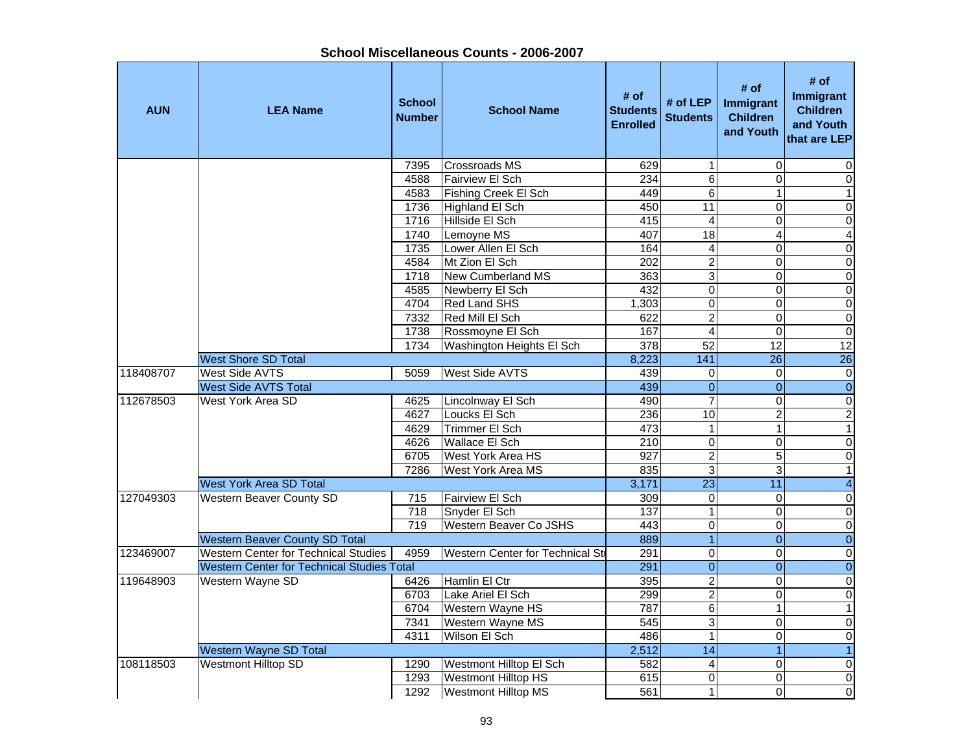| <b>AUN</b> | <b>LEA Name</b>                                   | <b>School</b><br>Number | <b>School Name</b>              | # of<br><b>Students</b><br><b>Enrolled</b> | # of $LEP$<br><b>Students</b> | # of<br><b>Immigrant</b><br><b>Children</b><br>and Youth | # of<br>Immigrant<br><b>Children</b><br>and Youth<br>that are LEP |
|------------|---------------------------------------------------|-------------------------|---------------------------------|--------------------------------------------|-------------------------------|----------------------------------------------------------|-------------------------------------------------------------------|
|            |                                                   | 7395                    | <b>Crossroads MS</b>            | 629                                        | 1                             | 0                                                        | 0                                                                 |
|            |                                                   | 4588                    | <b>Fairview El Sch</b>          | 234                                        | $\overline{6}$                | 0                                                        | $\overline{0}$                                                    |
|            |                                                   | 4583                    | Fishing Creek El Sch            | 449                                        | 6                             | 1                                                        | 1                                                                 |
|            |                                                   | 1736                    | <b>Highland El Sch</b>          | 450                                        | 11                            | 0                                                        | $\pmb{0}$                                                         |
|            |                                                   | 1716                    | Hillside El Sch                 | 415                                        | 4                             | 0                                                        | $\overline{0}$                                                    |
|            |                                                   | 1740                    | Lemoyne MS                      | 407                                        | $\overline{18}$               | 4                                                        | $\overline{4}$                                                    |
|            |                                                   | 1735                    | Lower Allen El Sch              | 164                                        | 4                             | 0                                                        | $\overline{0}$                                                    |
|            |                                                   | 4584                    | Mt Zion El Sch                  | 202                                        | $\overline{c}$                | 0                                                        | $\overline{0}$                                                    |
|            |                                                   | 1718                    | New Cumberland MS               | 363                                        | 3                             | 0                                                        | $\overline{0}$                                                    |
|            |                                                   | 4585                    | Newberry El Sch                 | 432                                        | 0                             | 0                                                        | $\overline{0}$                                                    |
|            |                                                   | 4704                    | Red Land SHS                    | 1,303                                      | 0                             | 0                                                        | $\mathbf 0$                                                       |
|            |                                                   | 7332                    | Red Mill El Sch                 | 622                                        | $\overline{2}$                | 0                                                        | $\overline{0}$                                                    |
|            |                                                   | 1738                    | Rossmoyne El Sch                | 167                                        | $\overline{4}$                | 0                                                        | $\overline{0}$                                                    |
|            |                                                   | 1734                    | Washington Heights El Sch       | 378                                        | $\overline{52}$               | 12                                                       | 12                                                                |
|            | <b>West Shore SD Total</b>                        |                         |                                 | 8,223                                      | $\overline{141}$              | $\overline{26}$                                          | $\overline{26}$                                                   |
| 118408707  | West Side AVTS                                    | 5059                    | <b>West Side AVTS</b>           | 439                                        | 0                             | 0                                                        | $\pmb{0}$                                                         |
|            | <b>West Side AVTS Total</b>                       |                         |                                 | 439                                        | $\overline{0}$                | $\overline{0}$                                           | $\overline{0}$                                                    |
| 112678503  | West York Area SD                                 | 4625                    | Lincolnway El Sch               | 490                                        | $\overline{7}$                | 0                                                        | $\pmb{0}$                                                         |
|            |                                                   | 4627                    | Loucks El Sch                   | 236                                        | $\overline{10}$               | $\overline{2}$                                           | $\overline{2}$                                                    |
|            |                                                   | 4629                    | Trimmer El Sch                  | 473                                        | $\mathbf{1}$                  | 1                                                        | 1                                                                 |
|            |                                                   | 4626                    | Wallace El Sch                  | 210                                        | 0                             | 0                                                        | 0                                                                 |
|            |                                                   | 6705                    | West York Area HS               | 927                                        | $\overline{c}$                | 5                                                        | 0                                                                 |
|            |                                                   | 7286                    | West York Area MS               | 835                                        | 3                             | 3                                                        | $\mathbf{1}$                                                      |
|            | West York Area SD Total                           |                         |                                 | 3,171                                      | $\overline{23}$               | 11                                                       | $\overline{\mathbf{4}}$                                           |
| 127049303  | Western Beaver County SD                          | 715                     | Fairview El Sch                 | 309                                        | 0                             | $\mathbf 0$                                              | $\overline{0}$                                                    |
|            |                                                   | 718                     | Snyder El Sch                   | 137                                        | $\mathbf{1}$                  | 0                                                        | $\overline{0}$                                                    |
|            |                                                   | 719                     | Western Beaver Co JSHS          | 443                                        | 0                             | 0                                                        | $\overline{0}$                                                    |
|            | <b>Western Beaver County SD Total</b>             |                         |                                 | 889                                        | $\overline{1}$                | $\overline{0}$                                           | $\overline{0}$                                                    |
| 123469007  | <b>Western Center for Technical Studies</b>       | 4959                    | Western Center for Technical St | 291                                        | 0                             | 0                                                        | $\overline{0}$                                                    |
|            | <b>Western Center for Technical Studies Total</b> |                         |                                 | 291                                        | $\mathbf 0$                   | $\overline{0}$                                           | $\overline{0}$                                                    |
| 119648903  | Western Wayne SD                                  | 6426                    | Hamlin El Ctr                   | 395                                        | $\overline{2}$                | 0                                                        | $\overline{0}$                                                    |
|            |                                                   | 6703                    | Lake Ariel El Sch               | 299                                        | $\overline{2}$                | 0                                                        | $\overline{0}$                                                    |
|            |                                                   | 6704                    | Western Wayne HS                | 787                                        | $6 \overline{6}$              | 1                                                        | $\overline{1}$                                                    |
|            |                                                   | 7341                    | Western Wayne MS                | 545                                        | ω                             | 0                                                        | $\mathbf 0$                                                       |
|            |                                                   | 4311                    | Wilson El Sch                   | 486                                        | $\mathbf{1}$                  | 0                                                        | $\pmb{0}$                                                         |
|            | Western Wayne SD Total                            |                         |                                 | 2,512                                      | 14                            | $\mathbf{1}$                                             | $\mathbf{1}$                                                      |
| 108118503  | <b>Westmont Hilltop SD</b>                        | 1290                    | Westmont Hilltop El Sch         | 582                                        | 4                             | 0                                                        | $\pmb{0}$                                                         |
|            |                                                   | 1293                    | Westmont Hilltop HS             | 615                                        | $\overline{0}$                | 0                                                        | $\pmb{0}$                                                         |
|            |                                                   | 1292                    | Westmont Hilltop MS             | 561                                        | 1                             | 0                                                        | $\overline{0}$                                                    |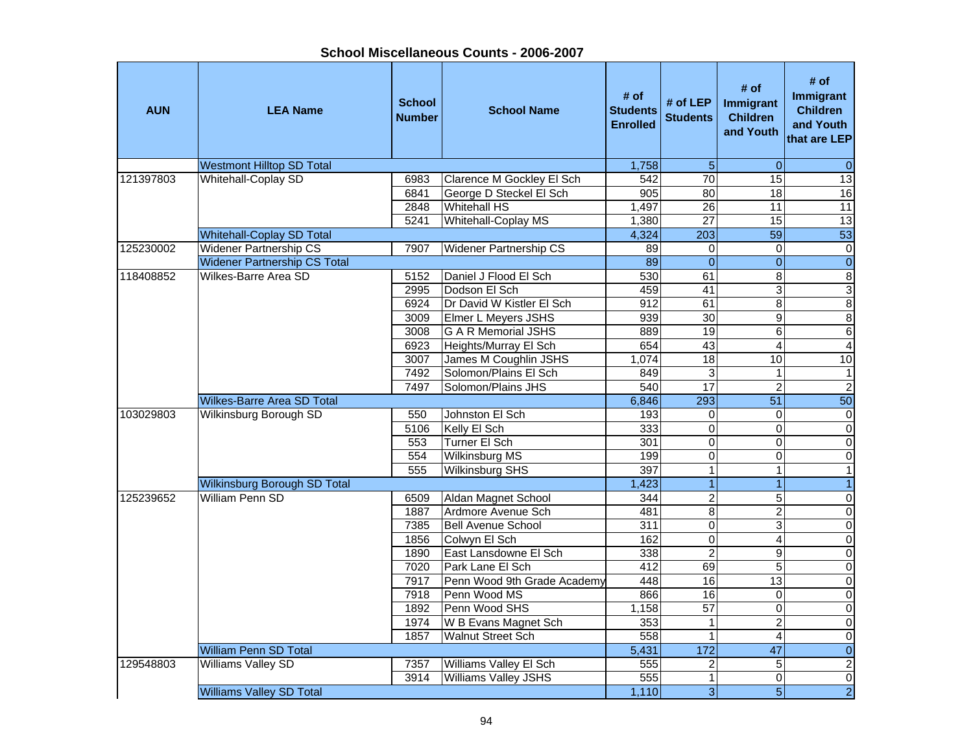| <b>AUN</b> | <b>LEA Name</b>                     | <b>School</b><br><b>Number</b> | <b>School Name</b>            | # of<br><b>Students</b><br><b>Enrolled</b> | # of LEP<br><b>Students</b> | # of<br>Immigrant<br><b>Children</b><br>and Youth | # of<br>Immigrant<br><b>Children</b><br>and Youth<br>that are LEP |
|------------|-------------------------------------|--------------------------------|-------------------------------|--------------------------------------------|-----------------------------|---------------------------------------------------|-------------------------------------------------------------------|
|            | <b>Westmont Hilltop SD Total</b>    |                                |                               | 1,758                                      | $\overline{5}$              | $\pmb{0}$                                         | $\overline{0}$                                                    |
| 121397803  | <b>Whitehall-Coplay SD</b>          | 6983                           | Clarence M Gockley El Sch     | 542                                        | 70                          | 15                                                | 13                                                                |
|            |                                     | 6841                           | George D Steckel El Sch       | 905                                        | 80                          | 18                                                | 16                                                                |
|            |                                     | 2848                           | <b>Whitehall HS</b>           | 1,497                                      | $\overline{26}$             | $\overline{11}$                                   | 11                                                                |
|            |                                     | 5241                           | Whitehall-Coplay MS           | 1,380                                      | 27                          | $\overline{15}$                                   | 13                                                                |
|            | <b>Whitehall-Coplay SD Total</b>    |                                |                               | 4,324                                      | 203                         | 59                                                | 53                                                                |
| 125230002  | <b>Widener Partnership CS</b>       | 7907                           | <b>Widener Partnership CS</b> | 89                                         | 0                           | $\Omega$                                          | $\pmb{0}$                                                         |
|            | <b>Widener Partnership CS Total</b> |                                |                               | 89                                         | $\overline{0}$              | $\overline{0}$                                    | $\overline{0}$                                                    |
| 118408852  | Wilkes-Barre Area SD                | 5152                           | Daniel J Flood El Sch         | 530                                        | 61                          | 8                                                 | $\overline{8}$                                                    |
|            |                                     | 2995                           | Dodson El Sch                 | 459                                        | $\overline{41}$             | 3                                                 |                                                                   |
|            |                                     | 6924                           | Dr David W Kistler El Sch     | 912                                        | 61                          | $\overline{8}$                                    | $\frac{3}{8}$                                                     |
|            |                                     | 3009                           | <b>Elmer L Meyers JSHS</b>    | 939                                        | 30                          | $\overline{9}$                                    | $\overline{8}$                                                    |
|            |                                     | 3008                           | <b>G A R Memorial JSHS</b>    | 889                                        | 19                          | $\overline{6}$                                    | $\overline{6}$                                                    |
|            |                                     | 6923                           | Heights/Murray El Sch         | 654                                        | 43                          | 4                                                 | $\overline{4}$                                                    |
|            |                                     | 3007                           | James M Coughlin JSHS         | 1,074                                      | 18                          | 10                                                | 10                                                                |
|            |                                     | 7492                           | Solomon/Plains El Sch         | 849                                        | 3                           |                                                   | $\mathbf{1}$                                                      |
|            |                                     | 7497                           | Solomon/Plains JHS            | 540                                        | $\overline{17}$             | $\overline{2}$                                    | $\overline{2}$                                                    |
|            | <b>Wilkes-Barre Area SD Total</b>   |                                |                               | 6,846                                      | 293                         | $\overline{51}$                                   | 50                                                                |
| 103029803  | Wilkinsburg Borough SD              | 550                            | Johnston El Sch               | 193                                        | 0                           | 0                                                 | $\overline{0}$                                                    |
|            |                                     | 5106                           | Kelly El Sch                  | 333                                        | 0                           | 0                                                 | $\overline{0}$                                                    |
|            |                                     | 553                            | Turner El Sch                 | 301                                        | o                           | $\overline{0}$                                    | $\overline{0}$                                                    |
|            |                                     | 554                            | <b>Wilkinsburg MS</b>         | 199                                        | $\mathsf 0$                 | 0                                                 | $\mathbf 0$                                                       |
|            |                                     | 555                            | Wilkinsburg SHS               | 397                                        | $\mathbf{1}$                | $\mathbf{1}$                                      | $\mathbf{1}$                                                      |
|            | Wilkinsburg Borough SD Total        |                                |                               | 1,423                                      | $\overline{1}$              | $\overline{1}$                                    | $\overline{1}$                                                    |
| 125239652  | William Penn SD                     | 6509                           | Aldan Magnet School           | 344                                        | $\overline{2}$              | $\sqrt{5}$                                        | $\pmb{0}$                                                         |
|            |                                     | 1887                           | Ardmore Avenue Sch            | 481                                        | $\overline{8}$              | $\overline{2}$                                    | $\overline{0}$                                                    |
|            |                                     | 7385                           | <b>Bell Avenue School</b>     | 311                                        | $\overline{0}$              | 3                                                 | $\overline{0}$                                                    |
|            |                                     | 1856                           | Colwyn El Sch                 | 162                                        | $\overline{0}$              | $\overline{4}$                                    | $\overline{0}$                                                    |
|            |                                     | 1890                           | East Lansdowne El Sch         | 338                                        | $\overline{2}$              | $\overline{9}$                                    | $\overline{0}$                                                    |
|            |                                     | 7020                           | Park Lane El Sch              | 412                                        | 69                          | $\overline{5}$                                    | $\overline{0}$                                                    |
|            |                                     | 7917                           | Penn Wood 9th Grade Academy   | 448                                        | 16                          | 13                                                | $\overline{0}$                                                    |
|            |                                     | 7918                           | Penn Wood MS                  | 866                                        | 16                          | 0                                                 | $\overline{0}$                                                    |
|            |                                     | 1892                           | Penn Wood SHS                 | 1,158                                      | 57                          | 0                                                 | $\overline{0}$                                                    |
|            |                                     | 1974                           | W B Evans Magnet Sch          | 353                                        | 1                           | $\overline{c}$                                    | $\overline{0}$                                                    |
|            |                                     | 1857                           | <b>Walnut Street Sch</b>      | 558                                        | $\mathbf{1}$                | $\overline{\mathbf{4}}$                           | $\overline{0}$                                                    |
|            | <b>William Penn SD Total</b>        |                                |                               | 5,431                                      | $\overline{172}$            | 47                                                | $\overline{0}$                                                    |
| 129548803  | <b>Williams Valley SD</b>           | 7357                           | Williams Valley El Sch        | 555                                        | $\overline{2}$              | $\overline{5}$                                    | $\overline{2}$                                                    |
|            |                                     | 3914                           | Williams Valley JSHS          | 555                                        | $\overline{1}$              | $\overline{0}$                                    | $\overline{0}$                                                    |
|            | <b>Williams Valley SD Total</b>     |                                |                               | 1,110                                      | $\overline{3}$              | $\overline{5}$                                    | $\overline{2}$                                                    |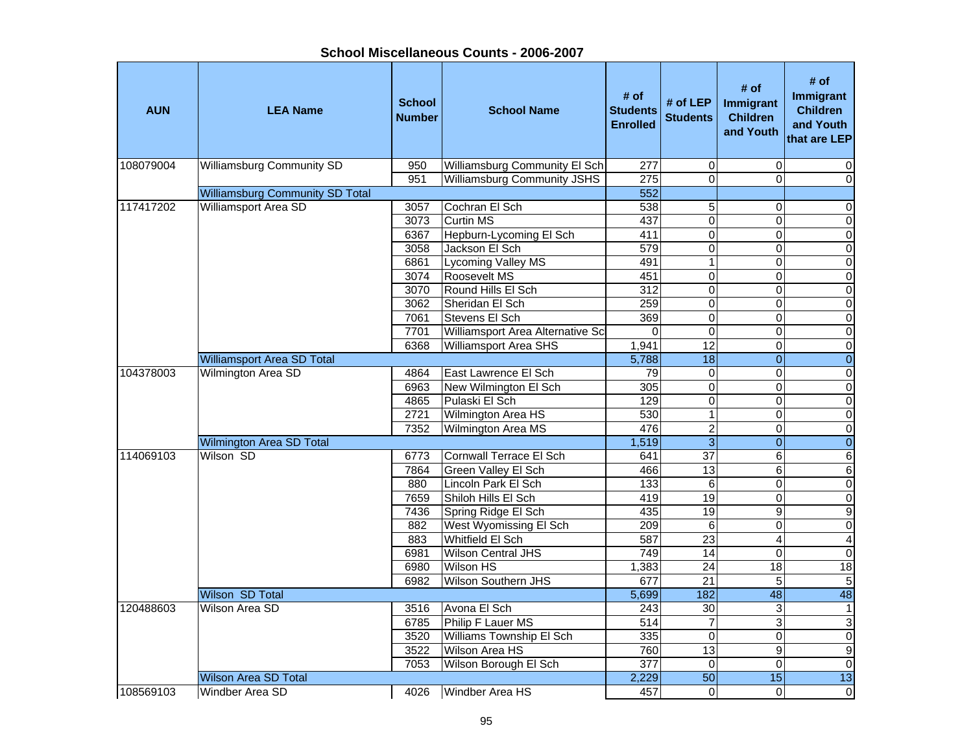| School Miscellaneous Counts - 2006-2007 |  |
|-----------------------------------------|--|
|-----------------------------------------|--|

| <b>AUN</b> | <b>LEA Name</b>                        | <b>School</b><br><b>Number</b> | <b>School Name</b>                            | # of<br><b>Students</b><br><b>Enrolled</b> | # of LEP<br><b>Students</b> | # of<br>Immigrant<br><b>Children</b><br>and Youth | # of<br><b>Immigrant</b><br><b>Children</b><br>and Youth<br>that are LEP |
|------------|----------------------------------------|--------------------------------|-----------------------------------------------|--------------------------------------------|-----------------------------|---------------------------------------------------|--------------------------------------------------------------------------|
| 108079004  | <b>Williamsburg Community SD</b>       | 950                            | Williamsburg Community El Sch                 | 277                                        | $\mathbf 0$                 | $\Omega$                                          | 0                                                                        |
|            |                                        | 951                            | <b>Williamsburg Community JSHS</b>            | $\overline{275}$                           | $\overline{0}$              | $\Omega$                                          | $\mathbf 0$                                                              |
|            | <b>Williamsburg Community SD Total</b> |                                |                                               | 552                                        |                             |                                                   |                                                                          |
| 117417202  | <b>Williamsport Area SD</b>            | 3057                           | Cochran El Sch                                | 538                                        | 5                           | $\mathbf 0$                                       | $\pmb{0}$                                                                |
|            |                                        | 3073                           | <b>Curtin MS</b>                              | 437                                        | $\overline{0}$              | $\Omega$                                          | $\overline{\mathsf{o}}$                                                  |
|            |                                        | 6367                           | Hepburn-Lycoming El Sch                       | 411                                        | $\overline{0}$              | $\Omega$                                          | $\overline{\mathsf{o}}$                                                  |
|            |                                        | 3058                           | Jackson El Sch                                | 579                                        | $\overline{0}$              | 0                                                 | $\overline{\mathsf{o}}$                                                  |
|            |                                        | 6861                           | <b>Lycoming Valley MS</b>                     | 491                                        | $\mathbf{1}$                | $\mathbf 0$                                       | $\mathbf 0$                                                              |
|            |                                        | 3074                           | Roosevelt MS                                  | 451                                        | $\overline{0}$              | $\mathbf 0$                                       | $\mathbf 0$                                                              |
|            |                                        | 3070                           | Round Hills El Sch                            | 312                                        | $\overline{0}$              | $\mathbf 0$                                       | $\mathbf 0$                                                              |
|            |                                        | 3062                           | Sheridan El Sch                               | 259                                        | $\overline{\mathsf{o}}$     | $\mathbf 0$                                       | $\overline{0}$                                                           |
|            |                                        | 7061                           | Stevens El Sch                                | 369                                        | $\overline{0}$              | 0                                                 | $\overline{\mathbf{o}}$                                                  |
|            |                                        | 7701                           | Williamsport Area Alternative Scl             | 0                                          | $\mathbf 0$                 | $\Omega$                                          | $\pmb{0}$                                                                |
|            |                                        | 6368                           | Williamsport Area SHS                         | 1,941                                      | 12                          | $\mathbf 0$                                       | $\pmb{0}$                                                                |
|            | <b>Williamsport Area SD Total</b>      |                                |                                               | 5,788                                      | $\overline{18}$             | $\overline{0}$                                    | $\pmb{0}$                                                                |
| 104378003  | Wilmington Area SD                     | 4864                           | East Lawrence El Sch                          | 79                                         | 0                           | $\mathbf 0$                                       | $\pmb{0}$                                                                |
|            |                                        | 6963                           | New Wilmington El Sch                         | 305                                        | $\overline{0}$              | $\Omega$                                          | $\overline{0}$                                                           |
|            |                                        | 4865                           | Pulaski El Sch                                | 129                                        | $\mathsf 0$                 | $\mathbf 0$                                       | $\pmb{0}$                                                                |
|            |                                        | 2721                           | Wilmington Area HS                            | 530                                        | $\overline{1}$              | $\mathbf 0$                                       | $\pmb{0}$                                                                |
|            |                                        | 7352                           | Wilmington Area MS                            | 476                                        | $\overline{c}$              | 0                                                 | $\mathbf 0$                                                              |
|            | Wilmington Area SD Total               |                                |                                               | 1,519                                      | 3                           | $\overline{0}$                                    | $\pmb{0}$                                                                |
| 114069103  | Wilson SD                              | 6773                           | Cornwall Terrace El Sch                       | 641                                        | $\overline{37}$             | 6                                                 | $\,6$                                                                    |
|            |                                        | 7864                           | Green Valley El Sch                           | 466                                        | 13                          | 6                                                 | $\,6$                                                                    |
|            |                                        | 880                            | Lincoln Park El Sch                           | 133                                        | 6                           | $\Omega$                                          | $\pmb{0}$                                                                |
|            |                                        | 7659                           | Shiloh Hills El Sch                           | 419                                        | 19                          | $\Omega$                                          | $\overline{\mathsf{o}}$                                                  |
|            |                                        | 7436                           | Spring Ridge El Sch                           | 435                                        | $\overline{19}$             | $\boldsymbol{9}$                                  | $\overline{9}$<br>$\overline{0}$                                         |
|            |                                        | 882                            | West Wyomissing El Sch<br>Whitfield El Sch    | 209<br>587                                 | 6<br>$\overline{23}$        | $\Omega$<br>$\overline{4}$                        |                                                                          |
|            |                                        | 883<br>6981                    |                                               | 749                                        | $\overline{14}$             | $\Omega$                                          | $\overline{\mathbf{A}}$<br>$\overline{0}$                                |
|            |                                        | 6980                           | <b>Wilson Central JHS</b><br><b>Wilson HS</b> |                                            | $\overline{24}$             | $\overline{18}$                                   | 18                                                                       |
|            |                                        | 6982                           | Wilson Southern JHS                           | 1,383<br>677                               | $\overline{21}$             | 5                                                 | $\overline{5}$                                                           |
|            | Wilson SD Total                        |                                |                                               | 5,699                                      |                             | 48                                                | 48                                                                       |
|            | Wilson Area SD                         |                                |                                               | 243                                        | 182<br>30                   | $\mathbf{3}$                                      | $\mathbf{1}$                                                             |
| 120488603  |                                        | 3516<br>6785                   | Avona El Sch<br>Philip F Lauer MS             | 514                                        | $\overline{7}$              | 3                                                 | $\ensuremath{\mathsf{3}}$                                                |
|            |                                        | 3520                           | Williams Township El Sch                      |                                            | $\mathbf 0$                 | $\pmb{0}$                                         | $\overline{\mathsf{o}}$                                                  |
|            |                                        | 3522                           | Wilson Area HS                                | 335<br>760                                 | 13                          | 9                                                 | $\overline{9}$                                                           |
|            |                                        | 7053                           | Wilson Borough El Sch                         | $\overline{377}$                           | $\mathbf 0$                 | $\mathbf 0$                                       | $\overline{\mathsf{o}}$                                                  |
|            | <b>Wilson Area SD Total</b>            |                                |                                               | 2,229                                      | 50                          | 15                                                | 13                                                                       |
|            |                                        |                                | Windber Area HS                               |                                            | $\mathbf 0$                 | $\Omega$                                          |                                                                          |
| 108569103  | Windber Area SD                        | 4026                           |                                               | 457                                        |                             |                                                   | $\pmb{0}$                                                                |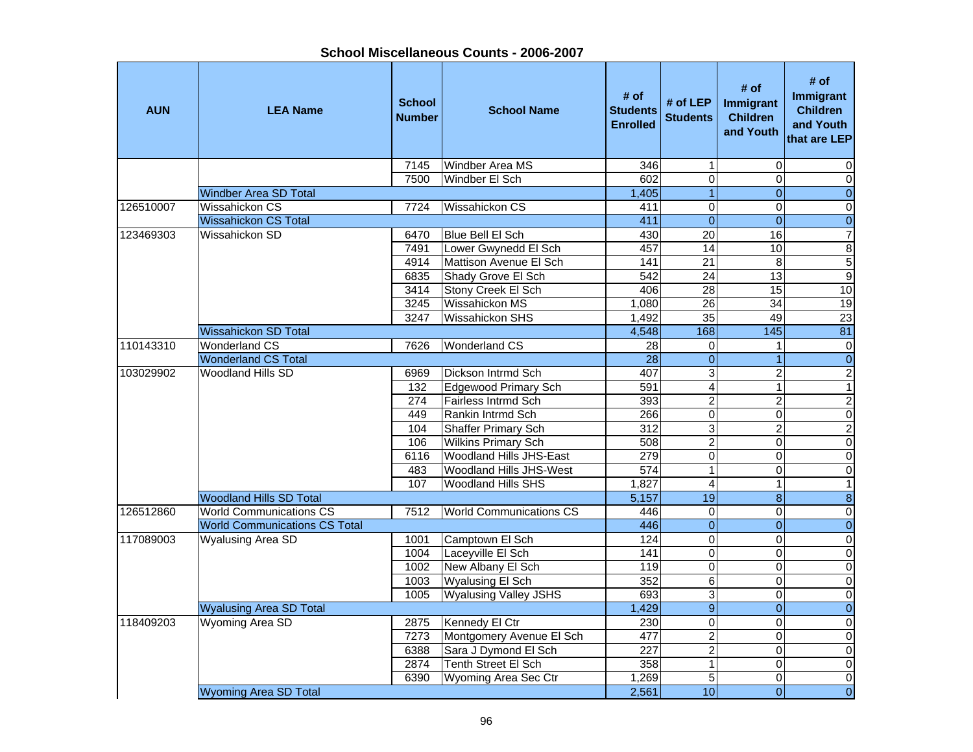**School Miscellaneous Counts - 2006-2007**

| <b>AUN</b> | <b>LEA Name</b>                      | <b>School</b><br><b>Number</b> | <b>School Name</b>             | # of<br><b>Students</b><br><b>Enrolled</b> | # of LEP<br><b>Students</b> | # of<br>Immigrant<br><b>Children</b><br>and Youth | # of<br><b>Immigrant</b><br><b>Children</b><br>and Youth<br>that are LEP |
|------------|--------------------------------------|--------------------------------|--------------------------------|--------------------------------------------|-----------------------------|---------------------------------------------------|--------------------------------------------------------------------------|
|            |                                      | 7145                           | Windber Area MS                | 346                                        | $\mathbf{1}$                | $\Omega$                                          | 0                                                                        |
|            |                                      | 7500                           | Windber El Sch                 | 602                                        | $\mathbf 0$                 | $\Omega$                                          | $\mathbf 0$                                                              |
|            | <b>Windber Area SD Total</b>         |                                |                                | 1,405                                      | $\overline{1}$              | $\overline{0}$                                    | $\overline{0}$                                                           |
| 126510007  | Wissahickon CS                       | 7724                           | <b>Wissahickon CS</b>          | 411                                        | $\overline{0}$              | $\Omega$                                          | $\pmb{0}$                                                                |
|            | <b>Wissahickon CS Total</b>          |                                |                                | 411                                        | $\overline{0}$              | $\Omega$                                          | $\overline{0}$                                                           |
| 123469303  | Wissahickon SD                       | 6470                           | <b>Blue Bell El Sch</b>        | 430                                        | $\overline{20}$             | 16                                                | $\overline{7}$                                                           |
|            |                                      | 7491                           | Lower Gwynedd El Sch           | 457                                        | 14                          | 10                                                | $\infty$                                                                 |
|            |                                      | 4914                           | Mattison Avenue El Sch         | 141                                        | $\overline{21}$             | 8                                                 | 5                                                                        |
|            |                                      | 6835                           | Shady Grove El Sch             | 542                                        | $\overline{24}$             | 13                                                | $\overline{9}$                                                           |
|            |                                      | 3414                           | Stony Creek El Sch             | 406                                        | $\overline{28}$             | $\overline{15}$                                   | 10                                                                       |
|            |                                      | 3245                           | Wissahickon MS                 | 1,080                                      | $\overline{26}$             | 34                                                | 19                                                                       |
|            |                                      | 3247                           | <b>Wissahickon SHS</b>         | 1,492                                      | 35                          | 49                                                | $\overline{23}$                                                          |
|            | <b>Wissahickon SD Total</b>          |                                |                                | 4,548                                      | 168                         | 145                                               | 81                                                                       |
| 110143310  | <b>Wonderland CS</b>                 | 7626                           | <b>Wonderland CS</b>           | $\overline{28}$                            | $\mathbf 0$                 | 1                                                 | $\overline{0}$                                                           |
|            | <b>Wonderland CS Total</b>           |                                |                                | 28                                         | $\overline{0}$              | $\overline{1}$                                    | $\overline{0}$                                                           |
| 103029902  | <b>Woodland Hills SD</b>             | 6969                           | Dickson Intrmd Sch             | 407                                        | $\mathbf 3$                 | $\overline{c}$                                    | $\overline{2}$                                                           |
|            |                                      | 132                            | Edgewood Primary Sch           | 591                                        | $\overline{4}$              | $\mathbf{1}$                                      | $\overline{1}$                                                           |
|            |                                      | 274                            | Fairless Intrmd Sch            | 393                                        | $\overline{2}$              | $\overline{2}$                                    | $\overline{2}$                                                           |
|            |                                      | 449                            | Rankin Intrmd Sch              | 266                                        | $\pmb{0}$                   | $\overline{0}$                                    | $\overline{\mathsf{o}}$                                                  |
|            |                                      | 104                            | Shaffer Primary Sch            | $\overline{312}$                           | $\overline{3}$              | $\overline{2}$                                    | $\overline{2}$                                                           |
|            |                                      | 106                            | <b>Wilkins Primary Sch</b>     | 508                                        | $\overline{2}$              | $\mathbf 0$                                       | $\overline{\mathsf{o}}$                                                  |
|            |                                      | 6116                           | <b>Woodland Hills JHS-East</b> | 279                                        | $\overline{0}$              | $\mathbf 0$                                       | $\pmb{0}$                                                                |
|            |                                      | 483                            | <b>Woodland Hills JHS-West</b> | 574                                        | $\mathbf{1}$                | 0                                                 | $\pmb{0}$                                                                |
|            |                                      | 107                            | <b>Woodland Hills SHS</b>      | 1,827                                      | $\overline{\mathbf{4}}$     | 1                                                 | $\mathbf{1}$                                                             |
|            | <b>Woodland Hills SD Total</b>       |                                |                                | 5,157                                      | 19                          | $\bf{8}$                                          | $\infty$                                                                 |
| 126512860  | <b>World Communications CS</b>       | 7512                           | <b>World Communications CS</b> | 446                                        | $\pmb{0}$                   | $\Omega$                                          | $\pmb{0}$                                                                |
|            | <b>World Communications CS Total</b> |                                |                                | 446                                        | $\overline{0}$              | $\pmb{0}$                                         | $\boldsymbol{0}$                                                         |
| 117089003  | <b>Wyalusing Area SD</b>             | 1001                           | Camptown El Sch                | 124                                        | $\mathbf 0$                 | $\Omega$                                          | $\overline{\mathsf{o}}$                                                  |
|            |                                      | 1004                           | Laceyville El Sch              | 141                                        | $\mathbf 0$                 | $\Omega$                                          | $\pmb{0}$                                                                |
|            |                                      | 1002                           | New Albany El Sch              | 119                                        | $\mathbf 0$                 | $\Omega$                                          | $\overline{0}$                                                           |
|            |                                      | 1003                           | <b>Wyalusing El Sch</b>        | 352                                        | 6                           | 0                                                 | $\pmb{0}$                                                                |
|            |                                      | 1005                           | <b>Wyalusing Valley JSHS</b>   | 693                                        | $\overline{3}$              | $\Omega$                                          | $\overline{\mathsf{o}}$                                                  |
|            | <b>Wyalusing Area SD Total</b>       |                                |                                | 1,429                                      | $\overline{9}$              | $\overline{\mathbf{O}}$                           | $\overline{0}$                                                           |
| 118409203  | Wyoming Area SD                      | 2875                           | Kennedy El Ctr                 | 230                                        | $\mathbf 0$                 | $\Omega$                                          | $\pmb{0}$                                                                |
|            |                                      | 7273                           | Montgomery Avenue El Sch       | 477                                        | $\overline{2}$              | $\Omega$                                          | $\mathbf 0$                                                              |
|            |                                      | 6388                           | Sara J Dymond El Sch           | $\overline{227}$                           | $\overline{2}$              | 0                                                 | $\pmb{0}$                                                                |
|            |                                      | 2874                           | Tenth Street El Sch            | 358                                        | $\overline{1}$              | 0                                                 | $\overline{\mathsf{o}}$                                                  |
|            |                                      | 6390                           | <b>Wyoming Area Sec Ctr</b>    | 1,269                                      | $\overline{5}$              | $\Omega$                                          | $\overline{\mathsf{o}}$                                                  |
|            | <b>Wyoming Area SD Total</b>         |                                |                                | 2,561                                      | 10                          | $\overline{0}$                                    | $\overline{0}$                                                           |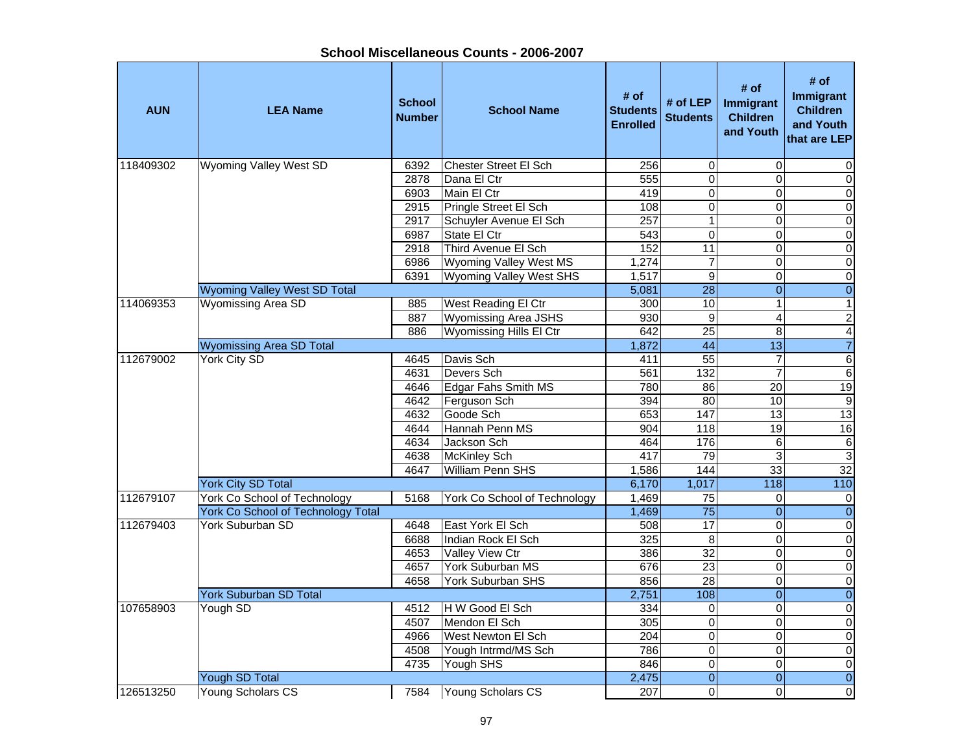| <b>AUN</b> | <b>LEA Name</b>                           | <b>School</b><br><b>Number</b> | <b>School Name</b>             | # of<br><b>Students</b><br><b>Enrolled</b> | # of LEP<br><b>Students</b> | # of<br><b>Immigrant</b><br><b>Children</b><br>and Youth | # of<br>Immigrant<br><b>Children</b><br>and Youth<br>that are LEP |
|------------|-------------------------------------------|--------------------------------|--------------------------------|--------------------------------------------|-----------------------------|----------------------------------------------------------|-------------------------------------------------------------------|
| 118409302  | <b>Wyoming Valley West SD</b>             | 6392                           | Chester Street El Sch          | 256                                        | 0                           | $\mathbf 0$                                              | 0                                                                 |
|            |                                           | 2878                           | Dana El Ctr                    | 555                                        | $\overline{0}$              | $\overline{0}$                                           | $\overline{0}$                                                    |
|            |                                           | 6903                           | Main El Ctr                    | 419                                        | $\overline{0}$              | $\overline{0}$                                           | $\overline{0}$                                                    |
|            |                                           | 2915                           | Pringle Street El Sch          | 108                                        | $\overline{0}$              | $\overline{0}$                                           | $\overline{0}$                                                    |
|            |                                           | 2917                           | Schuyler Avenue El Sch         | 257                                        | $\mathbf{1}$                | $\overline{0}$                                           | $\overline{0}$                                                    |
|            |                                           | 6987                           | State El Ctr                   | 543                                        | $\overline{0}$              | $\Omega$                                                 | $\overline{0}$                                                    |
|            |                                           | 2918                           | Third Avenue El Sch            | 152                                        | 11                          | 0                                                        | $\overline{0}$                                                    |
|            |                                           | 6986                           | Wyoming Valley West MS         | 1,274                                      | $\overline{7}$              | $\mathbf 0$                                              | $\mathbf 0$                                                       |
|            |                                           | 6391                           | <b>Wyoming Valley West SHS</b> | 1,517                                      | 9                           | 0                                                        | $\pmb{0}$                                                         |
|            | Wyoming Valley West SD Total              |                                |                                | 5,081                                      | $\overline{28}$             | $\overline{0}$                                           | $\overline{\textbf{0}}$                                           |
| 114069353  | Wyomissing Area SD                        | 885                            | West Reading El Ctr            | 300                                        | 10                          | $\mathbf{1}$                                             | $\mathbf{1}$                                                      |
|            |                                           | 887                            | <b>Wyomissing Area JSHS</b>    | 930                                        | $\overline{9}$              | $\overline{4}$                                           | $\overline{c}$                                                    |
|            |                                           | 886                            | <b>Wyomissing Hills El Ctr</b> | 642                                        | 25                          | $\overline{8}$                                           | $\overline{4}$                                                    |
|            | <b>Wyomissing Area SD Total</b>           |                                |                                | 1,872                                      | 44                          | $\overline{13}$                                          | $\overline{7}$                                                    |
| 112679002  | <b>York City SD</b>                       | 4645                           | Davis Sch                      | 411                                        | 55                          | $\overline{7}$                                           | $\overline{6}$                                                    |
|            |                                           | 4631                           | Devers Sch                     | 561                                        | 132                         | $\overline{7}$                                           | $\overline{6}$                                                    |
|            |                                           | 4646                           | <b>Edgar Fahs Smith MS</b>     | 780                                        | 86                          | $\overline{20}$                                          | 19                                                                |
|            |                                           | 4642                           | Ferguson Sch                   | 394                                        | 80                          | 10                                                       | $\overline{9}$                                                    |
|            |                                           | 4632                           | Goode Sch                      | 653                                        | 147                         | $\overline{13}$                                          | 13                                                                |
|            |                                           | 4644                           | Hannah Penn MS                 | 904                                        | 118                         | 19                                                       | 16                                                                |
|            |                                           | 4634                           | Jackson Sch                    | 464                                        | 176                         | 6                                                        |                                                                   |
|            |                                           | 4638                           | <b>McKinley Sch</b>            | 417                                        | 79                          | 3                                                        | $\frac{6}{3}$                                                     |
|            |                                           | 4647                           | William Penn SHS               | 1,586                                      | 144                         | 33                                                       | 32                                                                |
|            | <b>York City SD Total</b>                 |                                |                                | 6,170                                      | 1,017                       | $\frac{118}{118}$                                        | $\frac{110}{110}$                                                 |
| 112679107  | York Co School of Technology              | 5168                           | York Co School of Technology   | 1,469                                      | $\overline{75}$             | 0                                                        | 0                                                                 |
|            | <b>York Co School of Technology Total</b> |                                |                                | 1,469                                      | $\overline{75}$             | $\overline{0}$                                           | $\overline{0}$                                                    |
| 112679403  | <b>York Suburban SD</b>                   | 4648                           | East York El Sch               | 508                                        | 17                          | $\overline{0}$                                           | $\overline{0}$                                                    |
|            |                                           | 6688                           | Indian Rock El Sch             | 325                                        | $\bf 8$                     | 0                                                        | $\overline{0}$                                                    |
|            |                                           | 4653                           | Valley View Ctr                | 386                                        | $\overline{32}$             | 0                                                        | $\overline{0}$                                                    |
|            |                                           | 4657                           | York Suburban MS               | 676                                        | $\overline{23}$             | $\Omega$                                                 | $\overline{0}$                                                    |
|            |                                           | 4658                           | York Suburban SHS              | 856                                        | $\overline{28}$             | 0                                                        | $\overline{0}$                                                    |
|            | <b>York Suburban SD Total</b>             |                                |                                | 2,751                                      | 108                         | $\overline{0}$                                           | $\overline{0}$                                                    |
| 107658903  | Yough SD                                  | 4512                           | H W Good El Sch                | 334                                        | 0                           | $\mathbf 0$                                              | $\pmb{0}$                                                         |
|            |                                           | 4507                           | Mendon El Sch                  | 305                                        | $\overline{0}$              | 0                                                        | $\overline{0}$                                                    |
|            |                                           | 4966                           | West Newton El Sch             | 204                                        | 0                           | 0                                                        | $\mathbf 0$                                                       |
|            |                                           | 4508                           | Yough Intrmd/MS Sch            | 786                                        | $\overline{0}$              | $\mathbf 0$                                              | $\overline{0}$                                                    |
|            |                                           | 4735                           | Yough SHS                      | 846                                        | $\overline{0}$              | $\overline{0}$                                           | $\overline{0}$                                                    |
|            | <b>Yough SD Total</b>                     |                                |                                | 2,475                                      | $\overline{0}$              | $\overline{0}$                                           | $\overline{0}$                                                    |
| 126513250  | Young Scholars CS                         | 7584                           | Young Scholars CS              | 207                                        | 0                           | 0                                                        | 0                                                                 |